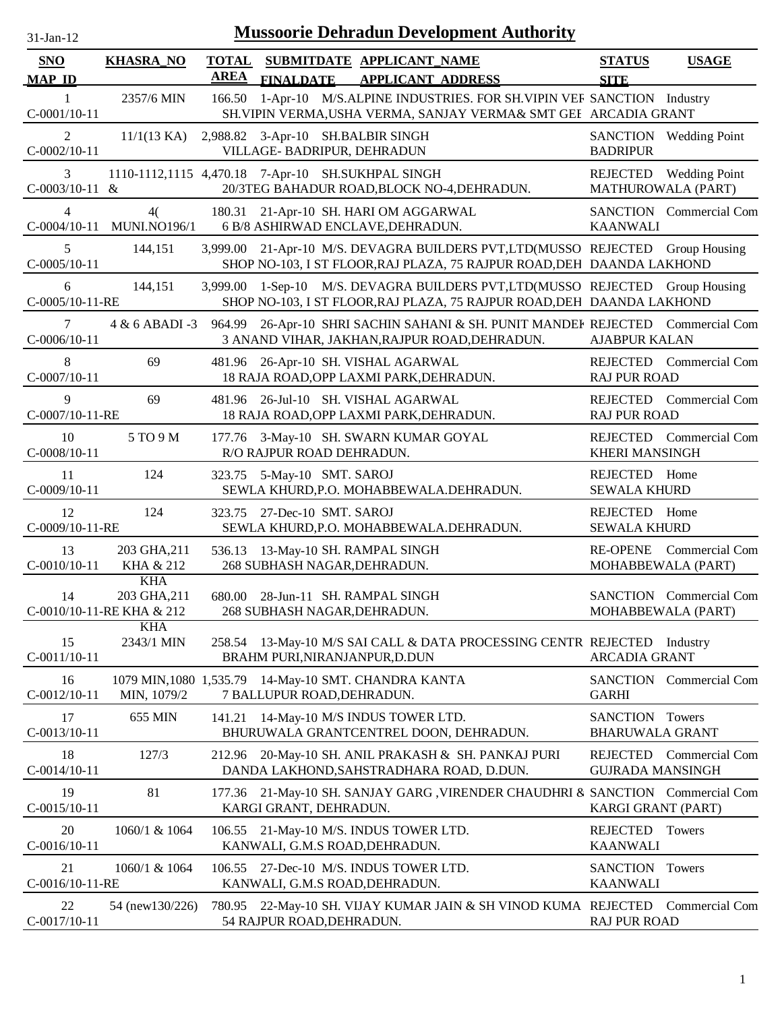| $31-Jan-12$                      |                                                         |                             |                                                                   | <b>Mussoorie Dehradun Development Authority</b>                                                                                                         |                                           |                                               |
|----------------------------------|---------------------------------------------------------|-----------------------------|-------------------------------------------------------------------|---------------------------------------------------------------------------------------------------------------------------------------------------------|-------------------------------------------|-----------------------------------------------|
| <b>SNO</b><br><b>MAP ID</b>      | <b>KHASRA_NO</b>                                        | <b>TOTAL</b><br><b>AREA</b> |                                                                   | SUBMITDATE APPLICANT_NAME<br>FINALDATE APPLICANT ADDRESS                                                                                                | <b>STATUS</b><br><b>SITE</b>              | <b>USAGE</b>                                  |
| -1<br>$C-0001/10-11$             | 2357/6 MIN                                              | 166.50                      |                                                                   | 1-Apr-10 M/S.ALPINE INDUSTRIES. FOR SH.VIPIN VER SANCTION Industry<br>SH. VIPIN VERMA, USHA VERMA, SANJAY VERMA& SMT GEI ARCADIA GRANT                  |                                           |                                               |
| 2<br>$C-0002/10-11$              | 11/1(13 KA)                                             |                             | 2,988.82 3-Apr-10 SH.BALBIR SINGH<br>VILLAGE- BADRIPUR, DEHRADUN  |                                                                                                                                                         | <b>BADRIPUR</b>                           | SANCTION Wedding Point                        |
| 3<br>$C-0003/10-11$ &            |                                                         |                             |                                                                   | 1110-1112,1115 4,470.18 7-Apr-10 SH.SUKHPAL SINGH<br>20/3TEG BAHADUR ROAD, BLOCK NO-4, DEHRADUN.                                                        |                                           | REJECTED Wedding Point<br>MATHUROWALA (PART)  |
| $\overline{4}$<br>$C-0004/10-11$ | 4(<br><b>MUNI.NO196/1</b>                               |                             |                                                                   | 180.31 21-Apr-10 SH. HARI OM AGGARWAL<br>6 B/8 ASHIRWAD ENCLAVE, DEHRADUN.                                                                              | <b>KAANWALI</b>                           | <b>SANCTION</b> Commercial Com                |
| 5<br>$C-0005/10-11$              | 144,151                                                 |                             |                                                                   | 3,999.00 21-Apr-10 M/S. DEVAGRA BUILDERS PVT,LTD(MUSSO REJECTED Group Housing<br>SHOP NO-103, I ST FLOOR, RAJ PLAZA, 75 RAJPUR ROAD, DEH DAANDA LAKHOND |                                           |                                               |
| 6<br>C-0005/10-11-RE             | 144,151                                                 |                             |                                                                   | 3,999.00 1-Sep-10 M/S. DEVAGRA BUILDERS PVT, LTD(MUSSO REJECTED Group Housing<br>SHOP NO-103, I ST FLOOR, RAJ PLAZA, 75 RAJPUR ROAD, DEH DAANDA LAKHOND |                                           |                                               |
| 7<br>$C-0006/10-11$              | 4 & 6 ABADI -3                                          |                             |                                                                   | 964.99 26-Apr-10 SHRI SACHIN SAHANI & SH. PUNIT MANDEF REJECTED Commercial Com<br>3 ANAND VIHAR, JAKHAN, RAJPUR ROAD, DEHRADUN.                         | <b>AJABPUR KALAN</b>                      |                                               |
| 8<br>$C-0007/10-11$              | 69                                                      |                             |                                                                   | 481.96 26-Apr-10 SH. VISHAL AGARWAL<br>18 RAJA ROAD, OPP LAXMI PARK, DEHRADUN.                                                                          | <b>RAJ PUR ROAD</b>                       | REJECTED Commercial Com                       |
| 9<br>C-0007/10-11-RE             | 69                                                      |                             |                                                                   | 481.96 26-Jul-10 SH. VISHAL AGARWAL<br>18 RAJA ROAD, OPP LAXMI PARK, DEHRADUN.                                                                          | <b>RAJ PUR ROAD</b>                       | REJECTED Commercial Com                       |
| 10<br>$C-0008/10-11$             | 5 TO 9 M                                                |                             | R/O RAJPUR ROAD DEHRADUN.                                         | 177.76 3-May-10 SH. SWARN KUMAR GOYAL                                                                                                                   | <b>KHERI MANSINGH</b>                     | REJECTED Commercial Com                       |
| 11<br>$C-0009/10-11$             | 124                                                     |                             | 323.75 5-May-10 SMT. SAROJ                                        | SEWLA KHURD, P.O. MOHABBEWALA. DEHRADUN.                                                                                                                | REJECTED Home<br><b>SEWALA KHURD</b>      |                                               |
| 12<br>C-0009/10-11-RE            | 124                                                     |                             | 323.75 27-Dec-10 SMT. SAROJ                                       | SEWLA KHURD, P.O. MOHABBEWALA. DEHRADUN.                                                                                                                | REJECTED Home<br><b>SEWALA KHURD</b>      |                                               |
| 13<br>$C-0010/10-11$             | 203 GHA, 211<br>KHA & 212                               |                             | 536.13 13-May-10 SH. RAMPAL SINGH<br>268 SUBHASH NAGAR, DEHRADUN. |                                                                                                                                                         |                                           | RE-OPENE Commercial Com<br>MOHABBEWALA (PART) |
| 14                               | <b>KHA</b><br>203 GHA, 211<br>C-0010/10-11-RE KHA & 212 |                             | 268 SUBHASH NAGAR, DEHRADUN.                                      | 680.00 28-Jun-11 SH. RAMPAL SINGH                                                                                                                       |                                           | SANCTION Commercial Com<br>MOHABBEWALA (PART) |
| 15<br>$C-0011/10-11$             | <b>KHA</b><br>2343/1 MIN                                |                             | BRAHM PURI, NIRANJANPUR, D. DUN                                   | 258.54 13-May-10 M/S SAI CALL & DATA PROCESSING CENTR REJECTED                                                                                          | <b>ARCADIA GRANT</b>                      | Industry                                      |
| 16<br>$C-0012/10-11$             | MIN, 1079/2                                             |                             | 7 BALLUPUR ROAD, DEHRADUN.                                        | 1079 MIN, 1080 1, 535.79 14-May-10 SMT. CHANDRA KANTA                                                                                                   | <b>GARHI</b>                              | SANCTION Commercial Com                       |
| 17<br>$C-0013/10-11$             | 655 MIN                                                 |                             |                                                                   | 141.21 14-May-10 M/S INDUS TOWER LTD.<br>BHURUWALA GRANTCENTREL DOON, DEHRADUN.                                                                         | SANCTION Towers<br><b>BHARUWALA GRANT</b> |                                               |
| 18<br>$C-0014/10-11$             | 127/3                                                   |                             |                                                                   | 212.96 20-May-10 SH. ANIL PRAKASH & SH. PANKAJ PURI<br>DANDA LAKHOND, SAHSTRADHARA ROAD, D.DUN.                                                         | <b>GUJRADA MANSINGH</b>                   | REJECTED Commercial Com                       |
| 19<br>$C-0015/10-11$             | 81                                                      |                             | KARGI GRANT, DEHRADUN.                                            | 177.36 21-May-10 SH. SANJAY GARG, VIRENDER CHAUDHRI & SANCTION Commercial Com                                                                           | KARGI GRANT (PART)                        |                                               |
| 20<br>$C-0016/10-11$             | 1060/1 & 1064                                           | 106.55                      |                                                                   | 21-May-10 M/S. INDUS TOWER LTD.<br>KANWALI, G.M.S ROAD, DEHRADUN.                                                                                       | <b>REJECTED</b><br><b>KAANWALI</b>        | Towers                                        |
| 21<br>C-0016/10-11-RE            | 1060/1 & 1064                                           |                             |                                                                   | 106.55 27-Dec-10 M/S. INDUS TOWER LTD.<br>KANWALI, G.M.S ROAD, DEHRADUN.                                                                                | SANCTION Towers<br><b>KAANWALI</b>        |                                               |
| 22<br>$C-0017/10-11$             | 54 (new130/226)                                         |                             | 54 RAJPUR ROAD, DEHRADUN.                                         | 780.95 22-May-10 SH. VIJAY KUMAR JAIN & SH VINOD KUMA REJECTED                                                                                          | <b>RAJ PUR ROAD</b>                       | Commercial Com                                |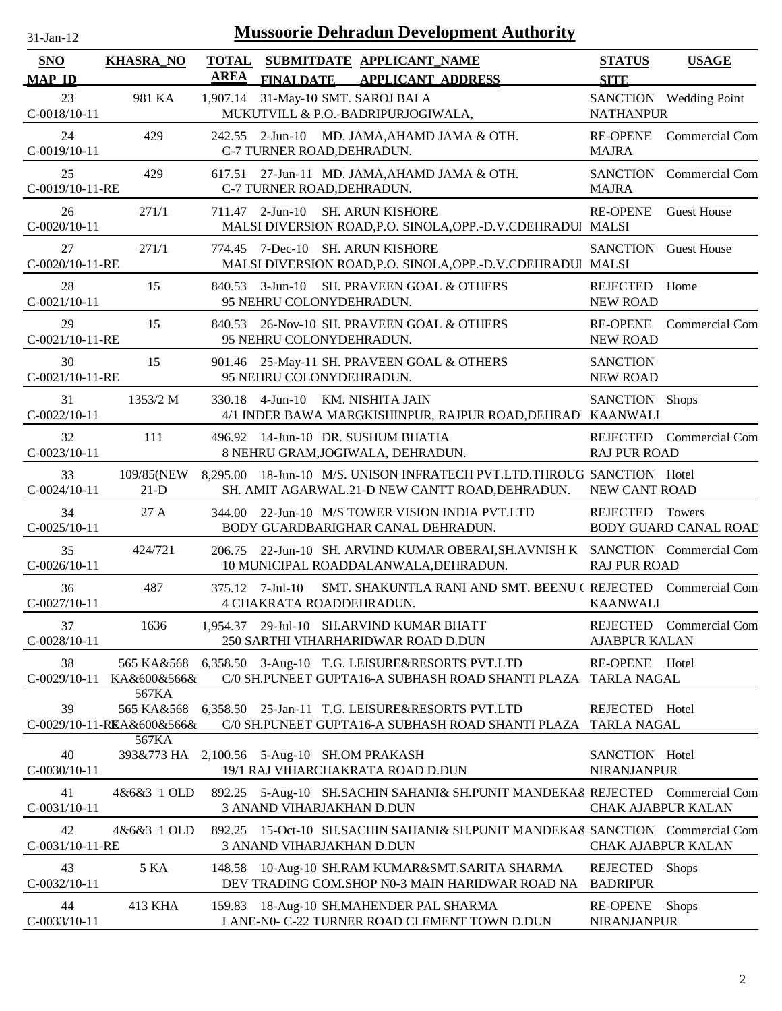| 31-Jan-12                   |                                                     |                             |                            | <b>Mussoorie Dehradun Development Authority</b>                                                                  |                                       |                                        |
|-----------------------------|-----------------------------------------------------|-----------------------------|----------------------------|------------------------------------------------------------------------------------------------------------------|---------------------------------------|----------------------------------------|
| <b>SNO</b><br><b>MAP ID</b> | <b>KHASRA_NO</b>                                    | <b>TOTAL</b><br><b>AREA</b> |                            | SUBMITDATE APPLICANT_NAME<br>FINALDATE APPLICANT ADDRESS                                                         | <b>STATUS</b><br><b>SITE</b>          | <b>USAGE</b>                           |
| 23<br>C-0018/10-11          | 981 KA                                              | 1,907.14                    |                            | 31-May-10 SMT. SAROJ BALA<br>MUKUTVILL & P.O.-BADRIPURJOGIWALA,                                                  | <b>NATHANPUR</b>                      | SANCTION Wedding Point                 |
| 24<br>$C-0019/10-11$        | 429                                                 |                             | C-7 TURNER ROAD, DEHRADUN. | 242.55 2-Jun-10 MD. JAMA, AHAMD JAMA & OTH.                                                                      | <b>RE-OPENE</b><br><b>MAJRA</b>       | Commercial Com                         |
| 25<br>C-0019/10-11-RE       | 429                                                 |                             | C-7 TURNER ROAD, DEHRADUN. | 617.51 27-Jun-11 MD. JAMA, AHAMD JAMA & OTH.                                                                     | <b>MAJRA</b>                          | SANCTION Commercial Com                |
| 26<br>$C-0020/10-11$        | 271/1                                               |                             |                            | 711.47 2-Jun-10 SH. ARUN KISHORE<br>MALSI DIVERSION ROAD, P.O. SINOLA, OPP.-D.V. CDEHRADUI MALSI                 | <b>RE-OPENE</b>                       | <b>Guest House</b>                     |
| 27<br>C-0020/10-11-RE       | 271/1                                               |                             |                            | 774.45 7-Dec-10 SH. ARUN KISHORE<br>MALSI DIVERSION ROAD, P.O. SINOLA, OPP.-D.V. CDEHRADUI MALSI                 | <b>SANCTION</b> Guest House           |                                        |
| 28<br>$C-0021/10-11$        | 15                                                  |                             | 95 NEHRU COLONYDEHRADUN.   | 840.53 3-Jun-10 SH. PRAVEEN GOAL & OTHERS                                                                        | <b>REJECTED</b><br><b>NEW ROAD</b>    | Home                                   |
| 29<br>C-0021/10-11-RE       | 15                                                  | 840.53                      | 95 NEHRU COLONYDEHRADUN.   | 26-Nov-10 SH. PRAVEEN GOAL & OTHERS                                                                              | <b>RE-OPENE</b><br><b>NEW ROAD</b>    | Commercial Com                         |
| 30<br>C-0021/10-11-RE       | 15                                                  | 901.46                      | 95 NEHRU COLONYDEHRADUN.   | 25-May-11 SH. PRAVEEN GOAL & OTHERS                                                                              | <b>SANCTION</b><br><b>NEW ROAD</b>    |                                        |
| 31<br>$C-0022/10-11$        | 1353/2 M                                            |                             |                            | 330.18 4-Jun-10 KM. NISHITA JAIN<br>4/1 INDER BAWA MARGKISHINPUR, RAJPUR ROAD, DEHRAD KAANWALI                   | SANCTION Shops                        |                                        |
| 32<br>$C-0023/10-11$        | 111                                                 |                             |                            | 496.92 14-Jun-10 DR. SUSHUM BHATIA<br>8 NEHRU GRAM, JOGIWALA, DEHRADUN.                                          | REJECTED<br><b>RAJ PUR ROAD</b>       | Commercial Com                         |
| 33<br>$C-0024/10-11$        | 109/85(NEW<br>$21-D$                                | 8,295.00                    |                            | 18-Jun-10 M/S. UNISON INFRATECH PVT.LTD.THROUG SANCTION Hotel<br>SH. AMIT AGARWAL.21-D NEW CANTT ROAD, DEHRADUN. | NEW CANT ROAD                         |                                        |
| 34<br>$C-0025/10-11$        | 27A                                                 | 344.00                      |                            | 22-Jun-10 M/S TOWER VISION INDIA PVT.LTD<br>BODY GUARDBARIGHAR CANAL DEHRADUN.                                   | REJECTED                              | Towers<br><b>BODY GUARD CANAL ROAD</b> |
| 35<br>$C-0026/10-11$        | 424/721                                             | 206.75                      |                            | 22-Jun-10 SH. ARVIND KUMAR OBERAI, SH. AVNISH K SANCTION Commercial Com<br>10 MUNICIPAL ROADDALANWALA, DEHRADUN. | <b>RAJ PUR ROAD</b>                   |                                        |
| 36<br>$C-0027/10-11$        | 487                                                 |                             | 375.12 7-Jul-10            | SMT. SHAKUNTLA RANI AND SMT. BEENU ( REJECTED Commercial Com<br>4 CHAKRATA ROADDEHRADUN.                         | <b>KAANWALI</b>                       |                                        |
| 37<br>$C-0028/10-11$        | 1636                                                |                             |                            | 1,954.37 29-Jul-10 SH.ARVIND KUMAR BHATT<br>250 SARTHI VIHARHARIDWAR ROAD D.DUN                                  | <b>AJABPUR KALAN</b>                  | REJECTED Commercial Com                |
| 38<br>$C-0029/10-11$        | 565 KA&568<br>KA&600&566&<br>567KA                  |                             |                            | 6,358.50 3-Aug-10 T.G. LEISURE&RESORTS PVT.LTD<br>C/0 SH.PUNEET GUPTA16-A SUBHASH ROAD SHANTI PLAZA TARLA NAGAL  | RE-OPENE Hotel                        |                                        |
| 39                          | 565 KA&568<br>C-0029/10-11-RKA&600&566&             |                             |                            | 6,358.50 25-Jan-11 T.G. LEISURE&RESORTS PVT.LTD<br>C/0 SH.PUNEET GUPTA16-A SUBHASH ROAD SHANTI PLAZA TARLA NAGAL | REJECTED Hotel                        |                                        |
| 40<br>$C-0030/10-11$        | 567KA<br>393&773 HA 2,100.56 5-Aug-10 SH.OM PRAKASH |                             |                            | 19/1 RAJ VIHARCHAKRATA ROAD D.DUN                                                                                | SANCTION Hotel<br><b>NIRANJANPUR</b>  |                                        |
| 41<br>$C-0031/10-11$        | 4&6&3 1 OLD                                         |                             |                            | 892.25 5-Aug-10 SH.SACHIN SAHANI& SH.PUNIT MANDEKA8 REJECTED Commercial Com<br>3 ANAND VIHARJAKHAN D.DUN         | CHAK AJABPUR KALAN                    |                                        |
| 42<br>C-0031/10-11-RE       | 4&6&3 1 OLD                                         | 892.25                      |                            | 15-Oct-10 SH.SACHIN SAHANI& SH.PUNIT MANDEKA& SANCTION Commercial Com<br>3 ANAND VIHARJAKHAN D.DUN               | CHAK AJABPUR KALAN                    |                                        |
| 43<br>$C-0032/10-11$        | 5 KA                                                |                             |                            | 148.58 10-Aug-10 SH.RAM KUMAR&SMT.SARITA SHARMA<br>DEV TRADING COM.SHOP N0-3 MAIN HARIDWAR ROAD NA               | <b>REJECTED</b><br><b>BADRIPUR</b>    | <b>Shops</b>                           |
| 44<br>$C-0033/10-11$        | 413 KHA                                             | 159.83                      |                            | 18-Aug-10 SH.MAHENDER PAL SHARMA<br>LANE-N0- C-22 TURNER ROAD CLEMENT TOWN D.DUN                                 | <b>RE-OPENE</b><br><b>NIRANJANPUR</b> | <b>Shops</b>                           |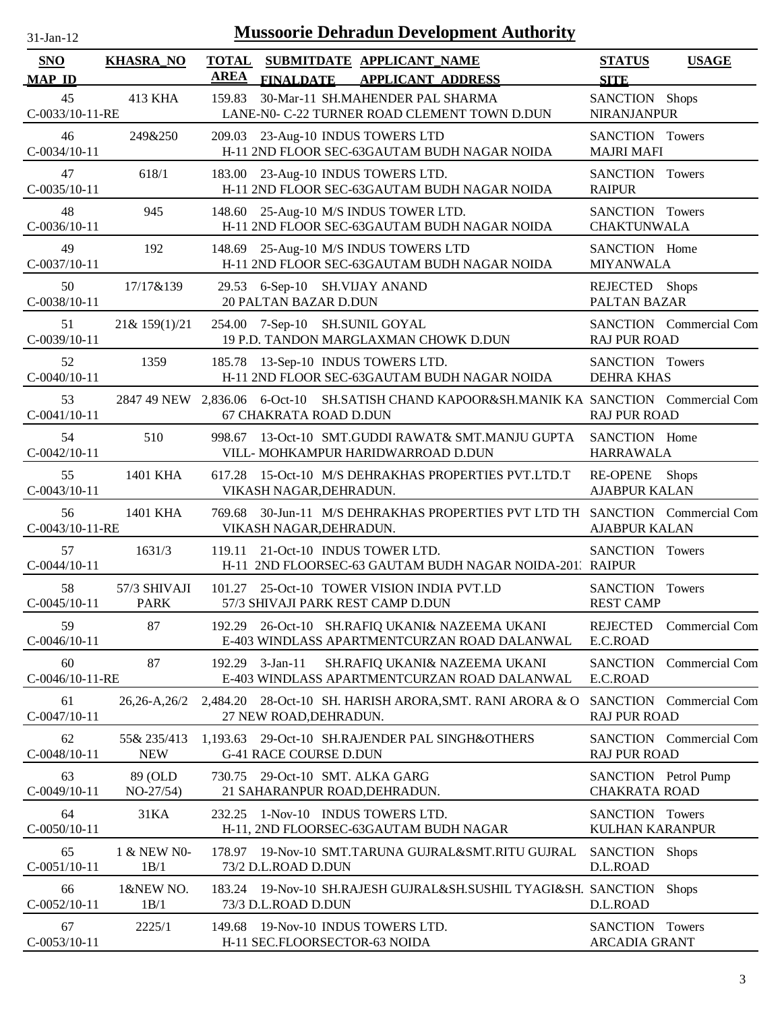| $31$ -Jan-12                |                             |                             | <b>Mussoorie Dehradun Development Authority</b>                                                                    |                                              |                         |
|-----------------------------|-----------------------------|-----------------------------|--------------------------------------------------------------------------------------------------------------------|----------------------------------------------|-------------------------|
| <b>SNO</b><br><b>MAP ID</b> | <b>KHASRA_NO</b>            | <b>TOTAL</b><br><b>AREA</b> | SUBMITDATE APPLICANT NAME<br><b>FINALDATE</b><br><b>APPLICANT ADDRESS</b>                                          | <b>STATUS</b><br><b>SITE</b>                 | <b>USAGE</b>            |
| 45<br>C-0033/10-11-RE       | 413 KHA                     | 159.83                      | 30-Mar-11 SH.MAHENDER PAL SHARMA<br>LANE-N0- C-22 TURNER ROAD CLEMENT TOWN D.DUN                                   | SANCTION Shops<br><b>NIRANJANPUR</b>         |                         |
| 46<br>$C-0034/10-11$        | 249&250                     |                             | 209.03 23-Aug-10 INDUS TOWERS LTD<br>H-11 2ND FLOOR SEC-63GAUTAM BUDH NAGAR NOIDA                                  | SANCTION Towers<br><b>MAJRI MAFI</b>         |                         |
| 47<br>$C-0035/10-11$        | 618/1                       |                             | 183.00 23-Aug-10 INDUS TOWERS LTD.<br>H-11 2ND FLOOR SEC-63GAUTAM BUDH NAGAR NOIDA                                 | SANCTION Towers<br><b>RAIPUR</b>             |                         |
| 48<br>$C-0036/10-11$        | 945                         |                             | 148.60 25-Aug-10 M/S INDUS TOWER LTD.<br>H-11 2ND FLOOR SEC-63GAUTAM BUDH NAGAR NOIDA                              | SANCTION Towers<br><b>CHAKTUNWALA</b>        |                         |
| 49<br>$C-0037/10-11$        | 192                         |                             | 148.69 25-Aug-10 M/S INDUS TOWERS LTD<br>H-11 2ND FLOOR SEC-63GAUTAM BUDH NAGAR NOIDA                              | SANCTION Home<br><b>MIYANWALA</b>            |                         |
| 50<br>C-0038/10-11          | 17/17&139                   |                             | 29.53 6-Sep-10 SH.VIJAY ANAND<br><b>20 PALTAN BAZAR D.DUN</b>                                                      | REJECTED Shops<br>PALTAN BAZAR               |                         |
| 51<br>$C-0039/10-11$        | 21& 159(1)/21               |                             | 254.00 7-Sep-10 SH.SUNIL GOYAL<br>19 P.D. TANDON MARGLAXMAN CHOWK D.DUN                                            | <b>RAJ PUR ROAD</b>                          | SANCTION Commercial Com |
| 52<br>$C-0040/10-11$        | 1359                        |                             | 185.78 13-Sep-10 INDUS TOWERS LTD.<br>H-11 2ND FLOOR SEC-63GAUTAM BUDH NAGAR NOIDA                                 | SANCTION Towers<br><b>DEHRA KHAS</b>         |                         |
| 53<br>$C-0041/10-11$        |                             |                             | 2847 49 NEW 2,836.06 6-Oct-10 SH.SATISH CHAND KAPOOR&SH.MANIK KA SANCTION Commercial Com<br>67 CHAKRATA ROAD D.DUN | <b>RAJ PUR ROAD</b>                          |                         |
| 54<br>$C-0042/10-11$        | 510                         |                             | 998.67 13-Oct-10 SMT.GUDDI RAWAT& SMT.MANJU GUPTA<br>VILL- MOHKAMPUR HARIDWARROAD D.DUN                            | SANCTION Home<br><b>HARRAWALA</b>            |                         |
| 55<br>$C-0043/10-11$        | 1401 KHA                    |                             | 617.28 15-Oct-10 M/S DEHRAKHAS PROPERTIES PVT.LTD.T<br>VIKASH NAGAR, DEHRADUN.                                     | RE-OPENE<br><b>AJABPUR KALAN</b>             | <b>Shops</b>            |
| 56<br>C-0043/10-11-RE       | 1401 KHA                    | 769.68                      | 30-Jun-11 M/S DEHRAKHAS PROPERTIES PVT LTD TH SANCTION Commercial Com<br>VIKASH NAGAR, DEHRADUN.                   | <b>AJABPUR KALAN</b>                         |                         |
| 57<br>$C-0044/10-11$        | 1631/3                      | 119.11                      | 21-Oct-10 INDUS TOWER LTD.<br>H-11 2ND FLOORSEC-63 GAUTAM BUDH NAGAR NOIDA-201. RAIPUR                             | SANCTION Towers                              |                         |
| 58<br>$C-0045/10-11$        | 57/3 SHIVAJI<br><b>PARK</b> |                             | 101.27 25-Oct-10 TOWER VISION INDIA PVT.LD<br>57/3 SHIVAJI PARK REST CAMP D.DUN                                    | SANCTION Towers<br><b>REST CAMP</b>          |                         |
| 59<br>$C-0046/10-11$        | 87                          |                             | 192.29 26-Oct-10 SH.RAFIQ UKANI& NAZEEMA UKANI<br>E-403 WINDLASS APARTMENTCURZAN ROAD DALANWAL                     | <b>REJECTED</b><br>E.C.ROAD                  | Commercial Com          |
| 60<br>C-0046/10-11-RE       | 87                          | 192.29                      | $3$ -Jan-11<br>SH.RAFIQ UKANI& NAZEEMA UKANI<br>E-403 WINDLASS APARTMENTCURZAN ROAD DALANWAL                       | E.C.ROAD                                     | SANCTION Commercial Com |
| 61<br>$C-0047/10-11$        | $26,26-A,26/2$              |                             | 2,484.20 28-Oct-10 SH. HARISH ARORA, SMT. RANI ARORA & O<br>27 NEW ROAD, DEHRADUN.                                 | <b>RAJ PUR ROAD</b>                          | SANCTION Commercial Com |
| 62<br>$C-0048/10-11$        | 55& 235/413<br><b>NEW</b>   |                             | 1,193.63 29-Oct-10 SH.RAJENDER PAL SINGH&OTHERS<br><b>G-41 RACE COURSE D.DUN</b>                                   | <b>RAJ PUR ROAD</b>                          | SANCTION Commercial Com |
| 63<br>$C-0049/10-11$        | 89 (OLD<br>$NO-27/54)$      |                             | 730.75 29-Oct-10 SMT. ALKA GARG<br>21 SAHARANPUR ROAD, DEHRADUN.                                                   | SANCTION Petrol Pump<br><b>CHAKRATA ROAD</b> |                         |
| 64<br>$C-0050/10-11$        | 31KA                        | 232.25                      | 1-Nov-10 INDUS TOWERS LTD.<br>H-11, 2ND FLOORSEC-63GAUTAM BUDH NAGAR                                               | SANCTION Towers<br><b>KULHAN KARANPUR</b>    |                         |
| 65<br>$C-0051/10-11$        | 1 & NEW N0-<br>1B/1         |                             | 178.97 19-Nov-10 SMT.TARUNA GUJRAL&SMT.RITU GUJRAL<br>73/2 D.L.ROAD D.DUN                                          | SANCTION Shops<br>D.L.ROAD                   |                         |
| 66<br>$C-0052/10-11$        | 1&NEW NO.<br>1B/1           |                             | 183.24 19-Nov-10 SH.RAJESH GUJRAL&SH.SUSHIL TYAGI&SH. SANCTION<br>73/3 D.L.ROAD D.DUN                              | D.L.ROAD                                     | <b>Shops</b>            |
| 67<br>$C-0053/10-11$        | 2225/1                      |                             | 149.68 19-Nov-10 INDUS TOWERS LTD.<br>H-11 SEC.FLOORSECTOR-63 NOIDA                                                | SANCTION Towers<br>ARCADIA GRANT             |                         |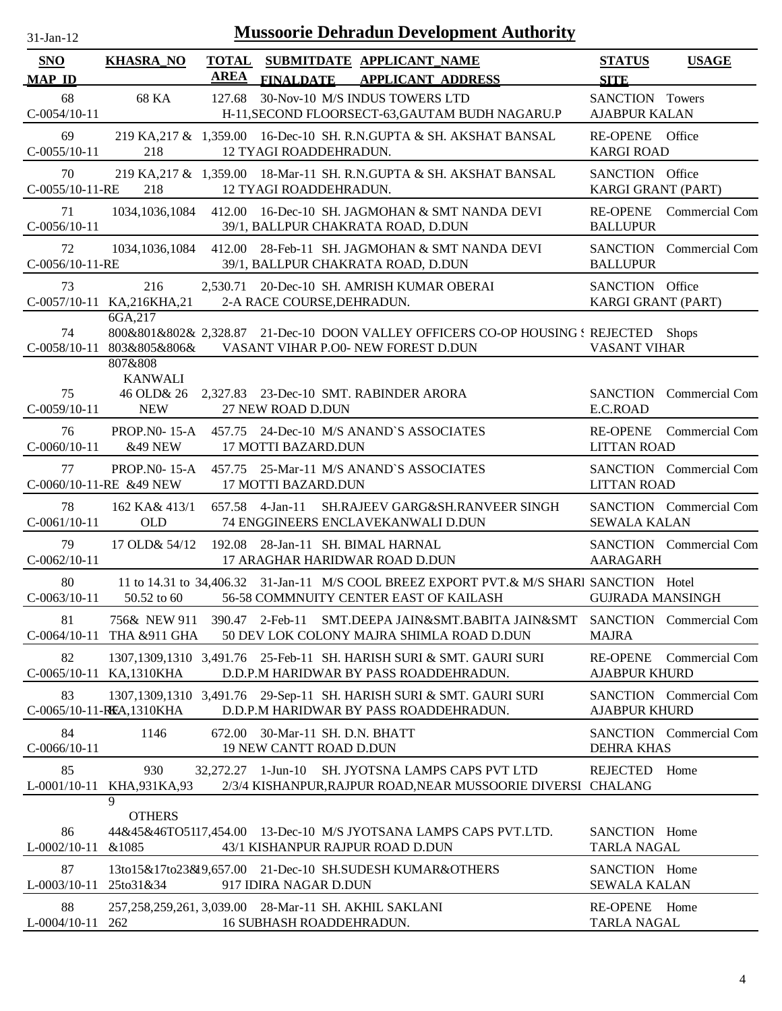| $31$ -Jan-12                |                                                  |             | <b>Mussoorie Dehradun Development Authority</b>                                                                                   |                                                        |
|-----------------------------|--------------------------------------------------|-------------|-----------------------------------------------------------------------------------------------------------------------------------|--------------------------------------------------------|
| <b>SNO</b><br><b>MAP ID</b> | <b>KHASRA_NO</b>                                 | <b>AREA</b> | TOTAL SUBMITDATE APPLICANT_NAME<br>FINALDATE APPLICANT ADDRESS                                                                    | <b>USAGE</b><br><b>STATUS</b><br><b>SITE</b>           |
| 68<br>$C-0054/10-11$        | 68 KA                                            | 127.68      | 30-Nov-10 M/S INDUS TOWERS LTD<br>H-11, SECOND FLOORSECT-63, GAUTAM BUDH NAGARU.P                                                 | SANCTION Towers<br><b>AJABPUR KALAN</b>                |
| 69<br>$C-0055/10-11$        | 218                                              |             | 219 KA, 217 & 1, 359.00 16-Dec-10 SH. R.N. GUPTA & SH. AKSHAT BANSAL<br>12 TYAGI ROADDEHRADUN.                                    | RE-OPENE Office<br><b>KARGI ROAD</b>                   |
| 70<br>C-0055/10-11-RE       | 218                                              |             | 219 KA, 217 & 1, 359.00 18-Mar-11 SH. R.N. GUPTA & SH. AKSHAT BANSAL<br>12 TYAGI ROADDEHRADUN.                                    | SANCTION Office<br>KARGI GRANT (PART)                  |
| 71<br>$C-0056/10-11$        |                                                  |             | 1034,1036,1084 412.00 16-Dec-10 SH. JAGMOHAN & SMT NANDA DEVI<br>39/1, BALLPUR CHAKRATA ROAD, D.DUN                               | RE-OPENE Commercial Com<br><b>BALLUPUR</b>             |
| 72<br>C-0056/10-11-RE       | 1034, 1036, 1084                                 |             | 412.00 28-Feb-11 SH. JAGMOHAN & SMT NANDA DEVI<br>39/1, BALLPUR CHAKRATA ROAD, D.DUN                                              | SANCTION Commercial Com<br><b>BALLUPUR</b>             |
| 73                          | 216<br>C-0057/10-11 KA,216KHA,21                 |             | 2,530.71 20-Dec-10 SH. AMRISH KUMAR OBERAI<br>2-A RACE COURSE, DEHRADUN.                                                          | SANCTION Office<br>KARGI GRANT (PART)                  |
| 74                          | 6GA, 217<br>C-0058/10-11 803&805&806&<br>807&808 |             | 800&801&802& 2,328.87 21-Dec-10 DOON VALLEY OFFICERS CO-OP HOUSING : REJECTED Shops<br>VASANT VIHAR P.O0- NEW FOREST D.DUN        | <b>VASANT VIHAR</b>                                    |
| 75<br>$C-0059/10-11$        | <b>KANWALI</b><br>46 OLD& 26<br><b>NEW</b>       |             | 2,327.83 23-Dec-10 SMT. RABINDER ARORA<br>27 NEW ROAD D.DUN                                                                       | SANCTION Commercial Com<br>E.C.ROAD                    |
| 76<br>$C-0060/10-11$        | <b>PROP.NO-15-A</b><br>&49 NEW                   |             | 457.75 24-Dec-10 M/S ANAND'S ASSOCIATES<br>17 MOTTI BAZARD.DUN                                                                    | RE-OPENE Commercial Com<br><b>LITTAN ROAD</b>          |
| 77                          | PROP. $N0-15-A$<br>C-0060/10-11-RE &49 NEW       |             | 457.75 25-Mar-11 M/S ANAND'S ASSOCIATES<br>17 MOTTI BAZARD.DUN                                                                    | SANCTION Commercial Com<br><b>LITTAN ROAD</b>          |
| 78<br>$C-0061/10-11$        | 162 KA& 413/1<br><b>OLD</b>                      |             | SH.RAJEEV GARG&SH.RANVEER SINGH<br>657.58 4-Jan-11<br>74 ENGGINEERS ENCLAVEKANWALI D.DUN                                          | SANCTION Commercial Com<br><b>SEWALA KALAN</b>         |
| 79<br>$C-0062/10-11$        | 17 OLD& 54/12                                    |             | 192.08 28-Jan-11 SH. BIMAL HARNAL<br>17 ARAGHAR HARIDWAR ROAD D.DUN                                                               | SANCTION Commercial Com<br><b>AARAGARH</b>             |
| 80<br>$C-0063/10-11$        | 50.52 to 60                                      |             | 11 to 14.31 to 34,406.32 31-Jan-11 M/S COOL BREEZ EXPORT PVT.& M/S SHARI SANCTION Hotel<br>56-58 COMMNUITY CENTER EAST OF KAILASH | <b>GUJRADA MANSINGH</b>                                |
| 81                          | 756& NEW 911<br>C-0064/10-11 THA &911 GHA        |             | 390.47 2-Feb-11<br>SMT.DEEPA JAIN&SMT.BABITA JAIN&SMT<br>50 DEV LOK COLONY MAJRA SHIMLA ROAD D.DUN                                | SANCTION Commercial Com<br><b>MAJRA</b>                |
| 82                          | C-0065/10-11 KA,1310KHA                          |             | 1307,1309,1310 3,491.76 25-Feb-11 SH. HARISH SURI & SMT. GAURI SURI<br>D.D.P.M HARIDWAR BY PASS ROADDEHRADUN.                     | RE-OPENE Commercial Com<br><b>AJABPUR KHURD</b>        |
| 83                          | C-0065/10-11-REA, 1310KHA                        |             | 1307,1309,1310 3,491.76 29-Sep-11 SH. HARISH SURI & SMT. GAURI SURI<br>D.D.P.M HARIDWAR BY PASS ROADDEHRADUN.                     | <b>SANCTION</b> Commercial Com<br><b>AJABPUR KHURD</b> |
| 84<br>$C-0066/10-11$        | 1146                                             |             | 672.00 30-Mar-11 SH. D.N. BHATT<br>19 NEW CANTT ROAD D.DUN                                                                        | SANCTION Commercial Com<br><b>DEHRA KHAS</b>           |
| 85<br>$L$ -0001/10-11       | 930<br>KHA, 931 KA, 93                           |             | 32,272.27 1-Jun-10 SH. JYOTSNA LAMPS CAPS PVT LTD<br>2/3/4 KISHANPUR, RAJPUR ROAD, NEAR MUSSOORIE DIVERSI CHALANG                 | Home<br>REJECTED                                       |
| 86<br>$L$ -0002/10-11       | 9<br><b>OTHERS</b><br>&1085                      |             | 44&45&46TO5117,454.00 13-Dec-10 M/S JYOTSANA LAMPS CAPS PVT.LTD.<br>43/1 KISHANPUR RAJPUR ROAD D.DUN                              | SANCTION Home<br><b>TARLA NAGAL</b>                    |
| 87<br>$L$ -0003/10-11       | 25to31&34                                        |             | 13to15&17to23&19,657.00 21-Dec-10 SH.SUDESH KUMAR&OTHERS<br>917 IDIRA NAGAR D.DUN                                                 | SANCTION Home<br><b>SEWALA KALAN</b>                   |
| 88<br>L-0004/10-11 262      |                                                  |             | 257,258,259,261, 3,039.00 28-Mar-11 SH. AKHIL SAKLANI<br>16 SUBHASH ROADDEHRADUN.                                                 | RE-OPENE Home<br><b>TARLA NAGAL</b>                    |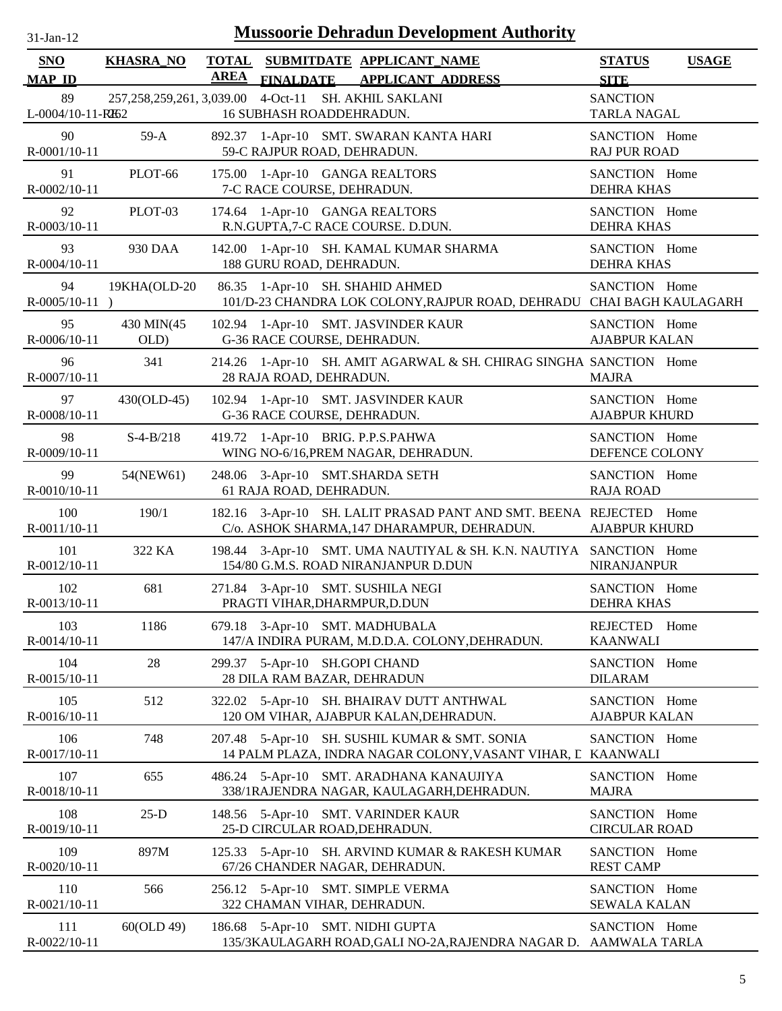| $31$ -Jan-12                |                                        |                             | <b>Mussoorie Dehradun Development Authority</b>                                                                   |                                              |
|-----------------------------|----------------------------------------|-----------------------------|-------------------------------------------------------------------------------------------------------------------|----------------------------------------------|
| <b>SNO</b><br><b>MAP ID</b> | <b>KHASRA_NO</b>                       | <b>TOTAL</b><br><b>AREA</b> | SUBMITDATE APPLICANT_NAME<br>FINALDATE APPLICANT ADDRESS                                                          | <b>STATUS</b><br><b>USAGE</b><br><b>SITE</b> |
| 89<br>L-0004/10-11-RH2      | 257, 258, 259, 261, 3, 039.00 4-Oct-11 |                             | SH. AKHIL SAKLANI<br>16 SUBHASH ROADDEHRADUN.                                                                     | <b>SANCTION</b><br><b>TARLA NAGAL</b>        |
| 90<br>R-0001/10-11          | $59-A$                                 |                             | 892.37 1-Apr-10 SMT. SWARAN KANTA HARI<br>59-C RAJPUR ROAD, DEHRADUN.                                             | SANCTION Home<br><b>RAJ PUR ROAD</b>         |
| 91<br>R-0002/10-11          | PLOT-66                                |                             | 175.00 1-Apr-10 GANGA REALTORS<br>7-C RACE COURSE, DEHRADUN.                                                      | SANCTION Home<br><b>DEHRA KHAS</b>           |
| 92<br>R-0003/10-11          | PLOT-03                                |                             | 174.64 1-Apr-10 GANGA REALTORS<br>R.N.GUPTA, 7-C RACE COURSE. D.DUN.                                              | SANCTION Home<br><b>DEHRA KHAS</b>           |
| 93<br>R-0004/10-11          | 930 DAA                                |                             | 142.00 1-Apr-10 SH. KAMAL KUMAR SHARMA<br>188 GURU ROAD, DEHRADUN.                                                | SANCTION Home<br><b>DEHRA KHAS</b>           |
| 94<br>$R-0005/10-11$ )      | 19KHA(OLD-20                           |                             | 86.35 1-Apr-10 SH. SHAHID AHMED<br>101/D-23 CHANDRA LOK COLONY, RAJPUR ROAD, DEHRADU CHAI BAGH KAULAGARH          | SANCTION Home                                |
| 95<br>R-0006/10-11          | 430 MIN(45<br>OLD)                     |                             | 102.94 1-Apr-10 SMT. JASVINDER KAUR<br>G-36 RACE COURSE, DEHRADUN.                                                | SANCTION Home<br><b>AJABPUR KALAN</b>        |
| 96<br>R-0007/10-11          | 341                                    |                             | 214.26 1-Apr-10 SH. AMIT AGARWAL & SH. CHIRAG SINGHA SANCTION Home<br>28 RAJA ROAD, DEHRADUN.                     | <b>MAJRA</b>                                 |
| 97<br>R-0008/10-11          | 430(OLD-45)                            |                             | 102.94 1-Apr-10 SMT. JASVINDER KAUR<br>G-36 RACE COURSE, DEHRADUN.                                                | SANCTION Home<br><b>AJABPUR KHURD</b>        |
| 98<br>R-0009/10-11          | $S-4-B/218$                            |                             | 419.72 1-Apr-10 BRIG. P.P.S.PAHWA<br>WING NO-6/16, PREM NAGAR, DEHRADUN.                                          | SANCTION Home<br>DEFENCE COLONY              |
| 99<br>$R - 0010/10 - 11$    | 54(NEW61)                              |                             | 248.06 3-Apr-10 SMT.SHARDA SETH<br>61 RAJA ROAD, DEHRADUN.                                                        | SANCTION Home<br><b>RAJA ROAD</b>            |
| 100<br>R-0011/10-11         | 190/1                                  |                             | 182.16 3-Apr-10 SH. LALIT PRASAD PANT AND SMT. BEENA REJECTED Home<br>C/o. ASHOK SHARMA, 147 DHARAMPUR, DEHRADUN. | <b>AJABPUR KHURD</b>                         |
| 101<br>R-0012/10-11         | 322 KA                                 |                             | 198.44 3-Apr-10 SMT. UMA NAUTIYAL & SH. K.N. NAUTIYA SANCTION Home<br>154/80 G.M.S. ROAD NIRANJANPUR D.DUN        | NIRANJANPUR                                  |
| 102<br>R-0013/10-11         | 681                                    |                             | 271.84 3-Apr-10 SMT. SUSHILA NEGI<br>PRAGTI VIHAR, DHARMPUR, D.DUN                                                | SANCTION Home<br><b>DEHRA KHAS</b>           |
| 103<br>R-0014/10-11         | 1186                                   |                             | 679.18 3-Apr-10 SMT. MADHUBALA<br>147/A INDIRA PURAM, M.D.D.A. COLONY, DEHRADUN.                                  | REJECTED Home<br><b>KAANWALI</b>             |
| 104<br>R-0015/10-11         | 28                                     |                             | 299.37 5-Apr-10 SH.GOPI CHAND<br>28 DILA RAM BAZAR, DEHRADUN                                                      | SANCTION Home<br><b>DILARAM</b>              |
| 105<br>R-0016/10-11         | 512                                    |                             | 322.02 5-Apr-10 SH. BHAIRAV DUTT ANTHWAL<br>120 OM VIHAR, AJABPUR KALAN, DEHRADUN.                                | SANCTION Home<br><b>AJABPUR KALAN</b>        |
| 106<br>R-0017/10-11         | 748                                    | 207.48                      | 5-Apr-10 SH. SUSHIL KUMAR & SMT. SONIA<br>14 PALM PLAZA, INDRA NAGAR COLONY, VASANT VIHAR, L KAANWALI             | SANCTION Home                                |
| 107<br>R-0018/10-11         | 655                                    |                             | 486.24 5-Apr-10 SMT. ARADHANA KANAUJIYA<br>338/1RAJENDRA NAGAR, KAULAGARH, DEHRADUN.                              | SANCTION Home<br><b>MAJRA</b>                |
| 108<br>R-0019/10-11         | $25-D$                                 |                             | 148.56 5-Apr-10 SMT. VARINDER KAUR<br>25-D CIRCULAR ROAD, DEHRADUN.                                               | SANCTION Home<br><b>CIRCULAR ROAD</b>        |
| 109<br>$R - 0020/10 - 11$   | 897M                                   | 125.33                      | 5-Apr-10 SH. ARVIND KUMAR & RAKESH KUMAR<br>67/26 CHANDER NAGAR, DEHRADUN.                                        | SANCTION Home<br><b>REST CAMP</b>            |
| 110<br>R-0021/10-11         | 566                                    |                             | 256.12 5-Apr-10 SMT. SIMPLE VERMA<br>322 CHAMAN VIHAR, DEHRADUN.                                                  | SANCTION Home<br><b>SEWALA KALAN</b>         |
| 111<br>R-0022/10-11         | 60(OLD 49)                             |                             | 186.68 5-Apr-10 SMT. NIDHI GUPTA<br>135/3KAULAGARH ROAD, GALI NO-2A, RAJENDRA NAGAR D. AAMWALA TARLA              | SANCTION Home                                |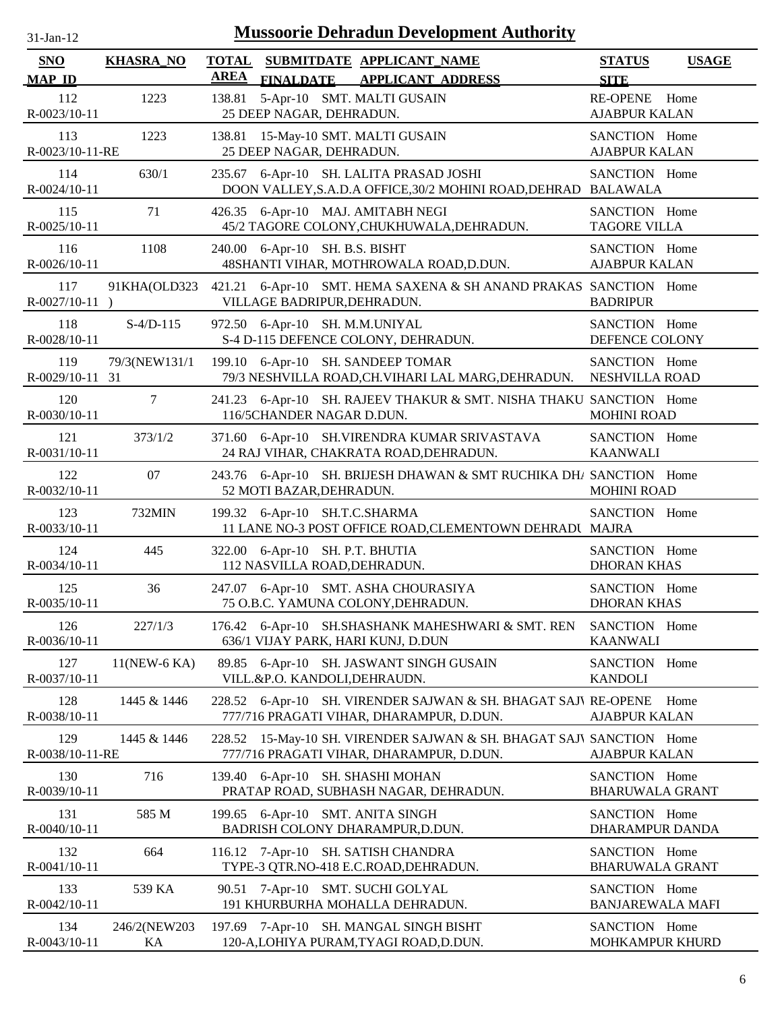| $31$ -Jan-12                         |                    |             | <b>Mussoorie Dehradun Development Authority</b>                                                                  |                                                        |              |
|--------------------------------------|--------------------|-------------|------------------------------------------------------------------------------------------------------------------|--------------------------------------------------------|--------------|
| <b>SNO</b>                           | <b>KHASRA_NO</b>   | <b>AREA</b> | TOTAL SUBMITDATE APPLICANT NAME                                                                                  | <b>STATUS</b>                                          | <b>USAGE</b> |
| <b>MAP ID</b><br>112<br>R-0023/10-11 | 1223               | 138.81      | <b>FINALDATE</b><br><b>APPLICANT ADDRESS</b><br>5-Apr-10 SMT. MALTI GUSAIN<br>25 DEEP NAGAR, DEHRADUN.           | <b>SITE</b><br><b>RE-OPENE</b><br><b>AJABPUR KALAN</b> | Home         |
| 113<br>R-0023/10-11-RE               | 1223               | 138.81      | 15-May-10 SMT. MALTI GUSAIN<br>25 DEEP NAGAR, DEHRADUN.                                                          | SANCTION Home<br><b>AJABPUR KALAN</b>                  |              |
| 114<br>R-0024/10-11                  | 630/1              | 235.67      | 6-Apr-10 SH. LALITA PRASAD JOSHI<br>DOON VALLEY, S.A.D.A OFFICE, 30/2 MOHINI ROAD, DEHRAD BALAWALA               | SANCTION Home                                          |              |
| 115<br>R-0025/10-11                  | 71                 |             | 426.35 6-Apr-10 MAJ. AMITABH NEGI<br>45/2 TAGORE COLONY, CHUKHUWALA, DEHRADUN.                                   | SANCTION Home<br><b>TAGORE VILLA</b>                   |              |
| 116<br>R-0026/10-11                  | 1108               |             | 240.00 6-Apr-10 SH. B.S. BISHT<br>48SHANTI VIHAR, MOTHROWALA ROAD, D.DUN.                                        | SANCTION Home<br><b>AJABPUR KALAN</b>                  |              |
| 117<br>$R-0027/10-11$ )              | 91KHA(OLD323       |             | 421.21 6-Apr-10 SMT. HEMA SAXENA & SH ANAND PRAKAS SANCTION Home<br>VILLAGE BADRIPUR, DEHRADUN.                  | <b>BADRIPUR</b>                                        |              |
| 118<br>R-0028/10-11                  | $S-4/D-115$        |             | 972.50 6-Apr-10 SH. M.M.UNIYAL<br>S-4 D-115 DEFENCE COLONY, DEHRADUN.                                            | SANCTION Home<br>DEFENCE COLONY                        |              |
| 119<br>R-0029/10-11 31               | 79/3(NEW131/1      |             | 199.10 6-Apr-10 SH. SANDEEP TOMAR<br>79/3 NESHVILLA ROAD, CH. VIHARI LAL MARG, DEHRADUN.                         | SANCTION Home<br>NESHVILLA ROAD                        |              |
| 120<br>R-0030/10-11                  | $\tau$             |             | 241.23 6-Apr-10 SH. RAJEEV THAKUR & SMT. NISHA THAKU SANCTION Home<br>116/5CHANDER NAGAR D.DUN.                  | <b>MOHINI ROAD</b>                                     |              |
| 121<br>R-0031/10-11                  | 373/1/2            |             | 371.60 6-Apr-10 SH.VIRENDRA KUMAR SRIVASTAVA<br>24 RAJ VIHAR, CHAKRATA ROAD, DEHRADUN.                           | SANCTION Home<br><b>KAANWALI</b>                       |              |
| 122<br>R-0032/10-11                  | 07                 |             | 243.76 6-Apr-10 SH. BRIJESH DHAWAN & SMT RUCHIKA DH/ SANCTION Home<br>52 MOTI BAZAR, DEHRADUN.                   | <b>MOHINI ROAD</b>                                     |              |
| 123<br>R-0033/10-11                  | 732MIN             |             | 199.32 6-Apr-10 SH.T.C.SHARMA<br>11 LANE NO-3 POST OFFICE ROAD, CLEMENTOWN DEHRADI MAJRA                         | SANCTION Home                                          |              |
| 124<br>R-0034/10-11                  | 445                |             | 322.00 6-Apr-10 SH. P.T. BHUTIA<br>112 NASVILLA ROAD, DEHRADUN.                                                  | SANCTION Home<br><b>DHORAN KHAS</b>                    |              |
| 125<br>R-0035/10-11                  | 36                 |             | 247.07 6-Apr-10 SMT. ASHA CHOURASIYA<br>75 O.B.C. YAMUNA COLONY, DEHRADUN.                                       | SANCTION Home<br><b>DHORAN KHAS</b>                    |              |
| 126<br>R-0036/10-11                  | 227/1/3            | 176.42      | 6-Apr-10 SH.SHASHANK MAHESHWARI & SMT. REN<br>636/1 VIJAY PARK, HARI KUNJ, D.DUN                                 | SANCTION Home<br><b>KAANWALI</b>                       |              |
| 127<br>R-0037/10-11                  | 11(NEW-6 KA)       |             | 89.85 6-Apr-10 SH. JASWANT SINGH GUSAIN<br>VILL.&P.O. KANDOLI, DEHRAUDN.                                         | SANCTION Home<br><b>KANDOLI</b>                        |              |
| 128<br>R-0038/10-11                  | 1445 & 1446        | 228.52      | 6-Apr-10 SH. VIRENDER SAJWAN & SH. BHAGAT SAJV RE-OPENE<br>777/716 PRAGATI VIHAR, DHARAMPUR, D.DUN.              | <b>AJABPUR KALAN</b>                                   | Home         |
| 129<br>R-0038/10-11-RE               | 1445 & 1446        |             | 228.52 15-May-10 SH. VIRENDER SAJWAN & SH. BHAGAT SAJV SANCTION Home<br>777/716 PRAGATI VIHAR, DHARAMPUR, D.DUN. | <b>AJABPUR KALAN</b>                                   |              |
| 130<br>R-0039/10-11                  | 716                | 139.40      | 6-Apr-10 SH. SHASHI MOHAN<br>PRATAP ROAD, SUBHASH NAGAR, DEHRADUN.                                               | SANCTION Home<br><b>BHARUWALA GRANT</b>                |              |
| 131<br>R-0040/10-11                  | 585 M              |             | 199.65 6-Apr-10 SMT. ANITA SINGH<br>BADRISH COLONY DHARAMPUR, D.DUN.                                             | SANCTION Home<br>DHARAMPUR DANDA                       |              |
| 132<br>R-0041/10-11                  | 664                |             | 116.12 7-Apr-10 SH. SATISH CHANDRA<br>TYPE-3 QTR.NO-418 E.C.ROAD, DEHRADUN.                                      | SANCTION Home<br><b>BHARUWALA GRANT</b>                |              |
| 133<br>R-0042/10-11                  | 539 KA             |             | 90.51 7-Apr-10 SMT. SUCHI GOLYAL<br>191 KHURBURHA MOHALLA DEHRADUN.                                              | SANCTION Home<br><b>BANJAREWALA MAFI</b>               |              |
| 134<br>R-0043/10-11                  | 246/2(NEW203<br>KA |             | 197.69 7-Apr-10 SH. MANGAL SINGH BISHT<br>120-A, LOHIYA PURAM, TYAGI ROAD, D.DUN.                                | SANCTION Home<br>MOHKAMPUR KHURD                       |              |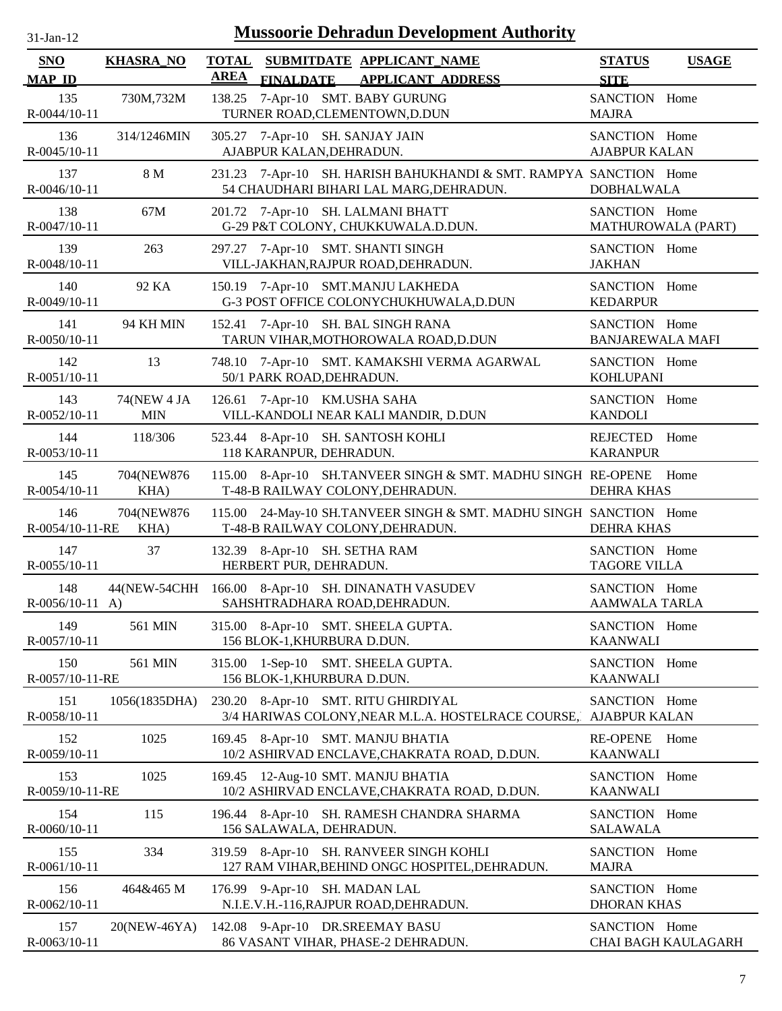| 31-Jan-12 |  |
|-----------|--|
|           |  |

| SNO                                  | <b>KHASRA_NO</b>          | <b>TOTAL</b><br><b>AREA</b> | SUBMITDATE APPLICANT NAME                                                                                          | <b>STATUS</b>                                | <b>USAGE</b>        |
|--------------------------------------|---------------------------|-----------------------------|--------------------------------------------------------------------------------------------------------------------|----------------------------------------------|---------------------|
| <b>MAP ID</b><br>135<br>R-0044/10-11 | 730M,732M                 |                             | <b>FINALDATE</b><br><b>APPLICANT ADDRESS</b><br>138.25 7-Apr-10 SMT. BABY GURUNG<br>TURNER ROAD, CLEMENTOWN, D.DUN | <b>SITE</b><br>SANCTION Home<br><b>MAJRA</b> |                     |
| 136<br>R-0045/10-11                  | 314/1246MIN               |                             | 305.27 7-Apr-10 SH. SANJAY JAIN<br>AJABPUR KALAN, DEHRADUN.                                                        | SANCTION Home<br><b>AJABPUR KALAN</b>        |                     |
| 137<br>R-0046/10-11                  | 8 M                       |                             | 231.23 7-Apr-10 SH. HARISH BAHUKHANDI & SMT. RAMPYA SANCTION Home<br>54 CHAUDHARI BIHARI LAL MARG, DEHRADUN.       | <b>DOBHALWALA</b>                            |                     |
| 138<br>R-0047/10-11                  | 67M                       |                             | 201.72 7-Apr-10 SH. LALMANI BHATT<br>G-29 P&T COLONY, CHUKKUWALA.D.DUN.                                            | SANCTION Home<br>MATHUROWALA (PART)          |                     |
| 139<br>R-0048/10-11                  | 263                       | 297.27                      | 7-Apr-10 SMT. SHANTI SINGH<br>VILL-JAKHAN, RAJPUR ROAD, DEHRADUN.                                                  | SANCTION Home<br><b>JAKHAN</b>               |                     |
| 140<br>R-0049/10-11                  | 92 KA                     |                             | 150.19 7-Apr-10 SMT.MANJU LAKHEDA<br>G-3 POST OFFICE COLONYCHUKHUWALA, D.DUN                                       | SANCTION Home<br><b>KEDARPUR</b>             |                     |
| 141<br>R-0050/10-11                  | 94 KH MIN                 |                             | 152.41 7-Apr-10 SH. BAL SINGH RANA<br>TARUN VIHAR, MOTHOROWALA ROAD, D.DUN                                         | SANCTION Home<br><b>BANJAREWALA MAFI</b>     |                     |
| 142<br>$R - 0051/10 - 11$            | 13                        |                             | 748.10 7-Apr-10 SMT. KAMAKSHI VERMA AGARWAL<br>50/1 PARK ROAD, DEHRADUN.                                           | SANCTION Home<br><b>KOHLUPANI</b>            |                     |
| 143<br>R-0052/10-11                  | 74(NEW 4 JA<br><b>MIN</b> |                             | 126.61 7-Apr-10 KM.USHA SAHA<br>VILL-KANDOLI NEAR KALI MANDIR, D.DUN                                               | SANCTION Home<br><b>KANDOLI</b>              |                     |
| 144<br>R-0053/10-11                  | 118/306                   |                             | 523.44 8-Apr-10 SH. SANTOSH KOHLI<br>118 KARANPUR, DEHRADUN.                                                       | REJECTED Home<br><b>KARANPUR</b>             |                     |
| 145<br>R-0054/10-11                  | 704(NEW876<br>KHA)        |                             | 115.00 8-Apr-10 SH.TANVEER SINGH & SMT. MADHU SINGH RE-OPENE Home<br>T-48-B RAILWAY COLONY, DEHRADUN.              | <b>DEHRA KHAS</b>                            |                     |
| 146<br>R-0054/10-11-RE               | 704(NEW876<br>KHA)        |                             | 115.00 24-May-10 SH.TANVEER SINGH & SMT. MADHU SINGH SANCTION Home<br>T-48-B RAILWAY COLONY, DEHRADUN.             | <b>DEHRA KHAS</b>                            |                     |
| 147<br>R-0055/10-11                  | 37                        |                             | 132.39 8-Apr-10 SH. SETHA RAM<br>HERBERT PUR, DEHRADUN.                                                            | SANCTION Home<br><b>TAGORE VILLA</b>         |                     |
| 148<br>$R-0056/10-11$ A)             | 44(NEW-54CHH              |                             | 166.00 8-Apr-10 SH. DINANATH VASUDEV<br>SAHSHTRADHARA ROAD, DEHRADUN.                                              | SANCTION Home<br><b>AAMWALA TARLA</b>        |                     |
| 149<br>R-0057/10-11                  | 561 MIN                   |                             | 315.00 8-Apr-10 SMT. SHEELA GUPTA.<br>156 BLOK-1, KHURBURA D.DUN.                                                  | SANCTION Home<br><b>KAANWALI</b>             |                     |
| 150<br>R-0057/10-11-RE               | 561 MIN                   | 315.00                      | 1-Sep-10 SMT. SHEELA GUPTA.<br>156 BLOK-1, KHURBURA D.DUN.                                                         | SANCTION Home<br><b>KAANWALI</b>             |                     |
| 151<br>R-0058/10-11                  | 1056(1835DHA)             |                             | 230.20 8-Apr-10 SMT. RITU GHIRDIYAL<br>3/4 HARIWAS COLONY, NEAR M.L.A. HOSTELRACE COURSE,                          | SANCTION Home<br><b>AJABPUR KALAN</b>        |                     |
| 152<br>R-0059/10-11                  | 1025                      |                             | 169.45 8-Apr-10 SMT. MANJU BHATIA<br>10/2 ASHIRVAD ENCLAVE, CHAKRATA ROAD, D.DUN.                                  | <b>RE-OPENE</b><br><b>KAANWALI</b>           | Home                |
| 153<br>R-0059/10-11-RE               | 1025                      |                             | 169.45 12-Aug-10 SMT. MANJU BHATIA<br>10/2 ASHIRVAD ENCLAVE, CHAKRATA ROAD, D.DUN.                                 | SANCTION Home<br><b>KAANWALI</b>             |                     |
| 154<br>R-0060/10-11                  | 115                       |                             | 196.44 8-Apr-10 SH. RAMESH CHANDRA SHARMA<br>156 SALAWALA, DEHRADUN.                                               | SANCTION Home<br><b>SALAWALA</b>             |                     |
| 155<br>R-0061/10-11                  | 334                       |                             | 319.59 8-Apr-10 SH. RANVEER SINGH KOHLI<br>127 RAM VIHAR, BEHIND ONGC HOSPITEL, DEHRADUN.                          | SANCTION Home<br><b>MAJRA</b>                |                     |
| 156<br>R-0062/10-11                  | 464&465 M                 |                             | 176.99 9-Apr-10 SH. MADAN LAL<br>N.I.E.V.H.-116, RAJPUR ROAD, DEHRADUN.                                            | SANCTION Home<br><b>DHORAN KHAS</b>          |                     |
| 157<br>R-0063/10-11                  | 20(NEW-46YA)              |                             | 142.08 9-Apr-10 DR.SREEMAY BASU<br>86 VASANT VIHAR, PHASE-2 DEHRADUN.                                              | SANCTION Home                                | CHAI BAGH KAULAGARH |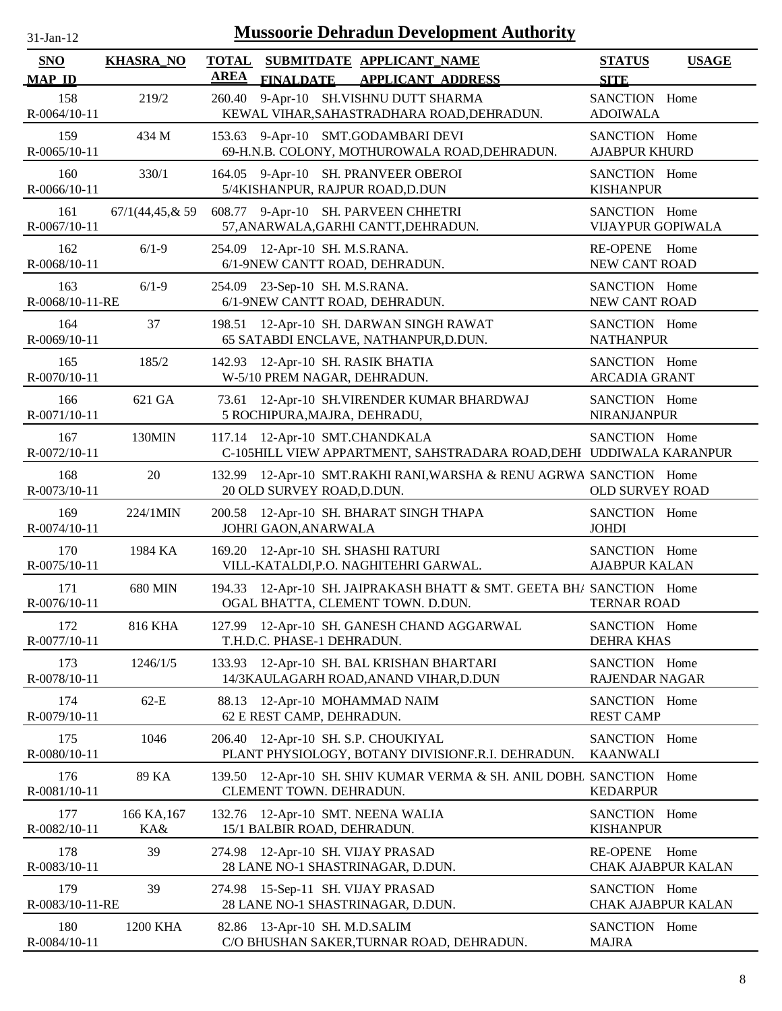| 31-Jan-12 |  |
|-----------|--|
|           |  |

| <b>SNO</b>             | <b>KHASRA_NO</b>   | <b>TOTAL</b> |                               | SUBMITDATE APPLICANT_NAME                                                                             | <b>STATUS</b>                         | <b>USAGE</b>               |
|------------------------|--------------------|--------------|-------------------------------|-------------------------------------------------------------------------------------------------------|---------------------------------------|----------------------------|
| <b>MAP ID</b>          |                    | <b>AREA</b>  | <b>FINALDATE</b>              | <b>APPLICANT ADDRESS</b>                                                                              | <b>SITE</b>                           |                            |
| 158<br>R-0064/10-11    | 219/2              | 260.40       |                               | 9-Apr-10 SH.VISHNU DUTT SHARMA<br>KEWAL VIHAR, SAHASTRADHARA ROAD, DEHRADUN.                          | SANCTION Home<br><b>ADOIWALA</b>      |                            |
| 159<br>$R-0065/10-11$  | 434 M              |              |                               | 153.63 9-Apr-10 SMT.GODAMBARI DEVI<br>69-H.N.B. COLONY, MOTHUROWALA ROAD, DEHRADUN.                   | SANCTION Home<br><b>AJABPUR KHURD</b> |                            |
| 160<br>R-0066/10-11    | 330/1              |              |                               | 164.05 9-Apr-10 SH. PRANVEER OBEROI<br>5/4KISHANPUR, RAJPUR ROAD, D.DUN                               | SANCTION Home<br><b>KISHANPUR</b>     |                            |
| 161<br>R-0067/10-11    | 67/1(44, 45, & 59) |              |                               | 608.77 9-Apr-10 SH. PARVEEN CHHETRI<br>57, ANARWALA, GARHI CANTT, DEHRADUN.                           | SANCTION Home<br>VIJAYPUR GOPIWALA    |                            |
| 162<br>R-0068/10-11    | $6/1-9$            | 254.09       | 12-Apr-10 SH. M.S.RANA.       | 6/1-9NEW CANTT ROAD, DEHRADUN.                                                                        | <b>RE-OPENE</b><br>NEW CANT ROAD      | Home                       |
| 163<br>R-0068/10-11-RE | $6/1-9$            | 254.09       | 23-Sep-10 SH. M.S.RANA.       | 6/1-9NEW CANTT ROAD, DEHRADUN.                                                                        | SANCTION Home<br>NEW CANT ROAD        |                            |
| 164<br>R-0069/10-11    | 37                 |              |                               | 198.51 12-Apr-10 SH. DARWAN SINGH RAWAT<br>65 SATABDI ENCLAVE, NATHANPUR, D.DUN.                      | SANCTION Home<br><b>NATHANPUR</b>     |                            |
| 165<br>R-0070/10-11    | 185/2              | 142.93       |                               | 12-Apr-10 SH. RASIK BHATIA<br>W-5/10 PREM NAGAR, DEHRADUN.                                            | SANCTION Home<br><b>ARCADIA GRANT</b> |                            |
| 166<br>R-0071/10-11    | 621 GA             | 73.61        | 5 ROCHIPURA, MAJRA, DEHRADU,  | 12-Apr-10 SH.VIRENDER KUMAR BHARDWAJ                                                                  | SANCTION Home<br><b>NIRANJANPUR</b>   |                            |
| 167<br>R-0072/10-11    | 130MIN             |              |                               | 117.14 12-Apr-10 SMT.CHANDKALA<br>C-105HILL VIEW APPARTMENT, SAHSTRADARA ROAD, DEHI UDDIWALA KARANPUR | SANCTION Home                         |                            |
| 168<br>R-0073/10-11    | 20                 | 132.99       | 20 OLD SURVEY ROAD, D.DUN.    | 12-Apr-10 SMT.RAKHI RANI, WARSHA & RENU AGRWA SANCTION Home                                           | <b>OLD SURVEY ROAD</b>                |                            |
| 169<br>R-0074/10-11    | 224/1MIN           |              | JOHRI GAON, ANARWALA          | 200.58 12-Apr-10 SH. BHARAT SINGH THAPA                                                               | SANCTION Home<br><b>JOHDI</b>         |                            |
| 170<br>R-0075/10-11    | 1984 KA            |              |                               | 169.20 12-Apr-10 SH. SHASHI RATURI<br>VILL-KATALDI, P.O. NAGHITEHRI GARWAL.                           | SANCTION Home<br><b>AJABPUR KALAN</b> |                            |
| 171<br>R-0076/10-11    | 680 MIN            | 194.33       |                               | 12-Apr-10 SH. JAIPRAKASH BHATT & SMT. GEETA BH/ SANCTION Home<br>OGAL BHATTA, CLEMENT TOWN. D.DUN.    | <b>TERNAR ROAD</b>                    |                            |
| 172<br>R-0077/10-11    | <b>816 KHA</b>     |              | T.H.D.C. PHASE-1 DEHRADUN.    | 127.99 12-Apr-10 SH. GANESH CHAND AGGARWAL                                                            | SANCTION Home<br><b>DEHRA KHAS</b>    |                            |
| 173<br>R-0078/10-11    | 1246/1/5           | 133.93       |                               | 12-Apr-10 SH. BAL KRISHAN BHARTARI<br>14/3KAULAGARH ROAD, ANAND VIHAR, D.DUN                          | SANCTION Home<br>RAJENDAR NAGAR       |                            |
| 174<br>R-0079/10-11    | $62-E$             | 88.13        | 62 E REST CAMP, DEHRADUN.     | 12-Apr-10 MOHAMMAD NAIM                                                                               | SANCTION Home<br><b>REST CAMP</b>     |                            |
| 175<br>R-0080/10-11    | 1046               | 206.40       |                               | 12-Apr-10 SH. S.P. CHOUKIYAL<br>PLANT PHYSIOLOGY, BOTANY DIVISIONF.R.I. DEHRADUN.                     | SANCTION Home<br><b>KAANWALI</b>      |                            |
| 176<br>R-0081/10-11    | 89 KA              | 139.50       | CLEMENT TOWN. DEHRADUN.       | 12-Apr-10 SH. SHIV KUMAR VERMA & SH. ANIL DOBH. SANCTION Home                                         | <b>KEDARPUR</b>                       |                            |
| 177<br>R-0082/10-11    | 166 KA, 167<br>KA& |              | 15/1 BALBIR ROAD, DEHRADUN.   | 132.76 12-Apr-10 SMT. NEENA WALIA                                                                     | SANCTION Home<br><b>KISHANPUR</b>     |                            |
| 178<br>R-0083/10-11    | 39                 |              |                               | 274.98 12-Apr-10 SH. VIJAY PRASAD<br>28 LANE NO-1 SHASTRINAGAR, D.DUN.                                | <b>RE-OPENE</b>                       | Home<br>CHAK AJABPUR KALAN |
| 179<br>R-0083/10-11-RE | 39                 | 274.98       |                               | 15-Sep-11 SH. VIJAY PRASAD<br>28 LANE NO-1 SHASTRINAGAR, D.DUN.                                       | SANCTION Home                         | CHAK AJABPUR KALAN         |
| 180<br>R-0084/10-11    | 1200 KHA           |              | 82.86 13-Apr-10 SH. M.D.SALIM | C/O BHUSHAN SAKER, TURNAR ROAD, DEHRADUN.                                                             | SANCTION Home<br><b>MAJRA</b>         |                            |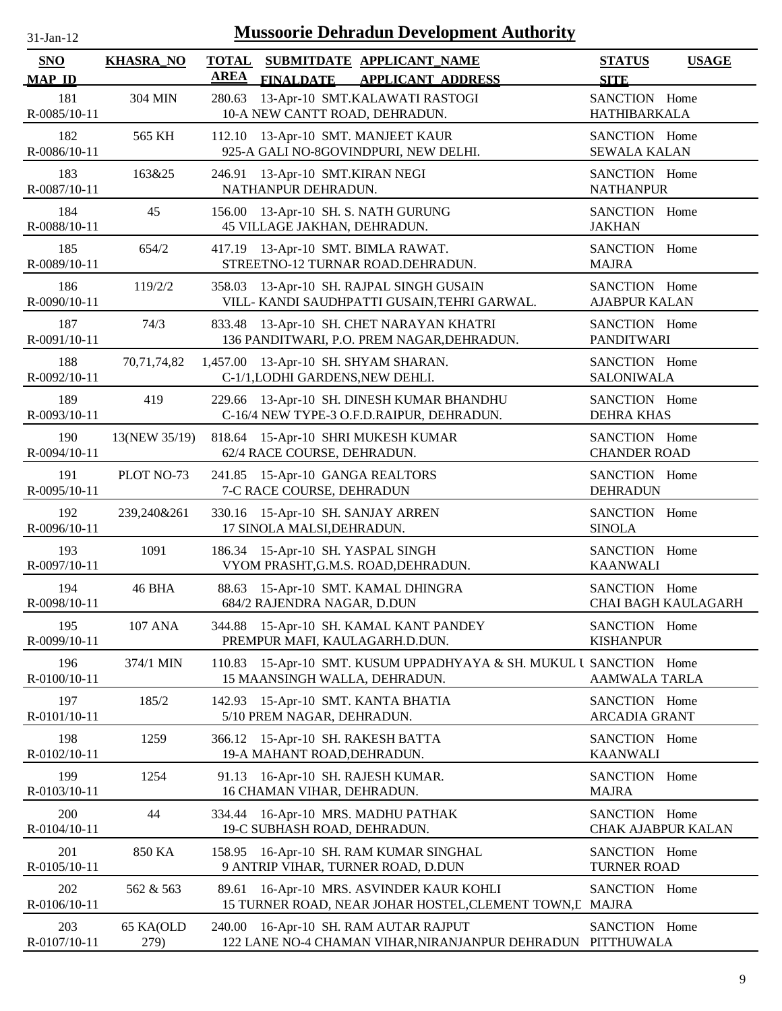| 31-Jan-12 |  |
|-----------|--|
|           |  |

| <b>SNO</b><br><b>MAP ID</b> | <b>KHASRA_NO</b>  | <b>TOTAL</b><br><b>AREA</b> | <b>FINALDATE</b>                                                         | SUBMITDATE APPLICANT NAME<br><b>APPLICANT ADDRESS</b>                                                | <b>STATUS</b><br><b>SITE</b>          | <b>USAGE</b>               |
|-----------------------------|-------------------|-----------------------------|--------------------------------------------------------------------------|------------------------------------------------------------------------------------------------------|---------------------------------------|----------------------------|
| 181<br>R-0085/10-11         | 304 MIN           | 280.63                      | 10-A NEW CANTT ROAD, DEHRADUN.                                           | 13-Apr-10 SMT.KALAWATI RASTOGI                                                                       | SANCTION Home<br><b>HATHIBARKALA</b>  |                            |
| 182<br>R-0086/10-11         | 565 KH            | 112.10                      | 13-Apr-10 SMT. MANJEET KAUR                                              | 925-A GALI NO-8GOVINDPURI, NEW DELHI.                                                                | SANCTION Home<br><b>SEWALA KALAN</b>  |                            |
| 183<br>R-0087/10-11         | 163&25            | 246.91                      | 13-Apr-10 SMT.KIRAN NEGI<br>NATHANPUR DEHRADUN.                          |                                                                                                      | SANCTION Home<br><b>NATHANPUR</b>     |                            |
| 184<br>R-0088/10-11         | 45                | 156.00                      | 13-Apr-10 SH. S. NATH GURUNG<br>45 VILLAGE JAKHAN, DEHRADUN.             |                                                                                                      | SANCTION Home<br><b>JAKHAN</b>        |                            |
| 185<br>R-0089/10-11         | 654/2             |                             | 417.19 13-Apr-10 SMT. BIMLA RAWAT.                                       | STREETNO-12 TURNAR ROAD.DEHRADUN.                                                                    | SANCTION Home<br><b>MAJRA</b>         |                            |
| 186<br>R-0090/10-11         | 119/2/2           | 358.03                      |                                                                          | 13-Apr-10 SH. RAJPAL SINGH GUSAIN<br>VILL- KANDI SAUDHPATTI GUSAIN, TEHRI GARWAL.                    | SANCTION Home<br><b>AJABPUR KALAN</b> |                            |
| 187<br>R-0091/10-11         | 74/3              |                             |                                                                          | 833.48 13-Apr-10 SH. CHET NARAYAN KHATRI<br>136 PANDITWARI, P.O. PREM NAGAR, DEHRADUN.               | SANCTION Home<br><b>PANDITWARI</b>    |                            |
| 188<br>R-0092/10-11         | 70,71,74,82       |                             | 1,457.00 13-Apr-10 SH. SHYAM SHARAN.<br>C-1/1, LODHI GARDENS, NEW DEHLI. |                                                                                                      | SANCTION Home<br><b>SALONIWALA</b>    |                            |
| 189<br>R-0093/10-11         | 419               |                             |                                                                          | 229.66 13-Apr-10 SH. DINESH KUMAR BHANDHU<br>C-16/4 NEW TYPE-3 O.F.D.RAIPUR, DEHRADUN.               | SANCTION Home<br><b>DEHRA KHAS</b>    |                            |
| 190<br>R-0094/10-11         | 13(NEW 35/19)     |                             | 62/4 RACE COURSE, DEHRADUN.                                              | 818.64 15-Apr-10 SHRI MUKESH KUMAR                                                                   | SANCTION Home<br><b>CHANDER ROAD</b>  |                            |
| 191<br>R-0095/10-11         | PLOT NO-73        |                             | 241.85 15-Apr-10 GANGA REALTORS<br>7-C RACE COURSE, DEHRADUN             |                                                                                                      | SANCTION Home<br><b>DEHRADUN</b>      |                            |
| 192<br>R-0096/10-11         | 239,240&261       |                             | 330.16 15-Apr-10 SH. SANJAY ARREN<br>17 SINOLA MALSI, DEHRADUN.          |                                                                                                      | SANCTION Home<br><b>SINOLA</b>        |                            |
| 193<br>R-0097/10-11         | 1091              |                             | 186.34 15-Apr-10 SH. YASPAL SINGH                                        | VYOM PRASHT, G.M.S. ROAD, DEHRADUN.                                                                  | SANCTION Home<br><b>KAANWALI</b>      |                            |
| 194<br>R-0098/10-11         | 46 BHA            | 88.63                       | 684/2 RAJENDRA NAGAR, D.DUN                                              | 15-Apr-10 SMT. KAMAL DHINGRA                                                                         | SANCTION Home                         | <b>CHAI BAGH KAULAGARH</b> |
| 195<br>R-0099/10-11         | <b>107 ANA</b>    |                             | PREMPUR MAFI, KAULAGARH.D.DUN.                                           | 344.88 15-Apr-10 SH. KAMAL KANT PANDEY                                                               | SANCTION Home<br><b>KISHANPUR</b>     |                            |
| 196<br>R-0100/10-11         | 374/1 MIN         | 110.83                      | 15 MAANSINGH WALLA, DEHRADUN.                                            | 15-Apr-10 SMT. KUSUM UPPADHYAYA & SH. MUKUL U SANCTION Home                                          | <b>AAMWALA TARLA</b>                  |                            |
| 197<br>R-0101/10-11         | 185/2             | 142.93                      | 15-Apr-10 SMT. KANTA BHATIA<br>5/10 PREM NAGAR, DEHRADUN.                |                                                                                                      | SANCTION Home<br><b>ARCADIA GRANT</b> |                            |
| 198<br>R-0102/10-11         | 1259              | 366.12                      | 15-Apr-10 SH. RAKESH BATTA<br>19-A MAHANT ROAD, DEHRADUN.                |                                                                                                      | SANCTION Home<br><b>KAANWALI</b>      |                            |
| 199<br>R-0103/10-11         | 1254              |                             | 91.13 16-Apr-10 SH. RAJESH KUMAR.<br>16 CHAMAN VIHAR, DEHRADUN.          |                                                                                                      | SANCTION Home<br><b>MAJRA</b>         |                            |
| 200<br>R-0104/10-11         | 44                | 334.44                      | 19-C SUBHASH ROAD, DEHRADUN.                                             | 16-Apr-10 MRS. MADHU PATHAK                                                                          | SANCTION Home<br>CHAK AJABPUR KALAN   |                            |
| 201<br>R-0105/10-11         | 850 KA            |                             |                                                                          | 158.95 16-Apr-10 SH. RAM KUMAR SINGHAL<br>9 ANTRIP VIHAR, TURNER ROAD, D.DUN                         | SANCTION Home<br><b>TURNER ROAD</b>   |                            |
| 202<br>R-0106/10-11         | 562 & 563         | 89.61                       |                                                                          | 16-Apr-10 MRS. ASVINDER KAUR KOHLI<br>15 TURNER ROAD, NEAR JOHAR HOSTEL, CLEMENT TOWN, L MAJRA       | SANCTION Home                         |                            |
| 203<br>R-0107/10-11         | 65 KA(OLD<br>279) |                             |                                                                          | 240.00 16-Apr-10 SH. RAM AUTAR RAJPUT<br>122 LANE NO-4 CHAMAN VIHAR, NIRANJANPUR DEHRADUN PITTHUWALA | SANCTION Home                         |                            |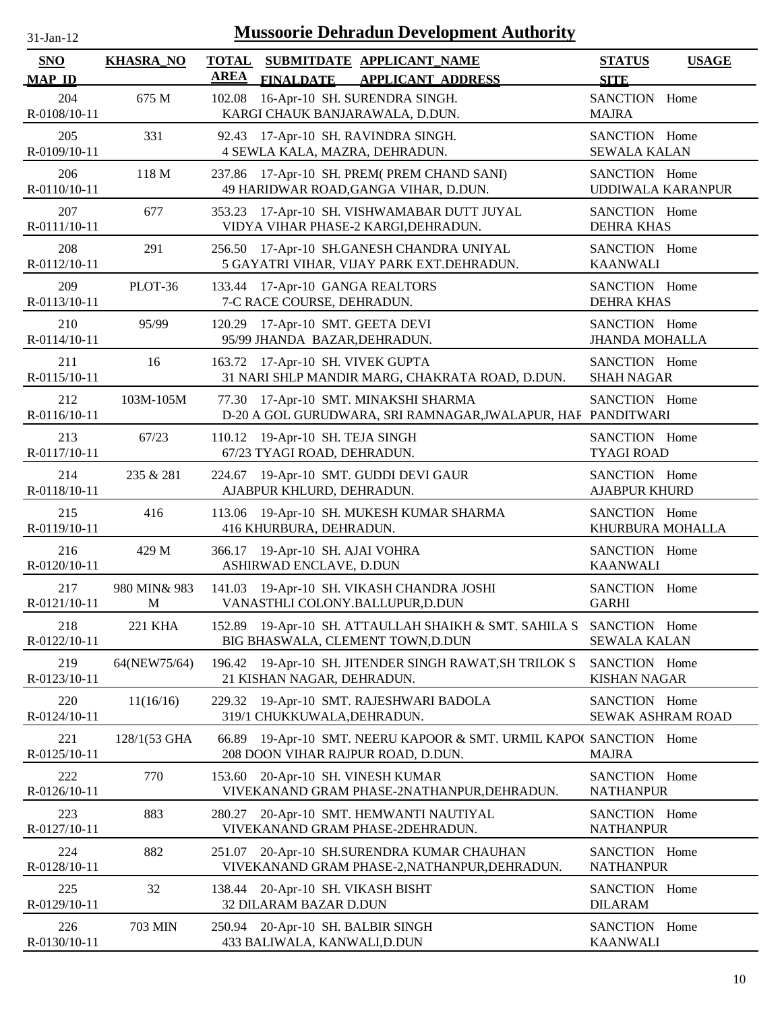| -jan- |  |
|-------|--|

| SNO                                  | <b>KHASRA_NO</b>  | <b>TOTAL</b><br><b>AREA</b> |                                                                   | SUBMITDATE APPLICANT NAME                                                                                | <b>STATUS</b>                                | <b>USAGE</b> |
|--------------------------------------|-------------------|-----------------------------|-------------------------------------------------------------------|----------------------------------------------------------------------------------------------------------|----------------------------------------------|--------------|
| <b>MAP ID</b><br>204<br>R-0108/10-11 | 675 M             | 102.08                      | <b>FINALDATE</b>                                                  | <b>APPLICANT ADDRESS</b><br>16-Apr-10 SH. SURENDRA SINGH.<br>KARGI CHAUK BANJARAWALA, D.DUN.             | <b>SITE</b><br>SANCTION Home<br><b>MAJRA</b> |              |
| 205<br>R-0109/10-11                  | 331               |                             |                                                                   | 92.43 17-Apr-10 SH. RAVINDRA SINGH.<br>4 SEWLA KALA, MAZRA, DEHRADUN.                                    | SANCTION Home<br><b>SEWALA KALAN</b>         |              |
| 206<br>R-0110/10-11                  | 118 M             |                             |                                                                   | 237.86 17-Apr-10 SH. PREM(PREM CHAND SANI)<br>49 HARIDWAR ROAD, GANGA VIHAR, D.DUN.                      | SANCTION Home<br>UDDIWALA KARANPUR           |              |
| 207<br>R-0111/10-11                  | 677               |                             |                                                                   | 353.23 17-Apr-10 SH. VISHWAMABAR DUTT JUYAL<br>VIDYA VIHAR PHASE-2 KARGI, DEHRADUN.                      | SANCTION Home<br><b>DEHRA KHAS</b>           |              |
| 208<br>R-0112/10-11                  | 291               | 256.50                      |                                                                   | 17-Apr-10 SH.GANESH CHANDRA UNIYAL<br>5 GAYATRI VIHAR, VIJAY PARK EXT.DEHRADUN.                          | SANCTION Home<br><b>KAANWALI</b>             |              |
| 209<br>R-0113/10-11                  | PLOT-36           |                             | 133.44 17-Apr-10 GANGA REALTORS<br>7-C RACE COURSE, DEHRADUN.     |                                                                                                          | SANCTION Home<br><b>DEHRA KHAS</b>           |              |
| 210<br>R-0114/10-11                  | 95/99             | 120.29                      | 17-Apr-10 SMT. GEETA DEVI<br>95/99 JHANDA BAZAR, DEHRADUN.        |                                                                                                          | SANCTION Home<br><b>JHANDA MOHALLA</b>       |              |
| 211<br>R-0115/10-11                  | 16                |                             | 163.72 17-Apr-10 SH. VIVEK GUPTA                                  | 31 NARI SHLP MANDIR MARG, CHAKRATA ROAD, D.DUN.                                                          | SANCTION Home<br><b>SHAH NAGAR</b>           |              |
| 212<br>R-0116/10-11                  | 103M-105M         |                             |                                                                   | 77.30 17-Apr-10 SMT. MINAKSHI SHARMA<br>D-20 A GOL GURUDWARA, SRI RAMNAGAR, JWALAPUR, HAF PANDITWARI     | SANCTION Home                                |              |
| 213<br>R-0117/10-11                  | 67/23             | 110.12                      | 19-Apr-10 SH. TEJA SINGH<br>67/23 TYAGI ROAD, DEHRADUN.           |                                                                                                          | SANCTION Home<br><b>TYAGI ROAD</b>           |              |
| 214<br>R-0118/10-11                  | 235 & 281         |                             | AJABPUR KHLURD, DEHRADUN.                                         | 224.67 19-Apr-10 SMT. GUDDI DEVI GAUR                                                                    | SANCTION Home<br><b>AJABPUR KHURD</b>        |              |
| 215<br>R-0119/10-11                  | 416               | 113.06                      | 416 KHURBURA, DEHRADUN.                                           | 19-Apr-10 SH. MUKESH KUMAR SHARMA                                                                        | SANCTION Home<br>KHURBURA MOHALLA            |              |
| 216<br>R-0120/10-11                  | 429 M             |                             | 366.17 19-Apr-10 SH. AJAI VOHRA<br>ASHIRWAD ENCLAVE, D.DUN        |                                                                                                          | SANCTION Home<br><b>KAANWALI</b>             |              |
| 217<br>R-0121/10-11                  | 980 MIN& 983<br>M | 141.03                      |                                                                   | 19-Apr-10 SH. VIKASH CHANDRA JOSHI<br>VANASTHLI COLONY.BALLUPUR,D.DUN                                    | SANCTION Home<br><b>GARHI</b>                |              |
| 218<br>R-0122/10-11                  | 221 KHA           |                             |                                                                   | 152.89 19-Apr-10 SH. ATTAULLAH SHAIKH & SMT. SAHILA S SANCTION Home<br>BIG BHASWALA, CLEMENT TOWN, D.DUN | <b>SEWALA KALAN</b>                          |              |
| 219<br>R-0123/10-11                  | 64(NEW75/64)      |                             | 21 KISHAN NAGAR, DEHRADUN.                                        | 196.42 19-Apr-10 SH. JITENDER SINGH RAWAT, SH TRILOK S                                                   | SANCTION Home<br><b>KISHAN NAGAR</b>         |              |
| 220<br>R-0124/10-11                  | 11(16/16)         | 229.32                      | 319/1 CHUKKUWALA, DEHRADUN.                                       | 19-Apr-10 SMT. RAJESHWARI BADOLA                                                                         | SANCTION Home<br>SEWAK ASHRAM ROAD           |              |
| 221<br>R-0125/10-11                  | 128/1(53 GHA      | 66.89                       |                                                                   | 19-Apr-10 SMT. NEERU KAPOOR & SMT. URMIL KAPO(SANCTION Home<br>208 DOON VIHAR RAJPUR ROAD, D.DUN.        | <b>MAJRA</b>                                 |              |
| 222<br>R-0126/10-11                  | 770               | 153.60                      |                                                                   | 20-Apr-10 SH. VINESH KUMAR<br>VIVEKANAND GRAM PHASE-2NATHANPUR, DEHRADUN.                                | SANCTION Home<br><b>NATHANPUR</b>            |              |
| 223<br>R-0127/10-11                  | 883               | 280.27                      |                                                                   | 20-Apr-10 SMT. HEMWANTI NAUTIYAL<br>VIVEKANAND GRAM PHASE-2DEHRADUN.                                     | SANCTION Home<br><b>NATHANPUR</b>            |              |
| 224<br>R-0128/10-11                  | 882               |                             |                                                                   | 251.07 20-Apr-10 SH.SURENDRA KUMAR CHAUHAN<br>VIVEKANAND GRAM PHASE-2, NATHANPUR, DEHRADUN.              | SANCTION Home<br><b>NATHANPUR</b>            |              |
| 225<br>R-0129/10-11                  | 32                |                             | 138.44 20-Apr-10 SH. VIKASH BISHT<br>32 DILARAM BAZAR D.DUN       |                                                                                                          | SANCTION Home<br><b>DILARAM</b>              |              |
| 226<br>R-0130/10-11                  | 703 MIN           |                             | 250.94 20-Apr-10 SH. BALBIR SINGH<br>433 BALIWALA, KANWALI, D.DUN |                                                                                                          | SANCTION Home<br><b>KAANWALI</b>             |              |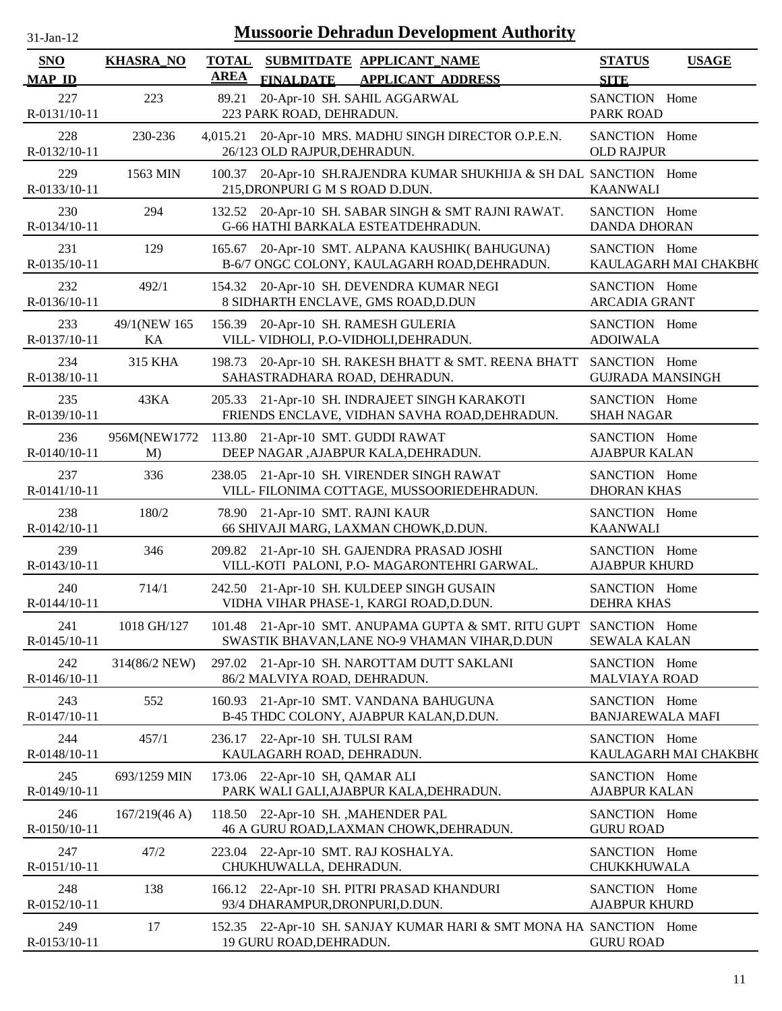| $31$ -Jan- $12$             |                    |             | <b>Mussoorie Dehradun Development Authority</b>                                                       |                                          |                       |
|-----------------------------|--------------------|-------------|-------------------------------------------------------------------------------------------------------|------------------------------------------|-----------------------|
| <b>SNO</b><br><b>MAP ID</b> | <b>KHASRA_NO</b>   | <b>AREA</b> | TOTAL SUBMITDATE APPLICANT_NAME<br><b>FINALDATE</b><br><b>APPLICANT ADDRESS</b>                       | <b>STATUS</b><br><b>SITE</b>             | <b>USAGE</b>          |
| 227<br>R-0131/10-11         | 223                | 89.21       | 20-Apr-10 SH. SAHIL AGGARWAL<br>223 PARK ROAD, DEHRADUN.                                              | SANCTION Home<br><b>PARK ROAD</b>        |                       |
| 228<br>R-0132/10-11         | 230-236            |             | 4,015.21 20-Apr-10 MRS. MADHU SINGH DIRECTOR O.P.E.N.<br>26/123 OLD RAJPUR, DEHRADUN.                 | SANCTION Home<br><b>OLD RAJPUR</b>       |                       |
| 229<br>R-0133/10-11         | 1563 MIN           |             | 100.37 20-Apr-10 SH.RAJENDRA KUMAR SHUKHIJA & SH DAL SANCTION Home<br>215, DRONPURI G M S ROAD D.DUN. | <b>KAANWALI</b>                          |                       |
| 230<br>R-0134/10-11         | 294                |             | 132.52 20-Apr-10 SH. SABAR SINGH & SMT RAJNI RAWAT.<br>G-66 HATHI BARKALA ESTEATDEHRADUN.             | SANCTION Home<br><b>DANDA DHORAN</b>     |                       |
| 231<br>R-0135/10-11         | 129                | 165.67      | 20-Apr-10 SMT. ALPANA KAUSHIK(BAHUGUNA)<br>B-6/7 ONGC COLONY, KAULAGARH ROAD, DEHRADUN.               | SANCTION Home                            | KAULAGARH MAI CHAKBH( |
| 232<br>R-0136/10-11         | 492/1              | 154.32      | 20-Apr-10 SH. DEVENDRA KUMAR NEGI<br>8 SIDHARTH ENCLAVE, GMS ROAD, D.DUN                              | SANCTION Home<br><b>ARCADIA GRANT</b>    |                       |
| 233<br>R-0137/10-11         | 49/1(NEW 165<br>KA |             | 156.39 20-Apr-10 SH. RAMESH GULERIA<br>VILL- VIDHOLI, P.O-VIDHOLI, DEHRADUN.                          | SANCTION Home<br><b>ADOIWALA</b>         |                       |
| 234<br>R-0138/10-11         | 315 KHA            |             | 198.73 20-Apr-10 SH. RAKESH BHATT & SMT. REENA BHATT SANCTION Home<br>SAHASTRADHARA ROAD, DEHRADUN.   | <b>GUJRADA MANSINGH</b>                  |                       |
| 235<br>R-0139/10-11         | 43KA               |             | 205.33 21-Apr-10 SH. INDRAJEET SINGH KARAKOTI<br>FRIENDS ENCLAVE, VIDHAN SAVHA ROAD, DEHRADUN.        | SANCTION Home<br><b>SHAH NAGAR</b>       |                       |
| 236<br>R-0140/10-11         | 956M(NEW1772<br>M) |             | 113.80 21-Apr-10 SMT. GUDDI RAWAT<br>DEEP NAGAR ,AJABPUR KALA,DEHRADUN.                               | SANCTION Home<br><b>AJABPUR KALAN</b>    |                       |
| 237<br>R-0141/10-11         | 336                | 238.05      | 21-Apr-10 SH. VIRENDER SINGH RAWAT<br>VILL- FILONIMA COTTAGE, MUSSOORIEDEHRADUN.                      | SANCTION Home<br><b>DHORAN KHAS</b>      |                       |
| 238<br>R-0142/10-11         | 180/2              |             | 78.90 21-Apr-10 SMT. RAJNI KAUR<br>66 SHIVAJI MARG, LAXMAN CHOWK, D.DUN.                              | SANCTION Home<br><b>KAANWALI</b>         |                       |
| 239<br>R-0143/10-11         | 346                |             | 209.82 21-Apr-10 SH. GAJENDRA PRASAD JOSHI<br>VILL-KOTI PALONI, P.O- MAGARONTEHRI GARWAL.             | SANCTION Home<br><b>AJABPUR KHURD</b>    |                       |
| 240<br>R-0144/10-11         | 714/1              |             | 242.50 21-Apr-10 SH. KULDEEP SINGH GUSAIN<br>VIDHA VIHAR PHASE-1, KARGI ROAD, D.DUN.                  | SANCTION Home<br><b>DEHRA KHAS</b>       |                       |
| 241<br>R-0145/10-11         | 1018 GH/127        |             | 101.48 21-Apr-10 SMT. ANUPAMA GUPTA & SMT. RITU GUPT<br>SWASTIK BHAVAN, LANE NO-9 VHAMAN VIHAR, D.DUN | SANCTION Home<br><b>SEWALA KALAN</b>     |                       |
| 242<br>R-0146/10-11         | 314(86/2 NEW)      | 297.02      | 21-Apr-10 SH. NAROTTAM DUTT SAKLANI<br>86/2 MALVIYA ROAD, DEHRADUN.                                   | SANCTION Home<br><b>MALVIAYA ROAD</b>    |                       |
| 243<br>R-0147/10-11         | 552                |             | 160.93 21-Apr-10 SMT. VANDANA BAHUGUNA<br>B-45 THDC COLONY, AJABPUR KALAN, D.DUN.                     | SANCTION Home<br><b>BANJAREWALA MAFI</b> |                       |
| 244<br>R-0148/10-11         | 457/1              | 236.17      | 22-Apr-10 SH. TULSI RAM<br>KAULAGARH ROAD, DEHRADUN.                                                  | SANCTION Home                            | KAULAGARH MAI CHAKBH( |
| 245<br>R-0149/10-11         | 693/1259 MIN       |             | 173.06 22-Apr-10 SH, QAMAR ALI<br>PARK WALI GALI, AJABPUR KALA, DEHRADUN.                             | SANCTION Home<br><b>AJABPUR KALAN</b>    |                       |
| 246<br>R-0150/10-11         | 167/219(46 A)      |             | 118.50 22-Apr-10 SH., MAHENDER PAL<br>46 A GURU ROAD, LAXMAN CHOWK, DEHRADUN.                         | SANCTION Home<br><b>GURU ROAD</b>        |                       |
| 247<br>R-0151/10-11         | 47/2               |             | 223.04 22-Apr-10 SMT. RAJ KOSHALYA.<br>CHUKHUWALLA, DEHRADUN.                                         | SANCTION Home<br>CHUKKHUWALA             |                       |
| 248<br>R-0152/10-11         | 138                |             | 166.12 22-Apr-10 SH. PITRI PRASAD KHANDURI<br>93/4 DHARAMPUR, DRONPURI, D.DUN.                        | SANCTION Home<br><b>AJABPUR KHURD</b>    |                       |
| 249<br>R-0153/10-11         | 17                 |             | 152.35 22-Apr-10 SH. SANJAY KUMAR HARI & SMT MONA HA SANCTION Home<br>19 GURU ROAD, DEHRADUN.         | <b>GURU ROAD</b>                         |                       |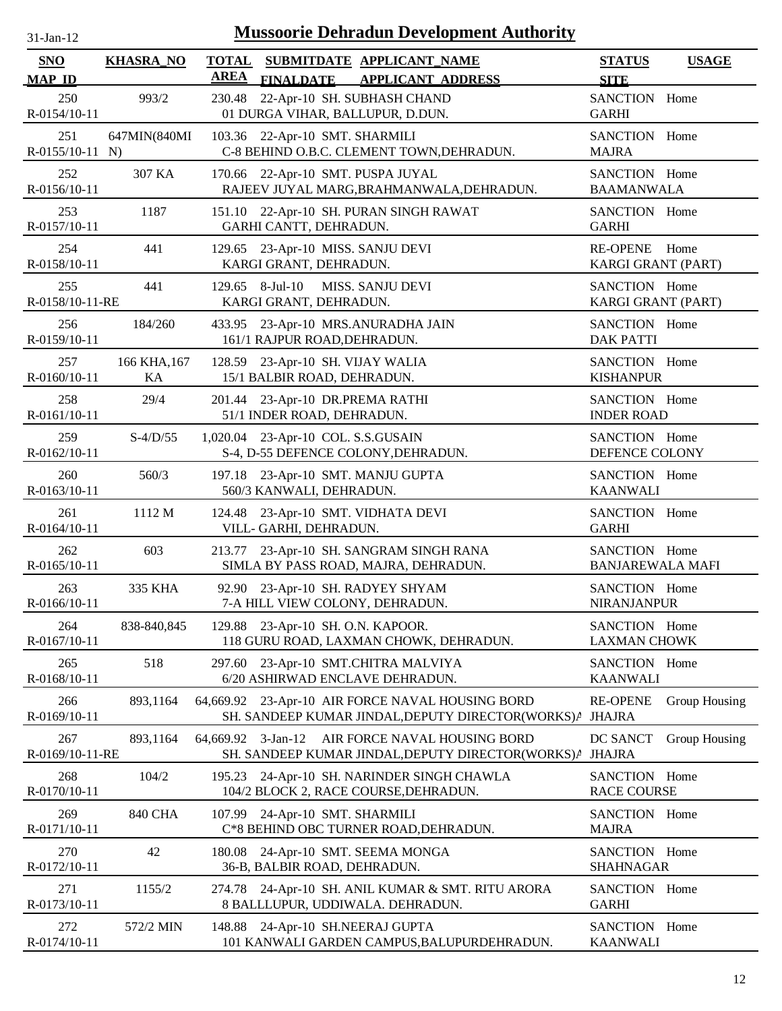| $31$ -Jan-12 |  |
|--------------|--|

| <b>SNO</b><br><b>MAP ID</b> | <b>KHASRA_NO</b>   | <b>TOTAL</b><br><b>AREA</b> | SUBMITDATE APPLICANT_NAME<br><b>FINALDATE</b><br><b>APPLICANT ADDRESS</b>                                     | <b>STATUS</b><br><b>SITE</b>             | <b>USAGE</b>  |
|-----------------------------|--------------------|-----------------------------|---------------------------------------------------------------------------------------------------------------|------------------------------------------|---------------|
| 250<br>R-0154/10-11         | 993/2              | 230.48                      | 22-Apr-10 SH. SUBHASH CHAND<br>01 DURGA VIHAR, BALLUPUR, D.DUN.                                               | SANCTION Home<br><b>GARHI</b>            |               |
| 251<br>$R-0155/10-11$ N)    | 647MIN(840MI       |                             | 103.36 22-Apr-10 SMT. SHARMILI<br>C-8 BEHIND O.B.C. CLEMENT TOWN, DEHRADUN.                                   | SANCTION Home<br><b>MAJRA</b>            |               |
| 252<br>R-0156/10-11         | 307 KA             | 170.66                      | 22-Apr-10 SMT. PUSPA JUYAL<br>RAJEEV JUYAL MARG, BRAHMANWALA, DEHRADUN.                                       | SANCTION Home<br><b>BAAMANWALA</b>       |               |
| 253<br>R-0157/10-11         | 1187               | 151.10                      | 22-Apr-10 SH. PURAN SINGH RAWAT<br>GARHI CANTT, DEHRADUN.                                                     | SANCTION Home<br><b>GARHI</b>            |               |
| 254<br>R-0158/10-11         | 441                | 129.65                      | 23-Apr-10 MISS. SANJU DEVI<br>KARGI GRANT, DEHRADUN.                                                          | <b>RE-OPENE</b><br>KARGI GRANT (PART)    | Home          |
| 255<br>R-0158/10-11-RE      | 441                |                             | 129.65 8-Jul-10<br>MISS. SANJU DEVI<br>KARGI GRANT, DEHRADUN.                                                 | SANCTION Home<br>KARGI GRANT (PART)      |               |
| 256<br>R-0159/10-11         | 184/260            |                             | 433.95 23-Apr-10 MRS.ANURADHA JAIN<br>161/1 RAJPUR ROAD, DEHRADUN.                                            | SANCTION Home<br><b>DAK PATTI</b>        |               |
| 257<br>R-0160/10-11         | 166 KHA, 167<br>KA |                             | 128.59 23-Apr-10 SH. VIJAY WALIA<br>15/1 BALBIR ROAD, DEHRADUN.                                               | SANCTION Home<br><b>KISHANPUR</b>        |               |
| 258<br>R-0161/10-11         | 29/4               |                             | 201.44 23-Apr-10 DR.PREMA RATHI<br>51/1 INDER ROAD, DEHRADUN.                                                 | SANCTION Home<br><b>INDER ROAD</b>       |               |
| 259<br>R-0162/10-11         | $S-4/D/55$         |                             | 1,020.04 23-Apr-10 COL. S.S.GUSAIN<br>S-4, D-55 DEFENCE COLONY, DEHRADUN.                                     | SANCTION Home<br>DEFENCE COLONY          |               |
| 260<br>R-0163/10-11         | 560/3              |                             | 197.18 23-Apr-10 SMT. MANJU GUPTA<br>560/3 KANWALI, DEHRADUN.                                                 | SANCTION Home<br><b>KAANWALI</b>         |               |
| 261<br>R-0164/10-11         | 1112 M             | 124.48                      | 23-Apr-10 SMT. VIDHATA DEVI<br>VILL- GARHI, DEHRADUN.                                                         | SANCTION Home<br><b>GARHI</b>            |               |
| 262<br>R-0165/10-11         | 603                |                             | 213.77 23-Apr-10 SH. SANGRAM SINGH RANA<br>SIMLA BY PASS ROAD, MAJRA, DEHRADUN.                               | SANCTION Home<br><b>BANJAREWALA MAFI</b> |               |
| 263<br>R-0166/10-11         | 335 KHA            | 92.90                       | 23-Apr-10 SH. RADYEY SHYAM<br>7-A HILL VIEW COLONY, DEHRADUN.                                                 | SANCTION Home<br><b>NIRANJANPUR</b>      |               |
| 264<br>R-0167/10-11         | 838-840,845        |                             | 129.88 23-Apr-10 SH. O.N. KAPOOR.<br>118 GURU ROAD, LAXMAN CHOWK, DEHRADUN.                                   | SANCTION Home<br><b>LAXMAN CHOWK</b>     |               |
| 265<br>R-0168/10-11         | 518                | 297.60                      | 23-Apr-10 SMT.CHITRA MALVIYA<br>6/20 ASHIRWAD ENCLAVE DEHRADUN.                                               | SANCTION Home<br><b>KAANWALI</b>         |               |
| 266<br>R-0169/10-11         | 893,1164           |                             | 64,669.92 23-Apr-10 AIR FORCE NAVAL HOUSING BORD<br>SH. SANDEEP KUMAR JINDAL, DEPUTY DIRECTOR(WORKS) / JHAJRA | <b>RE-OPENE</b>                          | Group Housing |
| 267<br>R-0169/10-11-RE      | 893,1164           | 64,669.92 3-Jan-12          | AIR FORCE NAVAL HOUSING BORD<br>SH. SANDEEP KUMAR JINDAL, DEPUTY DIRECTOR(WORKS) A                            | DC SANCT<br><b>JHAJRA</b>                | Group Housing |
| 268<br>R-0170/10-11         | 104/2              |                             | 195.23 24-Apr-10 SH. NARINDER SINGH CHAWLA<br>104/2 BLOCK 2, RACE COURSE, DEHRADUN.                           | SANCTION Home<br><b>RACE COURSE</b>      |               |
| 269<br>R-0171/10-11         | <b>840 CHA</b>     |                             | 107.99 24-Apr-10 SMT. SHARMILI<br>C*8 BEHIND OBC TURNER ROAD, DEHRADUN.                                       | SANCTION Home<br><b>MAJRA</b>            |               |
| 270<br>R-0172/10-11         | 42                 | 180.08                      | 24-Apr-10 SMT. SEEMA MONGA<br>36-B, BALBIR ROAD, DEHRADUN.                                                    | SANCTION Home<br><b>SHAHNAGAR</b>        |               |
| 271<br>R-0173/10-11         | 1155/2             | 274.78                      | 24-Apr-10 SH. ANIL KUMAR & SMT. RITU ARORA<br>8 BALLLUPUR, UDDIWALA. DEHRADUN.                                | SANCTION Home<br><b>GARHI</b>            |               |
| 272<br>R-0174/10-11         | 572/2 MIN          |                             | 148.88 24-Apr-10 SH.NEERAJ GUPTA<br>101 KANWALI GARDEN CAMPUS, BALUPURDEHRADUN.                               | SANCTION Home<br><b>KAANWALI</b>         |               |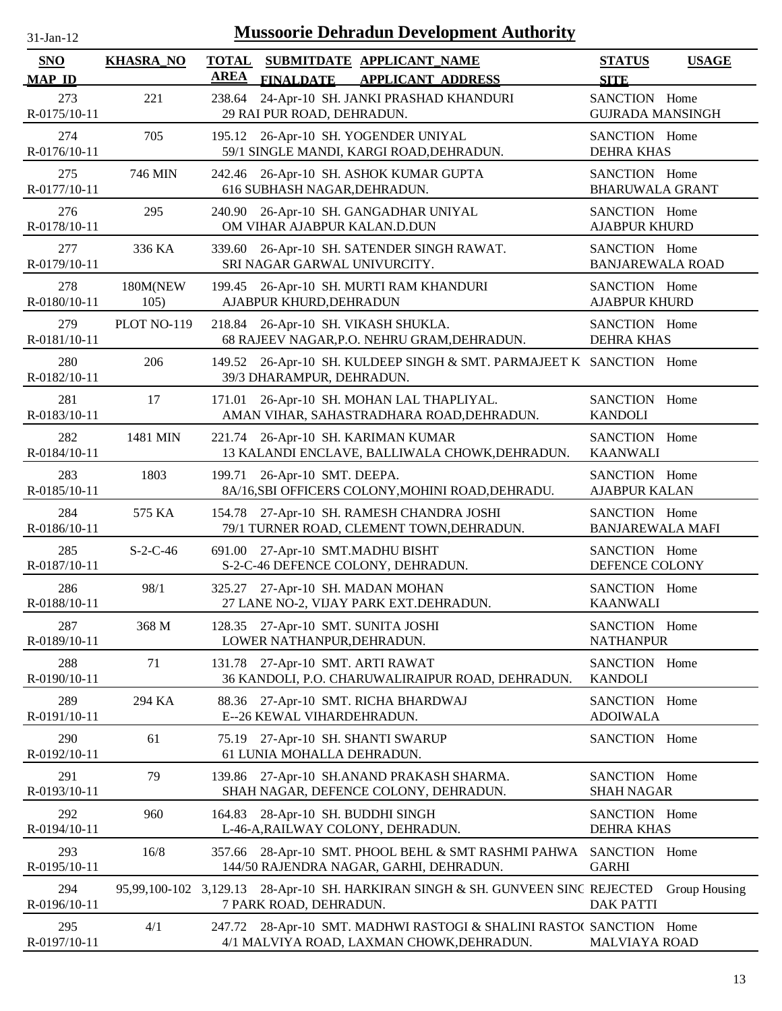| $31$ -Jan-12        |                  | <b>Mussoorie Dehradun Development Authority</b>                                                                     |                                          |  |
|---------------------|------------------|---------------------------------------------------------------------------------------------------------------------|------------------------------------------|--|
| <b>SNO</b>          | <b>KHASRA_NO</b> | <b>TOTAL</b><br>SUBMITDATE APPLICANT_NAME                                                                           | <b>STATUS</b><br><b>USAGE</b>            |  |
| <b>MAP ID</b>       |                  | <b>AREA</b><br><b>FINALDATE</b><br><b>APPLICANT ADDRESS</b>                                                         | <b>SITE</b>                              |  |
| 273<br>R-0175/10-11 | 221              | 24-Apr-10 SH. JANKI PRASHAD KHANDURI<br>238.64<br>29 RAI PUR ROAD, DEHRADUN.                                        | SANCTION Home<br><b>GUJRADA MANSINGH</b> |  |
| 274<br>R-0176/10-11 | 705              | 195.12<br>26-Apr-10 SH. YOGENDER UNIYAL<br>59/1 SINGLE MANDI, KARGI ROAD, DEHRADUN.                                 | SANCTION Home<br><b>DEHRA KHAS</b>       |  |
| 275<br>R-0177/10-11 | 746 MIN          | 242.46 26-Apr-10 SH. ASHOK KUMAR GUPTA<br>616 SUBHASH NAGAR, DEHRADUN.                                              | SANCTION Home<br><b>BHARUWALA GRANT</b>  |  |
| 276<br>R-0178/10-11 | 295              | 26-Apr-10 SH. GANGADHAR UNIYAL<br>240.90<br>OM VIHAR AJABPUR KALAN.D.DUN                                            | SANCTION Home<br><b>AJABPUR KHURD</b>    |  |
| 277<br>R-0179/10-11 | 336 KA           | 26-Apr-10 SH. SATENDER SINGH RAWAT.<br>339.60<br>SRI NAGAR GARWAL UNIVURCITY.                                       | SANCTION Home<br><b>BANJAREWALA ROAD</b> |  |
| 278<br>R-0180/10-11 | 180M(NEW<br>105) | 26-Apr-10 SH. MURTI RAM KHANDURI<br>199.45<br>AJABPUR KHURD, DEHRADUN                                               | SANCTION Home<br><b>AJABPUR KHURD</b>    |  |
| 279<br>R-0181/10-11 | PLOT NO-119      | 218.84 26-Apr-10 SH. VIKASH SHUKLA.<br>68 RAJEEV NAGAR, P.O. NEHRU GRAM, DEHRADUN.                                  | SANCTION Home<br><b>DEHRA KHAS</b>       |  |
| 280<br>R-0182/10-11 | 206              | 149.52 26-Apr-10 SH. KULDEEP SINGH & SMT. PARMAJEET K SANCTION Home<br>39/3 DHARAMPUR, DEHRADUN.                    |                                          |  |
| 281<br>R-0183/10-11 | 17               | 26-Apr-10 SH. MOHAN LAL THAPLIYAL.<br>171.01<br>AMAN VIHAR, SAHASTRADHARA ROAD, DEHRADUN.                           | SANCTION Home<br><b>KANDOLI</b>          |  |
| 282<br>R-0184/10-11 | 1481 MIN         | 221.74 26-Apr-10 SH. KARIMAN KUMAR<br>13 KALANDI ENCLAVE, BALLIWALA CHOWK, DEHRADUN.                                | SANCTION Home<br><b>KAANWALI</b>         |  |
| 283<br>R-0185/10-11 | 1803             | 26-Apr-10 SMT. DEEPA.<br>199.71<br>8A/16, SBI OFFICERS COLONY, MOHINI ROAD, DEHRADU.                                | SANCTION Home<br><b>AJABPUR KALAN</b>    |  |
| 284<br>R-0186/10-11 | 575 KA           | 154.78 27-Apr-10 SH. RAMESH CHANDRA JOSHI<br>79/1 TURNER ROAD, CLEMENT TOWN, DEHRADUN.                              | SANCTION Home<br><b>BANJAREWALA MAFI</b> |  |
| 285<br>R-0187/10-11 | $S-2-C-46$       | 27-Apr-10 SMT.MADHU BISHT<br>691.00<br>S-2-C-46 DEFENCE COLONY, DEHRADUN.                                           | SANCTION Home<br>DEFENCE COLONY          |  |
| 286<br>R-0188/10-11 | 98/1             | 325.27 27-Apr-10 SH. MADAN MOHAN<br>27 LANE NO-2, VIJAY PARK EXT.DEHRADUN.                                          | SANCTION Home<br><b>KAANWALI</b>         |  |
| 287<br>R-0189/10-11 | 368 M            | 128.35 27-Apr-10 SMT. SUNITA JOSHI<br>LOWER NATHANPUR, DEHRADUN.                                                    | SANCTION Home<br><b>NATHANPUR</b>        |  |
| 288<br>R-0190/10-11 | 71               | 27-Apr-10 SMT. ARTI RAWAT<br>131.78<br>36 KANDOLI, P.O. CHARUWALIRAIPUR ROAD, DEHRADUN.                             | SANCTION Home<br><b>KANDOLI</b>          |  |
| 289<br>R-0191/10-11 | 294 KA           | 27-Apr-10 SMT. RICHA BHARDWAJ<br>88.36<br>E--26 KEWAL VIHARDEHRADUN.                                                | SANCTION Home<br><b>ADOIWALA</b>         |  |
| 290<br>R-0192/10-11 | 61               | 27-Apr-10 SH. SHANTI SWARUP<br>75.19<br>61 LUNIA MOHALLA DEHRADUN.                                                  | SANCTION Home                            |  |
| 291<br>R-0193/10-11 | 79               | 27-Apr-10 SH.ANAND PRAKASH SHARMA.<br>139.86<br>SHAH NAGAR, DEFENCE COLONY, DEHRADUN.                               | SANCTION Home<br><b>SHAH NAGAR</b>       |  |
| 292<br>R-0194/10-11 | 960              | 28-Apr-10 SH. BUDDHI SINGH<br>164.83<br>L-46-A, RAILWAY COLONY, DEHRADUN.                                           | SANCTION Home<br><b>DEHRA KHAS</b>       |  |
| 293<br>R-0195/10-11 | 16/8             | 28-Apr-10 SMT. PHOOL BEHL & SMT RASHMI PAHWA<br>357.66<br>144/50 RAJENDRA NAGAR, GARHI, DEHRADUN.                   | SANCTION Home<br><b>GARHI</b>            |  |
| 294<br>R-0196/10-11 |                  | 95,99,100-102 3,129.13 28-Apr-10 SH. HARKIRAN SINGH & SH. GUNVEEN SINC REJECTED<br>7 PARK ROAD, DEHRADUN.           | Group Housing<br><b>DAK PATTI</b>        |  |
| 295<br>R-0197/10-11 | 4/1              | 28-Apr-10 SMT. MADHWI RASTOGI & SHALINI RASTOC SANCTION Home<br>247.72<br>4/1 MALVIYA ROAD, LAXMAN CHOWK, DEHRADUN. | <b>MALVIAYA ROAD</b>                     |  |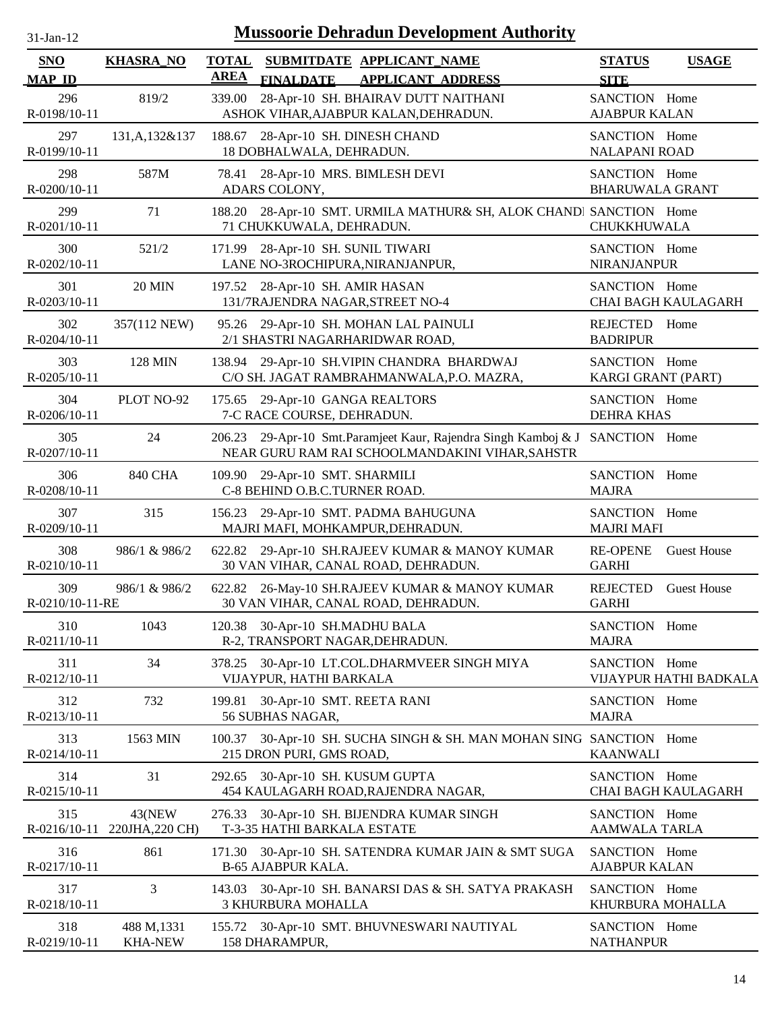| $31$ -Jan-12 |  |
|--------------|--|

| <b>SNO</b>                | <b>KHASRA_NO</b>              | <b>TOTAL</b> |                                                                     | SUBMITDATE APPLICANT_NAME                                                                                  | <b>STATUS</b>                           | <b>USAGE</b>               |
|---------------------------|-------------------------------|--------------|---------------------------------------------------------------------|------------------------------------------------------------------------------------------------------------|-----------------------------------------|----------------------------|
| <b>MAP ID</b>             |                               | <b>AREA</b>  | <b>FINALDATE</b>                                                    | <b>APPLICANT ADDRESS</b>                                                                                   | <b>SITE</b>                             |                            |
| 296<br>R-0198/10-11       | 819/2                         | 339.00       |                                                                     | 28-Apr-10 SH. BHAIRAV DUTT NAITHANI<br>ASHOK VIHAR, AJABPUR KALAN, DEHRADUN.                               | SANCTION Home<br><b>AJABPUR KALAN</b>   |                            |
| 297<br>R-0199/10-11       | 131, A, 132 & 137             |              | 188.67 28-Apr-10 SH. DINESH CHAND<br>18 DOBHALWALA, DEHRADUN.       |                                                                                                            | SANCTION Home<br><b>NALAPANI ROAD</b>   |                            |
| 298<br>R-0200/10-11       | 587M                          | 78.41        | 28-Apr-10 MRS. BIMLESH DEVI<br>ADARS COLONY,                        |                                                                                                            | SANCTION Home<br><b>BHARUWALA GRANT</b> |                            |
| 299<br>R-0201/10-11       | 71                            | 188.20       | 71 CHUKKUWALA, DEHRADUN.                                            | 28-Apr-10 SMT. URMILA MATHUR& SH, ALOK CHANDI SANCTION Home                                                | CHUKKHUWALA                             |                            |
| 300<br>R-0202/10-11       | 521/2                         | 171.99       | 28-Apr-10 SH. SUNIL TIWARI<br>LANE NO-3ROCHIPURA, NIRANJANPUR,      |                                                                                                            | SANCTION Home<br><b>NIRANJANPUR</b>     |                            |
| 301<br>R-0203/10-11       | <b>20 MIN</b>                 |              | 197.52 28-Apr-10 SH. AMIR HASAN<br>131/7RAJENDRA NAGAR, STREET NO-4 |                                                                                                            | SANCTION Home                           | <b>CHAI BAGH KAULAGARH</b> |
| 302<br>R-0204/10-11       | 357(112 NEW)                  |              | 2/1 SHASTRI NAGARHARIDWAR ROAD,                                     | 95.26 29-Apr-10 SH. MOHAN LAL PAINULI                                                                      | <b>REJECTED</b><br><b>BADRIPUR</b>      | Home                       |
| 303<br>R-0205/10-11       | <b>128 MIN</b>                |              |                                                                     | 138.94 29-Apr-10 SH.VIPIN CHANDRA BHARDWAJ<br>C/O SH. JAGAT RAMBRAHMANWALA, P.O. MAZRA,                    | SANCTION Home<br>KARGI GRANT (PART)     |                            |
| 304<br>R-0206/10-11       | PLOT NO-92                    |              | 175.65 29-Apr-10 GANGA REALTORS<br>7-C RACE COURSE, DEHRADUN.       |                                                                                                            | SANCTION Home<br><b>DEHRA KHAS</b>      |                            |
| 305<br>R-0207/10-11       | 24                            | 206.23       |                                                                     | 29-Apr-10 Smt.Paramjeet Kaur, Rajendra Singh Kamboj & J<br>NEAR GURU RAM RAI SCHOOLMANDAKINI VIHAR, SAHSTR | SANCTION Home                           |                            |
| 306<br>R-0208/10-11       | <b>840 CHA</b>                |              | 109.90 29-Apr-10 SMT. SHARMILI<br>C-8 BEHIND O.B.C.TURNER ROAD.     |                                                                                                            | SANCTION Home<br><b>MAJRA</b>           |                            |
| 307<br>R-0209/10-11       | 315                           |              | MAJRI MAFI, MOHKAMPUR, DEHRADUN.                                    | 156.23 29-Apr-10 SMT. PADMA BAHUGUNA                                                                       | SANCTION Home<br><b>MAJRI MAFI</b>      |                            |
| 308<br>R-0210/10-11       | 986/1 & 986/2                 |              |                                                                     | 622.82 29-Apr-10 SH.RAJEEV KUMAR & MANOY KUMAR<br>30 VAN VIHAR, CANAL ROAD, DEHRADUN.                      | <b>RE-OPENE</b><br><b>GARHI</b>         | <b>Guest House</b>         |
| 309<br>R-0210/10-11-RE    | 986/1 & 986/2                 |              |                                                                     | 622.82 26-May-10 SH.RAJEEV KUMAR & MANOY KUMAR<br>30 VAN VIHAR, CANAL ROAD, DEHRADUN.                      | <b>REJECTED</b><br><b>GARHI</b>         | <b>Guest House</b>         |
| 310<br>R-0211/10-11       | 1043                          |              | 120.38 30-Apr-10 SH.MADHU BALA<br>R-2, TRANSPORT NAGAR, DEHRADUN.   |                                                                                                            | SANCTION Home<br><b>MAJRA</b>           |                            |
| 311<br>R-0212/10-11       | 34                            | 378.25       | VIJAYPUR, HATHI BARKALA                                             | 30-Apr-10 LT.COL.DHARMVEER SINGH MIYA                                                                      | SANCTION Home                           | VIJAYPUR HATHI BADKALA     |
| 312<br>R-0213/10-11       | 732                           | 199.81       | 30-Apr-10 SMT. REETA RANI<br>56 SUBHAS NAGAR,                       |                                                                                                            | SANCTION Home<br><b>MAJRA</b>           |                            |
| 313<br>$R - 0214/10 - 11$ | 1563 MIN                      | 100.37       | 215 DRON PURI, GMS ROAD,                                            | 30-Apr-10 SH. SUCHA SINGH & SH. MAN MOHAN SING SANCTION Home                                               | <b>KAANWALI</b>                         |                            |
| 314<br>R-0215/10-11       | 31                            | 292.65       | 30-Apr-10 SH. KUSUM GUPTA                                           | 454 KAULAGARH ROAD, RAJENDRA NAGAR,                                                                        | SANCTION Home                           | CHAI BAGH KAULAGARH        |
| 315<br>R-0216/10-11       | 43(NEW<br>220JHA, 220 CH)     | 276.33       | T-3-35 HATHI BARKALA ESTATE                                         | 30-Apr-10 SH. BIJENDRA KUMAR SINGH                                                                         | SANCTION Home<br><b>AAMWALA TARLA</b>   |                            |
| 316<br>R-0217/10-11       | 861                           |              | <b>B-65 AJABPUR KALA.</b>                                           | 171.30 30-Apr-10 SH. SATENDRA KUMAR JAIN & SMT SUGA                                                        | SANCTION Home<br><b>AJABPUR KALAN</b>   |                            |
| 317<br>R-0218/10-11       | 3                             | 143.03       | 3 KHURBURA MOHALLA                                                  | 30-Apr-10 SH. BANARSI DAS & SH. SATYA PRAKASH                                                              | SANCTION Home<br>KHURBURA MOHALLA       |                            |
| 318<br>R-0219/10-11       | 488 M, 1331<br><b>KHA-NEW</b> |              | 158 DHARAMPUR,                                                      | 155.72 30-Apr-10 SMT. BHUVNESWARI NAUTIYAL                                                                 | SANCTION Home<br><b>NATHANPUR</b>       |                            |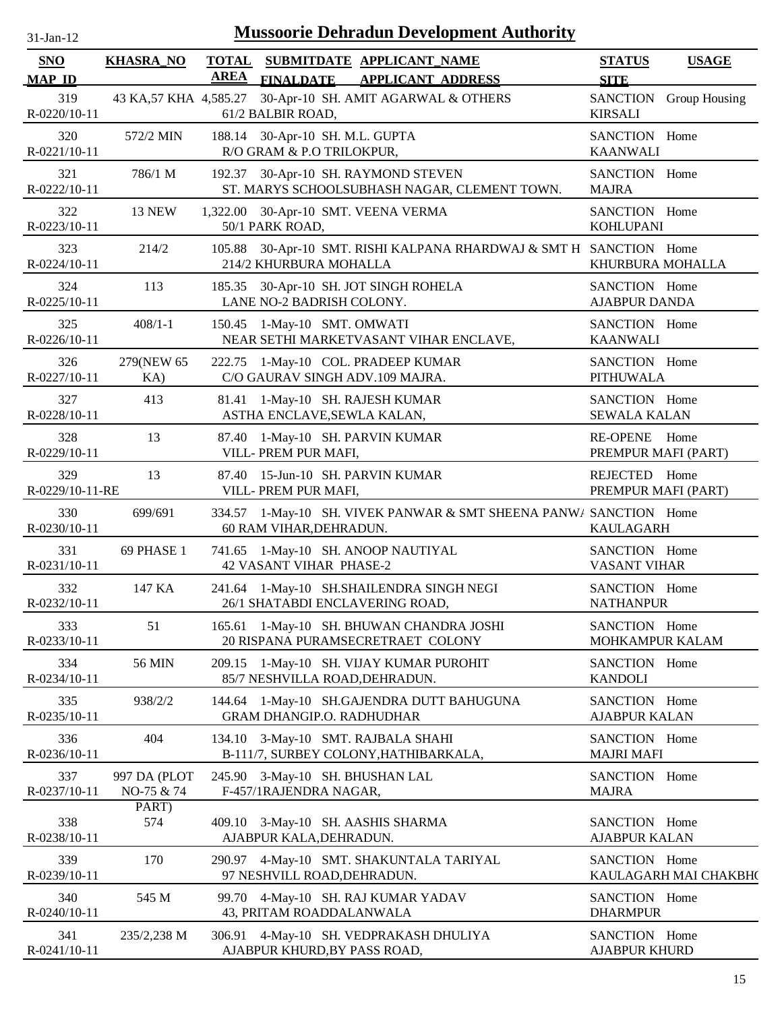| n. | $l$ -Jan- $l$ |  |
|----|---------------|--|

| SNO                    | <b>KHASRA_NO</b>           | <b>TOTAL</b> | SUBMITDATE APPLICANT_NAME                                                                    | <b>STATUS</b>                         | <b>USAGE</b>           |
|------------------------|----------------------------|--------------|----------------------------------------------------------------------------------------------|---------------------------------------|------------------------|
| <b>MAP ID</b>          |                            | <b>AREA</b>  | <b>FINALDATE</b><br><b>APPLICANT ADDRESS</b>                                                 | <b>SITE</b>                           |                        |
| 319<br>R-0220/10-11    |                            |              | 43 KA,57 KHA 4,585.27 30-Apr-10 SH. AMIT AGARWAL & OTHERS<br>61/2 BALBIR ROAD,               | <b>KIRSALI</b>                        | SANCTION Group Housing |
| 320<br>R-0221/10-11    | 572/2 MIN                  |              | 188.14 30-Apr-10 SH. M.L. GUPTA<br>R/O GRAM & P.O TRILOKPUR,                                 | SANCTION Home<br><b>KAANWALI</b>      |                        |
| 321<br>R-0222/10-11    | 786/1 M                    |              | 192.37 30-Apr-10 SH. RAYMOND STEVEN<br>ST. MARYS SCHOOLSUBHASH NAGAR, CLEMENT TOWN.          | SANCTION Home<br><b>MAJRA</b>         |                        |
| 322<br>R-0223/10-11    | <b>13 NEW</b>              |              | 1,322.00 30-Apr-10 SMT. VEENA VERMA<br>50/1 PARK ROAD,                                       | SANCTION Home<br><b>KOHLUPANI</b>     |                        |
| 323<br>R-0224/10-11    | 214/2                      |              | 105.88 30-Apr-10 SMT. RISHI KALPANA RHARDWAJ & SMT H SANCTION Home<br>214/2 KHURBURA MOHALLA | KHURBURA MOHALLA                      |                        |
| 324<br>R-0225/10-11    | 113                        |              | 185.35 30-Apr-10 SH. JOT SINGH ROHELA<br>LANE NO-2 BADRISH COLONY.                           | SANCTION Home<br><b>AJABPUR DANDA</b> |                        |
| 325<br>R-0226/10-11    | $408/1 - 1$                |              | 150.45 1-May-10 SMT. OMWATI<br>NEAR SETHI MARKETVASANT VIHAR ENCLAVE,                        | SANCTION Home<br><b>KAANWALI</b>      |                        |
| 326<br>R-0227/10-11    | 279(NEW 65)<br>KA)         |              | 222.75 1-May-10 COL. PRADEEP KUMAR<br>C/O GAURAV SINGH ADV.109 MAJRA.                        | SANCTION Home<br><b>PITHUWALA</b>     |                        |
| 327<br>R-0228/10-11    | 413                        |              | 81.41 1-May-10 SH. RAJESH KUMAR<br>ASTHA ENCLAVE, SEWLA KALAN,                               | SANCTION Home<br><b>SEWALA KALAN</b>  |                        |
| 328<br>R-0229/10-11    | 13                         |              | 87.40 1-May-10 SH. PARVIN KUMAR<br>VILL- PREM PUR MAFI,                                      | RE-OPENE Home<br>PREMPUR MAFI (PART)  |                        |
| 329<br>R-0229/10-11-RE | 13                         |              | 87.40 15-Jun-10 SH. PARVIN KUMAR<br>VILL- PREM PUR MAFI,                                     | REJECTED Home<br>PREMPUR MAFI (PART)  |                        |
| 330<br>R-0230/10-11    | 699/691                    |              | 334.57 1-May-10 SH. VIVEK PANWAR & SMT SHEENA PANW/ SANCTION Home<br>60 RAM VIHAR, DEHRADUN. | <b>KAULAGARH</b>                      |                        |
| 331<br>R-0231/10-11    | 69 PHASE 1                 |              | 741.65 1-May-10 SH. ANOOP NAUTIYAL<br><b>42 VASANT VIHAR PHASE-2</b>                         | SANCTION Home<br><b>VASANT VIHAR</b>  |                        |
| 332<br>R-0232/10-11    | 147 KA                     |              | 241.64 1-May-10 SH.SHAILENDRA SINGH NEGI<br>26/1 SHATABDI ENCLAVERING ROAD,                  | SANCTION Home<br><b>NATHANPUR</b>     |                        |
| 333<br>R-0233/10-11    | 51                         |              | 165.61 1-May-10 SH. BHUWAN CHANDRA JOSHI<br>20 RISPANA PURAMSECRETRAET COLONY                | SANCTION Home<br>MOHKAMPUR KALAM      |                        |
| 334<br>R-0234/10-11    | 56 MIN                     |              | 209.15 1-May-10 SH. VIJAY KUMAR PUROHIT<br>85/7 NESHVILLA ROAD, DEHRADUN.                    | SANCTION Home<br><b>KANDOLI</b>       |                        |
| 335<br>R-0235/10-11    | 938/2/2                    |              | 144.64 1-May-10 SH.GAJENDRA DUTT BAHUGUNA<br><b>GRAM DHANGIP.O. RADHUDHAR</b>                | SANCTION Home<br><b>AJABPUR KALAN</b> |                        |
| 336<br>R-0236/10-11    | 404                        |              | 134.10 3-May-10 SMT. RAJBALA SHAHI<br>B-111/7, SURBEY COLONY, HATHIBARKALA,                  | SANCTION Home<br><b>MAJRI MAFI</b>    |                        |
| 337<br>R-0237/10-11    | 997 DA (PLOT<br>NO-75 & 74 |              | 245.90 3-May-10 SH. BHUSHAN LAL<br>F-457/1RAJENDRA NAGAR,                                    | SANCTION Home<br><b>MAJRA</b>         |                        |
|                        | PART)                      |              |                                                                                              |                                       |                        |
| 338<br>R-0238/10-11    | 574                        |              | 409.10 3-May-10 SH. AASHIS SHARMA<br>AJABPUR KALA, DEHRADUN.                                 | SANCTION Home<br><b>AJABPUR KALAN</b> |                        |
| 339<br>R-0239/10-11    | 170                        |              | 290.97 4-May-10 SMT. SHAKUNTALA TARIYAL<br>97 NESHVILL ROAD, DEHRADUN.                       | SANCTION Home                         | KAULAGARH MAI CHAKBH(  |
| 340<br>R-0240/10-11    | 545 M                      |              | 99.70 4-May-10 SH. RAJ KUMAR YADAV<br>43, PRITAM ROADDALANWALA                               | SANCTION Home<br><b>DHARMPUR</b>      |                        |
| 341<br>R-0241/10-11    | 235/2,238 M                |              | 306.91 4-May-10 SH. VEDPRAKASH DHULIYA<br>AJABPUR KHURD, BY PASS ROAD,                       | SANCTION Home<br><b>AJABPUR KHURD</b> |                        |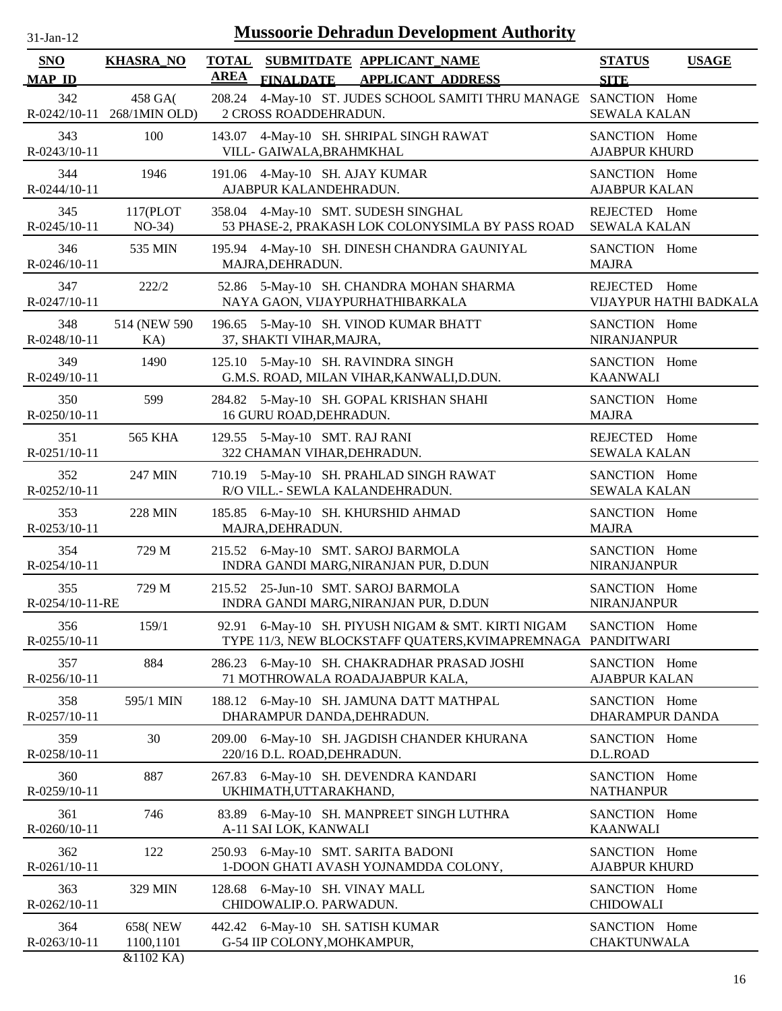| 31-Jan-12           |                                       | <b>Mussoorie Dehradun Development Authority</b>                                                                   |                                       |
|---------------------|---------------------------------------|-------------------------------------------------------------------------------------------------------------------|---------------------------------------|
| <b>SNO</b>          | <b>KHASRA_NO</b>                      | TOTAL SUBMITDATE APPLICANT NAME                                                                                   | <b>STATUS</b><br><b>USAGE</b>         |
| <b>MAP ID</b>       |                                       | <b>AREA</b><br><b>FINALDATE</b><br><b>APPLICANT ADDRESS</b>                                                       | <b>SITE</b>                           |
| 342                 | 458 GA(<br>R-0242/10-11 268/1MIN OLD) | 4-May-10 ST. JUDES SCHOOL SAMITI THRU MANAGE SANCTION Home<br>208.24<br>2 CROSS ROADDEHRADUN.                     | <b>SEWALA KALAN</b>                   |
| 343<br>R-0243/10-11 | 100                                   | 4-May-10 SH. SHRIPAL SINGH RAWAT<br>143.07<br>VILL- GAIWALA, BRAHMKHAL                                            | SANCTION Home<br><b>AJABPUR KHURD</b> |
| 344                 | 1946                                  | 191.06 4-May-10 SH. AJAY KUMAR                                                                                    | SANCTION Home                         |
| R-0244/10-11        |                                       | AJABPUR KALANDEHRADUN.                                                                                            | <b>AJABPUR KALAN</b>                  |
| 345                 | 117(PLOT                              | 358.04 4-May-10 SMT. SUDESH SINGHAL                                                                               | REJECTED Home                         |
| $R - 0245/10 - 11$  | $NO-34)$                              | 53 PHASE-2, PRAKASH LOK COLONYSIMLA BY PASS ROAD                                                                  | <b>SEWALA KALAN</b>                   |
| 346                 | 535 MIN                               | 195.94 4-May-10 SH. DINESH CHANDRA GAUNIYAL                                                                       | SANCTION Home                         |
| R-0246/10-11        |                                       | MAJRA, DEHRADUN.                                                                                                  | <b>MAJRA</b>                          |
| 347                 | 222/2                                 | 52.86 5-May-10 SH. CHANDRA MOHAN SHARMA                                                                           | REJECTED Home                         |
| R-0247/10-11        |                                       | NAYA GAON, VIJAYPURHATHIBARKALA                                                                                   | VIJAYPUR HATHI BADKALA                |
| 348                 | 514 (NEW 590)                         | 196.65 5-May-10 SH. VINOD KUMAR BHATT                                                                             | SANCTION Home                         |
| R-0248/10-11        | KA)                                   | 37, SHAKTI VIHAR, MAJRA,                                                                                          | NIRANJANPUR                           |
| 349                 | 1490                                  | 125.10 5-May-10 SH. RAVINDRA SINGH                                                                                | SANCTION Home                         |
| R-0249/10-11        |                                       | G.M.S. ROAD, MILAN VIHAR, KANWALI, D.DUN.                                                                         | <b>KAANWALI</b>                       |
| 350                 | 599                                   | 284.82 5-May-10 SH. GOPAL KRISHAN SHAHI                                                                           | SANCTION Home                         |
| R-0250/10-11        |                                       | 16 GURU ROAD, DEHRADUN.                                                                                           | <b>MAJRA</b>                          |
| 351                 | <b>565 KHA</b>                        | 129.55 5-May-10 SMT. RAJ RANI                                                                                     | REJECTED Home                         |
| R-0251/10-11        |                                       | 322 CHAMAN VIHAR, DEHRADUN.                                                                                       | <b>SEWALA KALAN</b>                   |
| 352                 | 247 MIN                               | 710.19 5-May-10 SH. PRAHLAD SINGH RAWAT                                                                           | SANCTION Home                         |
| R-0252/10-11        |                                       | R/O VILL.- SEWLA KALANDEHRADUN.                                                                                   | <b>SEWALA KALAN</b>                   |
| 353                 | <b>228 MIN</b>                        | 185.85 6-May-10 SH. KHURSHID AHMAD                                                                                | SANCTION Home                         |
| R-0253/10-11        |                                       | MAJRA, DEHRADUN.                                                                                                  | <b>MAJRA</b>                          |
| 354                 | 729 M                                 | 215.52 6-May-10 SMT. SAROJ BARMOLA                                                                                | SANCTION Home                         |
| R-0254/10-11        |                                       | INDRA GANDI MARG, NIRANJAN PUR, D.DUN                                                                             | <b>NIRANJANPUR</b>                    |
| 355                 | 729 M                                 | 215.52 25-Jun-10 SMT. SAROJ BARMOLA                                                                               | SANCTION Home                         |
| R-0254/10-11-RE     |                                       | INDRA GANDI MARG, NIRANJAN PUR, D.DUN                                                                             | <b>NIRANJANPUR</b>                    |
| 356<br>R-0255/10-11 | 159/1                                 | 92.91 6-May-10 SH. PIYUSH NIGAM & SMT. KIRTI NIGAM<br>TYPE 11/3, NEW BLOCKSTAFF QUATERS, KVIMAPREMNAGA PANDITWARI | SANCTION Home                         |
| 357                 | 884                                   | 286.23 6-May-10 SH. CHAKRADHAR PRASAD JOSHI                                                                       | SANCTION Home                         |
| R-0256/10-11        |                                       | 71 MOTHROWALA ROADAJABPUR KALA,                                                                                   | <b>AJABPUR KALAN</b>                  |
| 358                 | 595/1 MIN                             | 188.12 6-May-10 SH. JAMUNA DATT MATHPAL                                                                           | SANCTION Home                         |
| R-0257/10-11        |                                       | DHARAMPUR DANDA, DEHRADUN.                                                                                        | DHARAMPUR DANDA                       |
| 359                 | 30                                    | 209.00 6-May-10 SH. JAGDISH CHANDER KHURANA                                                                       | SANCTION Home                         |
| R-0258/10-11        |                                       | 220/16 D.L. ROAD, DEHRADUN.                                                                                       | D.L.ROAD                              |
| 360                 | 887                                   | 267.83 6-May-10 SH. DEVENDRA KANDARI                                                                              | SANCTION Home                         |
| R-0259/10-11        |                                       | UKHIMATH, UTTARAKHAND,                                                                                            | <b>NATHANPUR</b>                      |
| 361                 | 746                                   | 83.89 6-May-10 SH. MANPREET SINGH LUTHRA                                                                          | SANCTION Home                         |
| R-0260/10-11        |                                       | A-11 SAI LOK, KANWALI                                                                                             | <b>KAANWALI</b>                       |
| 362                 | 122                                   | 250.93 6-May-10 SMT. SARITA BADONI                                                                                | SANCTION Home                         |
| R-0261/10-11        |                                       | 1-DOON GHATI AVASH YOJNAMDDA COLONY,                                                                              | <b>AJABPUR KHURD</b>                  |
| 363                 | 329 MIN                               | 128.68 6-May-10 SH. VINAY MALL                                                                                    | SANCTION Home                         |
| R-0262/10-11        |                                       | CHIDOWALIP.O. PARWADUN.                                                                                           | <b>CHIDOWALI</b>                      |
| 364                 | <b>658(NEW)</b>                       | 442.42 6-May-10 SH. SATISH KUMAR                                                                                  | SANCTION Home                         |
| R-0263/10-11        | 1100,1101                             | G-54 IIP COLONY, MOHKAMPUR,                                                                                       | <b>CHAKTUNWALA</b>                    |
|                     | $R_71102$ K $\Delta$ )                |                                                                                                                   |                                       |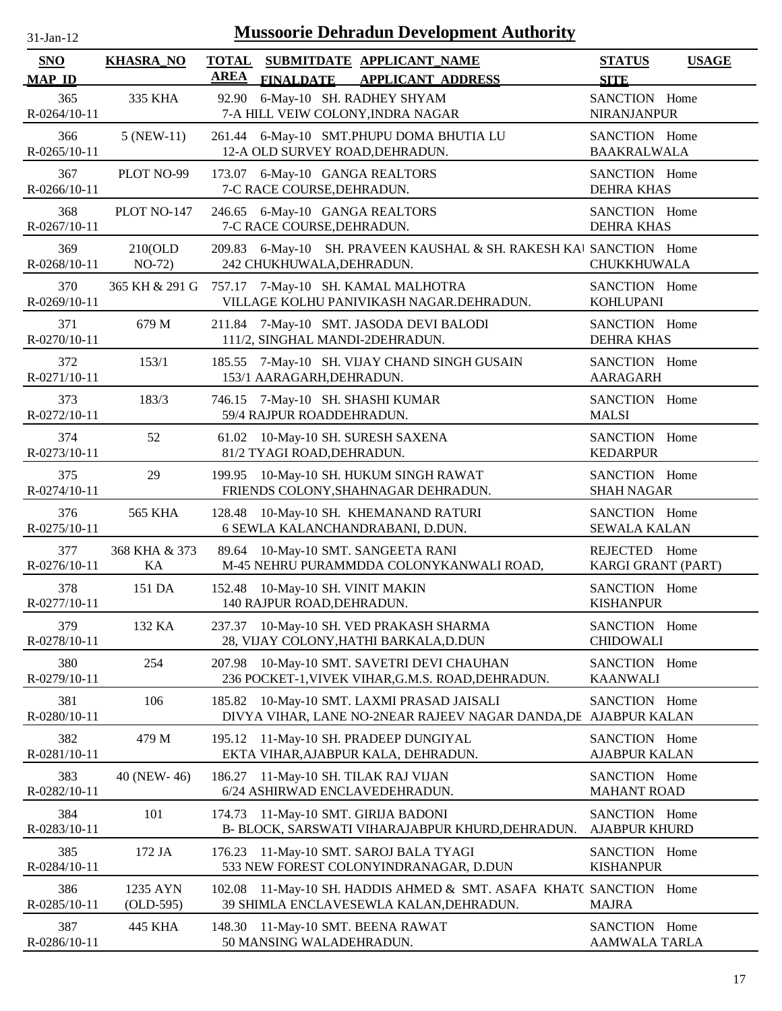| $31 - Jan - 12$ |  |
|-----------------|--|
|                 |  |

| <b>SNO</b><br><b>MAP ID</b> | <b>KHASRA_NO</b>        | <b>TOTAL</b><br>AREA                                           | <b>FINALDATE</b> | SUBMITDATE APPLICANT NAME<br><b>APPLICANT ADDRESS</b>                                                  | <b>STATUS</b><br><b>SITE</b>          | <b>USAGE</b> |
|-----------------------------|-------------------------|----------------------------------------------------------------|------------------|--------------------------------------------------------------------------------------------------------|---------------------------------------|--------------|
| 365<br>R-0264/10-11         | 335 KHA                 | 92.90                                                          |                  | 6-May-10 SH. RADHEY SHYAM<br>7-A HILL VEIW COLONY, INDRA NAGAR                                         | SANCTION Home<br>NIRANJANPUR          |              |
| 366<br>R-0265/10-11         | 5 (NEW-11)              |                                                                |                  | 261.44 6-May-10 SMT.PHUPU DOMA BHUTIA LU<br>12-A OLD SURVEY ROAD, DEHRADUN.                            | SANCTION Home<br><b>BAAKRALWALA</b>   |              |
| 367<br>R-0266/10-11         | PLOT NO-99              | 7-C RACE COURSE, DEHRADUN.                                     |                  | 173.07 6-May-10 GANGA REALTORS                                                                         | SANCTION Home<br><b>DEHRA KHAS</b>    |              |
| 368<br>R-0267/10-11         | PLOT NO-147             | 7-C RACE COURSE, DEHRADUN.                                     |                  | 246.65 6-May-10 GANGA REALTORS                                                                         | SANCTION Home<br><b>DEHRA KHAS</b>    |              |
| 369<br>R-0268/10-11         | 210(OLD)<br>$NO-72)$    | 242 CHUKHUWALA, DEHRADUN.                                      |                  | 209.83 6-May-10 SH. PRAVEEN KAUSHAL & SH. RAKESH KAI SANCTION Home                                     | <b>CHUKKHUWALA</b>                    |              |
| 370<br>R-0269/10-11         | 365 KH & 291 G          |                                                                |                  | 757.17 7-May-10 SH. KAMAL MALHOTRA<br>VILLAGE KOLHU PANIVIKASH NAGAR.DEHRADUN.                         | SANCTION Home<br><b>KOHLUPANI</b>     |              |
| 371<br>R-0270/10-11         | 679 M                   |                                                                |                  | 211.84 7-May-10 SMT. JASODA DEVI BALODI<br>111/2, SINGHAL MANDI-2DEHRADUN.                             | SANCTION Home<br><b>DEHRA KHAS</b>    |              |
| 372<br>R-0271/10-11         | 153/1                   | 185.55<br>153/1 AARAGARH, DEHRADUN.                            |                  | 7-May-10 SH. VIJAY CHAND SINGH GUSAIN                                                                  | SANCTION Home<br><b>AARAGARH</b>      |              |
| 373<br>R-0272/10-11         | 183/3                   | 59/4 RAJPUR ROADDEHRADUN.                                      |                  | 746.15 7-May-10 SH. SHASHI KUMAR                                                                       | SANCTION Home<br><b>MALSI</b>         |              |
| 374<br>R-0273/10-11         | 52                      | 61.02<br>81/2 TYAGI ROAD, DEHRADUN.                            |                  | 10-May-10 SH. SURESH SAXENA                                                                            | SANCTION Home<br><b>KEDARPUR</b>      |              |
| 375<br>R-0274/10-11         | 29                      |                                                                |                  | 199.95 10-May-10 SH. HUKUM SINGH RAWAT<br>FRIENDS COLONY, SHAHNAGAR DEHRADUN.                          | SANCTION Home<br><b>SHAH NAGAR</b>    |              |
| 376<br>R-0275/10-11         | <b>565 KHA</b>          | 128.48                                                         |                  | 10-May-10 SH. KHEMANAND RATURI<br>6 SEWLA KALANCHANDRABANI, D.DUN.                                     | SANCTION Home<br><b>SEWALA KALAN</b>  |              |
| 377<br>$R - 0276/10 - 11$   | 368 KHA & 373<br>KA     |                                                                |                  | 89.64 10-May-10 SMT. SANGEETA RANI<br>M-45 NEHRU PURAMMDDA COLONYKANWALI ROAD,                         | REJECTED Home<br>KARGI GRANT (PART)   |              |
| 378<br>R-0277/10-11         | 151 DA                  | 152.48 10-May-10 SH. VINIT MAKIN<br>140 RAJPUR ROAD, DEHRADUN. |                  |                                                                                                        | SANCTION Home<br><b>KISHANPUR</b>     |              |
| 379<br>R-0278/10-11         | 132 KA                  |                                                                |                  | 237.37 10-May-10 SH. VED PRAKASH SHARMA<br>28, VIJAY COLONY, HATHI BARKALA, D.DUN                      | SANCTION Home<br><b>CHIDOWALI</b>     |              |
| 380<br>R-0279/10-11         | 254                     | 207.98                                                         |                  | 10-May-10 SMT. SAVETRI DEVI CHAUHAN<br>236 POCKET-1, VIVEK VIHAR, G.M.S. ROAD, DEHRADUN.               | SANCTION Home<br><b>KAANWALI</b>      |              |
| 381<br>R-0280/10-11         | 106                     | 185.82                                                         |                  | 10-May-10 SMT. LAXMI PRASAD JAISALI<br>DIVYA VIHAR, LANE NO-2NEAR RAJEEV NAGAR DANDA, DE AJABPUR KALAN | SANCTION Home                         |              |
| 382<br>R-0281/10-11         | 479 M                   | 195.12                                                         |                  | 11-May-10 SH. PRADEEP DUNGIYAL<br>EKTA VIHAR, AJABPUR KALA, DEHRADUN.                                  | SANCTION Home<br><b>AJABPUR KALAN</b> |              |
| 383<br>R-0282/10-11         | 40 (NEW-46)             | 186.27                                                         |                  | 11-May-10 SH. TILAK RAJ VIJAN<br>6/24 ASHIRWAD ENCLAVEDEHRADUN.                                        | SANCTION Home<br><b>MAHANT ROAD</b>   |              |
| 384<br>R-0283/10-11         | 101                     | 174.73                                                         |                  | 11-May-10 SMT. GIRIJA BADONI<br>B- BLOCK, SARSWATI VIHARAJABPUR KHURD, DEHRADUN.                       | SANCTION Home<br><b>AJABPUR KHURD</b> |              |
| 385<br>R-0284/10-11         | 172 JA                  | 176.23                                                         |                  | 11-May-10 SMT. SAROJ BALA TYAGI<br>533 NEW FOREST COLONYINDRANAGAR, D.DUN                              | SANCTION Home<br><b>KISHANPUR</b>     |              |
| 386<br>R-0285/10-11         | 1235 AYN<br>$(OLD-595)$ | 102.08                                                         |                  | 11-May-10 SH. HADDIS AHMED & SMT. ASAFA KHATC SANCTION Home<br>39 SHIMLA ENCLAVESEWLA KALAN, DEHRADUN. | <b>MAJRA</b>                          |              |
| 387<br>R-0286/10-11         | 445 KHA                 | 50 MANSING WALADEHRADUN.                                       |                  | 148.30 11-May-10 SMT. BEENA RAWAT                                                                      | SANCTION Home<br>AAMWALA TARLA        |              |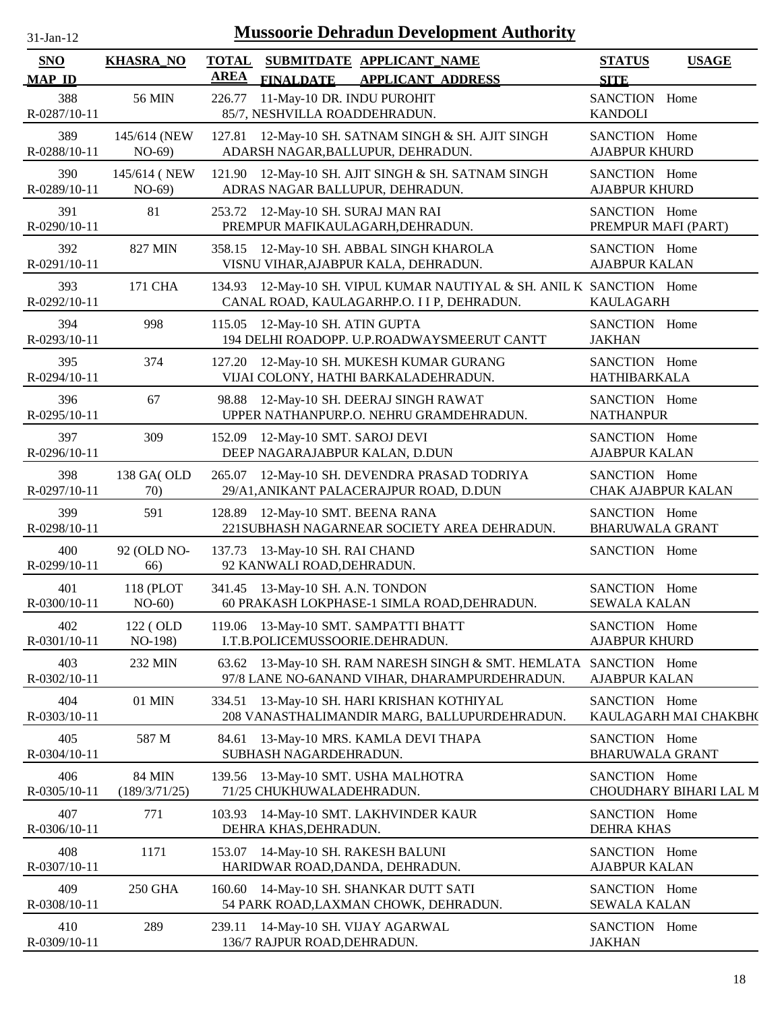| -.ian- |  |
|--------|--|
|        |  |

| <b>SNO</b>          | <b>KHASRA NO</b>               | <b>TOTAL</b> |                                                              | SUBMITDATE APPLICANT_NAME                                                                                    | <b>STATUS</b>                              | <b>USAGE</b>           |
|---------------------|--------------------------------|--------------|--------------------------------------------------------------|--------------------------------------------------------------------------------------------------------------|--------------------------------------------|------------------------|
| <b>MAP ID</b>       |                                | <b>AREA</b>  | <b>FINALDATE</b>                                             | <b>APPLICANT ADDRESS</b>                                                                                     | <b>SITE</b>                                |                        |
| 388<br>R-0287/10-11 | 56 MIN                         | 226.77       | 11-May-10 DR. INDU PUROHIT<br>85/7, NESHVILLA ROADDEHRADUN.  |                                                                                                              | SANCTION Home<br><b>KANDOLI</b>            |                        |
| 389<br>R-0288/10-11 | 145/614 (NEW<br>$NO-69)$       |              |                                                              | 127.81 12-May-10 SH. SATNAM SINGH & SH. AJIT SINGH<br>ADARSH NAGAR, BALLUPUR, DEHRADUN.                      | SANCTION Home<br><b>AJABPUR KHURD</b>      |                        |
| 390<br>R-0289/10-11 | 145/614 (NEW<br>$NO-69)$       | 121.90       |                                                              | 12-May-10 SH. AJIT SINGH & SH. SATNAM SINGH<br>ADRAS NAGAR BALLUPUR, DEHRADUN.                               | SANCTION Home<br><b>AJABPUR KHURD</b>      |                        |
| 391<br>R-0290/10-11 | 81                             |              |                                                              | 253.72 12-May-10 SH. SURAJ MAN RAI<br>PREMPUR MAFIKAULAGARH, DEHRADUN.                                       | SANCTION Home<br>PREMPUR MAFI (PART)       |                        |
| 392<br>R-0291/10-11 | 827 MIN                        | 358.15       |                                                              | 12-May-10 SH. ABBAL SINGH KHAROLA<br>VISNU VIHAR, AJABPUR KALA, DEHRADUN.                                    | SANCTION Home<br><b>AJABPUR KALAN</b>      |                        |
| 393<br>R-0292/10-11 | 171 CHA                        | 134.93       |                                                              | 12-May-10 SH. VIPUL KUMAR NAUTIYAL & SH. ANIL K SANCTION Home<br>CANAL ROAD, KAULAGARHP.O. I I P, DEHRADUN.  | <b>KAULAGARH</b>                           |                        |
| 394<br>R-0293/10-11 | 998                            | 115.05       | 12-May-10 SH. ATIN GUPTA                                     | 194 DELHI ROADOPP. U.P.ROADWAYSMEERUT CANTT                                                                  | SANCTION Home<br><b>JAKHAN</b>             |                        |
| 395<br>R-0294/10-11 | 374                            |              |                                                              | 127.20 12-May-10 SH. MUKESH KUMAR GURANG<br>VIJAI COLONY, HATHI BARKALADEHRADUN.                             | SANCTION Home<br>HATHIBARKALA              |                        |
| 396<br>R-0295/10-11 | 67                             | 98.88        |                                                              | 12-May-10 SH. DEERAJ SINGH RAWAT<br>UPPER NATHANPURP.O. NEHRU GRAMDEHRADUN.                                  | SANCTION Home<br><b>NATHANPUR</b>          |                        |
| 397<br>R-0296/10-11 | 309                            |              | 152.09 12-May-10 SMT. SAROJ DEVI                             | DEEP NAGARAJABPUR KALAN, D.DUN                                                                               | SANCTION Home<br><b>AJABPUR KALAN</b>      |                        |
| 398<br>R-0297/10-11 | 138 GA(OLD<br>70)              | 265.07       |                                                              | 12-May-10 SH. DEVENDRA PRASAD TODRIYA<br>29/A1, ANIKANT PALACERAJPUR ROAD, D.DUN                             | SANCTION Home<br><b>CHAK AJABPUR KALAN</b> |                        |
| 399<br>R-0298/10-11 | 591                            |              | 128.89 12-May-10 SMT. BEENA RANA                             | 221SUBHASH NAGARNEAR SOCIETY AREA DEHRADUN.                                                                  | SANCTION Home<br><b>BHARUWALA GRANT</b>    |                        |
| 400<br>R-0299/10-11 | 92 (OLD NO-<br>66)             |              | 137.73 13-May-10 SH. RAI CHAND<br>92 KANWALI ROAD, DEHRADUN. |                                                                                                              | SANCTION Home                              |                        |
| 401<br>R-0300/10-11 | 118 (PLOT<br>$NO-60$           |              | 341.45 13-May-10 SH. A.N. TONDON                             | 60 PRAKASH LOKPHASE-1 SIMLA ROAD, DEHRADUN.                                                                  | SANCTION Home<br><b>SEWALA KALAN</b>       |                        |
| 402<br>R-0301/10-11 | 122 (OLD<br>NO-198)            |              |                                                              | 119.06 13-May-10 SMT. SAMPATTI BHATT<br>I.T.B.POLICEMUSSOORIE.DEHRADUN.                                      | SANCTION Home<br><b>AJABPUR KHURD</b>      |                        |
| 403<br>R-0302/10-11 | 232 MIN                        | 63.62        |                                                              | 13-May-10 SH. RAM NARESH SINGH & SMT. HEMLATA SANCTION Home<br>97/8 LANE NO-6ANAND VIHAR, DHARAMPURDEHRADUN. | <b>AJABPUR KALAN</b>                       |                        |
| 404<br>R-0303/10-11 | 01 MIN                         | 334.51       |                                                              | 13-May-10 SH. HARI KRISHAN KOTHIYAL<br>208 VANASTHALIMANDIR MARG, BALLUPURDEHRADUN.                          | SANCTION Home                              | KAULAGARH MAI CHAKBH(  |
| 405<br>R-0304/10-11 | 587 M                          | 84.61        | SUBHASH NAGARDEHRADUN.                                       | 13-May-10 MRS. KAMLA DEVI THAPA                                                                              | SANCTION Home<br><b>BHARUWALA GRANT</b>    |                        |
| 406<br>R-0305/10-11 | <b>84 MIN</b><br>(189/3/71/25) | 139.56       | 71/25 CHUKHUWALADEHRADUN.                                    | 13-May-10 SMT. USHA MALHOTRA                                                                                 | SANCTION Home                              | CHOUDHARY BIHARI LAL M |
| 407<br>R-0306/10-11 | 771                            | 103.93       | DEHRA KHAS, DEHRADUN.                                        | 14-May-10 SMT. LAKHVINDER KAUR                                                                               | SANCTION Home<br><b>DEHRA KHAS</b>         |                        |
| 408<br>R-0307/10-11 | 1171                           | 153.07       |                                                              | 14-May-10 SH. RAKESH BALUNI<br>HARIDWAR ROAD, DANDA, DEHRADUN.                                               | SANCTION Home<br>AJABPUR KALAN             |                        |
| 409<br>R-0308/10-11 | 250 GHA                        | 160.60       |                                                              | 14-May-10 SH. SHANKAR DUTT SATI<br>54 PARK ROAD, LAXMAN CHOWK, DEHRADUN.                                     | SANCTION Home<br><b>SEWALA KALAN</b>       |                        |
| 410<br>R-0309/10-11 | 289                            | 239.11       | 136/7 RAJPUR ROAD, DEHRADUN.                                 | 14-May-10 SH. VIJAY AGARWAL                                                                                  | SANCTION Home<br><b>JAKHAN</b>             |                        |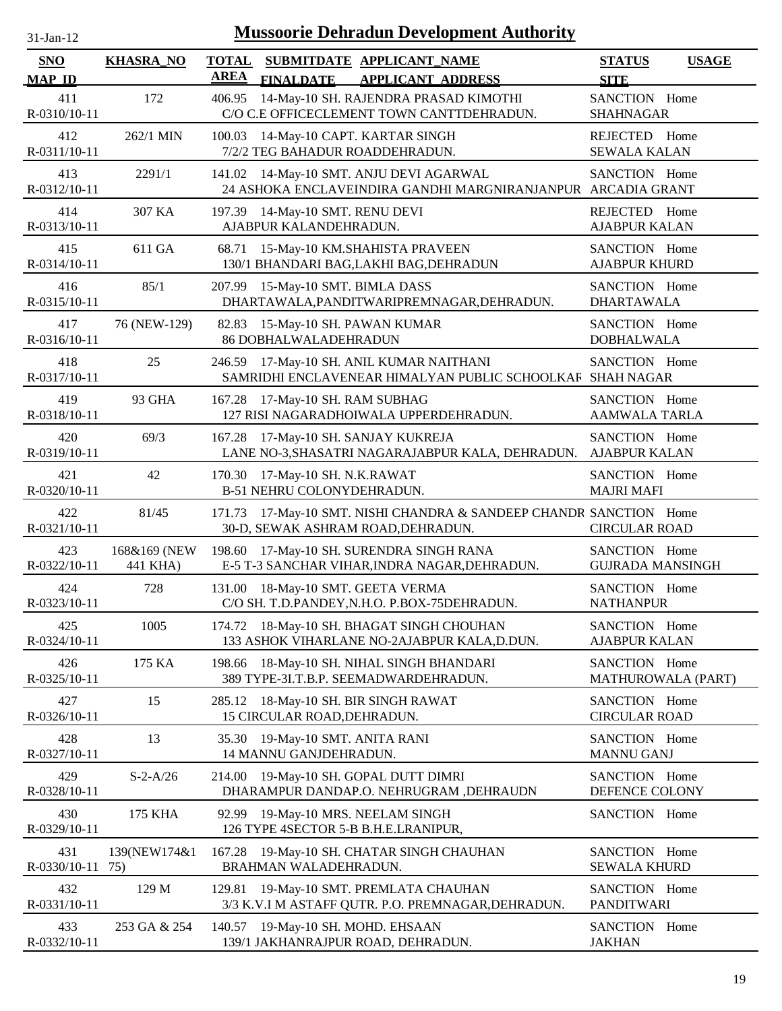| <b>Mussoorie Dehradun Development Authority</b><br>$31-Jan-12$ |                          |                                                                                                             |                                              |  |  |  |
|----------------------------------------------------------------|--------------------------|-------------------------------------------------------------------------------------------------------------|----------------------------------------------|--|--|--|
| <b>SNO</b><br><b>MAP ID</b>                                    | <b>KHASRA_NO</b>         | <b>TOTAL</b><br>SUBMITDATE APPLICANT_NAME<br><b>AREA</b><br><b>APPLICANT ADDRESS</b><br><b>FINALDATE</b>    | <b>STATUS</b><br><b>USAGE</b><br><b>SITE</b> |  |  |  |
| 411<br>R-0310/10-11                                            | 172                      | 14-May-10 SH. RAJENDRA PRASAD KIMOTHI<br>406.95<br>C/O C.E OFFICECLEMENT TOWN CANTTDEHRADUN.                | SANCTION Home<br><b>SHAHNAGAR</b>            |  |  |  |
| 412<br>R-0311/10-11                                            | 262/1 MIN                | 100.03<br>14-May-10 CAPT. KARTAR SINGH<br>7/2/2 TEG BAHADUR ROADDEHRADUN.                                   | REJECTED Home<br><b>SEWALA KALAN</b>         |  |  |  |
| 413<br>R-0312/10-11                                            | 2291/1                   | 141.02 14-May-10 SMT. ANJU DEVI AGARWAL<br>24 ASHOKA ENCLAVEINDIRA GANDHI MARGNIRANJANPUR ARCADIA GRANT     | SANCTION Home                                |  |  |  |
| 414<br>R-0313/10-11                                            | 307 KA                   | 14-May-10 SMT. RENU DEVI<br>197.39<br>AJABPUR KALANDEHRADUN.                                                | REJECTED<br>Home<br><b>AJABPUR KALAN</b>     |  |  |  |
| 415<br>R-0314/10-11                                            | 611 GA                   | 15-May-10 KM.SHAHISTA PRAVEEN<br>68.71<br>130/1 BHANDARI BAG, LAKHI BAG, DEHRADUN                           | SANCTION Home<br><b>AJABPUR KHURD</b>        |  |  |  |
| 416<br>R-0315/10-11                                            | 85/1                     | 207.99<br>15-May-10 SMT. BIMLA DASS<br>DHARTAWALA, PANDITWARIPREMNAGAR, DEHRADUN.                           | SANCTION Home<br><b>DHARTAWALA</b>           |  |  |  |
| 417<br>R-0316/10-11                                            | 76 (NEW-129)             | 82.83<br>15-May-10 SH. PAWAN KUMAR<br><b>86 DOBHALWALADEHRADUN</b>                                          | SANCTION Home<br><b>DOBHALWALA</b>           |  |  |  |
| 418<br>R-0317/10-11                                            | 25                       | 17-May-10 SH. ANIL KUMAR NAITHANI<br>246.59<br>SAMRIDHI ENCLAVENEAR HIMALYAN PUBLIC SCHOOLKAR               | SANCTION Home<br><b>SHAH NAGAR</b>           |  |  |  |
| 419<br>R-0318/10-11                                            | 93 GHA                   | 17-May-10 SH. RAM SUBHAG<br>167.28<br>127 RISI NAGARADHOIWALA UPPERDEHRADUN.                                | SANCTION Home<br><b>AAMWALA TARLA</b>        |  |  |  |
| 420<br>R-0319/10-11                                            | 69/3                     | 17-May-10 SH. SANJAY KUKREJA<br>167.28<br>LANE NO-3, SHASATRI NAGARAJABPUR KALA, DEHRADUN.                  | SANCTION Home<br><b>AJABPUR KALAN</b>        |  |  |  |
| 421<br>R-0320/10-11                                            | 42                       | 170.30<br>17-May-10 SH. N.K.RAWAT<br>B-51 NEHRU COLONYDEHRADUN.                                             | SANCTION Home<br><b>MAJRI MAFI</b>           |  |  |  |
| 422<br>R-0321/10-11                                            | 81/45                    | 17-May-10 SMT. NISHI CHANDRA & SANDEEP CHANDR SANCTION Home<br>171.73<br>30-D, SEWAK ASHRAM ROAD, DEHRADUN. | <b>CIRCULAR ROAD</b>                         |  |  |  |
| 423<br>R-0322/10-11                                            | 168&169 (NEW<br>441 KHA) | 198.60<br>17-May-10 SH. SURENDRA SINGH RANA<br>E-5 T-3 SANCHAR VIHAR, INDRA NAGAR, DEHRADUN.                | SANCTION Home<br><b>GUJRADA MANSINGH</b>     |  |  |  |
| 424<br>R-0323/10-11                                            | 728                      | 131.00 18-May-10 SMT. GEETA VERMA<br>C/O SH. T.D.PANDEY, N.H.O. P.BOX-75DEHRADUN.                           | SANCTION Home<br><b>NATHANPUR</b>            |  |  |  |
| 425<br>R-0324/10-11                                            | 1005                     | 174.72 18-May-10 SH. BHAGAT SINGH CHOUHAN<br>133 ASHOK VIHARLANE NO-2AJABPUR KALA, D.DUN.                   | SANCTION Home<br><b>AJABPUR KALAN</b>        |  |  |  |
| 426<br>R-0325/10-11                                            | 175 KA                   | 198.66<br>18-May-10 SH. NIHAL SINGH BHANDARI<br>389 TYPE-3I.T.B.P. SEEMADWARDEHRADUN.                       | SANCTION Home<br>MATHUROWALA (PART)          |  |  |  |
| 427<br>R-0326/10-11                                            | 15                       | 18-May-10 SH. BIR SINGH RAWAT<br>285.12<br>15 CIRCULAR ROAD, DEHRADUN.                                      | SANCTION Home<br><b>CIRCULAR ROAD</b>        |  |  |  |
| 428<br>R-0327/10-11                                            | 13                       | 19-May-10 SMT. ANITA RANI<br>35.30<br>14 MANNU GANJDEHRADUN.                                                | SANCTION Home<br><b>MANNU GANJ</b>           |  |  |  |
| 429<br>R-0328/10-11                                            | $S - 2 - A/26$           | 19-May-10 SH. GOPAL DUTT DIMRI<br>214.00<br>DHARAMPUR DANDAP.O. NEHRUGRAM, DEHRAUDN                         | SANCTION Home<br>DEFENCE COLONY              |  |  |  |
| 430<br>R-0329/10-11                                            | 175 KHA                  | 19-May-10 MRS. NEELAM SINGH<br>92.99<br>126 TYPE 4SECTOR 5-B B.H.E.LRANIPUR,                                | SANCTION Home                                |  |  |  |
| 431<br>R-0330/10-11                                            | 139(NEW174&1<br>75)      | 19-May-10 SH. CHATAR SINGH CHAUHAN<br>167.28<br>BRAHMAN WALADEHRADUN.                                       | SANCTION Home<br><b>SEWALA KHURD</b>         |  |  |  |
| 432<br>R-0331/10-11                                            | 129 M                    | 19-May-10 SMT. PREMLATA CHAUHAN<br>129.81<br>3/3 K.V.I M ASTAFF QUTR. P.O. PREMNAGAR, DEHRADUN.             | SANCTION Home<br><b>PANDITWARI</b>           |  |  |  |
| 433<br>R-0332/10-11                                            | 253 GA & 254             | 19-May-10 SH. MOHD. EHSAAN<br>140.57<br>139/1 JAKHANRAJPUR ROAD, DEHRADUN.                                  | SANCTION Home<br><b>JAKHAN</b>               |  |  |  |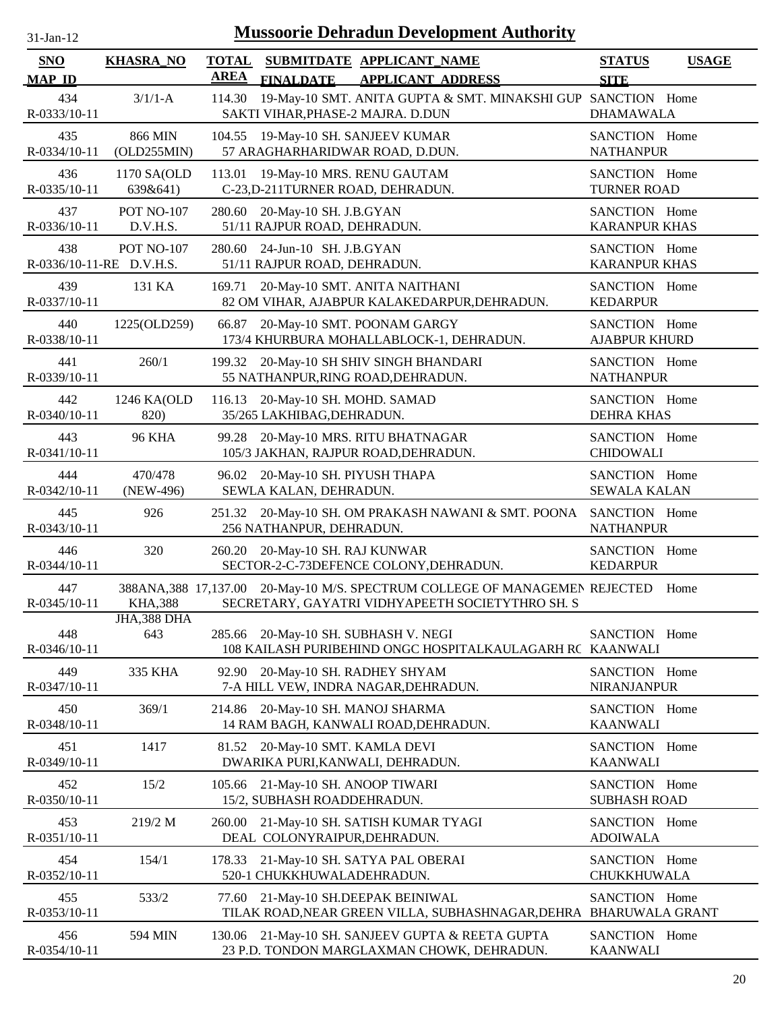| $31$ -Jan-12 |  |
|--------------|--|

| <b>SNO</b><br><b>MAP ID</b> | <b>KHASRA_NO</b>                              | <b>TOTAL</b><br>SUBMITDATE APPLICANT NAME<br><b>AREA</b><br><b>FINALDATE</b>                                                          | <b>APPLICANT ADDRESS</b>                                     | <b>STATUS</b><br><b>SITE</b>            | <b>USAGE</b> |
|-----------------------------|-----------------------------------------------|---------------------------------------------------------------------------------------------------------------------------------------|--------------------------------------------------------------|-----------------------------------------|--------------|
| 434<br>R-0333/10-11         | $3/1/1-A$                                     | 114.30<br>SAKTI VIHAR, PHASE-2 MAJRA. D.DUN                                                                                           | 19-May-10 SMT. ANITA GUPTA & SMT. MINAKSHI GUP SANCTION Home | <b>DHAMAWALA</b>                        |              |
| 435<br>R-0334/10-11         | 866 MIN<br>(OLD255MIN)                        | 104.55 19-May-10 SH. SANJEEV KUMAR<br>57 ARAGHARHARIDWAR ROAD, D.DUN.                                                                 |                                                              | SANCTION Home<br><b>NATHANPUR</b>       |              |
| 436<br>R-0335/10-11         | 1170 SA(OLD<br>639&641)                       | 113.01<br>19-May-10 MRS. RENU GAUTAM<br>C-23, D-211 TURNER ROAD, DEHRADUN.                                                            |                                                              | SANCTION Home<br><b>TURNER ROAD</b>     |              |
| 437<br>R-0336/10-11         | <b>POT NO-107</b><br>D.V.H.S.                 | 280.60<br>20-May-10 SH. J.B.GYAN<br>51/11 RAJPUR ROAD, DEHRADUN.                                                                      |                                                              | SANCTION Home<br><b>KARANPUR KHAS</b>   |              |
| 438                         | <b>POT NO-107</b><br>R-0336/10-11-RE D.V.H.S. | 280.60 24-Jun-10 SH. J.B.GYAN<br>51/11 RAJPUR ROAD, DEHRADUN.                                                                         |                                                              | SANCTION Home<br><b>KARANPUR KHAS</b>   |              |
| 439<br>R-0337/10-11         | 131 KA                                        | 169.71 20-May-10 SMT. ANITA NAITHANI<br>82 OM VIHAR, AJABPUR KALAKEDARPUR, DEHRADUN.                                                  |                                                              | SANCTION Home<br><b>KEDARPUR</b>        |              |
| 440<br>R-0338/10-11         | 1225(OLD259)                                  | 66.87 20-May-10 SMT. POONAM GARGY<br>173/4 KHURBURA MOHALLABLOCK-1, DEHRADUN.                                                         |                                                              | SANCTION Home<br><b>AJABPUR KHURD</b>   |              |
| 441<br>R-0339/10-11         | 260/1                                         | 20-May-10 SH SHIV SINGH BHANDARI<br>199.32<br>55 NATHANPUR, RING ROAD, DEHRADUN.                                                      |                                                              | SANCTION Home<br><b>NATHANPUR</b>       |              |
| 442<br>R-0340/10-11         | 1246 KA(OLD<br>820)                           | 116.13<br>20-May-10 SH. MOHD. SAMAD<br>35/265 LAKHIBAG, DEHRADUN.                                                                     |                                                              | SANCTION Home<br><b>DEHRA KHAS</b>      |              |
| 443<br>R-0341/10-11         | <b>96 KHA</b>                                 | 20-May-10 MRS. RITU BHATNAGAR<br>99.28<br>105/3 JAKHAN, RAJPUR ROAD, DEHRADUN.                                                        |                                                              | SANCTION Home<br><b>CHIDOWALI</b>       |              |
| 444<br>R-0342/10-11         | 470/478<br>(NEW-496)                          | 96.02<br>20-May-10 SH. PIYUSH THAPA<br>SEWLA KALAN, DEHRADUN.                                                                         |                                                              | SANCTION Home<br><b>SEWALA KALAN</b>    |              |
| 445<br>R-0343/10-11         | 926                                           | 251.32 20-May-10 SH. OM PRAKASH NAWANI & SMT. POONA<br>256 NATHANPUR, DEHRADUN.                                                       |                                                              | SANCTION Home<br><b>NATHANPUR</b>       |              |
| 446<br>R-0344/10-11         | 320                                           | 260.20 20-May-10 SH. RAJ KUNWAR<br>SECTOR-2-C-73DEFENCE COLONY, DEHRADUN.                                                             |                                                              | SANCTION Home<br><b>KEDARPUR</b>        |              |
| 447<br>R-0345/10-11         | <b>KHA,388</b>                                | 388ANA, 388 17, 137.00 20-May-10 M/S. SPECTRUM COLLEGE OF MANAGEMEN REJECTED Home<br>SECRETARY, GAYATRI VIDHYAPEETH SOCIETYTHRO SH. S |                                                              |                                         |              |
| 448<br>R-0346/10-11         | JHA,388 DHA<br>643                            | 20-May-10 SH. SUBHASH V. NEGI<br>285.66<br>108 KAILASH PURIBEHIND ONGC HOSPITALKAULAGARH RC KAANWALI                                  |                                                              | SANCTION Home                           |              |
| 449<br>R-0347/10-11         | 335 KHA                                       | 20-May-10 SH. RADHEY SHYAM<br>92.90<br>7-A HILL VEW, INDRA NAGAR, DEHRADUN.                                                           |                                                              | SANCTION Home<br><b>NIRANJANPUR</b>     |              |
| 450<br>R-0348/10-11         | 369/1                                         | 20-May-10 SH. MANOJ SHARMA<br>214.86<br>14 RAM BAGH, KANWALI ROAD, DEHRADUN.                                                          |                                                              | SANCTION Home<br><b>KAANWALI</b>        |              |
| 451<br>R-0349/10-11         | 1417                                          | 81.52 20-May-10 SMT. KAMLA DEVI<br>DWARIKA PURI, KANWALI, DEHRADUN.                                                                   |                                                              | SANCTION Home<br><b>KAANWALI</b>        |              |
| 452<br>R-0350/10-11         | 15/2                                          | 105.66 21-May-10 SH. ANOOP TIWARI<br>15/2, SUBHASH ROADDEHRADUN.                                                                      |                                                              | SANCTION Home<br><b>SUBHASH ROAD</b>    |              |
| 453<br>R-0351/10-11         | 219/2 M                                       | 21-May-10 SH. SATISH KUMAR TYAGI<br>260.00<br>DEAL COLONYRAIPUR, DEHRADUN.                                                            |                                                              | SANCTION Home<br><b>ADOIWALA</b>        |              |
| 454<br>R-0352/10-11         | 154/1                                         | 21-May-10 SH. SATYA PAL OBERAI<br>178.33<br>520-1 CHUKKHUWALADEHRADUN.                                                                |                                                              | SANCTION Home<br>CHUKKHUWALA            |              |
| 455<br>R-0353/10-11         | 533/2                                         | 21-May-10 SH.DEEPAK BEINIWAL<br>77.60<br>TILAK ROAD, NEAR GREEN VILLA, SUBHASHNAGAR, DEHRA                                            |                                                              | SANCTION Home<br><b>BHARUWALA GRANT</b> |              |
| 456<br>R-0354/10-11         | 594 MIN                                       | 21-May-10 SH. SANJEEV GUPTA & REETA GUPTA<br>130.06<br>23 P.D. TONDON MARGLAXMAN CHOWK, DEHRADUN.                                     |                                                              | SANCTION Home<br><b>KAANWALI</b>        |              |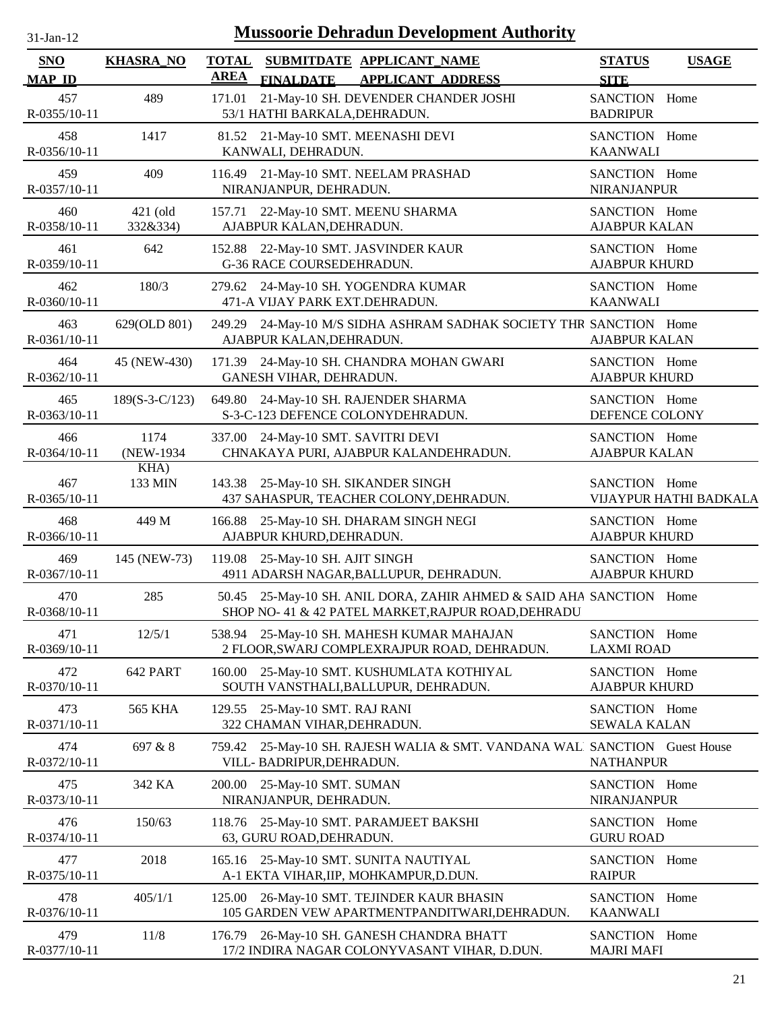| 31-Jan-12                   |                      |                             | <b>Mussoorie Dehradun Development Authority</b>                                                                            |                                       |                        |
|-----------------------------|----------------------|-----------------------------|----------------------------------------------------------------------------------------------------------------------------|---------------------------------------|------------------------|
| <b>SNO</b><br><b>MAP ID</b> | <b>KHASRA_NO</b>     | <b>TOTAL</b><br><b>AREA</b> | SUBMITDATE APPLICANT NAME<br><b>FINALDATE</b><br><b>APPLICANT ADDRESS</b>                                                  | <b>STATUS</b><br><b>SITE</b>          | <b>USAGE</b>           |
| 457<br>R-0355/10-11         | 489                  | 171.01                      | 21-May-10 SH. DEVENDER CHANDER JOSHI<br>53/1 HATHI BARKALA, DEHRADUN.                                                      | SANCTION Home<br><b>BADRIPUR</b>      |                        |
| 458<br>R-0356/10-11         | 1417                 |                             | 81.52 21-May-10 SMT. MEENASHI DEVI<br>KANWALI, DEHRADUN.                                                                   | SANCTION Home<br><b>KAANWALI</b>      |                        |
| 459<br>R-0357/10-11         | 409                  |                             | 116.49 21-May-10 SMT. NEELAM PRASHAD<br>NIRANJANPUR, DEHRADUN.                                                             | SANCTION Home<br>NIRANJANPUR          |                        |
| 460<br>R-0358/10-11         | 421 (old<br>332&334) |                             | 157.71 22-May-10 SMT. MEENU SHARMA<br>AJABPUR KALAN, DEHRADUN.                                                             | SANCTION Home<br><b>AJABPUR KALAN</b> |                        |
| 461<br>R-0359/10-11         | 642                  |                             | 152.88 22-May-10 SMT. JASVINDER KAUR<br>G-36 RACE COURSEDEHRADUN.                                                          | SANCTION Home<br><b>AJABPUR KHURD</b> |                        |
| 462<br>R-0360/10-11         | 180/3                |                             | 279.62 24-May-10 SH. YOGENDRA KUMAR<br>471-A VIJAY PARK EXT.DEHRADUN.                                                      | SANCTION Home<br><b>KAANWALI</b>      |                        |
| 463<br>R-0361/10-11         | 629(OLD 801)         |                             | 249.29 24-May-10 M/S SIDHA ASHRAM SADHAK SOCIETY THR SANCTION Home<br>AJABPUR KALAN, DEHRADUN.                             | <b>AJABPUR KALAN</b>                  |                        |
| 464<br>R-0362/10-11         | 45 (NEW-430)         |                             | 171.39 24-May-10 SH. CHANDRA MOHAN GWARI<br>GANESH VIHAR, DEHRADUN.                                                        | SANCTION Home<br><b>AJABPUR KHURD</b> |                        |
| 465<br>R-0363/10-11         | $189(S-3-C/123)$     |                             | 649.80 24-May-10 SH. RAJENDER SHARMA<br>S-3-C-123 DEFENCE COLONYDEHRADUN.                                                  | SANCTION Home<br>DEFENCE COLONY       |                        |
| 466<br>R-0364/10-11         | 1174<br>(NEW-1934)   |                             | 337.00 24-May-10 SMT. SAVITRI DEVI<br>CHNAKAYA PURI, AJABPUR KALANDEHRADUN.                                                | SANCTION Home<br><b>AJABPUR KALAN</b> |                        |
| 467<br>R-0365/10-11         | KHA)<br>133 MIN      |                             | 143.38 25-May-10 SH. SIKANDER SINGH<br>437 SAHASPUR, TEACHER COLONY, DEHRADUN.                                             | SANCTION Home                         | VIJAYPUR HATHI BADKALA |
| 468<br>R-0366/10-11         | 449 M                |                             | 166.88 25-May-10 SH. DHARAM SINGH NEGI<br>AJABPUR KHURD, DEHRADUN.                                                         | SANCTION Home<br><b>AJABPUR KHURD</b> |                        |
| 469<br>R-0367/10-11         | 145 (NEW-73)         |                             | 119.08 25-May-10 SH. AJIT SINGH<br>4911 ADARSH NAGAR, BALLUPUR, DEHRADUN.                                                  | SANCTION Home<br><b>AJABPUR KHURD</b> |                        |
| 470<br>R-0368/10-11         | 285                  |                             | 50.45 25-May-10 SH. ANIL DORA, ZAHIR AHMED & SAID AHA SANCTION Home<br>SHOP NO- 41 & 42 PATEL MARKET, RAJPUR ROAD, DEHRADU |                                       |                        |
| 471<br>R-0369/10-11         | 12/5/1               |                             | 538.94 25-May-10 SH. MAHESH KUMAR MAHAJAN<br>2 FLOOR, SWARJ COMPLEXRAJPUR ROAD, DEHRADUN.                                  | SANCTION Home<br><b>LAXMI ROAD</b>    |                        |
| 472<br>R-0370/10-11         | 642 PART             |                             | 160.00 25-May-10 SMT. KUSHUMLATA KOTHIYAL<br>SOUTH VANSTHALI, BALLUPUR, DEHRADUN.                                          | SANCTION Home<br><b>AJABPUR KHURD</b> |                        |
| 473<br>R-0371/10-11         | 565 KHA              |                             | 129.55 25-May-10 SMT. RAJ RANI<br>322 CHAMAN VIHAR, DEHRADUN.                                                              | SANCTION Home<br><b>SEWALA KALAN</b>  |                        |
| 474<br>R-0372/10-11         | 697 & 8              |                             | 759.42 25-May-10 SH. RAJESH WALIA & SMT. VANDANA WAL SANCTION Guest House<br>VILL- BADRIPUR, DEHRADUN.                     | <b>NATHANPUR</b>                      |                        |
| 475<br>R-0373/10-11         | 342 KA               |                             | 200.00 25-May-10 SMT. SUMAN<br>NIRANJANPUR, DEHRADUN.                                                                      | SANCTION Home<br>NIRANJANPUR          |                        |
| 476<br>R-0374/10-11         | 150/63               |                             | 118.76 25-May-10 SMT. PARAMJEET BAKSHI<br>63, GURU ROAD, DEHRADUN.                                                         | SANCTION Home<br><b>GURU ROAD</b>     |                        |
| 477<br>R-0375/10-11         | 2018                 |                             | 165.16 25-May-10 SMT. SUNITA NAUTIYAL<br>A-1 EKTA VIHAR, IIP, MOHKAMPUR, D.DUN.                                            | SANCTION Home<br><b>RAIPUR</b>        |                        |
| 478<br>R-0376/10-11         | 405/1/1              |                             | 125.00 26-May-10 SMT. TEJINDER KAUR BHASIN<br>105 GARDEN VEW APARTMENTPANDITWARI, DEHRADUN.                                | SANCTION Home<br><b>KAANWALI</b>      |                        |
| 479<br>R-0377/10-11         | 11/8                 |                             | 176.79 26-May-10 SH. GANESH CHANDRA BHATT<br>17/2 INDIRA NAGAR COLONYVASANT VIHAR, D.DUN.                                  | SANCTION Home<br><b>MAJRI MAFI</b>    |                        |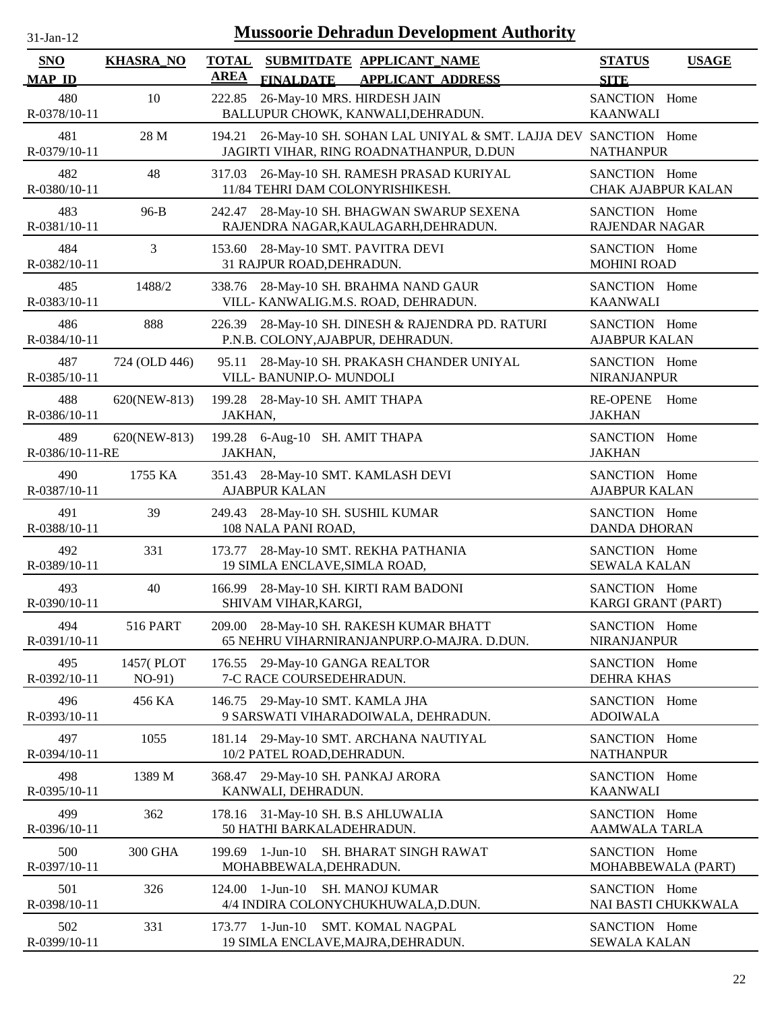| $31-Jan-12$                 |                       | <b>Mussoorie Dehradun Development Authority</b>                                                                     |                                              |
|-----------------------------|-----------------------|---------------------------------------------------------------------------------------------------------------------|----------------------------------------------|
| <b>SNO</b><br><b>MAP ID</b> | <b>KHASRA_NO</b>      | <b>TOTAL</b><br>SUBMITDATE APPLICANT_NAME<br><b>AREA</b><br><b>FINALDATE</b><br><b>APPLICANT ADDRESS</b>            | <b>STATUS</b><br><b>USAGE</b><br><b>SITE</b> |
| 480<br>R-0378/10-11         | 10                    | 26-May-10 MRS. HIRDESH JAIN<br>222.85<br>BALLUPUR CHOWK, KANWALI, DEHRADUN.                                         | SANCTION Home<br><b>KAANWALI</b>             |
| 481<br>R-0379/10-11         | 28 M                  | 194.21<br>26-May-10 SH. SOHAN LAL UNIYAL & SMT. LAJJA DEV SANCTION Home<br>JAGIRTI VIHAR, RING ROADNATHANPUR, D.DUN | <b>NATHANPUR</b>                             |
| 482<br>R-0380/10-11         | 48                    | 26-May-10 SH. RAMESH PRASAD KURIYAL<br>317.03<br>11/84 TEHRI DAM COLONYRISHIKESH.                                   | SANCTION Home<br><b>CHAK AJABPUR KALAN</b>   |
| 483<br>R-0381/10-11         | $96-B$                | 242.47<br>28-May-10 SH. BHAGWAN SWARUP SEXENA<br>RAJENDRA NAGAR, KAULAGARH, DEHRADUN.                               | SANCTION Home<br>RAJENDAR NAGAR              |
| 484<br>R-0382/10-11         | 3                     | 28-May-10 SMT. PAVITRA DEVI<br>153.60<br>31 RAJPUR ROAD, DEHRADUN.                                                  | SANCTION Home<br><b>MOHINI ROAD</b>          |
| 485<br>R-0383/10-11         | 1488/2                | 338.76<br>28-May-10 SH. BRAHMA NAND GAUR<br>VILL- KANWALIG.M.S. ROAD, DEHRADUN.                                     | SANCTION Home<br><b>KAANWALI</b>             |
| 486<br>R-0384/10-11         | 888                   | 28-May-10 SH. DINESH & RAJENDRA PD. RATURI<br>226.39<br>P.N.B. COLONY, AJABPUR, DEHRADUN.                           | SANCTION Home<br><b>AJABPUR KALAN</b>        |
| 487<br>R-0385/10-11         | 724 (OLD 446)         | 28-May-10 SH. PRAKASH CHANDER UNIYAL<br>95.11<br>VILL- BANUNIP.O- MUNDOLI                                           | SANCTION Home<br><b>NIRANJANPUR</b>          |
| 488<br>$R - 0386/10 - 11$   | 620(NEW-813)          | 199.28 28-May-10 SH. AMIT THAPA<br>JAKHAN,                                                                          | <b>RE-OPENE</b><br>Home<br><b>JAKHAN</b>     |
| 489<br>R-0386/10-11-RE      | 620(NEW-813)          | 199.28 6-Aug-10 SH. AMIT THAPA<br>JAKHAN,                                                                           | SANCTION Home<br><b>JAKHAN</b>               |
| 490<br>R-0387/10-11         | 1755 KA               | 28-May-10 SMT. KAMLASH DEVI<br>351.43<br><b>AJABPUR KALAN</b>                                                       | SANCTION Home<br><b>AJABPUR KALAN</b>        |
| 491<br>R-0388/10-11         | 39                    | 249.43 28-May-10 SH. SUSHIL KUMAR<br>108 NALA PANI ROAD,                                                            | SANCTION Home<br><b>DANDA DHORAN</b>         |
| 492<br>R-0389/10-11         | 331                   | 28-May-10 SMT. REKHA PATHANIA<br>173.77<br>19 SIMLA ENCLAVE, SIMLA ROAD,                                            | SANCTION Home<br><b>SEWALA KALAN</b>         |
| 493<br>R-0390/10-11         | 40                    | 166.99 28-May-10 SH. KIRTI RAM BADONI<br>SHIVAM VIHAR, KARGI,                                                       | SANCTION Home<br>KARGI GRANT (PART)          |
| 494<br>R-0391/10-11         | <b>516 PART</b>       | 209.00 28-May-10 SH. RAKESH KUMAR BHATT<br>65 NEHRU VIHARNIRANJANPURP.O-MAJRA. D.DUN.                               | SANCTION Home<br><b>NIRANJANPUR</b>          |
| 495<br>R-0392/10-11         | 1457(PLOT<br>$NO-91)$ | 176.55 29-May-10 GANGA REALTOR<br>7-C RACE COURSEDEHRADUN.                                                          | SANCTION Home<br><b>DEHRA KHAS</b>           |
| 496<br>R-0393/10-11         | 456 KA                | 29-May-10 SMT. KAMLA JHA<br>146.75<br>9 SARSWATI VIHARADOIWALA, DEHRADUN.                                           | SANCTION Home<br><b>ADOIWALA</b>             |
| 497<br>R-0394/10-11         | 1055                  | 29-May-10 SMT. ARCHANA NAUTIYAL<br>181.14<br>10/2 PATEL ROAD, DEHRADUN.                                             | SANCTION Home<br><b>NATHANPUR</b>            |
| 498<br>R-0395/10-11         | 1389 M                | 29-May-10 SH. PANKAJ ARORA<br>368.47<br>KANWALI, DEHRADUN.                                                          | SANCTION Home<br><b>KAANWALI</b>             |
| 499<br>R-0396/10-11         | 362                   | 31-May-10 SH. B.S AHLUWALIA<br>178.16<br>50 HATHI BARKALADEHRADUN.                                                  | SANCTION Home<br>AAMWALA TARLA               |
| 500<br>R-0397/10-11         | 300 GHA               | 199.69 1-Jun-10 SH. BHARAT SINGH RAWAT<br>MOHABBEWALA, DEHRADUN.                                                    | SANCTION Home<br>MOHABBEWALA (PART)          |
| 501<br>R-0398/10-11         | 326                   | $1$ -Jun- $10$<br><b>SH. MANOJ KUMAR</b><br>124.00<br>4/4 INDIRA COLONYCHUKHUWALA, D.DUN.                           | SANCTION Home<br>NAI BASTI CHUKKWALA         |
| 502<br>R-0399/10-11         | 331                   | $173.77$ 1-Jun-10<br><b>SMT. KOMAL NAGPAL</b><br>19 SIMLA ENCLAVE, MAJRA, DEHRADUN.                                 | SANCTION Home<br><b>SEWALA KALAN</b>         |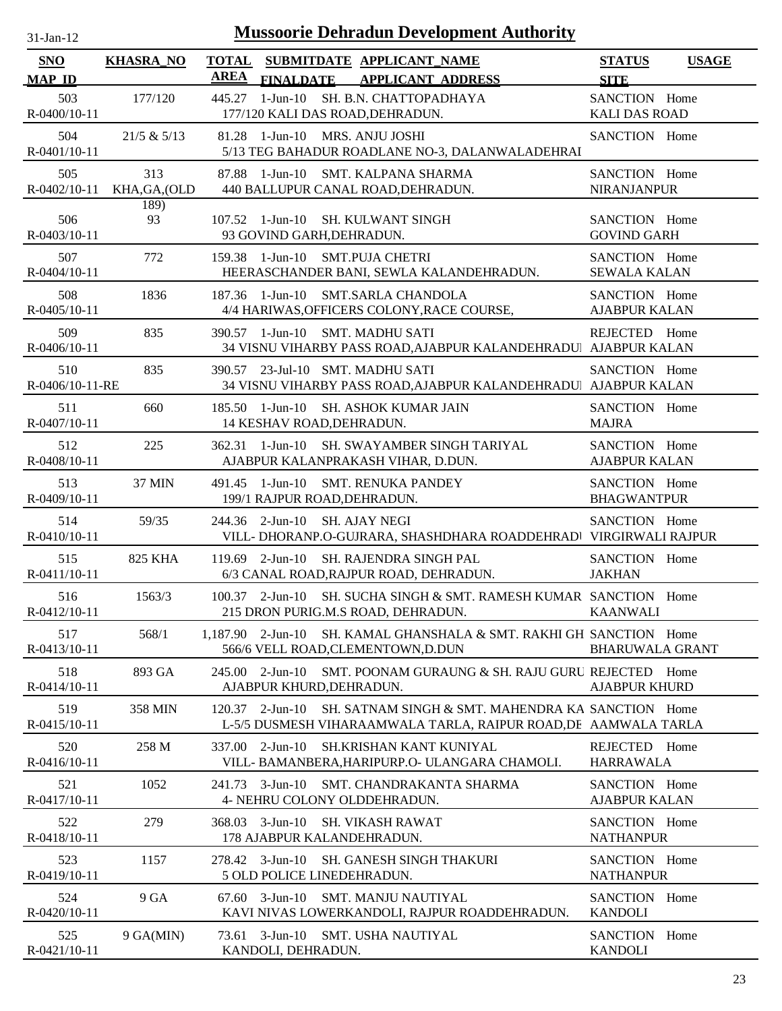| -.ian- |  |
|--------|--|
|        |  |

| <b>SNO</b>             | <b>KHASRA_NO</b>     | <b>TOTAL</b> |                                            | SUBMITDATE APPLICANT NAME                                                                                            | <b>STATUS</b>                         | <b>USAGE</b> |
|------------------------|----------------------|--------------|--------------------------------------------|----------------------------------------------------------------------------------------------------------------------|---------------------------------------|--------------|
| <b>MAP ID</b>          |                      | <b>AREA</b>  | <b>FINALDATE</b>                           | <b>APPLICANT ADDRESS</b>                                                                                             | <b>SITE</b>                           |              |
| 503<br>R-0400/10-11    | 177/120              |              | 177/120 KALI DAS ROAD, DEHRADUN.           | 445.27 1-Jun-10 SH. B.N. CHATTOPADHAYA                                                                               | SANCTION Home<br><b>KALI DAS ROAD</b> |              |
| 504<br>R-0401/10-11    | 21/5 & 5/13          |              | 81.28 1-Jun-10 MRS. ANJU JOSHI             | 5/13 TEG BAHADUR ROADLANE NO-3, DALANWALADEHRAI                                                                      | SANCTION Home                         |              |
| 505<br>R-0402/10-11    | 313<br>KHA, GA, (OLD |              |                                            | 87.88 1-Jun-10 SMT. KALPANA SHARMA<br>440 BALLUPUR CANAL ROAD, DEHRADUN.                                             | SANCTION Home<br><b>NIRANJANPUR</b>   |              |
| 506<br>R-0403/10-11    | 189)<br>93           |              | 93 GOVIND GARH, DEHRADUN.                  | 107.52 1-Jun-10 SH. KULWANT SINGH                                                                                    | SANCTION Home<br><b>GOVIND GARH</b>   |              |
| 507<br>R-0404/10-11    | 772                  |              | 159.38 1-Jun-10 SMT.PUJA CHETRI            | HEERASCHANDER BANI, SEWLA KALANDEHRADUN.                                                                             | SANCTION Home<br><b>SEWALA KALAN</b>  |              |
| 508<br>R-0405/10-11    | 1836                 |              | 187.36 1-Jun-10                            | <b>SMT.SARLA CHANDOLA</b><br>4/4 HARIWAS, OFFICERS COLONY, RACE COURSE,                                              | SANCTION Home<br><b>AJABPUR KALAN</b> |              |
| 509<br>R-0406/10-11    | 835                  |              | 390.57 1-Jun-10 SMT. MADHU SATI            | 34 VISNU VIHARBY PASS ROAD, AJABPUR KALANDEHRADU AJABPUR KALAN                                                       | REJECTED Home                         |              |
| 510<br>R-0406/10-11-RE | 835                  |              | 390.57 23-Jul-10 SMT. MADHU SATI           | 34 VISNU VIHARBY PASS ROAD, AJABPUR KALANDEHRADU AJABPUR KALAN                                                       | SANCTION Home                         |              |
| 511<br>R-0407/10-11    | 660                  |              | 14 KESHAV ROAD, DEHRADUN.                  | 185.50 1-Jun-10 SH. ASHOK KUMAR JAIN                                                                                 | SANCTION Home<br><b>MAJRA</b>         |              |
| 512<br>R-0408/10-11    | 225                  |              |                                            | 362.31 1-Jun-10 SH. SWAYAMBER SINGH TARIYAL<br>AJABPUR KALANPRAKASH VIHAR, D.DUN.                                    | SANCTION Home<br><b>AJABPUR KALAN</b> |              |
| 513<br>R-0409/10-11    | <b>37 MIN</b>        |              | 199/1 RAJPUR ROAD, DEHRADUN.               | 491.45 1-Jun-10 SMT. RENUKA PANDEY                                                                                   | SANCTION Home<br><b>BHAGWANTPUR</b>   |              |
| 514<br>R-0410/10-11    | 59/35                |              | 244.36 2-Jun-10                            | <b>SH. AJAY NEGI</b><br>VILL- DHORANP.O-GUJRARA, SHASHDHARA ROADDEHRAD  VIRGIRWALI RAJPUR                            | SANCTION Home                         |              |
| 515<br>R-0411/10-11    | 825 KHA              |              |                                            | 119.69 2-Jun-10 SH. RAJENDRA SINGH PAL<br>6/3 CANAL ROAD, RAJPUR ROAD, DEHRADUN.                                     | SANCTION Home<br><b>JAKHAN</b>        |              |
| 516<br>R-0412/10-11    | 1563/3               |              |                                            | 100.37 2-Jun-10 SH. SUCHA SINGH & SMT. RAMESH KUMAR SANCTION Home<br>215 DRON PURIG.M.S ROAD, DEHRADUN.              | <b>KAANWALI</b>                       |              |
| 517<br>R-0413/10-11    | 568/1                |              |                                            | 1,187.90 2-Jun-10 SH. KAMAL GHANSHALA & SMT. RAKHI GH SANCTION Home<br>566/6 VELL ROAD, CLEMENTOWN, D.DUN            | <b>BHARUWALA GRANT</b>                |              |
| 518<br>R-0414/10-11    | 893 GA               | 245.00       | $2-Jun-10$<br>AJABPUR KHURD, DEHRADUN.     | SMT. POONAM GURAUNG & SH. RAJU GURU REJECTED Home                                                                    | <b>AJABPUR KHURD</b>                  |              |
| 519<br>R-0415/10-11    | 358 MIN              |              | $120.37$ 2-Jun-10                          | SH. SATNAM SINGH & SMT. MAHENDRA KA SANCTION Home<br>L-5/5 DUSMESH VIHARAAMWALA TARLA, RAIPUR ROAD, DE AAMWALA TARLA |                                       |              |
| 520<br>R-0416/10-11    | 258 M                | 337.00       | $2$ -Jun-10                                | SH.KRISHAN KANT KUNIYAL<br>VILL- BAMANBERA, HARIPURP.O- ULANGARA CHAMOLI.                                            | REJECTED<br><b>HARRAWALA</b>          | Home         |
| 521<br>R-0417/10-11    | 1052                 | 241.73       | $3-Jun-10$<br>4- NEHRU COLONY OLDDEHRADUN. | SMT. CHANDRAKANTA SHARMA                                                                                             | SANCTION Home<br><b>AJABPUR KALAN</b> |              |
| 522<br>R-0418/10-11    | 279                  | 368.03       | $3-Jun-10$<br>178 AJABPUR KALANDEHRADUN.   | <b>SH. VIKASH RAWAT</b>                                                                                              | SANCTION Home<br><b>NATHANPUR</b>     |              |
| 523<br>R-0419/10-11    | 1157                 | 278.42       | $3$ -Jun-10<br>5 OLD POLICE LINEDEHRADUN.  | <b>SH. GANESH SINGH THAKURI</b>                                                                                      | SANCTION Home<br><b>NATHANPUR</b>     |              |
| 524<br>R-0420/10-11    | 9 GA                 | 67.60        | 3-Jun-10                                   | <b>SMT. MANJU NAUTIYAL</b><br>KAVI NIVAS LOWERKANDOLI, RAJPUR ROADDEHRADUN.                                          | SANCTION Home<br><b>KANDOLI</b>       |              |
| 525<br>R-0421/10-11    | 9 GA(MIN)            |              | 73.61 3-Jun-10<br>KANDOLI, DEHRADUN.       | SMT. USHA NAUTIYAL                                                                                                   | SANCTION Home<br><b>KANDOLI</b>       |              |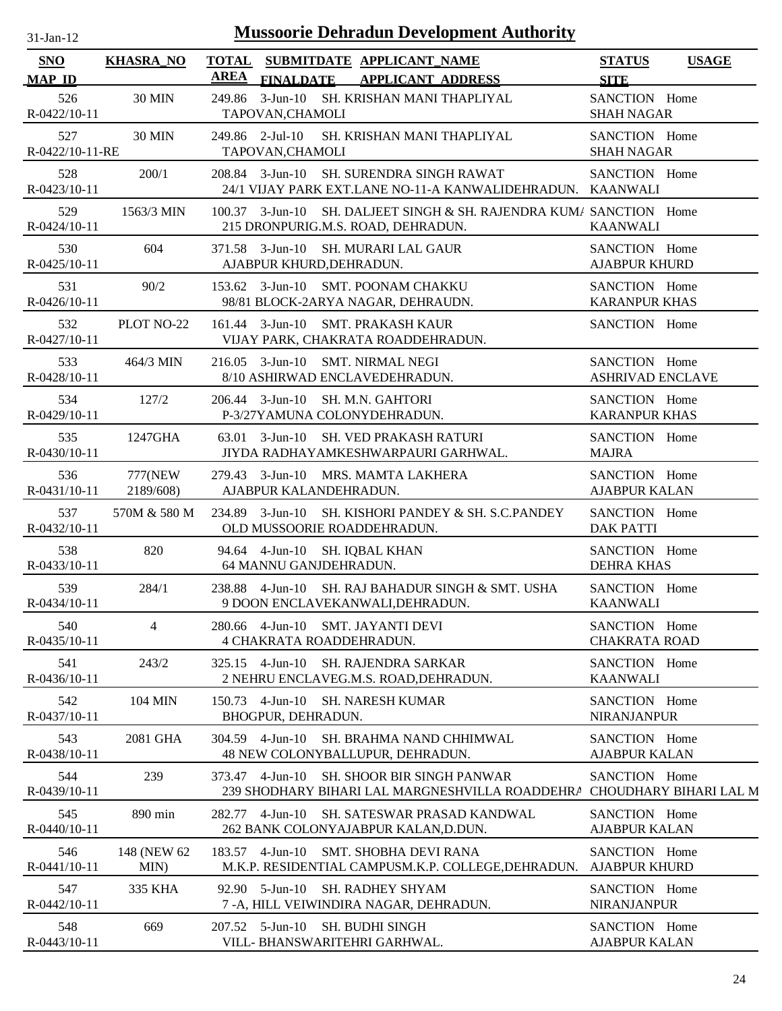| 31-Jan-12 |  |
|-----------|--|
|           |  |

| SNO                    | <b>KHASRA_NO</b>      | <b>TOTAL</b><br>SUBMITDATE APPLICANT_NAME                                                         |                                                                                                             | <b>STATUS</b>                            | <b>USAGE</b> |
|------------------------|-----------------------|---------------------------------------------------------------------------------------------------|-------------------------------------------------------------------------------------------------------------|------------------------------------------|--------------|
| <b>MAP ID</b>          |                       | <b>AREA</b><br><b>FINALDATE</b>                                                                   | <b>APPLICANT ADDRESS</b>                                                                                    | <b>SITE</b>                              |              |
| 526<br>R-0422/10-11    | <b>30 MIN</b>         | 249.86<br>3-Jun-10 SH. KRISHAN MANI THAPLIYAL<br>TAPOVAN, CHAMOLI                                 |                                                                                                             | SANCTION Home<br><b>SHAH NAGAR</b>       |              |
| 527<br>R-0422/10-11-RE | <b>30 MIN</b>         | 249.86 2-Jul-10<br>TAPOVAN, CHAMOLI                                                               | SH. KRISHAN MANI THAPLIYAL                                                                                  | SANCTION Home<br><b>SHAH NAGAR</b>       |              |
| 528<br>R-0423/10-11    | 200/1                 | $208.84$ 3-Jun-10                                                                                 | SH. SURENDRA SINGH RAWAT<br>24/1 VIJAY PARK EXT.LANE NO-11-A KANWALIDEHRADUN. KAANWALI                      | SANCTION Home                            |              |
| 529<br>R-0424/10-11    | 1563/3 MIN            | $100.37$ 3-Jun-10<br>215 DRONPURIG.M.S. ROAD, DEHRADUN.                                           | SH. DALJEET SINGH & SH. RAJENDRA KUM/ SANCTION Home                                                         | <b>KAANWALI</b>                          |              |
| 530<br>$R-0425/10-11$  | 604                   | $371.58$ 3-Jun-10<br>AJABPUR KHURD, DEHRADUN.                                                     | SH. MURARI LAL GAUR                                                                                         | SANCTION Home<br><b>AJABPUR KHURD</b>    |              |
| 531<br>R-0426/10-11    | 90/2                  | 153.62 3-Jun-10 SMT. POONAM CHAKKU<br>98/81 BLOCK-2ARYA NAGAR, DEHRAUDN.                          |                                                                                                             | SANCTION Home<br><b>KARANPUR KHAS</b>    |              |
| 532<br>R-0427/10-11    | PLOT NO-22            | <b>SMT. PRAKASH KAUR</b><br>$161.44$ 3-Jun-10<br>VIJAY PARK, CHAKRATA ROADDEHRADUN.               |                                                                                                             | SANCTION Home                            |              |
| 533<br>R-0428/10-11    | 464/3 MIN             | 216.05 3-Jun-10 SMT. NIRMAL NEGI<br>8/10 ASHIRWAD ENCLAVEDEHRADUN.                                |                                                                                                             | SANCTION Home<br><b>ASHRIVAD ENCLAVE</b> |              |
| 534<br>R-0429/10-11    | 127/2                 | $206.44$ 3-Jun-10<br><b>SH. M.N. GAHTORI</b><br>P-3/27YAMUNA COLONYDEHRADUN.                      |                                                                                                             | SANCTION Home<br><b>KARANPUR KHAS</b>    |              |
| 535<br>R-0430/10-11    | 1247GHA               | $63.01 \quad 3$ -Jun-10<br>JIYDA RADHAYAMKESHWARPAURI GARHWAL.                                    | <b>SH. VED PRAKASH RATURI</b>                                                                               | SANCTION Home<br><b>MAJRA</b>            |              |
| 536<br>R-0431/10-11    | 777(NEW)<br>2189/608) | 279.43 3-Jun-10 MRS. MAMTA LAKHERA<br>AJABPUR KALANDEHRADUN.                                      |                                                                                                             | SANCTION Home<br><b>AJABPUR KALAN</b>    |              |
| 537<br>R-0432/10-11    | 570M & 580 M          | OLD MUSSOORIE ROADDEHRADUN.                                                                       | 234.89 3-Jun-10 SH. KISHORI PANDEY & SH. S.C.PANDEY                                                         | SANCTION Home<br><b>DAK PATTI</b>        |              |
| 538<br>R-0433/10-11    | 820                   | 94.64  4-Jun-10  SH. IQBAL KHAN<br>64 MANNU GANJDEHRADUN.                                         |                                                                                                             | SANCTION Home<br><b>DEHRA KHAS</b>       |              |
| 539<br>R-0434/10-11    | 284/1                 | 238.88 4-Jun-10 SH. RAJ BAHADUR SINGH & SMT. USHA<br>9 DOON ENCLAVEKANWALI, DEHRADUN.             |                                                                                                             | SANCTION Home<br><b>KAANWALI</b>         |              |
| 540<br>R-0435/10-11    | $\overline{4}$        | 280.66 4-Jun-10 SMT. JAYANTI DEVI<br>4 CHAKRATA ROADDEHRADUN.                                     |                                                                                                             | SANCTION Home<br><b>CHAKRATA ROAD</b>    |              |
| 541<br>R-0436/10-11    | 243/2                 | $325.15$ 4-Jun-10<br>2 NEHRU ENCLAVEG.M.S. ROAD, DEHRADUN.                                        | <b>SH. RAJENDRA SARKAR</b>                                                                                  | SANCTION Home<br><b>KAANWALI</b>         |              |
| 542<br>R-0437/10-11    | 104 MIN               | 150.73<br>4-Jun-10<br><b>SH. NARESH KUMAR</b><br>BHOGPUR, DEHRADUN.                               |                                                                                                             | SANCTION Home<br><b>NIRANJANPUR</b>      |              |
| 543<br>R-0438/10-11    | 2081 GHA              | 304.59 4-Jun-10<br>48 NEW COLONYBALLUPUR, DEHRADUN.                                               | SH. BRAHMA NAND CHHIMWAL                                                                                    | SANCTION Home<br><b>AJABPUR KALAN</b>    |              |
| 544<br>R-0439/10-11    | 239                   | $4$ -Jun- $10$<br>373.47                                                                          | <b>SH. SHOOR BIR SINGH PANWAR</b><br>239 SHODHARY BIHARI LAL MARGNESHVILLA ROADDEHRA CHOUDHARY BIHARI LAL M | SANCTION Home                            |              |
| 545<br>R-0440/10-11    | 890 min               | 282.77 4-Jun-10<br>262 BANK COLONYAJABPUR KALAN, D.DUN.                                           | <b>SH. SATESWAR PRASAD KANDWAL</b>                                                                          | SANCTION Home<br><b>AJABPUR KALAN</b>    |              |
| 546<br>$R-0441/10-11$  | 148 (NEW 62)<br>MIN)  | $183.57$ 4-Jun-10                                                                                 | SMT. SHOBHA DEVI RANA<br>M.K.P. RESIDENTIAL CAMPUSM.K.P. COLLEGE, DEHRADUN.                                 | SANCTION Home<br><b>AJABPUR KHURD</b>    |              |
| 547<br>R-0442/10-11    | 335 KHA               | $92.90 \quad 5\text{-Jun-10}$<br><b>SH. RADHEY SHYAM</b><br>7-A, HILL VEIWINDIRA NAGAR, DEHRADUN. |                                                                                                             | SANCTION Home<br><b>NIRANJANPUR</b>      |              |
| 548<br>R-0443/10-11    | 669                   | $207.52$ 5-Jun-10<br><b>SH. BUDHI SINGH</b><br>VILL- BHANSWARITEHRI GARHWAL.                      |                                                                                                             | SANCTION Home<br><b>AJABPUR KALAN</b>    |              |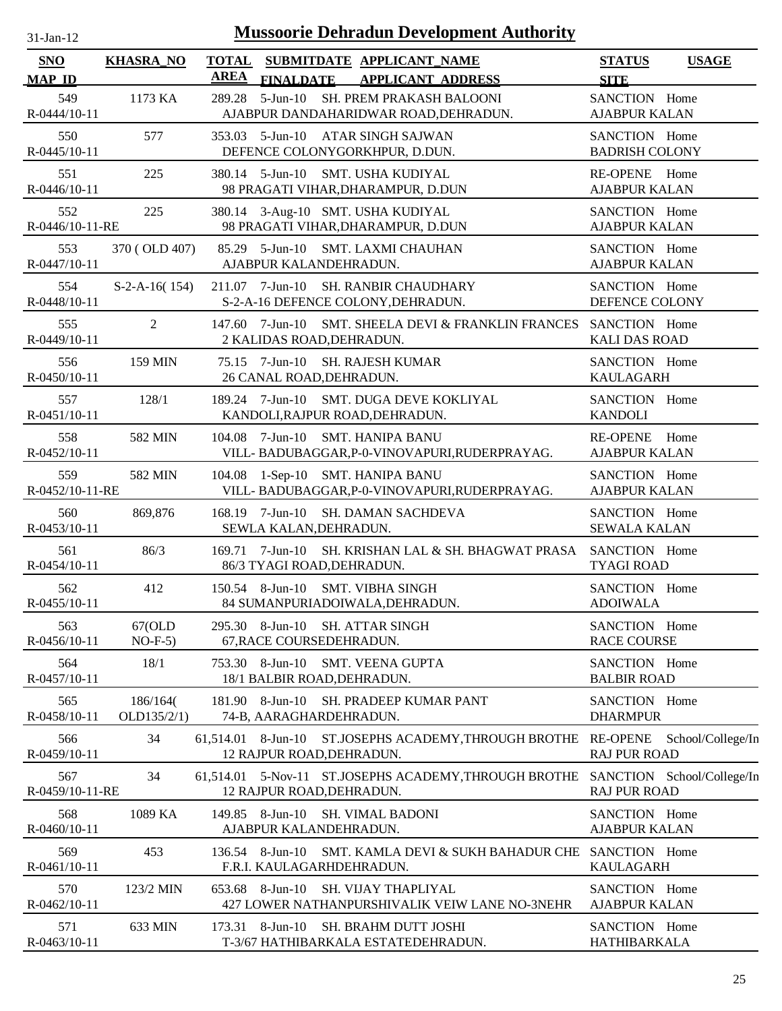| $31$ -Jan-12 |  |
|--------------|--|

| <b>SNO</b>             | <b>KHASRA_NO</b>        | <b>TOTAL</b> |                                                             | SUBMITDATE APPLICANT NAME                                                             | <b>STATUS</b><br><b>USAGE</b>                     |
|------------------------|-------------------------|--------------|-------------------------------------------------------------|---------------------------------------------------------------------------------------|---------------------------------------------------|
| <b>MAP ID</b>          |                         | <b>AREA</b>  | <b>FINALDATE</b>                                            | <b>APPLICANT ADDRESS</b>                                                              | <b>SITE</b>                                       |
| 549<br>R-0444/10-11    | 1173 KA                 | 289.28       |                                                             | 5-Jun-10 SH. PREM PRAKASH BALOONI<br>AJABPUR DANDAHARIDWAR ROAD, DEHRADUN.            | SANCTION Home<br><b>AJABPUR KALAN</b>             |
| 550<br>R-0445/10-11    | 577                     |              |                                                             | 353.03 5-Jun-10 ATAR SINGH SAJWAN<br>DEFENCE COLONYGORKHPUR, D.DUN.                   | SANCTION Home<br><b>BADRISH COLONY</b>            |
| 551<br>R-0446/10-11    | 225                     |              |                                                             | 380.14 5-Jun-10 SMT. USHA KUDIYAL<br>98 PRAGATI VIHAR, DHARAMPUR, D.DUN               | RE-OPENE Home<br><b>AJABPUR KALAN</b>             |
| 552<br>R-0446/10-11-RE | 225                     |              |                                                             | 380.14 3-Aug-10 SMT. USHA KUDIYAL<br>98 PRAGATI VIHAR, DHARAMPUR, D.DUN               | SANCTION Home<br><b>AJABPUR KALAN</b>             |
| 553<br>R-0447/10-11    | 370 (OLD 407)           | 85.29        | AJABPUR KALANDEHRADUN.                                      | 5-Jun-10 SMT. LAXMI CHAUHAN                                                           | SANCTION Home<br><b>AJABPUR KALAN</b>             |
| 554<br>R-0448/10-11    | $S-2-A-16(154)$         |              |                                                             | 211.07 7-Jun-10 SH. RANBIR CHAUDHARY<br>S-2-A-16 DEFENCE COLONY, DEHRADUN.            | SANCTION Home<br>DEFENCE COLONY                   |
| 555<br>R-0449/10-11    | $\overline{2}$          |              | 2 KALIDAS ROAD, DEHRADUN.                                   | 147.60 7-Jun-10 SMT. SHEELA DEVI & FRANKLIN FRANCES SANCTION Home                     | <b>KALI DAS ROAD</b>                              |
| 556<br>R-0450/10-11    | 159 MIN                 |              | 26 CANAL ROAD, DEHRADUN.                                    | 75.15 7-Jun-10 SH. RAJESH KUMAR                                                       | SANCTION Home<br><b>KAULAGARH</b>                 |
| 557<br>R-0451/10-11    | 128/1                   |              |                                                             | 189.24 7-Jun-10 SMT. DUGA DEVE KOKLIYAL<br>KANDOLI, RAJPUR ROAD, DEHRADUN.            | SANCTION Home<br><b>KANDOLI</b>                   |
| 558<br>R-0452/10-11    | 582 MIN                 |              |                                                             | 104.08 7-Jun-10 SMT. HANIPA BANU<br>VILL-BADUBAGGAR, P-0-VINOVAPURI, RUDERPRAYAG.     | RE-OPENE Home<br><b>AJABPUR KALAN</b>             |
| 559<br>R-0452/10-11-RE | 582 MIN                 |              |                                                             | 104.08 1-Sep-10 SMT. HANIPA BANU<br>VILL-BADUBAGGAR, P-0-VINOVAPURI, RUDERPRAYAG.     | SANCTION Home<br><b>AJABPUR KALAN</b>             |
| 560<br>R-0453/10-11    | 869,876                 |              | SEWLA KALAN, DEHRADUN.                                      | 168.19 7-Jun-10 SH. DAMAN SACHDEVA                                                    | SANCTION Home<br><b>SEWALA KALAN</b>              |
| 561<br>R-0454/10-11    | 86/3                    | 169.71       | 86/3 TYAGI ROAD, DEHRADUN.                                  | 7-Jun-10 SH. KRISHAN LAL & SH. BHAGWAT PRASA SANCTION Home                            | <b>TYAGI ROAD</b>                                 |
| 562<br>R-0455/10-11    | 412                     |              |                                                             | 150.54 8-Jun-10 SMT. VIBHA SINGH<br>84 SUMANPURIADOIWALA, DEHRADUN.                   | SANCTION Home<br><b>ADOIWALA</b>                  |
| 563<br>R-0456/10-11    | 67(OLD)<br>$NO-F-5)$    |              | 295.30 8-Jun-10 SH. ATTAR SINGH<br>67, RACE COURSEDEHRADUN. |                                                                                       | SANCTION Home<br><b>RACE COURSE</b>               |
| 564<br>R-0457/10-11    | 18/1                    |              | 18/1 BALBIR ROAD, DEHRADUN.                                 | 753.30 8-Jun-10 SMT. VEENA GUPTA                                                      | SANCTION Home<br><b>BALBIR ROAD</b>               |
| 565<br>R-0458/10-11    | 186/164(<br>OLD135/2/1) |              | 74-B, AARAGHARDEHRADUN.                                     | 181.90 8-Jun-10 SH. PRADEEP KUMAR PANT                                                | SANCTION Home<br><b>DHARMPUR</b>                  |
| 566<br>R-0459/10-11    | 34                      |              | 12 RAJPUR ROAD, DEHRADUN.                                   | 61,514.01 8-Jun-10 ST.JOSEPHS ACADEMY, THROUGH BROTHE RE-OPENE                        | School/College/In<br><b>RAJ PUR ROAD</b>          |
| 567<br>R-0459/10-11-RE | 34                      |              | 12 RAJPUR ROAD, DEHRADUN.                                   | 61,514.01 5-Nov-11 ST.JOSEPHS ACADEMY, THROUGH BROTHE                                 | SANCTION School/College/In<br><b>RAJ PUR ROAD</b> |
| 568<br>R-0460/10-11    | 1089 KA                 |              | AJABPUR KALANDEHRADUN.                                      | 149.85 8-Jun-10 SH. VIMAL BADONI                                                      | SANCTION Home<br><b>AJABPUR KALAN</b>             |
| 569<br>R-0461/10-11    | 453                     |              | F.R.I. KAULAGARHDEHRADUN.                                   | 136.54 8-Jun-10 SMT. KAMLA DEVI & SUKH BAHADUR CHE SANCTION Home                      | <b>KAULAGARH</b>                                  |
| 570<br>R-0462/10-11    | 123/2 MIN               |              |                                                             | 653.68 8-Jun-10 SH. VIJAY THAPLIYAL<br>427 LOWER NATHANPURSHIVALIK VEIW LANE NO-3NEHR | SANCTION Home<br><b>AJABPUR KALAN</b>             |
| 571<br>R-0463/10-11    | 633 MIN                 |              |                                                             | 173.31 8-Jun-10 SH. BRAHM DUTT JOSHI<br>T-3/67 HATHIBARKALA ESTATEDEHRADUN.           | SANCTION Home<br>HATHIBARKALA                     |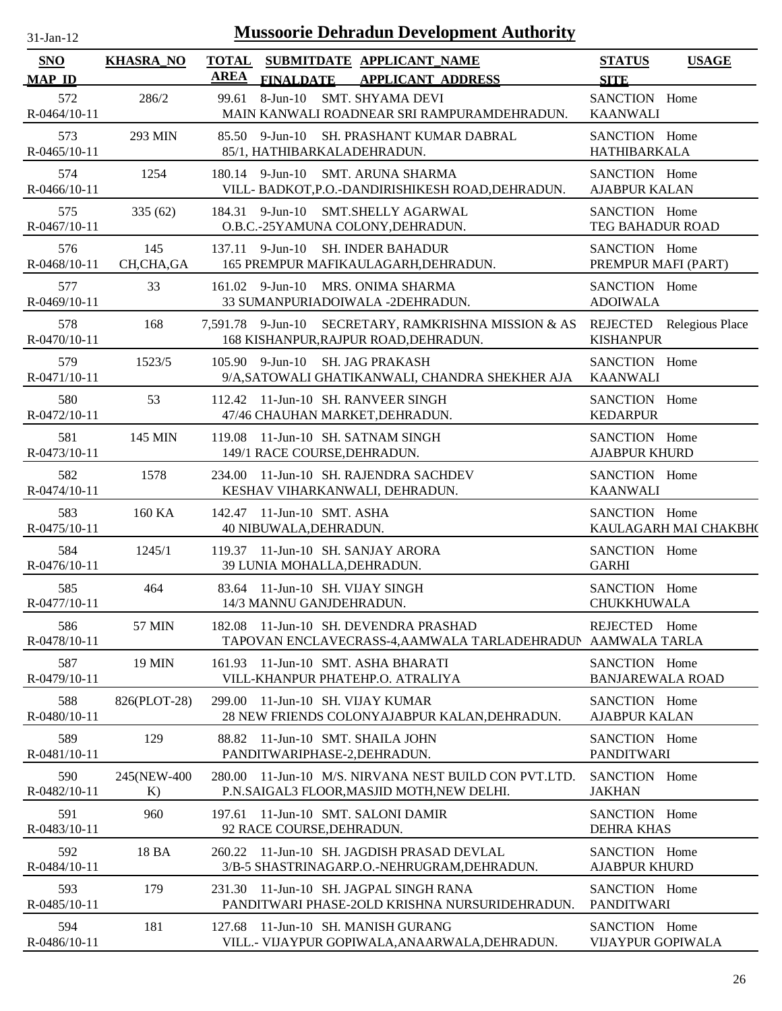| $31-Jan-12$                 |                    |                             | <b>Mussoorie Dehradun Development Authority</b>                                                     |                                          |                          |
|-----------------------------|--------------------|-----------------------------|-----------------------------------------------------------------------------------------------------|------------------------------------------|--------------------------|
| <b>SNO</b><br><b>MAP ID</b> | <b>KHASRA_NO</b>   | <b>TOTAL</b><br><b>AREA</b> | SUBMITDATE APPLICANT_NAME<br><b>FINALDATE</b><br><b>APPLICANT ADDRESS</b>                           | <b>STATUS</b><br><b>SITE</b>             | <b>USAGE</b>             |
| 572<br>R-0464/10-11         | 286/2              | 99.61                       | $8$ -Jun- $10$<br><b>SMT. SHYAMA DEVI</b><br>MAIN KANWALI ROADNEAR SRI RAMPURAMDEHRADUN.            | SANCTION Home<br><b>KAANWALI</b>         |                          |
| 573<br>$R-0465/10-11$       | 293 MIN            |                             | 85.50 9-Jun-10 SH. PRASHANT KUMAR DABRAL<br>85/1, HATHIBARKALADEHRADUN.                             | SANCTION Home<br><b>HATHIBARKALA</b>     |                          |
| 574<br>R-0466/10-11         | 1254               |                             | 180.14 9-Jun-10 SMT. ARUNA SHARMA<br>VILL- BADKOT, P.O.-DANDIRISHIKESH ROAD, DEHRADUN.              | SANCTION Home<br><b>AJABPUR KALAN</b>    |                          |
| 575<br>R-0467/10-11         | 335(62)            |                             | 184.31 9-Jun-10 SMT.SHELLY AGARWAL<br>O.B.C.-25YAMUNA COLONY, DEHRADUN.                             | SANCTION Home<br>TEG BAHADUR ROAD        |                          |
| 576<br>R-0468/10-11         | 145<br>CH,CHA,GA   |                             | $137.11$ 9-Jun-10<br><b>SH. INDER BAHADUR</b><br>165 PREMPUR MAFIKAULAGARH, DEHRADUN.               | SANCTION Home<br>PREMPUR MAFI (PART)     |                          |
| 577<br>R-0469/10-11         | 33                 |                             | 161.02 9-Jun-10 MRS. ONIMA SHARMA<br>33 SUMANPURIADOIWALA -2DEHRADUN.                               | SANCTION Home<br><b>ADOIWALA</b>         |                          |
| 578<br>R-0470/10-11         | 168                |                             | SECRETARY, RAMKRISHNA MISSION & AS<br>7,591.78 9-Jun-10<br>168 KISHANPUR, RAJPUR ROAD, DEHRADUN.    | <b>KISHANPUR</b>                         | REJECTED Relegious Place |
| 579<br>R-0471/10-11         | 1523/5             |                             | 105.90 9-Jun-10 SH. JAG PRAKASH<br>9/A, SATOWALI GHATIKANWALI, CHANDRA SHEKHER AJA                  | SANCTION Home<br><b>KAANWALI</b>         |                          |
| 580<br>R-0472/10-11         | 53                 |                             | 112.42 11-Jun-10 SH. RANVEER SINGH<br>47/46 CHAUHAN MARKET, DEHRADUN.                               | SANCTION Home<br><b>KEDARPUR</b>         |                          |
| 581<br>R-0473/10-11         | 145 MIN            |                             | 119.08 11-Jun-10 SH. SATNAM SINGH<br>149/1 RACE COURSE, DEHRADUN.                                   | SANCTION Home<br><b>AJABPUR KHURD</b>    |                          |
| 582<br>R-0474/10-11         | 1578               |                             | 234.00 11-Jun-10 SH. RAJENDRA SACHDEV<br>KESHAV VIHARKANWALI, DEHRADUN.                             | SANCTION Home<br><b>KAANWALI</b>         |                          |
| 583<br>R-0475/10-11         | 160 KA             |                             | 142.47 11-Jun-10 SMT. ASHA<br>40 NIBUWALA, DEHRADUN.                                                | SANCTION Home                            | KAULAGARH MAI CHAKBH(    |
| 584<br>$R-0476/10-11$       | 1245/1             |                             | 119.37 11-Jun-10 SH. SANJAY ARORA<br>39 LUNIA MOHALLA, DEHRADUN.                                    | SANCTION Home<br><b>GARHI</b>            |                          |
| 585<br>R-0477/10-11         | 464                |                             | 83.64 11-Jun-10 SH. VIJAY SINGH<br>14/3 MANNU GANJDEHRADUN.                                         | SANCTION Home<br>CHUKKHUWALA             |                          |
| 586<br>R-0478/10-11         | 57 MIN             |                             | 182.08 11-Jun-10 SH. DEVENDRA PRASHAD<br>TAPOVAN ENCLAVECRASS-4, AAMWALA TARLADEHRADUN              | REJECTED Home<br>AAMWALA TARLA           |                          |
| 587<br>R-0479/10-11         | <b>19 MIN</b>      | 161.93                      | 11-Jun-10 SMT. ASHA BHARATI<br>VILL-KHANPUR PHATEHP.O. ATRALIYA                                     | SANCTION Home<br><b>BANJAREWALA ROAD</b> |                          |
| 588<br>R-0480/10-11         | 826(PLOT-28)       |                             | 299.00 11-Jun-10 SH. VIJAY KUMAR<br>28 NEW FRIENDS COLONYAJABPUR KALAN, DEHRADUN.                   | SANCTION Home<br><b>AJABPUR KALAN</b>    |                          |
| 589<br>R-0481/10-11         | 129                |                             | 88.82 11-Jun-10 SMT. SHAILA JOHN<br>PANDITWARIPHASE-2, DEHRADUN.                                    | SANCTION Home<br><b>PANDITWARI</b>       |                          |
| 590<br>R-0482/10-11         | 245(NEW-400)<br>K) |                             | 280.00 11-Jun-10 M/S. NIRVANA NEST BUILD CON PVT.LTD.<br>P.N.SAIGAL3 FLOOR, MASJID MOTH, NEW DELHI. | SANCTION Home<br><b>JAKHAN</b>           |                          |
| 591<br>R-0483/10-11         | 960                |                             | 197.61 11-Jun-10 SMT. SALONI DAMIR<br>92 RACE COURSE, DEHRADUN.                                     | SANCTION Home<br><b>DEHRA KHAS</b>       |                          |
| 592<br>R-0484/10-11         | 18 BA              |                             | 260.22 11-Jun-10 SH. JAGDISH PRASAD DEVLAL<br>3/B-5 SHASTRINAGARP.O.-NEHRUGRAM, DEHRADUN.           | SANCTION Home<br><b>AJABPUR KHURD</b>    |                          |
| 593<br>R-0485/10-11         | 179                |                             | 231.30 11-Jun-10 SH. JAGPAL SINGH RANA<br>PANDITWARI PHASE-20LD KRISHNA NURSURIDEHRADUN.            | SANCTION Home<br><b>PANDITWARI</b>       |                          |
| 594<br>R-0486/10-11         | 181                |                             | 127.68 11-Jun-10 SH. MANISH GURANG<br>VILL.- VIJAYPUR GOPIWALA, ANAARWALA, DEHRADUN.                | SANCTION Home<br>VIJAYPUR GOPIWALA       |                          |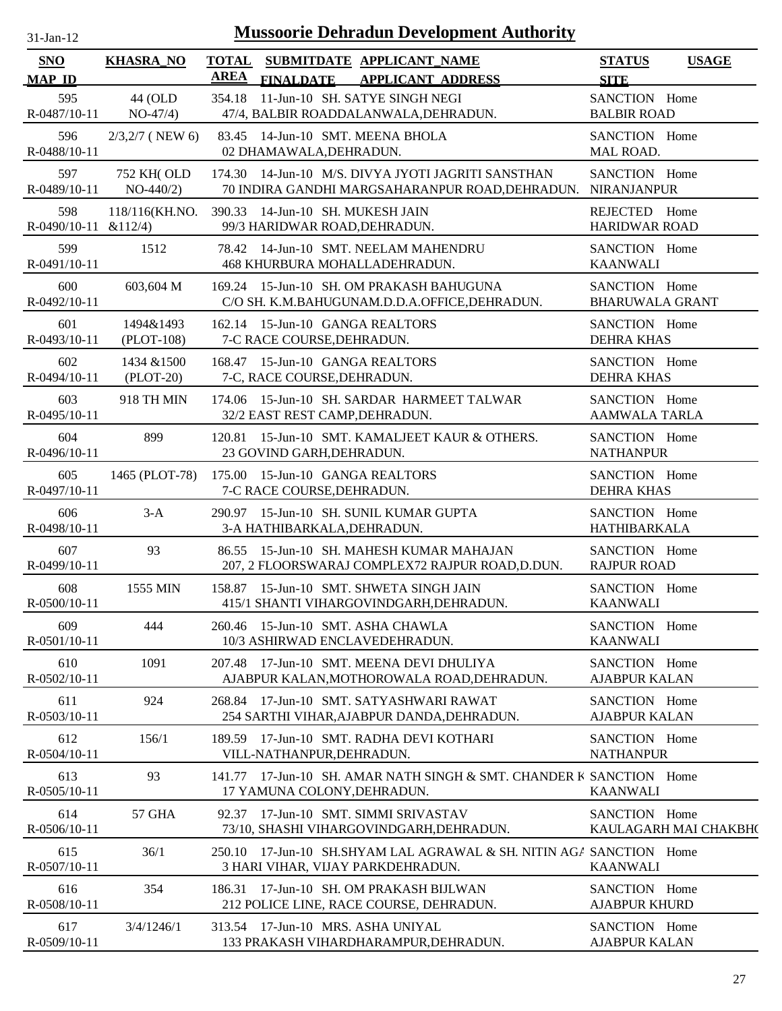| -jan- |
|-------|
|       |

| <b>SNO</b><br><b>MAP ID</b>    | <b>KHASRA_NO</b>           | <b>TOTAL</b><br><b>AREA</b> | <b>FINALDATE</b>            | SUBMITDATE APPLICANT NAME<br><b>APPLICANT ADDRESS</b>                              |                                                                                                       | <b>STATUS</b><br><b>SITE</b>            | <b>USAGE</b>          |
|--------------------------------|----------------------------|-----------------------------|-----------------------------|------------------------------------------------------------------------------------|-------------------------------------------------------------------------------------------------------|-----------------------------------------|-----------------------|
| 595<br>R-0487/10-11            | 44 (OLD<br>$NO-47/4)$      |                             |                             | 354.18 11-Jun-10 SH. SATYE SINGH NEGI<br>47/4, BALBIR ROADDALANWALA, DEHRADUN.     |                                                                                                       | SANCTION Home<br><b>BALBIR ROAD</b>     |                       |
| 596<br>R-0488/10-11            | $2/3,2/7$ (NEW 6)          |                             | 02 DHAMAWALA, DEHRADUN.     | 83.45 14-Jun-10 SMT. MEENA BHOLA                                                   |                                                                                                       | SANCTION Home<br>MAL ROAD.              |                       |
| 597<br>R-0489/10-11            | 752 KH(OLD<br>$NO-440/2)$  |                             |                             |                                                                                    | 174.30 14-Jun-10 M/S. DIVYA JYOTI JAGRITI SANSTHAN<br>70 INDIRA GANDHI MARGSAHARANPUR ROAD, DEHRADUN. | SANCTION Home<br><b>NIRANJANPUR</b>     |                       |
| 598<br>$R-0490/10-11$ & 112/4) | 118/116(KH.NO.             |                             |                             | 390.33 14-Jun-10 SH. MUKESH JAIN<br>99/3 HARIDWAR ROAD, DEHRADUN.                  |                                                                                                       | REJECTED Home<br><b>HARIDWAR ROAD</b>   |                       |
| 599<br>R-0491/10-11            | 1512                       |                             |                             | 78.42 14-Jun-10 SMT. NEELAM MAHENDRU<br>468 KHURBURA MOHALLADEHRADUN.              |                                                                                                       | SANCTION Home<br><b>KAANWALI</b>        |                       |
| 600<br>R-0492/10-11            | 603,604 M                  |                             |                             | 169.24 15-Jun-10 SH. OM PRAKASH BAHUGUNA                                           | C/O SH. K.M.BAHUGUNAM.D.D.A.OFFICE, DEHRADUN.                                                         | SANCTION Home<br><b>BHARUWALA GRANT</b> |                       |
| 601<br>R-0493/10-11            | 1494&1493<br>(PLOT-108)    |                             | 7-C RACE COURSE, DEHRADUN.  | 162.14 15-Jun-10 GANGA REALTORS                                                    |                                                                                                       | SANCTION Home<br><b>DEHRA KHAS</b>      |                       |
| 602<br>R-0494/10-11            | 1434 & 1500<br>$(PLOT-20)$ |                             | 7-C, RACE COURSE, DEHRADUN. | 168.47 15-Jun-10 GANGA REALTORS                                                    |                                                                                                       | SANCTION Home<br><b>DEHRA KHAS</b>      |                       |
| 603<br>R-0495/10-11            | 918 TH MIN                 |                             |                             | 32/2 EAST REST CAMP, DEHRADUN.                                                     | 174.06 15-Jun-10 SH, SARDAR HARMEET TALWAR                                                            | SANCTION Home<br><b>AAMWALA TARLA</b>   |                       |
| 604<br>R-0496/10-11            | 899                        |                             | 23 GOVIND GARH, DEHRADUN.   |                                                                                    | 120.81 15-Jun-10 SMT. KAMALJEET KAUR & OTHERS.                                                        | SANCTION Home<br><b>NATHANPUR</b>       |                       |
| 605<br>R-0497/10-11            | 1465 (PLOT-78)             |                             | 7-C RACE COURSE, DEHRADUN.  | 175.00 15-Jun-10 GANGA REALTORS                                                    |                                                                                                       | SANCTION Home<br><b>DEHRA KHAS</b>      |                       |
| 606<br>R-0498/10-11            | $3-A$                      |                             |                             | 290.97 15-Jun-10 SH. SUNIL KUMAR GUPTA<br>3-A HATHIBARKALA, DEHRADUN.              |                                                                                                       | SANCTION Home<br><b>HATHIBARKALA</b>    |                       |
| 607<br>R-0499/10-11            | 93                         |                             |                             | 86.55 15-Jun-10 SH. MAHESH KUMAR MAHAJAN                                           | 207, 2 FLOORSWARAJ COMPLEX72 RAJPUR ROAD, D.DUN.                                                      | SANCTION Home<br><b>RAJPUR ROAD</b>     |                       |
| 608<br>R-0500/10-11            | 1555 MIN                   |                             |                             | 158.87 15-Jun-10 SMT. SHWETA SINGH JAIN<br>415/1 SHANTI VIHARGOVINDGARH, DEHRADUN. |                                                                                                       | SANCTION Home<br><b>KAANWALI</b>        |                       |
| 609<br>R-0501/10-11            | 444                        |                             |                             | 260.46 15-Jun-10 SMT. ASHA CHAWLA<br>10/3 ASHIRWAD ENCLAVEDEHRADUN.                |                                                                                                       | SANCTION Home<br><b>KAANWALI</b>        |                       |
| 610<br>R-0502/10-11            | 1091                       |                             |                             | 207.48 17-Jun-10 SMT. MEENA DEVI DHULIYA                                           | AJABPUR KALAN, MOTHOROWALA ROAD, DEHRADUN.                                                            | SANCTION Home<br><b>AJABPUR KALAN</b>   |                       |
| 611<br>R-0503/10-11            | 924                        |                             |                             | 268.84 17-Jun-10 SMT. SATYASHWARI RAWAT                                            | 254 SARTHI VIHAR, AJABPUR DANDA, DEHRADUN.                                                            | SANCTION Home<br><b>AJABPUR KALAN</b>   |                       |
| 612<br>$R - 0504/10 - 11$      | 156/1                      |                             | VILL-NATHANPUR, DEHRADUN.   | 189.59 17-Jun-10 SMT. RADHA DEVI KOTHARI                                           |                                                                                                       | SANCTION Home<br><b>NATHANPUR</b>       |                       |
| 613<br>$R-0505/10-11$          | 93                         |                             |                             | 17 YAMUNA COLONY, DEHRADUN.                                                        | 141.77 17-Jun-10 SH, AMAR NATH SINGH & SMT, CHANDER K SANCTION Home                                   | <b>KAANWALI</b>                         |                       |
| 614<br>R-0506/10-11            | 57 GHA                     |                             |                             | 92.37 17-Jun-10 SMT. SIMMI SRIVASTAV<br>73/10, SHASHI VIHARGOVINDGARH, DEHRADUN.   |                                                                                                       | SANCTION Home                           | KAULAGARH MAI CHAKBH( |
| 615<br>R-0507/10-11            | 36/1                       |                             |                             | 3 HARI VIHAR, VIJAY PARKDEHRADUN.                                                  | 250.10 17-Jun-10 SH.SHYAM LAL AGRAWAL & SH. NITIN AGA SANCTION Home                                   | <b>KAANWALI</b>                         |                       |
| 616<br>R-0508/10-11            | 354                        |                             |                             | 186.31 17-Jun-10 SH. OM PRAKASH BIJLWAN<br>212 POLICE LINE, RACE COURSE, DEHRADUN. |                                                                                                       | SANCTION Home<br><b>AJABPUR KHURD</b>   |                       |
| 617<br>R-0509/10-11            | 3/4/1246/1                 |                             |                             | 313.54 17-Jun-10 MRS. ASHA UNIYAL<br>133 PRAKASH VIHARDHARAMPUR, DEHRADUN.         |                                                                                                       | SANCTION Home<br><b>AJABPUR KALAN</b>   |                       |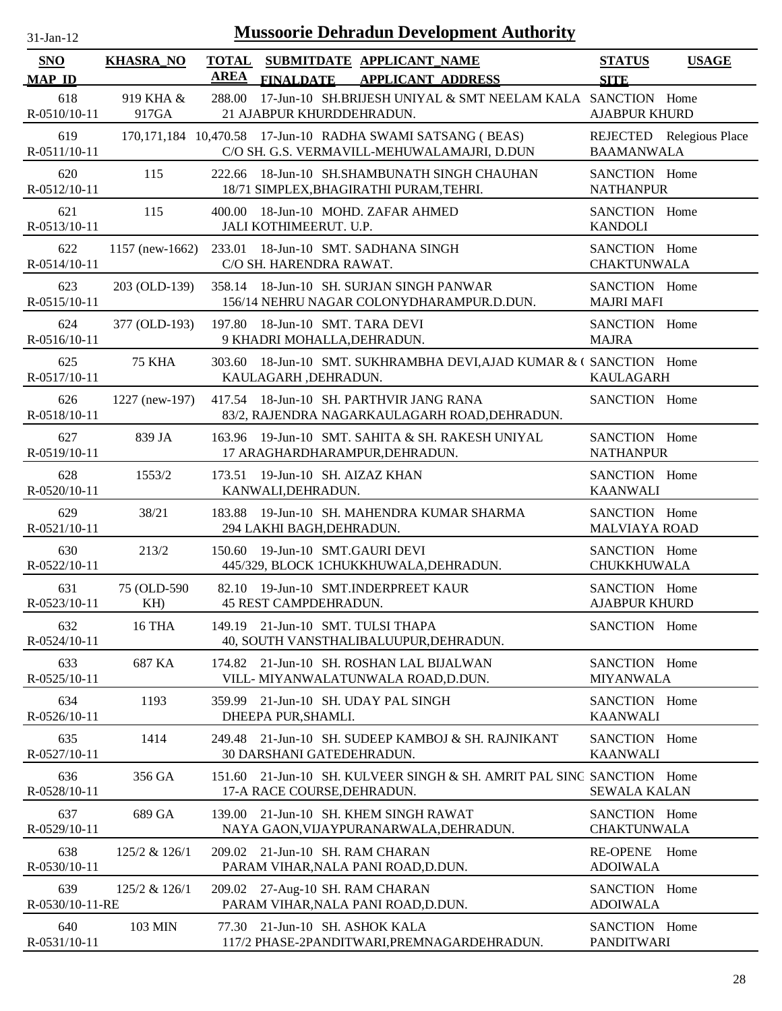| $31$ -Jan-12 |
|--------------|
|              |

| SNO                       | <b>KHASRA_NO</b>   | <b>TOTAL</b> |                                                                                | SUBMITDATE APPLICANT NAME                                                                                 | <b>STATUS</b>                         | <b>USAGE</b>             |
|---------------------------|--------------------|--------------|--------------------------------------------------------------------------------|-----------------------------------------------------------------------------------------------------------|---------------------------------------|--------------------------|
| <b>MAP ID</b>             |                    | <b>AREA</b>  |                                                                                | FINALDATE APPLICANT ADDRESS                                                                               | <b>SITE</b>                           |                          |
| 618<br>$R - 0510/10 - 11$ | 919 KHA &<br>917GA | 288.00       | 21 AJABPUR KHURDDEHRADUN.                                                      | 17-Jun-10 SH.BRIJESH UNIYAL & SMT NEELAM KALA SANCTION Home                                               | <b>AJABPUR KHURD</b>                  |                          |
| 619<br>R-0511/10-11       |                    |              |                                                                                | 170,171,184 10,470.58 17-Jun-10 RADHA SWAMI SATSANG (BEAS)<br>C/O SH. G.S. VERMAVILL-MEHUWALAMAJRI, D.DUN | <b>BAAMANWALA</b>                     | REJECTED Relegious Place |
| 620<br>R-0512/10-11       | 115                |              |                                                                                | 222.66 18-Jun-10 SH.SHAMBUNATH SINGH CHAUHAN<br>18/71 SIMPLEX, BHAGIRATHI PURAM, TEHRI.                   | SANCTION Home<br><b>NATHANPUR</b>     |                          |
| 621<br>R-0513/10-11       | 115                | 400.00       | 18-Jun-10 MOHD. ZAFAR AHMED<br>JALI KOTHIMEERUT. U.P.                          |                                                                                                           | SANCTION Home<br><b>KANDOLI</b>       |                          |
| 622<br>R-0514/10-11       |                    |              | 1157 (new-1662) 233.01 18-Jun-10 SMT. SADHANA SINGH<br>C/O SH. HARENDRA RAWAT. |                                                                                                           | SANCTION Home<br><b>CHAKTUNWALA</b>   |                          |
| 623<br>R-0515/10-11       | 203 (OLD-139)      |              |                                                                                | 358.14 18-Jun-10 SH. SURJAN SINGH PANWAR<br>156/14 NEHRU NAGAR COLONYDHARAMPUR.D.DUN.                     | SANCTION Home<br><b>MAJRI MAFI</b>    |                          |
| 624<br>R-0516/10-11       | 377 (OLD-193)      |              | 197.80 18-Jun-10 SMT. TARA DEVI<br>9 KHADRI MOHALLA, DEHRADUN.                 |                                                                                                           | SANCTION Home<br><b>MAJRA</b>         |                          |
| 625<br>R-0517/10-11       | <b>75 KHA</b>      |              | KAULAGARH, DEHRADUN.                                                           | 303.60 18-Jun-10 SMT. SUKHRAMBHA DEVI, AJAD KUMAR & C SANCTION Home                                       | KAULAGARH                             |                          |
| 626<br>R-0518/10-11       | 1227 (new-197)     |              |                                                                                | 417.54 18-Jun-10 SH. PARTHVIR JANG RANA<br>83/2, RAJENDRA NAGARKAULAGARH ROAD, DEHRADUN.                  | SANCTION Home                         |                          |
| 627<br>R-0519/10-11       | 839 JA             |              | 17 ARAGHARDHARAMPUR, DEHRADUN.                                                 | 163.96 19-Jun-10 SMT. SAHITA & SH. RAKESH UNIYAL                                                          | SANCTION Home<br><b>NATHANPUR</b>     |                          |
| 628<br>R-0520/10-11       | 1553/2             |              | 173.51 19-Jun-10 SH. AIZAZ KHAN<br>KANWALI, DEHRADUN.                          |                                                                                                           | SANCTION Home<br><b>KAANWALI</b>      |                          |
| 629<br>R-0521/10-11       | 38/21              |              | 294 LAKHI BAGH, DEHRADUN.                                                      | 183.88 19-Jun-10 SH. MAHENDRA KUMAR SHARMA                                                                | SANCTION Home<br><b>MALVIAYA ROAD</b> |                          |
| 630<br>R-0522/10-11       | 213/2              | 150.60       | 19-Jun-10 SMT.GAURI DEVI                                                       | 445/329, BLOCK 1CHUKKHUWALA, DEHRADUN.                                                                    | SANCTION Home<br>CHUKKHUWALA          |                          |
| 631<br>R-0523/10-11       | 75 (OLD-590)<br>KH |              | 82.10 19-Jun-10 SMT.INDERPREET KAUR<br>45 REST CAMPDEHRADUN.                   |                                                                                                           | SANCTION Home<br><b>AJABPUR KHURD</b> |                          |
| 632<br>R-0524/10-11       | <b>16 THA</b>      |              | 149.19 21-Jun-10 SMT. TULSI THAPA                                              | 40, SOUTH VANSTHALIBALUUPUR, DEHRADUN.                                                                    | SANCTION Home                         |                          |
| 633<br>R-0525/10-11       | 687 KA             |              |                                                                                | 174.82 21-Jun-10 SH. ROSHAN LAL BIJALWAN<br>VILL- MIYANWALATUNWALA ROAD, D.DUN.                           | SANCTION Home<br><b>MIYANWALA</b>     |                          |
| 634<br>R-0526/10-11       | 1193               | 359.99       | 21-Jun-10 SH. UDAY PAL SINGH<br>DHEEPA PUR, SHAMLI.                            |                                                                                                           | SANCTION Home<br><b>KAANWALI</b>      |                          |
| 635<br>R-0527/10-11       | 1414               | 249.48       | 30 DARSHANI GATEDEHRADUN.                                                      | 21-Jun-10 SH. SUDEEP KAMBOJ & SH. RAJNIKANT                                                               | SANCTION Home<br><b>KAANWALI</b>      |                          |
| 636<br>R-0528/10-11       | 356 GA             | 151.60       | 17-A RACE COURSE, DEHRADUN.                                                    | 21-Jun-10 SH. KULVEER SINGH & SH. AMRIT PAL SING SANCTION Home                                            | <b>SEWALA KALAN</b>                   |                          |
| 637<br>R-0529/10-11       | 689 GA             | 139.00       | 21-Jun-10 SH. KHEM SINGH RAWAT                                                 | NAYA GAON, VIJAYPURANARWALA, DEHRADUN.                                                                    | SANCTION Home<br><b>CHAKTUNWALA</b>   |                          |
| 638<br>R-0530/10-11       | 125/2 & 126/1      |              | 209.02 21-Jun-10 SH. RAM CHARAN<br>PARAM VIHAR, NALA PANI ROAD, D.DUN.         |                                                                                                           | <b>RE-OPENE</b><br><b>ADOIWALA</b>    | Home                     |
| 639<br>R-0530/10-11-RE    | 125/2 & 126/1      |              | 209.02 27-Aug-10 SH. RAM CHARAN<br>PARAM VIHAR, NALA PANI ROAD, D.DUN.         |                                                                                                           | SANCTION Home<br><b>ADOIWALA</b>      |                          |
| 640<br>R-0531/10-11       | 103 MIN            |              | 77.30 21-Jun-10 SH. ASHOK KALA                                                 | 117/2 PHASE-2PANDITWARI, PREMNAGARDEHRADUN.                                                               | SANCTION Home<br><b>PANDITWARI</b>    |                          |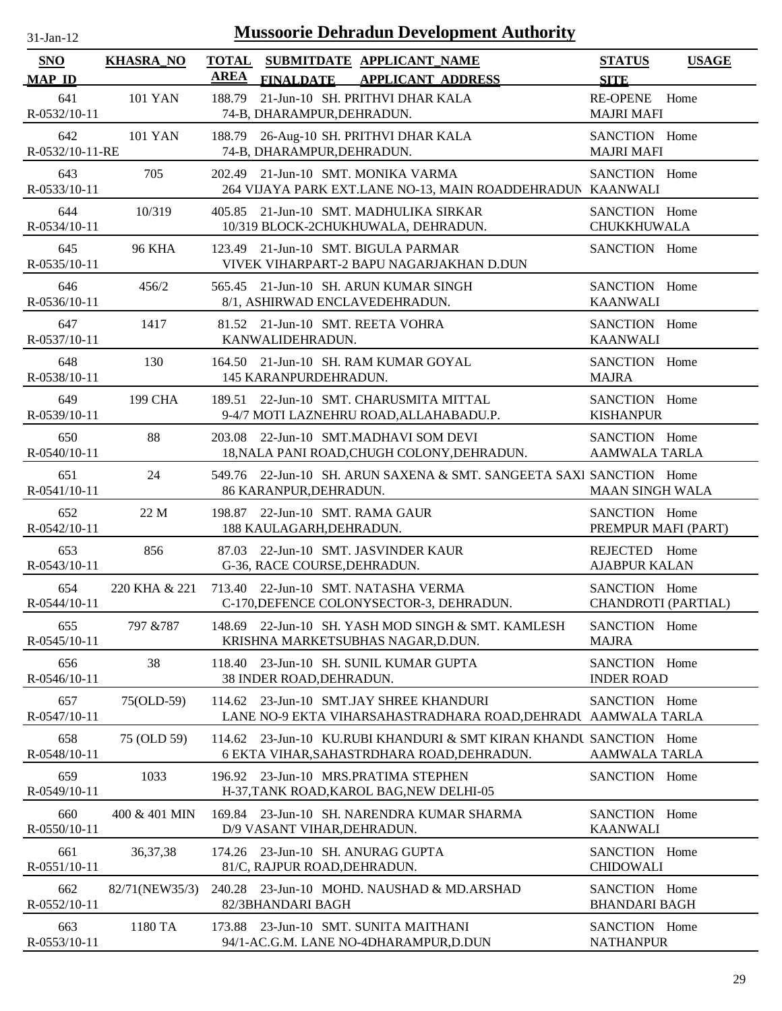| $31$ -Jan-12                |                  | <b>Mussoorie Dehradun Development Authority</b>                                                                  |                                       |              |
|-----------------------------|------------------|------------------------------------------------------------------------------------------------------------------|---------------------------------------|--------------|
| <b>SNO</b><br><b>MAP ID</b> | <b>KHASRA_NO</b> | TOTAL SUBMITDATE APPLICANT NAME<br><b>AREA</b><br><b>APPLICANT ADDRESS</b><br><b>FINALDATE</b>                   | <b>STATUS</b><br><b>SITE</b>          | <b>USAGE</b> |
| 641<br>R-0532/10-11         | <b>101 YAN</b>   | 21-Jun-10 SH. PRITHVI DHAR KALA<br>188.79<br>74-B, DHARAMPUR, DEHRADUN.                                          | <b>RE-OPENE</b><br><b>MAJRI MAFI</b>  | Home         |
| 642<br>R-0532/10-11-RE      | <b>101 YAN</b>   | 26-Aug-10 SH. PRITHVI DHAR KALA<br>188.79<br>74-B, DHARAMPUR, DEHRADUN.                                          | SANCTION Home<br><b>MAJRI MAFI</b>    |              |
| 643<br>R-0533/10-11         | 705              | 21-Jun-10 SMT. MONIKA VARMA<br>202.49<br>264 VIJAYA PARK EXT.LANE NO-13, MAIN ROADDEHRADUN KAANWALI              | SANCTION Home                         |              |
| 644<br>R-0534/10-11         | 10/319           | 405.85 21-Jun-10 SMT. MADHULIKA SIRKAR<br>10/319 BLOCK-2CHUKHUWALA, DEHRADUN.                                    | SANCTION Home<br><b>CHUKKHUWALA</b>   |              |
| 645<br>R-0535/10-11         | <b>96 KHA</b>    | 123.49 21-Jun-10 SMT. BIGULA PARMAR<br>VIVEK VIHARPART-2 BAPU NAGARJAKHAN D.DUN                                  | SANCTION Home                         |              |
| 646<br>R-0536/10-11         | 456/2            | 565.45 21-Jun-10 SH. ARUN KUMAR SINGH<br>8/1, ASHIRWAD ENCLAVEDEHRADUN.                                          | SANCTION Home<br><b>KAANWALI</b>      |              |
| 647<br>R-0537/10-11         | 1417             | 81.52 21-Jun-10 SMT. REETA VOHRA<br>KANWALIDEHRADUN.                                                             | SANCTION Home<br><b>KAANWALI</b>      |              |
| 648<br>R-0538/10-11         | 130              | 164.50 21-Jun-10 SH. RAM KUMAR GOYAL<br>145 KARANPURDEHRADUN.                                                    | SANCTION Home<br><b>MAJRA</b>         |              |
| 649<br>R-0539/10-11         | 199 CHA          | 189.51 22-Jun-10 SMT. CHARUSMITA MITTAL<br>9-4/7 MOTI LAZNEHRU ROAD, ALLAHABADU.P.                               | SANCTION Home<br><b>KISHANPUR</b>     |              |
| 650<br>R-0540/10-11         | 88               | 203.08 22-Jun-10 SMT.MADHAVI SOM DEVI<br>18, NALA PANI ROAD, CHUGH COLONY, DEHRADUN.                             | SANCTION Home<br>AAMWALA TARLA        |              |
| 651<br>R-0541/10-11         | 24               | 549.76 22-Jun-10 SH. ARUN SAXENA & SMT. SANGEETA SAXI SANCTION Home<br>86 KARANPUR, DEHRADUN.                    | <b>MAAN SINGH WALA</b>                |              |
| 652<br>R-0542/10-11         | 22 M             | 22-Jun-10 SMT. RAMA GAUR<br>198.87<br>188 KAULAGARH, DEHRADUN.                                                   | SANCTION Home<br>PREMPUR MAFI (PART)  |              |
| 653<br>R-0543/10-11         | 856              | 22-Jun-10 SMT. JASVINDER KAUR<br>87.03<br>G-36, RACE COURSE, DEHRADUN.                                           | REJECTED Home<br><b>AJABPUR KALAN</b> |              |
| 654<br>R-0544/10-11         | 220 KHA & 221    | 713.40 22-Jun-10 SMT. NATASHA VERMA<br>C-170, DEFENCE COLONYSECTOR-3, DEHRADUN.                                  | SANCTION Home<br>CHANDROTI (PARTIAL)  |              |
| 655<br>R-0545/10-11         | 797 & 787        | 22-Jun-10 SH. YASH MOD SINGH & SMT. KAMLESH<br>148.69<br>KRISHNA MARKETSUBHAS NAGAR, D.DUN.                      | SANCTION Home<br><b>MAJRA</b>         |              |
| 656<br>R-0546/10-11         | 38               | 23-Jun-10 SH. SUNIL KUMAR GUPTA<br>118.40<br>38 INDER ROAD, DEHRADUN.                                            | SANCTION Home<br><b>INDER ROAD</b>    |              |
| 657<br>R-0547/10-11         | 75(OLD-59)       | 23-Jun-10 SMT.JAY SHREE KHANDURI<br>114.62<br>LANE NO-9 EKTA VIHARSAHASTRADHARA ROAD, DEHRADU AAMWALA TARLA      | SANCTION Home                         |              |
| 658<br>R-0548/10-11         | 75 (OLD 59)      | 114.62 23-Jun-10 KU.RUBI KHANDURI & SMT KIRAN KHANDU SANCTION Home<br>6 EKTA VIHAR, SAHASTRDHARA ROAD, DEHRADUN. | <b>AAMWALA TARLA</b>                  |              |
| 659<br>R-0549/10-11         | 1033             | 196.92 23-Jun-10 MRS.PRATIMA STEPHEN<br>H-37, TANK ROAD, KAROL BAG, NEW DELHI-05                                 | SANCTION Home                         |              |
| 660<br>R-0550/10-11         | 400 & 401 MIN    | 169.84 23-Jun-10 SH. NARENDRA KUMAR SHARMA<br>D/9 VASANT VIHAR, DEHRADUN.                                        | SANCTION Home<br><b>KAANWALI</b>      |              |
| 661<br>R-0551/10-11         | 36, 37, 38       | 23-Jun-10 SH. ANURAG GUPTA<br>174.26<br>81/C, RAJPUR ROAD, DEHRADUN.                                             | SANCTION Home<br><b>CHIDOWALI</b>     |              |
| 662                         | 82/71(NEW35/3)   | 23-Jun-10 MOHD. NAUSHAD & MD.ARSHAD<br>240.28                                                                    | SANCTION Home                         |              |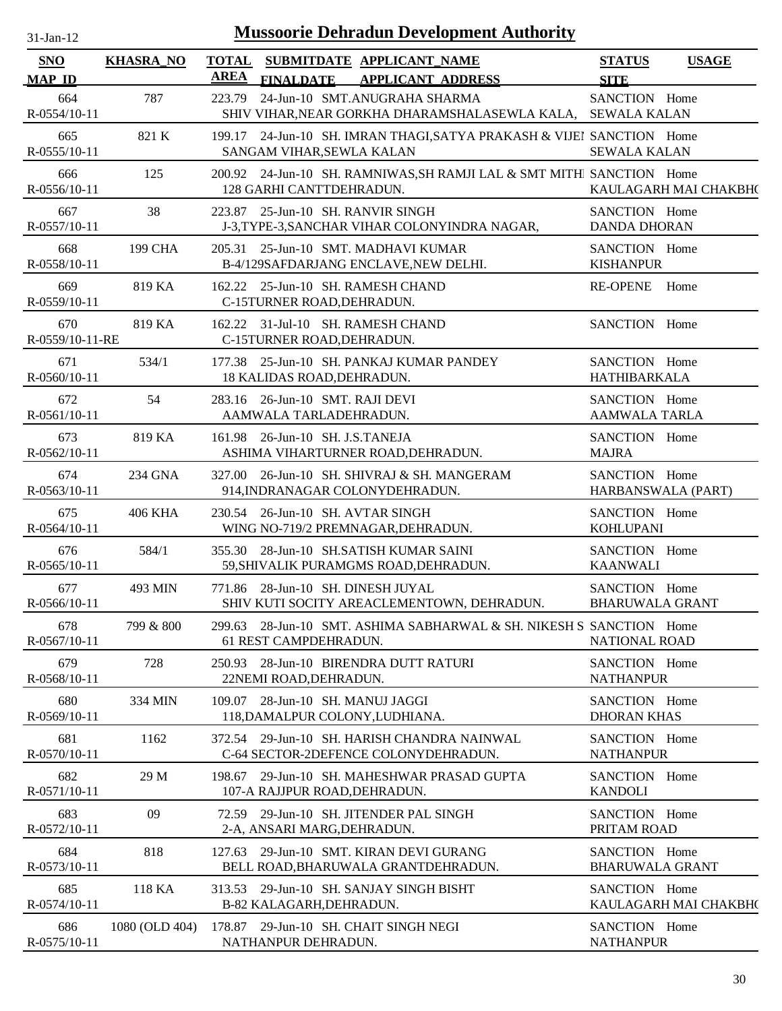| $31$ -Jan-12                |                  |             | <b>Mussoorie Dehradun Development Authority</b>                                                    |                                         |                       |
|-----------------------------|------------------|-------------|----------------------------------------------------------------------------------------------------|-----------------------------------------|-----------------------|
| <b>SNO</b><br><b>MAP ID</b> | <b>KHASRA_NO</b> | <b>AREA</b> | TOTAL SUBMITDATE APPLICANT_NAME<br><b>FINALDATE</b><br><b>APPLICANT ADDRESS</b>                    | <b>STATUS</b><br><b>SITE</b>            | <b>USAGE</b>          |
| 664<br>$R - 0554/10 - 11$   | 787              | 223.79      | 24-Jun-10 SMT.ANUGRAHA SHARMA<br>SHIV VIHAR, NEAR GORKHA DHARAMSHALASEWLA KALA, SEWALA KALAN       | SANCTION Home                           |                       |
| 665<br>R-0555/10-11         | 821 K            |             | 199.17 24-Jun-10 SH. IMRAN THAGI, SATYA PRAKASH & VIJEI SANCTION Home<br>SANGAM VIHAR, SEWLA KALAN | <b>SEWALA KALAN</b>                     |                       |
| 666<br>$R-0556/10-11$       | 125              |             | 200.92 24-Jun-10 SH. RAMNIWAS, SH RAMJI LAL & SMT MITHI SANCTION Home<br>128 GARHI CANTTDEHRADUN.  |                                         | KAULAGARH MAI CHAKBH( |
| 667<br>R-0557/10-11         | 38               |             | 223.87 25-Jun-10 SH. RANVIR SINGH<br>J-3, TYPE-3, SANCHAR VIHAR COLONYINDRA NAGAR,                 | SANCTION Home<br><b>DANDA DHORAN</b>    |                       |
| 668<br>R-0558/10-11         | 199 CHA          |             | 205.31 25-Jun-10 SMT. MADHAVI KUMAR<br>B-4/129SAFDARJANG ENCLAVE, NEW DELHI.                       | SANCTION Home<br><b>KISHANPUR</b>       |                       |
| 669<br>R-0559/10-11         | 819 KA           |             | 162.22 25-Jun-10 SH. RAMESH CHAND<br>C-15TURNER ROAD, DEHRADUN.                                    | <b>RE-OPENE</b>                         | Home                  |
| 670<br>R-0559/10-11-RE      | 819 KA           |             | 162.22 31-Jul-10 SH. RAMESH CHAND<br>C-15TURNER ROAD, DEHRADUN.                                    | SANCTION Home                           |                       |
| 671<br>$R-0560/10-11$       | 534/1            |             | 177.38 25-Jun-10 SH. PANKAJ KUMAR PANDEY<br>18 KALIDAS ROAD, DEHRADUN.                             | SANCTION Home<br><b>HATHIBARKALA</b>    |                       |
| 672<br>R-0561/10-11         | 54               |             | 283.16 26-Jun-10 SMT. RAJI DEVI<br>AAMWALA TARLADEHRADUN.                                          | SANCTION Home<br><b>AAMWALA TARLA</b>   |                       |
| 673<br>R-0562/10-11         | 819 KA           |             | 161.98 26-Jun-10 SH. J.S.TANEJA<br>ASHIMA VIHARTURNER ROAD, DEHRADUN.                              | SANCTION Home<br><b>MAJRA</b>           |                       |
| 674<br>R-0563/10-11         | 234 GNA          | 327.00      | 26-Jun-10 SH. SHIVRAJ & SH. MANGERAM<br>914, INDRANAGAR COLONYDEHRADUN.                            | SANCTION Home<br>HARBANSWALA (PART)     |                       |
| 675<br>R-0564/10-11         | <b>406 KHA</b>   |             | 230.54 26-Jun-10 SH. AVTAR SINGH<br>WING NO-719/2 PREMNAGAR, DEHRADUN.                             | SANCTION Home<br><b>KOHLUPANI</b>       |                       |
| 676<br>$R-0565/10-11$       | 584/1            |             | 355.30 28-Jun-10 SH.SATISH KUMAR SAINI<br>59, SHIVALIK PURAMGMS ROAD, DEHRADUN.                    | SANCTION Home<br><b>KAANWALI</b>        |                       |
| 677<br>R-0566/10-11         | 493 MIN          |             | 771.86 28-Jun-10 SH. DINESH JUYAL<br>SHIV KUTI SOCITY AREACLEMENTOWN, DEHRADUN.                    | SANCTION Home<br><b>BHARUWALA GRANT</b> |                       |
| 678<br>$R-0567/10-11$       | 799 & 800        |             | 299.63 28-Jun-10 SMT, ASHIMA SABHARWAL & SH. NIKESH S SANCTION Home<br>61 REST CAMPDEHRADUN.       | <b>NATIONAL ROAD</b>                    |                       |
| 679<br>R-0568/10-11         | 728              |             | 250.93 28-Jun-10 BIRENDRA DUTT RATURI<br>22NEMI ROAD, DEHRADUN.                                    | SANCTION Home<br><b>NATHANPUR</b>       |                       |
| 680<br>R-0569/10-11         | 334 MIN          |             | 109.07 28-Jun-10 SH. MANUJ JAGGI<br>118, DAMALPUR COLONY, LUDHIANA.                                | SANCTION Home<br><b>DHORAN KHAS</b>     |                       |
| 681<br>R-0570/10-11         | 1162             |             | 372.54 29-Jun-10 SH. HARISH CHANDRA NAINWAL<br>C-64 SECTOR-2DEFENCE COLONYDEHRADUN.                | SANCTION Home<br><b>NATHANPUR</b>       |                       |
| 682<br>R-0571/10-11         | 29 M             |             | 198.67 29-Jun-10 SH. MAHESHWAR PRASAD GUPTA<br>107-A RAJJPUR ROAD, DEHRADUN.                       | SANCTION Home<br><b>KANDOLI</b>         |                       |
| 683<br>R-0572/10-11         | 09               |             | 72.59 29-Jun-10 SH. JITENDER PAL SINGH<br>2-A, ANSARI MARG, DEHRADUN.                              | SANCTION Home<br>PRITAM ROAD            |                       |
| 684<br>R-0573/10-11         | 818              |             | 127.63 29-Jun-10 SMT. KIRAN DEVI GURANG<br>BELL ROAD, BHARUWALA GRANTDEHRADUN.                     | SANCTION Home<br><b>BHARUWALA GRANT</b> |                       |
| 685<br>R-0574/10-11         | 118 KA           |             | 313.53 29-Jun-10 SH. SANJAY SINGH BISHT<br>B-82 KALAGARH, DEHRADUN.                                | SANCTION Home                           | KAULAGARH MAI CHAKBH( |
| 686<br>R-0575/10-11         | 1080 (OLD 404)   |             | 178.87 29-Jun-10 SH. CHAIT SINGH NEGI<br>NATHANPUR DEHRADUN.                                       | SANCTION Home<br><b>NATHANPUR</b>       |                       |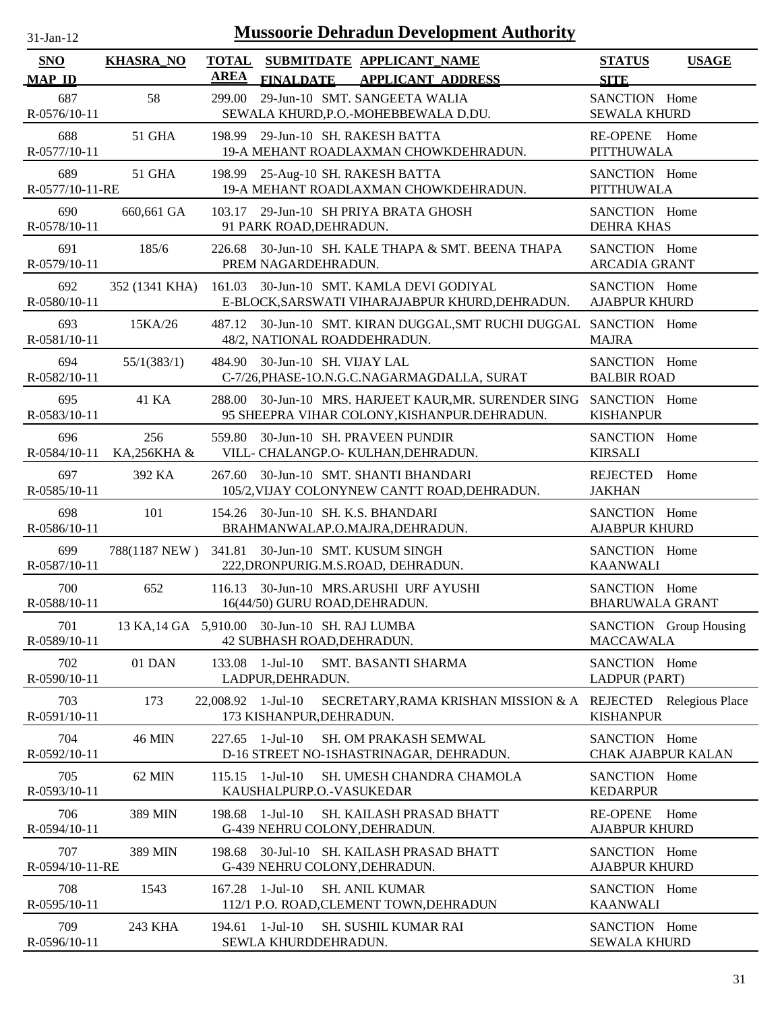| $31$ -Jan-12 |  |
|--------------|--|

| <b>SNO</b>             | <b>KHASRA_NO</b>   | <b>TOTAL</b>       | SUBMITDATE APPLICANT_NAME                                                   |                                                                                                            | <b>STATUS</b>                              | <b>USAGE</b>             |
|------------------------|--------------------|--------------------|-----------------------------------------------------------------------------|------------------------------------------------------------------------------------------------------------|--------------------------------------------|--------------------------|
| <b>MAP ID</b>          |                    | <b>AREA</b>        | <b>FINALDATE</b>                                                            | <b>APPLICANT ADDRESS</b>                                                                                   | <b>SITE</b>                                |                          |
| 687<br>R-0576/10-11    | 58                 | 299.00             | 29-Jun-10 SMT. SANGEETA WALIA<br>SEWALA KHURD, P.O. - MOHEBBEWALA D.DU.     |                                                                                                            | SANCTION Home<br><b>SEWALA KHURD</b>       |                          |
| 688<br>R-0577/10-11    | 51 GHA             |                    | 198.99 29-Jun-10 SH. RAKESH BATTA                                           | 19-A MEHANT ROADLAXMAN CHOWKDEHRADUN.                                                                      | RE-OPENE Home<br>PITTHUWALA                |                          |
| 689<br>R-0577/10-11-RE | 51 GHA             |                    | 198.99 25-Aug-10 SH. RAKESH BATTA                                           | 19-A MEHANT ROADLAXMAN CHOWKDEHRADUN.                                                                      | SANCTION Home<br>PITTHUWALA                |                          |
| 690<br>R-0578/10-11    | 660,661 GA         |                    | 103.17 29-Jun-10 SH PRIYA BRATA GHOSH<br>91 PARK ROAD, DEHRADUN.            |                                                                                                            | SANCTION Home<br><b>DEHRA KHAS</b>         |                          |
| 691<br>R-0579/10-11    | 185/6              | 226.68             | PREM NAGARDEHRADUN.                                                         | 30-Jun-10 SH. KALE THAPA & SMT. BEENA THAPA                                                                | SANCTION Home<br><b>ARCADIA GRANT</b>      |                          |
| 692<br>R-0580/10-11    |                    |                    |                                                                             | 352 (1341 KHA) 161.03 30-Jun-10 SMT. KAMLA DEVI GODIYAL<br>E-BLOCK, SARSWATI VIHARAJABPUR KHURD, DEHRADUN. | SANCTION Home<br><b>AJABPUR KHURD</b>      |                          |
| 693<br>R-0581/10-11    | 15KA/26            |                    | 48/2, NATIONAL ROADDEHRADUN.                                                | 487.12 30-Jun-10 SMT. KIRAN DUGGAL, SMT RUCHI DUGGAL SANCTION Home                                         | <b>MAJRA</b>                               |                          |
| 694<br>R-0582/10-11    | 55/1(383/1)        |                    | 484.90 30-Jun-10 SH. VIJAY LAL                                              | C-7/26, PHASE-1O.N.G.C.NAGARMAGDALLA, SURAT                                                                | SANCTION Home<br><b>BALBIR ROAD</b>        |                          |
| 695<br>R-0583/10-11    | 41 KA              | 288.00             |                                                                             | 30-Jun-10 MRS. HARJEET KAUR, MR. SURENDER SING<br>95 SHEEPRA VIHAR COLONY, KISHANPUR. DEHRADUN.            | SANCTION Home<br><b>KISHANPUR</b>          |                          |
| 696<br>R-0584/10-11    | 256<br>KA,256KHA & | 559.80             | 30-Jun-10 SH. PRAVEEN PUNDIR<br>VILL- CHALANGP.O- KULHAN, DEHRADUN.         |                                                                                                            | SANCTION Home<br><b>KIRSALI</b>            |                          |
| 697<br>R-0585/10-11    | 392 KA             | 267.60             | 30-Jun-10 SMT. SHANTI BHANDARI                                              | 105/2, VIJAY COLONYNEW CANTT ROAD, DEHRADUN.                                                               | REJECTED Home<br><b>JAKHAN</b>             |                          |
| 698<br>R-0586/10-11    | 101                |                    | 154.26 30-Jun-10 SH. K.S. BHANDARI<br>BRAHMANWALAP.O.MAJRA, DEHRADUN.       |                                                                                                            | SANCTION Home<br><b>AJABPUR KHURD</b>      |                          |
| 699<br>R-0587/10-11    | 788(1187 NEW)      |                    | 341.81 30-Jun-10 SMT. KUSUM SINGH<br>222, DRONPURIG.M.S.ROAD, DEHRADUN.     |                                                                                                            | SANCTION Home<br><b>KAANWALI</b>           |                          |
| 700<br>R-0588/10-11    | 652                |                    | 116.13 30-Jun-10 MRS.ARUSHI URF AYUSHI<br>16(44/50) GURU ROAD, DEHRADUN.    |                                                                                                            | SANCTION Home<br><b>BHARUWALA GRANT</b>    |                          |
| 701<br>R-0589/10-11    |                    |                    | 13 KA, 14 GA 5,910.00 30-Jun-10 SH. RAJ LUMBA<br>42 SUBHASH ROAD, DEHRADUN. |                                                                                                            | <b>MACCAWALA</b>                           | SANCTION Group Housing   |
| 702<br>R-0590/10-11    | 01 DAN             | 133.08             | $1-Jul-10$<br>LADPUR, DEHRADUN.                                             | SMT. BASANTI SHARMA                                                                                        | SANCTION Home<br>LADPUR (PART)             |                          |
| 703<br>R-0591/10-11    | 173                | 22,008.92 1-Jul-10 | 173 KISHANPUR, DEHRADUN.                                                    | SECRETARY, RAMA KRISHAN MISSION & A                                                                        | <b>KISHANPUR</b>                           | REJECTED Relegious Place |
| 704<br>R-0592/10-11    | <b>46 MIN</b>      | 227.65             | 1-Jul-10                                                                    | SH. OM PRAKASH SEMWAL<br>D-16 STREET NO-1SHASTRINAGAR, DEHRADUN.                                           | SANCTION Home<br><b>CHAK AJABPUR KALAN</b> |                          |
| 705<br>R-0593/10-11    | 62 MIN             |                    | $115.15$ 1-Jul-10<br>KAUSHALPURP.O.-VASUKEDAR                               | SH. UMESH CHANDRA CHAMOLA                                                                                  | SANCTION Home<br><b>KEDARPUR</b>           |                          |
| 706<br>R-0594/10-11    | 389 MIN            | 198.68             | 1-Jul-10<br>G-439 NEHRU COLONY, DEHRADUN.                                   | SH. KAILASH PRASAD BHATT                                                                                   | <b>RE-OPENE</b><br><b>AJABPUR KHURD</b>    | Home                     |
| 707<br>R-0594/10-11-RE | 389 MIN            | 198.68             | G-439 NEHRU COLONY, DEHRADUN.                                               | 30-Jul-10 SH. KAILASH PRASAD BHATT                                                                         | SANCTION Home<br><b>AJABPUR KHURD</b>      |                          |
| 708<br>R-0595/10-11    | 1543               | 167.28             | 1-Jul-10<br><b>SH. ANIL KUMAR</b>                                           | 112/1 P.O. ROAD, CLEMENT TOWN, DEHRADUN                                                                    | SANCTION Home<br><b>KAANWALI</b>           |                          |
| 709<br>R-0596/10-11    | 243 KHA            |                    | 194.61 1-Jul-10<br>SEWLA KHURDDEHRADUN.                                     | <b>SH. SUSHIL KUMAR RAI</b>                                                                                | SANCTION Home<br><b>SEWALA KHURD</b>       |                          |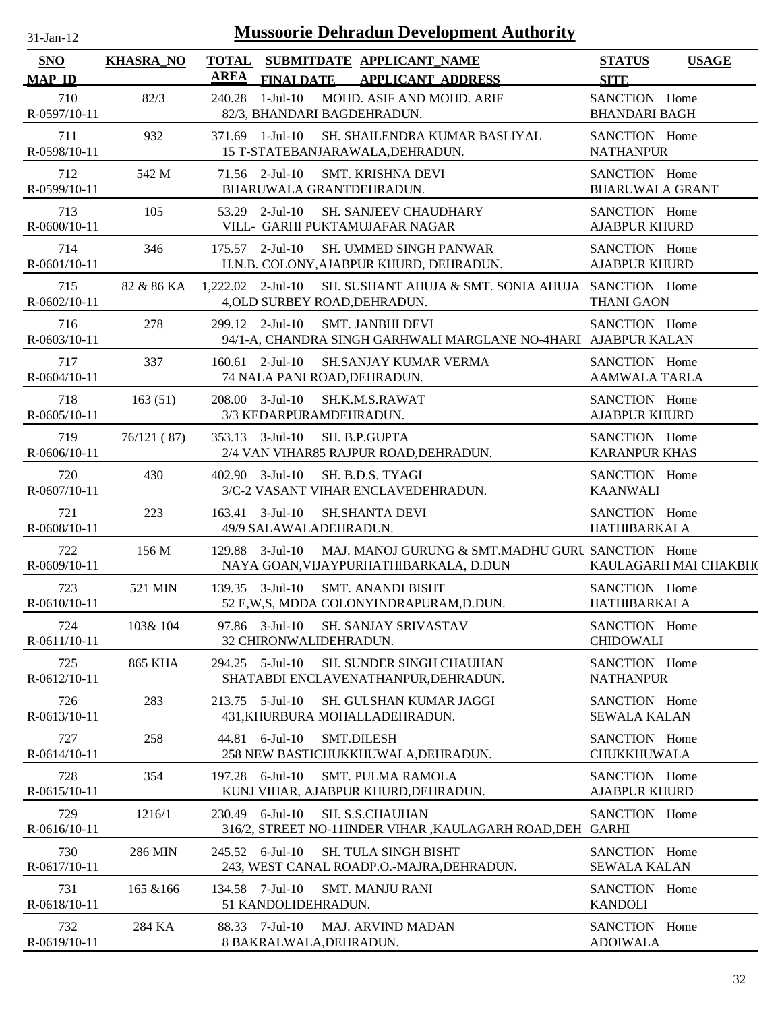| $31-Jan-12$                 |                  | <b>Mussoorie Dehradun Development Authority</b>                                                               |                                              |
|-----------------------------|------------------|---------------------------------------------------------------------------------------------------------------|----------------------------------------------|
| <b>SNO</b><br><b>MAP ID</b> | <b>KHASRA_NO</b> | SUBMITDATE APPLICANT_NAME<br><b>TOTAL</b><br><b>AREA</b><br><b>FINALDATE</b><br><b>APPLICANT ADDRESS</b>      | <b>USAGE</b><br><b>STATUS</b><br><b>SITE</b> |
| 710<br>R-0597/10-11         | 82/3             | MOHD. ASIF AND MOHD. ARIF<br>240.28<br>1-Jul-10<br>82/3, BHANDARI BAGDEHRADUN.                                | SANCTION Home<br><b>BHANDARI BAGH</b>        |
| 711<br>R-0598/10-11         | 932              | 371.69 1-Jul-10<br>SH. SHAILENDRA KUMAR BASLIYAL<br>15 T-STATEBANJARAWALA, DEHRADUN.                          | SANCTION Home<br><b>NATHANPUR</b>            |
| 712<br>R-0599/10-11         | 542 M            | 71.56 2-Jul-10<br>SMT. KRISHNA DEVI<br>BHARUWALA GRANTDEHRADUN.                                               | SANCTION Home<br><b>BHARUWALA GRANT</b>      |
| 713<br>R-0600/10-11         | 105              | 53.29 2-Jul-10<br>SH. SANJEEV CHAUDHARY<br>VILL- GARHI PUKTAMUJAFAR NAGAR                                     | SANCTION Home<br><b>AJABPUR KHURD</b>        |
| 714<br>R-0601/10-11         | 346              | $175.57$ 2-Jul-10<br>SH. UMMED SINGH PANWAR<br>H.N.B. COLONY, AJABPUR KHURD, DEHRADUN.                        | SANCTION Home<br><b>AJABPUR KHURD</b>        |
| 715<br>R-0602/10-11         | 82 & 86 KA       | $1,222.02$ 2-Jul-10<br>SH. SUSHANT AHUJA & SMT. SONIA AHUJA SANCTION Home<br>4, OLD SURBEY ROAD, DEHRADUN.    | <b>THANI GAON</b>                            |
| 716<br>$R - 0603/10 - 11$   | 278              | 299.12 2-Jul-10<br><b>SMT. JANBHI DEVI</b><br>94/1-A, CHANDRA SINGH GARHWALI MARGLANE NO-4HARI AJABPUR KALAN  | SANCTION Home                                |
| 717<br>R-0604/10-11         | 337              | $160.61$ 2-Jul-10<br><b>SH.SANJAY KUMAR VERMA</b><br>74 NALA PANI ROAD, DEHRADUN.                             | SANCTION Home<br><b>AAMWALA TARLA</b>        |
| 718<br>$R-0605/10-11$       | 163(51)          | 208.00 3-Jul-10<br>SH.K.M.S.RAWAT<br>3/3 KEDARPURAMDEHRADUN.                                                  | SANCTION Home<br><b>AJABPUR KHURD</b>        |
| 719<br>R-0606/10-11         | 76/121(87)       | $353.13$ $3$ -Jul-10<br>SH. B.P.GUPTA<br>2/4 VAN VIHAR85 RAJPUR ROAD, DEHRADUN.                               | SANCTION Home<br><b>KARANPUR KHAS</b>        |
| 720<br>R-0607/10-11         | 430              | 402.90 3-Jul-10<br>SH. B.D.S. TYAGI<br>3/C-2 VASANT VIHAR ENCLAVEDEHRADUN.                                    | SANCTION Home<br><b>KAANWALI</b>             |
| 721<br>R-0608/10-11         | 223              | 163.41 3-Jul-10<br><b>SH.SHANTA DEVI</b><br>49/9 SALAWALADEHRADUN.                                            | SANCTION Home<br><b>HATHIBARKALA</b>         |
| 722<br>R-0609/10-11         | 156 M            | 129.88 3-Jul-10<br>MAJ. MANOJ GURUNG & SMT.MADHU GURL SANCTION Home<br>NAYA GOAN, VIJAYPURHATHIBARKALA, D.DUN | KAULAGARH MAI CHAKBH(                        |
| 723<br>R-0610/10-11         | 521 MIN          | 139.35 3-Jul-10<br><b>SMT. ANANDI BISHT</b><br>52 E,W,S, MDDA COLONYINDRAPURAM,D.DUN.                         | SANCTION Home<br>HATHIBARKALA                |
| 724<br>R-0611/10-11         | 103& 104         | 97.86 3-Jul-10<br><b>SH. SANJAY SRIVASTAV</b><br>32 CHIRONWALIDEHRADUN.                                       | SANCTION Home<br><b>CHIDOWALI</b>            |
| 725<br>R-0612/10-11         | <b>865 KHA</b>   | 294.25 5-Jul-10<br><b>SH. SUNDER SINGH CHAUHAN</b><br>SHATABDI ENCLAVENATHANPUR, DEHRADUN.                    | SANCTION Home<br><b>NATHANPUR</b>            |
| 726<br>R-0613/10-11         | 283              | 213.75 5-Jul-10<br>SH. GULSHAN KUMAR JAGGI<br>431, KHURBURA MOHALLADEHRADUN.                                  | SANCTION Home<br><b>SEWALA KALAN</b>         |
| 727<br>R-0614/10-11         | 258              | 44.81 6-Jul-10<br><b>SMT.DILESH</b><br>258 NEW BASTICHUKKHUWALA, DEHRADUN.                                    | SANCTION Home<br>CHUKKHUWALA                 |
| 728<br>R-0615/10-11         | 354              | 197.28 6-Jul-10<br><b>SMT. PULMA RAMOLA</b><br>KUNJ VIHAR, AJABPUR KHURD, DEHRADUN.                           | SANCTION Home<br><b>AJABPUR KHURD</b>        |
| 729<br>R-0616/10-11         | 1216/1           | 230.49 6-Jul-10<br>SH. S.S.CHAUHAN<br>316/2, STREET NO-11INDER VIHAR , KAULAGARH ROAD, DEH                    | SANCTION Home<br><b>GARHI</b>                |
| 730<br>R-0617/10-11         | 286 MIN          | 245.52 6-Jul-10<br><b>SH. TULA SINGH BISHT</b><br>243, WEST CANAL ROADP.O.-MAJRA, DEHRADUN.                   | SANCTION Home<br><b>SEWALA KALAN</b>         |
| 731<br>R-0618/10-11         | 165 & 166        | 134.58 7-Jul-10<br><b>SMT. MANJU RANI</b><br>51 KANDOLIDEHRADUN.                                              | SANCTION Home<br><b>KANDOLI</b>              |
| 732<br>R-0619/10-11         | 284 KA           | 88.33 7-Jul-10<br><b>MAJ. ARVIND MADAN</b><br>8 BAKRALWALA, DEHRADUN.                                         | SANCTION Home<br><b>ADOIWALA</b>             |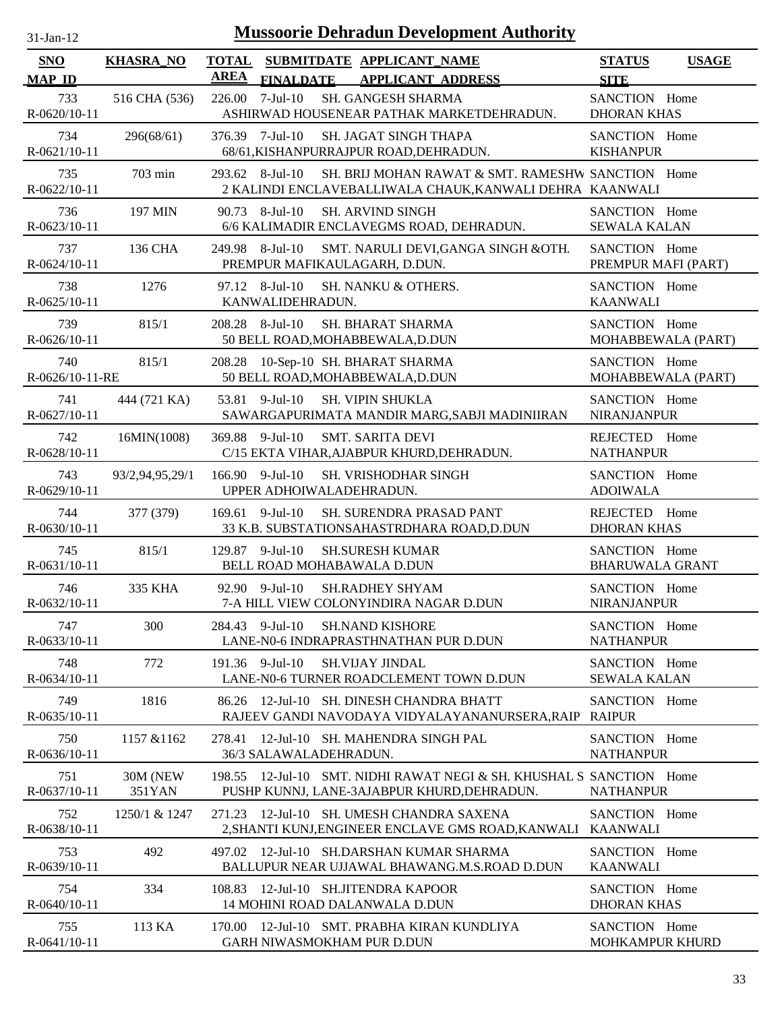| $31$ -Jan-12 |  |
|--------------|--|
|              |  |

| SNO                    | <b>KHASRA_NO</b>   | <b>TOTAL</b><br><b>AREA</b> |                                    | SUBMITDATE APPLICANT NAME                                                                                     | <b>STATUS</b>                           | <b>USAGE</b> |
|------------------------|--------------------|-----------------------------|------------------------------------|---------------------------------------------------------------------------------------------------------------|-----------------------------------------|--------------|
| <b>MAP ID</b><br>733   | 516 CHA (536)      | 226.00                      | <b>FINALDATE</b><br>$7$ -Jul- $10$ | <b>APPLICANT ADDRESS</b><br>SH. GANGESH SHARMA                                                                | <b>SITE</b><br>SANCTION Home            |              |
| R-0620/10-11           |                    |                             |                                    | ASHIRWAD HOUSENEAR PATHAK MARKETDEHRADUN.                                                                     | <b>DHORAN KHAS</b>                      |              |
| 734<br>R-0621/10-11    | 296(68/61)         | 376.39 7-Jul-10             |                                    | <b>SH. JAGAT SINGH THAPA</b><br>68/61, KISHANPURRAJPUR ROAD, DEHRADUN.                                        | SANCTION Home<br><b>KISHANPUR</b>       |              |
| 735<br>R-0622/10-11    | 703 min            | 293.62 8-Jul-10             |                                    | SH. BRIJ MOHAN RAWAT & SMT. RAMESHW SANCTION Home<br>2 KALINDI ENCLAVEBALLIWALA CHAUK, KANWALI DEHRA KAANWALI |                                         |              |
| 736<br>R-0623/10-11    | 197 MIN            | 90.73 8-Jul-10              |                                    | <b>SH. ARVIND SINGH</b><br>6/6 KALIMADIR ENCLAVEGMS ROAD, DEHRADUN.                                           | SANCTION Home<br><b>SEWALA KALAN</b>    |              |
| 737<br>R-0624/10-11    | 136 CHA            | 249.98                      | 8-Jul-10                           | SMT. NARULI DEVI, GANGA SINGH & OTH.<br>PREMPUR MAFIKAULAGARH, D.DUN.                                         | SANCTION Home<br>PREMPUR MAFI (PART)    |              |
| 738<br>R-0625/10-11    | 1276               |                             | 97.12 8-Jul-10<br>KANWALIDEHRADUN. | SH. NANKU & OTHERS.                                                                                           | SANCTION Home<br><b>KAANWALI</b>        |              |
| 739<br>R-0626/10-11    | 815/1              | 208.28                      | 8-Jul-10                           | <b>SH. BHARAT SHARMA</b><br>50 BELL ROAD, MOHABBEWALA, D.DUN                                                  | SANCTION Home<br>MOHABBEWALA (PART)     |              |
| 740<br>R-0626/10-11-RE | 815/1              | 208.28                      |                                    | 10-Sep-10 SH. BHARAT SHARMA<br>50 BELL ROAD, MOHABBEWALA, D.DUN                                               | SANCTION Home<br>MOHABBEWALA (PART)     |              |
| 741<br>R-0627/10-11    | 444 (721 KA)       | 53.81                       | $9$ -Jul-10                        | <b>SH. VIPIN SHUKLA</b><br>SAWARGAPURIMATA MANDIR MARG, SABJI MADINIIRAN                                      | SANCTION Home<br>NIRANJANPUR            |              |
| 742<br>R-0628/10-11    | 16MIN(1008)        | 369.88 9-Jul-10             |                                    | <b>SMT. SARITA DEVI</b><br>C/15 EKTA VIHAR, AJABPUR KHURD, DEHRADUN.                                          | REJECTED Home<br><b>NATHANPUR</b>       |              |
| 743<br>R-0629/10-11    | 93/2,94,95,29/1    | 166.90 9-Jul-10             |                                    | SH. VRISHODHAR SINGH<br>UPPER ADHOIWALADEHRADUN.                                                              | SANCTION Home<br><b>ADOIWALA</b>        |              |
| 744<br>R-0630/10-11    | 377 (379)          | $169.61$ 9-Jul-10           |                                    | SH. SURENDRA PRASAD PANT<br>33 K.B. SUBSTATIONSAHASTRDHARA ROAD, D.DUN                                        | REJECTED Home<br><b>DHORAN KHAS</b>     |              |
| 745<br>R-0631/10-11    | 815/1              | 129.87 9-Jul-10             |                                    | <b>SH.SURESH KUMAR</b><br>BELL ROAD MOHABAWALA D.DUN                                                          | SANCTION Home<br><b>BHARUWALA GRANT</b> |              |
| 746<br>R-0632/10-11    | 335 KHA            | 92.90 9-Jul-10              |                                    | <b>SH.RADHEY SHYAM</b><br>7-A HILL VIEW COLONYINDIRA NAGAR D.DUN                                              | SANCTION Home<br>NIRANJANPUR            |              |
| 747<br>R-0633/10-11    | 300                | 284.43 9-Jul-10             |                                    | <b>SH.NAND KISHORE</b><br>LANE-N0-6 INDRAPRASTHNATHAN PUR D.DUN                                               | SANCTION Home<br><b>NATHANPUR</b>       |              |
| 748<br>R-0634/10-11    | 772                | 191.36 9-Jul-10             |                                    | <b>SH.VIJAY JINDAL</b><br>LANE-N0-6 TURNER ROADCLEMENT TOWN D.DUN                                             | SANCTION Home<br><b>SEWALA KALAN</b>    |              |
| 749<br>R-0635/10-11    | 1816               | 86.26                       |                                    | 12-Jul-10 SH. DINESH CHANDRA BHATT<br>RAJEEV GANDI NAVODAYA VIDYALAYANANURSERA, RAIP                          | SANCTION Home<br><b>RAIPUR</b>          |              |
| 750<br>R-0636/10-11    | 1157 & 1162        | 278.41                      | 36/3 SALAWALADEHRADUN.             | 12-Jul-10 SH. MAHENDRA SINGH PAL                                                                              | SANCTION Home<br><b>NATHANPUR</b>       |              |
| 751<br>R-0637/10-11    | 30M (NEW<br>351YAN | 198.55                      |                                    | 12-Jul-10 SMT, NIDHI RAWAT NEGI & SH. KHUSHAL S SANCTION Home<br>PUSHP KUNNJ, LANE-3AJABPUR KHURD, DEHRADUN.  | <b>NATHANPUR</b>                        |              |
| 752<br>R-0638/10-11    | 1250/1 & 1247      | 271.23                      |                                    | 12-Jul-10 SH. UMESH CHANDRA SAXENA<br>2,SHANTI KUNJ,ENGINEER ENCLAVE GMS ROAD,KANWALI                         | SANCTION Home<br><b>KAANWALI</b>        |              |
| 753<br>$R-0639/10-11$  | 492                | 497.02                      |                                    | 12-Jul-10 SH.DARSHAN KUMAR SHARMA<br>BALLUPUR NEAR UJJAWAL BHAWANG.M.S.ROAD D.DUN                             | SANCTION Home<br><b>KAANWALI</b>        |              |
| 754<br>R-0640/10-11    | 334                | 108.83                      |                                    | 12-Jul-10 SH.JITENDRA KAPOOR<br>14 MOHINI ROAD DALANWALA D.DUN                                                | SANCTION Home<br><b>DHORAN KHAS</b>     |              |
| 755<br>R-0641/10-11    | 113 KA             |                             |                                    | 170.00 12-Jul-10 SMT. PRABHA KIRAN KUNDLIYA<br><b>GARH NIWASMOKHAM PUR D.DUN</b>                              | SANCTION Home<br><b>MOHKAMPUR KHURD</b> |              |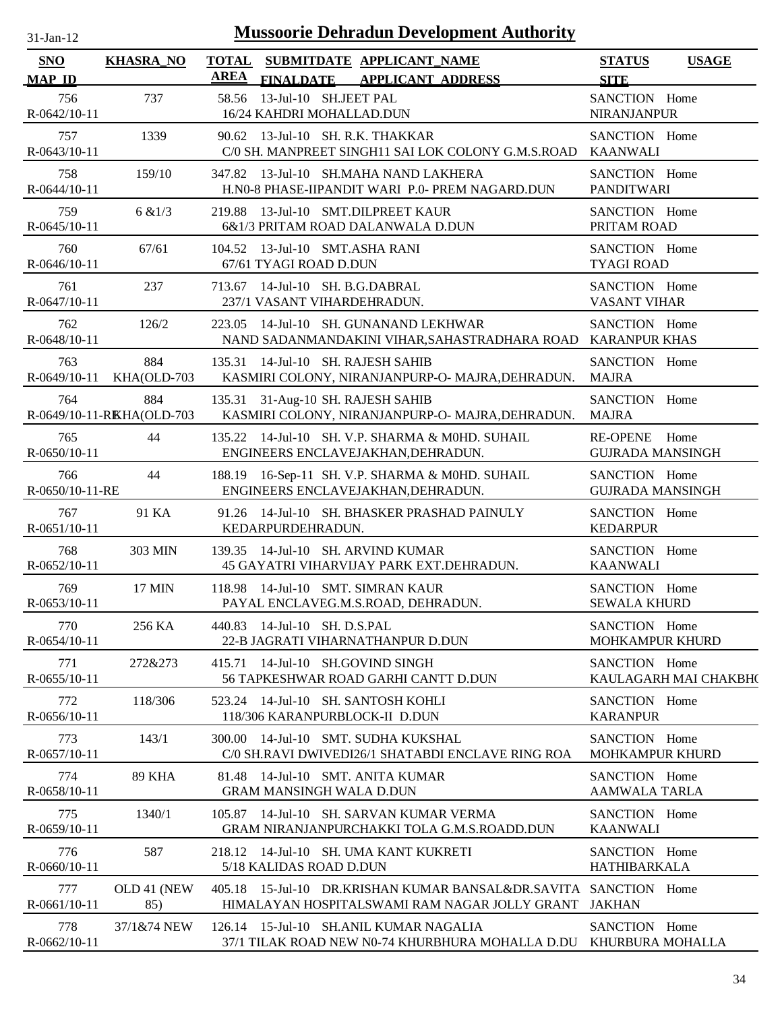| <b>Mussoorie Dehradun Development Authority</b><br>$31-Jan-12$ |                           |                                                                                                             |                                              |  |  |  |  |
|----------------------------------------------------------------|---------------------------|-------------------------------------------------------------------------------------------------------------|----------------------------------------------|--|--|--|--|
| <b>SNO</b><br><b>MAP ID</b>                                    | <b>KHASRA_NO</b>          | TOTAL SUBMITDATE APPLICANT NAME<br>AREA<br><b>FINALDATE</b><br><b>APPLICANT ADDRESS</b>                     | <b>STATUS</b><br><b>USAGE</b><br><b>SITE</b> |  |  |  |  |
| 756<br>R-0642/10-11                                            | 737                       | 13-Jul-10 SH.JEET PAL<br>58.56<br>16/24 KAHDRI MOHALLAD.DUN                                                 | SANCTION Home<br><b>NIRANJANPUR</b>          |  |  |  |  |
| 757                                                            | 1339                      | 90.62 13-Jul-10 SH. R.K. THAKKAR                                                                            | SANCTION Home                                |  |  |  |  |
| R-0643/10-11                                                   |                           | C/0 SH. MANPREET SINGH11 SAI LOK COLONY G.M.S.ROAD                                                          | <b>KAANWALI</b>                              |  |  |  |  |
| 758                                                            | 159/10                    | 347.82 13-Jul-10 SH.MAHA NAND LAKHERA                                                                       | SANCTION Home                                |  |  |  |  |
| $R-0644/10-11$                                                 |                           | H.NO-8 PHASE-IIPANDIT WARI P.O. PREM NAGARD.DUN                                                             | <b>PANDITWARI</b>                            |  |  |  |  |
| 759                                                            | 6 & 1/3                   | 219.88 13-Jul-10 SMT.DILPREET KAUR                                                                          | SANCTION Home                                |  |  |  |  |
| R-0645/10-11                                                   |                           | 6&1/3 PRITAM ROAD DALANWALA D.DUN                                                                           | PRITAM ROAD                                  |  |  |  |  |
| 760                                                            | 67/61                     | 104.52 13-Jul-10 SMT.ASHA RANI                                                                              | SANCTION Home                                |  |  |  |  |
| R-0646/10-11                                                   |                           | 67/61 TYAGI ROAD D.DUN                                                                                      | <b>TYAGI ROAD</b>                            |  |  |  |  |
| 761                                                            | 237                       | 713.67 14-Jul-10 SH. B.G.DABRAL                                                                             | SANCTION Home                                |  |  |  |  |
| R-0647/10-11                                                   |                           | 237/1 VASANT VIHARDEHRADUN.                                                                                 | <b>VASANT VIHAR</b>                          |  |  |  |  |
| 762<br>R-0648/10-11                                            | 126/2                     | 223.05 14-Jul-10 SH, GUNANAND LEKHWAR<br>NAND SADANMANDAKINI VIHAR, SAHASTRADHARA ROAD KARANPUR KHAS        | SANCTION Home                                |  |  |  |  |
| 763                                                            | 884                       | 135.31 14-Jul-10 SH. RAJESH SAHIB                                                                           | SANCTION Home                                |  |  |  |  |
| $R-0649/10-11$                                                 | KHA(OLD-703               | KASMIRI COLONY, NIRANJANPURP-O- MAJRA, DEHRADUN.                                                            | <b>MAJRA</b>                                 |  |  |  |  |
| 764                                                            | 884                       | 135.31 31-Aug-10 SH. RAJESH SAHIB                                                                           | SANCTION Home                                |  |  |  |  |
|                                                                | R-0649/10-11-RKHA(OLD-703 | KASMIRI COLONY, NIRANJANPURP-O- MAJRA, DEHRADUN.                                                            | <b>MAJRA</b>                                 |  |  |  |  |
| 765                                                            | 44                        | 135.22 14-Jul-10 SH. V.P. SHARMA & MOHD. SUHAIL                                                             | RE-OPENE Home                                |  |  |  |  |
| R-0650/10-11                                                   |                           | ENGINEERS ENCLAVEJAKHAN, DEHRADUN.                                                                          | <b>GUJRADA MANSINGH</b>                      |  |  |  |  |
| 766                                                            | 44                        | 188.19 16-Sep-11 SH. V.P. SHARMA & MOHD. SUHAIL                                                             | SANCTION Home                                |  |  |  |  |
| R-0650/10-11-RE                                                |                           | ENGINEERS ENCLAVEJAKHAN, DEHRADUN.                                                                          | <b>GUJRADA MANSINGH</b>                      |  |  |  |  |
| 767                                                            | 91 KA                     | 91.26 14-Jul-10 SH. BHASKER PRASHAD PAINULY                                                                 | SANCTION Home                                |  |  |  |  |
| R-0651/10-11                                                   |                           | KEDARPURDEHRADUN.                                                                                           | <b>KEDARPUR</b>                              |  |  |  |  |
| 768                                                            | 303 MIN                   | 139.35 14-Jul-10 SH. ARVIND KUMAR                                                                           | SANCTION Home                                |  |  |  |  |
| R-0652/10-11                                                   |                           | 45 GAYATRI VIHARVIJAY PARK EXT.DEHRADUN.                                                                    | <b>KAANWALI</b>                              |  |  |  |  |
| 769                                                            | 17 MIN                    | 118.98 14-Jul-10 SMT. SIMRAN KAUR                                                                           | SANCTION Home                                |  |  |  |  |
| R-0653/10-11                                                   |                           | PAYAL ENCLAVEG.M.S.ROAD, DEHRADUN.                                                                          | <b>SEWALA KHURD</b>                          |  |  |  |  |
| 770                                                            | 256 KA                    | 440.83 14-Jul-10 SH, D.S.PAL                                                                                | SANCTION Home                                |  |  |  |  |
| $R-0654/10-11$                                                 |                           | 22-B JAGRATI VIHARNATHANPUR D.DUN                                                                           | <b>MOHKAMPUR KHURD</b>                       |  |  |  |  |
| 771                                                            | 272&273                   | 415.71 14-Jul-10 SH.GOVIND SINGH                                                                            | SANCTION Home                                |  |  |  |  |
| $R-0655/10-11$                                                 |                           | 56 TAPKESHWAR ROAD GARHI CANTT D.DUN                                                                        | KAULAGARH MAI CHAKBH(                        |  |  |  |  |
| 772                                                            | 118/306                   | 523.24 14-Jul-10 SH. SANTOSH KOHLI                                                                          | SANCTION Home                                |  |  |  |  |
| R-0656/10-11                                                   |                           | 118/306 KARANPURBLOCK-II D.DUN                                                                              | <b>KARANPUR</b>                              |  |  |  |  |
| 773                                                            | 143/1                     | 300.00 14-Jul-10 SMT. SUDHA KUKSHAL                                                                         | SANCTION Home                                |  |  |  |  |
| $R-0657/10-11$                                                 |                           | C/0 SH.RAVI DWIVEDI26/1 SHATABDI ENCLAVE RING ROA                                                           | <b>MOHKAMPUR KHURD</b>                       |  |  |  |  |
| 774                                                            | <b>89 KHA</b>             | 81.48 14-Jul-10 SMT. ANITA KUMAR                                                                            | SANCTION Home                                |  |  |  |  |
| R-0658/10-11                                                   |                           | <b>GRAM MANSINGH WALA D.DUN</b>                                                                             | <b>AAMWALA TARLA</b>                         |  |  |  |  |
| 775                                                            | 1340/1                    | 105.87 14-Jul-10 SH. SARVAN KUMAR VERMA                                                                     | SANCTION Home                                |  |  |  |  |
| $R-0659/10-11$                                                 |                           | GRAM NIRANJANPURCHAKKI TOLA G.M.S.ROADD.DUN                                                                 | <b>KAANWALI</b>                              |  |  |  |  |
| 776                                                            | 587                       | 218.12 14-Jul-10 SH. UMA KANT KUKRETI                                                                       | SANCTION Home                                |  |  |  |  |
| R-0660/10-11                                                   |                           | 5/18 KALIDAS ROAD D.DUN                                                                                     | <b>HATHIBARKALA</b>                          |  |  |  |  |
| 777                                                            | OLD 41 (NEW               | 405.18 15-Jul-10 DR.KRISHAN KUMAR BANSAL&DR.SAVITA SANCTION Home                                            | JAKHAN                                       |  |  |  |  |
| R-0661/10-11                                                   | 85)                       | HIMALAYAN HOSPITALSWAMI RAM NAGAR JOLLY GRANT                                                               |                                              |  |  |  |  |
| 778<br>R-0662/10-11                                            | 37/1&74 NEW               | 126.14 15-Jul-10 SH.ANIL KUMAR NAGALIA<br>37/1 TILAK ROAD NEW N0-74 KHURBHURA MOHALLA D.DU KHURBURA MOHALLA | SANCTION Home                                |  |  |  |  |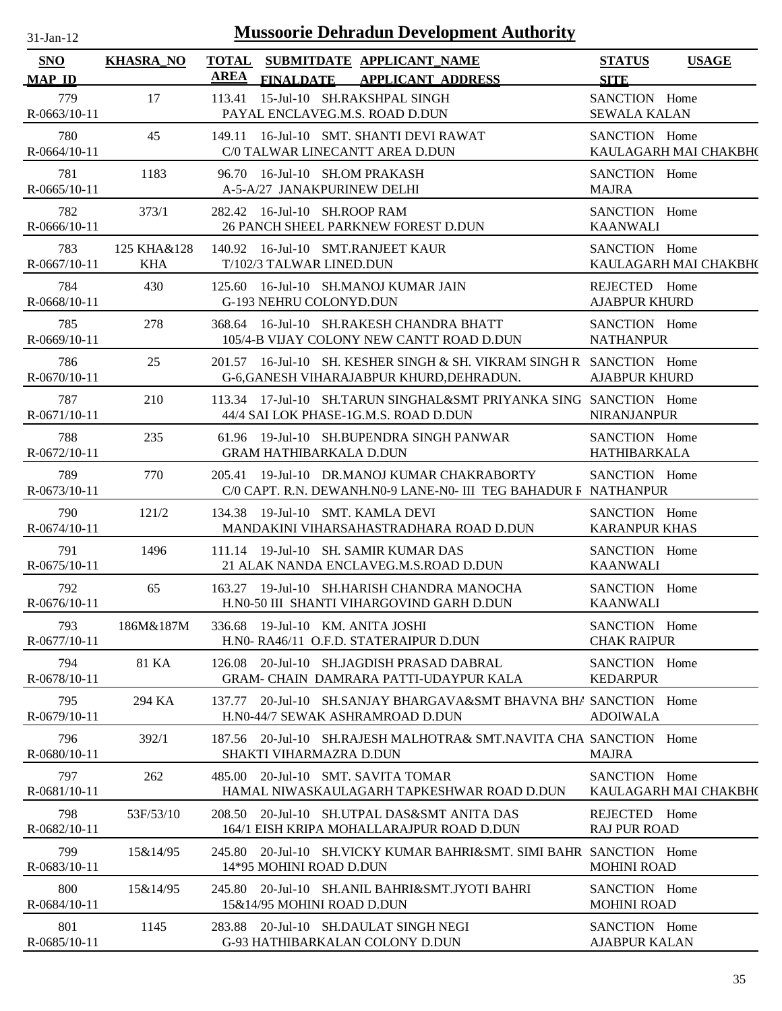| .1-Jan-11    |  |
|--------------|--|
| $\mathbf{L}$ |  |

| <b>SNO</b>            | <b>KHASRA_NO</b>          | <b>TOTAL</b> |                                                              | SUBMITDATE APPLICANT_NAME                                                                                         | <b>STATUS</b>                         | <b>USAGE</b>          |
|-----------------------|---------------------------|--------------|--------------------------------------------------------------|-------------------------------------------------------------------------------------------------------------------|---------------------------------------|-----------------------|
| <b>MAP ID</b>         |                           | <b>AREA</b>  | <b>FINALDATE</b>                                             | <b>APPLICANT ADDRESS</b>                                                                                          | <b>SITE</b>                           |                       |
| 779<br>$R-0663/10-11$ | 17                        |              |                                                              | 113.41 15-Jul-10 SH.RAKSHPAL SINGH<br>PAYAL ENCLAVEG.M.S. ROAD D.DUN                                              | SANCTION Home<br><b>SEWALA KALAN</b>  |                       |
| 780<br>$R-0664/10-11$ | 45                        |              |                                                              | 149.11 16-Jul-10 SMT. SHANTI DEVI RAWAT<br>C/0 TALWAR LINECANTT AREA D.DUN                                        | SANCTION Home                         | KAULAGARH MAI CHAKBH( |
| 781<br>$R-0665/10-11$ | 1183                      |              | 96.70 16-Jul-10 SH.OM PRAKASH<br>A-5-A/27 JANAKPURINEW DELHI |                                                                                                                   | SANCTION Home<br><b>MAJRA</b>         |                       |
| 782<br>R-0666/10-11   | 373/1                     |              | 282.42 16-Jul-10 SH.ROOP RAM                                 | 26 PANCH SHEEL PARKNEW FOREST D.DUN                                                                               | SANCTION Home<br><b>KAANWALI</b>      |                       |
| 783<br>$R-0667/10-11$ | 125 KHA&128<br><b>KHA</b> |              | T/102/3 TALWAR LINED.DUN                                     | 140.92 16-Jul-10 SMT.RANJEET KAUR                                                                                 | SANCTION Home                         | KAULAGARH MAI CHAKBH( |
| 784<br>R-0668/10-11   | 430                       |              | <b>G-193 NEHRU COLONYD.DUN</b>                               | 125.60 16-Jul-10 SH.MANOJ KUMAR JAIN                                                                              | REJECTED Home<br><b>AJABPUR KHURD</b> |                       |
| 785<br>R-0669/10-11   | 278                       |              |                                                              | 368.64 16-Jul-10 SH.RAKESH CHANDRA BHATT<br>105/4-B VIJAY COLONY NEW CANTT ROAD D.DUN                             | SANCTION Home<br><b>NATHANPUR</b>     |                       |
| 786<br>$R-0670/10-11$ | 25                        |              |                                                              | 201.57 16-Jul-10 SH, KESHER SINGH & SH, VIKRAM SINGH R SANCTION Home<br>G-6, GANESH VIHARAJABPUR KHURD, DEHRADUN. | <b>AJABPUR KHURD</b>                  |                       |
| 787<br>$R-0671/10-11$ | 210                       |              |                                                              | 113.34 17-Jul-10 SH.TARUN SINGHAL&SMT PRIYANKA SING SANCTION Home<br>44/4 SAI LOK PHASE-1G.M.S. ROAD D.DUN        | <b>NIRANJANPUR</b>                    |                       |
| 788<br>R-0672/10-11   | 235                       |              | <b>GRAM HATHIBARKALA D.DUN</b>                               | 61.96 19-Jul-10 SH.BUPENDRA SINGH PANWAR                                                                          | SANCTION Home<br>HATHIBARKALA         |                       |
| 789<br>R-0673/10-11   | 770                       |              |                                                              | 205.41 19-Jul-10 DR.MANOJ KUMAR CHAKRABORTY<br>C/0 CAPT. R.N. DEWANH.N0-9 LANE-N0- III TEG BAHADUR F NATHANPUR    | SANCTION Home                         |                       |
| 790<br>$R-0674/10-11$ | 121/2                     |              | 134.38 19-Jul-10 SMT. KAMLA DEVI                             | MANDAKINI VIHARSAHASTRADHARA ROAD D.DUN                                                                           | SANCTION Home<br><b>KARANPUR KHAS</b> |                       |
| 791<br>$R-0675/10-11$ | 1496                      |              |                                                              | 111.14 19-Jul-10 SH, SAMIR KUMAR DAS<br>21 ALAK NANDA ENCLAVEG.M.S.ROAD D.DUN                                     | SANCTION Home<br><b>KAANWALI</b>      |                       |
| 792<br>R-0676/10-11   | 65                        |              |                                                              | 163.27 19-Jul-10 SH.HARISH CHANDRA MANOCHA<br>H.NO-50 III SHANTI VIHARGOVIND GARH D.DUN                           | SANCTION Home<br><b>KAANWALI</b>      |                       |
| 793<br>R-0677/10-11   | 186M&187M                 |              | 336.68 19-Jul-10 KM. ANITA JOSHI                             | H.N0-RA46/11 O.F.D. STATERAIPUR D.DUN                                                                             | SANCTION Home<br><b>CHAK RAIPUR</b>   |                       |
| 794<br>$R-0678/10-11$ | 81 KA                     | 126.08       |                                                              | 20-Jul-10 SH.JAGDISH PRASAD DABRAL<br><b>GRAM- CHAIN DAMRARA PATTI-UDAYPUR KALA</b>                               | SANCTION Home<br><b>KEDARPUR</b>      |                       |
| 795<br>R-0679/10-11   | 294 KA                    | 137.77       |                                                              | 20-Jul-10 SH.SANJAY BHARGAVA&SMT BHAVNA BHA SANCTION Home<br>H.N0-44/7 SEWAK ASHRAMROAD D.DUN                     | <b>ADOIWALA</b>                       |                       |
| 796<br>R-0680/10-11   | 392/1                     |              | SHAKTI VIHARMAZRA D.DUN                                      | 187.56 20-Jul-10 SH.RAJESH MALHOTRA& SMT.NAVITA CHA SANCTION Home                                                 | <b>MAJRA</b>                          |                       |
| 797<br>$R-0681/10-11$ | 262                       |              |                                                              | 485.00 20-Jul-10 SMT. SAVITA TOMAR<br>HAMAL NIWASKAULAGARH TAPKESHWAR ROAD D.DUN                                  | SANCTION Home                         | KAULAGARH MAI CHAKBH( |
| 798<br>$R-0682/10-11$ | 53F/53/10                 |              |                                                              | 208.50 20-Jul-10 SH.UTPAL DAS&SMT ANITA DAS<br>164/1 EISH KRIPA MOHALLARAJPUR ROAD D.DUN                          | REJECTED Home<br><b>RAJ PUR ROAD</b>  |                       |
| 799<br>$R-0683/10-11$ | 15&14/95                  |              | 14*95 MOHINI ROAD D.DUN                                      | 245.80 20-Jul-10 SH. VICKY KUMAR BAHRI&SMT. SIMI BAHR SANCTION Home                                               | <b>MOHINI ROAD</b>                    |                       |
| 800<br>R-0684/10-11   | 15&14/95                  |              | 15&14/95 MOHINI ROAD D.DUN                                   | 245.80 20-Jul-10 SH.ANIL BAHRI&SMT.JYOTI BAHRI                                                                    | SANCTION Home<br><b>MOHINI ROAD</b>   |                       |
| 801<br>R-0685/10-11   | 1145                      |              |                                                              | 283.88 20-Jul-10 SH.DAULAT SINGH NEGI<br>G-93 HATHIBARKALAN COLONY D.DUN                                          | SANCTION Home<br><b>AJABPUR KALAN</b> |                       |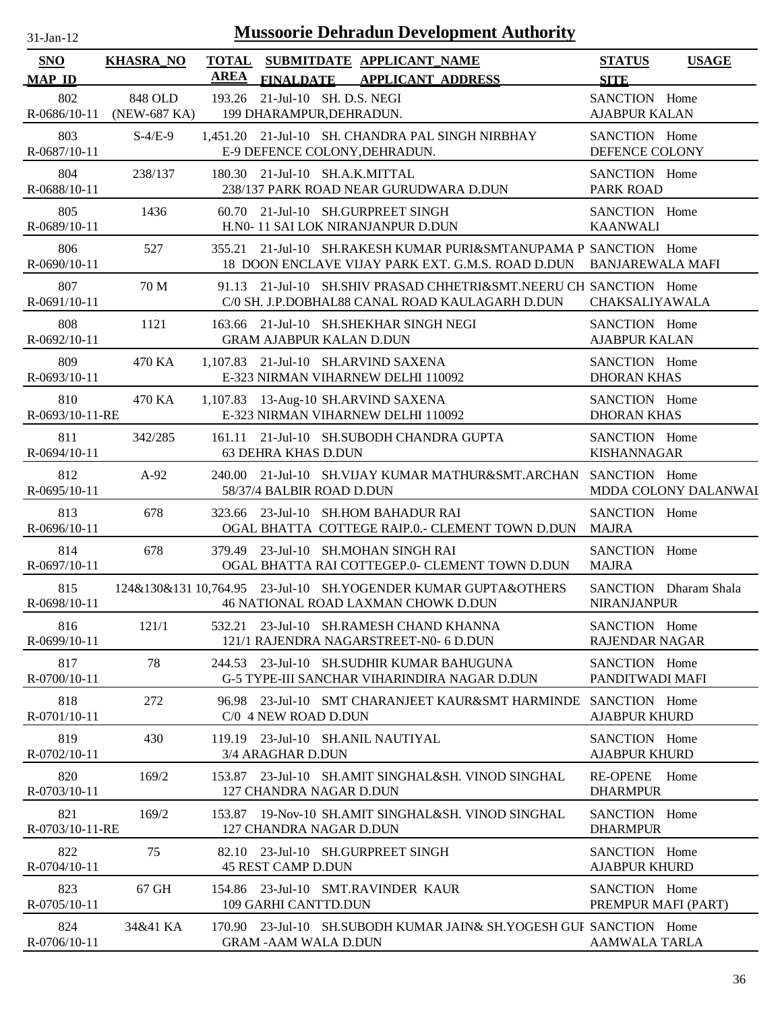| -.ian- |  |
|--------|--|

| <b>SNO</b><br><b>MAP ID</b> | <b>KHASRA_NO</b>                     | <b>AREA</b> | TOTAL SUBMITDATE APPLICANT NAME<br><b>FINALDATE</b>                       | <b>APPLICANT ADDRESS</b>                                                                                                               | <b>STATUS</b><br><b>SITE</b>           | <b>USAGE</b>          |
|-----------------------------|--------------------------------------|-------------|---------------------------------------------------------------------------|----------------------------------------------------------------------------------------------------------------------------------------|----------------------------------------|-----------------------|
| 802                         | 848 OLD<br>R-0686/10-11 (NEW-687 KA) |             | 193.26 21-Jul-10 SH. D.S. NEGI<br>199 DHARAMPUR, DEHRADUN.                |                                                                                                                                        | SANCTION Home<br><b>AJABPUR KALAN</b>  |                       |
| 803<br>R-0687/10-11         | $S-4/E-9$                            |             | E-9 DEFENCE COLONY, DEHRADUN.                                             | 1,451.20 21-Jul-10 SH. CHANDRA PAL SINGH NIRBHAY                                                                                       | SANCTION Home<br>DEFENCE COLONY        |                       |
| 804<br>R-0688/10-11         | 238/137                              |             | 180.30 21-Jul-10 SH.A.K.MITTAL                                            | 238/137 PARK ROAD NEAR GURUDWARA D.DUN                                                                                                 | SANCTION Home<br><b>PARK ROAD</b>      |                       |
| 805<br>R-0689/10-11         | 1436                                 |             | 60.70 21-Jul-10 SH.GURPREET SINGH<br>H.N0- 11 SAI LOK NIRANJANPUR D.DUN   |                                                                                                                                        | SANCTION Home<br><b>KAANWALI</b>       |                       |
| 806<br>R-0690/10-11         | 527                                  |             |                                                                           | 355.21 21-Jul-10 SH.RAKESH KUMAR PURI&SMTANUPAMA P SANCTION Home<br>18 DOON ENCLAVE VIJAY PARK EXT. G.M.S. ROAD D.DUN BANJAREWALA MAFI |                                        |                       |
| 807<br>R-0691/10-11         | 70 M                                 |             |                                                                           | 91.13 21-Jul-10 SH.SHIV PRASAD CHHETRI&SMT.NEERU CH SANCTION Home<br>C/0 SH. J.P.DOBHAL88 CANAL ROAD KAULAGARH D.DUN                   | CHAKSALIYAWALA                         |                       |
| 808<br>R-0692/10-11         | 1121                                 |             | 163.66 21-Jul-10 SH.SHEKHAR SINGH NEGI<br><b>GRAM AJABPUR KALAN D.DUN</b> |                                                                                                                                        | SANCTION Home<br><b>AJABPUR KALAN</b>  |                       |
| 809<br>R-0693/10-11         | 470 KA                               |             | 1,107.83 21-Jul-10 SH.ARVIND SAXENA<br>E-323 NIRMAN VIHARNEW DELHI 110092 |                                                                                                                                        | SANCTION Home<br><b>DHORAN KHAS</b>    |                       |
| 810<br>R-0693/10-11-RE      | 470 KA                               |             | 1,107.83 13-Aug-10 SH.ARVIND SAXENA<br>E-323 NIRMAN VIHARNEW DELHI 110092 |                                                                                                                                        | SANCTION Home<br><b>DHORAN KHAS</b>    |                       |
| 811<br>R-0694/10-11         | 342/285                              |             | <b>63 DEHRA KHAS D.DUN</b>                                                | 161.11 21-Jul-10 SH.SUBODH CHANDRA GUPTA                                                                                               | SANCTION Home<br><b>KISHANNAGAR</b>    |                       |
| 812<br>R-0695/10-11         | $A-92$                               |             | 58/37/4 BALBIR ROAD D.DUN                                                 | 240.00 21-Jul-10 SH.VIJAY KUMAR MATHUR&SMT.ARCHAN SANCTION Home                                                                        |                                        | MDDA COLONY DALANWAI  |
| 813<br>R-0696/10-11         | 678                                  |             | 323.66 23-Jul-10 SH.HOM BAHADUR RAI                                       | OGAL BHATTA COTTEGE RAIP.0.- CLEMENT TOWN D.DUN                                                                                        | SANCTION Home<br><b>MAJRA</b>          |                       |
| 814<br>R-0697/10-11         | 678                                  |             | 379.49 23-Jul-10 SH.MOHAN SINGH RAI                                       | OGAL BHATTA RAI COTTEGEP.0- CLEMENT TOWN D.DUN                                                                                         | SANCTION Home<br><b>MAJRA</b>          |                       |
| 815<br>R-0698/10-11         |                                      |             |                                                                           | 124&130&131 10,764.95 23-Jul-10 SH.YOGENDER KUMAR GUPTA&OTHERS<br>46 NATIONAL ROAD LAXMAN CHOWK D.DUN                                  | <b>NIRANJANPUR</b>                     | SANCTION Dharam Shala |
| 816<br>R-0699/10-11         | 121/1                                |             |                                                                           | 532.21 23-Jul-10 SH.RAMESH CHAND KHANNA<br>121/1 RAJENDRA NAGARSTREET-N0- 6 D.DUN                                                      | SANCTION Home<br><b>RAJENDAR NAGAR</b> |                       |
| 817<br>R-0700/10-11         | 78                                   |             |                                                                           | 244.53 23-Jul-10 SH.SUDHIR KUMAR BAHUGUNA<br>G-5 TYPE-III SANCHAR VIHARINDIRA NAGAR D.DUN                                              | SANCTION Home<br>PANDITWADI MAFI       |                       |
| 818<br>R-0701/10-11         | 272                                  |             | C/0 4 NEW ROAD D.DUN                                                      | 96.98 23-Jul-10 SMT CHARANJEET KAUR&SMT HARMINDE SANCTION Home                                                                         | <b>AJABPUR KHURD</b>                   |                       |
| 819<br>$R-0702/10-11$       | 430                                  |             | 119.19 23-Jul-10 SH.ANIL NAUTIYAL<br>3/4 ARAGHAR D.DUN                    |                                                                                                                                        | SANCTION Home<br><b>AJABPUR KHURD</b>  |                       |
| 820<br>$R - 0703/10 - 11$   | 169/2                                |             | 127 CHANDRA NAGAR D.DUN                                                   | 153.87 23-Jul-10 SH.AMIT SINGHAL&SH. VINOD SINGHAL                                                                                     | <b>RE-OPENE</b><br><b>DHARMPUR</b>     | Home                  |
| 821<br>R-0703/10-11-RE      | 169/2                                |             | 127 CHANDRA NAGAR D.DUN                                                   | 153.87 19-Nov-10 SH.AMIT SINGHAL&SH. VINOD SINGHAL                                                                                     | SANCTION Home<br><b>DHARMPUR</b>       |                       |
| 822<br>$R - 0704/10 - 11$   | 75                                   |             | 82.10 23-Jul-10 SH.GURPREET SINGH<br><b>45 REST CAMP D.DUN</b>            |                                                                                                                                        | SANCTION Home<br><b>AJABPUR KHURD</b>  |                       |
| 823<br>R-0705/10-11         | 67 GH                                |             | 154.86 23-Jul-10 SMT.RAVINDER KAUR<br>109 GARHI CANTTD.DUN                |                                                                                                                                        | SANCTION Home<br>PREMPUR MAFI (PART)   |                       |
| 824<br>$R-0706/10-11$       | 34&41 KA                             |             | <b>GRAM -AAM WALA D.DUN</b>                                               | 170.90 23-Jul-10 SH.SUBODH KUMAR JAIN& SH.YOGESH GUF SANCTION Home                                                                     | <b>AAMWALA TARLA</b>                   |                       |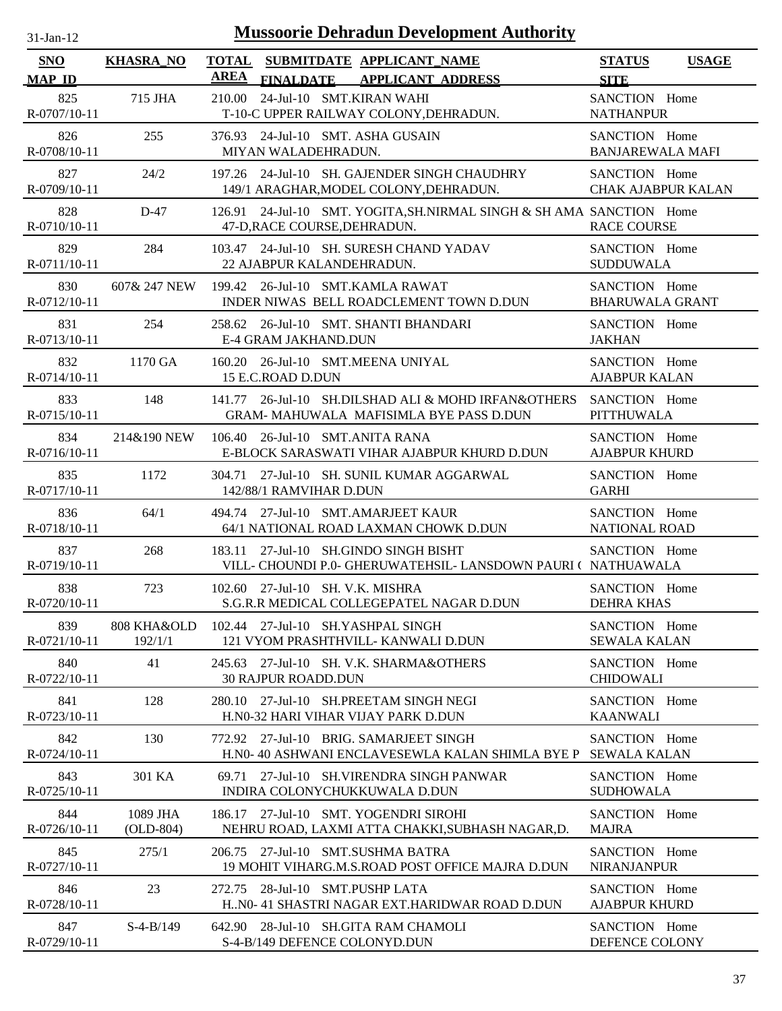| $31-Jan-12$                 |                  | <b>Mussoorie Dehradun Development Authority</b>                                                           |                                              |
|-----------------------------|------------------|-----------------------------------------------------------------------------------------------------------|----------------------------------------------|
| <b>SNO</b><br><b>MAP ID</b> | <b>KHASRA_NO</b> | <b>TOTAL</b><br>SUBMITDATE APPLICANT_NAME<br><b>AREA</b><br><b>APPLICANT ADDRESS</b><br><b>FINALDATE</b>  | <b>STATUS</b><br><b>USAGE</b><br><b>SITE</b> |
| 825<br>R-0707/10-11         | 715 JHA          | 24-Jul-10 SMT.KIRAN WAHI<br>210.00<br>T-10-C UPPER RAILWAY COLONY, DEHRADUN.                              | SANCTION Home<br><b>NATHANPUR</b>            |
| 826                         | 255              | 376.93 24-Jul-10 SMT. ASHA GUSAIN                                                                         | SANCTION Home                                |
| R-0708/10-11                |                  | MIYAN WALADEHRADUN.                                                                                       | <b>BANJAREWALA MAFI</b>                      |
| 827                         | 24/2             | 197.26 24-Jul-10 SH. GAJENDER SINGH CHAUDHRY                                                              | SANCTION Home                                |
| R-0709/10-11                |                  | 149/1 ARAGHAR, MODEL COLONY, DEHRADUN.                                                                    | <b>CHAK AJABPUR KALAN</b>                    |
| 828<br>R-0710/10-11         | $D-47$           | 126.91 24-Jul-10 SMT. YOGITA, SH. NIRMAL SINGH & SH AMA SANCTION Home<br>47-D, RACE COURSE, DEHRADUN.     | <b>RACE COURSE</b>                           |
| 829                         | 284              | 103.47 24-Jul-10 SH. SURESH CHAND YADAV                                                                   | SANCTION Home                                |
| R-0711/10-11                |                  | 22 AJABPUR KALANDEHRADUN.                                                                                 | <b>SUDDUWALA</b>                             |
| 830                         | 607& 247 NEW     | 199.42 26-Jul-10 SMT.KAMLA RAWAT                                                                          | SANCTION Home                                |
| R-0712/10-11                |                  | INDER NIWAS BELL ROADCLEMENT TOWN D.DUN                                                                   | <b>BHARUWALA GRANT</b>                       |
| 831                         | 254              | 258.62 26-Jul-10 SMT. SHANTI BHANDARI                                                                     | SANCTION Home                                |
| R-0713/10-11                |                  | E-4 GRAM JAKHAND.DUN                                                                                      | <b>JAKHAN</b>                                |
| 832                         | 1170 GA          | 160.20 26-Jul-10 SMT.MEENA UNIYAL                                                                         | SANCTION Home                                |
| R-0714/10-11                |                  | 15 E.C.ROAD D.DUN                                                                                         | <b>AJABPUR KALAN</b>                         |
| 833                         | 148              | 141.77 26-Jul-10 SH.DILSHAD ALI & MOHD IRFAN&OTHERS                                                       | SANCTION Home                                |
| R-0715/10-11                |                  | GRAM- MAHUWALA MAFISIMLA BYE PASS D.DUN                                                                   | <b>PITTHUWALA</b>                            |
| 834                         | 214&190 NEW      | 106.40 26-Jul-10 SMT.ANITA RANA                                                                           | SANCTION Home                                |
| R-0716/10-11                |                  | E-BLOCK SARASWATI VIHAR AJABPUR KHURD D.DUN                                                               | <b>AJABPUR KHURD</b>                         |
| 835                         | 1172             | 304.71 27-Jul-10 SH. SUNIL KUMAR AGGARWAL                                                                 | SANCTION Home                                |
| $R-0717/10-11$              |                  | 142/88/1 RAMVIHAR D.DUN                                                                                   | <b>GARHI</b>                                 |
| 836                         | 64/1             | 494.74 27-Jul-10 SMT.AMARJEET KAUR                                                                        | SANCTION Home                                |
| R-0718/10-11                |                  | 64/1 NATIONAL ROAD LAXMAN CHOWK D.DUN                                                                     | <b>NATIONAL ROAD</b>                         |
| 837<br>R-0719/10-11         | 268              | 27-Jul-10 SH.GINDO SINGH BISHT<br>183.11<br>VILL- CHOUNDI P.0- GHERUWATEHSIL- LANSDOWN PAURI ( NATHUAWALA | SANCTION Home                                |
| 838                         | 723              | 102.60 27-Jul-10 SH. V.K. MISHRA                                                                          | SANCTION Home                                |
| R-0720/10-11                |                  | S.G.R.R MEDICAL COLLEGEPATEL NAGAR D.DUN                                                                  | <b>DEHRA KHAS</b>                            |
| 839                         | 808 KHA&OLD      | 102.44 27-Jul-10 SH.YASHPAL SINGH                                                                         | SANCTION Home                                |
| R-0721/10-11                | 192/1/1          | 121 VYOM PRASHTHVILL- KANWALI D.DUN                                                                       | <b>SEWALA KALAN</b>                          |
| 840<br>R-0722/10-11         | 41               | 245.63<br>27-Jul-10 SH. V.K. SHARMA&OTHERS<br><b>30 RAJPUR ROADD.DUN</b>                                  | SANCTION Home<br><b>CHIDOWALI</b>            |
| 841                         | 128              | 280.10 27-Jul-10 SH.PREETAM SINGH NEGI                                                                    | SANCTION Home                                |
| R-0723/10-11                |                  | H.N0-32 HARI VIHAR VIJAY PARK D.DUN                                                                       | <b>KAANWALI</b>                              |
| 842<br>R-0724/10-11         | 130              | 27-Jul-10 BRIG. SAMARJEET SINGH<br>772.92<br>H.N0- 40 ASHWANI ENCLAVESEWLA KALAN SHIMLA BYE P             | SANCTION Home<br><b>SEWALA KALAN</b>         |
| 843<br>R-0725/10-11         | 301 KA           | 27-Jul-10 SH. VIRENDRA SINGH PANWAR<br>69.71<br>INDIRA COLONYCHUKKUWALA D.DUN                             | SANCTION Home<br><b>SUDHOWALA</b>            |
| 844                         | 1089 JHA         | 186.17 27-Jul-10 SMT. YOGENDRI SIROHI                                                                     | SANCTION Home                                |
| R-0726/10-11                | $(OLD-804)$      | NEHRU ROAD, LAXMI ATTA CHAKKI, SUBHASH NAGAR, D.                                                          | <b>MAJRA</b>                                 |
| 845                         | 275/1            | 206.75 27-Jul-10 SMT.SUSHMA BATRA                                                                         | SANCTION Home                                |
| R-0727/10-11                |                  | 19 MOHIT VIHARG.M.S.ROAD POST OFFICE MAJRA D.DUN                                                          | <b>NIRANJANPUR</b>                           |
| 846                         | 23               | 272.75 28-Jul-10 SMT.PUSHP LATA                                                                           | SANCTION Home                                |
| R-0728/10-11                |                  | H. NO- 41 SHASTRI NAGAR EXT.HARIDWAR ROAD D.DUN                                                           | <b>AJABPUR KHURD</b>                         |
| 847                         | $S-4-B/149$      | 642.90 28-Jul-10 SH.GITA RAM CHAMOLI                                                                      | SANCTION Home                                |
| R-0729/10-11                |                  | S-4-B/149 DEFENCE COLONYD.DUN                                                                             | DEFENCE COLONY                               |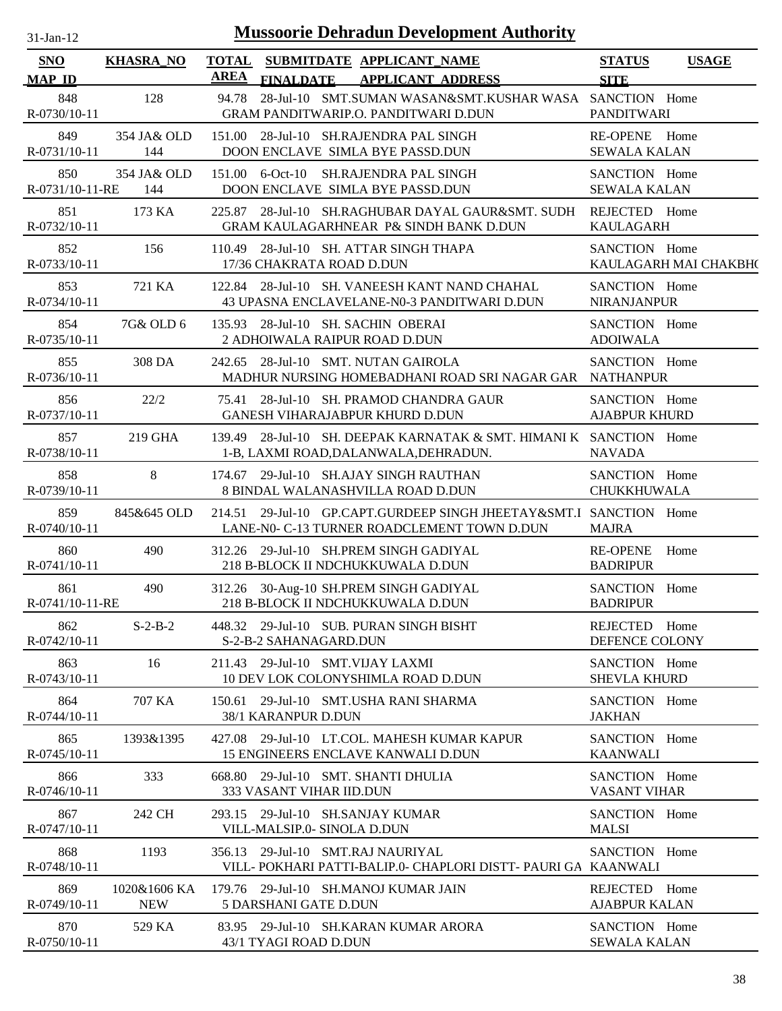| 31-Jan-12 |  |
|-----------|--|
|           |  |

| SNO<br><b>MAP ID</b>   | <b>KHASRA_NO</b>           | <b>TOTAL</b><br><b>AREA</b> | <b>FINALDATE</b>            | SUBMITDATE APPLICANT NAME<br><b>APPLICANT ADDRESS</b>                                        |                                                                    | <b>STATUS</b><br><b>SITE</b>          | <b>USAGE</b>          |
|------------------------|----------------------------|-----------------------------|-----------------------------|----------------------------------------------------------------------------------------------|--------------------------------------------------------------------|---------------------------------------|-----------------------|
| 848<br>R-0730/10-11    | 128                        |                             |                             | GRAM PANDITWARIP.O. PANDITWARI D.DUN                                                         | 94.78 28-Jul-10 SMT.SUMAN WASAN&SMT.KUSHAR WASA SANCTION Home      | <b>PANDITWARI</b>                     |                       |
| 849<br>R-0731/10-11    | 354 JA& OLD<br>144         |                             |                             | 151.00 28-Jul-10 SH.RAJENDRA PAL SINGH<br>DOON ENCLAVE SIMLA BYE PASSD.DUN                   |                                                                    | RE-OPENE Home<br><b>SEWALA KALAN</b>  |                       |
| 850<br>R-0731/10-11-RE | 354 JA& OLD<br>144         |                             | 151.00 6-Oct-10             | <b>SH.RAJENDRA PAL SINGH</b><br>DOON ENCLAVE SIMLA BYE PASSD.DUN                             |                                                                    | SANCTION Home<br><b>SEWALA KALAN</b>  |                       |
| 851<br>R-0732/10-11    | 173 KA                     |                             |                             | <b>GRAM KAULAGARHNEAR P&amp; SINDH BANK D.DUN</b>                                            | 225.87 28-Jul-10 SH.RAGHUBAR DAYAL GAUR&SMT. SUDH                  | REJECTED Home<br><b>KAULAGARH</b>     |                       |
| 852<br>R-0733/10-11    | 156                        |                             | 17/36 CHAKRATA ROAD D.DUN   | 110.49 28-Jul-10 SH. ATTAR SINGH THAPA                                                       |                                                                    | SANCTION Home                         | KAULAGARH MAI CHAKBH( |
| 853<br>R-0734/10-11    | 721 KA                     |                             |                             | 122.84 28-Jul-10 SH. VANEESH KANT NAND CHAHAL<br>43 UPASNA ENCLAVELANE-N0-3 PANDITWARI D.DUN |                                                                    | SANCTION Home<br><b>NIRANJANPUR</b>   |                       |
| 854<br>R-0735/10-11    | 7G& OLD 6                  |                             |                             | 135.93 28-Jul-10 SH. SACHIN OBERAI<br>2 ADHOIWALA RAIPUR ROAD D.DUN                          |                                                                    | SANCTION Home<br><b>ADOIWALA</b>      |                       |
| 855<br>R-0736/10-11    | 308 DA                     |                             |                             | 242.65 28-Jul-10 SMT. NUTAN GAIROLA                                                          | MADHUR NURSING HOMEBADHANI ROAD SRI NAGAR GAR NATHANPUR            | SANCTION Home                         |                       |
| 856<br>R-0737/10-11    | 22/2                       |                             |                             | 75.41 28-Jul-10 SH. PRAMOD CHANDRA GAUR<br>GANESH VIHARAJABPUR KHURD D.DUN                   |                                                                    | SANCTION Home<br><b>AJABPUR KHURD</b> |                       |
| 857<br>R-0738/10-11    | 219 GHA                    |                             |                             | 1-B, LAXMI ROAD, DALANWALA, DEHRADUN.                                                        | 139.49 28-Jul-10 SH. DEEPAK KARNATAK & SMT. HIMANI K SANCTION Home | <b>NAVADA</b>                         |                       |
| 858<br>R-0739/10-11    | 8                          |                             |                             | 174.67 29-Jul-10 SH.AJAY SINGH RAUTHAN<br>8 BINDAL WALANASHVILLA ROAD D.DUN                  |                                                                    | SANCTION Home<br>CHUKKHUWALA          |                       |
| 859<br>R-0740/10-11    | 845&645 OLD                |                             |                             | LANE-N0- C-13 TURNER ROADCLEMENT TOWN D.DUN                                                  | 214.51 29-Jul-10 GP.CAPT.GURDEEP SINGH JHEETAY&SMT.I SANCTION Home | <b>MAJRA</b>                          |                       |
| 860<br>R-0741/10-11    | 490                        |                             |                             | 312.26 29-Jul-10 SH.PREM SINGH GADIYAL<br>218 B-BLOCK II NDCHUKKUWALA D.DUN                  |                                                                    | <b>RE-OPENE</b><br><b>BADRIPUR</b>    | Home                  |
| 861<br>R-0741/10-11-RE | 490                        |                             |                             | 312.26 30-Aug-10 SH.PREM SINGH GADIYAL<br>218 B-BLOCK II NDCHUKKUWALA D.DUN                  |                                                                    | SANCTION Home<br><b>BADRIPUR</b>      |                       |
| 862<br>R-0742/10-11    | $S-2-B-2$                  |                             | S-2-B-2 SAHANAGARD.DUN      | 448.32 29-Jul-10 SUB. PURAN SINGH BISHT                                                      |                                                                    | REJECTED Home<br>DEFENCE COLONY       |                       |
| 863<br>R-0743/10-11    | 16                         |                             |                             | 211.43 29-Jul-10 SMT.VIJAY LAXMI<br>10 DEV LOK COLONYSHIMLA ROAD D.DUN                       |                                                                    | SANCTION Home<br><b>SHEVLA KHURD</b>  |                       |
| 864<br>R-0744/10-11    | 707 KA                     |                             | 38/1 KARANPUR D.DUN         | 150.61 29-Jul-10 SMT.USHA RANI SHARMA                                                        |                                                                    | SANCTION Home<br><b>JAKHAN</b>        |                       |
| 865<br>$R-0745/10-11$  | 1393&1395                  |                             |                             | 427.08 29-Jul-10 LT.COL, MAHESH KUMAR KAPUR<br><b>15 ENGINEERS ENCLAVE KANWALI D.DUN</b>     |                                                                    | SANCTION Home<br><b>KAANWALI</b>      |                       |
| 866<br>$R-0746/10-11$  | 333                        |                             | 333 VASANT VIHAR IID.DUN    | 668.80 29-Jul-10 SMT. SHANTI DHULIA                                                          |                                                                    | SANCTION Home<br><b>VASANT VIHAR</b>  |                       |
| 867<br>R-0747/10-11    | 242 CH                     |                             | VILL-MALSIP.0- SINOLA D.DUN | 293.15 29-Jul-10 SH.SANJAY KUMAR                                                             |                                                                    | SANCTION Home<br><b>MALSI</b>         |                       |
| 868<br>R-0748/10-11    | 1193                       |                             |                             | 356.13 29-Jul-10 SMT.RAJ NAURIYAL                                                            | VILL- POKHARI PATTI-BALIP.0- CHAPLORI DISTT- PAURI GA KAANWALI     | SANCTION Home                         |                       |
| 869<br>R-0749/10-11    | 1020&1606 KA<br><b>NEW</b> |                             | 5 DARSHANI GATE D.DUN       | 179.76 29-Jul-10 SH.MANOJ KUMAR JAIN                                                         |                                                                    | REJECTED Home<br><b>AJABPUR KALAN</b> |                       |
| 870<br>R-0750/10-11    | 529 KA                     |                             | 43/1 TYAGI ROAD D.DUN       | 83.95 29-Jul-10 SH.KARAN KUMAR ARORA                                                         |                                                                    | SANCTION Home<br><b>SEWALA KALAN</b>  |                       |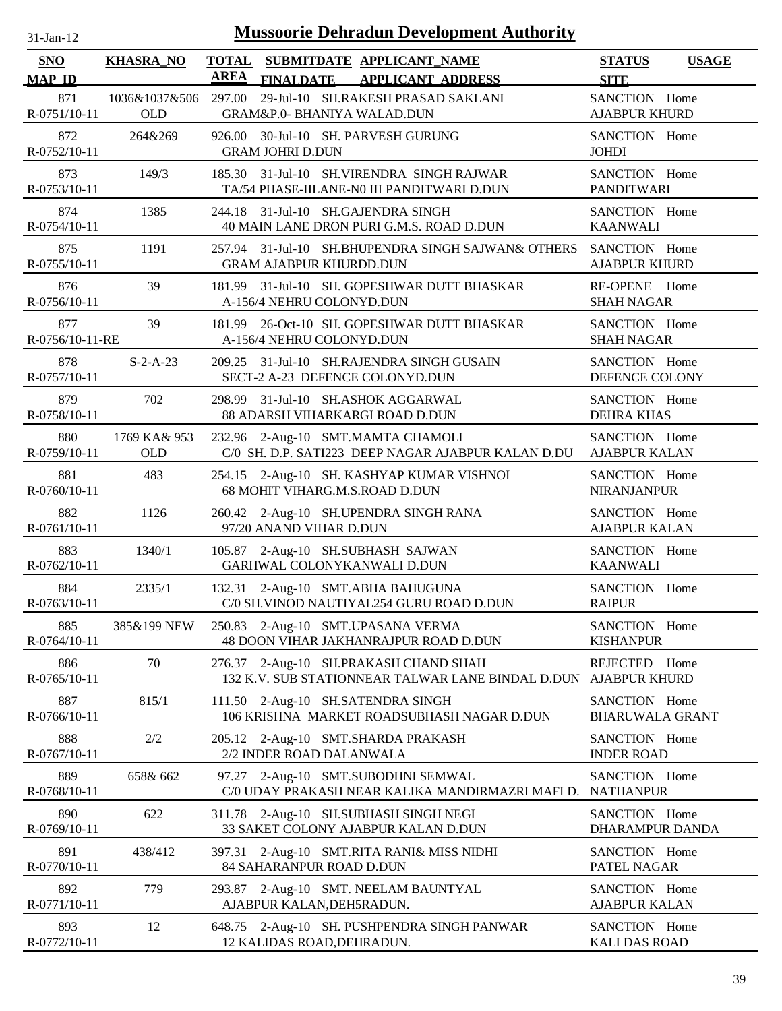| <b>SNO</b><br><b>MAP ID</b> | <b>KHASRA_NO</b>            | <b>AREA</b> | <b>FINALDATE</b>               | TOTAL SUBMITDATE APPLICANT NAME<br><b>APPLICANT ADDRESS</b>                                              | <b>STATUS</b><br><b>SITE</b>            | <b>USAGE</b> |
|-----------------------------|-----------------------------|-------------|--------------------------------|----------------------------------------------------------------------------------------------------------|-----------------------------------------|--------------|
| 871<br>R-0751/10-11         | 1036&1037&506 297.00<br>OLD |             | GRAM&P.0- BHANIYA WALAD.DUN    | 29-Jul-10 SH.RAKESH PRASAD SAKLANI                                                                       | SANCTION Home<br><b>AJABPUR KHURD</b>   |              |
| 872<br>R-0752/10-11         | 264&269                     |             | <b>GRAM JOHRI D.DUN</b>        | 926.00 30-Jul-10 SH. PARVESH GURUNG                                                                      | SANCTION Home<br><b>JOHDI</b>           |              |
| 873<br>R-0753/10-11         | 149/3                       | 185.30      |                                | 31-Jul-10 SH.VIRENDRA SINGH RAJWAR<br>TA/54 PHASE-IILANE-N0 III PANDITWARI D.DUN                         | SANCTION Home<br><b>PANDITWARI</b>      |              |
| 874<br>R-0754/10-11         | 1385                        |             |                                | 244.18 31-Jul-10 SH.GAJENDRA SINGH<br>40 MAIN LANE DRON PURI G.M.S. ROAD D.DUN                           | SANCTION Home<br><b>KAANWALI</b>        |              |
| 875<br>R-0755/10-11         | 1191                        |             | <b>GRAM AJABPUR KHURDD.DUN</b> | 257.94 31-Jul-10 SH.BHUPENDRA SINGH SAJWAN& OTHERS                                                       | SANCTION Home<br><b>AJABPUR KHURD</b>   |              |
| 876<br>R-0756/10-11         | 39                          |             | A-156/4 NEHRU COLONYD.DUN      | 181.99 31-Jul-10 SH. GOPESHWAR DUTT BHASKAR                                                              | RE-OPENE Home<br><b>SHAH NAGAR</b>      |              |
| 877<br>R-0756/10-11-RE      | 39                          |             | A-156/4 NEHRU COLONYD.DUN      | 181.99 26-Oct-10 SH. GOPESHWAR DUTT BHASKAR                                                              | SANCTION Home<br><b>SHAH NAGAR</b>      |              |
| 878<br>R-0757/10-11         | $S-2-A-23$                  |             |                                | 209.25 31-Jul-10 SH.RAJENDRA SINGH GUSAIN<br>SECT-2 A-23 DEFENCE COLONYD.DUN                             | SANCTION Home<br>DEFENCE COLONY         |              |
| 879<br>R-0758/10-11         | 702                         |             |                                | 298.99 31-Jul-10 SH.ASHOK AGGARWAL<br>88 ADARSH VIHARKARGI ROAD D.DUN                                    | SANCTION Home<br><b>DEHRA KHAS</b>      |              |
| 880<br>R-0759/10-11         | 1769 KA& 953<br><b>OLD</b>  |             |                                | 232.96 2-Aug-10 SMT.MAMTA CHAMOLI<br>C/0 SH. D.P. SATI223 DEEP NAGAR AJABPUR KALAN D.DU                  | SANCTION Home<br><b>AJABPUR KALAN</b>   |              |
| 881<br>R-0760/10-11         | 483                         |             | 68 MOHIT VIHARG.M.S.ROAD D.DUN | 254.15 2-Aug-10 SH. KASHYAP KUMAR VISHNOI                                                                | SANCTION Home<br><b>NIRANJANPUR</b>     |              |
| 882<br>R-0761/10-11         | 1126                        |             | 97/20 ANAND VIHAR D.DUN        | 260.42 2-Aug-10 SH.UPENDRA SINGH RANA                                                                    | SANCTION Home<br><b>AJABPUR KALAN</b>   |              |
| 883<br>R-0762/10-11         | 1340/1                      |             | GARHWAL COLONYKANWALI D.DUN    | 105.87 2-Aug-10 SH.SUBHASH SAJWAN                                                                        | SANCTION Home<br><b>KAANWALI</b>        |              |
| 884<br>R-0763/10-11         | 2335/1                      |             |                                | 132.31 2-Aug-10 SMT.ABHA BAHUGUNA<br>C/0 SH.VINOD NAUTIYAL254 GURU ROAD D.DUN                            | SANCTION Home<br><b>RAIPUR</b>          |              |
| 885<br>R-0764/10-11         | 385&199 NEW                 |             |                                | 250.83 2-Aug-10 SMT.UPASANA VERMA<br>48 DOON VIHAR JAKHANRAJPUR ROAD D.DUN                               | SANCTION Home<br><b>KISHANPUR</b>       |              |
| 886<br>R-0765/10-11         | 70                          |             |                                | 276.37 2-Aug-10 SH.PRAKASH CHAND SHAH<br>132 K.V. SUB STATIONNEAR TALWAR LANE BINDAL D.DUN AJABPUR KHURD | REJECTED Home                           |              |
| 887<br>R-0766/10-11         | 815/1                       |             |                                | 111.50 2-Aug-10 SH.SATENDRA SINGH<br>106 KRISHNA MARKET ROADSUBHASH NAGAR D.DUN                          | SANCTION Home<br><b>BHARUWALA GRANT</b> |              |
| 888<br>R-0767/10-11         | 2/2                         |             | 2/2 INDER ROAD DALANWALA       | 205.12 2-Aug-10 SMT.SHARDA PRAKASH                                                                       | SANCTION Home<br><b>INDER ROAD</b>      |              |
| 889<br>R-0768/10-11         | 658& 662                    |             |                                | 97.27 2-Aug-10 SMT.SUBODHNI SEMWAL<br>C/0 UDAY PRAKASH NEAR KALIKA MANDIRMAZRI MAFI D.                   | SANCTION Home<br><b>NATHANPUR</b>       |              |
| 890<br>R-0769/10-11         | 622                         |             |                                | 311.78 2-Aug-10 SH.SUBHASH SINGH NEGI<br>33 SAKET COLONY AJABPUR KALAN D.DUN                             | SANCTION Home<br>DHARAMPUR DANDA        |              |
| 891<br>R-0770/10-11         | 438/412                     |             | 84 SAHARANPUR ROAD D.DUN       | 397.31 2-Aug-10 SMT.RITA RANI& MISS NIDHI                                                                | SANCTION Home<br>PATEL NAGAR            |              |
| 892<br>R-0771/10-11         | 779                         |             | AJABPUR KALAN, DEH5RADUN.      | 293.87 2-Aug-10 SMT. NEELAM BAUNTYAL                                                                     | SANCTION Home<br><b>AJABPUR KALAN</b>   |              |
| 893<br>R-0772/10-11         | 12                          |             | 12 KALIDAS ROAD, DEHRADUN.     | 648.75 2-Aug-10 SH. PUSHPENDRA SINGH PANWAR                                                              | SANCTION Home<br><b>KALI DAS ROAD</b>   |              |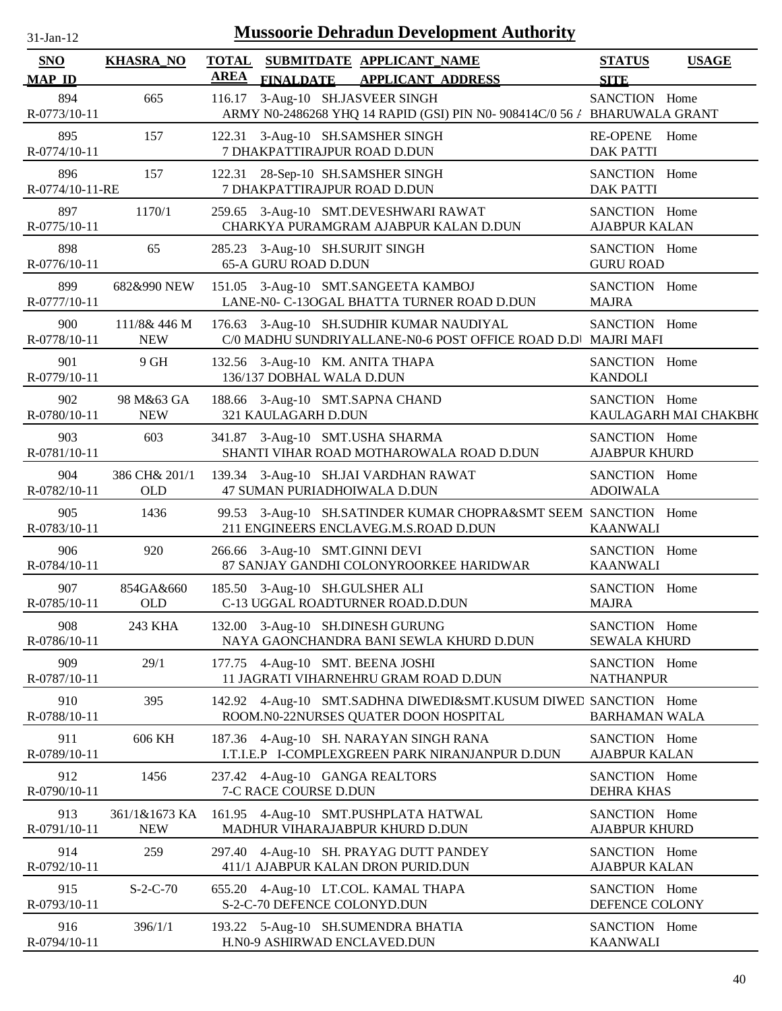| $31$ -Jan- $12$             |                             |             | <b>Mussoorie Dehradun Development Authority</b>                                                          |                                       |                       |
|-----------------------------|-----------------------------|-------------|----------------------------------------------------------------------------------------------------------|---------------------------------------|-----------------------|
| <b>SNO</b><br><b>MAP ID</b> | <b>KHASRA_NO</b>            | <b>AREA</b> | TOTAL SUBMITDATE APPLICANT NAME<br><b>FINALDATE</b><br><b>APPLICANT ADDRESS</b>                          | <b>STATUS</b><br><b>SITE</b>          | <b>USAGE</b>          |
| 894<br>R-0773/10-11         | 665                         | 116.17      | 3-Aug-10 SH.JASVEER SINGH<br>ARMY N0-2486268 YHQ 14 RAPID (GSI) PIN N0-908414C/0 56 / BHARUWALA GRANT    | SANCTION Home                         |                       |
| 895<br>R-0774/10-11         | 157                         |             | 122.31 3-Aug-10 SH.SAMSHER SINGH<br>7 DHAKPATTIRAJPUR ROAD D.DUN                                         | <b>RE-OPENE</b><br><b>DAK PATTI</b>   | Home                  |
| 896<br>R-0774/10-11-RE      | 157                         |             | 122.31 28-Sep-10 SH.SAMSHER SINGH<br>7 DHAKPATTIRAJPUR ROAD D.DUN                                        | SANCTION Home<br><b>DAK PATTI</b>     |                       |
| 897<br>R-0775/10-11         | 1170/1                      |             | 259.65 3-Aug-10 SMT.DEVESHWARI RAWAT<br>CHARKYA PURAMGRAM AJABPUR KALAN D.DUN                            | SANCTION Home<br><b>AJABPUR KALAN</b> |                       |
| 898<br>R-0776/10-11         | 65                          |             | 285.23 3-Aug-10 SH.SURJIT SINGH<br>65-A GURU ROAD D.DUN                                                  | SANCTION Home<br><b>GURU ROAD</b>     |                       |
| 899<br>R-0777/10-11         | 682&990 NEW                 |             | 151.05 3-Aug-10 SMT.SANGEETA KAMBOJ<br>LANE-N0- C-13OGAL BHATTA TURNER ROAD D.DUN                        | SANCTION Home<br><b>MAJRA</b>         |                       |
| 900<br>R-0778/10-11         | 111/8& 446 M<br><b>NEW</b>  |             | 176.63 3-Aug-10 SH.SUDHIR KUMAR NAUDIYAL<br>C/0 MADHU SUNDRIYALLANE-N0-6 POST OFFICE ROAD D.D MAJRI MAFI | SANCTION Home                         |                       |
| 901<br>R-0779/10-11         | 9 GH                        |             | 132.56 3-Aug-10 KM. ANITA THAPA<br>136/137 DOBHAL WALA D.DUN                                             | SANCTION Home<br><b>KANDOLI</b>       |                       |
| 902<br>R-0780/10-11         | 98 M&63 GA<br><b>NEW</b>    |             | 188.66 3-Aug-10 SMT.SAPNA CHAND<br>321 KAULAGARH D.DUN                                                   | SANCTION Home                         | KAULAGARH MAI CHAKBH( |
| 903<br>R-0781/10-11         | 603                         |             | 341.87 3-Aug-10 SMT.USHA SHARMA<br>SHANTI VIHAR ROAD MOTHAROWALA ROAD D.DUN                              | SANCTION Home<br><b>AJABPUR KHURD</b> |                       |
| 904<br>R-0782/10-11         | 386 CH& 201/1<br><b>OLD</b> |             | 139.34 3-Aug-10 SH.JAI VARDHAN RAWAT<br>47 SUMAN PURIADHOIWALA D.DUN                                     | SANCTION Home<br><b>ADOIWALA</b>      |                       |
| 905<br>R-0783/10-11         | 1436                        |             | 99.53 3-Aug-10 SH.SATINDER KUMAR CHOPRA&SMT SEEM SANCTION Home<br>211 ENGINEERS ENCLAVEG.M.S.ROAD D.DUN  | <b>KAANWALI</b>                       |                       |
| 906<br>R-0784/10-11         | 920                         |             | 266.66 3-Aug-10 SMT.GINNI DEVI<br>87 SANJAY GANDHI COLONYROORKEE HARIDWAR                                | SANCTION Home<br><b>KAANWALI</b>      |                       |
| 907<br>R-0785/10-11         | 854GA&660<br>OLD            |             | 185.50 3-Aug-10 SH.GULSHER ALI<br>C-13 UGGAL ROADTURNER ROAD.D.DUN                                       | SANCTION Home<br><b>MAJRA</b>         |                       |
| 908<br>R-0786/10-11         | 243 KHA                     |             | 132.00 3-Aug-10 SH.DINESH GURUNG<br>NAYA GAONCHANDRA BANI SEWLA KHURD D.DUN                              | SANCTION Home<br><b>SEWALA KHURD</b>  |                       |
| 909<br>R-0787/10-11         | 29/1                        |             | 177.75 4-Aug-10 SMT. BEENA JOSHI<br>11 JAGRATI VIHARNEHRU GRAM ROAD D.DUN                                | SANCTION Home<br><b>NATHANPUR</b>     |                       |
| 910<br>R-0788/10-11         | 395                         |             | 142.92 4-Aug-10 SMT.SADHNA DIWEDI&SMT.KUSUM DIWED SANCTION Home<br>ROOM.N0-22NURSES QUATER DOON HOSPITAL | <b>BARHAMAN WALA</b>                  |                       |
| 911<br>R-0789/10-11         | 606 KH                      |             | 187.36 4-Aug-10 SH. NARAYAN SINGH RANA<br>I.T.I.E.P I-COMPLEXGREEN PARK NIRANJANPUR D.DUN                | SANCTION Home<br><b>AJABPUR KALAN</b> |                       |
| 912<br>R-0790/10-11         | 1456                        |             | 237.42 4-Aug-10 GANGA REALTORS<br>7-C RACE COURSE D.DUN                                                  | SANCTION Home<br>DEHRA KHAS           |                       |
| 913<br>R-0791/10-11         | 361/1&1673 KA<br><b>NEW</b> |             | 161.95 4-Aug-10 SMT.PUSHPLATA HATWAL<br>MADHUR VIHARAJABPUR KHURD D.DUN                                  | SANCTION Home<br><b>AJABPUR KHURD</b> |                       |
| 914<br>R-0792/10-11         | 259                         |             | 297.40 4-Aug-10 SH. PRAYAG DUTT PANDEY<br>411/1 AJABPUR KALAN DRON PURID.DUN                             | SANCTION Home<br><b>AJABPUR KALAN</b> |                       |
| 915<br>R-0793/10-11         | $S-2-C-70$                  |             | 655.20 4-Aug-10 LT.COL. KAMAL THAPA<br>S-2-C-70 DEFENCE COLONYD.DUN                                      | SANCTION Home<br>DEFENCE COLONY       |                       |
| 916<br>R-0794/10-11         | 396/1/1                     |             | 193.22 5-Aug-10 SH.SUMENDRA BHATIA<br>H.N0-9 ASHIRWAD ENCLAVED.DUN                                       | SANCTION Home<br><b>KAANWALI</b>      |                       |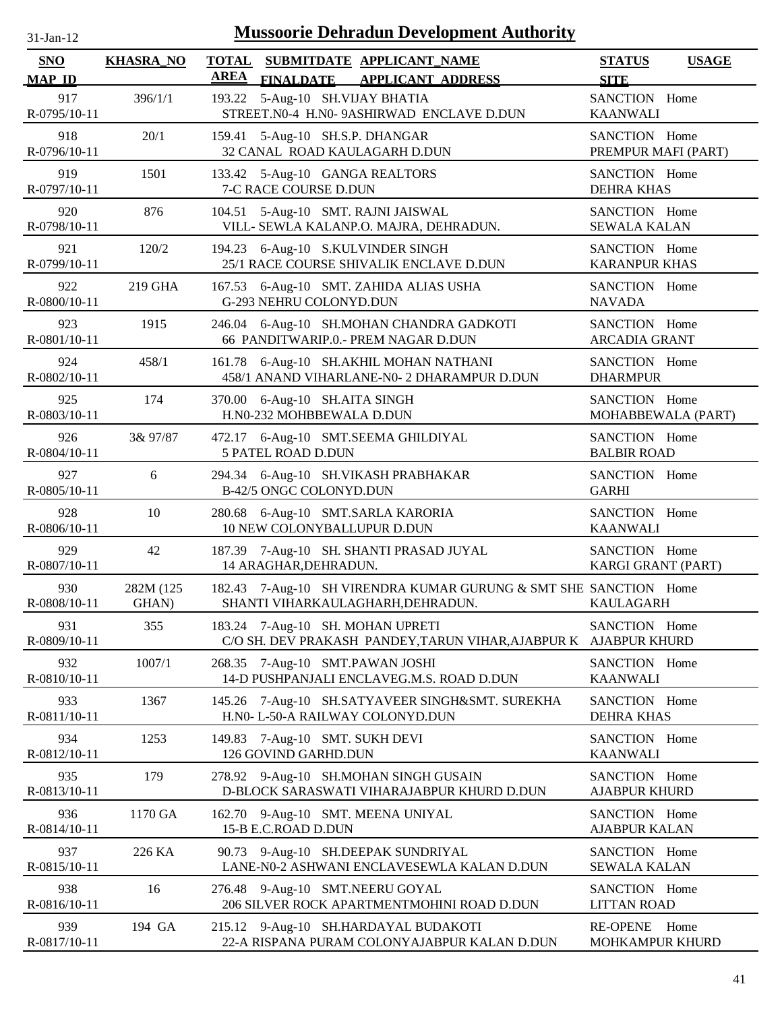| 31-Jan-12                   |                    |             | <b>Mussoorie Dehradun Development Authority</b>                                                       |                                       |                    |
|-----------------------------|--------------------|-------------|-------------------------------------------------------------------------------------------------------|---------------------------------------|--------------------|
| <b>SNO</b><br><b>MAP ID</b> | <b>KHASRA_NO</b>   | <b>AREA</b> | TOTAL SUBMITDATE APPLICANT NAME<br><b>FINALDATE</b><br><b>APPLICANT ADDRESS</b>                       | <b>STATUS</b><br><b>SITE</b>          | <b>USAGE</b>       |
| 917<br>R-0795/10-11         | 396/1/1            | 193.22      | 5-Aug-10 SH.VIJAY BHATIA<br>STREET.N0-4 H.N0-9ASHIRWAD ENCLAVE D.DUN                                  | SANCTION Home<br><b>KAANWALI</b>      |                    |
| 918<br>R-0796/10-11         | 20/1               | 159.41      | 5-Aug-10 SH.S.P. DHANGAR<br>32 CANAL ROAD KAULAGARH D.DUN                                             | SANCTION Home<br>PREMPUR MAFI (PART)  |                    |
| 919<br>R-0797/10-11         | 1501               |             | 133.42 5-Aug-10 GANGA REALTORS<br>7-C RACE COURSE D.DUN                                               | SANCTION Home<br><b>DEHRA KHAS</b>    |                    |
| 920<br>R-0798/10-11         | 876                |             | 104.51 5-Aug-10 SMT. RAJNI JAISWAL<br>VILL- SEWLA KALANP.O. MAJRA, DEHRADUN.                          | SANCTION Home<br><b>SEWALA KALAN</b>  |                    |
| 921<br>R-0799/10-11         | 120/2              |             | 194.23 6-Aug-10 S.KULVINDER SINGH<br>25/1 RACE COURSE SHIVALIK ENCLAVE D.DUN                          | SANCTION Home<br><b>KARANPUR KHAS</b> |                    |
| 922<br>R-0800/10-11         | 219 GHA            |             | 167.53 6-Aug-10 SMT. ZAHIDA ALIAS USHA<br>G-293 NEHRU COLONYD.DUN                                     | SANCTION Home<br><b>NAVADA</b>        |                    |
| 923<br>R-0801/10-11         | 1915               | 246.04      | 6-Aug-10 SH.MOHAN CHANDRA GADKOTI<br>66 PANDITWARIP.0.- PREM NAGAR D.DUN                              | SANCTION Home<br><b>ARCADIA GRANT</b> |                    |
| 924<br>R-0802/10-11         | 458/1              |             | 161.78 6-Aug-10 SH.AKHIL MOHAN NATHANI<br>458/1 ANAND VIHARLANE-N0- 2 DHARAMPUR D.DUN                 | SANCTION Home<br><b>DHARMPUR</b>      |                    |
| 925<br>R-0803/10-11         | 174                |             | 370.00 6-Aug-10 SH.AITA SINGH<br>H.N0-232 MOHBBEWALA D.DUN                                            | SANCTION Home                         | MOHABBEWALA (PART) |
| 926<br>R-0804/10-11         | 3& 97/87           |             | 472.17 6-Aug-10 SMT.SEEMA GHILDIYAL<br>5 PATEL ROAD D.DUN                                             | SANCTION Home<br><b>BALBIR ROAD</b>   |                    |
| 927<br>R-0805/10-11         | 6                  |             | 294.34 6-Aug-10 SH.VIKASH PRABHAKAR<br>B-42/5 ONGC COLONYD.DUN                                        | SANCTION Home<br><b>GARHI</b>         |                    |
| 928<br>R-0806/10-11         | 10                 | 280.68      | 6-Aug-10 SMT.SARLA KARORIA<br>10 NEW COLONYBALLUPUR D.DUN                                             | SANCTION Home<br><b>KAANWALI</b>      |                    |
| 929<br>R-0807/10-11         | 42                 | 187.39      | 7-Aug-10 SH. SHANTI PRASAD JUYAL<br>14 ARAGHAR, DEHRADUN.                                             | SANCTION Home<br>KARGI GRANT (PART)   |                    |
| 930<br>R-0808/10-11         | 282M (125<br>GHAN) |             | 182.43 7-Aug-10 SH VIRENDRA KUMAR GURUNG & SMT SHE SANCTION Home<br>SHANTI VIHARKAULAGHARH, DEHRADUN. | <b>KAULAGARH</b>                      |                    |
| 931<br>R-0809/10-11         | 355                |             | 183.24 7-Aug-10 SH. MOHAN UPRETI<br>C/O SH. DEV PRAKASH PANDEY, TARUN VIHAR, AJABPUR K                | SANCTION Home<br><b>AJABPUR KHURD</b> |                    |
| 932<br>R-0810/10-11         | 1007/1             |             | 268.35 7-Aug-10 SMT.PAWAN JOSHI<br>14-D PUSHPANJALI ENCLAVEG.M.S. ROAD D.DUN                          | SANCTION Home<br><b>KAANWALI</b>      |                    |
| 933<br>R-0811/10-11         | 1367               |             | 145.26 7-Aug-10 SH.SATYAVEER SINGH&SMT. SUREKHA<br>H.N0- L-50-A RAILWAY COLONYD.DUN                   | SANCTION Home<br><b>DEHRA KHAS</b>    |                    |
| 934<br>R-0812/10-11         | 1253               |             | 149.83 7-Aug-10 SMT. SUKH DEVI<br>126 GOVIND GARHD.DUN                                                | SANCTION Home<br><b>KAANWALI</b>      |                    |
| 935<br>R-0813/10-11         | 179                |             | 278.92 9-Aug-10 SH.MOHAN SINGH GUSAIN<br>D-BLOCK SARASWATI VIHARAJABPUR KHURD D.DUN                   | SANCTION Home<br><b>AJABPUR KHURD</b> |                    |
| 936<br>R-0814/10-11         | 1170 GA            |             | 162.70 9-Aug-10 SMT. MEENA UNIYAL<br>15-B E.C.ROAD D.DUN                                              | SANCTION Home<br><b>AJABPUR KALAN</b> |                    |
| 937<br>R-0815/10-11         | 226 KA             |             | 90.73 9-Aug-10 SH.DEEPAK SUNDRIYAL<br>LANE-N0-2 ASHWANI ENCLAVESEWLA KALAN D.DUN                      | SANCTION Home<br><b>SEWALA KALAN</b>  |                    |
| 938<br>R-0816/10-11         | 16                 |             | 276.48 9-Aug-10 SMT.NEERU GOYAL<br>206 SILVER ROCK APARTMENTMOHINI ROAD D.DUN                         | SANCTION Home<br><b>LITTAN ROAD</b>   |                    |
| 939<br>R-0817/10-11         | 194 GA             |             | 215.12 9-Aug-10 SH.HARDAYAL BUDAKOTI<br>22-A RISPANA PURAM COLONYAJABPUR KALAN D.DUN                  | <b>RE-OPENE</b><br>MOHKAMPUR KHURD    | Home               |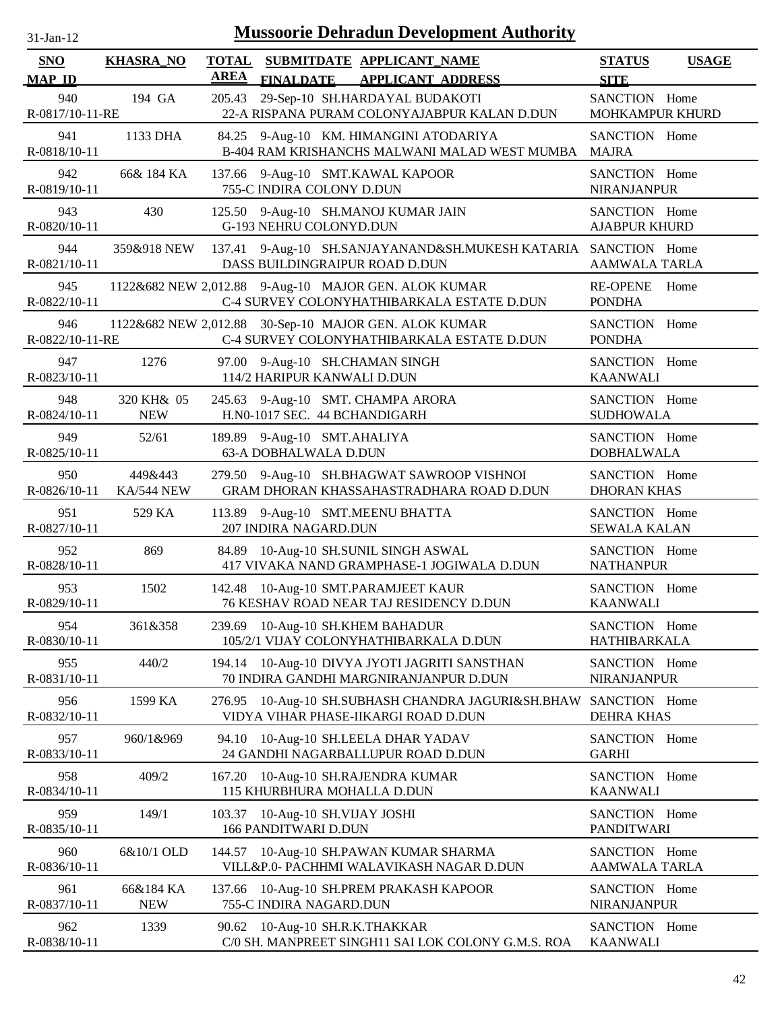| $31-Jan-12$            |                          | <b>Mussoorie Dehradun Development Authority</b>                                                     |                                              |
|------------------------|--------------------------|-----------------------------------------------------------------------------------------------------|----------------------------------------------|
| SNO<br><b>MAP ID</b>   | <b>KHASRA_NO</b>         | TOTAL SUBMITDATE APPLICANT NAME<br><b>AREA</b><br>FINALDATE APPLICANT ADDRESS                       | <b>STATUS</b><br><b>USAGE</b><br><b>SITE</b> |
| 940<br>R-0817/10-11-RE | 194 GA                   | 29-Sep-10 SH.HARDAYAL BUDAKOTI<br>205.43<br>22-A RISPANA PURAM COLONYAJABPUR KALAN D.DUN            | SANCTION Home<br>MOHKAMPUR KHURD             |
| 941<br>R-0818/10-11    | 1133 DHA                 | 84.25 9-Aug-10 KM. HIMANGINI ATODARIYA<br>B-404 RAM KRISHANCHS MALWANI MALAD WEST MUMBA             | SANCTION Home<br><b>MAJRA</b>                |
| 942<br>R-0819/10-11    | 66& 184 KA               | 137.66 9-Aug-10 SMT.KAWAL KAPOOR<br>755-C INDIRA COLONY D.DUN                                       | SANCTION Home<br><b>NIRANJANPUR</b>          |
| 943<br>R-0820/10-11    | 430                      | 125.50 9-Aug-10 SH.MANOJ KUMAR JAIN<br>G-193 NEHRU COLONYD.DUN                                      | SANCTION Home<br><b>AJABPUR KHURD</b>        |
| 944<br>R-0821/10-11    | 359&918 NEW              | 137.41 9-Aug-10 SH.SANJAYANAND&SH.MUKESH KATARIA SANCTION Home<br>DASS BUILDINGRAIPUR ROAD D.DUN    | <b>AAMWALA TARLA</b>                         |
| 945<br>R-0822/10-11    |                          | 1122&682 NEW 2,012.88 9-Aug-10 MAJOR GEN. ALOK KUMAR<br>C-4 SURVEY COLONYHATHIBARKALA ESTATE D.DUN  | <b>RE-OPENE</b><br>Home<br><b>PONDHA</b>     |
| 946<br>R-0822/10-11-RE |                          | 1122&682 NEW 2,012.88 30-Sep-10 MAJOR GEN. ALOK KUMAR<br>C-4 SURVEY COLONYHATHIBARKALA ESTATE D.DUN | SANCTION Home<br><b>PONDHA</b>               |
| 947<br>R-0823/10-11    | 1276                     | 97.00 9-Aug-10 SH.CHAMAN SINGH<br>114/2 HARIPUR KANWALI D.DUN                                       | SANCTION Home<br><b>KAANWALI</b>             |
| 948<br>R-0824/10-11    | 320 KH& 05<br><b>NEW</b> | 245.63 9-Aug-10 SMT. CHAMPA ARORA<br>H.N0-1017 SEC. 44 BCHANDIGARH                                  | SANCTION Home<br><b>SUDHOWALA</b>            |
| 949<br>R-0825/10-11    | 52/61                    | 189.89 9-Aug-10 SMT.AHALIYA<br>63-A DOBHALWALA D.DUN                                                | SANCTION Home<br><b>DOBHALWALA</b>           |
| 950<br>R-0826/10-11    | 449&443<br>KA/544 NEW    | 279.50 9-Aug-10 SH.BHAGWAT SAWROOP VISHNOI<br>GRAM DHORAN KHASSAHASTRADHARA ROAD D.DUN              | SANCTION Home<br><b>DHORAN KHAS</b>          |
| 951<br>R-0827/10-11    | 529 KA                   | 113.89 9-Aug-10 SMT.MEENU BHATTA<br>207 INDIRA NAGARD.DUN                                           | SANCTION Home<br><b>SEWALA KALAN</b>         |
| 952<br>R-0828/10-11    | 869                      | 10-Aug-10 SH.SUNIL SINGH ASWAL<br>84.89<br>417 VIVAKA NAND GRAMPHASE-1 JOGIWALA D.DUN               | SANCTION Home<br><b>NATHANPUR</b>            |
| 953<br>R-0829/10-11    | 1502                     | 142.48 10-Aug-10 SMT.PARAMJEET KAUR<br>76 KESHAV ROAD NEAR TAJ RESIDENCY D.DUN                      | SANCTION Home<br><b>KAANWALI</b>             |
| 954<br>R-0830/10-11    | 361&358                  | 10-Aug-10 SH.KHEM BAHADUR<br>239.69<br>105/2/1 VIJAY COLONYHATHIBARKALA D.DUN                       | SANCTION Home<br>HATHIBARKALA                |
| 955<br>R-0831/10-11    | 440/2                    | 10-Aug-10 DIVYA JYOTI JAGRITI SANSTHAN<br>194.14<br>70 INDIRA GANDHI MARGNIRANJANPUR D.DUN          | SANCTION Home<br>NIRANJANPUR                 |
| 956<br>R-0832/10-11    | 1599 KA                  | 276.95 10-Aug-10 SH.SUBHASH CHANDRA JAGURI&SH.BHAW<br>VIDYA VIHAR PHASE-IIKARGI ROAD D.DUN          | SANCTION Home<br><b>DEHRA KHAS</b>           |
| 957<br>R-0833/10-11    | 960/1&969                | 94.10 10-Aug-10 SH.LEELA DHAR YADAV<br>24 GANDHI NAGARBALLUPUR ROAD D.DUN                           | SANCTION Home<br><b>GARHI</b>                |
| 958<br>R-0834/10-11    | 409/2                    | 10-Aug-10 SH.RAJENDRA KUMAR<br>167.20<br>115 KHURBHURA MOHALLA D.DUN                                | SANCTION Home<br><b>KAANWALI</b>             |
| 959<br>R-0835/10-11    | 149/1                    | 10-Aug-10 SH.VIJAY JOSHI<br>103.37<br>166 PANDITWARI D.DUN                                          | SANCTION Home<br><b>PANDITWARI</b>           |
| 960<br>R-0836/10-11    | 6&10/1 OLD               | 10-Aug-10 SH.PAWAN KUMAR SHARMA<br>144.57<br>VILL&P.0- PACHHMI WALAVIKASH NAGAR D.DUN               | SANCTION Home<br><b>AAMWALA TARLA</b>        |
| 961<br>R-0837/10-11    | 66&184 KA<br><b>NEW</b>  | 10-Aug-10 SH.PREM PRAKASH KAPOOR<br>137.66<br>755-C INDIRA NAGARD.DUN                               | SANCTION Home<br><b>NIRANJANPUR</b>          |
| 962<br>R-0838/10-11    | 1339                     | 10-Aug-10 SH.R.K.THAKKAR<br>90.62<br>C/0 SH. MANPREET SINGH11 SAI LOK COLONY G.M.S. ROA             | SANCTION Home<br><b>KAANWALI</b>             |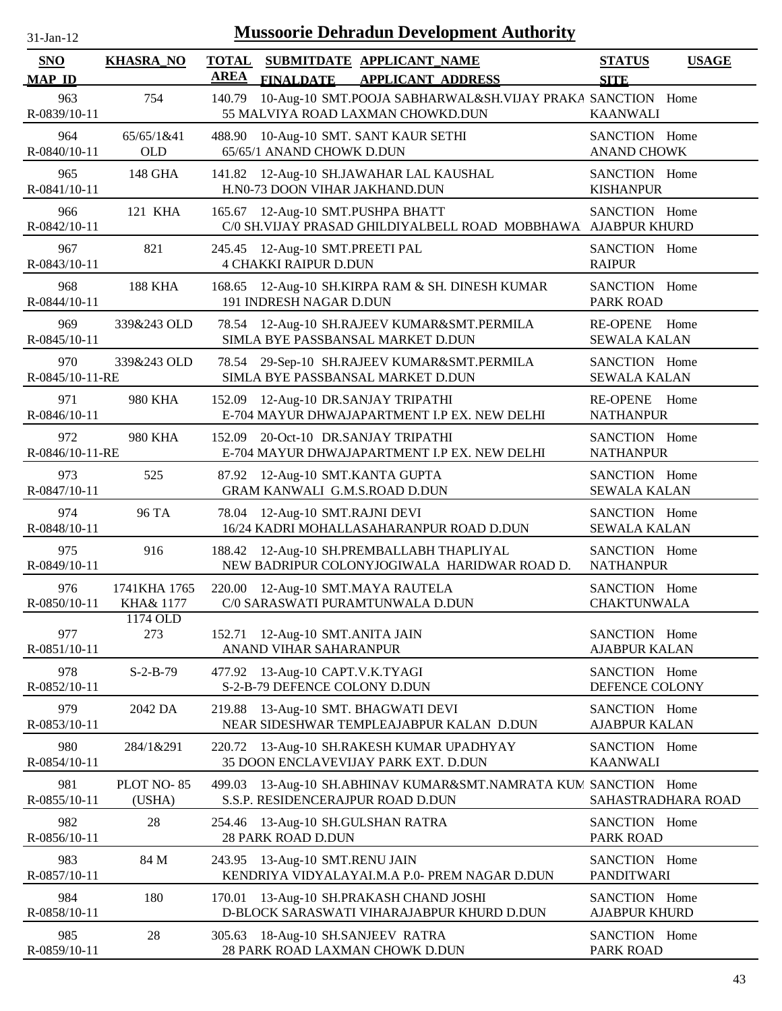| <b>Mussoorie Dehradun Development Authority</b><br>$31-Jan-12$ |                           |                             |                                                                           |                                                                                           |                                        |              |
|----------------------------------------------------------------|---------------------------|-----------------------------|---------------------------------------------------------------------------|-------------------------------------------------------------------------------------------|----------------------------------------|--------------|
| SNO<br><b>MAP ID</b>                                           | <b>KHASRA_NO</b>          | <b>TOTAL</b><br><b>AREA</b> | SUBMITDATE APPLICANT_NAME<br><b>FINALDATE</b>                             | <b>APPLICANT ADDRESS</b>                                                                  | <b>STATUS</b><br><b>SITE</b>           | <b>USAGE</b> |
| 963<br>R-0839/10-11                                            | 754                       | 140.79                      | 55 MALVIYA ROAD LAXMAN CHOWKD.DUN                                         | 10-Aug-10 SMT.POOJA SABHARWAL&SH.VIJAY PRAKA SANCTION Home                                | <b>KAANWALI</b>                        |              |
| 964<br>R-0840/10-11                                            | 65/65/1&41<br><b>OLD</b>  | 488.90                      | 10-Aug-10 SMT. SANT KAUR SETHI<br>65/65/1 ANAND CHOWK D.DUN               |                                                                                           | SANCTION Home<br><b>ANAND CHOWK</b>    |              |
| 965<br>R-0841/10-11                                            | 148 GHA                   |                             | 141.82 12-Aug-10 SH.JAWAHAR LAL KAUSHAL<br>H.N0-73 DOON VIHAR JAKHAND.DUN |                                                                                           | SANCTION Home<br><b>KISHANPUR</b>      |              |
| 966<br>R-0842/10-11                                            | 121 KHA                   |                             | 165.67 12-Aug-10 SMT.PUSHPA BHATT                                         | C/0 SH.VIJAY PRASAD GHILDIYALBELL ROAD MOBBHAWA AJABPUR KHURD                             | SANCTION Home                          |              |
| 967<br>R-0843/10-11                                            | 821                       |                             | 245.45 12-Aug-10 SMT.PREETI PAL<br><b>4 CHAKKI RAIPUR D.DUN</b>           |                                                                                           | SANCTION Home<br><b>RAIPUR</b>         |              |
| 968<br>R-0844/10-11                                            | <b>188 KHA</b>            | 168.65                      | 191 INDRESH NAGAR D.DUN                                                   | 12-Aug-10 SH.KIRPA RAM & SH. DINESH KUMAR                                                 | SANCTION Home<br><b>PARK ROAD</b>      |              |
| 969<br>R-0845/10-11                                            | 339&243 OLD               |                             | SIMLA BYE PASSBANSAL MARKET D.DUN                                         | 78.54 12-Aug-10 SH.RAJEEV KUMAR&SMT.PERMILA                                               | <b>RE-OPENE</b><br><b>SEWALA KALAN</b> | Home         |
| 970<br>R-0845/10-11-RE                                         | 339&243 OLD               |                             | SIMLA BYE PASSBANSAL MARKET D.DUN                                         | 78.54 29-Sep-10 SH.RAJEEV KUMAR&SMT.PERMILA                                               | SANCTION Home<br><b>SEWALA KALAN</b>   |              |
| 971<br>R-0846/10-11                                            | 980 KHA                   | 152.09                      | 12-Aug-10 DR.SANJAY TRIPATHI                                              | E-704 MAYUR DHWAJAPARTMENT I.P EX. NEW DELHI                                              | RE-OPENE Home<br><b>NATHANPUR</b>      |              |
| 972<br>R-0846/10-11-RE                                         | 980 KHA                   | 152.09                      | 20-Oct-10 DR.SANJAY TRIPATHI                                              | E-704 MAYUR DHWAJAPARTMENT I.P EX. NEW DELHI                                              | SANCTION Home<br><b>NATHANPUR</b>      |              |
| 973<br>R-0847/10-11                                            | 525                       |                             | 87.92 12-Aug-10 SMT.KANTA GUPTA<br>GRAM KANWALI G.M.S.ROAD D.DUN          |                                                                                           | SANCTION Home<br><b>SEWALA KALAN</b>   |              |
| 974<br>R-0848/10-11                                            | 96 TA                     |                             | 78.04 12-Aug-10 SMT.RAJNI DEVI                                            | 16/24 KADRI MOHALLASAHARANPUR ROAD D.DUN                                                  | SANCTION Home<br><b>SEWALA KALAN</b>   |              |
| 975<br>R-0849/10-11                                            | 916                       |                             |                                                                           | 188.42 12-Aug-10 SH.PREMBALLABH THAPLIYAL<br>NEW BADRIPUR COLONYJOGIWALA HARIDWAR ROAD D. | SANCTION Home<br><b>NATHANPUR</b>      |              |
| 976<br>R-0850/10-11                                            | 1741KHA 1765<br>KHA& 1177 |                             | 220.00 12-Aug-10 SMT.MAYA RAUTELA<br>C/0 SARASWATI PURAMTUNWALA D.DUN     |                                                                                           | SANCTION Home<br><b>CHAKTUNWALA</b>    |              |
| 977<br>R-0851/10-11                                            | 1174 OLD<br>273           |                             | 152.71 12-Aug-10 SMT.ANITA JAIN<br>ANAND VIHAR SAHARANPUR                 |                                                                                           | SANCTION Home<br><b>AJABPUR KALAN</b>  |              |
| 978<br>R-0852/10-11                                            | $S-2-B-79$                |                             | 477.92 13-Aug-10 CAPT.V.K.TYAGI<br>S-2-B-79 DEFENCE COLONY D.DUN          |                                                                                           | SANCTION Home<br>DEFENCE COLONY        |              |
| 979<br>R-0853/10-11                                            | 2042 DA                   | 219.88                      | 13-Aug-10 SMT. BHAGWATI DEVI                                              | NEAR SIDESHWAR TEMPLEAJABPUR KALAN D.DUN                                                  | SANCTION Home<br><b>AJABPUR KALAN</b>  |              |
| 980<br>R-0854/10-11                                            | 284/1&291                 | 220.72                      | 35 DOON ENCLAVEVIJAY PARK EXT. D.DUN                                      | 13-Aug-10 SH.RAKESH KUMAR UPADHYAY                                                        | SANCTION Home<br><b>KAANWALI</b>       |              |
| 981<br>R-0855/10-11                                            | PLOT NO-85<br>(USHA)      | 499.03                      | S.S.P. RESIDENCERAJPUR ROAD D.DUN                                         | 13-Aug-10 SH.ABHINAV KUMAR&SMT.NAMRATA KUM SANCTION Home                                  | SAHASTRADHARA ROAD                     |              |
| 982<br>R-0856/10-11                                            | 28                        | 254.46                      | 13-Aug-10 SH.GULSHAN RATRA<br>28 PARK ROAD D.DUN                          |                                                                                           | SANCTION Home<br>PARK ROAD             |              |
| 983<br>R-0857/10-11                                            | 84 M                      | 243.95                      | 13-Aug-10 SMT.RENU JAIN                                                   | KENDRIYA VIDYALAYAI.M.A P.0- PREM NAGAR D.DUN                                             | SANCTION Home<br><b>PANDITWARI</b>     |              |
| 984<br>R-0858/10-11                                            | 180                       | 170.01                      | 13-Aug-10 SH.PRAKASH CHAND JOSHI                                          | D-BLOCK SARASWATI VIHARAJABPUR KHURD D.DUN                                                | SANCTION Home<br><b>AJABPUR KHURD</b>  |              |
| 985<br>R-0859/10-11                                            | 28                        |                             | 305.63 18-Aug-10 SH.SANJEEV RATRA<br>28 PARK ROAD LAXMAN CHOWK D.DUN      |                                                                                           | SANCTION Home<br><b>PARK ROAD</b>      |              |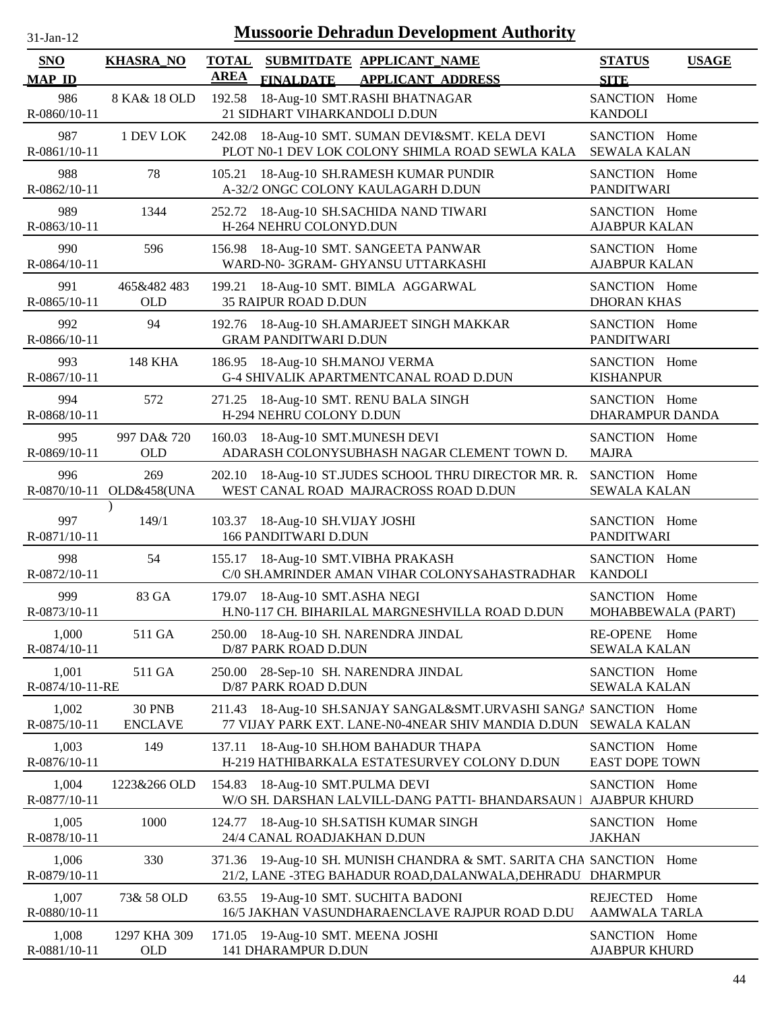| $31$ -Jan-12 |  |
|--------------|--|
|              |  |

| <b>SNO</b><br><b>MAP ID</b> | <b>KHASRA_NO</b>                | <b>TOTAL</b><br><b>AREA</b> | <b>FINALDATE</b>                                  | SUBMITDATE APPLICANT NAME<br><b>APPLICANT ADDRESS</b>                                                                      | <b>STATUS</b><br><b>SITE</b>           | <b>USAGE</b>       |
|-----------------------------|---------------------------------|-----------------------------|---------------------------------------------------|----------------------------------------------------------------------------------------------------------------------------|----------------------------------------|--------------------|
| 986<br>R-0860/10-11         | 8 KA& 18 OLD                    | 192.58                      | 21 SIDHART VIHARKANDOLI D.DUN                     | 18-Aug-10 SMT.RASHI BHATNAGAR                                                                                              | SANCTION Home<br><b>KANDOLI</b>        |                    |
| 987<br>R-0861/10-11         | 1 DEV LOK                       | 242.08                      |                                                   | 18-Aug-10 SMT. SUMAN DEVI&SMT. KELA DEVI<br>PLOT N0-1 DEV LOK COLONY SHIMLA ROAD SEWLA KALA                                | SANCTION Home<br><b>SEWALA KALAN</b>   |                    |
| 988<br>R-0862/10-11         | 78                              | 105.21                      |                                                   | 18-Aug-10 SH.RAMESH KUMAR PUNDIR<br>A-32/2 ONGC COLONY KAULAGARH D.DUN                                                     | SANCTION Home<br><b>PANDITWARI</b>     |                    |
| 989<br>R-0863/10-11         | 1344                            | 252.72                      | H-264 NEHRU COLONYD.DUN                           | 18-Aug-10 SH.SACHIDA NAND TIWARI                                                                                           | SANCTION Home<br><b>AJABPUR KALAN</b>  |                    |
| 990<br>R-0864/10-11         | 596                             | 156.98                      |                                                   | 18-Aug-10 SMT. SANGEETA PANWAR<br>WARD-N0-3GRAM- GHYANSU UTTARKASHI                                                        | SANCTION Home<br><b>AJABPUR KALAN</b>  |                    |
| 991<br>R-0865/10-11         | 465&482 483<br><b>OLD</b>       | 199.21                      | <b>35 RAIPUR ROAD D.DUN</b>                       | 18-Aug-10 SMT. BIMLA AGGARWAL                                                                                              | SANCTION Home<br><b>DHORAN KHAS</b>    |                    |
| 992<br>R-0866/10-11         | 94                              | 192.76                      | <b>GRAM PANDITWARI D.DUN</b>                      | 18-Aug-10 SH.AMARJEET SINGH MAKKAR                                                                                         | SANCTION Home<br><b>PANDITWARI</b>     |                    |
| 993<br>R-0867/10-11         | <b>148 KHA</b>                  |                             | 186.95 18-Aug-10 SH.MANOJ VERMA                   | G-4 SHIVALIK APARTMENTCANAL ROAD D.DUN                                                                                     | SANCTION Home<br><b>KISHANPUR</b>      |                    |
| 994<br>R-0868/10-11         | 572                             |                             | H-294 NEHRU COLONY D.DUN                          | 271.25 18-Aug-10 SMT. RENU BALA SINGH                                                                                      | SANCTION Home<br>DHARAMPUR DANDA       |                    |
| 995<br>R-0869/10-11         | 997 DA& 720<br><b>OLD</b>       | 160.03                      | 18-Aug-10 SMT.MUNESH DEVI                         | ADARASH COLONYSUBHASH NAGAR CLEMENT TOWN D.                                                                                | SANCTION Home<br><b>MAJRA</b>          |                    |
| 996                         | 269<br>R-0870/10-11 OLD&458(UNA | 202.10                      |                                                   | 18-Aug-10 ST.JUDES SCHOOL THRU DIRECTOR MR. R.<br>WEST CANAL ROAD MAJRACROSS ROAD D.DUN                                    | SANCTION Home<br><b>SEWALA KALAN</b>   |                    |
| 997<br>R-0871/10-11         | 149/1                           | 103.37                      | 18-Aug-10 SH.VIJAY JOSHI<br>166 PANDITWARI D.DUN  |                                                                                                                            | SANCTION Home<br><b>PANDITWARI</b>     |                    |
| 998<br>R-0872/10-11         | 54                              |                             |                                                   | 155.17 18-Aug-10 SMT. VIBHA PRAKASH<br>C/0 SH.AMRINDER AMAN VIHAR COLONYSAHASTRADHAR                                       | SANCTION Home<br><b>KANDOLI</b>        |                    |
| 999<br>R-0873/10-11         | 83 GA                           |                             | 179.07 18-Aug-10 SMT.ASHA NEGI                    | H.N0-117 CH. BIHARILAL MARGNESHVILLA ROAD D.DUN                                                                            | SANCTION Home                          | MOHABBEWALA (PART) |
| 1,000<br>R-0874/10-11       | 511 GA                          |                             | D/87 PARK ROAD D.DUN                              | 250.00 18-Aug-10 SH. NARENDRA JINDAL                                                                                       | RE-OPENE Home<br><b>SEWALA KALAN</b>   |                    |
| 1,001<br>R-0874/10-11-RE    | 511 GA                          | 250.00                      | D/87 PARK ROAD D.DUN                              | 28-Sep-10 SH. NARENDRA JINDAL                                                                                              | SANCTION Home<br><b>SEWALA KALAN</b>   |                    |
| 1,002<br>R-0875/10-11       | <b>30 PNB</b><br><b>ENCLAVE</b> | 211.43                      |                                                   | 18-Aug-10 SH.SANJAY SANGAL&SMT.URVASHI SANGA SANCTION Home<br>77 VIJAY PARK EXT. LANE-N0-4NEAR SHIV MANDIA D.DUN           | <b>SEWALA KALAN</b>                    |                    |
| 1,003<br>R-0876/10-11       | 149                             | 137.11                      |                                                   | 18-Aug-10 SH.HOM BAHADUR THAPA<br>H-219 HATHIBARKALA ESTATESURVEY COLONY D.DUN                                             | SANCTION Home<br><b>EAST DOPE TOWN</b> |                    |
| 1,004<br>R-0877/10-11       | 1223&266 OLD                    | 154.83                      | 18-Aug-10 SMT.PULMA DEVI                          | W/O SH. DARSHAN LALVILL-DANG PATTI- BHANDARSAUN I                                                                          | SANCTION Home<br><b>AJABPUR KHURD</b>  |                    |
| 1,005<br>R-0878/10-11       | 1000                            | 124.77                      | 24/4 CANAL ROADJAKHAN D.DUN                       | 18-Aug-10 SH.SATISH KUMAR SINGH                                                                                            | SANCTION Home<br><b>JAKHAN</b>         |                    |
| 1,006<br>R-0879/10-11       | 330                             | 371.36                      |                                                   | 19-Aug-10 SH. MUNISH CHANDRA & SMT. SARITA CHA SANCTION Home<br>21/2, LANE -3TEG BAHADUR ROAD, DALANWALA, DEHRADU DHARMPUR |                                        |                    |
| 1,007<br>R-0880/10-11       | 73& 58 OLD                      | 63.55                       |                                                   | 19-Aug-10 SMT. SUCHITA BADONI<br>16/5 JAKHAN VASUNDHARAENCLAVE RAJPUR ROAD D.DU                                            | REJECTED<br><b>AAMWALA TARLA</b>       | Home               |
| 1,008<br>R-0881/10-11       | 1297 KHA 309<br><b>OLD</b>      | 171.05                      | 19-Aug-10 SMT. MEENA JOSHI<br>141 DHARAMPUR D.DUN |                                                                                                                            | SANCTION Home<br><b>AJABPUR KHURD</b>  |                    |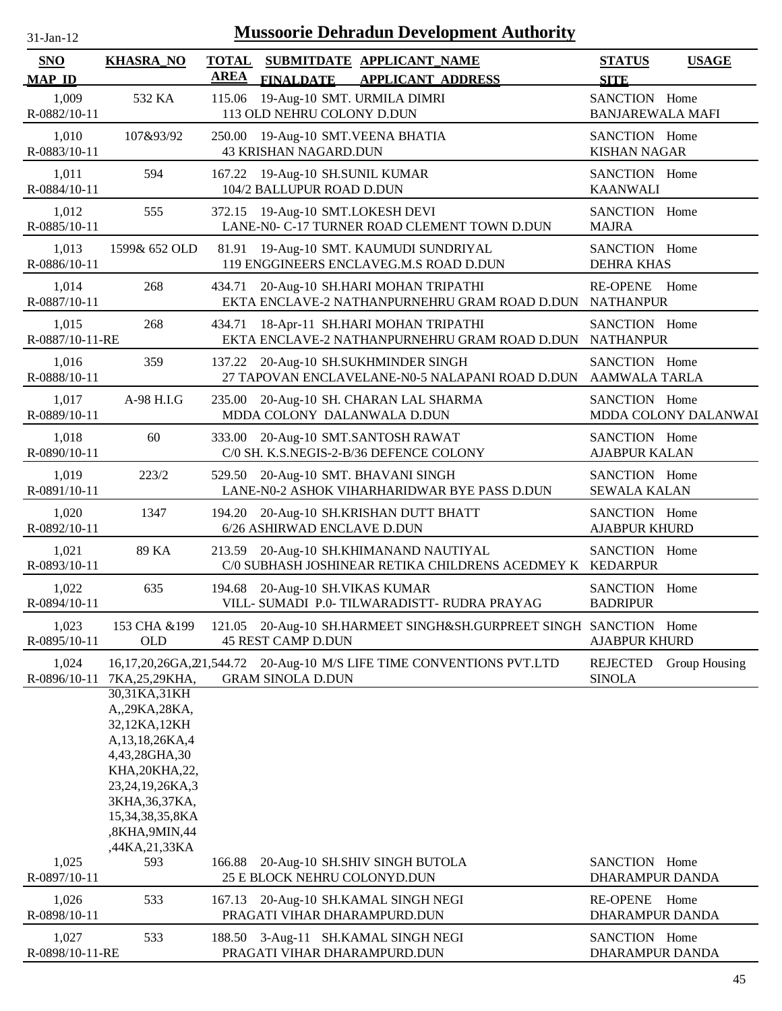| $31$ -Jan-12 |
|--------------|
|              |

| SNO                      | <b>KHASRA_NO</b>                                                                                                                                                                                          | <b>TOTAL</b> |                                                                   | SUBMITDATE APPLICANT_NAME                                                                          | <b>STATUS</b>                            | <b>USAGE</b>         |
|--------------------------|-----------------------------------------------------------------------------------------------------------------------------------------------------------------------------------------------------------|--------------|-------------------------------------------------------------------|----------------------------------------------------------------------------------------------------|------------------------------------------|----------------------|
| <b>MAP ID</b>            |                                                                                                                                                                                                           | <b>AREA</b>  | <b>FINALDATE</b>                                                  | <b>APPLICANT ADDRESS</b>                                                                           | <b>SITE</b>                              |                      |
| 1,009<br>R-0882/10-11    | 532 KA                                                                                                                                                                                                    |              | 115.06 19-Aug-10 SMT. URMILA DIMRI<br>113 OLD NEHRU COLONY D.DUN  |                                                                                                    | SANCTION Home<br><b>BANJAREWALA MAFI</b> |                      |
| 1,010<br>R-0883/10-11    | 107&93/92                                                                                                                                                                                                 |              | 250.00 19-Aug-10 SMT.VEENA BHATIA<br><b>43 KRISHAN NAGARD.DUN</b> |                                                                                                    | SANCTION Home<br><b>KISHAN NAGAR</b>     |                      |
| 1,011<br>R-0884/10-11    | 594                                                                                                                                                                                                       |              | 167.22 19-Aug-10 SH.SUNIL KUMAR<br>104/2 BALLUPUR ROAD D.DUN      |                                                                                                    | SANCTION Home<br><b>KAANWALI</b>         |                      |
| 1,012<br>R-0885/10-11    | 555                                                                                                                                                                                                       |              | 372.15 19-Aug-10 SMT.LOKESH DEVI                                  | LANE-N0- C-17 TURNER ROAD CLEMENT TOWN D.DUN                                                       | SANCTION Home<br><b>MAJRA</b>            |                      |
| 1,013<br>R-0886/10-11    | 1599& 652 OLD                                                                                                                                                                                             |              |                                                                   | 81.91 19-Aug-10 SMT. KAUMUDI SUNDRIYAL<br>119 ENGGINEERS ENCLAVEG.M.S ROAD D.DUN                   | SANCTION Home<br><b>DEHRA KHAS</b>       |                      |
| 1,014<br>R-0887/10-11    | 268                                                                                                                                                                                                       |              |                                                                   | 434.71 20-Aug-10 SH.HARI MOHAN TRIPATHI<br>EKTA ENCLAVE-2 NATHANPURNEHRU GRAM ROAD D.DUN NATHANPUR | <b>RE-OPENE</b>                          | Home                 |
| 1,015<br>R-0887/10-11-RE | 268                                                                                                                                                                                                       | 434.71       |                                                                   | 18-Apr-11 SH.HARI MOHAN TRIPATHI<br>EKTA ENCLAVE-2 NATHANPURNEHRU GRAM ROAD D.DUN                  | SANCTION Home<br><b>NATHANPUR</b>        |                      |
| 1,016<br>R-0888/10-11    | 359                                                                                                                                                                                                       |              |                                                                   | 137.22 20-Aug-10 SH.SUKHMINDER SINGH<br>27 TAPOVAN ENCLAVELANE-N0-5 NALAPANI ROAD D.DUN            | SANCTION Home<br>AAMWALA TARLA           |                      |
| 1,017<br>R-0889/10-11    | A-98 H.I.G                                                                                                                                                                                                |              | MDDA COLONY DALANWALA D.DUN                                       | 235.00 20-Aug-10 SH. CHARAN LAL SHARMA                                                             | SANCTION Home                            | MDDA COLONY DALANWAI |
| 1,018<br>R-0890/10-11    | 60                                                                                                                                                                                                        |              |                                                                   | 333.00 20-Aug-10 SMT.SANTOSH RAWAT<br>C/0 SH. K.S.NEGIS-2-B/36 DEFENCE COLONY                      | SANCTION Home<br><b>AJABPUR KALAN</b>    |                      |
| 1,019<br>R-0891/10-11    | 223/2                                                                                                                                                                                                     |              |                                                                   | 529.50 20-Aug-10 SMT. BHAVANI SINGH<br>LANE-N0-2 ASHOK VIHARHARIDWAR BYE PASS D.DUN                | SANCTION Home<br><b>SEWALA KALAN</b>     |                      |
| 1,020<br>R-0892/10-11    | 1347                                                                                                                                                                                                      |              | 6/26 ASHIRWAD ENCLAVE D.DUN                                       | 194.20 20-Aug-10 SH.KRISHAN DUTT BHATT                                                             | SANCTION Home<br><b>AJABPUR KHURD</b>    |                      |
| 1,021<br>R-0893/10-11    | 89 KA                                                                                                                                                                                                     |              |                                                                   | 213.59 20-Aug-10 SH.KHIMANAND NAUTIYAL<br>C/0 SUBHASH JOSHINEAR RETIKA CHILDRENS ACEDMEY K         | SANCTION Home<br><b>KEDARPUR</b>         |                      |
| 1,022<br>R-0894/10-11    | 635                                                                                                                                                                                                       |              | 194.68 20-Aug-10 SH.VIKAS KUMAR                                   | VILL- SUMADI P.0- TILWARADISTT- RUDRA PRAYAG                                                       | SANCTION Home<br><b>BADRIPUR</b>         |                      |
| 1,023<br>R-0895/10-11    | 153 CHA &199<br><b>OLD</b>                                                                                                                                                                                |              | <b>45 REST CAMP D.DUN</b>                                         | 121.05 20-Aug-10 SH.HARMEET SINGH&SH.GURPREET SINGH SANCTION Home                                  | <b>AJABPUR KHURD</b>                     |                      |
| 1,024<br>R-0896/10-11    | 7KA, 25, 29KHA,                                                                                                                                                                                           |              | <b>GRAM SINOLA D.DUN</b>                                          | 16,17,20,26GA,21,544.72 20-Aug-10 M/S LIFE TIME CONVENTIONS PVT.LTD                                | <b>REJECTED</b><br><b>SINOLA</b>         | Group Housing        |
| 1,025<br>R-0897/10-11    | 30,31KA,31KH<br>A,,29KA,28KA,<br>32,12KA,12KH<br>A, 13, 18, 26KA, 4<br>4,43,28GHA,30<br>KHA, 20KHA, 22,<br>23,24,19,26KA,3<br>3KHA, 36, 37KA,<br>15,34,38,35,8KA<br>,8KHA,9MIN,44<br>,44KA,21,33KA<br>593 |              | 25 E BLOCK NEHRU COLONYD.DUN                                      | 166.88 20-Aug-10 SH.SHIV SINGH BUTOLA                                                              | SANCTION Home<br>DHARAMPUR DANDA         |                      |
| 1,026                    | 533                                                                                                                                                                                                       | 167.13       |                                                                   | 20-Aug-10 SH.KAMAL SINGH NEGI                                                                      | <b>RE-OPENE</b>                          | Home                 |
| R-0898/10-11             |                                                                                                                                                                                                           |              | PRAGATI VIHAR DHARAMPURD.DUN                                      |                                                                                                    | DHARAMPUR DANDA                          |                      |
| 1,027<br>R-0898/10-11-RE | 533                                                                                                                                                                                                       |              | PRAGATI VIHAR DHARAMPURD.DUN                                      | 188.50 3-Aug-11 SH.KAMAL SINGH NEGI                                                                | SANCTION Home<br>DHARAMPUR DANDA         |                      |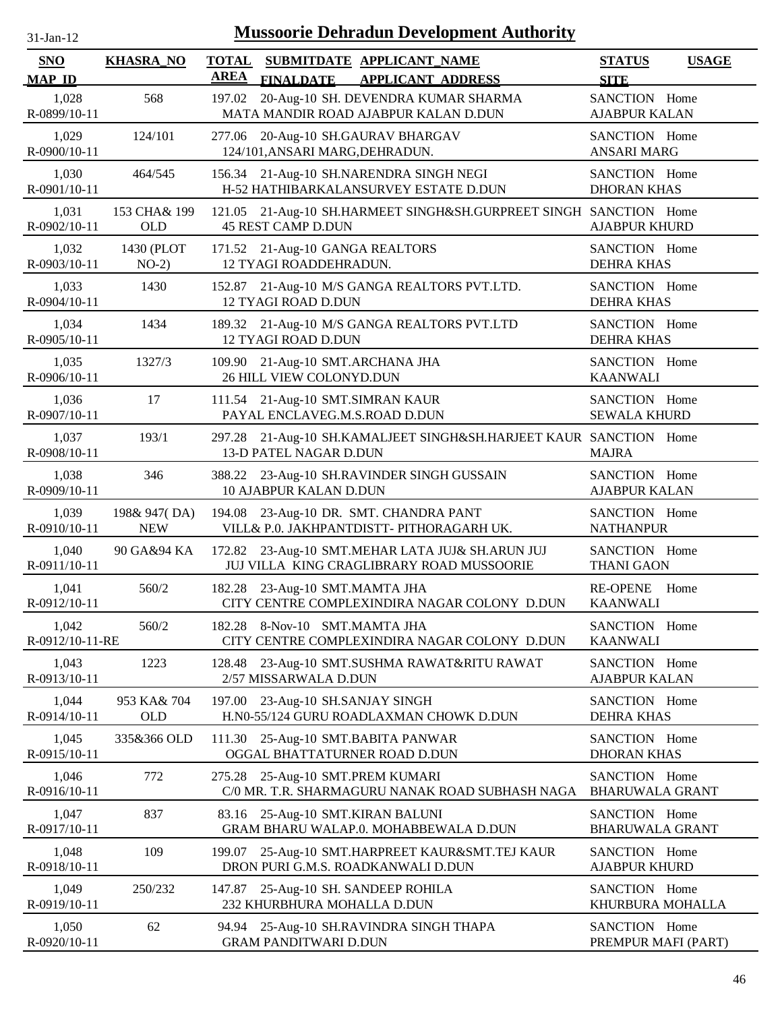| $31$ -Jan-12 |
|--------------|
|              |

| <b>SNO</b>               | <b>KHASRA_NO</b>           | <b>TOTAL</b><br><b>AREA</b> |                                                                   | SUBMITDATE APPLICANT_NAME                                                                     | <b>STATUS</b>                           | <b>USAGE</b> |
|--------------------------|----------------------------|-----------------------------|-------------------------------------------------------------------|-----------------------------------------------------------------------------------------------|-----------------------------------------|--------------|
| <b>MAP ID</b>            |                            |                             | <b>FINALDATE</b>                                                  | <b>APPLICANT ADDRESS</b>                                                                      | <b>SITE</b>                             |              |
| 1,028<br>R-0899/10-11    | 568                        | 197.02                      |                                                                   | 20-Aug-10 SH. DEVENDRA KUMAR SHARMA<br>MATA MANDIR ROAD AJABPUR KALAN D.DUN                   | SANCTION Home<br><b>AJABPUR KALAN</b>   |              |
| 1,029<br>R-0900/10-11    | 124/101                    |                             | 124/101, ANSARI MARG, DEHRADUN.                                   | 277.06 20-Aug-10 SH.GAURAV BHARGAV                                                            | SANCTION Home<br><b>ANSARI MARG</b>     |              |
| 1,030<br>R-0901/10-11    | 464/545                    |                             |                                                                   | 156.34 21-Aug-10 SH.NARENDRA SINGH NEGI<br>H-52 HATHIBARKALANSURVEY ESTATE D.DUN              | SANCTION Home<br><b>DHORAN KHAS</b>     |              |
| 1,031<br>R-0902/10-11    | 153 CHA& 199<br><b>OLD</b> |                             | <b>45 REST CAMP D.DUN</b>                                         | 121.05 21-Aug-10 SH.HARMEET SINGH&SH.GURPREET SINGH SANCTION Home                             | <b>AJABPUR KHURD</b>                    |              |
| 1,032<br>R-0903/10-11    | 1430 (PLOT<br>$NO-2)$      |                             | 171.52 21-Aug-10 GANGA REALTORS<br>12 TYAGI ROADDEHRADUN.         |                                                                                               | SANCTION Home<br><b>DEHRA KHAS</b>      |              |
| 1,033<br>R-0904/10-11    | 1430                       |                             | <b>12 TYAGI ROAD D.DUN</b>                                        | 152.87 21-Aug-10 M/S GANGA REALTORS PVT.LTD.                                                  | SANCTION Home<br><b>DEHRA KHAS</b>      |              |
| 1,034<br>$R-0905/10-11$  | 1434                       |                             | <b>12 TYAGI ROAD D.DUN</b>                                        | 189.32 21-Aug-10 M/S GANGA REALTORS PVT.LTD                                                   | SANCTION Home<br><b>DEHRA KHAS</b>      |              |
| 1,035<br>R-0906/10-11    | 1327/3                     |                             | 109.90 21-Aug-10 SMT.ARCHANA JHA<br>26 HILL VIEW COLONYD.DUN      |                                                                                               | SANCTION Home<br><b>KAANWALI</b>        |              |
| 1,036<br>R-0907/10-11    | 17                         |                             | 111.54 21-Aug-10 SMT.SIMRAN KAUR<br>PAYAL ENCLAVEG.M.S.ROAD D.DUN |                                                                                               | SANCTION Home<br><b>SEWALA KHURD</b>    |              |
| 1,037<br>R-0908/10-11    | 193/1                      |                             | 13-D PATEL NAGAR D.DUN                                            | 297.28 21-Aug-10 SH.KAMALJEET SINGH&SH.HARJEET KAUR SANCTION Home                             | <b>MAJRA</b>                            |              |
| 1,038<br>R-0909/10-11    | 346                        |                             | <b>10 AJABPUR KALAN D.DUN</b>                                     | 388.22 23-Aug-10 SH.RAVINDER SINGH GUSSAIN                                                    | SANCTION Home<br><b>AJABPUR KALAN</b>   |              |
| 1,039<br>R-0910/10-11    | 198& 947(DA)<br><b>NEW</b> |                             |                                                                   | 194.08 23-Aug-10 DR. SMT. CHANDRA PANT<br>VILL& P.O. JAKHPANTDISTT- PITHORAGARH UK.           | SANCTION Home<br><b>NATHANPUR</b>       |              |
| 1,040<br>R-0911/10-11    | 90 GA&94 KA                |                             |                                                                   | 172.82 23-Aug-10 SMT.MEHAR LATA JUJ& SH.ARUN JUJ<br>JUJ VILLA KING CRAGLIBRARY ROAD MUSSOORIE | SANCTION Home<br><b>THANI GAON</b>      |              |
| 1,041<br>R-0912/10-11    | 560/2                      |                             | 182.28 23-Aug-10 SMT.MAMTA JHA                                    | CITY CENTRE COMPLEXINDIRA NAGAR COLONY D.DUN                                                  | <b>RE-OPENE</b><br><b>KAANWALI</b>      | Home         |
| 1,042<br>R-0912/10-11-RE | 560/2                      |                             | 182.28 8-Nov-10 SMT.MAMTA JHA                                     | CITY CENTRE COMPLEXINDIRA NAGAR COLONY D.DUN                                                  | SANCTION Home<br><b>KAANWALI</b>        |              |
| 1,043<br>R-0913/10-11    | 1223                       | 128.48                      | 2/57 MISSARWALA D.DUN                                             | 23-Aug-10 SMT.SUSHMA RAWAT&RITU RAWAT                                                         | SANCTION Home<br><b>AJABPUR KALAN</b>   |              |
| 1,044<br>R-0914/10-11    | 953 KA& 704<br><b>OLD</b>  | 197.00                      | 23-Aug-10 SH.SANJAY SINGH                                         | H.N0-55/124 GURU ROADLAXMAN CHOWK D.DUN                                                       | SANCTION Home<br><b>DEHRA KHAS</b>      |              |
| 1,045<br>R-0915/10-11    | 335&366 OLD                |                             |                                                                   | 111.30 25-Aug-10 SMT.BABITA PANWAR<br>OGGAL BHATTATURNER ROAD D.DUN                           | SANCTION Home<br><b>DHORAN KHAS</b>     |              |
| 1,046<br>R-0916/10-11    | 772                        |                             | 275.28 25-Aug-10 SMT.PREM KUMARI                                  | C/0 MR. T.R. SHARMAGURU NANAK ROAD SUBHASH NAGA                                               | SANCTION Home<br><b>BHARUWALA GRANT</b> |              |
| 1,047<br>R-0917/10-11    | 837                        |                             | 83.16 25-Aug-10 SMT.KIRAN BALUNI                                  | GRAM BHARU WALAP.0. MOHABBEWALA D.DUN                                                         | SANCTION Home<br><b>BHARUWALA GRANT</b> |              |
| 1,048<br>R-0918/10-11    | 109                        | 199.07                      |                                                                   | 25-Aug-10 SMT.HARPREET KAUR&SMT.TEJ KAUR<br>DRON PURI G.M.S. ROADKANWALI D.DUN                | SANCTION Home<br><b>AJABPUR KHURD</b>   |              |
| 1,049<br>R-0919/10-11    | 250/232                    |                             | 232 KHURBHURA MOHALLA D.DUN                                       | 147.87 25-Aug-10 SH. SANDEEP ROHILA                                                           | SANCTION Home<br>KHURBURA MOHALLA       |              |
| 1,050<br>R-0920/10-11    | 62                         |                             | <b>GRAM PANDITWARI D.DUN</b>                                      | 94.94 25-Aug-10 SH.RAVINDRA SINGH THAPA                                                       | SANCTION Home<br>PREMPUR MAFI (PART)    |              |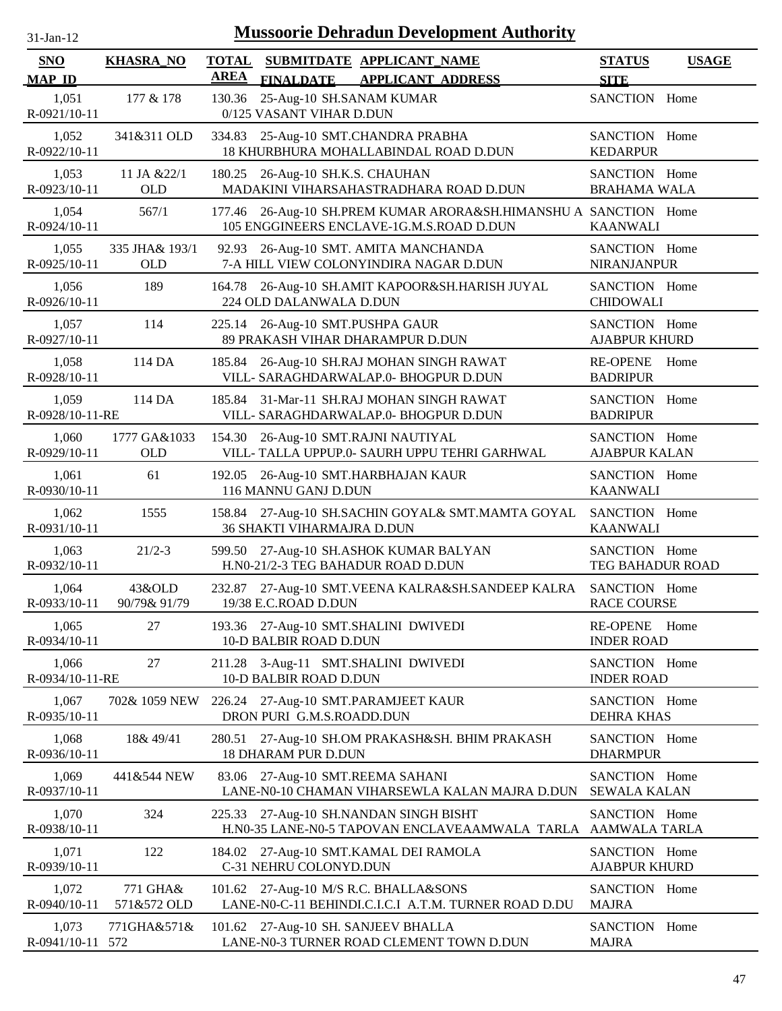| $31$ -Jan-12             | <b>Mussoorie Dehradun Development Authority</b> |                                                                                                                 |                                              |  |  |  |  |
|--------------------------|-------------------------------------------------|-----------------------------------------------------------------------------------------------------------------|----------------------------------------------|--|--|--|--|
| <b>SNO</b>               | <b>KHASRA_NO</b>                                | <b>TOTAL</b><br>SUBMITDATE APPLICANT_NAME                                                                       | <b>STATUS</b><br><b>USAGE</b>                |  |  |  |  |
| <b>MAP ID</b>            |                                                 | <b>AREA</b><br><b>FINALDATE</b><br><b>APPLICANT ADDRESS</b>                                                     | <b>SITE</b>                                  |  |  |  |  |
| 1,051<br>R-0921/10-11    | 177 & 178                                       | 25-Aug-10 SH.SANAM KUMAR<br>130.36<br>0/125 VASANT VIHAR D.DUN                                                  | SANCTION Home                                |  |  |  |  |
| 1,052<br>R-0922/10-11    | 341&311 OLD                                     | 25-Aug-10 SMT.CHANDRA PRABHA<br>334.83<br>18 KHURBHURA MOHALLABINDAL ROAD D.DUN                                 | SANCTION Home<br><b>KEDARPUR</b>             |  |  |  |  |
| 1,053<br>R-0923/10-11    | 11 JA & 22/1<br><b>OLD</b>                      | 26-Aug-10 SH.K.S. CHAUHAN<br>180.25<br>MADAKINI VIHARSAHASTRADHARA ROAD D.DUN                                   | SANCTION Home<br><b>BRAHAMA WALA</b>         |  |  |  |  |
| 1,054<br>R-0924/10-11    | 567/1                                           | 26-Aug-10 SH.PREM KUMAR ARORA&SH.HIMANSHU A SANCTION Home<br>177.46<br>105 ENGGINEERS ENCLAVE-1G.M.S.ROAD D.DUN | <b>KAANWALI</b>                              |  |  |  |  |
| 1,055<br>R-0925/10-11    | 335 JHA& 193/1<br><b>OLD</b>                    | 26-Aug-10 SMT. AMITA MANCHANDA<br>92.93<br>7-A HILL VIEW COLONYINDIRA NAGAR D.DUN                               | SANCTION Home<br><b>NIRANJANPUR</b>          |  |  |  |  |
| 1,056<br>R-0926/10-11    | 189                                             | 26-Aug-10 SH.AMIT KAPOOR&SH.HARISH JUYAL<br>164.78<br>224 OLD DALANWALA D.DUN                                   | SANCTION Home<br><b>CHIDOWALI</b>            |  |  |  |  |
| 1,057<br>R-0927/10-11    | 114                                             | 225.14 26-Aug-10 SMT.PUSHPA GAUR<br>89 PRAKASH VIHAR DHARAMPUR D.DUN                                            | SANCTION Home<br><b>AJABPUR KHURD</b>        |  |  |  |  |
| 1,058<br>R-0928/10-11    | 114 DA                                          | 26-Aug-10 SH.RAJ MOHAN SINGH RAWAT<br>185.84<br>VILL- SARAGHDARWALAP.0- BHOGPUR D.DUN                           | <b>RE-OPENE</b><br>Home<br><b>BADRIPUR</b>   |  |  |  |  |
| 1,059<br>R-0928/10-11-RE | 114 DA                                          | 185.84<br>31-Mar-11 SH.RAJ MOHAN SINGH RAWAT<br>VILL- SARAGHDARWALAP.0- BHOGPUR D.DUN                           | SANCTION Home<br><b>BADRIPUR</b>             |  |  |  |  |
| 1,060<br>R-0929/10-11    | 1777 GA&1033<br><b>OLD</b>                      | 26-Aug-10 SMT.RAJNI NAUTIYAL<br>154.30<br>VILL- TALLA UPPUP.0- SAURH UPPU TEHRI GARHWAL                         | SANCTION Home<br><b>AJABPUR KALAN</b>        |  |  |  |  |
| 1,061<br>R-0930/10-11    | 61                                              | 192.05 26-Aug-10 SMT.HARBHAJAN KAUR<br>116 MANNU GANJ D.DUN                                                     | SANCTION Home<br><b>KAANWALI</b>             |  |  |  |  |
| 1,062<br>R-0931/10-11    | 1555                                            | 158.84 27-Aug-10 SH.SACHIN GOYAL& SMT.MAMTA GOYAL<br><b>36 SHAKTI VIHARMAJRA D.DUN</b>                          | SANCTION Home<br><b>KAANWALI</b>             |  |  |  |  |
| 1,063<br>R-0932/10-11    | $21/2-3$                                        | 27-Aug-10 SH.ASHOK KUMAR BALYAN<br>599.50<br>H.N0-21/2-3 TEG BAHADUR ROAD D.DUN                                 | SANCTION Home<br><b>TEG BAHADUR ROAD</b>     |  |  |  |  |
| 1,064<br>R-0933/10-11    | 43&OLD<br>90/79& 91/79                          | 232.87<br>27-Aug-10 SMT.VEENA KALRA&SH.SANDEEP KALRA<br>19/38 E.C.ROAD D.DUN                                    | SANCTION Home<br><b>RACE COURSE</b>          |  |  |  |  |
| 1,065<br>R-0934/10-11    | 27                                              | 193.36 27-Aug-10 SMT.SHALINI DWIVEDI<br>10-D BALBIR ROAD D.DUN                                                  | <b>RE-OPENE</b><br>Home<br><b>INDER ROAD</b> |  |  |  |  |
| 1,066<br>R-0934/10-11-RE | 27                                              | 3-Aug-11 SMT.SHALINI DWIVEDI<br>211.28<br>10-D BALBIR ROAD D.DUN                                                | SANCTION Home<br><b>INDER ROAD</b>           |  |  |  |  |
| 1,067<br>R-0935/10-11    | 702& 1059 NEW                                   | 226.24 27-Aug-10 SMT.PARAMJEET KAUR<br>DRON PURI G.M.S.ROADD.DUN                                                | SANCTION Home<br><b>DEHRA KHAS</b>           |  |  |  |  |
| 1,068<br>R-0936/10-11    | 18& 49/41                                       | 27-Aug-10 SH.OM PRAKASH&SH. BHIM PRAKASH<br>280.51<br><b>18 DHARAM PUR D.DUN</b>                                | SANCTION Home<br><b>DHARMPUR</b>             |  |  |  |  |
| 1,069<br>R-0937/10-11    | 441&544 NEW                                     | 83.06 27-Aug-10 SMT.REEMA SAHANI<br>LANE-N0-10 CHAMAN VIHARSEWLA KALAN MAJRA D.DUN                              | SANCTION Home<br><b>SEWALA KALAN</b>         |  |  |  |  |
| 1,070<br>R-0938/10-11    | 324                                             | 27-Aug-10 SH.NANDAN SINGH BISHT<br>225.33<br>H.N0-35 LANE-N0-5 TAPOVAN ENCLAVEAAMWALA TARLA                     | SANCTION Home<br>AAMWALA TARLA               |  |  |  |  |
| 1,071<br>R-0939/10-11    | 122                                             | 27-Aug-10 SMT.KAMAL DEI RAMOLA<br>184.02<br>C-31 NEHRU COLONYD.DUN                                              | SANCTION Home<br><b>AJABPUR KHURD</b>        |  |  |  |  |
| 1,072                    | 771 GHA&                                        | 27-Aug-10 M/S R.C. BHALLA&SONS<br>101.62                                                                        | SANCTION Home                                |  |  |  |  |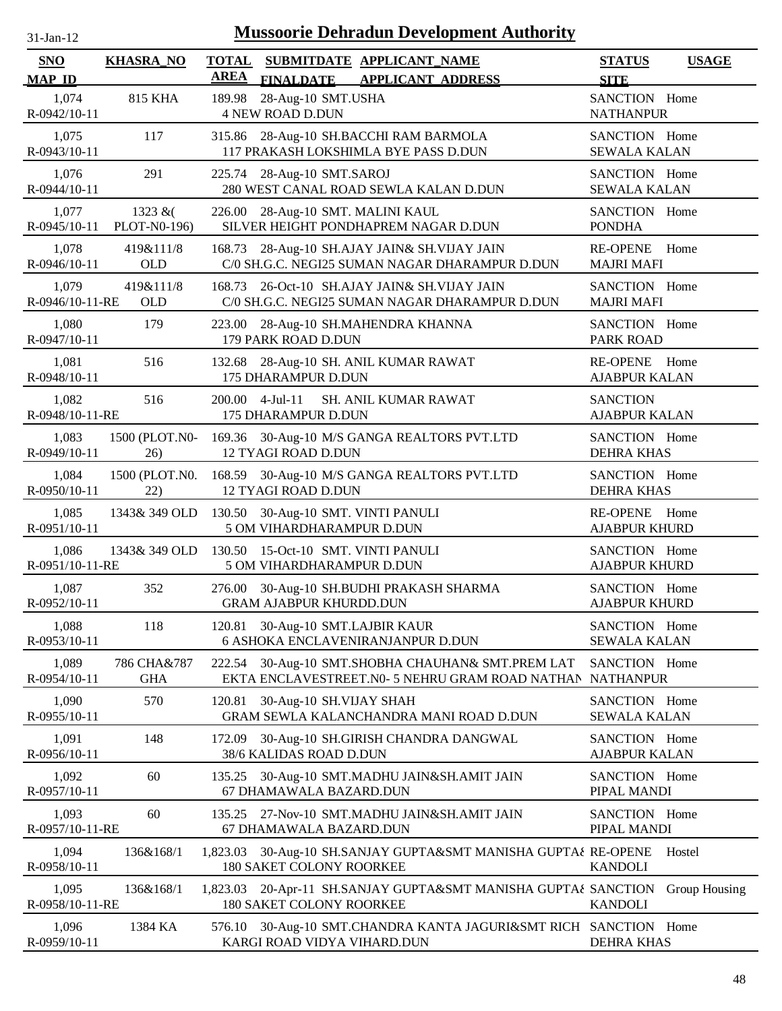| $31$ -Jan-12                | <b>Mussoorie Dehradun Development Authority</b> |                             |                                                                                                      |                                         |               |  |  |
|-----------------------------|-------------------------------------------------|-----------------------------|------------------------------------------------------------------------------------------------------|-----------------------------------------|---------------|--|--|
| <b>SNO</b><br><b>MAP ID</b> | <b>KHASRA_NO</b>                                | <b>TOTAL</b><br><b>AREA</b> | SUBMITDATE APPLICANT_NAME<br>FINALDATE APPLICANT ADDRESS                                             | <b>STATUS</b><br><b>SITE</b>            | <b>USAGE</b>  |  |  |
| 1,074<br>R-0942/10-11       | <b>815 KHA</b>                                  | 189.98                      | 28-Aug-10 SMT.USHA<br><b>4 NEW ROAD D.DUN</b>                                                        | SANCTION Home<br><b>NATHANPUR</b>       |               |  |  |
| 1,075<br>$R - 0943/10 - 11$ | 117                                             |                             | 315.86 28-Aug-10 SH.BACCHI RAM BARMOLA<br>117 PRAKASH LOKSHIMLA BYE PASS D.DUN                       | SANCTION Home<br><b>SEWALA KALAN</b>    |               |  |  |
| 1,076<br>R-0944/10-11       | 291                                             |                             | 225.74 28-Aug-10 SMT.SAROJ<br>280 WEST CANAL ROAD SEWLA KALAN D.DUN                                  | SANCTION Home<br><b>SEWALA KALAN</b>    |               |  |  |
| 1,077<br>R-0945/10-11       | 1323 $&($<br>PLOT-N0-196)                       |                             | 226.00 28-Aug-10 SMT. MALINI KAUL<br>SILVER HEIGHT PONDHAPREM NAGAR D.DUN                            | SANCTION Home<br><b>PONDHA</b>          |               |  |  |
| 1,078<br>R-0946/10-11       | 419&111/8<br><b>OLD</b>                         |                             | 168.73 28-Aug-10 SH.AJAY JAIN& SH.VIJAY JAIN<br>C/0 SH.G.C. NEGI25 SUMAN NAGAR DHARAMPUR D.DUN       | <b>RE-OPENE</b><br><b>MAJRI MAFI</b>    | Home          |  |  |
| 1,079<br>R-0946/10-11-RE    | 419&111/8<br><b>OLD</b>                         | 168.73                      | 26-Oct-10 SH.AJAY JAIN& SH.VIJAY JAIN<br>C/0 SH.G.C. NEGI25 SUMAN NAGAR DHARAMPUR D.DUN              | SANCTION Home<br><b>MAJRI MAFI</b>      |               |  |  |
| 1,080<br>R-0947/10-11       | 179                                             | 223.00                      | 28-Aug-10 SH.MAHENDRA KHANNA<br>179 PARK ROAD D.DUN                                                  | SANCTION Home<br><b>PARK ROAD</b>       |               |  |  |
| 1,081<br>R-0948/10-11       | 516                                             | 132.68                      | 28-Aug-10 SH. ANIL KUMAR RAWAT<br>175 DHARAMPUR D.DUN                                                | RE-OPENE Home<br><b>AJABPUR KALAN</b>   |               |  |  |
| 1,082<br>R-0948/10-11-RE    | 516                                             |                             | SH. ANIL KUMAR RAWAT<br>200.00 4-Jul-11<br>175 DHARAMPUR D.DUN                                       | <b>SANCTION</b><br><b>AJABPUR KALAN</b> |               |  |  |
| 1,083<br>R-0949/10-11       | 1500 (PLOT.N0-<br>26)                           |                             | 169.36 30-Aug-10 M/S GANGA REALTORS PVT.LTD<br><b>12 TYAGI ROAD D.DUN</b>                            | SANCTION Home<br>DEHRA KHAS             |               |  |  |
| 1,084<br>R-0950/10-11       | 1500 (PLOT.N0.<br>22)                           |                             | 168.59 30-Aug-10 M/S GANGA REALTORS PVT.LTD<br><b>12 TYAGI ROAD D.DUN</b>                            | SANCTION Home<br>DEHRA KHAS             |               |  |  |
| 1,085<br>R-0951/10-11       | 1343& 349 OLD                                   |                             | 130.50 30-Aug-10 SMT. VINTI PANULI<br>5 OM VIHARDHARAMPUR D.DUN                                      | RE-OPENE Home<br><b>AJABPUR KHURD</b>   |               |  |  |
| 1,086<br>R-0951/10-11-RE    | 1343& 349 OLD                                   |                             | 130.50 15-Oct-10 SMT. VINTI PANULI<br>5 OM VIHARDHARAMPUR D.DUN                                      | SANCTION Home<br><b>AJABPUR KHURD</b>   |               |  |  |
| 1,087<br>R-0952/10-11       | 352                                             |                             | 276.00 30-Aug-10 SH.BUDHI PRAKASH SHARMA<br><b>GRAM AJABPUR KHURDD.DUN</b>                           | SANCTION Home<br><b>AJABPUR KHURD</b>   |               |  |  |
| 1,088<br>R-0953/10-11       | 118                                             |                             | 120.81 30-Aug-10 SMT.LAJBIR KAUR<br><b>6 ASHOKA ENCLAVENIRANJANPUR D.DUN</b>                         | SANCTION Home<br><b>SEWALA KALAN</b>    |               |  |  |
| 1,089<br>R-0954/10-11       | 786 CHA&787<br><b>GHA</b>                       |                             | 222.54 30-Aug-10 SMT.SHOBHA CHAUHAN& SMT.PREM LAT<br>EKTA ENCLAVESTREET.N0- 5 NEHRU GRAM ROAD NATHAN | SANCTION Home<br><b>NATHANPUR</b>       |               |  |  |
| 1,090<br>R-0955/10-11       | 570                                             | 120.81                      | 30-Aug-10 SH.VIJAY SHAH<br>GRAM SEWLA KALANCHANDRA MANI ROAD D.DUN                                   | SANCTION Home<br><b>SEWALA KALAN</b>    |               |  |  |
| 1,091<br>R-0956/10-11       | 148                                             | 172.09                      | 30-Aug-10 SH.GIRISH CHANDRA DANGWAL<br>38/6 KALIDAS ROAD D.DUN                                       | SANCTION Home<br><b>AJABPUR KALAN</b>   |               |  |  |
| 1,092<br>R-0957/10-11       | 60                                              | 135.25                      | 30-Aug-10 SMT.MADHU JAIN&SH.AMIT JAIN<br>67 DHAMAWALA BAZARD.DUN                                     | SANCTION Home<br>PIPAL MANDI            |               |  |  |
| 1,093<br>R-0957/10-11-RE    | 60                                              | 135.25                      | 27-Nov-10 SMT.MADHU JAIN&SH.AMIT JAIN<br>67 DHAMAWALA BAZARD.DUN                                     | SANCTION Home<br>PIPAL MANDI            |               |  |  |
| 1,094<br>R-0958/10-11       | 136&168/1                                       | 1,823.03                    | 30-Aug-10 SH.SANJAY GUPTA&SMT MANISHA GUPTA¿ RE-OPENE<br>180 SAKET COLONY ROORKEE                    | <b>KANDOLI</b>                          | Hostel        |  |  |
| 1,095<br>R-0958/10-11-RE    | 136&168/1                                       | 1,823.03                    | 20-Apr-11 SH.SANJAY GUPTA&SMT MANISHA GUPTA¿ SANCTION<br><b>180 SAKET COLONY ROORKEE</b>             | <b>KANDOLI</b>                          | Group Housing |  |  |
| 1,096<br>R-0959/10-11       | 1384 KA                                         | 576.10                      | 30-Aug-10 SMT.CHANDRA KANTA JAGURI&SMT RICH SANCTION Home<br>KARGI ROAD VIDYA VIHARD.DUN             | <b>DEHRA KHAS</b>                       |               |  |  |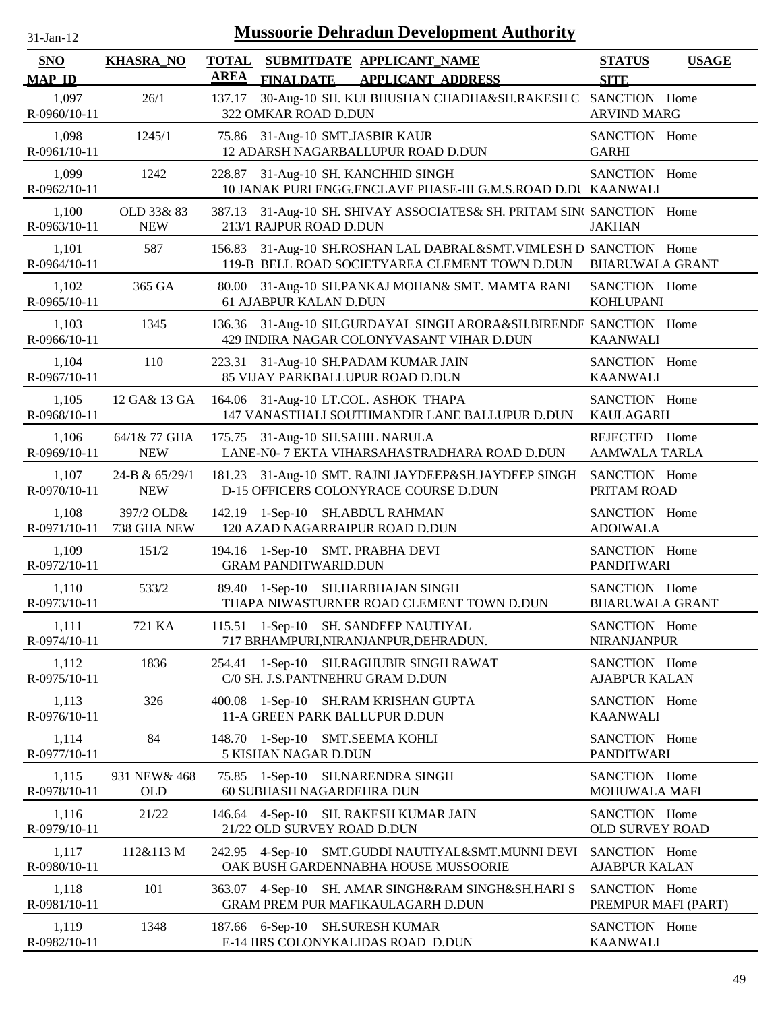| <b>Mussoorie Dehradun Development Authority</b><br>$31-Jan-12$ |                              |                             |                                                                                                                |                                         |              |  |  |
|----------------------------------------------------------------|------------------------------|-----------------------------|----------------------------------------------------------------------------------------------------------------|-----------------------------------------|--------------|--|--|
| <b>SNO</b><br><b>MAP ID</b>                                    | <b>KHASRA_NO</b>             | <b>TOTAL</b><br><b>AREA</b> | SUBMITDATE APPLICANT NAME<br><b>FINALDATE</b><br><b>APPLICANT ADDRESS</b>                                      | <b>STATUS</b><br><b>SITE</b>            | <b>USAGE</b> |  |  |
| 1,097<br>R-0960/10-11                                          | 26/1                         | 137.17                      | 30-Aug-10 SH. KULBHUSHAN CHADHA&SH.RAKESH C SANCTION Home<br>322 OMKAR ROAD D.DUN                              | <b>ARVIND MARG</b>                      |              |  |  |
| 1,098<br>R-0961/10-11                                          | 1245/1                       | 75.86                       | 31-Aug-10 SMT.JASBIR KAUR<br>12 ADARSH NAGARBALLUPUR ROAD D.DUN                                                | SANCTION Home<br><b>GARHI</b>           |              |  |  |
| 1,099<br>R-0962/10-11                                          | 1242                         |                             | 228.87 31-Aug-10 SH. KANCHHID SINGH<br>10 JANAK PURI ENGG.ENCLAVE PHASE-III G.M.S.ROAD D.DU KAANWALI           | SANCTION Home                           |              |  |  |
| 1,100<br>R-0963/10-11                                          | OLD 33& 83<br><b>NEW</b>     | 387.13                      | 31-Aug-10 SH. SHIVAY ASSOCIATES& SH. PRITAM SIN( SANCTION Home<br>213/1 RAJPUR ROAD D.DUN                      | <b>JAKHAN</b>                           |              |  |  |
| 1,101<br>R-0964/10-11                                          | 587                          | 156.83                      | 31-Aug-10 SH.ROSHAN LAL DABRAL&SMT. VIMLESH D SANCTION Home<br>119-B BELL ROAD SOCIETYAREA CLEMENT TOWN D.DUN  | <b>BHARUWALA GRANT</b>                  |              |  |  |
| 1,102<br>R-0965/10-11                                          | 365 GA                       | 80.00                       | 31-Aug-10 SH.PANKAJ MOHAN& SMT. MAMTA RANI<br>61 AJABPUR KALAN D.DUN                                           | SANCTION Home<br><b>KOHLUPANI</b>       |              |  |  |
| 1,103<br>R-0966/10-11                                          | 1345                         |                             | 136.36 31-Aug-10 SH.GURDAYAL SINGH ARORA&SH.BIRENDE SANCTION Home<br>429 INDIRA NAGAR COLONYVASANT VIHAR D.DUN | <b>KAANWALI</b>                         |              |  |  |
| 1,104<br>R-0967/10-11                                          | 110                          |                             | 223.31 31-Aug-10 SH.PADAM KUMAR JAIN<br>85 VIJAY PARKBALLUPUR ROAD D.DUN                                       | SANCTION Home<br><b>KAANWALI</b>        |              |  |  |
| 1,105<br>R-0968/10-11                                          | 12 GA& 13 GA                 |                             | 164.06 31-Aug-10 LT.COL. ASHOK THAPA<br>147 VANASTHALI SOUTHMANDIR LANE BALLUPUR D.DUN                         | SANCTION Home<br><b>KAULAGARH</b>       |              |  |  |
| 1,106<br>R-0969/10-11                                          | 64/1& 77 GHA<br><b>NEW</b>   |                             | 175.75 31-Aug-10 SH.SAHIL NARULA<br>LANE-N0- 7 EKTA VIHARSAHASTRADHARA ROAD D.DUN                              | REJECTED Home<br><b>AAMWALA TARLA</b>   |              |  |  |
| 1,107<br>R-0970/10-11                                          | 24-B & 65/29/1<br><b>NEW</b> | 181.23                      | 31-Aug-10 SMT. RAJNI JAYDEEP&SH.JAYDEEP SINGH<br>D-15 OFFICERS COLONYRACE COURSE D.DUN                         | SANCTION Home<br>PRITAM ROAD            |              |  |  |
| 1,108<br>R-0971/10-11                                          | 397/2 OLD&<br>738 GHA NEW    | 142.19                      | 1-Sep-10 SH.ABDUL RAHMAN<br>120 AZAD NAGARRAIPUR ROAD D.DUN                                                    | SANCTION Home<br><b>ADOIWALA</b>        |              |  |  |
| 1,109<br>R-0972/10-11                                          | 151/2                        | 194.16                      | $1-Sep-10$<br><b>SMT. PRABHA DEVI</b><br><b>GRAM PANDITWARID.DUN</b>                                           | SANCTION Home<br><b>PANDITWARI</b>      |              |  |  |
| 1,110<br>R-0973/10-11                                          | 533/2                        |                             | 89.40 1-Sep-10 SH.HARBHAJAN SINGH<br>THAPA NIWASTURNER ROAD CLEMENT TOWN D.DUN                                 | SANCTION Home<br><b>BHARUWALA GRANT</b> |              |  |  |
| 1,111<br>R-0974/10-11                                          | 721 KA                       |                             | 115.51 1-Sep-10 SH. SANDEEP NAUTIYAL<br>717 BRHAMPURI, NIRANJANPUR, DEHRADUN.                                  | SANCTION Home<br><b>NIRANJANPUR</b>     |              |  |  |
| 1,112<br>R-0975/10-11                                          | 1836                         |                             | 254.41 1-Sep-10 SH.RAGHUBIR SINGH RAWAT<br>C/0 SH. J.S.PANTNEHRU GRAM D.DUN                                    | SANCTION Home<br><b>AJABPUR KALAN</b>   |              |  |  |
| 1,113<br>R-0976/10-11                                          | 326                          | 400.08                      | 1-Sep-10 SH.RAM KRISHAN GUPTA<br>11-A GREEN PARK BALLUPUR D.DUN                                                | SANCTION Home<br><b>KAANWALI</b>        |              |  |  |
| 1,114<br>R-0977/10-11                                          | 84                           |                             | 148.70 1-Sep-10 SMT.SEEMA KOHLI<br>5 KISHAN NAGAR D.DUN                                                        | SANCTION Home<br><b>PANDITWARI</b>      |              |  |  |
| 1,115<br>R-0978/10-11                                          | 931 NEW & 468<br><b>OLD</b>  |                             | 75.85 1-Sep-10<br><b>SH.NARENDRA SINGH</b><br>60 SUBHASH NAGARDEHRA DUN                                        | SANCTION Home<br>MOHUWALA MAFI          |              |  |  |
| 1,116<br>R-0979/10-11                                          | 21/22                        |                             | 146.64 4-Sep-10 SH. RAKESH KUMAR JAIN<br>21/22 OLD SURVEY ROAD D.DUN                                           | SANCTION Home<br>OLD SURVEY ROAD        |              |  |  |
| 1,117<br>R-0980/10-11                                          | 112&113 M                    |                             | 242.95 4-Sep-10 SMT.GUDDI NAUTIYAL&SMT.MUNNI DEVI<br>OAK BUSH GARDENNABHA HOUSE MUSSOORIE                      | SANCTION Home<br><b>AJABPUR KALAN</b>   |              |  |  |
| 1,118<br>R-0981/10-11                                          | 101                          |                             | 363.07 4-Sep-10 SH. AMAR SINGH&RAM SINGH&SH.HARI S<br>GRAM PREM PUR MAFIKAULAGARH D.DUN                        | SANCTION Home<br>PREMPUR MAFI (PART)    |              |  |  |
| 1,119<br>R-0982/10-11                                          | 1348                         |                             | 187.66 6-Sep-10 SH.SURESH KUMAR<br>E-14 IIRS COLONYKALIDAS ROAD D.DUN                                          | SANCTION Home<br><b>KAANWALI</b>        |              |  |  |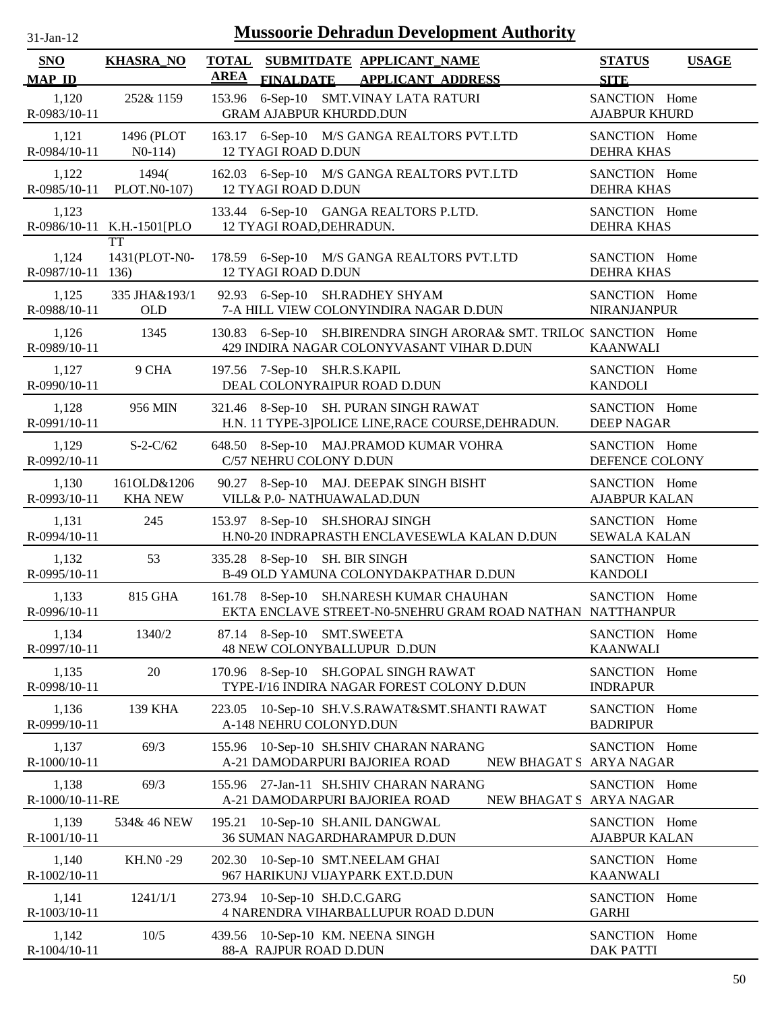| $31$ -Jan-12 |  |
|--------------|--|

| SNO<br><b>MAP ID</b>       | <b>KHASRA_NO</b>              | TOTAL SUBMITDATE APPLICANT NAME<br><b>AREA</b><br>FINALDATE APPLICANT ADDRESS                                   | <b>STATUS</b><br><b>SITE</b>          | <b>USAGE</b> |
|----------------------------|-------------------------------|-----------------------------------------------------------------------------------------------------------------|---------------------------------------|--------------|
| 1,120<br>R-0983/10-11      | 252& 1159                     | 153.96 6-Sep-10 SMT.VINAY LATA RATURI<br><b>GRAM AJABPUR KHURDD.DUN</b>                                         | SANCTION Home<br><b>AJABPUR KHURD</b> |              |
| 1,121<br>R-0984/10-11      | 1496 (PLOT<br>$N0-114$        | 163.17 6-Sep-10 M/S GANGA REALTORS PVT.LTD<br>12 TYAGI ROAD D.DUN                                               | SANCTION Home<br><b>DEHRA KHAS</b>    |              |
| 1,122<br>R-0985/10-11      | 1494(<br>PLOT.N0-107)         | 162.03 6-Sep-10 M/S GANGA REALTORS PVT.LTD<br>12 TYAGI ROAD D.DUN                                               | SANCTION Home<br><b>DEHRA KHAS</b>    |              |
| 1,123                      | R-0986/10-11 K.H.-1501[PLO    | 133.44 6-Sep-10 GANGA REALTORS P.LTD.<br>12 TYAGI ROAD, DEHRADUN.                                               | SANCTION Home<br><b>DEHRA KHAS</b>    |              |
| 1,124<br>R-0987/10-11 136) | <b>TT</b><br>1431(PLOT-N0-    | 178.59 6-Sep-10 M/S GANGA REALTORS PVT.LTD<br><b>12 TYAGI ROAD D.DUN</b>                                        | SANCTION Home<br><b>DEHRA KHAS</b>    |              |
| 1,125<br>R-0988/10-11      | 335 JHA&193/1<br><b>OLD</b>   | 92.93 6-Sep-10 SH.RADHEY SHYAM<br>7-A HILL VIEW COLONYINDIRA NAGAR D.DUN                                        | SANCTION Home<br><b>NIRANJANPUR</b>   |              |
| 1,126<br>R-0989/10-11      | 1345                          | 130.83 6-Sep-10 SH.BIRENDRA SINGH ARORA& SMT. TRILOC SANCTION Home<br>429 INDIRA NAGAR COLONYVASANT VIHAR D.DUN | <b>KAANWALI</b>                       |              |
| 1,127<br>R-0990/10-11      | 9 CHA                         | 197.56 7-Sep-10 SH.R.S.KAPIL<br>DEAL COLONYRAIPUR ROAD D.DUN                                                    | SANCTION Home<br><b>KANDOLI</b>       |              |
| 1,128<br>R-0991/10-11      | 956 MIN                       | 321.46 8-Sep-10 SH. PURAN SINGH RAWAT<br>H.N. 11 TYPE-3]POLICE LINE, RACE COURSE, DEHRADUN.                     | SANCTION Home<br><b>DEEP NAGAR</b>    |              |
| 1,129<br>R-0992/10-11      | $S-2-C/62$                    | 648.50 8-Sep-10 MAJ.PRAMOD KUMAR VOHRA<br>C/57 NEHRU COLONY D.DUN                                               | SANCTION Home<br>DEFENCE COLONY       |              |
| 1,130<br>R-0993/10-11      | 161OLD&1206<br><b>KHA NEW</b> | 90.27 8-Sep-10 MAJ. DEEPAK SINGH BISHT<br>VILL& P.0- NATHUAWALAD.DUN                                            | SANCTION Home<br><b>AJABPUR KALAN</b> |              |
| 1,131<br>R-0994/10-11      | 245                           | 153.97 8-Sep-10 SH.SHORAJ SINGH<br>H.N0-20 INDRAPRASTH ENCLAVESEWLA KALAN D.DUN                                 | SANCTION Home<br><b>SEWALA KALAN</b>  |              |
| 1,132<br>R-0995/10-11      | 53                            | 335.28 8-Sep-10 SH. BIR SINGH<br>B-49 OLD YAMUNA COLONYDAKPATHAR D.DUN                                          | SANCTION Home<br><b>KANDOLI</b>       |              |
| 1,133<br>R-0996/10-11      | 815 GHA                       | 161.78 8-Sep-10 SH.NARESH KUMAR CHAUHAN<br>EKTA ENCLAVE STREET-N0-5NEHRU GRAM ROAD NATHAN NATTHANPUR            | SANCTION Home                         |              |
| 1,134<br>R-0997/10-11      | 1340/2                        | 87.14 8-Sep-10<br><b>SMT.SWEETA</b><br>48 NEW COLONYBALLUPUR D.DUN                                              | SANCTION Home<br><b>KAANWALI</b>      |              |
| 1,135<br>R-0998/10-11      | 20                            | 170.96 8-Sep-10<br>SH.GOPAL SINGH RAWAT<br>TYPE-I/16 INDIRA NAGAR FOREST COLONY D.DUN                           | SANCTION Home<br><b>INDRAPUR</b>      |              |
| 1,136<br>R-0999/10-11      | 139 KHA                       | 10-Sep-10 SH.V.S.RAWAT&SMT.SHANTI RAWAT<br>223.05<br>A-148 NEHRU COLONYD.DUN                                    | SANCTION Home<br><b>BADRIPUR</b>      |              |
| 1,137<br>R-1000/10-11      | 69/3                          | 10-Sep-10 SH.SHIV CHARAN NARANG<br>155.96<br>A-21 DAMODARPURI BAJORIEA ROAD<br>NEW BHAGAT S ARYA NAGAR          | SANCTION Home                         |              |
| 1,138<br>R-1000/10-11-RE   | 69/3                          | 27-Jan-11 SH.SHIV CHARAN NARANG<br>155.96<br>A-21 DAMODARPURI BAJORIEA ROAD<br>NEW BHAGAT S ARYA NAGAR          | SANCTION Home                         |              |
| 1,139<br>R-1001/10-11      | 534& 46 NEW                   | 10-Sep-10 SH.ANIL DANGWAL<br>195.21<br>36 SUMAN NAGARDHARAMPUR D.DUN                                            | SANCTION Home<br><b>AJABPUR KALAN</b> |              |
| 1,140<br>R-1002/10-11      | KH.NO-29                      | 10-Sep-10 SMT.NEELAM GHAI<br>202.30<br>967 HARIKUNJ VIJAYPARK EXT.D.DUN                                         | SANCTION Home<br><b>KAANWALI</b>      |              |
| 1,141<br>R-1003/10-11      | 1241/1/1                      | 10-Sep-10 SH.D.C.GARG<br>273.94<br>4 NARENDRA VIHARBALLUPUR ROAD D.DUN                                          | SANCTION Home<br><b>GARHI</b>         |              |
| 1,142<br>R-1004/10-11      | 10/5                          | 10-Sep-10 KM. NEENA SINGH<br>439.56<br>88-A RAJPUR ROAD D.DUN                                                   | SANCTION Home<br><b>DAK PATTI</b>     |              |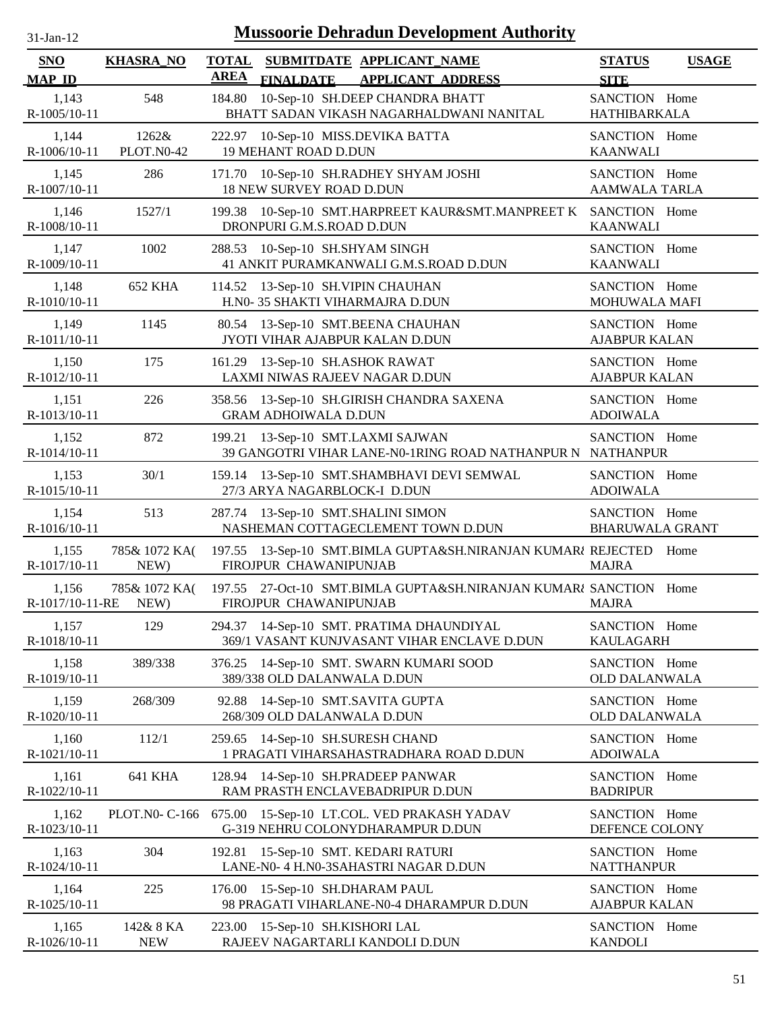| <b>Mussoorie Dehradun Development Authority</b><br>$31$ -Jan- $12$ |                            |              |                                                                      |                                                                                  |                                         |              |  |
|--------------------------------------------------------------------|----------------------------|--------------|----------------------------------------------------------------------|----------------------------------------------------------------------------------|-----------------------------------------|--------------|--|
| <b>SNO</b>                                                         | <b>KHASRA_NO</b>           | <b>TOTAL</b> |                                                                      | SUBMITDATE APPLICANT NAME                                                        | <b>STATUS</b>                           | <b>USAGE</b> |  |
| <b>MAP ID</b>                                                      |                            | <b>AREA</b>  | <b>FINALDATE</b>                                                     | <b>APPLICANT ADDRESS</b>                                                         | <b>SITE</b>                             |              |  |
| 1,143<br>R-1005/10-11                                              | 548                        | 184.80       |                                                                      | 10-Sep-10 SH.DEEP CHANDRA BHATT<br>BHATT SADAN VIKASH NAGARHALDWANI NANITAL      | SANCTION Home<br><b>HATHIBARKALA</b>    |              |  |
| 1,144<br>R-1006/10-11                                              | 1262&<br><b>PLOT.N0-42</b> | 222.97       | 10-Sep-10 MISS.DEVIKA BATTA<br><b>19 MEHANT ROAD D.DUN</b>           |                                                                                  | SANCTION Home<br><b>KAANWALI</b>        |              |  |
| 1,145<br>R-1007/10-11                                              | 286                        |              | 18 NEW SURVEY ROAD D.DUN                                             | 171.70 10-Sep-10 SH.RADHEY SHYAM JOSHI                                           | SANCTION Home<br>AAMWALA TARLA          |              |  |
| 1,146<br>R-1008/10-11                                              | 1527/1                     | 199.38       | DRONPURI G.M.S.ROAD D.DUN                                            | 10-Sep-10 SMT.HARPREET KAUR&SMT.MANPREET K SANCTION Home                         | <b>KAANWALI</b>                         |              |  |
| 1,147<br>R-1009/10-11                                              | 1002                       | 288.53       | 10-Sep-10 SH.SHYAM SINGH                                             | 41 ANKIT PURAMKANWALI G.M.S.ROAD D.DUN                                           | SANCTION Home<br><b>KAANWALI</b>        |              |  |
| 1,148<br>R-1010/10-11                                              | <b>652 KHA</b>             |              | 114.52 13-Sep-10 SH.VIPIN CHAUHAN<br>H.N0-35 SHAKTI VIHARMAJRA D.DUN |                                                                                  | SANCTION Home<br>MOHUWALA MAFI          |              |  |
| 1,149<br>R-1011/10-11                                              | 1145                       | 80.54        | JYOTI VIHAR AJABPUR KALAN D.DUN                                      | 13-Sep-10 SMT.BEENA CHAUHAN                                                      | SANCTION Home<br><b>AJABPUR KALAN</b>   |              |  |
| 1,150<br>R-1012/10-11                                              | 175                        |              | 161.29 13-Sep-10 SH.ASHOK RAWAT<br>LAXMI NIWAS RAJEEV NAGAR D.DUN    |                                                                                  | SANCTION Home<br><b>AJABPUR KALAN</b>   |              |  |
| 1,151<br>R-1013/10-11                                              | 226                        |              | <b>GRAM ADHOIWALA D.DUN</b>                                          | 358.56 13-Sep-10 SH.GIRISH CHANDRA SAXENA                                        | SANCTION Home<br><b>ADOIWALA</b>        |              |  |
| 1,152<br>R-1014/10-11                                              | 872                        |              | 199.21 13-Sep-10 SMT.LAXMI SAJWAN                                    | 39 GANGOTRI VIHAR LANE-N0-1RING ROAD NATHANPUR N NATHANPUR                       | SANCTION Home                           |              |  |
| 1,153<br>R-1015/10-11                                              | 30/1                       |              | 27/3 ARYA NAGARBLOCK-I D.DUN                                         | 159.14 13-Sep-10 SMT.SHAMBHAVI DEVI SEMWAL                                       | SANCTION Home<br><b>ADOIWALA</b>        |              |  |
| 1,154<br>R-1016/10-11                                              | 513                        |              | 287.74 13-Sep-10 SMT.SHALINI SIMON                                   | NASHEMAN COTTAGECLEMENT TOWN D.DUN                                               | SANCTION Home<br><b>BHARUWALA GRANT</b> |              |  |
| 1,155<br>R-1017/10-11                                              | 785& 1072 KA(<br>NEW)      | 197.55       | FIROJPUR CHAWANIPUNJAB                                               | 13-Sep-10 SMT.BIMLA GUPTA&SH.NIRANJAN KUMAR/ REJECTED Home                       | <b>MAJRA</b>                            |              |  |
| 1,156<br>R-1017/10-11-RE                                           | 785& 1072 KA(<br>NEW)      |              | FIROJPUR CHAWANIPUNJAB                                               | 197.55 27-Oct-10 SMT.BIMLA GUPTA&SH.NIRANJAN KUMARA SANCTION Home                | <b>MAJRA</b>                            |              |  |
| 1,157<br>R-1018/10-11                                              | 129                        | 294.37       |                                                                      | 14-Sep-10 SMT. PRATIMA DHAUNDIYAL<br>369/1 VASANT KUNJVASANT VIHAR ENCLAVE D.DUN | SANCTION Home<br><b>KAULAGARH</b>       |              |  |
| 1,158<br>R-1019/10-11                                              | 389/338                    |              | 389/338 OLD DALANWALA D.DUN                                          | 376.25 14-Sep-10 SMT. SWARN KUMARI SOOD                                          | SANCTION Home<br><b>OLD DALANWALA</b>   |              |  |
| 1,159<br>R-1020/10-11                                              | 268/309                    | 92.88        | 14-Sep-10 SMT.SAVITA GUPTA<br>268/309 OLD DALANWALA D.DUN            |                                                                                  | SANCTION Home<br><b>OLD DALANWALA</b>   |              |  |
| 1,160<br>R-1021/10-11                                              | 112/1                      |              | 259.65 14-Sep-10 SH.SURESH CHAND                                     | 1 PRAGATI VIHARSAHASTRADHARA ROAD D.DUN                                          | SANCTION Home<br><b>ADOIWALA</b>        |              |  |
| 1,161<br>R-1022/10-11                                              | 641 KHA                    | 128.94       | 14-Sep-10 SH.PRADEEP PANWAR                                          | RAM PRASTH ENCLAVEBADRIPUR D.DUN                                                 | SANCTION Home<br><b>BADRIPUR</b>        |              |  |
| 1,162<br>R-1023/10-11                                              | PLOT.N0- C-166             |              |                                                                      | 675.00 15-Sep-10 LT.COL. VED PRAKASH YADAV<br>G-319 NEHRU COLONYDHARAMPUR D.DUN  | SANCTION Home<br>DEFENCE COLONY         |              |  |
| 1,163<br>R-1024/10-11                                              | 304                        |              | 192.81 15-Sep-10 SMT. KEDARI RATURI                                  | LANE-N0- 4 H.N0-3SAHASTRI NAGAR D.DUN                                            | SANCTION Home<br><b>NATTHANPUR</b>      |              |  |
| 1,164<br>R-1025/10-11                                              | 225                        |              | 176.00 15-Sep-10 SH.DHARAM PAUL                                      | 98 PRAGATI VIHARLANE-N0-4 DHARAMPUR D.DUN                                        | SANCTION Home<br><b>AJABPUR KALAN</b>   |              |  |
| 1,165<br>R-1026/10-11                                              | 142& 8 KA<br><b>NEW</b>    |              | 223.00 15-Sep-10 SH.KISHORI LAL                                      | RAJEEV NAGARTARLI KANDOLI D.DUN                                                  | SANCTION Home<br><b>KANDOLI</b>         |              |  |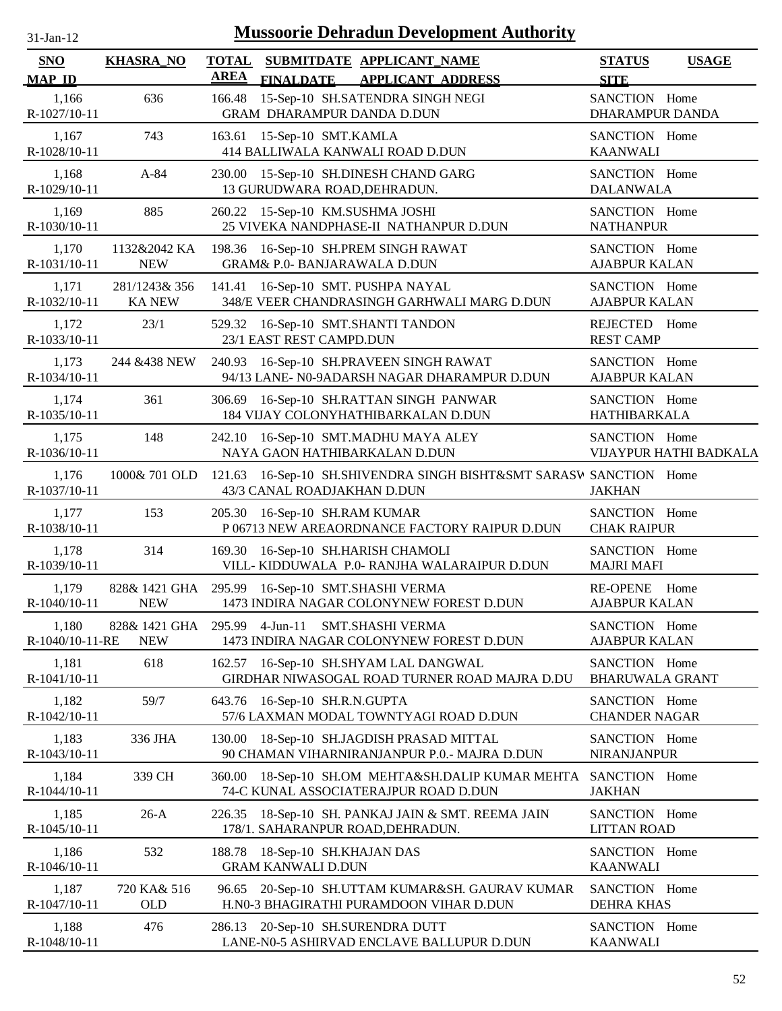| $31-Jan-12$                 |                                |                             | <b>Mussoorie Dehradun Development Authority</b>                                                   |                                         |                        |
|-----------------------------|--------------------------------|-----------------------------|---------------------------------------------------------------------------------------------------|-----------------------------------------|------------------------|
| <b>SNO</b><br><b>MAP ID</b> | <b>KHASRA_NO</b>               | <b>TOTAL</b><br><b>AREA</b> | SUBMITDATE APPLICANT_NAME<br><b>FINALDATE APPLICANT ADDRESS</b>                                   | <b>STATUS</b><br><b>SITE</b>            | <b>USAGE</b>           |
| 1,166<br>R-1027/10-11       | 636                            | 166.48                      | 15-Sep-10 SH.SATENDRA SINGH NEGI<br>GRAM DHARAMPUR DANDA D.DUN                                    | SANCTION Home<br>DHARAMPUR DANDA        |                        |
| 1,167<br>R-1028/10-11       | 743                            |                             | 163.61 15-Sep-10 SMT.KAMLA<br>414 BALLIWALA KANWALI ROAD D.DUN                                    | SANCTION Home<br><b>KAANWALI</b>        |                        |
| 1,168<br>R-1029/10-11       | $A-84$                         |                             | 230.00 15-Sep-10 SH.DINESH CHAND GARG<br>13 GURUDWARA ROAD, DEHRADUN.                             | SANCTION Home<br><b>DALANWALA</b>       |                        |
| 1,169<br>R-1030/10-11       | 885                            |                             | 260.22 15-Sep-10 KM.SUSHMA JOSHI<br>25 VIVEKA NANDPHASE-II NATHANPUR D.DUN                        | SANCTION Home<br><b>NATHANPUR</b>       |                        |
| 1,170<br>R-1031/10-11       | 1132&2042 KA<br><b>NEW</b>     |                             | 198.36 16-Sep-10 SH.PREM SINGH RAWAT<br><b>GRAM&amp; P.0- BANJARAWALA D.DUN</b>                   | SANCTION Home<br><b>AJABPUR KALAN</b>   |                        |
| 1,171<br>R-1032/10-11       | 281/1243& 356<br><b>KA NEW</b> | 141.41                      | 16-Sep-10 SMT. PUSHPA NAYAL<br>348/E VEER CHANDRASINGH GARHWALI MARG D.DUN                        | SANCTION Home<br><b>AJABPUR KALAN</b>   |                        |
| 1,172<br>R-1033/10-11       | 23/1                           |                             | 529.32 16-Sep-10 SMT.SHANTI TANDON<br>23/1 EAST REST CAMPD.DUN                                    | REJECTED Home<br><b>REST CAMP</b>       |                        |
| 1,173<br>R-1034/10-11       | 244 & 438 NEW                  | 240.93                      | 16-Sep-10 SH.PRAVEEN SINGH RAWAT<br>94/13 LANE- N0-9ADARSH NAGAR DHARAMPUR D.DUN                  | SANCTION Home<br><b>AJABPUR KALAN</b>   |                        |
| 1,174<br>R-1035/10-11       | 361                            | 306.69                      | 16-Sep-10 SH.RATTAN SINGH PANWAR<br>184 VIJAY COLONYHATHIBARKALAN D.DUN                           | SANCTION Home<br><b>HATHIBARKALA</b>    |                        |
| 1,175<br>R-1036/10-11       | 148                            | 242.10                      | 16-Sep-10 SMT.MADHU MAYA ALEY<br>NAYA GAON HATHIBARKALAN D.DUN                                    | SANCTION Home                           | VIJAYPUR HATHI BADKALA |
| 1,176<br>R-1037/10-11       | 1000& 701 OLD                  |                             | 121.63 16-Sep-10 SH.SHIVENDRA SINGH BISHT&SMT SARASW SANCTION Home<br>43/3 CANAL ROADJAKHAN D.DUN | <b>JAKHAN</b>                           |                        |
| 1,177<br>R-1038/10-11       | 153                            |                             | 205.30 16-Sep-10 SH.RAM KUMAR<br>P 06713 NEW AREAORDNANCE FACTORY RAIPUR D.DUN                    | SANCTION Home<br><b>CHAK RAIPUR</b>     |                        |
| 1,178<br>R-1039/10-11       | 314                            |                             | 169.30 16-Sep-10 SH.HARISH CHAMOLI<br>VILL-KIDDUWALA P.0- RANJHA WALARAIPUR D.DUN                 | SANCTION Home<br><b>MAJRI MAFI</b>      |                        |
| 1,179<br>R-1040/10-11       | <b>NEW</b>                     |                             | 828& 1421 GHA 295.99 16-Sep-10 SMT.SHASHI VERMA<br>1473 INDIRA NAGAR COLONYNEW FOREST D.DUN       | <b>RE-OPENE</b><br><b>AJABPUR KALAN</b> | Home                   |
| 1,180<br>R-1040/10-11-RE    | 828& 1421 GHA<br><b>NEW</b>    |                             | 295.99 4-Jun-11<br><b>SMT.SHASHI VERMA</b><br>1473 INDIRA NAGAR COLONYNEW FOREST D.DUN            | SANCTION Home<br><b>AJABPUR KALAN</b>   |                        |
| 1,181<br>R-1041/10-11       | 618                            |                             | 162.57 16-Sep-10 SH.SHYAM LAL DANGWAL<br>GIRDHAR NIWASOGAL ROAD TURNER ROAD MAJRA D.DU            | SANCTION Home<br><b>BHARUWALA GRANT</b> |                        |
| 1,182<br>R-1042/10-11       | 59/7                           |                             | 643.76 16-Sep-10 SH.R.N.GUPTA<br>57/6 LAXMAN MODAL TOWNTYAGI ROAD D.DUN                           | SANCTION Home<br><b>CHANDER NAGAR</b>   |                        |
| 1,183<br>R-1043/10-11       | 336 JHA                        | 130.00                      | 18-Sep-10 SH.JAGDISH PRASAD MITTAL<br>90 CHAMAN VIHARNIRANJANPUR P.O.- MAJRA D.DUN                | SANCTION Home<br><b>NIRANJANPUR</b>     |                        |
| 1,184<br>R-1044/10-11       | 339 CH                         | 360.00                      | 18-Sep-10 SH.OM MEHTA&SH.DALIP KUMAR MEHTA<br>74-C KUNAL ASSOCIATERAJPUR ROAD D.DUN               | SANCTION Home<br><b>JAKHAN</b>          |                        |
| 1,185<br>R-1045/10-11       | $26-A$                         | 226.35                      | 18-Sep-10 SH. PANKAJ JAIN & SMT. REEMA JAIN<br>178/1. SAHARANPUR ROAD, DEHRADUN.                  | SANCTION Home<br><b>LITTAN ROAD</b>     |                        |
| 1,186<br>R-1046/10-11       | 532                            | 188.78                      | 18-Sep-10 SH.KHAJAN DAS<br><b>GRAM KANWALI D.DUN</b>                                              | SANCTION Home<br><b>KAANWALI</b>        |                        |
| 1,187<br>R-1047/10-11       | 720 KA& 516<br><b>OLD</b>      | 96.65                       | 20-Sep-10 SH.UTTAM KUMAR&SH. GAURAV KUMAR<br>H.N0-3 BHAGIRATHI PURAMDOON VIHAR D.DUN              | SANCTION Home<br>DEHRA KHAS             |                        |
| 1,188<br>R-1048/10-11       | 476                            | 286.13                      | 20-Sep-10 SH.SURENDRA DUTT<br>LANE-N0-5 ASHIRVAD ENCLAVE BALLUPUR D.DUN                           | SANCTION Home<br><b>KAANWALI</b>        |                        |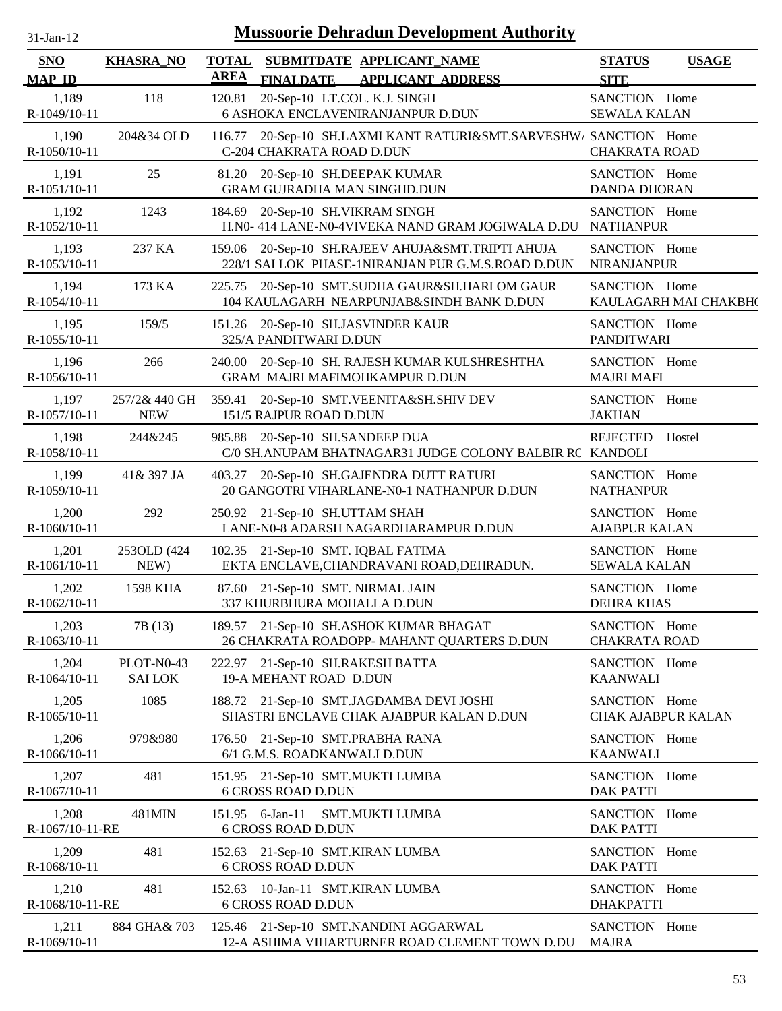| $31$ -Jan-12                | <b>Mussoorie Dehradun Development Authority</b> |                                                                                                    |                                              |  |  |  |  |  |
|-----------------------------|-------------------------------------------------|----------------------------------------------------------------------------------------------------|----------------------------------------------|--|--|--|--|--|
| <b>SNO</b><br><b>MAP ID</b> | <b>KHASRA_NO</b>                                | TOTAL SUBMITDATE APPLICANT NAME<br>AREA<br><b>FINALDATE</b><br><b>APPLICANT ADDRESS</b>            | <b>STATUS</b><br><b>USAGE</b><br><b>SITE</b> |  |  |  |  |  |
| 1,189<br>R-1049/10-11       | 118                                             | 20-Sep-10 LT.COL. K.J. SINGH<br>120.81<br>6 ASHOKA ENCLAVENIRANJANPUR D.DUN                        | SANCTION Home<br><b>SEWALA KALAN</b>         |  |  |  |  |  |
| 1,190<br>R-1050/10-11       | 204&34 OLD                                      | 20-Sep-10 SH.LAXMI KANT RATURI&SMT.SARVESHW / SANCTION Home<br>116.77<br>C-204 CHAKRATA ROAD D.DUN | <b>CHAKRATA ROAD</b>                         |  |  |  |  |  |
| 1,191                       | 25                                              | 81.20 20-Sep-10 SH.DEEPAK KUMAR                                                                    | SANCTION Home                                |  |  |  |  |  |
| $R-1051/10-11$              |                                                 | <b>GRAM GUJRADHA MAN SINGHD.DUN</b>                                                                | <b>DANDA DHORAN</b>                          |  |  |  |  |  |
| 1,192                       | 1243                                            | 184.69 20-Sep-10 SH.VIKRAM SINGH                                                                   | SANCTION Home                                |  |  |  |  |  |
| R-1052/10-11                |                                                 | H.N0-414 LANE-N0-4VIVEKA NAND GRAM JOGIWALA D.DU                                                   | <b>NATHANPUR</b>                             |  |  |  |  |  |
| 1,193                       | 237 KA                                          | 159.06 20-Sep-10 SH.RAJEEV AHUJA&SMT.TRIPTI AHUJA                                                  | SANCTION Home                                |  |  |  |  |  |
| R-1053/10-11                |                                                 | 228/1 SAI LOK PHASE-1NIRANJAN PUR G.M.S.ROAD D.DUN                                                 | <b>NIRANJANPUR</b>                           |  |  |  |  |  |
| 1,194                       | 173 KA                                          | 225.75 20-Sep-10 SMT.SUDHA GAUR&SH.HARI OM GAUR                                                    | SANCTION Home                                |  |  |  |  |  |
| R-1054/10-11                |                                                 | 104 KAULAGARH NEARPUNJAB&SINDH BANK D.DUN                                                          | KAULAGARH MAI CHAKBH(                        |  |  |  |  |  |
| 1,195                       | 159/5                                           | 151.26 20-Sep-10 SH.JASVINDER KAUR                                                                 | SANCTION Home                                |  |  |  |  |  |
| $R-1055/10-11$              |                                                 | 325/A PANDITWARI D.DUN                                                                             | <b>PANDITWARI</b>                            |  |  |  |  |  |
| 1,196                       | 266                                             | 240.00 20-Sep-10 SH. RAJESH KUMAR KULSHRESHTHA                                                     | SANCTION Home                                |  |  |  |  |  |
| R-1056/10-11                |                                                 | GRAM MAJRI MAFIMOHKAMPUR D.DUN                                                                     | <b>MAJRI MAFI</b>                            |  |  |  |  |  |
| 1,197                       | 257/2& 440 GH                                   | 359.41 20-Sep-10 SMT.VEENITA&SH.SHIV DEV                                                           | SANCTION Home                                |  |  |  |  |  |
| R-1057/10-11                | <b>NEW</b>                                      | 151/5 RAJPUR ROAD D.DUN                                                                            | <b>JAKHAN</b>                                |  |  |  |  |  |
| 1,198                       | 244&245                                         | 985.88 20-Sep-10 SH.SANDEEP DUA                                                                    | <b>REJECTED</b>                              |  |  |  |  |  |
| R-1058/10-11                |                                                 | C/0 SH.ANUPAM BHATNAGAR31 JUDGE COLONY BALBIR RC KANDOLI                                           | Hostel                                       |  |  |  |  |  |
| 1,199<br>R-1059/10-11       | 41 & 397 JA                                     | 403.27<br>20-Sep-10 SH.GAJENDRA DUTT RATURI<br>20 GANGOTRI VIHARLANE-N0-1 NATHANPUR D.DUN          | SANCTION Home<br><b>NATHANPUR</b>            |  |  |  |  |  |
| 1,200                       | 292                                             | 250.92 21-Sep-10 SH.UTTAM SHAH                                                                     | SANCTION Home                                |  |  |  |  |  |
| R-1060/10-11                |                                                 | LANE-N0-8 ADARSH NAGARDHARAMPUR D.DUN                                                              | <b>AJABPUR KALAN</b>                         |  |  |  |  |  |
| 1,201                       | 2530LD (424)                                    | 102.35 21-Sep-10 SMT. IQBAL FATIMA                                                                 | SANCTION Home                                |  |  |  |  |  |
| R-1061/10-11                | NEW)                                            | EKTA ENCLAVE, CHANDRAVANI ROAD, DEHRADUN.                                                          | <b>SEWALA KALAN</b>                          |  |  |  |  |  |
| 1,202                       | 1598 KHA                                        | 87.60 21-Sep-10 SMT. NIRMAL JAIN                                                                   | SANCTION Home                                |  |  |  |  |  |
| R-1062/10-11                |                                                 | 337 KHURBHURA MOHALLA D.DUN                                                                        | <b>DEHRA KHAS</b>                            |  |  |  |  |  |
| 1,203                       | 7B (13)                                         | 189.57 21-Sep-10 SH.ASHOK KUMAR BHAGAT                                                             | SANCTION Home                                |  |  |  |  |  |
| R-1063/10-11                |                                                 | 26 CHAKRATA ROADOPP- MAHANT QUARTERS D.DUN                                                         | <b>CHAKRATA ROAD</b>                         |  |  |  |  |  |
| 1,204                       | PLOT-N0-43                                      | 222.97 21-Sep-10 SH.RAKESH BATTA                                                                   | SANCTION Home                                |  |  |  |  |  |
| R-1064/10-11                | <b>SAI LOK</b>                                  | 19-A MEHANT ROAD D.DUN                                                                             | <b>KAANWALI</b>                              |  |  |  |  |  |
| 1,205                       | 1085                                            | 188.72 21-Sep-10 SMT.JAGDAMBA DEVI JOSHI                                                           | SANCTION Home                                |  |  |  |  |  |
| R-1065/10-11                |                                                 | SHASTRI ENCLAVE CHAK AJABPUR KALAN D.DUN                                                           | CHAK AJABPUR KALAN                           |  |  |  |  |  |
| 1,206                       | 979&980                                         | 176.50 21-Sep-10 SMT.PRABHA RANA                                                                   | SANCTION Home                                |  |  |  |  |  |
| R-1066/10-11                |                                                 | 6/1 G.M.S. ROADKANWALI D.DUN                                                                       | <b>KAANWALI</b>                              |  |  |  |  |  |
| 1,207                       | 481                                             | 151.95 21-Sep-10 SMT.MUKTI LUMBA                                                                   | SANCTION Home                                |  |  |  |  |  |
| R-1067/10-11                |                                                 | <b>6 CROSS ROAD D.DUN</b>                                                                          | <b>DAK PATTI</b>                             |  |  |  |  |  |
| 1,208                       | 481MIN                                          | 151.95 6-Jan-11 SMT.MUKTI LUMBA                                                                    | SANCTION Home                                |  |  |  |  |  |
| R-1067/10-11-RE             |                                                 | <b>6 CROSS ROAD D.DUN</b>                                                                          | <b>DAK PATTI</b>                             |  |  |  |  |  |
| 1,209                       | 481                                             | 152.63 21-Sep-10 SMT.KIRAN LUMBA                                                                   | SANCTION Home                                |  |  |  |  |  |
| R-1068/10-11                |                                                 | <b>6 CROSS ROAD D.DUN</b>                                                                          | <b>DAK PATTI</b>                             |  |  |  |  |  |
| 1,210                       | 481                                             | 152.63 10-Jan-11 SMT.KIRAN LUMBA                                                                   | SANCTION Home                                |  |  |  |  |  |
| R-1068/10-11-RE             |                                                 | <b>6 CROSS ROAD D.DUN</b>                                                                          | <b>DHAKPATTI</b>                             |  |  |  |  |  |
| 1,211                       | 884 GHA& 703                                    | 125.46 21-Sep-10 SMT.NANDINI AGGARWAL                                                              | SANCTION Home                                |  |  |  |  |  |
| R-1069/10-11                |                                                 | 12-A ASHIMA VIHARTURNER ROAD CLEMENT TOWN D.DU                                                     | <b>MAJRA</b>                                 |  |  |  |  |  |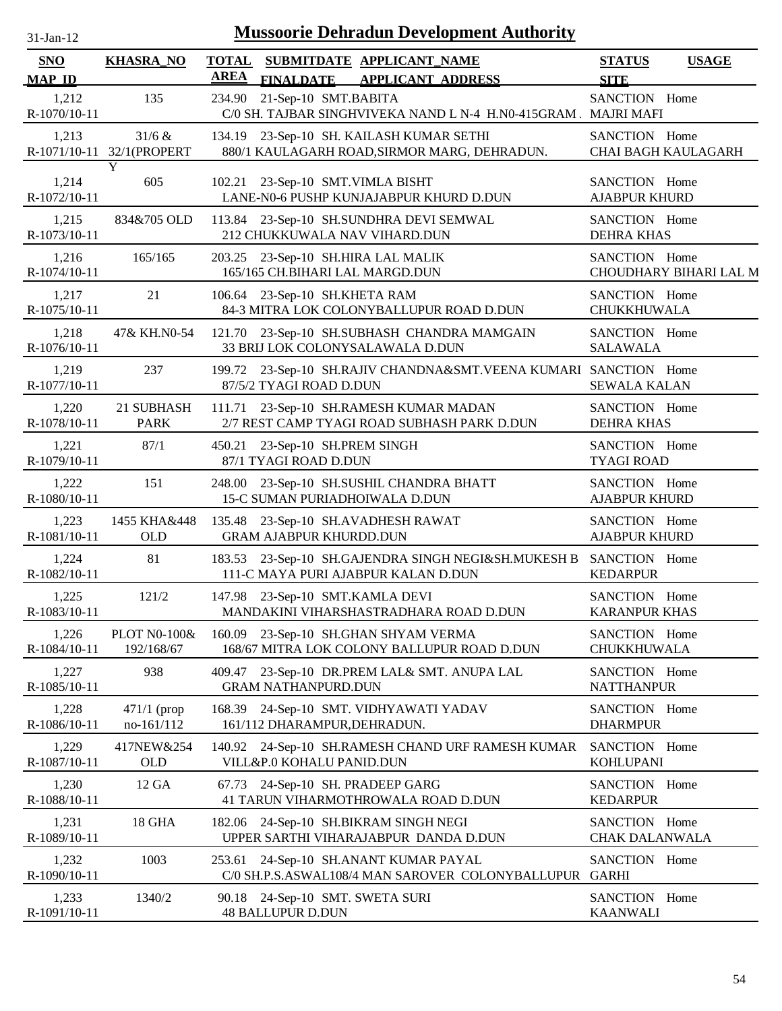| $31$ -Jan- $12$             | <b>Mussoorie Dehradun Development Authority</b> |             |                                                                                                 |                                       |                        |  |  |
|-----------------------------|-------------------------------------------------|-------------|-------------------------------------------------------------------------------------------------|---------------------------------------|------------------------|--|--|
| <b>SNO</b><br><b>MAP ID</b> | <b>KHASRA_NO</b>                                | <b>AREA</b> | TOTAL SUBMITDATE APPLICANT NAME<br><b>FINALDATE</b><br><b>APPLICANT ADDRESS</b>                 | <b>STATUS</b><br><b>SITE</b>          | <b>USAGE</b>           |  |  |
| 1,212<br>R-1070/10-11       | 135                                             |             | 234.90 21-Sep-10 SMT.BABITA<br>C/0 SH. TAJBAR SINGHVIVEKA NAND L N-4 H.N0-415GRAM . MAJRI MAFI  | SANCTION Home                         |                        |  |  |
| 1,213                       | 31/6 &<br>R-1071/10-11 32/1(PROPERT             |             | 134.19 23-Sep-10 SH. KAILASH KUMAR SETHI<br>880/1 KAULAGARH ROAD, SIRMOR MARG, DEHRADUN.        | SANCTION Home                         | CHAI BAGH KAULAGARH    |  |  |
| 1,214<br>R-1072/10-11       | Y<br>605                                        |             | 102.21 23-Sep-10 SMT.VIMLA BISHT<br>LANE-N0-6 PUSHP KUNJAJABPUR KHURD D.DUN                     | SANCTION Home<br><b>AJABPUR KHURD</b> |                        |  |  |
| 1,215<br>R-1073/10-11       | 834&705 OLD                                     |             | 113.84 23-Sep-10 SH.SUNDHRA DEVI SEMWAL<br>212 CHUKKUWALA NAV VIHARD.DUN                        | SANCTION Home<br><b>DEHRA KHAS</b>    |                        |  |  |
| 1,216<br>R-1074/10-11       | 165/165                                         |             | 203.25 23-Sep-10 SH.HIRA LAL MALIK<br>165/165 CH.BIHARI LAL MARGD.DUN                           | SANCTION Home                         | CHOUDHARY BIHARI LAL M |  |  |
| 1,217<br>R-1075/10-11       | 21                                              |             | 106.64 23-Sep-10 SH.KHETA RAM<br>84-3 MITRA LOK COLONYBALLUPUR ROAD D.DUN                       | SANCTION Home<br>CHUKKHUWALA          |                        |  |  |
| 1,218<br>R-1076/10-11       | 47& KH.N0-54                                    |             | 121.70 23-Sep-10 SH.SUBHASH CHANDRA MAMGAIN<br>33 BRIJ LOK COLONYSALAWALA D.DUN                 | SANCTION Home<br><b>SALAWALA</b>      |                        |  |  |
| 1,219<br>R-1077/10-11       | 237                                             |             | 199.72 23-Sep-10 SH.RAJIV CHANDNA&SMT.VEENA KUMARI SANCTION Home<br>87/5/2 TYAGI ROAD D.DUN     | <b>SEWALA KALAN</b>                   |                        |  |  |
| 1,220<br>R-1078/10-11       | 21 SUBHASH<br><b>PARK</b>                       |             | 111.71 23-Sep-10 SH.RAMESH KUMAR MADAN<br>2/7 REST CAMP TYAGI ROAD SUBHASH PARK D.DUN           | SANCTION Home<br><b>DEHRA KHAS</b>    |                        |  |  |
| 1,221<br>R-1079/10-11       | 87/1                                            |             | 450.21 23-Sep-10 SH.PREM SINGH<br>87/1 TYAGI ROAD D.DUN                                         | SANCTION Home<br><b>TYAGI ROAD</b>    |                        |  |  |
| 1,222<br>R-1080/10-11       | 151                                             |             | 248.00 23-Sep-10 SH.SUSHIL CHANDRA BHATT<br>15-C SUMAN PURIADHOIWALA D.DUN                      | SANCTION Home<br><b>AJABPUR KHURD</b> |                        |  |  |
| 1,223<br>R-1081/10-11       | 1455 KHA&448<br><b>OLD</b>                      |             | 135.48 23-Sep-10 SH.AVADHESH RAWAT<br><b>GRAM AJABPUR KHURDD.DUN</b>                            | SANCTION Home<br><b>AJABPUR KHURD</b> |                        |  |  |
| 1,224<br>R-1082/10-11       | 81                                              |             | 183.53 23-Sep-10 SH.GAJENDRA SINGH NEGI&SH.MUKESH B<br>111-C MAYA PURI AJABPUR KALAN D.DUN      | SANCTION Home<br><b>KEDARPUR</b>      |                        |  |  |
| 1,225<br>R-1083/10-11       | 121/2                                           |             | 147.98 23-Sep-10 SMT.KAMLA DEVI<br>MANDAKINI VIHARSHASTRADHARA ROAD D.DUN                       | SANCTION Home<br><b>KARANPUR KHAS</b> |                        |  |  |
| 1,226<br>R-1084/10-11       | <b>PLOT N0-100&amp;</b><br>192/168/67           |             | 160.09 23-Sep-10 SH.GHAN SHYAM VERMA<br>168/67 MITRA LOK COLONY BALLUPUR ROAD D.DUN             | SANCTION Home<br>CHUKKHUWALA          |                        |  |  |
| 1,227<br>R-1085/10-11       | 938                                             |             | 409.47 23-Sep-10 DR.PREM LAL& SMT. ANUPA LAL<br><b>GRAM NATHANPURD.DUN</b>                      | SANCTION Home<br><b>NATTHANPUR</b>    |                        |  |  |
| 1,228<br>R-1086/10-11       | $471/1$ (prop<br>no-161/112                     |             | 168.39 24-Sep-10 SMT. VIDHYAWATI YADAV<br>161/112 DHARAMPUR, DEHRADUN.                          | SANCTION Home<br><b>DHARMPUR</b>      |                        |  |  |
| 1,229<br>R-1087/10-11       | 417NEW&254<br><b>OLD</b>                        |             | 140.92 24-Sep-10 SH.RAMESH CHAND URF RAMESH KUMAR<br>VILL&P.0 KOHALU PANID.DUN                  | SANCTION Home<br><b>KOHLUPANI</b>     |                        |  |  |
| 1,230<br>R-1088/10-11       | 12 GA                                           |             | 67.73 24-Sep-10 SH. PRADEEP GARG<br>41 TARUN VIHARMOTHROWALA ROAD D.DUN                         | SANCTION Home<br><b>KEDARPUR</b>      |                        |  |  |
| 1,231<br>R-1089/10-11       | 18 GHA                                          |             | 182.06 24-Sep-10 SH.BIKRAM SINGH NEGI<br>UPPER SARTHI VIHARAJABPUR DANDA D.DUN                  | SANCTION Home<br>CHAK DALANWALA       |                        |  |  |
| 1,232<br>R-1090/10-11       | 1003                                            |             | 253.61 24-Sep-10 SH.ANANT KUMAR PAYAL<br>C/0 SH.P.S.ASWAL108/4 MAN SAROVER COLONYBALLUPUR GARHI | SANCTION Home                         |                        |  |  |
| 1,233<br>R-1091/10-11       | 1340/2                                          |             | 90.18 24-Sep-10 SMT. SWETA SURI<br><b>48 BALLUPUR D.DUN</b>                                     | SANCTION Home<br><b>KAANWALI</b>      |                        |  |  |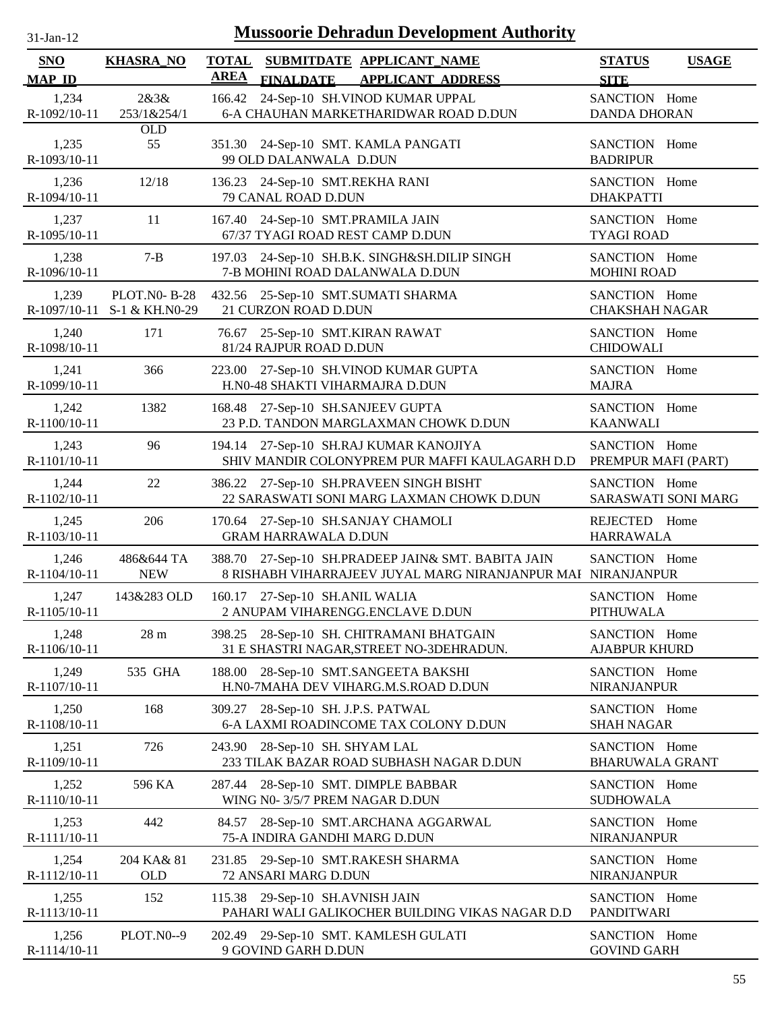| -.1211- |  |
|---------|--|
|         |  |

| <b>SNO</b>            | <b>KHASRA_NO</b>                      | <b>TOTAL</b> |                                                        | SUBMITDATE APPLICANT NAME                                                                                          | <b>STATUS</b>                           | <b>USAGE</b>        |
|-----------------------|---------------------------------------|--------------|--------------------------------------------------------|--------------------------------------------------------------------------------------------------------------------|-----------------------------------------|---------------------|
| <b>MAP ID</b>         |                                       | <b>AREA</b>  | <b>FINALDATE</b>                                       | <b>APPLICANT ADDRESS</b>                                                                                           | <b>SITE</b>                             |                     |
| 1,234<br>R-1092/10-11 | 2&3&<br>253/1&254/1                   |              |                                                        | 166.42 24-Sep-10 SH. VINOD KUMAR UPPAL<br>6-A CHAUHAN MARKETHARIDWAR ROAD D.DUN                                    | SANCTION Home<br><b>DANDA DHORAN</b>    |                     |
| 1,235<br>R-1093/10-11 | <b>OLD</b><br>55                      |              | 99 OLD DALANWALA D.DUN                                 | 351.30 24-Sep-10 SMT. KAMLA PANGATI                                                                                | SANCTION Home<br><b>BADRIPUR</b>        |                     |
| 1,236<br>R-1094/10-11 | 12/18                                 |              | 136.23 24-Sep-10 SMT.REKHA RANI<br>79 CANAL ROAD D.DUN |                                                                                                                    | SANCTION Home<br><b>DHAKPATTI</b>       |                     |
| 1,237<br>R-1095/10-11 | 11                                    | 167.40       |                                                        | 24-Sep-10 SMT.PRAMILA JAIN<br>67/37 TYAGI ROAD REST CAMP D.DUN                                                     | SANCTION Home<br><b>TYAGI ROAD</b>      |                     |
| 1,238<br>R-1096/10-11 | $7 - B$                               | 197.03       |                                                        | 24-Sep-10 SH.B.K. SINGH&SH.DILIP SINGH<br>7-B MOHINI ROAD DALANWALA D.DUN                                          | SANCTION Home<br><b>MOHINI ROAD</b>     |                     |
| 1,239<br>R-1097/10-11 | <b>PLOT.NO-B-28</b><br>S-1 & KH.N0-29 |              | 21 CURZON ROAD D.DUN                                   | 432.56 25-Sep-10 SMT.SUMATI SHARMA                                                                                 | SANCTION Home<br><b>CHAKSHAH NAGAR</b>  |                     |
| 1,240<br>R-1098/10-11 | 171                                   |              | 81/24 RAJPUR ROAD D.DUN                                | 76.67 25-Sep-10 SMT.KIRAN RAWAT                                                                                    | SANCTION Home<br><b>CHIDOWALI</b>       |                     |
| 1,241<br>R-1099/10-11 | 366                                   |              |                                                        | 223.00 27-Sep-10 SH.VINOD KUMAR GUPTA<br>H.N0-48 SHAKTI VIHARMAJRA D.DUN                                           | SANCTION Home<br><b>MAJRA</b>           |                     |
| 1,242<br>R-1100/10-11 | 1382                                  |              |                                                        | 168.48 27-Sep-10 SH.SANJEEV GUPTA<br>23 P.D. TANDON MARGLAXMAN CHOWK D.DUN                                         | SANCTION Home<br><b>KAANWALI</b>        |                     |
| 1,243<br>R-1101/10-11 | 96                                    |              |                                                        | 194.14 27-Sep-10 SH.RAJ KUMAR KANOJIYA<br>SHIV MANDIR COLONYPREM PUR MAFFI KAULAGARH D.D                           | SANCTION Home                           | PREMPUR MAFI (PART) |
| 1,244<br>R-1102/10-11 | 22                                    |              |                                                        | 386.22 27-Sep-10 SH.PRAVEEN SINGH BISHT<br>22 SARASWATI SONI MARG LAXMAN CHOWK D.DUN                               | SANCTION Home                           | SARASWATI SONI MARG |
| 1,245<br>R-1103/10-11 | 206                                   |              | <b>GRAM HARRAWALA D.DUN</b>                            | 170.64 27-Sep-10 SH.SANJAY CHAMOLI                                                                                 | REJECTED Home<br><b>HARRAWALA</b>       |                     |
| 1,246<br>R-1104/10-11 | 486&644 TA<br><b>NEW</b>              |              |                                                        | 388.70 27-Sep-10 SH.PRADEEP JAIN& SMT. BABITA JAIN<br>8 RISHABH VIHARRAJEEV JUYAL MARG NIRANJANPUR MAI NIRANJANPUR | SANCTION Home                           |                     |
| 1,247<br>R-1105/10-11 | 143&283 OLD                           |              | 160.17 27-Sep-10 SH.ANIL WALIA                         | 2 ANUPAM VIHARENGG.ENCLAVE D.DUN                                                                                   | SANCTION Home<br><b>PITHUWALA</b>       |                     |
| 1,248<br>R-1106/10-11 | 28 <sub>m</sub>                       |              |                                                        | 398.25 28-Sep-10 SH. CHITRAMANI BHATGAIN<br>31 E SHASTRI NAGAR, STREET NO-3DEHRADUN.                               | SANCTION Home<br><b>AJABPUR KHURD</b>   |                     |
| 1,249<br>R-1107/10-11 | 535 GHA                               | 188.00       |                                                        | 28-Sep-10 SMT.SANGEETA BAKSHI<br>H.N0-7MAHA DEV VIHARG.M.S.ROAD D.DUN                                              | SANCTION Home<br>NIRANJANPUR            |                     |
| 1,250<br>R-1108/10-11 | 168                                   | 309.27       | 28-Sep-10 SH. J.P.S. PATWAL                            | 6-A LAXMI ROADINCOME TAX COLONY D.DUN                                                                              | SANCTION Home<br><b>SHAH NAGAR</b>      |                     |
| 1,251<br>R-1109/10-11 | 726                                   | 243.90       | 28-Sep-10 SH. SHYAM LAL                                | 233 TILAK BAZAR ROAD SUBHASH NAGAR D.DUN                                                                           | SANCTION Home<br><b>BHARUWALA GRANT</b> |                     |
| 1,252<br>R-1110/10-11 | 596 KA                                | 287.44       |                                                        | 28-Sep-10 SMT. DIMPLE BABBAR<br>WING N0-3/5/7 PREM NAGAR D.DUN                                                     | SANCTION Home<br><b>SUDHOWALA</b>       |                     |
| 1,253<br>R-1111/10-11 | 442                                   | 84.57        | 75-A INDIRA GANDHI MARG D.DUN                          | 28-Sep-10 SMT.ARCHANA AGGARWAL                                                                                     | SANCTION Home<br>NIRANJANPUR            |                     |
| 1,254<br>R-1112/10-11 | 204 KA& 81<br><b>OLD</b>              |              | 72 ANSARI MARG D.DUN                                   | 231.85 29-Sep-10 SMT.RAKESH SHARMA                                                                                 | SANCTION Home<br>NIRANJANPUR            |                     |
| 1,255<br>R-1113/10-11 | 152                                   |              | 115.38 29-Sep-10 SH.AVNISH JAIN                        | PAHARI WALI GALIKOCHER BUILDING VIKAS NAGAR D.D                                                                    | SANCTION Home<br><b>PANDITWARI</b>      |                     |
| 1,256<br>R-1114/10-11 | PLOT.N0--9                            | 202.49       | 9 GOVIND GARH D.DUN                                    | 29-Sep-10 SMT. KAMLESH GULATI                                                                                      | SANCTION Home<br><b>GOVIND GARH</b>     |                     |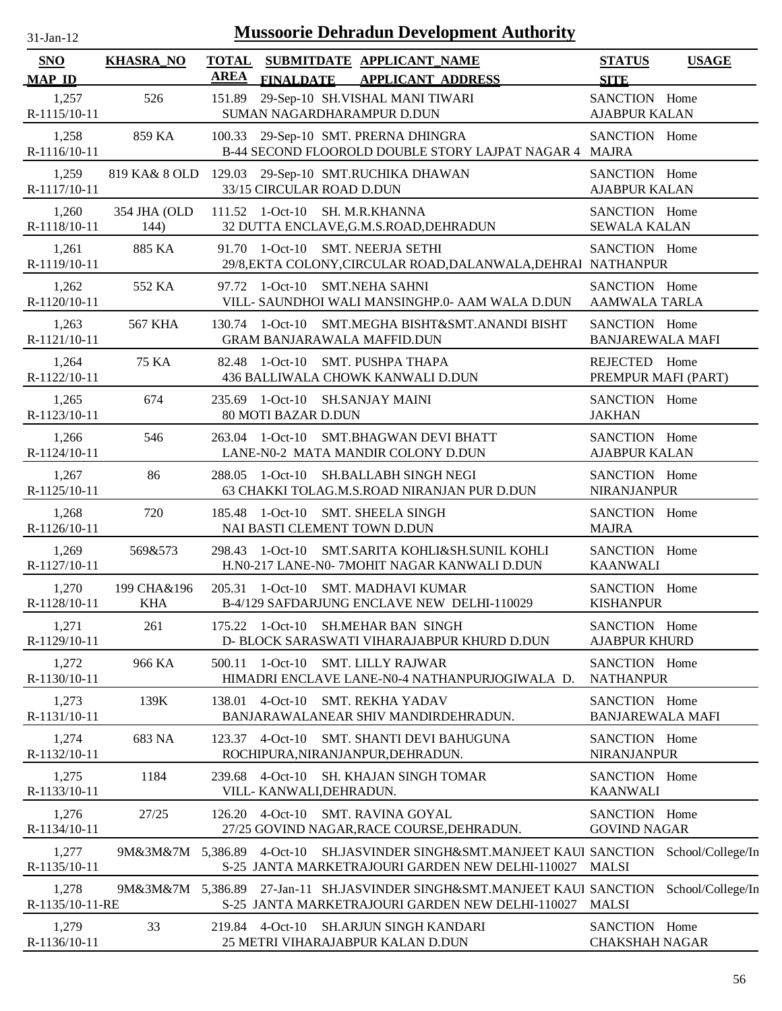| $31-Jan-12$                 |                           |                             |                                        | <b>Mussoorie Dehradun Development Authority</b>                                                                                                |                                          |              |
|-----------------------------|---------------------------|-----------------------------|----------------------------------------|------------------------------------------------------------------------------------------------------------------------------------------------|------------------------------------------|--------------|
| <b>SNO</b><br><b>MAP ID</b> | <b>KHASRA_NO</b>          | <b>TOTAL</b><br><b>AREA</b> | <b>FINALDATE</b>                       | SUBMITDATE APPLICANT NAME<br><b>APPLICANT ADDRESS</b>                                                                                          | <b>STATUS</b><br><b>SITE</b>             | <b>USAGE</b> |
| 1,257<br>R-1115/10-11       | 526                       | 151.89                      |                                        | 29-Sep-10 SH.VISHAL MANI TIWARI<br>SUMAN NAGARDHARAMPUR D.DUN                                                                                  | SANCTION Home<br><b>AJABPUR KALAN</b>    |              |
| 1,258<br>R-1116/10-11       | 859 KA                    |                             |                                        | 100.33 29-Sep-10 SMT. PRERNA DHINGRA<br>B-44 SECOND FLOOROLD DOUBLE STORY LAJPAT NAGAR 4 MAJRA                                                 | SANCTION Home                            |              |
| 1,259<br>R-1117/10-11       |                           |                             | 33/15 CIRCULAR ROAD D.DUN              | 819 KA& 8 OLD 129.03 29-Sep-10 SMT.RUCHIKA DHAWAN                                                                                              | SANCTION Home<br><b>AJABPUR KALAN</b>    |              |
| 1,260<br>R-1118/10-11       | 354 JHA (OLD<br>144)      |                             |                                        | 111.52 1-Oct-10 SH. M.R.KHANNA<br>32 DUTTA ENCLAVE, G.M.S.ROAD, DEHRADUN                                                                       | SANCTION Home<br><b>SEWALA KALAN</b>     |              |
| 1,261<br>R-1119/10-11       | 885 KA                    |                             |                                        | 91.70 1-Oct-10 SMT. NEERJA SETHI<br>29/8, EKTA COLONY, CIRCULAR ROAD, DALANWALA, DEHRAI NATHANPUR                                              | SANCTION Home                            |              |
| 1,262<br>R-1120/10-11       | 552 KA                    | 97.72                       |                                        | 1-Oct-10 SMT.NEHA SAHNI<br>VILL- SAUNDHOI WALI MANSINGHP.0- AAM WALA D.DUN                                                                     | SANCTION Home<br><b>AAMWALA TARLA</b>    |              |
| 1,263<br>R-1121/10-11       | <b>567 KHA</b>            |                             |                                        | 130.74 1-Oct-10 SMT.MEGHA BISHT&SMT.ANANDI BISHT<br><b>GRAM BANJARAWALA MAFFID.DUN</b>                                                         | SANCTION Home<br><b>BANJAREWALA MAFI</b> |              |
| 1,264<br>R-1122/10-11       | 75 KA                     |                             |                                        | 82.48 1-Oct-10 SMT. PUSHPA THAPA<br>436 BALLIWALA CHOWK KANWALI D.DUN                                                                          | REJECTED Home<br>PREMPUR MAFI (PART)     |              |
| 1,265<br>R-1123/10-11       | 674                       |                             | 80 MOTI BAZAR D.DUN                    | 235.69 1-Oct-10 SH.SANJAY MAINI                                                                                                                | SANCTION Home<br><b>JAKHAN</b>           |              |
| 1,266<br>R-1124/10-11       | 546                       |                             |                                        | 263.04 1-Oct-10 SMT.BHAGWAN DEVI BHATT<br>LANE-N0-2 MATA MANDIR COLONY D.DUN                                                                   | SANCTION Home<br><b>AJABPUR KALAN</b>    |              |
| 1,267<br>R-1125/10-11       | 86                        |                             |                                        | 288.05 1-Oct-10 SH.BALLABH SINGH NEGI<br>63 CHAKKI TOLAG.M.S.ROAD NIRANJAN PUR D.DUN                                                           | SANCTION Home<br><b>NIRANJANPUR</b>      |              |
| 1,268<br>R-1126/10-11       | 720                       |                             |                                        | 185.48 1-Oct-10 SMT. SHEELA SINGH<br>NAI BASTI CLEMENT TOWN D.DUN                                                                              | SANCTION Home<br><b>MAJRA</b>            |              |
| 1,269<br>R-1127/10-11       | 569&573                   |                             |                                        | 298.43 1-Oct-10 SMT.SARITA KOHLI&SH.SUNIL KOHLI<br>H.N0-217 LANE-N0- 7MOHIT NAGAR KANWALI D.DUN                                                | SANCTION Home<br><b>KAANWALI</b>         |              |
| 1,270<br>R-1128/10-11       | 199 CHA&196<br><b>KHA</b> |                             |                                        | 205.31 1-Oct-10 SMT. MADHAVI KUMAR<br>B-4/129 SAFDARJUNG ENCLAVE NEW DELHI-110029                                                              | SANCTION Home<br><b>KISHANPUR</b>        |              |
| 1,271<br>R-1129/10-11       | 261                       |                             |                                        | 175.22 1-Oct-10 SH.MEHAR BAN SINGH<br>D- BLOCK SARASWATI VIHARAJABPUR KHURD D.DUN                                                              | SANCTION Home<br><b>AJABPUR KHURD</b>    |              |
| 1,272<br>R-1130/10-11       | 966 KA                    | 500.11                      |                                        | 1-Oct-10 SMT. LILLY RAJWAR<br>HIMADRI ENCLAVE LANE-N0-4 NATHANPURJOGIWALA D.                                                                   | SANCTION Home<br><b>NATHANPUR</b>        |              |
| 1,273<br>R-1131/10-11       | 139K                      |                             |                                        | 138.01 4-Oct-10 SMT. REKHA YADAV<br>BANJARAWALANEAR SHIV MANDIRDEHRADUN.                                                                       | SANCTION Home<br><b>BANJAREWALA MAFI</b> |              |
| 1,274<br>R-1132/10-11       | 683 NA                    |                             | 123.37 4-Oct-10                        | <b>SMT. SHANTI DEVI BAHUGUNA</b><br>ROCHIPURA, NIRANJANPUR, DEHRADUN.                                                                          | SANCTION Home<br><b>NIRANJANPUR</b>      |              |
| 1,275<br>R-1133/10-11       | 1184                      | 239.68                      | $4-Oct-10$<br>VILL- KANWALI, DEHRADUN. | <b>SH. KHAJAN SINGH TOMAR</b>                                                                                                                  | SANCTION Home<br><b>KAANWALI</b>         |              |
| 1,276<br>R-1134/10-11       | 27/25                     | 126.20                      |                                        | 4-Oct-10 SMT. RAVINA GOYAL<br>27/25 GOVIND NAGAR, RACE COURSE, DEHRADUN.                                                                       | SANCTION Home<br><b>GOVIND NAGAR</b>     |              |
| 1,277<br>R-1135/10-11       | 9M&3M&7M 5,386.89         |                             |                                        | 4-Oct-10 SH.JASVINDER SINGH&SMT.MANJEET KAUI SANCTION School/College/In<br>S-25 JANTA MARKETRAJOURI GARDEN NEW DELHI-110027                    | MALSI                                    |              |
| 1,278<br>R-1135/10-11-RE    |                           |                             |                                        | 9M&3M&7M 5,386.89 27-Jan-11 SH.JASVINDER SINGH&SMT.MANJEET KAUI SANCTION School/College/In<br>S-25 JANTA MARKETRAJOURI GARDEN NEW DELHI-110027 | <b>MALSI</b>                             |              |
| 1,279<br>R-1136/10-11       | 33                        |                             |                                        | 219.84 4-Oct-10 SH.ARJUN SINGH KANDARI<br>25 METRI VIHARAJABPUR KALAN D.DUN                                                                    | SANCTION Home<br><b>CHAKSHAH NAGAR</b>   |              |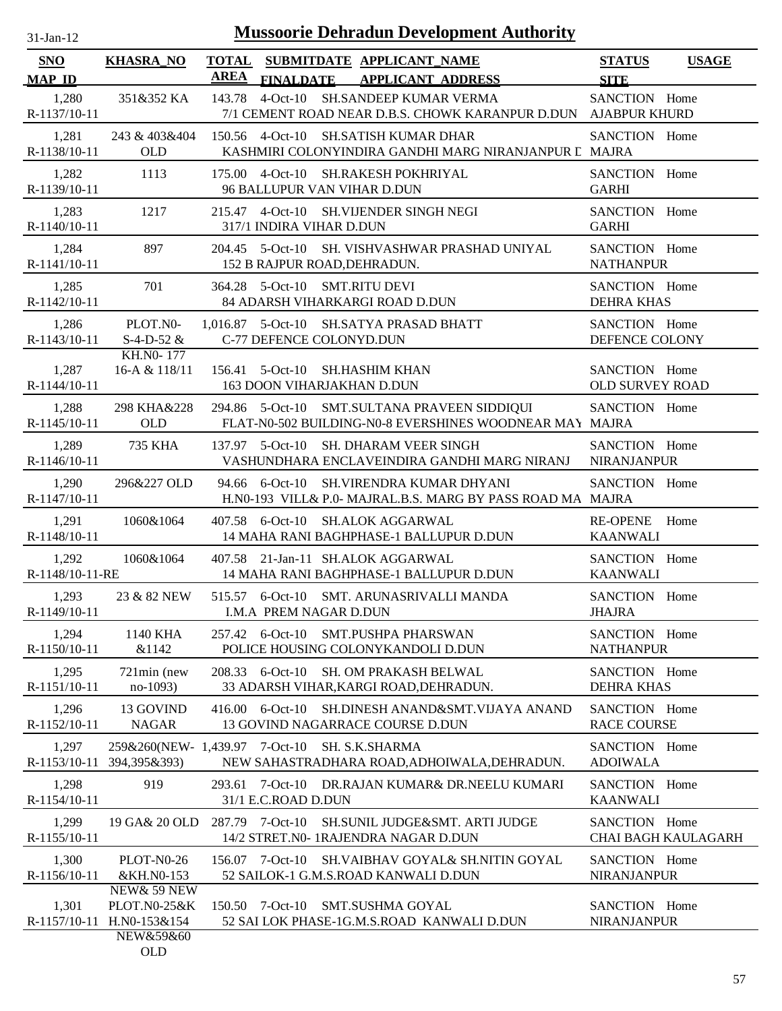| -Jan- |  |
|-------|--|

| <b>SNO</b>               | <b>KHASRA_NO</b>                                         |                 |                               | TOTAL SUBMITDATE APPLICANT NAME                                                                          | <b>STATUS</b>                           | <b>USAGE</b>               |
|--------------------------|----------------------------------------------------------|-----------------|-------------------------------|----------------------------------------------------------------------------------------------------------|-----------------------------------------|----------------------------|
| <b>MAP ID</b>            |                                                          | <b>AREA</b>     |                               | FINALDATE APPLICANT ADDRESS                                                                              | <b>SITE</b>                             |                            |
| 1,280<br>R-1137/10-11    | 351&352 KA                                               |                 |                               | 143.78 4-Oct-10 SH.SANDEEP KUMAR VERMA<br>7/1 CEMENT ROAD NEAR D.B.S. CHOWK KARANPUR D.DUN AJABPUR KHURD | SANCTION Home                           |                            |
| 1,281<br>R-1138/10-11    | 243 & 403&404<br><b>OLD</b>                              |                 |                               | 150.56 4-Oct-10 SH.SATISH KUMAR DHAR<br>KASHMIRI COLONYINDIRA GANDHI MARG NIRANJANPUR L MAJRA            | SANCTION Home                           |                            |
| 1,282<br>R-1139/10-11    | 1113                                                     |                 | 96 BALLUPUR VAN VIHAR D.DUN   | 175.00 4-Oct-10 SH.RAKESH POKHRIYAL                                                                      | SANCTION Home<br><b>GARHI</b>           |                            |
| 1,283<br>R-1140/10-11    | 1217                                                     |                 | 317/1 INDIRA VIHAR D.DUN      | 215.47 4-Oct-10 SH.VIJENDER SINGH NEGI                                                                   | SANCTION Home<br><b>GARHI</b>           |                            |
| 1,284<br>R-1141/10-11    | 897                                                      |                 | 152 B RAJPUR ROAD, DEHRADUN.  | 204.45 5-Oct-10 SH. VISHVASHWAR PRASHAD UNIYAL                                                           | SANCTION Home<br><b>NATHANPUR</b>       |                            |
| 1,285<br>R-1142/10-11    | 701                                                      |                 | 364.28 5-Oct-10 SMT.RITU DEVI | 84 ADARSH VIHARKARGI ROAD D.DUN                                                                          | SANCTION Home<br><b>DEHRA KHAS</b>      |                            |
| 1,286<br>R-1143/10-11    | PLOT.N0-<br>$S-4-D-52 &$                                 |                 | C-77 DEFENCE COLONYD.DUN      | 1,016.87 5-Oct-10 SH.SATYA PRASAD BHATT                                                                  | SANCTION Home<br>DEFENCE COLONY         |                            |
| 1,287<br>R-1144/10-11    | KH.NO-177<br>16-A & 118/11                               |                 | 163 DOON VIHARJAKHAN D.DUN    | 156.41 5-Oct-10 SH.HASHIM KHAN                                                                           | SANCTION Home<br><b>OLD SURVEY ROAD</b> |                            |
| 1,288<br>R-1145/10-11    | 298 KHA&228<br><b>OLD</b>                                |                 |                               | 294.86 5-Oct-10 SMT.SULTANA PRAVEEN SIDDIQUI<br>FLAT-N0-502 BUILDING-N0-8 EVERSHINES WOODNEAR MAY MAJRA  | SANCTION Home                           |                            |
| 1,289<br>R-1146/10-11    | 735 KHA                                                  |                 |                               | 137.97 5-Oct-10 SH. DHARAM VEER SINGH<br>VASHUNDHARA ENCLAVEINDIRA GANDHI MARG NIRANJ                    | SANCTION Home<br><b>NIRANJANPUR</b>     |                            |
| 1,290<br>R-1147/10-11    | 296&227 OLD                                              |                 |                               | 94.66 6-Oct-10 SH.VIRENDRA KUMAR DHYANI<br>H.N0-193 VILL& P.0- MAJRAL.B.S. MARG BY PASS ROAD MA MAJRA    | SANCTION Home                           |                            |
| 1,291<br>R-1148/10-11    | 1060&1064                                                |                 |                               | 407.58 6-Oct-10 SH.ALOK AGGARWAL<br>14 MAHA RANI BAGHPHASE-1 BALLUPUR D.DUN                              | RE-OPENE Home<br><b>KAANWALI</b>        |                            |
| 1,292<br>R-1148/10-11-RE | 1060&1064                                                |                 |                               | 407.58 21-Jan-11 SH.ALOK AGGARWAL<br>14 MAHA RANI BAGHPHASE-1 BALLUPUR D.DUN                             | SANCTION Home<br><b>KAANWALI</b>        |                            |
| 1,293<br>R-1149/10-11    | 23 & 82 NEW                                              |                 | I.M.A PREM NAGAR D.DUN        | 515.57 6-Oct-10 SMT. ARUNASRIVALLI MANDA                                                                 | SANCTION Home<br>JHAJRA                 |                            |
| 1,294<br>R-1150/10-11    | 1140 KHA<br>&1142                                        |                 | 257.42 6-Oct-10               | <b>SMT.PUSHPA PHARSWAN</b><br>POLICE HOUSING COLONYKANDOLI D.DUN                                         | SANCTION Home<br><b>NATHANPUR</b>       |                            |
| 1,295<br>R-1151/10-11    | $721\text{min}$ (new<br>no-1093)                         |                 | 208.33 6-Oct-10               | SH. OM PRAKASH BELWAL<br>33 ADARSH VIHAR, KARGI ROAD, DEHRADUN.                                          | SANCTION Home<br><b>DEHRA KHAS</b>      |                            |
| 1,296<br>R-1152/10-11    | 13 GOVIND<br><b>NAGAR</b>                                |                 | 416.00 6-Oct-10               | SH.DINESH ANAND&SMT.VIJAYA ANAND<br>13 GOVIND NAGARRACE COURSE D.DUN                                     | SANCTION Home<br><b>RACE COURSE</b>     |                            |
| 1,297<br>R-1153/10-11    | 259&260(NEW-1,439.97 7-Oct-10<br>394,395&393)            |                 |                               | SH. S.K.SHARMA<br>NEW SAHASTRADHARA ROAD, ADHOIWALA, DEHRADUN.                                           | SANCTION Home<br><b>ADOIWALA</b>        |                            |
| 1,298<br>R-1154/10-11    | 919                                                      | 293.61          | 31/1 E.C.ROAD D.DUN           | 7-Oct-10 DR.RAJAN KUMAR& DR.NEELU KUMARI                                                                 | SANCTION Home<br><b>KAANWALI</b>        |                            |
| 1,299<br>R-1155/10-11    | 19 GA& 20 OLD                                            | 287.79 7-Oct-10 |                               | SH.SUNIL JUDGE&SMT. ARTI JUDGE<br>14/2 STRET.N0- 1RAJENDRA NAGAR D.DUN                                   | SANCTION Home                           | <b>CHAI BAGH KAULAGARH</b> |
| 1,300<br>R-1156/10-11    | <b>PLOT-N0-26</b><br>&KH.N0-153                          | 156.07          | 7-Oct-10                      | SH.VAIBHAV GOYAL& SH.NITIN GOYAL<br>52 SAILOK-1 G.M.S.ROAD KANWALI D.DUN                                 | SANCTION Home<br>NIRANJANPUR            |                            |
| 1,301<br>R-1157/10-11    | NEW& 59 NEW<br>PLOT.N0-25&K<br>H.NO-153&154<br>NEW&59&60 | 150.50          | 7-Oct-10                      | <b>SMT.SUSHMA GOYAL</b><br>52 SAI LOK PHASE-1G.M.S.ROAD KANWALI D.DUN                                    | SANCTION Home<br>NIRANJANPUR            |                            |
|                          | $\bigcap$ $\bigcap$                                      |                 |                               |                                                                                                          |                                         |                            |

OLD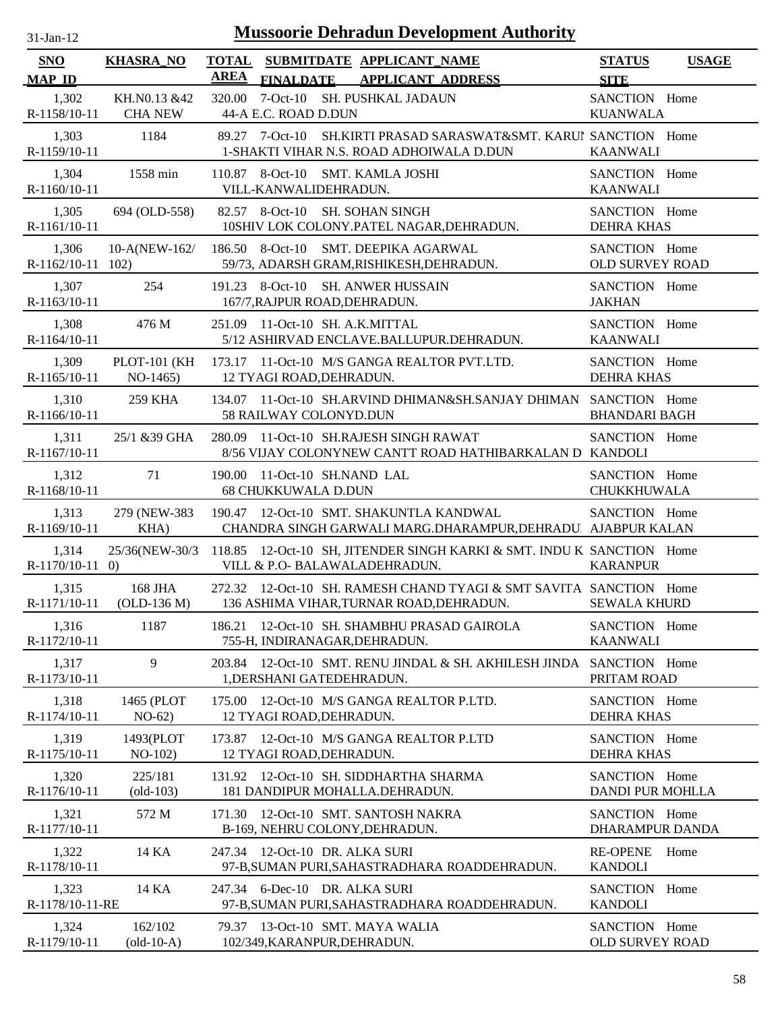| $31 - Jan - 12$ |  |
|-----------------|--|
|                 |  |

| SNO                          | <b>KHASRA_NO</b>                     |             |                                                                 | TOTAL SUBMITDATE APPLICANT NAME                                                                                | <b>STATUS</b>                            | <b>USAGE</b> |
|------------------------------|--------------------------------------|-------------|-----------------------------------------------------------------|----------------------------------------------------------------------------------------------------------------|------------------------------------------|--------------|
| <b>MAP ID</b>                |                                      | <b>AREA</b> | <b>FINALDATE</b>                                                | <b>APPLICANT ADDRESS</b>                                                                                       | <b>SITE</b>                              |              |
| 1,302                        | KH.N0.13 &42<br>R-1158/10-11 CHA NEW |             | 44-A E.C. ROAD D.DUN                                            | 320.00 7-Oct-10 SH. PUSHKAL JADAUN                                                                             | SANCTION Home<br><b>KUANWALA</b>         |              |
| 1,303<br>R-1159/10-11        | 1184                                 |             |                                                                 | 89.27 7-Oct-10 SH.KIRTI PRASAD SARASWAT&SMT. KARUI SANCTION Home<br>1-SHAKTI VIHAR N.S. ROAD ADHOIWALA D.DUN   | <b>KAANWALI</b>                          |              |
| 1,304<br>R-1160/10-11        | 1558 min                             |             | 110.87 8-Oct-10 SMT. KAMLA JOSHI<br>VILL-KANWALIDEHRADUN.       |                                                                                                                | SANCTION Home<br><b>KAANWALI</b>         |              |
| 1,305<br>R-1161/10-11        | 694 (OLD-558)                        |             | 82.57 8-Oct-10 SH. SOHAN SINGH                                  | 10SHIV LOK COLONY.PATEL NAGAR, DEHRADUN.                                                                       | SANCTION Home<br><b>DEHRA KHAS</b>       |              |
| 1,306<br>$R-1162/10-11$ 102) | 10-A(NEW-162/                        |             |                                                                 | 186.50 8-Oct-10 SMT. DEEPIKA AGARWAL<br>59/73, ADARSH GRAM, RISHIKESH, DEHRADUN.                               | SANCTION Home<br><b>OLD SURVEY ROAD</b>  |              |
| 1,307<br>R-1163/10-11        | 254                                  |             | 167/7, RAJPUR ROAD, DEHRADUN.                                   | 191.23 8-Oct-10 SH. ANWER HUSSAIN                                                                              | SANCTION Home<br><b>JAKHAN</b>           |              |
| 1,308<br>R-1164/10-11        | 476 M                                |             | 251.09 11-Oct-10 SH. A.K.MITTAL                                 | 5/12 ASHIRVAD ENCLAVE.BALLUPUR.DEHRADUN.                                                                       | SANCTION Home<br><b>KAANWALI</b>         |              |
| 1,309<br>$R-1165/10-11$      | $NO-1465)$                           |             | 12 TYAGI ROAD, DEHRADUN.                                        | PLOT-101 (KH 173.17 11-Oct-10 M/S GANGA REALTOR PVT.LTD.                                                       | SANCTION Home<br><b>DEHRA KHAS</b>       |              |
| 1,310<br>$R-1166/10-11$      | 259 KHA                              |             | 58 RAILWAY COLONYD.DUN                                          | 134.07 11-Oct-10 SH.ARVIND DHIMAN&SH.SANJAY DHIMAN SANCTION Home                                               | <b>BHANDARI BAGH</b>                     |              |
| 1,311<br>R-1167/10-11        | 25/1 & 39 GHA                        |             |                                                                 | 280.09 11-Oct-10 SH.RAJESH SINGH RAWAT<br>8/56 VIJAY COLONYNEW CANTT ROAD HATHIBARKALAN D KANDOLI              | SANCTION Home                            |              |
| 1,312<br>R-1168/10-11        | 71                                   | 190.00      | 11-Oct-10 SH.NAND LAL<br><b>68 CHUKKUWALA D.DUN</b>             |                                                                                                                | SANCTION Home<br><b>CHUKKHUWALA</b>      |              |
| 1,313<br>R-1169/10-11        | 279 (NEW-383)<br>KHA)                |             |                                                                 | 190.47 12-Oct-10 SMT. SHAKUNTLA KANDWAL<br>CHANDRA SINGH GARWALI MARG.DHARAMPUR, DEHRADU AJABPUR KALAN         | SANCTION Home                            |              |
| 1,314<br>$R-1170/10-11$ 0)   |                                      |             | VILL & P.O- BALAWALADEHRADUN.                                   | 25/36(NEW-30/3 118.85 12-Oct-10 SH, JITENDER SINGH KARKI & SMT. INDU K SANCTION Home                           | <b>KARANPUR</b>                          |              |
| 1,315<br>R-1171/10-11        | 168 JHA<br>$(OLD-136 M)$             |             |                                                                 | 272.32 12-Oct-10 SH. RAMESH CHAND TYAGI & SMT SAVITA SANCTION Home<br>136 ASHIMA VIHAR, TURNAR ROAD, DEHRADUN. | <b>SEWALA KHURD</b>                      |              |
| 1,316<br>R-1172/10-11        | 1187                                 | 186.21      | 755-H, INDIRANAGAR, DEHRADUN.                                   | 12-Oct-10 SH. SHAMBHU PRASAD GAIROLA                                                                           | SANCTION Home<br><b>KAANWALI</b>         |              |
| 1,317<br>R-1173/10-11        | 9                                    | 203.84      | 1, DERSHANI GATEDEHRADUN.                                       | 12-Oct-10 SMT. RENU JINDAL & SH. AKHILESH JINDA                                                                | SANCTION Home<br>PRITAM ROAD             |              |
| 1,318<br>R-1174/10-11        | 1465 (PLOT<br>$NO-62)$               | 175.00      | 12 TYAGI ROAD, DEHRADUN.                                        | 12-Oct-10 M/S GANGA REALTOR P.LTD.                                                                             | SANCTION Home<br><b>DEHRA KHAS</b>       |              |
| 1,319<br>R-1175/10-11        | 1493(PLOT<br>$NO-102$                |             | 12 TYAGI ROAD, DEHRADUN.                                        | 173.87 12-Oct-10 M/S GANGA REALTOR P.LTD                                                                       | SANCTION Home<br><b>DEHRA KHAS</b>       |              |
| 1,320<br>R-1176/10-11        | 225/181<br>$\left($ old-103)         |             |                                                                 | 131.92 12-Oct-10 SH. SIDDHARTHA SHARMA<br>181 DANDIPUR MOHALLA.DEHRADUN.                                       | SANCTION Home<br><b>DANDI PUR MOHLLA</b> |              |
| 1,321<br>R-1177/10-11        | 572 M                                | 171.30      | B-169, NEHRU COLONY, DEHRADUN.                                  | 12-Oct-10 SMT. SANTOSH NAKRA                                                                                   | SANCTION Home<br>DHARAMPUR DANDA         |              |
| 1,322<br>R-1178/10-11        | 14 KA                                |             | 247.34 12-Oct-10 DR. ALKA SURI                                  | 97-B, SUMAN PURI, SAHASTRADHARA ROADDEHRADUN.                                                                  | <b>RE-OPENE</b><br><b>KANDOLI</b>        | Home         |
| 1,323<br>R-1178/10-11-RE     | 14 KA                                |             | 247.34 6-Dec-10 DR. ALKA SURI                                   | 97-B, SUMAN PURI, SAHASTRADHARA ROADDEHRADUN.                                                                  | SANCTION Home<br><b>KANDOLI</b>          |              |
| 1,324<br>R-1179/10-11        | 162/102<br>$\text{(old-10-A)}$       |             | 79.37 13-Oct-10 SMT. MAYA WALIA<br>102/349, KARANPUR, DEHRADUN. |                                                                                                                | SANCTION Home<br>OLD SURVEY ROAD         |              |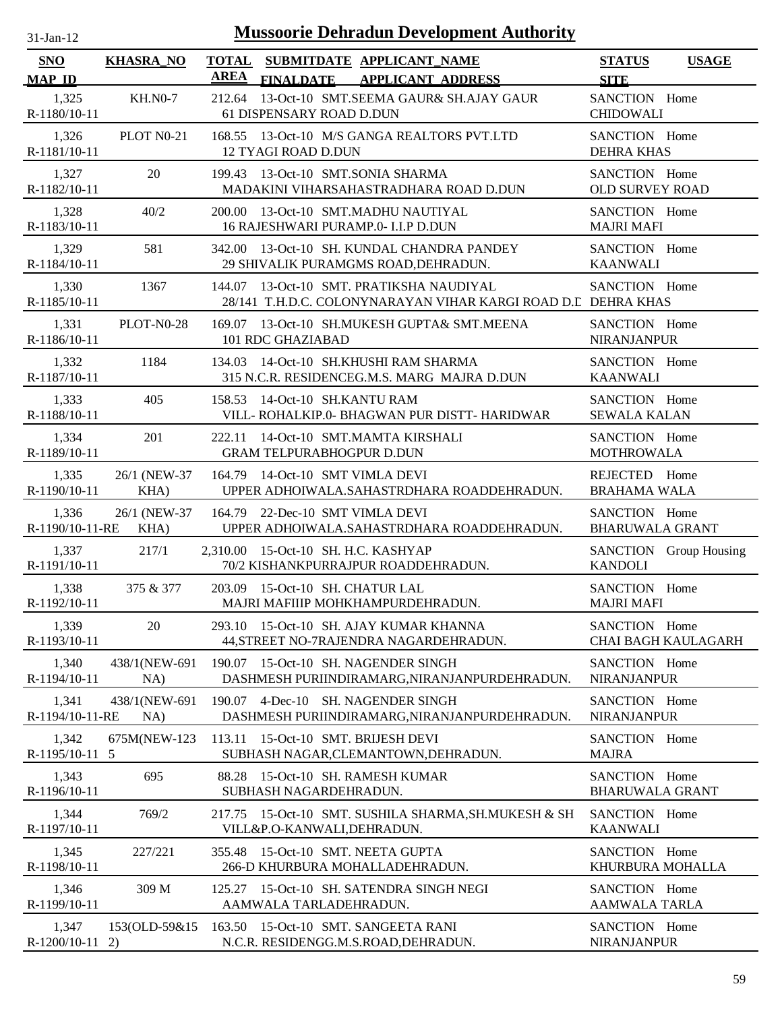| $31$ -Jan-12                |                       | <b>Mussoorie Dehradun Development Authority</b>                                                              |                                              |
|-----------------------------|-----------------------|--------------------------------------------------------------------------------------------------------------|----------------------------------------------|
| <b>SNO</b><br><b>MAP ID</b> | <b>KHASRA_NO</b>      | <b>TOTAL</b><br>SUBMITDATE APPLICANT_NAME<br><b>AREA</b><br><b>FINALDATE</b><br><b>APPLICANT ADDRESS</b>     | <b>STATUS</b><br><b>USAGE</b><br><b>SITE</b> |
| 1,325<br>R-1180/10-11       | <b>KH.NO-7</b>        | 13-Oct-10 SMT.SEEMA GAUR& SH.AJAY GAUR<br>212.64<br>61 DISPENSARY ROAD D.DUN                                 | SANCTION Home<br><b>CHIDOWALI</b>            |
| 1,326<br>R-1181/10-11       | PLOT N0-21            | 168.55 13-Oct-10 M/S GANGA REALTORS PVT.LTD<br><b>12 TYAGI ROAD D.DUN</b>                                    | SANCTION Home<br><b>DEHRA KHAS</b>           |
| 1,327<br>R-1182/10-11       | 20                    | 199.43 13-Oct-10 SMT.SONIA SHARMA<br>MADAKINI VIHARSAHASTRADHARA ROAD D.DUN                                  | SANCTION Home<br><b>OLD SURVEY ROAD</b>      |
| 1,328<br>R-1183/10-11       | 40/2                  | 200.00 13-Oct-10 SMT.MADHU NAUTIYAL<br>16 RAJESHWARI PURAMP.0- I.I.P D.DUN                                   | SANCTION Home<br><b>MAJRI MAFI</b>           |
| 1,329<br>R-1184/10-11       | 581                   | 13-Oct-10 SH. KUNDAL CHANDRA PANDEY<br>342.00<br>29 SHIVALIK PURAMGMS ROAD, DEHRADUN.                        | SANCTION Home<br><b>KAANWALI</b>             |
| 1,330<br>R-1185/10-11       | 1367                  | 13-Oct-10 SMT. PRATIKSHA NAUDIYAL<br>144.07<br>28/141 T.H.D.C. COLONYNARAYAN VIHAR KARGI ROAD D.L DEHRA KHAS | SANCTION Home                                |
| 1,331<br>R-1186/10-11       | PLOT-N0-28            | 169.07 13-Oct-10 SH.MUKESH GUPTA& SMT.MEENA<br>101 RDC GHAZIABAD                                             | SANCTION Home<br><b>NIRANJANPUR</b>          |
| 1,332<br>R-1187/10-11       | 1184                  | 14-Oct-10 SH.KHUSHI RAM SHARMA<br>134.03<br>315 N.C.R. RESIDENCEG.M.S. MARG MAJRA D.DUN                      | SANCTION Home<br><b>KAANWALI</b>             |
| 1,333<br>R-1188/10-11       | 405                   | 14-Oct-10 SH.KANTU RAM<br>158.53<br>VILL- ROHALKIP.0- BHAGWAN PUR DISTT- HARIDWAR                            | SANCTION Home<br><b>SEWALA KALAN</b>         |
| 1,334<br>R-1189/10-11       | 201                   | 14-Oct-10 SMT.MAMTA KIRSHALI<br>222.11<br><b>GRAM TELPURABHOGPUR D.DUN</b>                                   | SANCTION Home<br><b>MOTHROWALA</b>           |
| 1,335<br>R-1190/10-11       | 26/1 (NEW-37<br>KHA)  | 164.79 14-Oct-10 SMT VIMLA DEVI<br>UPPER ADHOIWALA.SAHASTRDHARA ROADDEHRADUN.                                | REJECTED Home<br><b>BRAHAMA WALA</b>         |
| 1,336<br>R-1190/10-11-RE    | 26/1 (NEW-37)<br>KHA) | 164.79<br>22-Dec-10 SMT VIMLA DEVI<br>UPPER ADHOIWALA.SAHASTRDHARA ROADDEHRADUN.                             | SANCTION Home<br><b>BHARUWALA GRANT</b>      |
| 1,337<br>R-1191/10-11       | 217/1                 | 2,310.00 15-Oct-10 SH. H.C. KASHYAP<br>70/2 KISHANKPURRAJPUR ROADDEHRADUN.                                   | SANCTION Group Housing<br><b>KANDOLI</b>     |
| 1,338<br>R-1192/10-11       | 375 & 377             | 203.09 15-Oct-10 SH. CHATUR LAL<br>MAJRI MAFIIIP MOHKHAMPURDEHRADUN.                                         | SANCTION Home<br><b>MAJRI MAFI</b>           |
| 1,339<br>R-1193/10-11       | 20                    | 293.10 15-Oct-10 SH. AJAY KUMAR KHANNA<br>44, STREET NO-7RAJENDRA NAGARDEHRADUN.                             | SANCTION Home<br>CHAI BAGH KAULAGARH         |
| 1,340<br>R-1194/10-11       | 438/1(NEW-691<br>NA)  | 190.07<br>15-Oct-10 SH. NAGENDER SINGH<br>DASHMESH PURIINDIRAMARG, NIRANJANPURDEHRADUN.                      | SANCTION Home<br><b>NIRANJANPUR</b>          |
| 1,341<br>R-1194/10-11-RE    | 438/1(NEW-691<br>NA)  | 4-Dec-10 SH. NAGENDER SINGH<br>190.07<br>DASHMESH PURIINDIRAMARG, NIRANJANPURDEHRADUN.                       | SANCTION Home<br><b>NIRANJANPUR</b>          |
| 1,342<br>R-1195/10-11       | 675M(NEW-123<br>5     | 113.11<br>15-Oct-10 SMT. BRIJESH DEVI<br>SUBHASH NAGAR, CLEMANTOWN, DEHRADUN.                                | SANCTION Home<br><b>MAJRA</b>                |
| 1,343<br>R-1196/10-11       | 695                   | 15-Oct-10 SH. RAMESH KUMAR<br>88.28<br>SUBHASH NAGARDEHRADUN.                                                | SANCTION Home<br><b>BHARUWALA GRANT</b>      |
| 1,344<br>R-1197/10-11       | 769/2                 | 217.75 15-Oct-10 SMT. SUSHILA SHARMA, SH. MUKESH & SH<br>VILL&P.O-KANWALI,DEHRADUN.                          | SANCTION Home<br><b>KAANWALI</b>             |
| 1,345<br>R-1198/10-11       | 227/221               | 15-Oct-10 SMT. NEETA GUPTA<br>355.48<br>266-D KHURBURA MOHALLADEHRADUN.                                      | SANCTION Home<br>KHURBURA MOHALLA            |
| 1,346<br>R-1199/10-11       | 309 M                 | 15-Oct-10 SH. SATENDRA SINGH NEGI<br>125.27<br>AAMWALA TARLADEHRADUN.                                        | SANCTION Home<br><b>AAMWALA TARLA</b>        |
| 1,347<br>R-1200/10-11       | 153(OLD-59&15)<br>2)  | 163.50 15-Oct-10 SMT. SANGEETA RANI<br>N.C.R. RESIDENGG.M.S.ROAD, DEHRADUN.                                  | SANCTION Home<br><b>NIRANJANPUR</b>          |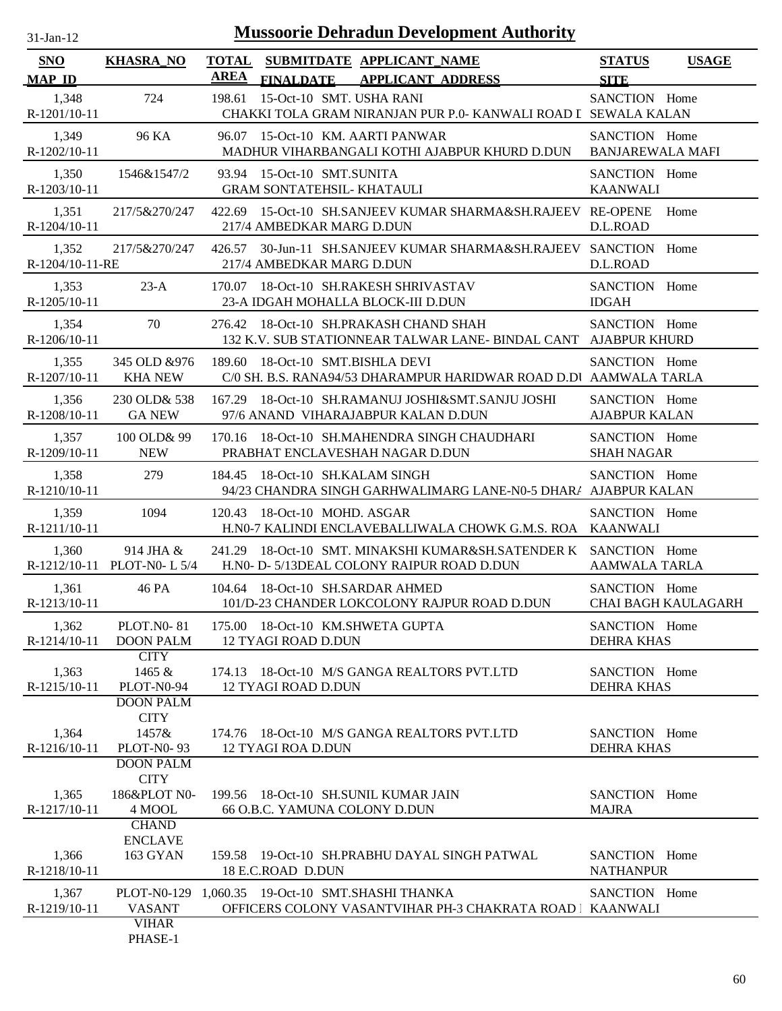| $31-Jan-12$              |                                                                           |             |                                                                 | <b>Mussoorie Dehradun Development Authority</b>                                                           |                                          |                            |
|--------------------------|---------------------------------------------------------------------------|-------------|-----------------------------------------------------------------|-----------------------------------------------------------------------------------------------------------|------------------------------------------|----------------------------|
| SNO                      | <b>KHASRA NO</b>                                                          |             |                                                                 | TOTAL SUBMITDATE APPLICANT NAME                                                                           | <b>STATUS</b>                            | <b>USAGE</b>               |
| <b>MAP ID</b>            |                                                                           | <b>AREA</b> | <b>FINALDATE</b>                                                | <b>APPLICANT ADDRESS</b>                                                                                  | <b>SITE</b>                              |                            |
| 1,348<br>R-1201/10-11    | 724                                                                       | 198.61      | 15-Oct-10 SMT. USHA RANI                                        | CHAKKI TOLA GRAM NIRANJAN PUR P.0- KANWALI ROAD I SEWALA KALAN                                            | SANCTION Home                            |                            |
| 1,349<br>R-1202/10-11    | 96 KA                                                                     | 96.07       | 15-Oct-10 KM. AARTI PANWAR                                      | MADHUR VIHARBANGALI KOTHI AJABPUR KHURD D.DUN                                                             | SANCTION Home<br><b>BANJAREWALA MAFI</b> |                            |
| 1,350<br>$R-1203/10-11$  | 1546&1547/2                                                               |             | 93.94 15-Oct-10 SMT.SUNITA<br><b>GRAM SONTATEHSIL- KHATAULI</b> |                                                                                                           | SANCTION Home<br><b>KAANWALI</b>         |                            |
| 1,351<br>R-1204/10-11    | 217/5&270/247                                                             |             | 217/4 AMBEDKAR MARG D.DUN                                       | 422.69 15-Oct-10 SH.SANJEEV KUMAR SHARMA&SH.RAJEEV RE-OPENE                                               | D.L.ROAD                                 | Home                       |
| 1,352<br>R-1204/10-11-RE | 217/5&270/247                                                             | 426.57      | 217/4 AMBEDKAR MARG D.DUN                                       | 30-Jun-11 SH.SANJEEV KUMAR SHARMA&SH.RAJEEV SANCTION Home                                                 | D.L.ROAD                                 |                            |
| 1,353<br>R-1205/10-11    | $23-A$                                                                    | 170.07      |                                                                 | 18-Oct-10 SH.RAKESH SHRIVASTAV<br>23-A IDGAH MOHALLA BLOCK-III D.DUN                                      | SANCTION Home<br><b>IDGAH</b>            |                            |
| 1,354<br>R-1206/10-11    | 70                                                                        |             |                                                                 | 276.42 18-Oct-10 SH.PRAKASH CHAND SHAH<br>132 K.V. SUB STATIONNEAR TALWAR LANE- BINDAL CANT AJABPUR KHURD | SANCTION Home                            |                            |
| 1,355<br>R-1207/10-11    | 345 OLD & 976<br><b>KHA NEW</b>                                           |             | 189.60 18-Oct-10 SMT.BISHLA DEVI                                | C/0 SH. B.S. RANA94/53 DHARAMPUR HARIDWAR ROAD D.DI AAMWALA TARLA                                         | SANCTION Home                            |                            |
| 1,356<br>R-1208/10-11    | 230 OLD& 538<br><b>GA NEW</b>                                             |             |                                                                 | 167.29 18-Oct-10 SH.RAMANUJ JOSHI&SMT.SANJU JOSHI<br>97/6 ANAND VIHARAJABPUR KALAN D.DUN                  | SANCTION Home<br><b>AJABPUR KALAN</b>    |                            |
| 1,357<br>R-1209/10-11    | 100 OLD& 99<br><b>NEW</b>                                                 |             |                                                                 | 170.16 18-Oct-10 SH.MAHENDRA SINGH CHAUDHARI<br>PRABHAT ENCLAVESHAH NAGAR D.DUN                           | SANCTION Home<br><b>SHAH NAGAR</b>       |                            |
| 1,358<br>R-1210/10-11    | 279                                                                       | 184.45      | 18-Oct-10 SH.KALAM SINGH                                        | 94/23 CHANDRA SINGH GARHWALIMARG LANE-N0-5 DHAR/ AJABPUR KALAN                                            | SANCTION Home                            |                            |
| 1,359<br>R-1211/10-11    | 1094                                                                      | 120.43      | 18-Oct-10 MOHD. ASGAR                                           | H.N0-7 KALINDI ENCLAVEBALLIWALA CHOWK G.M.S. ROA KAANWALI                                                 | SANCTION Home                            |                            |
| 1,360                    | 914 JHA $&$<br>R-1212/10-11 PLOT-N0-L 5/4                                 | 241.29      |                                                                 | 18-Oct-10 SMT. MINAKSHI KUMAR&SH.SATENDER K SANCTION Home<br>H.N0- D-5/13DEAL COLONY RAIPUR ROAD D.DUN    | <b>AAMWALA TARLA</b>                     |                            |
| 1,361<br>R-1213/10-11    | 46 PA                                                                     |             | 104.64 18-Oct-10 SH.SARDAR AHMED                                | 101/D-23 CHANDER LOKCOLONY RAJPUR ROAD D.DUN                                                              | SANCTION Home                            | <b>CHAI BAGH KAULAGARH</b> |
| 1,362<br>R-1214/10-11    | <b>PLOT.NO-81</b><br><b>DOON PALM</b>                                     |             | 175.00 18-Oct-10 KM.SHWETA GUPTA<br><b>12 TYAGI ROAD D.DUN</b>  |                                                                                                           | SANCTION Home<br><b>DEHRA KHAS</b>       |                            |
| 1,363<br>$R-1215/10-11$  | <b>CITY</b><br>1465 &<br>PLOT-N0-94                                       |             | <b>12 TYAGI ROAD D.DUN</b>                                      | 174.13 18-Oct-10 M/S GANGA REALTORS PVT.LTD                                                               | SANCTION Home<br><b>DEHRA KHAS</b>       |                            |
| 1,364<br>R-1216/10-11    | <b>DOON PALM</b><br><b>CITY</b><br>1457&<br><b>PLOT-N0-93</b>             |             | <b>12 TYAGI ROA D.DUN</b>                                       | 174.76 18-Oct-10 M/S GANGA REALTORS PVT.LTD                                                               | SANCTION Home<br>DEHRA KHAS              |                            |
| 1,365<br>R-1217/10-11    | <b>DOON PALM</b><br><b>CITY</b><br>186&PLOT N0-<br>4 MOOL<br><b>CHAND</b> |             | 66 O.B.C. YAMUNA COLONY D.DUN                                   | 199.56 18-Oct-10 SH.SUNIL KUMAR JAIN                                                                      | SANCTION Home<br><b>MAJRA</b>            |                            |
| 1,366<br>R-1218/10-11    | <b>ENCLAVE</b><br>163 GYAN                                                |             | 18 E.C.ROAD D.DUN                                               | 159.58 19-Oct-10 SH.PRABHU DAYAL SINGH PATWAL                                                             | SANCTION Home<br><b>NATHANPUR</b>        |                            |
| 1,367<br>R-1219/10-11    | <b>VASANT</b><br><b>VIHAR</b>                                             |             | PLOT-N0-129 1,060.35 19-Oct-10 SMT.SHASHI THANKA                | OFFICERS COLONY VASANTVIHAR PH-3 CHAKRATA ROAD   KAANWALI                                                 | SANCTION Home                            |                            |
|                          | PHASE-1                                                                   |             |                                                                 |                                                                                                           |                                          |                            |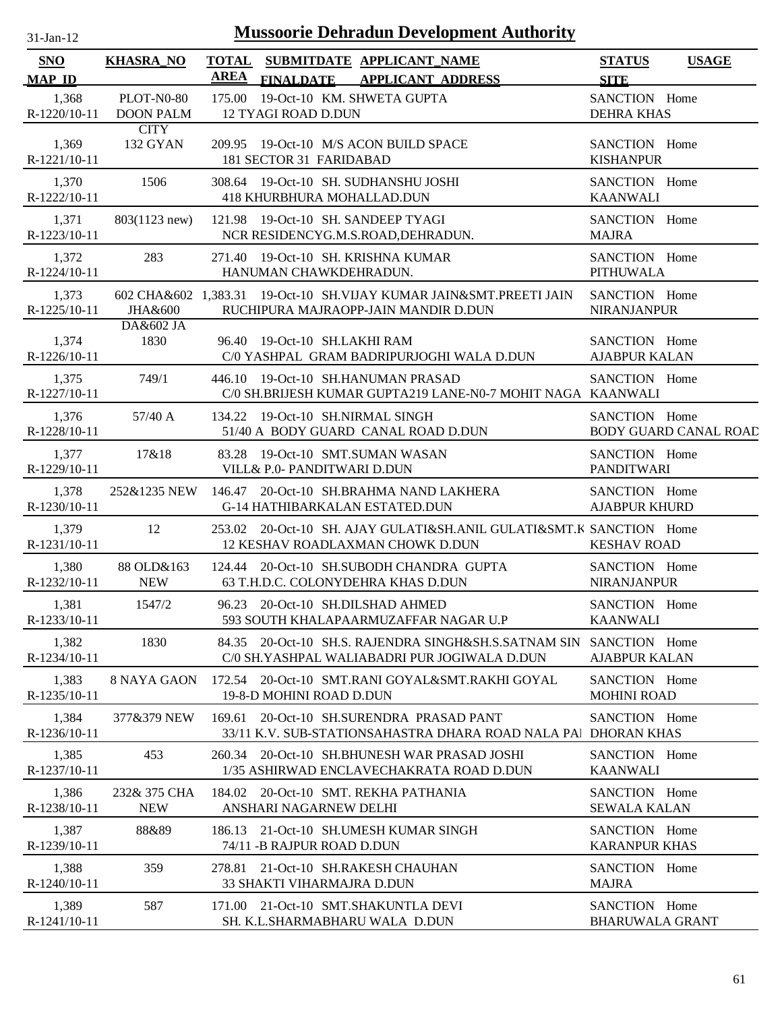| <b>SNO</b>            | <b>KHASRA_NO</b> | TOTAL SUBMITDATE APPLICANT NAME<br>AREA                                                                   | <b>STATUS</b><br><b>USAGE</b>         |
|-----------------------|------------------|-----------------------------------------------------------------------------------------------------------|---------------------------------------|
| <b>MAP ID</b>         |                  | FINALDATE APPLICANT ADDRESS                                                                               | <b>SITE</b>                           |
| 1,368                 | PLOT-N0-80       | 175.00 19-Oct-10 KM. SHWETA GUPTA                                                                         | SANCTION Home                         |
| R-1220/10-11          | <b>DOON PALM</b> | <b>12 TYAGI ROAD D.DUN</b>                                                                                | <b>DEHRA KHAS</b>                     |
| 1,369                 | <b>CITY</b>      | 209.95 19-Oct-10 M/S ACON BUILD SPACE                                                                     | SANCTION Home                         |
| R-1221/10-11          | 132 GYAN         | 181 SECTOR 31 FARIDABAD                                                                                   | <b>KISHANPUR</b>                      |
| 1,370                 | 1506             | 308.64 19-Oct-10 SH. SUDHANSHU JOSHI                                                                      | SANCTION Home                         |
| R-1222/10-11          |                  | <b>418 KHURBHURA MOHALLAD.DUN</b>                                                                         | <b>KAANWALI</b>                       |
| 1,371                 | 803(1123 new)    | 121.98 19-Oct-10 SH, SANDEEP TYAGI                                                                        | SANCTION Home                         |
| R-1223/10-11          |                  | NCR RESIDENCYG.M.S.ROAD, DEHRADUN.                                                                        | <b>MAJRA</b>                          |
| 1,372                 | 283              | 271.40 19-Oct-10 SH. KRISHNA KUMAR                                                                        | SANCTION Home                         |
| R-1224/10-11          |                  | HANUMAN CHAWKDEHRADUN.                                                                                    | <b>PITHUWALA</b>                      |
| 1,373                 | JHA&600          | 602 CHA&602 1,383.31 19-Oct-10 SH.VIJAY KUMAR JAIN&SMT.PREETI JAIN                                        | SANCTION Home                         |
| R-1225/10-11          |                  | RUCHIPURA MAJRAOPP-JAIN MANDIR D.DUN                                                                      | <b>NIRANJANPUR</b>                    |
| 1,374                 | DA&602 JA        | 96.40 19-Oct-10 SH.LAKHI RAM                                                                              | SANCTION Home                         |
| R-1226/10-11          | 1830             | C/0 YASHPAL GRAM BADRIPURJOGHI WALA D.DUN                                                                 | <b>AJABPUR KALAN</b>                  |
| 1,375<br>R-1227/10-11 | 749/1            | 446.10 19-Oct-10 SH.HANUMAN PRASAD<br>C/0 SH.BRIJESH KUMAR GUPTA219 LANE-N0-7 MOHIT NAGA KAANWALI         | SANCTION Home                         |
| 1,376                 | $57/40$ A        | 134.22 19-Oct-10 SH.NIRMAL SINGH                                                                          | SANCTION Home                         |
| R-1228/10-11          |                  | 51/40 A BODY GUARD CANAL ROAD D.DUN                                                                       | <b>BODY GUARD CANAL ROAD</b>          |
| 1,377                 | 17&18            | 83.28 19-Oct-10 SMT.SUMAN WASAN                                                                           | SANCTION Home                         |
| R-1229/10-11          |                  | VILL& P.0- PANDITWARI D.DUN                                                                               | <b>PANDITWARI</b>                     |
| 1,378                 |                  | 252&1235 NEW 146.47 20-Oct-10 SH.BRAHMA NAND LAKHERA                                                      | SANCTION Home                         |
| R-1230/10-11          |                  | <b>G-14 HATHIBARKALAN ESTATED.DUN</b>                                                                     | <b>AJABPUR KHURD</b>                  |
| 1,379<br>R-1231/10-11 | 12               | 253.02 20-Oct-10 SH. AJAY GULATI&SH.ANIL GULATI&SMT.K SANCTION Home<br>12 KESHAV ROADLAXMAN CHOWK D.DUN   | <b>KESHAV ROAD</b>                    |
| 1,380                 | 88 OLD&163       | 124.44 20-Oct-10 SH.SUBODH CHANDRA GUPTA                                                                  | SANCTION Home                         |
| R-1232/10-11          | <b>NEW</b>       | 63 T.H.D.C. COLONYDEHRA KHAS D.DUN                                                                        | <b>NIRANJANPUR</b>                    |
| 1,381                 | 1547/2           | 96.23 20-Oct-10 SH.DILSHAD AHMED                                                                          | SANCTION Home                         |
| R-1233/10-11          |                  | 593 SOUTH KHALAPAARMUZAFFAR NAGAR U.P                                                                     | KAANWALI                              |
| 1,382                 | 1830             | 84.35 20-Oct-10 SH.S. RAJENDRA SINGH&SH.S.SATNAM SIN                                                      | SANCTION Home                         |
| R-1234/10-11          |                  | C/0 SH.YASHPAL WALIABADRI PUR JOGIWALA D.DUN                                                              | <b>AJABPUR KALAN</b>                  |
| 1,383                 | 8 NAYA GAON      | 172.54 20-Oct-10 SMT.RANI GOYAL&SMT.RAKHI GOYAL                                                           | SANCTION Home                         |
| R-1235/10-11          |                  | 19-8-D MOHINI ROAD D.DUN                                                                                  | <b>MOHINI ROAD</b>                    |
| 1,384<br>R-1236/10-11 | 377&379 NEW      | 169.61 20-Oct-10 SH.SURENDRA PRASAD PANT<br>33/11 K.V. SUB-STATIONSAHASTRA DHARA ROAD NALA PA DHORAN KHAS | SANCTION Home                         |
| 1,385                 | 453              | 260.34 20-Oct-10 SH.BHUNESH WAR PRASAD JOSHI                                                              | SANCTION Home                         |
| R-1237/10-11          |                  | 1/35 ASHIRWAD ENCLAVECHAKRATA ROAD D.DUN                                                                  | <b>KAANWALI</b>                       |
| 1,386                 | 232& 375 CHA     | 184.02 20-Oct-10 SMT. REKHA PATHANIA                                                                      | SANCTION Home                         |
| R-1238/10-11          | <b>NEW</b>       | ANSHARI NAGARNEW DELHI                                                                                    | <b>SEWALA KALAN</b>                   |
| 1,387<br>R-1239/10-11 | 88&89            | 21-Oct-10 SH.UMESH KUMAR SINGH<br>186.13<br>74/11 - B RAJPUR ROAD D.DUN                                   | SANCTION Home<br><b>KARANPUR KHAS</b> |
| 1,388<br>R-1240/10-11 | 359              | 21-Oct-10 SH.RAKESH CHAUHAN<br>278.81<br>33 SHAKTI VIHARMAJRA D.DUN                                       | SANCTION Home<br><b>MAJRA</b>         |
| 1,389                 | 587              | 171.00 21-Oct-10 SMT.SHAKUNTLA DEVI                                                                       | SANCTION Home                         |
| R-1241/10-11          |                  | SH. K.L.SHARMABHARU WALA D.DUN                                                                            | <b>BHARUWALA GRANT</b>                |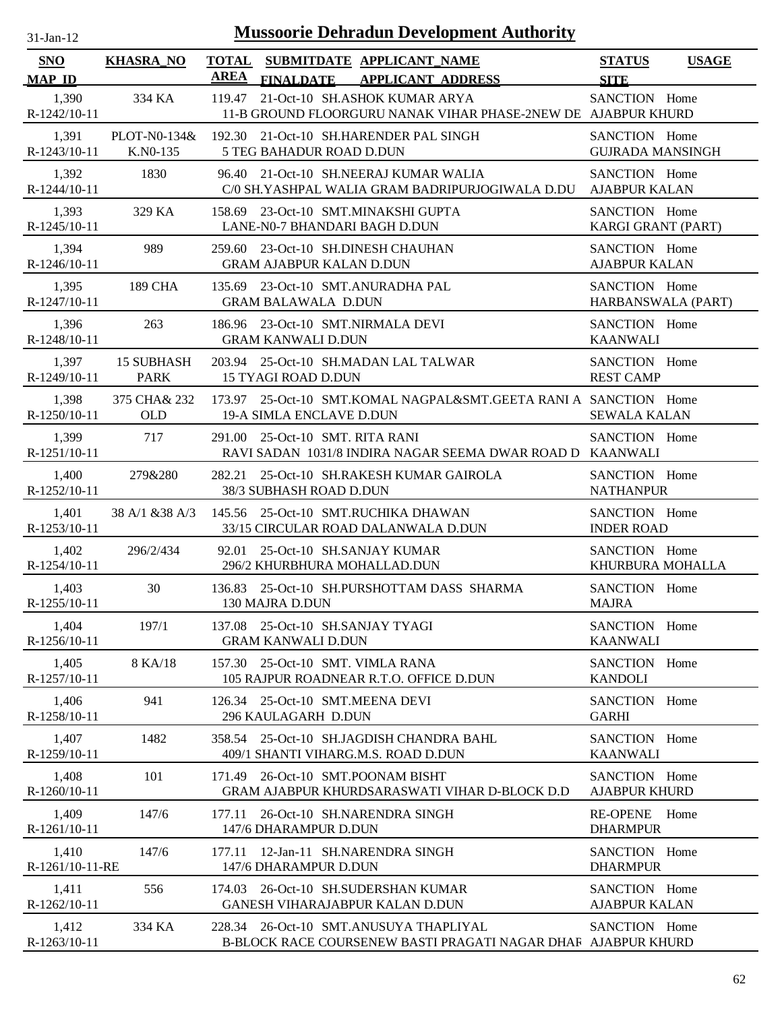| $31-Jan-12$                 |                                  | <b>Mussoorie Dehradun Development Authority</b>                                                          |                                       |          |
|-----------------------------|----------------------------------|----------------------------------------------------------------------------------------------------------|---------------------------------------|----------|
| <b>SNO</b><br><b>MAP ID</b> | <b>KHASRA NO</b>                 | SUBMITDATE APPLICANT NAME<br><b>TOTAL</b><br><b>AREA</b><br><b>APPLICANT ADDRESS</b><br><b>FINALDATE</b> | <b>STATUS</b><br><b>SITE</b>          | <u>I</u> |
| 1,390<br>R-1242/10-11       | 334 KA                           | 119.47<br>21-Oct-10 SH.ASHOK KUMAR ARYA<br>11-B GROUND FLOORGURU NANAK VIHAR PHASE-2NEW DE AJABPUR KHURD | <b>SANCTION</b>                       | Home     |
| 1.391<br>R-1243/10-11       | PLOT-N0-134&<br>K.NO-135         | 192.30 21-Oct-10 SH.HARENDER PAL SINGH<br><b>5 TEG BAHADUR ROAD D.DUN</b>                                | SANCTION Home<br><b>GUJRADA MANSI</b> |          |
| 1,392<br>R-1244/10-11       | 1830                             | 21-Oct-10 SH.NEERAJ KUMAR WALIA<br>96.40<br>C/0 SH.YASHPAL WALIA GRAM BADRIPURJOGIWALA D.DU              | SANCTION Home<br><b>AJABPUR KALAN</b> |          |
| 1,393<br>R-1245/10-11       | 329 KA                           | 158.69 23-Oct-10 SMT.MINAKSHI GUPTA<br>LANE-N0-7 BHANDARI BAGH D.DUN                                     | SANCTION Home<br>KARGI GRANT (P.      |          |
| 1,394<br>$R-1246/10-11$     | 989                              | 259.60 23-Oct-10 SH.DINESH CHAUHAN<br><b>GRAM AJABPUR KALAN D.DUN</b>                                    | SANCTION Home<br><b>AJABPUR KALAN</b> |          |
| 1,395<br>$R-1247/10-11$     | <b>189 CHA</b>                   | 23-Oct-10 SMT.ANURADHA PAL<br>135.69<br><b>GRAM BALAWALA D.DUN</b>                                       | SANCTION Home<br>HARBANSWALA          |          |
| 1.396<br>R-1248/10-11       | 263                              | 186.96 23-Oct-10 SMT.NIRMALA DEVI<br><b>GRAM KANWALI D.DUN</b>                                           | SANCTION Home<br><b>KAANWALI</b>      |          |
| 1.397<br>$R-1249/10-11$     | <b>15 SUBHASH</b><br><b>PARK</b> | 25-Oct-10 SH.MADAN LAL TALWAR<br>203.94<br><b>15 TYAGI ROAD D.DUN</b>                                    | <b>SANCTION</b><br><b>REST CAMP</b>   | Home     |
| 1,398                       | 375 CHA & 232                    | 173.97 25-Oct-10 SMT.KOMAL NAGPAL&SMT.GEETA RANI A SANCTION Home                                         |                                       |          |

| R-1244/10-11             |                   | C/0 SH.YASHPAL WALIA GRAM BADRIPURJOGIWALA D.DU AJABPUR KALAN                                           |                                            |
|--------------------------|-------------------|---------------------------------------------------------------------------------------------------------|--------------------------------------------|
| 1,393                    | 329 KA            | 158.69 23-Oct-10 SMT.MINAKSHI GUPTA                                                                     | SANCTION Home                              |
| R-1245/10-11             |                   | LANE-N0-7 BHANDARI BAGH D.DUN                                                                           | KARGI GRANT (PART)                         |
| 1,394                    | 989               | 259.60 23-Oct-10 SH.DINESH CHAUHAN                                                                      | SANCTION Home                              |
| R-1246/10-11             |                   | <b>GRAM AJABPUR KALAN D.DUN</b>                                                                         | <b>AJABPUR KALAN</b>                       |
| 1,395                    | 189 CHA           | 135.69 23-Oct-10 SMT.ANURADHA PAL                                                                       | SANCTION Home                              |
| R-1247/10-11             |                   | <b>GRAM BALAWALA D.DUN</b>                                                                              | HARBANSWALA (PART)                         |
| 1,396                    | 263               | 186.96 23-Oct-10 SMT.NIRMALA DEVI                                                                       | SANCTION Home                              |
| R-1248/10-11             |                   | <b>GRAM KANWALI D.DUN</b>                                                                               | <b>KAANWALI</b>                            |
| 1,397                    | <b>15 SUBHASH</b> | 203.94 25-Oct-10 SH.MADAN LAL TALWAR                                                                    | SANCTION Home                              |
| R-1249/10-11             | <b>PARK</b>       | <b>15 TYAGI ROAD D.DUN</b>                                                                              | <b>REST CAMP</b>                           |
| 1,398                    | 375 CHA& 232      | 173.97 25-Oct-10 SMT.KOMAL NAGPAL&SMT.GEETA RANI A SANCTION Home                                        | <b>SEWALA KALAN</b>                        |
| R-1250/10-11             | OLD               | <b>19-A SIMLA ENCLAVE D.DUN</b>                                                                         |                                            |
| 1,399<br>R-1251/10-11    | 717               | 291.00 25-Oct-10 SMT. RITA RANI<br>RAVI SADAN 1031/8 INDIRA NAGAR SEEMA DWAR ROAD D KAANWALI            | SANCTION Home                              |
| 1,400                    | 279&280           | 282.21 25-Oct-10 SH.RAKESH KUMAR GAIROLA                                                                | SANCTION Home                              |
| R-1252/10-11             |                   | 38/3 SUBHASH ROAD D.DUN                                                                                 | <b>NATHANPUR</b>                           |
| 1,401                    |                   | 38 A/1 & 38 A/3 145.56 25-Oct-10 SMT.RUCHIKA DHAWAN                                                     | SANCTION Home                              |
| R-1253/10-11             |                   | 33/15 CIRCULAR ROAD DALANWALA D.DUN                                                                     | <b>INDER ROAD</b>                          |
| 1,402                    | 296/2/434         | 92.01 25-Oct-10 SH.SANJAY KUMAR                                                                         | SANCTION Home                              |
| R-1254/10-11             |                   | 296/2 KHURBHURA MOHALLAD.DUN                                                                            | KHURBURA MOHALLA                           |
| 1,403                    | 30                | 136.83 25-Oct-10 SH.PURSHOTTAM DASS SHARMA                                                              | SANCTION Home                              |
| R-1255/10-11             |                   | 130 MAJRA D.DUN                                                                                         | <b>MAJRA</b>                               |
| 1,404                    | 197/1             | 137.08 25-Oct-10 SH.SANJAY TYAGI                                                                        | SANCTION Home                              |
| R-1256/10-11             |                   | <b>GRAM KANWALI D.DUN</b>                                                                               | <b>KAANWALI</b>                            |
| 1,405                    | 8 KA/18           | 157.30 25-Oct-10 SMT. VIMLA RANA                                                                        | SANCTION Home                              |
| R-1257/10-11             |                   | 105 RAJPUR ROADNEAR R.T.O. OFFICE D.DUN                                                                 | <b>KANDOLI</b>                             |
| 1,406                    | 941               | 126.34 25-Oct-10 SMT.MEENA DEVI                                                                         | SANCTION Home                              |
| R-1258/10-11             |                   | 296 KAULAGARH D.DUN                                                                                     | <b>GARHI</b>                               |
| 1,407                    | 1482              | 358.54 25-Oct-10 SH.JAGDISH CHANDRA BAHL                                                                | SANCTION Home                              |
| R-1259/10-11             |                   | 409/1 SHANTI VIHARG.M.S. ROAD D.DUN                                                                     | KAANWALI                                   |
| 1,408<br>R-1260/10-11    | 101               | 26-Oct-10 SMT.POONAM BISHT<br>171.49<br>GRAM AJABPUR KHURDSARASWATI VIHAR D-BLOCK D.D                   | SANCTION Home<br><b>AJABPUR KHURD</b>      |
| 1,409<br>R-1261/10-11    | 147/6             | 26-Oct-10 SH.NARENDRA SINGH<br>177.11<br>147/6 DHARAMPUR D.DUN                                          | <b>RE-OPENE</b><br>Home<br><b>DHARMPUR</b> |
| 1,410<br>R-1261/10-11-RE | 147/6             | 12-Jan-11 SH.NARENDRA SINGH<br>177.11<br>147/6 DHARAMPUR D.DUN                                          | SANCTION Home<br><b>DHARMPUR</b>           |
| 1,411<br>R-1262/10-11    | 556               | 26-Oct-10 SH.SUDERSHAN KUMAR<br>174.03<br>GANESH VIHARAJABPUR KALAN D.DUN                               | SANCTION Home<br><b>AJABPUR KALAN</b>      |
| 1,412<br>R-1263/10-11    | 334 KA            | 228.34 26-Oct-10 SMT.ANUSUYA THAPLIYAL<br>B-BLOCK RACE COURSENEW BASTI PRAGATI NAGAR DHAF AJABPUR KHURD | SANCTION Home                              |
|                          |                   |                                                                                                         |                                            |

### 62

**STATUS USAGE**

SANCTION Home

SANCTION Home

GUJRADA MANSINGH SANCTION Home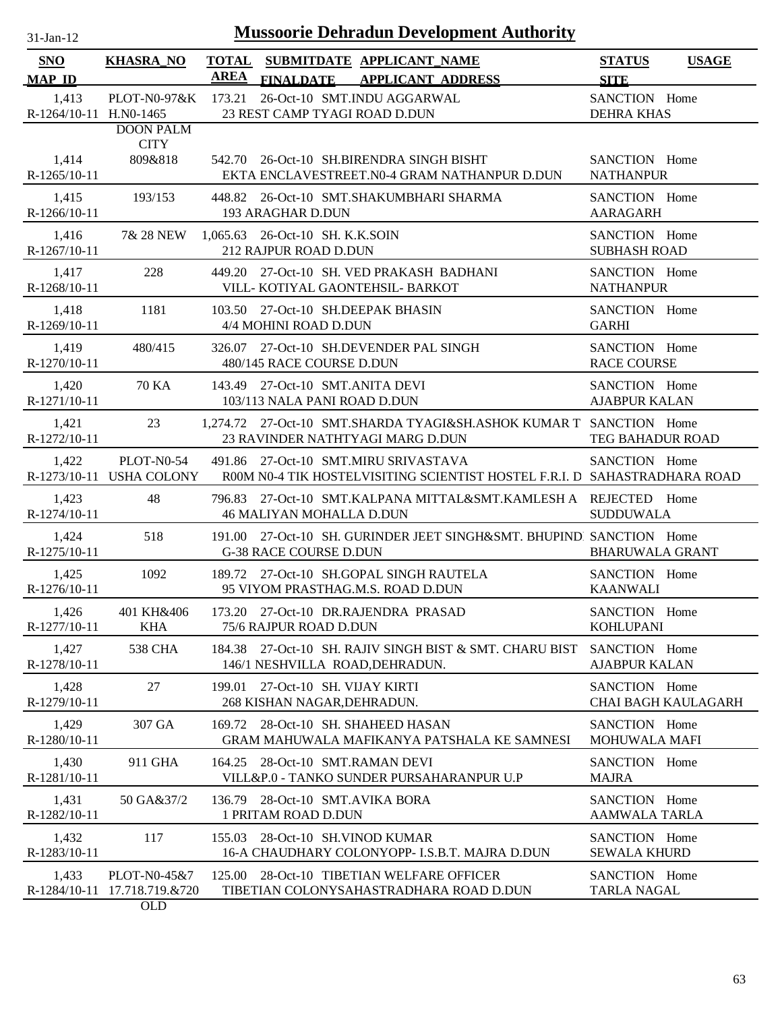| $31$ -Jan-12 |  |
|--------------|--|
|              |  |

| <b>SNO</b>             | <b>KHASRA_NO</b> |        | TOTAL SUBMITDATE APPLICANT NAME                                                                        | <b>STATUS</b><br><b>USAGE</b>         |  |
|------------------------|------------------|--------|--------------------------------------------------------------------------------------------------------|---------------------------------------|--|
| <b>MAP ID</b>          |                  |        | AREA FINALDATE APPLICANT ADDRESS                                                                       | <b>SITE</b>                           |  |
| 1,413                  |                  |        | PLOT-N0-97&K 173.21 26-Oct-10 SMT.INDU AGGARWAL                                                        | SANCTION Home                         |  |
| R-1264/10-11 H.N0-1465 | <b>DOON PALM</b> |        | 23 REST CAMP TYAGI ROAD D.DUN                                                                          | <b>DEHRA KHAS</b>                     |  |
|                        | <b>CITY</b>      |        |                                                                                                        |                                       |  |
| 1,414                  | 809&818          |        | 542.70 26-Oct-10 SH.BIRENDRA SINGH BISHT                                                               | SANCTION Home                         |  |
| $R-1265/10-11$         |                  |        | EKTA ENCLAVESTREET.N0-4 GRAM NATHANPUR D.DUN                                                           | <b>NATHANPUR</b>                      |  |
| 1,415                  | 193/153          |        | 448.82 26-Oct-10 SMT.SHAKUMBHARI SHARMA                                                                | SANCTION Home                         |  |
| R-1266/10-11           |                  |        | 193 ARAGHAR D.DUN                                                                                      | <b>AARAGARH</b>                       |  |
| 1,416                  | 7& 28 NEW        |        | 1,065.63 26-Oct-10 SH. K.K.SOIN                                                                        | SANCTION Home                         |  |
| R-1267/10-11           |                  |        | 212 RAJPUR ROAD D.DUN                                                                                  | <b>SUBHASH ROAD</b>                   |  |
| 1,417                  | 228              |        | 449.20 27-Oct-10 SH. VED PRAKASH BADHANI                                                               | SANCTION Home                         |  |
| R-1268/10-11           |                  |        | VILL-KOTIYAL GAONTEHSIL- BARKOT                                                                        | <b>NATHANPUR</b>                      |  |
| 1,418                  | 1181             |        | 103.50 27-Oct-10 SH.DEEPAK BHASIN                                                                      | SANCTION Home                         |  |
| R-1269/10-11           |                  |        | 4/4 MOHINI ROAD D.DUN                                                                                  | <b>GARHI</b>                          |  |
| 1,419<br>R-1270/10-11  | 480/415          |        | 326.07 27-Oct-10 SH.DEVENDER PAL SINGH                                                                 | SANCTION Home<br><b>RACE COURSE</b>   |  |
|                        |                  |        | 480/145 RACE COURSE D.DUN                                                                              |                                       |  |
| 1,420<br>R-1271/10-11  | 70 KA            |        | 143.49 27-Oct-10 SMT.ANITA DEVI<br>103/113 NALA PANI ROAD D.DUN                                        | SANCTION Home<br><b>AJABPUR KALAN</b> |  |
|                        |                  |        |                                                                                                        |                                       |  |
| 1,421<br>R-1272/10-11  | 23               |        | 1,274.72 27-Oct-10 SMT.SHARDA TYAGI&SH.ASHOK KUMAR T SANCTION Home<br>23 RAVINDER NATHTYAGI MARG D.DUN | TEG BAHADUR ROAD                      |  |
| 1,422                  | PLOT-N0-54       |        | 491.86 27-Oct-10 SMT.MIRU SRIVASTAVA                                                                   | SANCTION Home                         |  |
|                        |                  |        | R-1273/10-11 USHA COLONY R00M N0-4 TIK HOSTELVISITING SCIENTIST HOSTEL F.R.I. D SAHASTRADHARA ROAD     |                                       |  |
| 1,423                  | 48               |        | 796.83 27-Oct-10 SMT.KALPANA MITTAL&SMT.KAMLESH A REJECTED Home                                        |                                       |  |
| R-1274/10-11           |                  |        | 46 MALIYAN MOHALLA D.DUN                                                                               | <b>SUDDUWALA</b>                      |  |
| 1,424                  | 518              |        | 191.00 27-Oct-10 SH. GURINDER JEET SINGH&SMT. BHUPINDI SANCTION Home                                   |                                       |  |
| R-1275/10-11           |                  |        | <b>G-38 RACE COURSE D.DUN</b>                                                                          | <b>BHARUWALA GRANT</b>                |  |
| 1,425                  | 1092             |        | 189.72 27-Oct-10 SH.GOPAL SINGH RAUTELA                                                                | SANCTION Home                         |  |
| R-1276/10-11           |                  |        | 95 VIYOM PRASTHAG.M.S. ROAD D.DUN                                                                      | <b>KAANWALI</b>                       |  |
| 1,426                  |                  |        | 401 KH&406 173.20 27-Oct-10 DR.RAJENDRA PRASAD                                                         | SANCTION Home                         |  |
| R-1277/10-11           | <b>KHA</b>       |        | 75/6 RAJPUR ROAD D.DUN                                                                                 | <b>KOHLUPANI</b>                      |  |
| 1,427                  | <b>538 CHA</b>   |        | 184.38 27-Oct-10 SH. RAJIV SINGH BIST & SMT. CHARU BIST                                                | SANCTION Home                         |  |
| R-1278/10-11           |                  |        | 146/1 NESHVILLA ROAD, DEHRADUN.                                                                        | <b>AJABPUR KALAN</b>                  |  |
| 1,428                  | 27               | 199.01 | 27-Oct-10 SH. VIJAY KIRTI                                                                              | SANCTION Home                         |  |
| R-1279/10-11           |                  |        | 268 KISHAN NAGAR, DEHRADUN.                                                                            | <b>CHAI BAGH KAULAGARH</b>            |  |
| 1,429<br>R-1280/10-11  | 307 GA           |        | 169.72 28-Oct-10 SH. SHAHEED HASAN<br>GRAM MAHUWALA MAFIKANYA PATSHALA KE SAMNESI                      | SANCTION Home<br><b>MOHUWALA MAFI</b> |  |
|                        |                  |        |                                                                                                        |                                       |  |
| 1,430<br>R-1281/10-11  | 911 GHA          |        | 164.25 28-Oct-10 SMT.RAMAN DEVI<br>VILL&P.0 - TANKO SUNDER PURSAHARANPUR U.P                           | SANCTION Home<br><b>MAJRA</b>         |  |
| 1,431                  | 50 GA&37/2       |        | 136.79 28-Oct-10 SMT.AVIKA BORA                                                                        | SANCTION Home                         |  |
| R-1282/10-11           |                  |        | 1 PRITAM ROAD D.DUN                                                                                    | <b>AAMWALA TARLA</b>                  |  |
| 1,432                  | 117              | 155.03 | 28-Oct-10 SH.VINOD KUMAR                                                                               | SANCTION Home                         |  |
| R-1283/10-11           |                  |        | 16-A CHAUDHARY COLONYOPP- I.S.B.T. MAJRA D.DUN                                                         | <b>SEWALA KHURD</b>                   |  |
| 1,433                  | PLOT-N0-45&7     | 125.00 | 28-Oct-10 TIBETIAN WELFARE OFFICER                                                                     | SANCTION Home                         |  |
| R-1284/10-11           | 17.718.719.&720  |        | TIBETIAN COLONYSAHASTRADHARA ROAD D.DUN                                                                | <b>TARLA NAGAL</b>                    |  |
|                        | OLD              |        |                                                                                                        |                                       |  |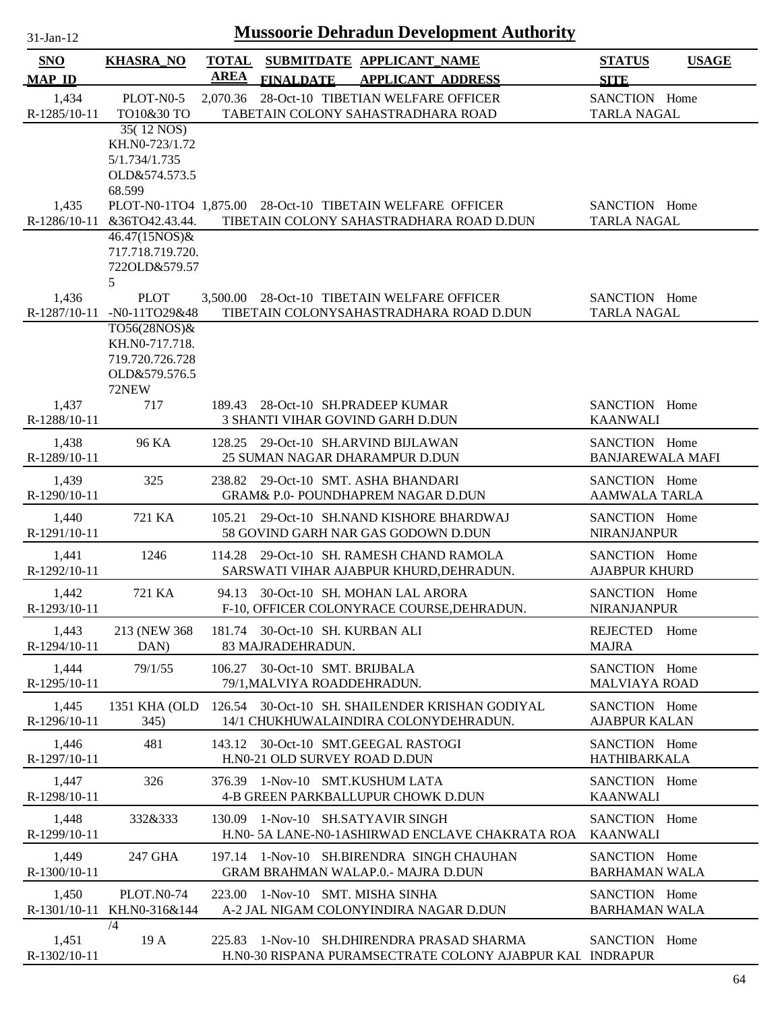| 31-Jan-12 |  |
|-----------|--|
|           |  |

| <b>AREA</b><br><b>MAP ID</b><br><b>FINALDATE</b><br><b>APPLICANT ADDRESS</b><br><b>SITE</b><br>1,434<br>PLOT-N0-5<br>28-Oct-10 TIBETIAN WELFARE OFFICER<br>SANCTION Home<br>2,070.36<br>R-1285/10-11<br>TO10&30 TO<br>TABETAIN COLONY SAHASTRADHARA ROAD<br><b>TARLA NAGAL</b><br>35(12 NOS)<br>KH.N0-723/1.72<br>5/1.734/1.735<br>OLD&574.573.5<br>68.599<br>1,435<br>PLOT-N0-1TO4 1,875.00 28-Oct-10 TIBETAIN WELFARE OFFICER<br>SANCTION Home<br>R-1286/10-11<br><b>TARLA NAGAL</b><br>&36TO42.43.44.<br>TIBETAIN COLONY SAHASTRADHARA ROAD D.DUN<br>46.47(15NOS)&<br>717.718.719.720.<br>722OLD&579.57<br>5<br>1,436<br><b>PLOT</b><br>3,500.00 28-Oct-10 TIBETAIN WELFARE OFFICER<br>SANCTION Home<br>R-1287/10-11<br>TIBETAIN COLONYSAHASTRADHARA ROAD D.DUN<br><b>TARLA NAGAL</b><br>$-N0-11TO29&48$<br>TO56(28NOS)&<br>KH.N0-717.718.<br>719.720.726.728<br>OLD&579.576.5<br>72NEW<br>1,437<br>717<br>189.43 28-Oct-10 SH.PRADEEP KUMAR<br>SANCTION Home<br>R-1288/10-11<br>3 SHANTI VIHAR GOVIND GARH D.DUN<br><b>KAANWALI</b><br>1,438<br>96 KA<br>SANCTION Home<br>128.25 29-Oct-10 SH.ARVIND BIJLAWAN<br><b>BANJAREWALA MAFI</b><br>R-1289/10-11<br>25 SUMAN NAGAR DHARAMPUR D.DUN<br>1,439<br>325<br>238.82 29-Oct-10 SMT. ASHA BHANDARI<br>SANCTION Home<br>R-1290/10-11<br>GRAM& P.0- POUNDHAPREM NAGAR D.DUN<br><b>AAMWALA TARLA</b><br>721 KA<br>29-Oct-10 SH.NAND KISHORE BHARDWAJ<br>1,440<br>105.21<br>SANCTION Home |  |
|------------------------------------------------------------------------------------------------------------------------------------------------------------------------------------------------------------------------------------------------------------------------------------------------------------------------------------------------------------------------------------------------------------------------------------------------------------------------------------------------------------------------------------------------------------------------------------------------------------------------------------------------------------------------------------------------------------------------------------------------------------------------------------------------------------------------------------------------------------------------------------------------------------------------------------------------------------------------------------------------------------------------------------------------------------------------------------------------------------------------------------------------------------------------------------------------------------------------------------------------------------------------------------------------------------------------------------------------------------------------------------------------------------------------------------------|--|
|                                                                                                                                                                                                                                                                                                                                                                                                                                                                                                                                                                                                                                                                                                                                                                                                                                                                                                                                                                                                                                                                                                                                                                                                                                                                                                                                                                                                                                          |  |
|                                                                                                                                                                                                                                                                                                                                                                                                                                                                                                                                                                                                                                                                                                                                                                                                                                                                                                                                                                                                                                                                                                                                                                                                                                                                                                                                                                                                                                          |  |
|                                                                                                                                                                                                                                                                                                                                                                                                                                                                                                                                                                                                                                                                                                                                                                                                                                                                                                                                                                                                                                                                                                                                                                                                                                                                                                                                                                                                                                          |  |
|                                                                                                                                                                                                                                                                                                                                                                                                                                                                                                                                                                                                                                                                                                                                                                                                                                                                                                                                                                                                                                                                                                                                                                                                                                                                                                                                                                                                                                          |  |
|                                                                                                                                                                                                                                                                                                                                                                                                                                                                                                                                                                                                                                                                                                                                                                                                                                                                                                                                                                                                                                                                                                                                                                                                                                                                                                                                                                                                                                          |  |
|                                                                                                                                                                                                                                                                                                                                                                                                                                                                                                                                                                                                                                                                                                                                                                                                                                                                                                                                                                                                                                                                                                                                                                                                                                                                                                                                                                                                                                          |  |
|                                                                                                                                                                                                                                                                                                                                                                                                                                                                                                                                                                                                                                                                                                                                                                                                                                                                                                                                                                                                                                                                                                                                                                                                                                                                                                                                                                                                                                          |  |
|                                                                                                                                                                                                                                                                                                                                                                                                                                                                                                                                                                                                                                                                                                                                                                                                                                                                                                                                                                                                                                                                                                                                                                                                                                                                                                                                                                                                                                          |  |
|                                                                                                                                                                                                                                                                                                                                                                                                                                                                                                                                                                                                                                                                                                                                                                                                                                                                                                                                                                                                                                                                                                                                                                                                                                                                                                                                                                                                                                          |  |
|                                                                                                                                                                                                                                                                                                                                                                                                                                                                                                                                                                                                                                                                                                                                                                                                                                                                                                                                                                                                                                                                                                                                                                                                                                                                                                                                                                                                                                          |  |
|                                                                                                                                                                                                                                                                                                                                                                                                                                                                                                                                                                                                                                                                                                                                                                                                                                                                                                                                                                                                                                                                                                                                                                                                                                                                                                                                                                                                                                          |  |
|                                                                                                                                                                                                                                                                                                                                                                                                                                                                                                                                                                                                                                                                                                                                                                                                                                                                                                                                                                                                                                                                                                                                                                                                                                                                                                                                                                                                                                          |  |
|                                                                                                                                                                                                                                                                                                                                                                                                                                                                                                                                                                                                                                                                                                                                                                                                                                                                                                                                                                                                                                                                                                                                                                                                                                                                                                                                                                                                                                          |  |
|                                                                                                                                                                                                                                                                                                                                                                                                                                                                                                                                                                                                                                                                                                                                                                                                                                                                                                                                                                                                                                                                                                                                                                                                                                                                                                                                                                                                                                          |  |
|                                                                                                                                                                                                                                                                                                                                                                                                                                                                                                                                                                                                                                                                                                                                                                                                                                                                                                                                                                                                                                                                                                                                                                                                                                                                                                                                                                                                                                          |  |
|                                                                                                                                                                                                                                                                                                                                                                                                                                                                                                                                                                                                                                                                                                                                                                                                                                                                                                                                                                                                                                                                                                                                                                                                                                                                                                                                                                                                                                          |  |
|                                                                                                                                                                                                                                                                                                                                                                                                                                                                                                                                                                                                                                                                                                                                                                                                                                                                                                                                                                                                                                                                                                                                                                                                                                                                                                                                                                                                                                          |  |
|                                                                                                                                                                                                                                                                                                                                                                                                                                                                                                                                                                                                                                                                                                                                                                                                                                                                                                                                                                                                                                                                                                                                                                                                                                                                                                                                                                                                                                          |  |
|                                                                                                                                                                                                                                                                                                                                                                                                                                                                                                                                                                                                                                                                                                                                                                                                                                                                                                                                                                                                                                                                                                                                                                                                                                                                                                                                                                                                                                          |  |
|                                                                                                                                                                                                                                                                                                                                                                                                                                                                                                                                                                                                                                                                                                                                                                                                                                                                                                                                                                                                                                                                                                                                                                                                                                                                                                                                                                                                                                          |  |
|                                                                                                                                                                                                                                                                                                                                                                                                                                                                                                                                                                                                                                                                                                                                                                                                                                                                                                                                                                                                                                                                                                                                                                                                                                                                                                                                                                                                                                          |  |
|                                                                                                                                                                                                                                                                                                                                                                                                                                                                                                                                                                                                                                                                                                                                                                                                                                                                                                                                                                                                                                                                                                                                                                                                                                                                                                                                                                                                                                          |  |
|                                                                                                                                                                                                                                                                                                                                                                                                                                                                                                                                                                                                                                                                                                                                                                                                                                                                                                                                                                                                                                                                                                                                                                                                                                                                                                                                                                                                                                          |  |
|                                                                                                                                                                                                                                                                                                                                                                                                                                                                                                                                                                                                                                                                                                                                                                                                                                                                                                                                                                                                                                                                                                                                                                                                                                                                                                                                                                                                                                          |  |
| 58 GOVIND GARH NAR GAS GODOWN D.DUN<br>R-1291/10-11<br><b>NIRANJANPUR</b>                                                                                                                                                                                                                                                                                                                                                                                                                                                                                                                                                                                                                                                                                                                                                                                                                                                                                                                                                                                                                                                                                                                                                                                                                                                                                                                                                                |  |
| 114.28 29-Oct-10 SH. RAMESH CHAND RAMOLA<br>SANCTION Home<br>1,441<br>1246                                                                                                                                                                                                                                                                                                                                                                                                                                                                                                                                                                                                                                                                                                                                                                                                                                                                                                                                                                                                                                                                                                                                                                                                                                                                                                                                                               |  |
| <b>AJABPUR KHURD</b><br>R-1292/10-11<br>SARSWATI VIHAR AJABPUR KHURD, DEHRADUN.                                                                                                                                                                                                                                                                                                                                                                                                                                                                                                                                                                                                                                                                                                                                                                                                                                                                                                                                                                                                                                                                                                                                                                                                                                                                                                                                                          |  |
| 1,442<br>30-Oct-10 SH. MOHAN LAL ARORA<br>721 KA<br>94.13<br>SANCTION Home                                                                                                                                                                                                                                                                                                                                                                                                                                                                                                                                                                                                                                                                                                                                                                                                                                                                                                                                                                                                                                                                                                                                                                                                                                                                                                                                                               |  |
| R-1293/10-11<br>F-10, OFFICER COLONYRACE COURSE, DEHRADUN.<br><b>NIRANJANPUR</b>                                                                                                                                                                                                                                                                                                                                                                                                                                                                                                                                                                                                                                                                                                                                                                                                                                                                                                                                                                                                                                                                                                                                                                                                                                                                                                                                                         |  |
| 1,443<br>213 (NEW 368)<br>181.74 30-Oct-10 SH. KURBAN ALI<br>REJECTED<br>Home                                                                                                                                                                                                                                                                                                                                                                                                                                                                                                                                                                                                                                                                                                                                                                                                                                                                                                                                                                                                                                                                                                                                                                                                                                                                                                                                                            |  |
| R-1294/10-11<br>DAN)<br>83 MAJRADEHRADUN.<br><b>MAJRA</b>                                                                                                                                                                                                                                                                                                                                                                                                                                                                                                                                                                                                                                                                                                                                                                                                                                                                                                                                                                                                                                                                                                                                                                                                                                                                                                                                                                                |  |
| 30-Oct-10 SMT. BRIJBALA<br>SANCTION Home<br>1,444<br>79/1/55<br>106.27<br>R-1295/10-11<br><b>MALVIAYA ROAD</b><br>79/1, MALVIYA ROADDEHRADUN.                                                                                                                                                                                                                                                                                                                                                                                                                                                                                                                                                                                                                                                                                                                                                                                                                                                                                                                                                                                                                                                                                                                                                                                                                                                                                            |  |
|                                                                                                                                                                                                                                                                                                                                                                                                                                                                                                                                                                                                                                                                                                                                                                                                                                                                                                                                                                                                                                                                                                                                                                                                                                                                                                                                                                                                                                          |  |
| 126.54 30-Oct-10 SH. SHAILENDER KRISHAN GODIYAL<br>1,445<br>1351 KHA (OLD<br>SANCTION Home<br>R-1296/10-11<br>345)<br>14/1 CHUKHUWALAINDIRA COLONYDEHRADUN.<br><b>AJABPUR KALAN</b>                                                                                                                                                                                                                                                                                                                                                                                                                                                                                                                                                                                                                                                                                                                                                                                                                                                                                                                                                                                                                                                                                                                                                                                                                                                      |  |
|                                                                                                                                                                                                                                                                                                                                                                                                                                                                                                                                                                                                                                                                                                                                                                                                                                                                                                                                                                                                                                                                                                                                                                                                                                                                                                                                                                                                                                          |  |
| 481<br>1,446<br>143.12 30-Oct-10 SMT.GEEGAL RASTOGI<br>SANCTION Home<br>R-1297/10-11<br>H.N0-21 OLD SURVEY ROAD D.DUN<br><b>HATHIBARKALA</b>                                                                                                                                                                                                                                                                                                                                                                                                                                                                                                                                                                                                                                                                                                                                                                                                                                                                                                                                                                                                                                                                                                                                                                                                                                                                                             |  |
| SANCTION Home                                                                                                                                                                                                                                                                                                                                                                                                                                                                                                                                                                                                                                                                                                                                                                                                                                                                                                                                                                                                                                                                                                                                                                                                                                                                                                                                                                                                                            |  |
| 1,447<br>326<br>376.39 1-Nov-10 SMT.KUSHUM LATA<br><b>KAANWALI</b><br>R-1298/10-11<br>4-B GREEN PARKBALLUPUR CHOWK D.DUN                                                                                                                                                                                                                                                                                                                                                                                                                                                                                                                                                                                                                                                                                                                                                                                                                                                                                                                                                                                                                                                                                                                                                                                                                                                                                                                 |  |
| 1,448<br>332&333<br>130.09 1-Nov-10 SH.SATYAVIR SINGH<br>SANCTION Home                                                                                                                                                                                                                                                                                                                                                                                                                                                                                                                                                                                                                                                                                                                                                                                                                                                                                                                                                                                                                                                                                                                                                                                                                                                                                                                                                                   |  |
| R-1299/10-11<br>H.NO-5A LANE-NO-1ASHIRWAD ENCLAVE CHAKRATA ROA<br><b>KAANWALI</b>                                                                                                                                                                                                                                                                                                                                                                                                                                                                                                                                                                                                                                                                                                                                                                                                                                                                                                                                                                                                                                                                                                                                                                                                                                                                                                                                                        |  |
| 1,449<br>247 GHA<br>197.14 1-Nov-10 SH.BIRENDRA SINGH CHAUHAN<br>SANCTION Home                                                                                                                                                                                                                                                                                                                                                                                                                                                                                                                                                                                                                                                                                                                                                                                                                                                                                                                                                                                                                                                                                                                                                                                                                                                                                                                                                           |  |
| R-1300/10-11<br><b>GRAM BRAHMAN WALAP.0.- MAJRA D.DUN</b><br><b>BARHAMAN WALA</b>                                                                                                                                                                                                                                                                                                                                                                                                                                                                                                                                                                                                                                                                                                                                                                                                                                                                                                                                                                                                                                                                                                                                                                                                                                                                                                                                                        |  |
| 1,450<br><b>PLOT.N0-74</b><br>223.00 1-Nov-10 SMT. MISHA SINHA<br>SANCTION Home                                                                                                                                                                                                                                                                                                                                                                                                                                                                                                                                                                                                                                                                                                                                                                                                                                                                                                                                                                                                                                                                                                                                                                                                                                                                                                                                                          |  |
| A-2 JAL NIGAM COLONYINDIRA NAGAR D.DUN<br>R-1301/10-11 KH.N0-316&144<br><b>BARHAMAN WALA</b>                                                                                                                                                                                                                                                                                                                                                                                                                                                                                                                                                                                                                                                                                                                                                                                                                                                                                                                                                                                                                                                                                                                                                                                                                                                                                                                                             |  |
| /4                                                                                                                                                                                                                                                                                                                                                                                                                                                                                                                                                                                                                                                                                                                                                                                                                                                                                                                                                                                                                                                                                                                                                                                                                                                                                                                                                                                                                                       |  |
| 225.83 1-Nov-10 SH.DHIRENDRA PRASAD SHARMA<br>1,451<br>19 A<br>SANCTION Home<br>R-1302/10-11<br>H.N0-30 RISPANA PURAMSECTRATE COLONY AJABPUR KAL INDRAPUR                                                                                                                                                                                                                                                                                                                                                                                                                                                                                                                                                                                                                                                                                                                                                                                                                                                                                                                                                                                                                                                                                                                                                                                                                                                                                |  |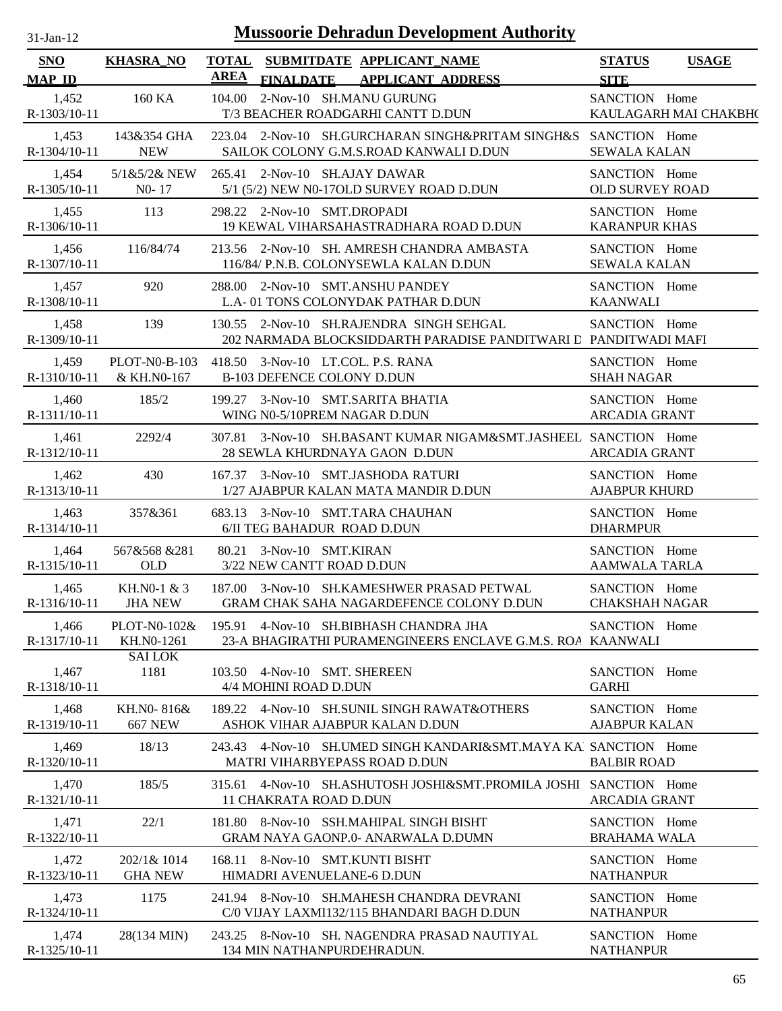| 31-Jan-12                   | <b>Mussoorie Dehradun Development Authority</b> |                                                                                                             |                                              |  |  |  |  |
|-----------------------------|-------------------------------------------------|-------------------------------------------------------------------------------------------------------------|----------------------------------------------|--|--|--|--|
| <b>SNO</b><br><b>MAP ID</b> | <b>KHASRA_NO</b>                                | <b>TOTAL</b><br>SUBMITDATE APPLICANT NAME<br>AREA<br><b>FINALDATE</b><br><b>APPLICANT ADDRESS</b>           | <b>STATUS</b><br><b>USAGE</b><br><b>SITE</b> |  |  |  |  |
| 1,452<br>R-1303/10-11       | 160 KA                                          | 2-Nov-10 SH.MANU GURUNG<br>104.00<br>T/3 BEACHER ROADGARHI CANTT D.DUN                                      | SANCTION Home<br>KAULAGARH MAI CHAKBH(       |  |  |  |  |
| 1,453                       | 143&354 GHA                                     | 223.04 2-Nov-10 SH.GURCHARAN SINGH&PRITAM SINGH&S                                                           | SANCTION Home                                |  |  |  |  |
| $R-1304/10-11$              | <b>NEW</b>                                      | SAILOK COLONY G.M.S.ROAD KANWALI D.DUN                                                                      | <b>SEWALA KALAN</b>                          |  |  |  |  |
| 1,454                       | 5/1&5/2& NEW                                    | 265.41 2-Nov-10 SH.AJAY DAWAR                                                                               | SANCTION Home                                |  |  |  |  |
| $R-1305/10-11$              | $N0-17$                                         | 5/1 (5/2) NEW N0-17OLD SURVEY ROAD D.DUN                                                                    | <b>OLD SURVEY ROAD</b>                       |  |  |  |  |
| 1,455                       | 113                                             | 298.22 2-Nov-10 SMT.DROPADI                                                                                 | SANCTION Home                                |  |  |  |  |
| $R-1306/10-11$              |                                                 | 19 KEWAL VIHARSAHASTRADHARA ROAD D.DUN                                                                      | <b>KARANPUR KHAS</b>                         |  |  |  |  |
| 1,456                       | 116/84/74                                       | 213.56 2-Nov-10 SH. AMRESH CHANDRA AMBASTA                                                                  | SANCTION Home                                |  |  |  |  |
| R-1307/10-11                |                                                 | 116/84/ P.N.B. COLONYSEWLA KALAN D.DUN                                                                      | <b>SEWALA KALAN</b>                          |  |  |  |  |
| 1,457                       | 920                                             | 288.00 2-Nov-10 SMT.ANSHU PANDEY                                                                            | SANCTION Home                                |  |  |  |  |
| R-1308/10-11                |                                                 | L.A-01 TONS COLONYDAK PATHAR D.DUN                                                                          | <b>KAANWALI</b>                              |  |  |  |  |
| 1,458<br>R-1309/10-11       | 139                                             | 130.55 2-Nov-10 SH.RAJENDRA SINGH SEHGAL<br>202 NARMADA BLOCKSIDDARTH PARADISE PANDITWARI L PANDITWADI MAFI | SANCTION Home                                |  |  |  |  |
| 1,459                       | <b>PLOT-N0-B-103</b>                            | 418.50 3-Nov-10 LT.COL. P.S. RANA                                                                           | SANCTION Home                                |  |  |  |  |
| R-1310/10-11                | & KH.N0-167                                     | <b>B-103 DEFENCE COLONY D.DUN</b>                                                                           | <b>SHAH NAGAR</b>                            |  |  |  |  |
| 1,460                       | 185/2                                           | 199.27 3-Nov-10 SMT.SARITA BHATIA                                                                           | SANCTION Home                                |  |  |  |  |
| R-1311/10-11                |                                                 | WING N0-5/10PREM NAGAR D.DUN                                                                                | <b>ARCADIA GRANT</b>                         |  |  |  |  |
| 1,461<br>R-1312/10-11       | 2292/4                                          | 307.81 3-Nov-10 SH.BASANT KUMAR NIGAM&SMT.JASHEEL SANCTION Home<br>28 SEWLA KHURDNAYA GAON D.DUN            | <b>ARCADIA GRANT</b>                         |  |  |  |  |
| 1,462                       | 430                                             | 167.37 3-Nov-10 SMT.JASHODA RATURI                                                                          | SANCTION Home                                |  |  |  |  |
| R-1313/10-11                |                                                 | 1/27 AJABPUR KALAN MATA MANDIR D.DUN                                                                        | <b>AJABPUR KHURD</b>                         |  |  |  |  |
| 1,463                       | 357&361                                         | 683.13 3-Nov-10 SMT.TARA CHAUHAN                                                                            | SANCTION Home                                |  |  |  |  |
| R-1314/10-11                |                                                 | 6/II TEG BAHADUR ROAD D.DUN                                                                                 | <b>DHARMPUR</b>                              |  |  |  |  |
| 1,464                       | 567&568 &281                                    | 80.21 3-Nov-10 SMT.KIRAN                                                                                    | SANCTION Home                                |  |  |  |  |
| R-1315/10-11                | <b>OLD</b>                                      | 3/22 NEW CANTT ROAD D.DUN                                                                                   | <b>AAMWALA TARLA</b>                         |  |  |  |  |
| 1,465                       | KH.NO-1 & 3                                     | 187.00 3-Nov-10 SH.KAMESHWER PRASAD PETWAL                                                                  | SANCTION Home                                |  |  |  |  |
| R-1316/10-11                | <b>JHA NEW</b>                                  | <b>GRAM CHAK SAHA NAGARDEFENCE COLONY D.DUN</b>                                                             | <b>CHAKSHAH NAGAR</b>                        |  |  |  |  |
| 1,466                       | PLOT-N0-102&                                    | 195.91 4-Nov-10 SH.BIBHASH CHANDRA JHA                                                                      | SANCTION Home                                |  |  |  |  |
| R-1317/10-11                | KH.N0-1261                                      | 23-A BHAGIRATHI PURAMENGINEERS ENCLAVE G.M.S. ROA KAANWALI                                                  |                                              |  |  |  |  |
| 1,467                       | <b>SAI LOK</b>                                  | 103.50 4-Nov-10 SMT. SHEREEN                                                                                | SANCTION Home                                |  |  |  |  |
| R-1318/10-11                | 1181                                            | 4/4 MOHINI ROAD D.DUN                                                                                       | <b>GARHI</b>                                 |  |  |  |  |
| 1,468                       | KH.N0-816&                                      | 189.22 4-Nov-10 SH.SUNIL SINGH RAWAT&OTHERS                                                                 | SANCTION Home                                |  |  |  |  |
| R-1319/10-11                | <b>667 NEW</b>                                  | ASHOK VIHAR AJABPUR KALAN D.DUN                                                                             | <b>AJABPUR KALAN</b>                         |  |  |  |  |
| 1,469<br>R-1320/10-11       | 18/13                                           | 243.43 4-Nov-10 SH.UMED SINGH KANDARI&SMT.MAYA KAJ SANCTION Home<br>MATRI VIHARBYEPASS ROAD D.DUN           | <b>BALBIR ROAD</b>                           |  |  |  |  |
| 1,470<br>R-1321/10-11       | 185/5                                           | 315.61 4-Nov-10 SH.ASHUTOSH JOSHI&SMT.PROMILA JOSHI SANCTION Home<br>11 CHAKRATA ROAD D.DUN                 | <b>ARCADIA GRANT</b>                         |  |  |  |  |
| 1,471                       | 22/1                                            | 181.80 8-Nov-10 SSH.MAHIPAL SINGH BISHT                                                                     | SANCTION Home                                |  |  |  |  |
| R-1322/10-11                |                                                 | <b>GRAM NAYA GAONP.0- ANARWALA D.DUMN</b>                                                                   | <b>BRAHAMA WALA</b>                          |  |  |  |  |
| 1,472                       | 202/1& 1014                                     | 168.11 8-Nov-10 SMT.KUNTI BISHT                                                                             | SANCTION Home                                |  |  |  |  |
| R-1323/10-11                | <b>GHA NEW</b>                                  | HIMADRI AVENUELANE-6 D.DUN                                                                                  | <b>NATHANPUR</b>                             |  |  |  |  |
| 1,473                       | 1175                                            | 241.94 8-Nov-10 SH.MAHESH CHANDRA DEVRANI                                                                   | SANCTION Home                                |  |  |  |  |
| R-1324/10-11                |                                                 | C/0 VIJAY LAXMI132/115 BHANDARI BAGH D.DUN                                                                  | <b>NATHANPUR</b>                             |  |  |  |  |
| 1,474                       | 28(134 MIN)                                     | 243.25 8-Nov-10 SH. NAGENDRA PRASAD NAUTIYAL                                                                | SANCTION Home                                |  |  |  |  |
| R-1325/10-11                |                                                 | 134 MIN NATHANPURDEHRADUN.                                                                                  | <b>NATHANPUR</b>                             |  |  |  |  |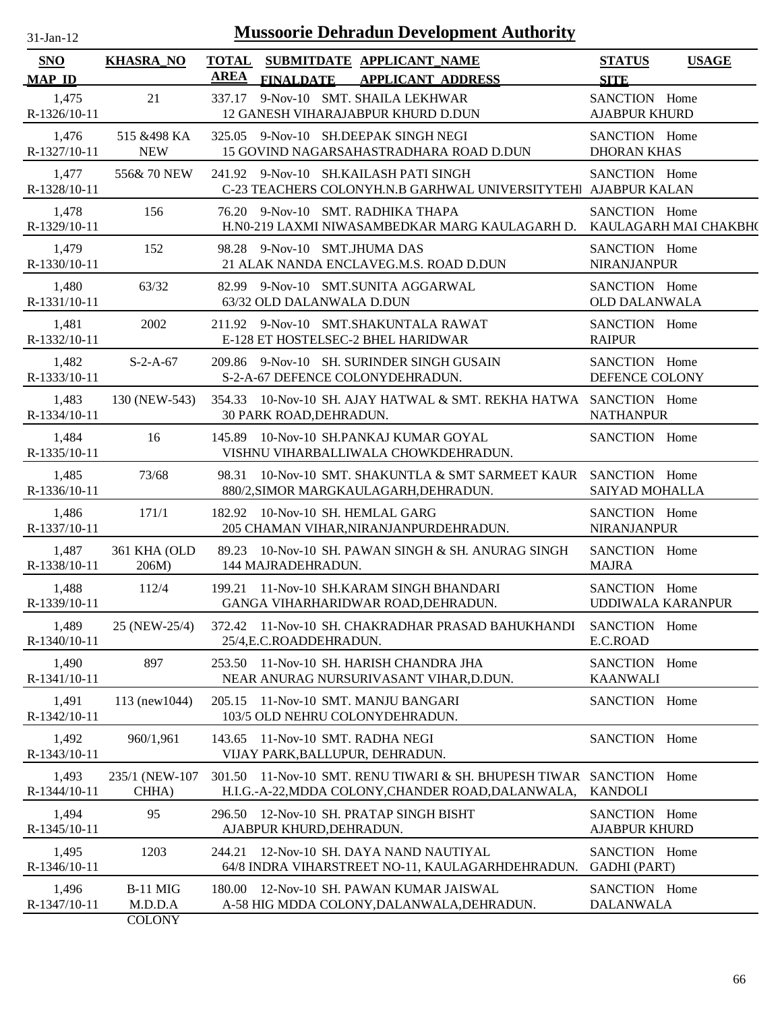| <b>Mussoorie Dehradun Development Authority</b><br>$31-Jan-12$ |                                             |                             |                                                                                                                           |                                           |                       |  |  |
|----------------------------------------------------------------|---------------------------------------------|-----------------------------|---------------------------------------------------------------------------------------------------------------------------|-------------------------------------------|-----------------------|--|--|
| <b>SNO</b><br><b>MAP ID</b>                                    | <b>KHASRA_NO</b>                            | <b>TOTAL</b><br><b>AREA</b> | SUBMITDATE APPLICANT_NAME<br><b>FINALDATE</b><br><b>APPLICANT ADDRESS</b>                                                 | <b>STATUS</b><br><b>SITE</b>              | <b>USAGE</b>          |  |  |
| 1,475<br>R-1326/10-11                                          | 21                                          | 337.17                      | 9-Nov-10 SMT. SHAILA LEKHWAR<br>12 GANESH VIHARAJABPUR KHURD D.DUN                                                        | SANCTION Home<br><b>AJABPUR KHURD</b>     |                       |  |  |
| 1,476<br>R-1327/10-11                                          | 515 & 498 KA<br><b>NEW</b>                  |                             | 325.05 9-Nov-10 SH.DEEPAK SINGH NEGI<br>15 GOVIND NAGARSAHASTRADHARA ROAD D.DUN                                           | SANCTION Home<br><b>DHORAN KHAS</b>       |                       |  |  |
| 1,477<br>R-1328/10-11                                          | 556&70 NEW                                  |                             | 241.92 9-Nov-10 SH.KAILASH PATI SINGH<br>C-23 TEACHERS COLONYH.N.B GARHWAL UNIVERSITYTEHI AJABPUR KALAN                   | SANCTION Home                             |                       |  |  |
| 1,478<br>R-1329/10-11                                          | 156                                         |                             | 76.20 9-Nov-10 SMT. RADHIKA THAPA<br>H.NO-219 LAXMI NIWASAMBEDKAR MARG KAULAGARH D.                                       | SANCTION Home                             | KAULAGARH MAI CHAKBH( |  |  |
| 1,479<br>R-1330/10-11                                          | 152                                         |                             | 98.28 9-Nov-10 SMT.JHUMA DAS<br>21 ALAK NANDA ENCLAVEG.M.S. ROAD D.DUN                                                    | SANCTION Home<br><b>NIRANJANPUR</b>       |                       |  |  |
| 1,480<br>R-1331/10-11                                          | 63/32                                       |                             | 82.99 9-Nov-10 SMT.SUNITA AGGARWAL<br>63/32 OLD DALANWALA D.DUN                                                           | SANCTION Home<br><b>OLD DALANWALA</b>     |                       |  |  |
| 1,481<br>R-1332/10-11                                          | 2002                                        |                             | 211.92 9-Nov-10 SMT.SHAKUNTALA RAWAT<br>E-128 ET HOSTELSEC-2 BHEL HARIDWAR                                                | SANCTION Home<br><b>RAIPUR</b>            |                       |  |  |
| 1,482<br>R-1333/10-11                                          | $S-2-A-67$                                  |                             | 209.86 9-Nov-10 SH. SURINDER SINGH GUSAIN<br>S-2-A-67 DEFENCE COLONYDEHRADUN.                                             | SANCTION Home<br>DEFENCE COLONY           |                       |  |  |
| 1,483<br>R-1334/10-11                                          | 130 (NEW-543)                               |                             | 354.33 10-Nov-10 SH. AJAY HATWAL & SMT. REKHA HATWA SANCTION Home<br>30 PARK ROAD, DEHRADUN.                              | <b>NATHANPUR</b>                          |                       |  |  |
| 1,484<br>R-1335/10-11                                          | 16                                          |                             | 145.89 10-Nov-10 SH.PANKAJ KUMAR GOYAL<br>VISHNU VIHARBALLIWALA CHOWKDEHRADUN.                                            | SANCTION Home                             |                       |  |  |
| 1,485<br>R-1336/10-11                                          | 73/68                                       |                             | 98.31 10-Nov-10 SMT. SHAKUNTLA & SMT SARMEET KAUR SANCTION Home<br>880/2, SIMOR MARGKAULAGARH, DEHRADUN.                  | SAIYAD MOHALLA                            |                       |  |  |
| 1,486<br>R-1337/10-11                                          | 171/1                                       |                             | 182.92 10-Nov-10 SH. HEMLAL GARG<br>205 CHAMAN VIHAR, NIRANJANPURDEHRADUN.                                                | SANCTION Home<br><b>NIRANJANPUR</b>       |                       |  |  |
| 1,487<br>R-1338/10-11                                          | 361 KHA (OLD<br>206M)                       |                             | 89.23 10-Nov-10 SH. PAWAN SINGH & SH. ANURAG SINGH<br>144 MAJRADEHRADUN.                                                  | SANCTION Home<br><b>MAJRA</b>             |                       |  |  |
| 1,488<br>R-1339/10-11                                          | 112/4                                       |                             | 199.21 11-Nov-10 SH.KARAM SINGH BHANDARI<br>GANGA VIHARHARIDWAR ROAD, DEHRADUN.                                           | SANCTION Home<br><b>UDDIWALA KARANPUR</b> |                       |  |  |
| 1,489<br>R-1340/10-11                                          | 25 (NEW-25/4)                               |                             | 372.42 11-Nov-10 SH. CHAKRADHAR PRASAD BAHUKHANDI<br>25/4, E.C. ROADDEHRADUN.                                             | SANCTION Home<br>E.C.ROAD                 |                       |  |  |
| 1,490<br>R-1341/10-11                                          | 897                                         | 253.50                      | 11-Nov-10 SH. HARISH CHANDRA JHA<br>NEAR ANURAG NURSURIVASANT VIHAR, D.DUN.                                               | SANCTION Home<br><b>KAANWALI</b>          |                       |  |  |
| 1,491<br>R-1342/10-11                                          | 113 (new1044)                               |                             | 205.15 11-Nov-10 SMT. MANJU BANGARI<br>103/5 OLD NEHRU COLONYDEHRADUN.                                                    | SANCTION Home                             |                       |  |  |
| 1,492<br>R-1343/10-11                                          | 960/1,961                                   |                             | 143.65 11-Nov-10 SMT. RADHA NEGI<br>VIJAY PARK, BALLUPUR, DEHRADUN.                                                       | SANCTION Home                             |                       |  |  |
| 1,493<br>R-1344/10-11                                          | 235/1 (NEW-107)<br>CHHA)                    |                             | 301.50 11-Nov-10 SMT. RENU TIWARI & SH. BHUPESH TIWAR SANCTION Home<br>H.I.G.-A-22, MDDA COLONY, CHANDER ROAD, DALANWALA, | <b>KANDOLI</b>                            |                       |  |  |
| 1,494<br>R-1345/10-11                                          | 95                                          |                             | 296.50 12-Nov-10 SH. PRATAP SINGH BISHT<br>AJABPUR KHURD, DEHRADUN.                                                       | SANCTION Home<br><b>AJABPUR KHURD</b>     |                       |  |  |
| 1,495<br>R-1346/10-11                                          | 1203                                        | 244.21                      | 12-Nov-10 SH. DAYA NAND NAUTIYAL<br>64/8 INDRA VIHARSTREET NO-11, KAULAGARHDEHRADUN.                                      | SANCTION Home<br><b>GADHI</b> (PART)      |                       |  |  |
| 1,496<br>R-1347/10-11                                          | <b>B-11 MIG</b><br>M.D.D.A<br><b>COLONY</b> | 180.00                      | 12-Nov-10 SH. PAWAN KUMAR JAISWAL<br>A-58 HIG MDDA COLONY, DALANWALA, DEHRADUN.                                           | SANCTION Home<br><b>DALANWALA</b>         |                       |  |  |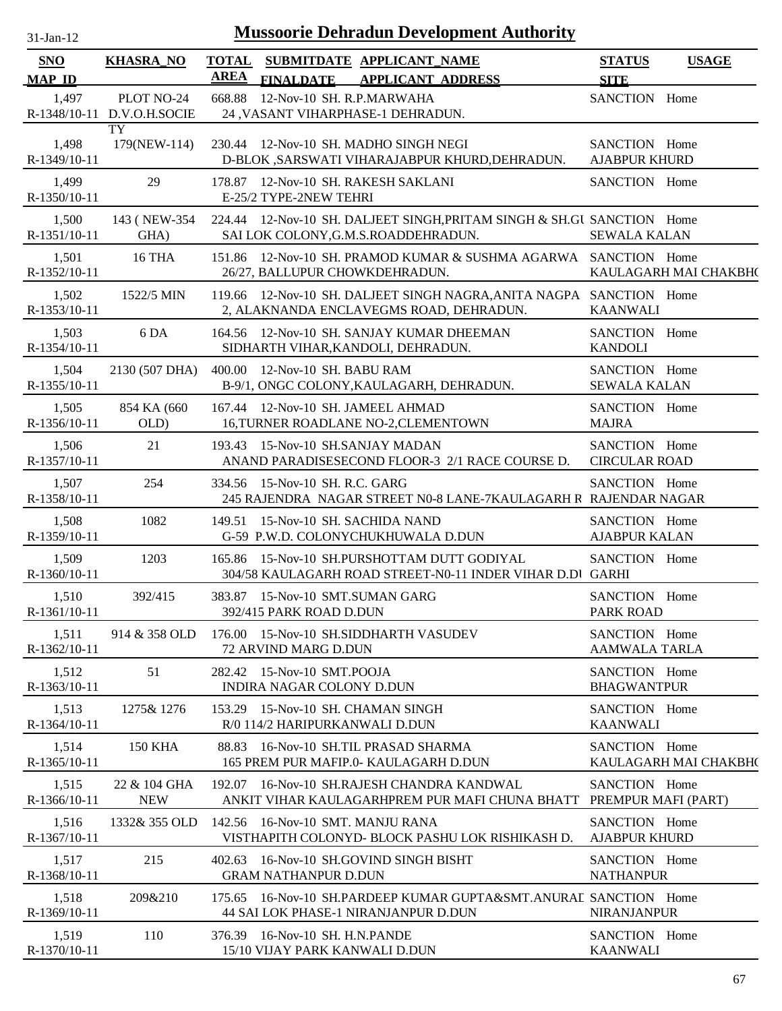| $31$ -Jan-12                |                                          |                             | <b>Mussoorie Dehradun Development Authority</b>                                                                |                                       |                       |
|-----------------------------|------------------------------------------|-----------------------------|----------------------------------------------------------------------------------------------------------------|---------------------------------------|-----------------------|
| <b>SNO</b><br><b>MAP ID</b> | <b>KHASRA_NO</b>                         | <b>TOTAL</b><br><b>AREA</b> | SUBMITDATE APPLICANT_NAME<br>FINALDATE APPLICANT ADDRESS                                                       | <b>STATUS</b><br><b>SITE</b>          | <b>USAGE</b>          |
| 1,497                       | PLOT NO-24<br>R-1348/10-11 D.V.O.H.SOCIE | 668.88                      | 12-Nov-10 SH. R.P.MARWAHA<br>24 , VASANT VIHARPHASE-1 DEHRADUN.                                                | SANCTION Home                         |                       |
| 1,498<br>R-1349/10-11       | TY<br>179(NEW-114)                       |                             | 230.44 12-Nov-10 SH. MADHO SINGH NEGI<br>D-BLOK , SARSWATI VIHARAJABPUR KHURD, DEHRADUN.                       | SANCTION Home<br><b>AJABPUR KHURD</b> |                       |
| 1,499<br>R-1350/10-11       | 29                                       |                             | 178.87 12-Nov-10 SH. RAKESH SAKLANI<br>E-25/2 TYPE-2NEW TEHRI                                                  | SANCTION Home                         |                       |
| 1,500<br>R-1351/10-11       | 143 (NEW-354)<br>GHA)                    |                             | 224.44 12-Nov-10 SH. DALJEET SINGH, PRITAM SINGH & SH.GU SANCTION Home<br>SAI LOK COLONY, G.M.S.ROADDEHRADUN.  | <b>SEWALA KALAN</b>                   |                       |
| 1,501<br>R-1352/10-11       | <b>16 THA</b>                            |                             | 151.86 12-Nov-10 SH. PRAMOD KUMAR & SUSHMA AGARWA SANCTION Home<br>26/27, BALLUPUR CHOWKDEHRADUN.              |                                       | KAULAGARH MAI CHAKBH( |
| 1,502<br>R-1353/10-11       | 1522/5 MIN                               |                             | 119.66 12-Nov-10 SH. DALJEET SINGH NAGRA, ANITA NAGPA SANCTION Home<br>2, ALAKNANDA ENCLAVEGMS ROAD, DEHRADUN. | <b>KAANWALI</b>                       |                       |
| 1,503<br>R-1354/10-11       | 6 DA                                     |                             | 164.56 12-Nov-10 SH. SANJAY KUMAR DHEEMAN<br>SIDHARTH VIHAR, KANDOLI, DEHRADUN.                                | SANCTION Home<br><b>KANDOLI</b>       |                       |
| 1,504<br>R-1355/10-11       | 2130 (507 DHA)                           |                             | 400.00 12-Nov-10 SH, BABU RAM<br>B-9/1, ONGC COLONY, KAULAGARH, DEHRADUN.                                      | SANCTION Home<br><b>SEWALA KALAN</b>  |                       |
| 1,505<br>R-1356/10-11       | 854 KA (660<br>OLD)                      |                             | 167.44 12-Nov-10 SH. JAMEEL AHMAD<br>16, TURNER ROADLANE NO-2, CLEMENTOWN                                      | SANCTION Home<br><b>MAJRA</b>         |                       |
| 1,506<br>R-1357/10-11       | 21                                       |                             | 193.43 15-Nov-10 SH.SANJAY MADAN<br>ANAND PARADISESECOND FLOOR-3 2/1 RACE COURSE D.                            | SANCTION Home<br><b>CIRCULAR ROAD</b> |                       |
| 1,507<br>R-1358/10-11       | 254                                      |                             | 334.56 15-Nov-10 SH. R.C. GARG<br>245 RAJENDRA NAGAR STREET N0-8 LANE-7KAULAGARH R RAJENDAR NAGAR              | SANCTION Home                         |                       |
| 1,508<br>R-1359/10-11       | 1082                                     | 149.51                      | 15-Nov-10 SH. SACHIDA NAND<br>G-59 P.W.D. COLONYCHUKHUWALA D.DUN                                               | SANCTION Home<br><b>AJABPUR KALAN</b> |                       |
| 1,509<br>R-1360/10-11       | 1203                                     |                             | 165.86 15-Nov-10 SH.PURSHOTTAM DUTT GODIYAL<br>304/58 KAULAGARH ROAD STREET-N0-11 INDER VIHAR D.DI GARHI       | SANCTION Home                         |                       |
| 1,510<br>R-1361/10-11       | 392/415                                  |                             | 383.87 15-Nov-10 SMT.SUMAN GARG<br>392/415 PARK ROAD D.DUN                                                     | SANCTION Home<br>PARK ROAD            |                       |
| 1,511<br>R-1362/10-11       | 914 & 358 OLD                            |                             | 176.00 15-Nov-10 SH.SIDDHARTH VASUDEV<br>72 ARVIND MARG D.DUN                                                  | SANCTION Home<br><b>AAMWALA TARLA</b> |                       |
| 1,512<br>R-1363/10-11       | 51                                       |                             | 282.42 15-Nov-10 SMT.POOJA<br>INDIRA NAGAR COLONY D.DUN                                                        | SANCTION Home<br><b>BHAGWANTPUR</b>   |                       |
| 1,513<br>R-1364/10-11       | 1275& 1276                               |                             | 153.29 15-Nov-10 SH. CHAMAN SINGH<br>R/0 114/2 HARIPURKANWALI D.DUN                                            | SANCTION Home<br><b>KAANWALI</b>      |                       |
| 1,514<br>R-1365/10-11       | <b>150 KHA</b>                           |                             | 88.83 16-Nov-10 SH.TIL PRASAD SHARMA<br>165 PREM PUR MAFIP.0- KAULAGARH D.DUN                                  | SANCTION Home                         | KAULAGARH MAI CHAKBH( |
| 1,515<br>R-1366/10-11       | 22 & 104 GHA<br><b>NEW</b>               |                             | 192.07 16-Nov-10 SH.RAJESH CHANDRA KANDWAL<br>ANKIT VIHAR KAULAGARHPREM PUR MAFI CHUNA BHATT                   | SANCTION Home<br>PREMPUR MAFI (PART)  |                       |
| 1,516<br>R-1367/10-11       | 1332& 355 OLD                            |                             | 142.56 16-Nov-10 SMT. MANJU RANA<br>VISTHAPITH COLONYD- BLOCK PASHU LOK RISHIKASH D.                           | SANCTION Home<br><b>AJABPUR KHURD</b> |                       |
| 1,517<br>R-1368/10-11       | 215                                      |                             | 402.63 16-Nov-10 SH.GOVIND SINGH BISHT<br><b>GRAM NATHANPUR D.DUN</b>                                          | SANCTION Home<br><b>NATHANPUR</b>     |                       |
| 1,518<br>R-1369/10-11       | 209&210                                  |                             | 175.65 16-Nov-10 SH.PARDEEP KUMAR GUPTA&SMT.ANURAL SANCTION Home<br>44 SAI LOK PHASE-1 NIRANJANPUR D.DUN       | <b>NIRANJANPUR</b>                    |                       |
| 1,519<br>R-1370/10-11       | 110                                      |                             | 376.39 16-Nov-10 SH, H.N.PANDE<br>15/10 VIJAY PARK KANWALI D.DUN                                               | SANCTION Home<br><b>KAANWALI</b>      |                       |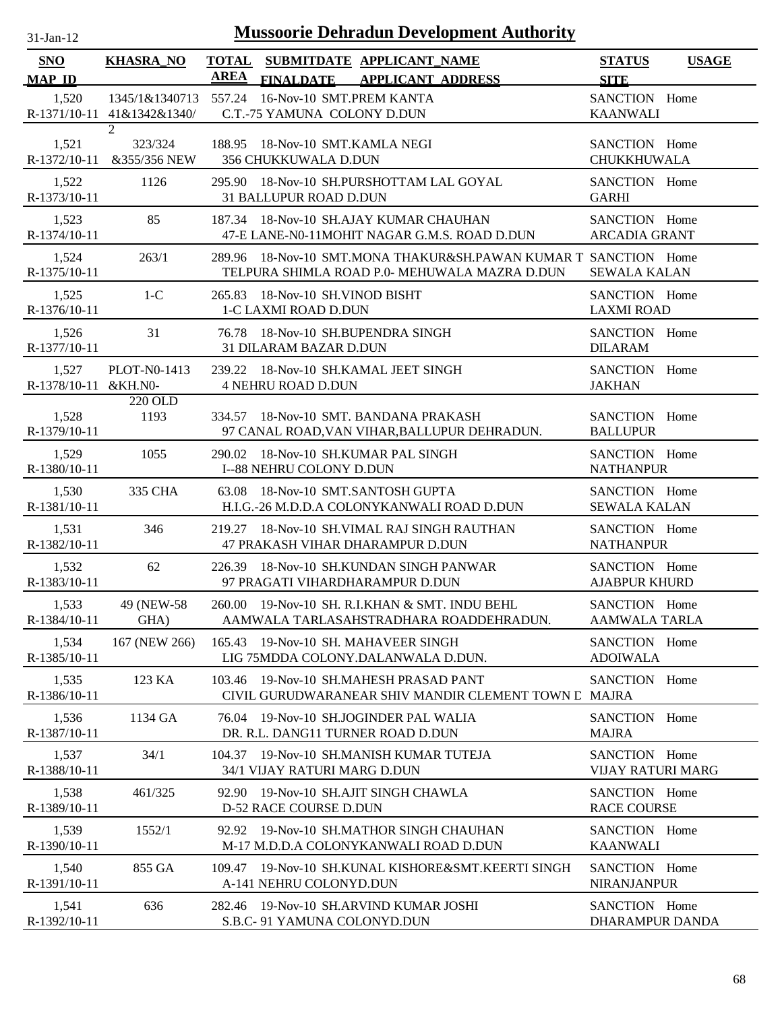| $31$ -Jan-12                   |                                              |                             | <b>Mussoorie Dehradun Development Authority</b>                                                                  |                                       |              |
|--------------------------------|----------------------------------------------|-----------------------------|------------------------------------------------------------------------------------------------------------------|---------------------------------------|--------------|
| SNO<br><b>MAP ID</b>           | <b>KHASRA_NO</b>                             | <b>TOTAL</b><br><b>AREA</b> | SUBMITDATE APPLICANT NAME<br><b>FINALDATE</b><br><b>APPLICANT ADDRESS</b>                                        | <b>STATUS</b><br><b>SITE</b>          | <b>USAGE</b> |
| 1,520                          | 1345/1&1340713<br>R-1371/10-11 41&1342&1340/ |                             | 557.24 16-Nov-10 SMT.PREM KANTA<br>C.T.-75 YAMUNA COLONY D.DUN                                                   | SANCTION Home<br><b>KAANWALI</b>      |              |
| 1,521<br>$R-1372/10-11$        | $\overline{2}$<br>323/324<br>&355/356 NEW    | 188.95                      | 18-Nov-10 SMT.KAMLA NEGI<br><b>356 CHUKKUWALA D.DUN</b>                                                          | SANCTION Home<br><b>CHUKKHUWALA</b>   |              |
| 1,522<br>R-1373/10-11          | 1126                                         |                             | 295.90 18-Nov-10 SH.PURSHOTTAM LAL GOYAL<br><b>31 BALLUPUR ROAD D.DUN</b>                                        | SANCTION Home<br><b>GARHI</b>         |              |
| 1,523<br>R-1374/10-11          | 85                                           |                             | 187.34 18-Nov-10 SH.AJAY KUMAR CHAUHAN<br>47-E LANE-N0-11MOHIT NAGAR G.M.S. ROAD D.DUN                           | SANCTION Home<br><b>ARCADIA GRANT</b> |              |
| 1,524<br>R-1375/10-11          | 263/1                                        |                             | 289.96 18-Nov-10 SMT.MONA THAKUR&SH.PAWAN KUMAR T SANCTION Home<br>TELPURA SHIMLA ROAD P.0- MEHUWALA MAZRA D.DUN | <b>SEWALA KALAN</b>                   |              |
| 1,525<br>R-1376/10-11          | $1-C$                                        | 265.83                      | 18-Nov-10 SH.VINOD BISHT<br>1-C LAXMI ROAD D.DUN                                                                 | SANCTION Home<br><b>LAXMI ROAD</b>    |              |
| 1,526<br>R-1377/10-11          | 31                                           |                             | 76.78 18-Nov-10 SH.BUPENDRA SINGH<br>31 DILARAM BAZAR D.DUN                                                      | SANCTION Home<br><b>DILARAM</b>       |              |
| 1,527<br>R-1378/10-11 & KH.NO- | PLOT-N0-1413                                 |                             | 239.22 18-Nov-10 SH.KAMAL JEET SINGH<br><b>4 NEHRU ROAD D.DUN</b>                                                | SANCTION Home<br><b>JAKHAN</b>        |              |
| 1,528<br>R-1379/10-11          | 220 OLD<br>1193                              |                             | 334.57 18-Nov-10 SMT, BANDANA PRAKASH<br>97 CANAL ROAD, VAN VIHAR, BALLUPUR DEHRADUN.                            | SANCTION Home<br><b>BALLUPUR</b>      |              |
| 1.529<br>R-1380/10-11          | 1055                                         | 290.02                      | 18-Nov-10 SH.KUMAR PAL SINGH<br>I--88 NEHRU COLONY D.DUN                                                         | SANCTION Home<br><b>NATHANPUR</b>     |              |
| 1,530<br>R-1381/10-11          | 335 CHA                                      | 63.08                       | 18-Nov-10 SMT.SANTOSH GUPTA<br>H.I.G.-26 M.D.D.A COLONYKANWALI ROAD D.DUN                                        | SANCTION Home<br><b>SEWALA KALAN</b>  |              |
| 1,531<br>R-1382/10-11          | 346                                          |                             | 219.27 18-Nov-10 SH. VIMAL RAJ SINGH RAUTHAN<br>47 PRAKASH VIHAR DHARAMPUR D.DUN                                 | SANCTION Home<br><b>NATHANPUR</b>     |              |
| 1,532<br>R-1383/10-11          | 62                                           |                             | 226.39 18-Nov-10 SH.KUNDAN SINGH PANWAR<br>97 PRAGATI VIHARDHARAMPUR D.DUN                                       | SANCTION Home<br><b>AJABPUR KHURD</b> |              |
| 1,533<br>R-1384/10-11          | 49 (NEW-58)<br>GHA)                          |                             | 260.00 19-Nov-10 SH. R.I.KHAN & SMT. INDU BEHL<br>AAMWALA TARLASAHSTRADHARA ROADDEHRADUN.                        | SANCTION Home<br><b>AAMWALA TARLA</b> |              |
| 1,534<br>R-1385/10-11          | 167 (NEW 266)                                |                             | 165.43 19-Nov-10 SH. MAHAVEER SINGH<br>LIG 75MDDA COLONY.DALANWALA D.DUN.                                        | SANCTION Home<br><b>ADOIWALA</b>      |              |
| 1,535<br>R-1386/10-11          | 123 KA                                       |                             | 103.46 19-Nov-10 SH.MAHESH PRASAD PANT<br>CIVIL GURUDWARANEAR SHIV MANDIR CLEMENT TOWN L MAJRA                   | SANCTION Home                         |              |
| 1,536<br>R-1387/10-11          | 1134 GA                                      |                             | 76.04 19-Nov-10 SH.JOGINDER PAL WALIA<br>DR. R.L. DANG11 TURNER ROAD D.DUN                                       | SANCTION Home<br><b>MAJRA</b>         |              |
| 1,537<br>R-1388/10-11          | 34/1                                         |                             | 104.37 19-Nov-10 SH.MANISH KUMAR TUTEJA<br>34/1 VIJAY RATURI MARG D.DUN                                          | SANCTION Home<br>VIJAY RATURI MARG    |              |
| 1,538<br>R-1389/10-11          | 461/325                                      | 92.90                       | 19-Nov-10 SH.AJIT SINGH CHAWLA<br>D-52 RACE COURSE D.DUN                                                         | SANCTION Home<br><b>RACE COURSE</b>   |              |
| 1,539<br>R-1390/10-11          | 1552/1                                       | 92.92                       | 19-Nov-10 SH.MATHOR SINGH CHAUHAN<br>M-17 M.D.D.A COLONYKANWALI ROAD D.DUN                                       | SANCTION Home<br><b>KAANWALI</b>      |              |
| 1,540<br>R-1391/10-11          | 855 GA                                       | 109.47                      | 19-Nov-10 SH.KUNAL KISHORE&SMT.KEERTI SINGH<br>A-141 NEHRU COLONYD.DUN                                           | SANCTION Home<br><b>NIRANJANPUR</b>   |              |
| 1,541<br>R-1392/10-11          | 636                                          |                             | 282.46 19-Nov-10 SH.ARVIND KUMAR JOSHI<br>S.B.C- 91 YAMUNA COLONYD.DUN                                           | SANCTION Home<br>DHARAMPUR DANDA      |              |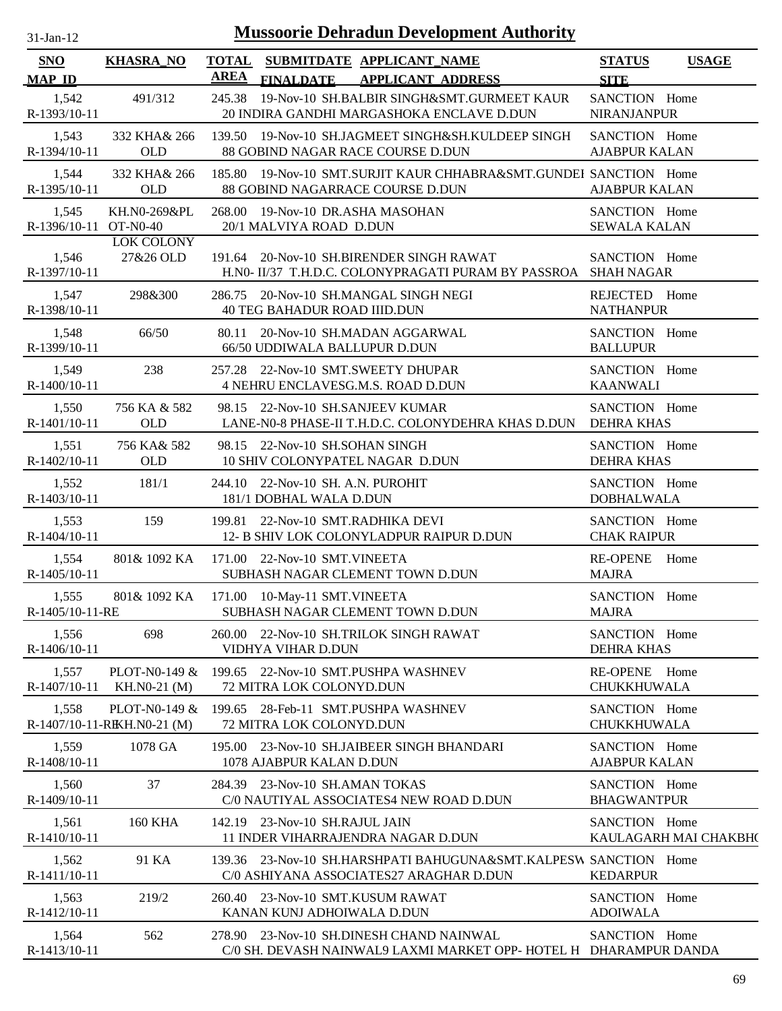| $31$ -Jan-12 |  |
|--------------|--|

| SNO<br><b>MAP ID</b>           | <b>KHASRA_NO</b>                             | AREA | <b>FINALDATE</b>                                             | TOTAL SUBMITDATE APPLICANT NAME<br><b>APPLICANT ADDRESS</b>                                                   | <b>STATUS</b><br><b>SITE</b>          | <b>USAGE</b>          |
|--------------------------------|----------------------------------------------|------|--------------------------------------------------------------|---------------------------------------------------------------------------------------------------------------|---------------------------------------|-----------------------|
| 1,542<br>R-1393/10-11          | 491/312                                      |      |                                                              | 245.38 19-Nov-10 SH.BALBIR SINGH&SMT.GURMEET KAUR<br>20 INDIRA GANDHI MARGASHOKA ENCLAVE D.DUN                | SANCTION Home<br><b>NIRANJANPUR</b>   |                       |
| 1,543<br>R-1394/10-11          | 332 KHA& 266<br><b>OLD</b>                   |      |                                                              | 139.50 19-Nov-10 SH.JAGMEET SINGH&SH.KULDEEP SINGH<br>88 GOBIND NAGAR RACE COURSE D.DUN                       | SANCTION Home<br><b>AJABPUR KALAN</b> |                       |
| 1,544<br>R-1395/10-11          | 332 KHA& 266<br>OLD                          |      |                                                              | 185.80 19-Nov-10 SMT.SURJIT KAUR CHHABRA&SMT.GUNDEI SANCTION Home<br>88 GOBIND NAGARRACE COURSE D.DUN         | <b>AJABPUR KALAN</b>                  |                       |
| 1,545<br>R-1396/10-11 OT-N0-40 | KH.N0-269&PL                                 |      | 20/1 MALVIYA ROAD D.DUN                                      | 268.00 19-Nov-10 DR.ASHA MASOHAN                                                                              | SANCTION Home<br><b>SEWALA KALAN</b>  |                       |
| 1,546<br>R-1397/10-11          | <b>LOK COLONY</b><br>27&26 OLD               |      |                                                              | 191.64 20-Nov-10 SH.BIRENDER SINGH RAWAT<br>H.NO- II/37 T.H.D.C. COLONYPRAGATI PURAM BY PASSROA SHAH NAGAR    | SANCTION Home                         |                       |
| 1,547<br>R-1398/10-11          | 298&300                                      |      | <b>40 TEG BAHADUR ROAD IIID.DUN</b>                          | 286.75 20-Nov-10 SH.MANGAL SINGH NEGI                                                                         | REJECTED Home<br><b>NATHANPUR</b>     |                       |
| 1,548<br>R-1399/10-11          | 66/50                                        |      | 66/50 UDDIWALA BALLUPUR D.DUN                                | 80.11 20-Nov-10 SH.MADAN AGGARWAL                                                                             | SANCTION Home<br><b>BALLUPUR</b>      |                       |
| 1,549<br>R-1400/10-11          | 238                                          |      |                                                              | 257.28 22-Nov-10 SMT.SWEETY DHUPAR<br>4 NEHRU ENCLAVESG.M.S. ROAD D.DUN                                       | SANCTION Home<br><b>KAANWALI</b>      |                       |
| 1,550<br>R-1401/10-11          | 756 KA & 582<br>OLD                          |      |                                                              | 98.15 22-Nov-10 SH.SANJEEV KUMAR<br>LANE-N0-8 PHASE-II T.H.D.C. COLONYDEHRA KHAS D.DUN                        | SANCTION Home<br><b>DEHRA KHAS</b>    |                       |
| 1,551<br>R-1402/10-11          | 756 KA& 582<br>OLD                           |      | 98.15 22-Nov-10 SH.SOHAN SINGH                               | 10 SHIV COLONYPATEL NAGAR D.DUN                                                                               | SANCTION Home<br><b>DEHRA KHAS</b>    |                       |
| 1,552<br>R-1403/10-11          | 181/1                                        |      | 244.10 22-Nov-10 SH. A.N. PUROHIT<br>181/1 DOBHAL WALA D.DUN |                                                                                                               | SANCTION Home<br><b>DOBHALWALA</b>    |                       |
| 1,553<br>R-1404/10-11          | 159                                          |      |                                                              | 199.81 22-Nov-10 SMT.RADHIKA DEVI<br>12- B SHIV LOK COLONYLADPUR RAIPUR D.DUN                                 | SANCTION Home<br><b>CHAK RAIPUR</b>   |                       |
| 1,554<br>$R-1405/10-11$        | 801& 1092 KA                                 |      | 171.00 22-Nov-10 SMT.VINEETA                                 | SUBHASH NAGAR CLEMENT TOWN D.DUN                                                                              | <b>RE-OPENE</b><br><b>MAJRA</b>       | Home                  |
| 1,555<br>R-1405/10-11-RE       | 801& 1092 KA                                 |      | 171.00 10-May-11 SMT.VINEETA                                 | SUBHASH NAGAR CLEMENT TOWN D.DUN                                                                              | SANCTION Home<br><b>MAJRA</b>         |                       |
| 1,556<br>R-1406/10-11          | 698                                          |      | VIDHYA VIHAR D.DUN                                           | 260.00 22-Nov-10 SH.TRILOK SINGH RAWAT                                                                        | SANCTION Home<br><b>DEHRA KHAS</b>    |                       |
| 1,557<br>R-1407/10-11          | PLOT-N0-149 $&$<br>KH.NO-21 (M)              |      | 72 MITRA LOK COLONYD.DUN                                     | 199.65 22-Nov-10 SMT.PUSHPA WASHNEV                                                                           | RE-OPENE Home<br>CHUKKHUWALA          |                       |
| 1,558                          | PLOT-N0-149 &<br>R-1407/10-11-RIKH.N0-21 (M) |      | 72 MITRA LOK COLONYD.DUN                                     | 199.65 28-Feb-11 SMT.PUSHPA WASHNEV                                                                           | SANCTION Home<br>CHUKKHUWALA          |                       |
| 1,559<br>R-1408/10-11          | 1078 GA                                      |      | 1078 AJABPUR KALAN D.DUN                                     | 195.00 23-Nov-10 SH.JAIBEER SINGH BHANDARI                                                                    | SANCTION Home<br><b>AJABPUR KALAN</b> |                       |
| 1,560<br>R-1409/10-11          | 37                                           |      | 284.39 23-Nov-10 SH.AMAN TOKAS                               | C/0 NAUTIYAL ASSOCIATES4 NEW ROAD D.DUN                                                                       | SANCTION Home<br><b>BHAGWANTPUR</b>   |                       |
| 1,561<br>R-1410/10-11          | <b>160 KHA</b>                               |      | 142.19 23-Nov-10 SH.RAJUL JAIN                               | 11 INDER VIHARRAJENDRA NAGAR D.DUN                                                                            | SANCTION Home                         | KAULAGARH MAI CHAKBH( |
| 1,562<br>R-1411/10-11          | 91 KA                                        |      |                                                              | 139.36 23-Nov-10 SH.HARSHPATI BAHUGUNA&SMT.KALPESW SANCTION Home<br>C/0 ASHIYANA ASSOCIATES27 ARAGHAR D.DUN   | <b>KEDARPUR</b>                       |                       |
| 1,563<br>R-1412/10-11          | 219/2                                        |      | KANAN KUNJ ADHOIWALA D.DUN                                   | 260.40 23-Nov-10 SMT.KUSUM RAWAT                                                                              | SANCTION Home<br><b>ADOIWALA</b>      |                       |
| 1,564<br>R-1413/10-11          | 562                                          |      |                                                              | 278.90 23-Nov-10 SH.DINESH CHAND NAINWAL<br>C/0 SH. DEVASH NAINWAL9 LAXMI MARKET OPP- HOTEL H DHARAMPUR DANDA | SANCTION Home                         |                       |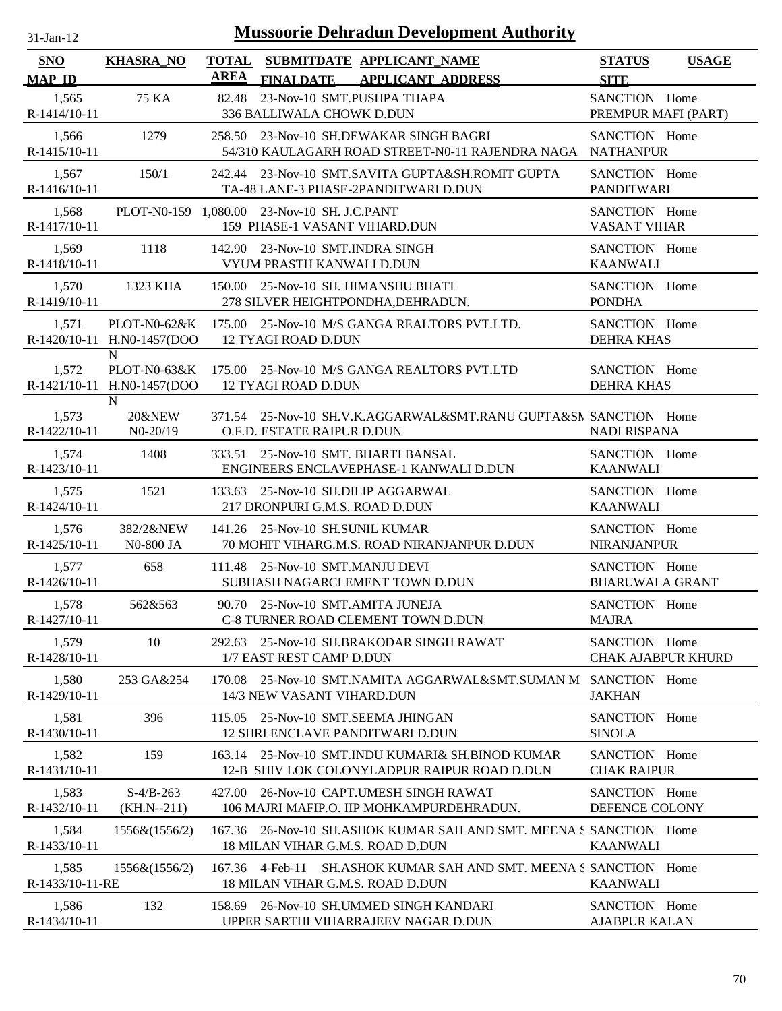| 31-Jan-12 |  |
|-----------|--|

| SNO<br><b>MAP ID</b>     | <b>KHASRA_NO</b>                                | <b>TOTAL</b><br><b>AREA</b> | <b>FINALDATE</b>                                                             | SUBMITDATE APPLICANT NAME<br><b>APPLICANT ADDRESS</b>                                                 | <b>STATUS</b><br><b>USAGE</b><br><b>SITE</b> |
|--------------------------|-------------------------------------------------|-----------------------------|------------------------------------------------------------------------------|-------------------------------------------------------------------------------------------------------|----------------------------------------------|
| 1,565<br>R-1414/10-11    | 75 KA                                           | 82.48                       | 23-Nov-10 SMT.PUSHPA THAPA<br>336 BALLIWALA CHOWK D.DUN                      |                                                                                                       | SANCTION Home<br>PREMPUR MAFI (PART)         |
| 1,566<br>$R-1415/10-11$  | 1279                                            |                             |                                                                              | 258.50 23-Nov-10 SH.DEWAKAR SINGH BAGRI<br>54/310 KAULAGARH ROAD STREET-N0-11 RAJENDRA NAGA NATHANPUR | SANCTION Home                                |
| 1,567<br>R-1416/10-11    | 150/1                                           |                             |                                                                              | 242.44 23-Nov-10 SMT.SAVITA GUPTA&SH.ROMIT GUPTA<br>TA-48 LANE-3 PHASE-2PANDITWARI D.DUN              | SANCTION Home<br><b>PANDITWARI</b>           |
| 1,568<br>R-1417/10-11    |                                                 |                             | PLOT-N0-159 1,080.00 23-Nov-10 SH. J.C.PANT<br>159 PHASE-1 VASANT VIHARD.DUN |                                                                                                       | SANCTION Home<br>VASANT VIHAR                |
| 1,569<br>R-1418/10-11    | 1118                                            |                             | 142.90 23-Nov-10 SMT.INDRA SINGH<br>VYUM PRASTH KANWALI D.DUN                |                                                                                                       | SANCTION Home<br><b>KAANWALI</b>             |
| 1,570<br>R-1419/10-11    | 1323 KHA                                        |                             |                                                                              | 150.00 25-Nov-10 SH. HIMANSHU BHATI<br>278 SILVER HEIGHTPONDHA, DEHRADUN.                             | SANCTION Home<br><b>PONDHA</b>               |
| 1,571                    | PLOT-N0-62&K<br>R-1420/10-11 H.N0-1457(DOO      |                             | <b>12 TYAGI ROAD D.DUN</b>                                                   | 175.00 25-Nov-10 M/S GANGA REALTORS PVT.LTD.                                                          | SANCTION Home<br><b>DEHRA KHAS</b>           |
| 1,572                    | N<br>PLOT-N0-63&K<br>R-1421/10-11 H.N0-1457(DOO |                             | <b>12 TYAGI ROAD D.DUN</b>                                                   | 175.00 25-Nov-10 M/S GANGA REALTORS PVT.LTD                                                           | SANCTION Home<br><b>DEHRA KHAS</b>           |
| 1,573<br>R-1422/10-11    | N<br>20&NEW<br>$N0-20/19$                       |                             | O.F.D. ESTATE RAIPUR D.DUN                                                   | 371.54 25-Nov-10 SH.V.K.AGGARWAL&SMT.RANU GUPTA&SN SANCTION Home                                      | <b>NADI RISPANA</b>                          |
| 1,574<br>R-1423/10-11    | 1408                                            |                             |                                                                              | 333.51 25-Nov-10 SMT. BHARTI BANSAL<br>ENGINEERS ENCLAVEPHASE-1 KANWALI D.DUN                         | SANCTION Home<br><b>KAANWALI</b>             |
| 1,575<br>$R-1424/10-11$  | 1521                                            |                             | 217 DRONPURI G.M.S. ROAD D.DUN                                               | 133.63 25-Nov-10 SH.DILIP AGGARWAL                                                                    | SANCTION Home<br><b>KAANWALI</b>             |
| 1,576<br>R-1425/10-11    | 382/2&NEW<br>N0-800 JA                          |                             | 141.26 25-Nov-10 SH.SUNIL KUMAR                                              | 70 MOHIT VIHARG.M.S. ROAD NIRANJANPUR D.DUN                                                           | SANCTION Home<br><b>NIRANJANPUR</b>          |
| 1,577<br>R-1426/10-11    | 658                                             |                             | 111.48 25-Nov-10 SMT.MANJU DEVI                                              | SUBHASH NAGARCLEMENT TOWN D.DUN                                                                       | SANCTION Home<br><b>BHARUWALA GRANT</b>      |
| 1,578<br>R-1427/10-11    | 562&563                                         |                             | 90.70 25-Nov-10 SMT.AMITA JUNEJA                                             | C-8 TURNER ROAD CLEMENT TOWN D.DUN                                                                    | SANCTION Home<br><b>MAJRA</b>                |
| 1,579<br>R-1428/10-11    | 10                                              |                             | 1/7 EAST REST CAMP D.DUN                                                     | 292.63 25-Nov-10 SH.BRAKODAR SINGH RAWAT                                                              | SANCTION Home<br><b>CHAK AJABPUR KHURD</b>   |
| 1,580<br>R-1429/10-11    | 253 GA&254                                      | 170.08                      | 14/3 NEW VASANT VIHARD.DUN                                                   | 25-Nov-10 SMT.NAMITA AGGARWAL&SMT.SUMAN M SANCTION Home                                               | <b>JAKHAN</b>                                |
| 1,581<br>$R-1430/10-11$  | 396                                             |                             |                                                                              | 115.05 25-Nov-10 SMT.SEEMA JHINGAN<br><b>12 SHRI ENCLAVE PANDITWARI D.DUN</b>                         | SANCTION Home<br><b>SINOLA</b>               |
| 1,582<br>R-1431/10-11    | 159                                             | 163.14                      |                                                                              | 25-Nov-10 SMT.INDU KUMARI& SH.BINOD KUMAR<br>12-B SHIV LOK COLONYLADPUR RAIPUR ROAD D.DUN             | SANCTION Home<br><b>CHAK RAIPUR</b>          |
| 1,583<br>R-1432/10-11    | $S-4/B-263$<br>$(KH.N-211)$                     | 427.00                      |                                                                              | 26-Nov-10 CAPT.UMESH SINGH RAWAT<br>106 MAJRI MAFIP.O. IIP MOHKAMPURDEHRADUN.                         | SANCTION Home<br>DEFENCE COLONY              |
| 1,584<br>R-1433/10-11    | 1556&(1556/2)                                   | 167.36                      | 18 MILAN VIHAR G.M.S. ROAD D.DUN                                             | 26-Nov-10 SH.ASHOK KUMAR SAH AND SMT. MEENA S SANCTION Home                                           | <b>KAANWALI</b>                              |
| 1,585<br>R-1433/10-11-RE | 1556&(1556/2)                                   | 167.36                      | 4-Feb-11<br>18 MILAN VIHAR G.M.S. ROAD D.DUN                                 | SH. ASHOK KUMAR SAH AND SMT. MEENA S SANCTION Home                                                    | <b>KAANWALI</b>                              |
| 1,586<br>R-1434/10-11    | 132                                             | 158.69                      |                                                                              | 26-Nov-10 SH.UMMED SINGH KANDARI<br>UPPER SARTHI VIHARRAJEEV NAGAR D.DUN                              | SANCTION Home<br><b>AJABPUR KALAN</b>        |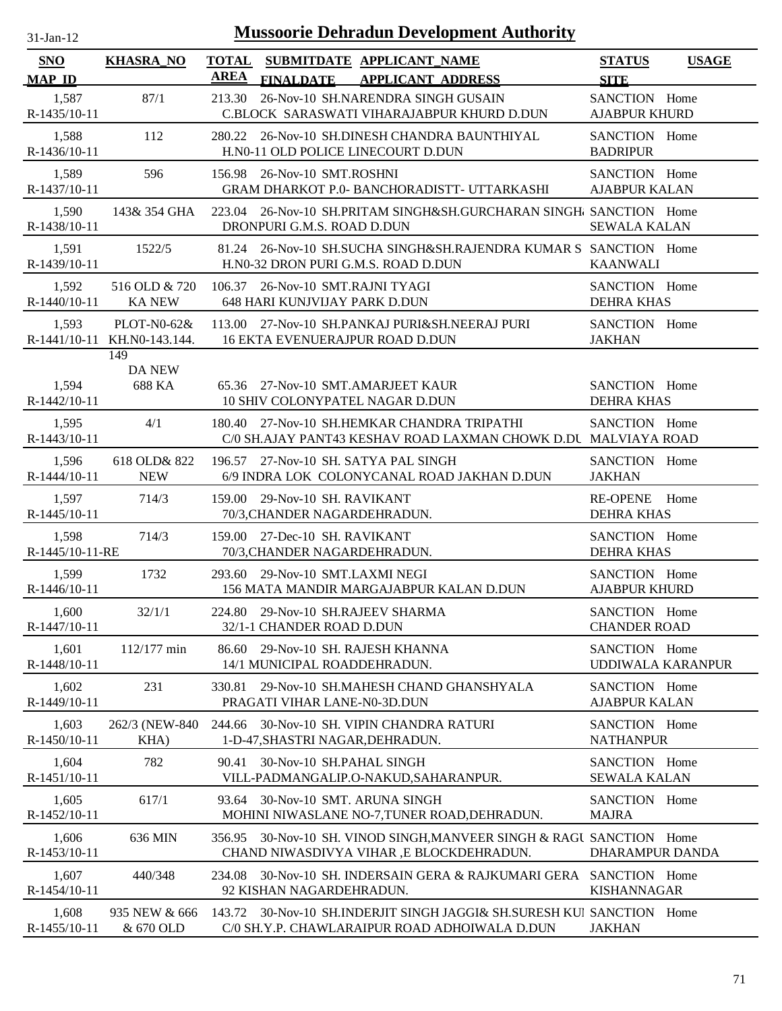| <b>Mussoorie Dehradun Development Authority</b><br>$31-Jan-12$ |                                              |                                                                                                                        |                                       |              |
|----------------------------------------------------------------|----------------------------------------------|------------------------------------------------------------------------------------------------------------------------|---------------------------------------|--------------|
| <b>SNO</b><br><b>MAP ID</b>                                    | <b>KHASRA_NO</b>                             | TOTAL SUBMITDATE APPLICANT NAME<br><b>AREA</b><br><b>FINALDATE</b><br><b>APPLICANT ADDRESS</b>                         | <b>STATUS</b><br><b>SITE</b>          | <b>USAGE</b> |
| 1,587<br>R-1435/10-11                                          | 87/1                                         | 26-Nov-10 SH.NARENDRA SINGH GUSAIN<br>213.30<br>C.BLOCK SARASWATI VIHARAJABPUR KHURD D.DUN                             | SANCTION Home<br><b>AJABPUR KHURD</b> |              |
| 1,588<br>R-1436/10-11                                          | 112                                          | 26-Nov-10 SH.DINESH CHANDRA BAUNTHIYAL<br>280.22<br>H.N0-11 OLD POLICE LINECOURT D.DUN                                 | SANCTION Home<br><b>BADRIPUR</b>      |              |
| 1,589<br>R-1437/10-11                                          | 596                                          | 156.98 26-Nov-10 SMT.ROSHNI<br><b>GRAM DHARKOT P.0- BANCHORADISTT- UTTARKASHI</b>                                      | SANCTION Home<br><b>AJABPUR KALAN</b> |              |
| 1,590<br>R-1438/10-11                                          | 143& 354 GHA                                 | 223.04 26-Nov-10 SH.PRITAM SINGH&SH.GURCHARAN SINGH SANCTION Home<br>DRONPURI G.M.S. ROAD D.DUN                        | <b>SEWALA KALAN</b>                   |              |
| 1,591<br>R-1439/10-11                                          | 1522/5                                       | 81.24 26-Nov-10 SH.SUCHA SINGH&SH.RAJENDRA KUMAR S SANCTION Home<br>H.N0-32 DRON PURI G.M.S. ROAD D.DUN                | <b>KAANWALI</b>                       |              |
| 1,592<br>R-1440/10-11                                          | 516 OLD & 720<br><b>KA NEW</b>               | 106.37 26-Nov-10 SMT.RAJNI TYAGI<br><b>648 HARI KUNJVIJAY PARK D.DUN</b>                                               | SANCTION Home<br><b>DEHRA KHAS</b>    |              |
| 1,593                                                          | $PLOT-N0-62&$<br>R-1441/10-11 KH.N0-143.144. | 113.00 27-Nov-10 SH.PANKAJ PURI&SH.NEERAJ PURI<br><b>16 EKTA EVENUERAJPUR ROAD D.DUN</b>                               | SANCTION Home<br><b>JAKHAN</b>        |              |
| 1,594<br>R-1442/10-11                                          | 149<br><b>DA NEW</b><br>688 KA               | 65.36 27-Nov-10 SMT.AMARJEET KAUR<br>10 SHIV COLONYPATEL NAGAR D.DUN                                                   | SANCTION Home<br><b>DEHRA KHAS</b>    |              |
| 1,595<br>R-1443/10-11                                          | 4/1                                          | 180.40 27-Nov-10 SH.HEMKAR CHANDRA TRIPATHI<br>C/0 SH.AJAY PANT43 KESHAV ROAD LAXMAN CHOWK D.DU MALVIAYA ROAD          | SANCTION Home                         |              |
| 1,596<br>R-1444/10-11                                          | 618 OLD& 822<br><b>NEW</b>                   | 196.57 27-Nov-10 SH. SATYA PAL SINGH<br>6/9 INDRA LOK COLONYCANAL ROAD JAKHAN D.DUN                                    | SANCTION Home<br><b>JAKHAN</b>        |              |
| 1,597<br>$R-1445/10-11$                                        | 714/3                                        | 29-Nov-10 SH. RAVIKANT<br>159.00<br>70/3, CHANDER NAGARDEHRADUN.                                                       | <b>RE-OPENE</b><br><b>DEHRA KHAS</b>  | Home         |
| 1,598<br>R-1445/10-11-RE                                       | 714/3                                        | 159.00 27-Dec-10 SH. RAVIKANT<br>70/3, CHANDER NAGARDEHRADUN.                                                          | SANCTION Home<br><b>DEHRA KHAS</b>    |              |
| 1,599<br>$R-1446/10-11$                                        | 1732                                         | 29-Nov-10 SMT.LAXMI NEGI<br>293.60<br>156 MATA MANDIR MARGAJABPUR KALAN D.DUN                                          | SANCTION Home<br><b>AJABPUR KHURD</b> |              |
| 1,600<br>R-1447/10-11                                          | 32/1/1                                       | 224.80 29-Nov-10 SH.RAJEEV SHARMA<br>32/1-1 CHANDER ROAD D.DUN                                                         | SANCTION Home<br><b>CHANDER ROAD</b>  |              |
| 1,601<br>R-1448/10-11                                          | 112/177 min                                  | 29-Nov-10 SH. RAJESH KHANNA<br>86.60<br>14/1 MUNICIPAL ROADDEHRADUN.                                                   | SANCTION Home<br>UDDIWALA KARANPUR    |              |
| 1,602<br>R-1449/10-11                                          | 231                                          | 29-Nov-10 SH.MAHESH CHAND GHANSHYALA<br>330.81<br>PRAGATI VIHAR LANE-N0-3D.DUN                                         | SANCTION Home<br><b>AJABPUR KALAN</b> |              |
| 1,603<br>$R-1450/10-11$                                        | 262/3 (NEW-840)<br>KHA)                      | 244.66 30-Nov-10 SH. VIPIN CHANDRA RATURI<br>1-D-47, SHASTRI NAGAR, DEHRADUN.                                          | SANCTION Home<br><b>NATHANPUR</b>     |              |
| 1,604<br>R-1451/10-11                                          | 782                                          | 30-Nov-10 SH.PAHAL SINGH<br>90.41<br>VILL-PADMANGALIP.O-NAKUD, SAHARANPUR.                                             | SANCTION Home<br><b>SEWALA KALAN</b>  |              |
| 1,605<br>R-1452/10-11                                          | 617/1                                        | 30-Nov-10 SMT. ARUNA SINGH<br>93.64<br>MOHINI NIWASLANE NO-7, TUNER ROAD, DEHRADUN.                                    | SANCTION Home<br><b>MAJRA</b>         |              |
| 1,606<br>R-1453/10-11                                          | 636 MIN                                      | 356.95 30-Nov-10 SH. VINOD SINGH, MANVEER SINGH & RAGU SANCTION Home<br>CHAND NIWASDIVYA VIHAR, E BLOCKDEHRADUN.       | DHARAMPUR DANDA                       |              |
| 1,607<br>R-1454/10-11                                          | 440/348                                      | 30-Nov-10 SH. INDERSAIN GERA & RAJKUMARI GERA<br>234.08<br>92 KISHAN NAGARDEHRADUN.                                    | SANCTION Home<br><b>KISHANNAGAR</b>   |              |
| 1,608<br>R-1455/10-11                                          | 935 NEW & 666<br>& 670 OLD                   | 143.72 30-Nov-10 SH.INDERJIT SINGH JAGGI& SH.SURESH KUI SANCTION Home<br>C/0 SH.Y.P. CHAWLARAIPUR ROAD ADHOIWALA D.DUN | <b>JAKHAN</b>                         |              |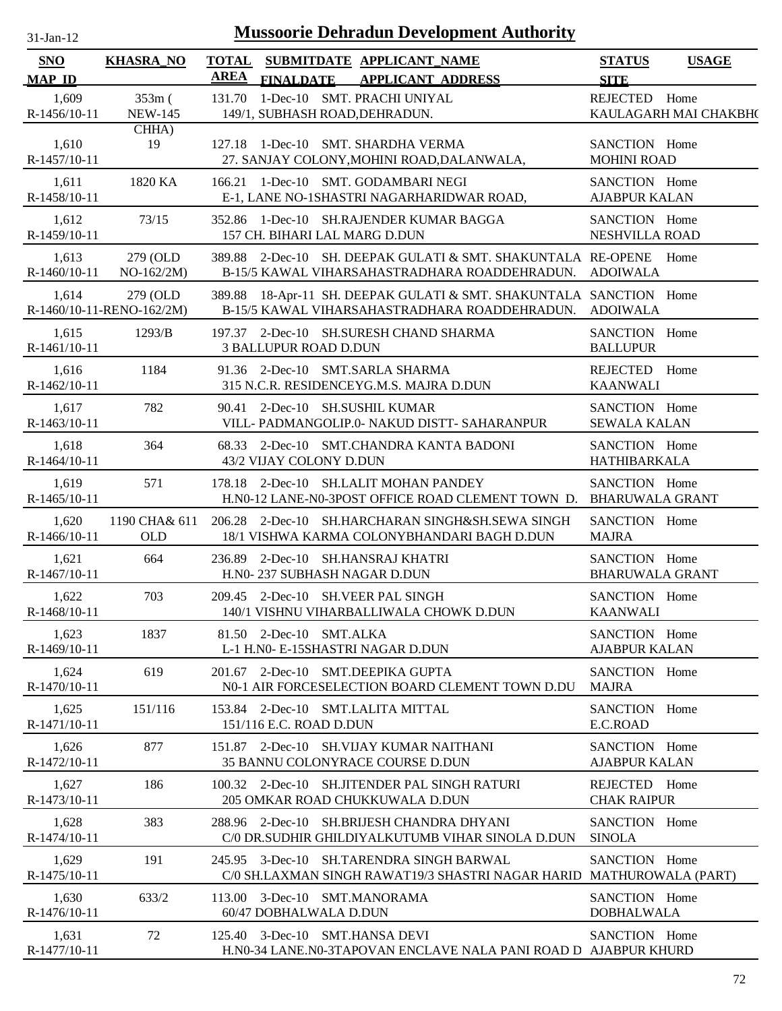| -Jan- |  |
|-------|--|
|       |  |

| <b>SNO</b>              | <b>KHASRA_NO</b>                      | <b>TOTAL</b><br>SUBMITDATE APPLICANT NAME<br>AREA                                                                            | <b>STATUS</b>                           | <b>USAGE</b>              |
|-------------------------|---------------------------------------|------------------------------------------------------------------------------------------------------------------------------|-----------------------------------------|---------------------------|
| <b>MAP ID</b>           |                                       | <b>FINALDATE</b><br><b>APPLICANT ADDRESS</b>                                                                                 | <b>SITE</b>                             |                           |
| 1,609<br>R-1456/10-11   | $353m$ (<br><b>NEW-145</b>            | 1-Dec-10 SMT. PRACHI UNIYAL<br>131.70<br>149/1, SUBHASH ROAD, DEHRADUN.                                                      | REJECTED Home                           | KAULAGARH MAI CHAKBH(     |
| 1,610<br>R-1457/10-11   | CHHA)<br>19                           | 127.18 1-Dec-10 SMT. SHARDHA VERMA<br>27. SANJAY COLONY, MOHINI ROAD, DALANWALA,                                             | SANCTION Home<br><b>MOHINI ROAD</b>     |                           |
| 1,611<br>R-1458/10-11   | 1820 KA                               | 166.21 1-Dec-10 SMT. GODAMBARI NEGI<br>E-1, LANE NO-1SHASTRI NAGARHARIDWAR ROAD,                                             | SANCTION Home<br><b>AJABPUR KALAN</b>   |                           |
| 1,612<br>R-1459/10-11   | 73/15                                 | 352.86 1-Dec-10 SH.RAJENDER KUMAR BAGGA<br>157 CH. BIHARI LAL MARG D.DUN                                                     | SANCTION Home<br>NESHVILLA ROAD         |                           |
| 1,613<br>R-1460/10-11   | 279 (OLD<br>$NO-162/2M)$              | 389.88 2-Dec-10 SH. DEEPAK GULATI & SMT. SHAKUNTALA RE-OPENE Home<br>B-15/5 KAWAL VIHARSAHASTRADHARA ROADDEHRADUN. ADOIWALA  |                                         |                           |
| 1,614                   | 279 (OLD<br>R-1460/10-11-RENO-162/2M) | 389.88 18-Apr-11 SH. DEEPAK GULATI & SMT. SHAKUNTALA SANCTION Home<br>B-15/5 KAWAL VIHARSAHASTRADHARA ROADDEHRADUN. ADOIWALA |                                         |                           |
| 1,615<br>R-1461/10-11   | 1293/B                                | 197.37 2-Dec-10 SH.SURESH CHAND SHARMA<br><b>3 BALLUPUR ROAD D.DUN</b>                                                       | SANCTION Home<br><b>BALLUPUR</b>        |                           |
| 1,616<br>R-1462/10-11   | 1184                                  | 91.36 2-Dec-10 SMT.SARLA SHARMA<br>315 N.C.R. RESIDENCEYG.M.S. MAJRA D.DUN                                                   | REJECTED Home<br><b>KAANWALI</b>        |                           |
| 1,617<br>R-1463/10-11   | 782                                   | 90.41 2-Dec-10 SH.SUSHIL KUMAR<br>VILL- PADMANGOLIP.0- NAKUD DISTT- SAHARANPUR                                               | SANCTION Home<br><b>SEWALA KALAN</b>    |                           |
| 1,618<br>$R-1464/10-11$ | 364                                   | 68.33 2-Dec-10 SMT.CHANDRA KANTA BADONI<br>43/2 VIJAY COLONY D.DUN                                                           | SANCTION Home<br><b>HATHIBARKALA</b>    |                           |
| 1,619<br>$R-1465/10-11$ | 571                                   | 178.18 2-Dec-10 SH.LALIT MOHAN PANDEY<br>H.N0-12 LANE-N0-3POST OFFICE ROAD CLEMENT TOWN D. BHARUWALA GRANT                   | SANCTION Home                           |                           |
| 1,620<br>R-1466/10-11   | 1190 CHA& 611<br><b>OLD</b>           | 206.28 2-Dec-10 SH.HARCHARAN SINGH&SH.SEWA SINGH<br>18/1 VISHWA KARMA COLONYBHANDARI BAGH D.DUN                              | SANCTION Home<br><b>MAJRA</b>           |                           |
| 1,621<br>R-1467/10-11   | 664                                   | 236.89 2-Dec-10 SH.HANSRAJ KHATRI<br>H.N0-237 SUBHASH NAGAR D.DUN                                                            | SANCTION Home<br><b>BHARUWALA GRANT</b> |                           |
| 1,622<br>R-1468/10-11   | 703                                   | 209.45 2-Dec-10 SH. VEER PAL SINGH<br>140/1 VISHNU VIHARBALLIWALA CHOWK D.DUN                                                | SANCTION Home<br><b>KAANWALI</b>        |                           |
| 1,623<br>R-1469/10-11   | 1837                                  | 81.50 2-Dec-10 SMT.ALKA<br>L-1 H.N0- E-15SHASTRI NAGAR D.DUN                                                                 | SANCTION Home<br><b>AJABPUR KALAN</b>   |                           |
| 1,624<br>R-1470/10-11   | 619                                   | 201.67 2-Dec-10 SMT.DEEPIKA GUPTA<br>N0-1 AIR FORCESELECTION BOARD CLEMENT TOWN D.DU                                         | SANCTION Home<br><b>MAJRA</b>           |                           |
| 1,625<br>R-1471/10-11   | 151/116                               | 153.84 2-Dec-10 SMT.LALITA MITTAL<br>151/116 E.C. ROAD D.DUN                                                                 | SANCTION Home<br>E.C.ROAD               |                           |
| 1,626<br>R-1472/10-11   | 877                                   | 2-Dec-10 SH.VIJAY KUMAR NAITHANI<br>151.87<br>35 BANNU COLONYRACE COURSE D.DUN                                               | SANCTION Home<br><b>AJABPUR KALAN</b>   |                           |
| 1,627<br>R-1473/10-11   | 186                                   | 100.32 2-Dec-10 SH.JITENDER PAL SINGH RATURI<br>205 OMKAR ROAD CHUKKUWALA D.DUN                                              | REJECTED Home<br><b>CHAK RAIPUR</b>     |                           |
| 1,628<br>R-1474/10-11   | 383                                   | 288.96 2-Dec-10 SH.BRIJESH CHANDRA DHYANI<br>C/0 DR.SUDHIR GHILDIYALKUTUMB VIHAR SINOLA D.DUN                                | SANCTION Home<br><b>SINOLA</b>          |                           |
| 1,629<br>$R-1475/10-11$ | 191                                   | 245.95 3-Dec-10 SH.TARENDRA SINGH BARWAL<br>C/0 SH.LAXMAN SINGH RAWAT19/3 SHASTRI NAGAR HARID                                | SANCTION Home                           | <b>MATHUROWALA (PART)</b> |
| 1,630<br>R-1476/10-11   | 633/2                                 | 3-Dec-10 SMT.MANORAMA<br>113.00<br>60/47 DOBHALWALA D.DUN                                                                    | SANCTION Home<br><b>DOBHALWALA</b>      |                           |
| 1,631<br>R-1477/10-11   | 72                                    | 125.40 3-Dec-10 SMT.HANSA DEVI<br>H.N0-34 LANE.N0-3TAPOVAN ENCLAVE NALA PANI ROAD D AJABPUR KHURD                            | SANCTION Home                           |                           |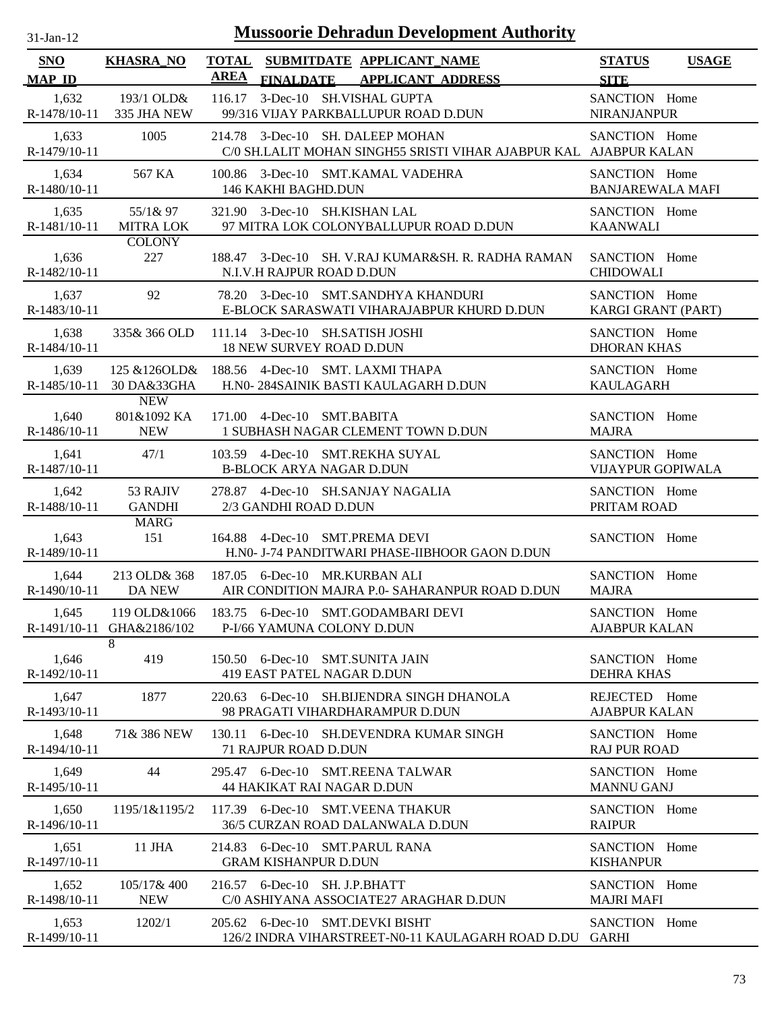| $31$ -Jan-12                |                                         | <b>Mussoorie Dehradun Development Authority</b>                                                          |                                              |
|-----------------------------|-----------------------------------------|----------------------------------------------------------------------------------------------------------|----------------------------------------------|
| <b>SNO</b><br><b>MAP ID</b> | <b>KHASRA_NO</b>                        | <b>TOTAL</b><br>SUBMITDATE APPLICANT_NAME<br><b>AREA</b><br><b>FINALDATE</b><br><b>APPLICANT ADDRESS</b> | <b>STATUS</b><br><b>USAGE</b><br><b>SITE</b> |
| 1,632<br>R-1478/10-11       | 193/1 OLD&<br>335 JHA NEW               | 3-Dec-10 SH.VISHAL GUPTA<br>116.17<br>99/316 VIJAY PARKBALLUPUR ROAD D.DUN                               | SANCTION Home<br><b>NIRANJANPUR</b>          |
| 1,633<br>R-1479/10-11       | 1005                                    | 214.78 3-Dec-10 SH. DALEEP MOHAN<br>C/0 SH.LALIT MOHAN SINGH55 SRISTI VIHAR AJABPUR KAL AJABPUR KALAN    | SANCTION Home                                |
| 1,634                       | 567 KA                                  | 100.86 3-Dec-10 SMT.KAMAL VADEHRA                                                                        | SANCTION Home                                |
| R-1480/10-11                |                                         | 146 KAKHI BAGHD.DUN                                                                                      | <b>BANJAREWALA MAFI</b>                      |
| 1,635                       | 55/1& 97                                | 321.90 3-Dec-10 SH.KISHAN LAL                                                                            | SANCTION Home                                |
| R-1481/10-11                | <b>MITRA LOK</b>                        | 97 MITRA LOK COLONYBALLUPUR ROAD D.DUN                                                                   | <b>KAANWALI</b>                              |
| 1,636                       | <b>COLONY</b>                           | 188.47 3-Dec-10 SH. V.RAJ KUMAR&SH. R. RADHA RAMAN                                                       | SANCTION Home                                |
| R-1482/10-11                | 227                                     | N.I.V.H RAJPUR ROAD D.DUN                                                                                | <b>CHIDOWALI</b>                             |
| 1,637                       | 92                                      | 78.20 3-Dec-10 SMT.SANDHYA KHANDURI                                                                      | SANCTION Home                                |
| R-1483/10-11                |                                         | E-BLOCK SARASWATI VIHARAJABPUR KHURD D.DUN                                                               | KARGI GRANT (PART)                           |
| 1,638                       | 335& 366 OLD                            | 111.14 3-Dec-10 SH.SATISH JOSHI                                                                          | SANCTION Home                                |
| R-1484/10-11                |                                         | <b>18 NEW SURVEY ROAD D.DUN</b>                                                                          | <b>DHORAN KHAS</b>                           |
| 1,639                       | 125 & 126 OLD &                         | 188.56 4-Dec-10 SMT. LAXMI THAPA                                                                         | SANCTION Home                                |
| R-1485/10-11                | 30 DA&33GHA                             | H.N0-284SAINIK BASTI KAULAGARH D.DUN                                                                     | <b>KAULAGARH</b>                             |
| 1,640<br>R-1486/10-11       | <b>NEW</b><br>801&1092 KA<br><b>NEW</b> | 171.00 4-Dec-10 SMT.BABITA<br>1 SUBHASH NAGAR CLEMENT TOWN D.DUN                                         | SANCTION Home<br><b>MAJRA</b>                |
| 1,641                       | 47/1                                    | 103.59 4-Dec-10 SMT.REKHA SUYAL                                                                          | SANCTION Home                                |
| R-1487/10-11                |                                         | <b>B-BLOCK ARYA NAGAR D.DUN</b>                                                                          | <b>VIJAYPUR GOPIWALA</b>                     |
| 1,642                       | 53 RAJIV                                | 278.87 4-Dec-10 SH.SANJAY NAGALIA                                                                        | SANCTION Home                                |
| R-1488/10-11                | <b>GANDHI</b>                           | 2/3 GANDHI ROAD D.DUN                                                                                    | PRITAM ROAD                                  |
| 1,643                       | <b>MARG</b>                             | 164.88 4-Dec-10 SMT.PREMA DEVI                                                                           | SANCTION Home                                |
| R-1489/10-11                | 151                                     | H.N0- J-74 PANDITWARI PHASE-IIBHOOR GAON D.DUN                                                           |                                              |
| 1,644                       | 213 OLD& 368                            | 187.05 6-Dec-10 MR.KURBAN ALI                                                                            | SANCTION Home                                |
| R-1490/10-11                | DA NEW                                  | AIR CONDITION MAJRA P.0- SAHARANPUR ROAD D.DUN                                                           | <b>MAJRA</b>                                 |
| 1,645                       | 119 OLD&1066                            | 183.75 6-Dec-10 SMT.GODAMBARI DEVI                                                                       | SANCTION Home                                |
| R-1491/10-11                | GHA&2186/102                            | P-I/66 YAMUNA COLONY D.DUN                                                                               | <b>AJABPUR KALAN</b>                         |
| 1,646                       | 8                                       | 150.50 6-Dec-10 SMT.SUNITA JAIN                                                                          | SANCTION Home                                |
| R-1492/10-11                | 419                                     | 419 EAST PATEL NAGAR D.DUN                                                                               | <b>DEHRA KHAS</b>                            |
| 1,647                       | 1877                                    | 220.63 6-Dec-10 SH.BIJENDRA SINGH DHANOLA                                                                | REJECTED Home                                |
| R-1493/10-11                |                                         | 98 PRAGATI VIHARDHARAMPUR D.DUN                                                                          | <b>AJABPUR KALAN</b>                         |
| 1,648                       | 71& 386 NEW                             | 130.11 6-Dec-10 SH.DEVENDRA KUMAR SINGH                                                                  | SANCTION Home                                |
| R-1494/10-11                |                                         | 71 RAJPUR ROAD D.DUN                                                                                     | <b>RAJ PUR ROAD</b>                          |
| 1,649                       | 44                                      | 295.47 6-Dec-10 SMT.REENA TALWAR                                                                         | SANCTION Home                                |
| R-1495/10-11                |                                         | 44 HAKIKAT RAI NAGAR D.DUN                                                                               | <b>MANNU GANJ</b>                            |
| 1,650                       | 1195/1&1195/2                           | 117.39 6-Dec-10 SMT.VEENA THAKUR                                                                         | SANCTION Home                                |
| R-1496/10-11                |                                         | 36/5 CURZAN ROAD DALANWALA D.DUN                                                                         | <b>RAIPUR</b>                                |
| 1,651                       | 11 JHA                                  | 214.83 6-Dec-10 SMT.PARUL RANA                                                                           | SANCTION Home                                |
| R-1497/10-11                |                                         | <b>GRAM KISHANPUR D.DUN</b>                                                                              | <b>KISHANPUR</b>                             |
| 1,652                       | 105/17& 400                             | 216.57 6-Dec-10 SH. J.P.BHATT                                                                            | SANCTION Home                                |
| R-1498/10-11                | <b>NEW</b>                              | C/0 ASHIYANA ASSOCIATE27 ARAGHAR D.DUN                                                                   | <b>MAJRI MAFI</b>                            |
| 1,653<br>R-1499/10-11       | 1202/1                                  | 205.62 6-Dec-10 SMT.DEVKI BISHT<br>126/2 INDRA VIHARSTREET-N0-11 KAULAGARH ROAD D.DU GARHI               | SANCTION Home                                |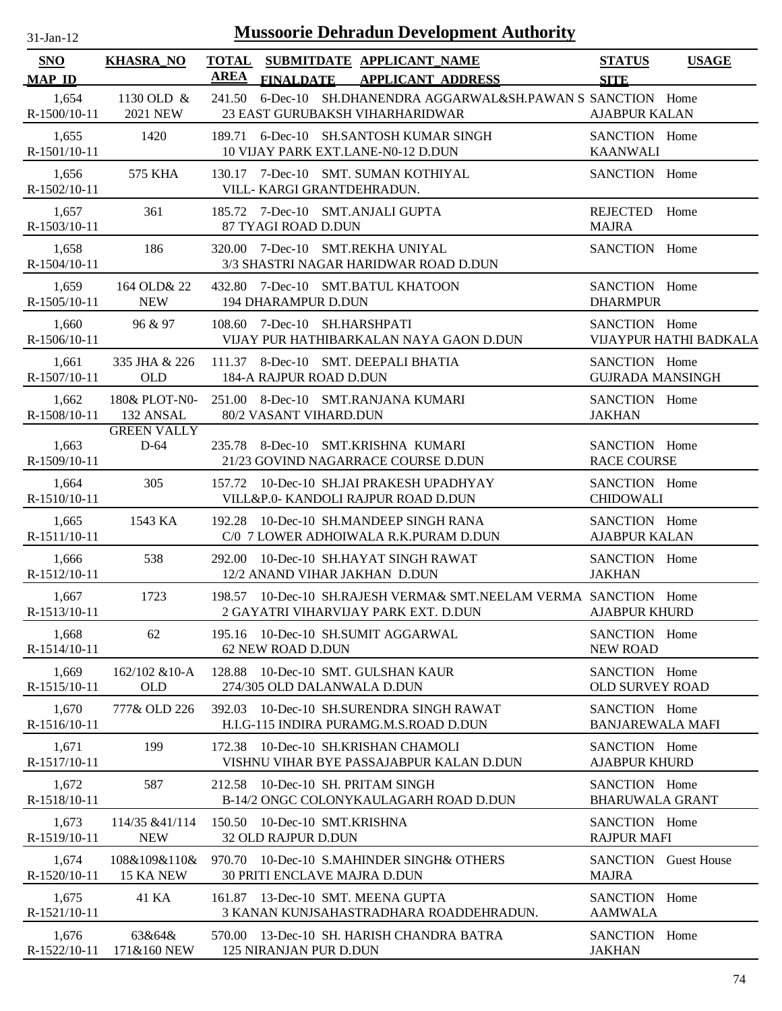| $31$ -Jan-12 |  |
|--------------|--|
|              |  |

| SNO<br><b>MAP ID</b>    | <u>KHASRA_NO</u>                             |                              |                              | TOTAL SUBMITDATE APPLICANT NAME<br><b>AREA FINALDATE APPLICANT ADDRESS</b>                                                       | <b>STATUS</b><br><b>SITE</b>                | <b>USAGE</b>           |
|-------------------------|----------------------------------------------|------------------------------|------------------------------|----------------------------------------------------------------------------------------------------------------------------------|---------------------------------------------|------------------------|
| 1,654<br>$R-1500/10-11$ | 1130 OLD $&$<br>2021 NEW                     |                              |                              | 241.50 6-Dec-10 SH.DHANENDRA AGGARWAL&SH.PAWAN S SANCTION Home<br><b>23 EAST GURUBAKSH VIHARHARIDWAR</b>                         | <b>AJABPUR KALAN</b>                        |                        |
| 1,655<br>$R-1501/10-11$ | 1420                                         |                              |                              | 189.71 6-Dec-10 SH.SANTOSH KUMAR SINGH<br>10 VIJAY PARK EXT.LANE-N0-12 D.DUN                                                     | SANCTION Home<br><b>KAANWALI</b>            |                        |
| 1,656<br>$R-1502/10-11$ | 575 KHA                                      |                              | VILL- KARGI GRANTDEHRADUN.   | 130.17 7-Dec-10 SMT. SUMAN KOTHIYAL                                                                                              | SANCTION Home                               |                        |
| 1,657<br>$R-1503/10-11$ | 361                                          |                              | 87 TYAGI ROAD D.DUN          | 185.72 7-Dec-10 SMT.ANJALI GUPTA                                                                                                 | REJECTED Home<br><b>MAJRA</b>               |                        |
| 1,658<br>$R-1504/10-11$ | 186                                          |                              |                              | 320.00 7-Dec-10 SMT.REKHA UNIYAL<br>3/3 SHASTRI NAGAR HARIDWAR ROAD D.DUN                                                        | SANCTION Home                               |                        |
| 1,659<br>$R-1505/10-11$ | 164 OLD& 22<br><b>NEW</b>                    |                              | 194 DHARAMPUR D.DUN          | 432.80 7-Dec-10 SMT.BATUL KHATOON                                                                                                | SANCTION Home<br><b>DHARMPUR</b>            |                        |
| 1,660<br>R-1506/10-11   | 96 & 97                                      | 108.60 7-Dec-10 SH.HARSHPATI |                              | VIJAY PUR HATHIBARKALAN NAYA GAON D.DUN                                                                                          | SANCTION Home                               | VIJAYPUR HATHI BADKALA |
| 1,661<br>R-1507/10-11   | 335 JHA & 226<br>OLD                         | 184-A RAJPUR ROAD D.DUN      |                              | 111.37 8-Dec-10 SMT. DEEPALI BHATIA                                                                                              | SANCTION Home<br><b>GUJRADA MANSINGH</b>    |                        |
| 1,662                   | R-1508/10-11 132 ANSAL<br><b>GREEN VALLY</b> |                              | 80/2 VASANT VIHARD.DUN       | 180& PLOT-N0- 251.00 8-Dec-10 SMT.RANJANA KUMARI                                                                                 | SANCTION Home<br><b>JAKHAN</b>              |                        |
| 1,663<br>$R-1509/10-11$ | D-64                                         |                              |                              | 235.78 8-Dec-10 SMT.KRISHNA KUMARI<br>21/23 GOVIND NAGARRACE COURSE D.DUN                                                        | SANCTION Home<br><b>RACE COURSE</b>         |                        |
| 1,664<br>R-1510/10-11   | 305                                          |                              |                              | 157.72 10-Dec-10 SH.JAI PRAKESH UPADHYAY<br>VILL&P.0- KANDOLI RAJPUR ROAD D.DUN                                                  | SANCTION Home<br><b>CHIDOWALI</b>           |                        |
| 1,665<br>$R-1511/10-11$ | 1543 KA                                      |                              |                              | 192.28 10-Dec-10 SH.MANDEEP SINGH RANA<br>C/0 7 LOWER ADHOIWALA R.K.PURAM D.DUN                                                  | SANCTION Home<br><b>AJABPUR KALAN</b>       |                        |
| 1,666<br>R-1512/10-11   | 538                                          |                              |                              | 292.00 10-Dec-10 SH.HAYAT SINGH RAWAT<br>12/2 ANAND VIHAR JAKHAN D.DUN                                                           | SANCTION Home<br><b>JAKHAN</b>              |                        |
| 1,667<br>$R-1513/10-11$ | 1723                                         |                              |                              | 198.57 10-Dec-10 SH.RAJESH VERMA& SMT.NEELAM VERMA SANCTION Home<br>2 GAYATRI VIHARVIJAY PARK EXT. D.DUN<br><b>AJABPUR KHURD</b> |                                             |                        |
| 1,668<br>R-1514/10-11   | 62                                           |                              | 62 NEW ROAD D.DUN            | 195.16 10-Dec-10 SH.SUMIT AGGARWAL                                                                                               | SANCTION Home<br><b>NEW ROAD</b>            |                        |
| 1,669<br>R-1515/10-11   | 162/102 & 10-A<br><b>OLD</b>                 | 128.88                       | 274/305 OLD DALANWALA D.DUN  | 10-Dec-10 SMT. GULSHAN KAUR                                                                                                      | SANCTION Home<br><b>OLD SURVEY ROAD</b>     |                        |
| 1,670<br>R-1516/10-11   | 777& OLD 226                                 |                              |                              | 392.03 10-Dec-10 SH.SURENDRA SINGH RAWAT<br>H.I.G-115 INDIRA PURAMG.M.S.ROAD D.DUN                                               | SANCTION Home<br><b>BANJAREWALA MAFI</b>    |                        |
| 1,671<br>R-1517/10-11   | 199                                          |                              |                              | 172.38 10-Dec-10 SH.KRISHAN CHAMOLI<br>VISHNU VIHAR BYE PASSAJABPUR KALAN D.DUN                                                  | SANCTION Home<br><b>AJABPUR KHURD</b>       |                        |
| 1,672<br>R-1518/10-11   | 587                                          |                              |                              | 212.58 10-Dec-10 SH. PRITAM SINGH<br>B-14/2 ONGC COLONYKAULAGARH ROAD D.DUN                                                      | SANCTION Home<br><b>BHARUWALA GRANT</b>     |                        |
| 1,673<br>R-1519/10-11   | 114/35 & 41/114<br><b>NEW</b>                | 150.50 10-Dec-10 SMT.KRISHNA | 32 OLD RAJPUR D.DUN          |                                                                                                                                  | SANCTION Home<br><b>RAJPUR MAFI</b>         |                        |
| 1,674<br>R-1520/10-11   | 108&109&110&<br>15 KA NEW                    |                              | 30 PRITI ENCLAVE MAJRA D.DUN | 970.70 10-Dec-10 S.MAHINDER SINGH& OTHERS                                                                                        | <b>SANCTION</b> Guest House<br><b>MAJRA</b> |                        |
| 1,675<br>R-1521/10-11   | 41 KA                                        |                              |                              | 161.87 13-Dec-10 SMT. MEENA GUPTA<br>3 KANAN KUNJSAHASTRADHARA ROADDEHRADUN.                                                     | SANCTION Home<br><b>AAMWALA</b>             |                        |
| 1,676<br>R-1522/10-11   | 63&64&<br>171&160 NEW                        |                              | 125 NIRANJAN PUR D.DUN       | 570.00 13-Dec-10 SH. HARISH CHANDRA BATRA                                                                                        | SANCTION Home<br><b>JAKHAN</b>              |                        |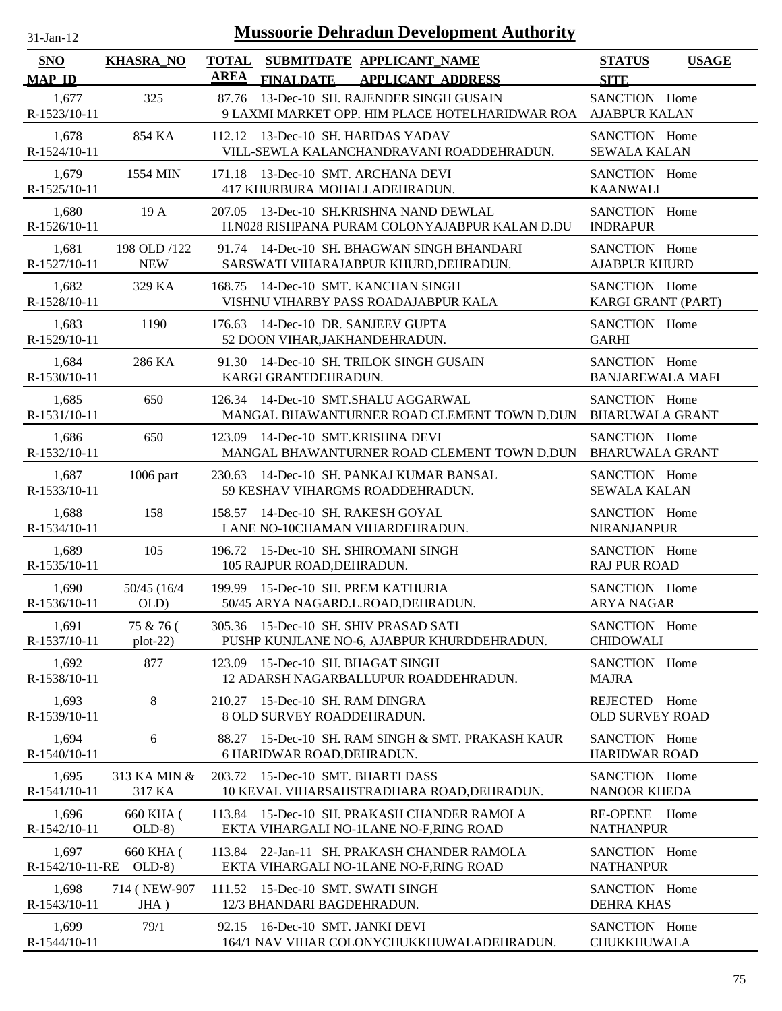| $31$ -Jan-12                |                            | <b>Mussoorie Dehradun Development Authority</b>                                                          |                                              |
|-----------------------------|----------------------------|----------------------------------------------------------------------------------------------------------|----------------------------------------------|
| <b>SNO</b><br><b>MAP ID</b> | <b>KHASRA_NO</b>           | <b>TOTAL</b><br>SUBMITDATE APPLICANT_NAME<br><b>AREA</b><br><b>APPLICANT ADDRESS</b><br><b>FINALDATE</b> | <b>STATUS</b><br><b>USAGE</b><br><b>SITE</b> |
| 1,677<br>R-1523/10-11       | 325                        | 13-Dec-10 SH. RAJENDER SINGH GUSAIN<br>87.76<br>9 LAXMI MARKET OPP. HIM PLACE HOTELHARIDWAR ROA          | SANCTION Home<br><b>AJABPUR KALAN</b>        |
| 1,678<br>R-1524/10-11       | 854 KA                     | 112.12 13-Dec-10 SH. HARIDAS YADAV<br>VILL-SEWLA KALANCHANDRAVANI ROADDEHRADUN.                          | SANCTION Home<br><b>SEWALA KALAN</b>         |
| 1,679<br>R-1525/10-11       | 1554 MIN                   | 13-Dec-10 SMT, ARCHANA DEVI<br>171.18<br>417 KHURBURA MOHALLADEHRADUN.                                   | SANCTION Home<br><b>KAANWALI</b>             |
| 1,680<br>R-1526/10-11       | 19A                        | 207.05 13-Dec-10 SH.KRISHNA NAND DEWLAL<br>H.N028 RISHPANA PURAM COLONYAJABPUR KALAN D.DU                | SANCTION Home<br><b>INDRAPUR</b>             |
| 1,681<br>R-1527/10-11       | 198 OLD /122<br><b>NEW</b> | 14-Dec-10 SH. BHAGWAN SINGH BHANDARI<br>91.74<br>SARSWATI VIHARAJABPUR KHURD, DEHRADUN.                  | SANCTION Home<br><b>AJABPUR KHURD</b>        |
| 1,682<br>R-1528/10-11       | 329 KA                     | 14-Dec-10 SMT. KANCHAN SINGH<br>168.75<br>VISHNU VIHARBY PASS ROADAJABPUR KALA                           | SANCTION Home<br>KARGI GRANT (PART)          |
| 1,683<br>R-1529/10-11       | 1190                       | 14-Dec-10 DR. SANJEEV GUPTA<br>176.63<br>52 DOON VIHAR, JAKHANDEHRADUN.                                  | SANCTION Home<br><b>GARHI</b>                |
| 1,684<br>R-1530/10-11       | 286 KA                     | 14-Dec-10 SH. TRILOK SINGH GUSAIN<br>91.30<br>KARGI GRANTDEHRADUN.                                       | SANCTION Home<br><b>BANJAREWALA MAFI</b>     |
| 1,685<br>R-1531/10-11       | 650                        | 14-Dec-10 SMT.SHALU AGGARWAL<br>126.34<br>MANGAL BHAWANTURNER ROAD CLEMENT TOWN D.DUN                    | SANCTION Home<br><b>BHARUWALA GRANT</b>      |
| 1,686<br>R-1532/10-11       | 650                        | 14-Dec-10 SMT.KRISHNA DEVI<br>123.09<br>MANGAL BHAWANTURNER ROAD CLEMENT TOWN D.DUN                      | SANCTION Home<br><b>BHARUWALA GRANT</b>      |
| 1,687<br>R-1533/10-11       | 1006 part                  | 14-Dec-10 SH. PANKAJ KUMAR BANSAL<br>230.63<br>59 KESHAV VIHARGMS ROADDEHRADUN.                          | SANCTION Home<br><b>SEWALA KALAN</b>         |
| 1,688<br>R-1534/10-11       | 158                        | 14-Dec-10 SH. RAKESH GOYAL<br>158.57<br>LANE NO-10CHAMAN VIHARDEHRADUN.                                  | SANCTION Home<br><b>NIRANJANPUR</b>          |
| 1,689<br>R-1535/10-11       | 105                        | 15-Dec-10 SH. SHIROMANI SINGH<br>196.72<br>105 RAJPUR ROAD, DEHRADUN.                                    | SANCTION Home<br><b>RAJ PUR ROAD</b>         |
| 1,690<br>R-1536/10-11       | 50/45 (16/4<br>OLD)        | 199.99 15-Dec-10 SH. PREM KATHURIA<br>50/45 ARYA NAGARD.L.ROAD, DEHRADUN.                                | SANCTION Home<br><b>ARYA NAGAR</b>           |
| 1,691<br>R-1537/10-11       | 75 & 76 (<br>$plot-22)$    | 305.36 15-Dec-10 SH. SHIV PRASAD SATI<br>PUSHP KUNJLANE NO-6, AJABPUR KHURDDEHRADUN.                     | SANCTION Home<br><b>CHIDOWALI</b>            |
| 1,692<br>R-1538/10-11       | 877                        | 123.09<br>15-Dec-10 SH. BHAGAT SINGH<br>12 ADARSH NAGARBALLUPUR ROADDEHRADUN.                            | SANCTION Home<br><b>MAJRA</b>                |
| 1,693<br>R-1539/10-11       | 8                          | 210.27 15-Dec-10 SH. RAM DINGRA<br>8 OLD SURVEY ROADDEHRADUN.                                            | REJECTED Home<br><b>OLD SURVEY ROAD</b>      |
| 1,694<br>R-1540/10-11       | 6                          | 15-Dec-10 SH. RAM SINGH & SMT. PRAKASH KAUR<br>88.27<br>6 HARIDWAR ROAD, DEHRADUN.                       | SANCTION Home<br><b>HARIDWAR ROAD</b>        |
| 1,695<br>R-1541/10-11       | 313 KA MIN &<br>317 KA     | 15-Dec-10 SMT. BHARTI DASS<br>203.72<br>10 KEVAL VIHARSAHSTRADHARA ROAD, DEHRADUN.                       | SANCTION Home<br><b>NANOOR KHEDA</b>         |
| 1,696<br>R-1542/10-11       | 660 KHA (<br>$OLD-8)$      | 15-Dec-10 SH. PRAKASH CHANDER RAMOLA<br>113.84<br>EKTA VIHARGALI NO-1LANE NO-F, RING ROAD                | RE-OPENE Home<br><b>NATHANPUR</b>            |
| 1,697<br>R-1542/10-11-RE    | 660 KHA (<br>$OLD-8$       | 22-Jan-11 SH. PRAKASH CHANDER RAMOLA<br>113.84<br>EKTA VIHARGALI NO-1LANE NO-F, RING ROAD                | SANCTION Home<br><b>NATHANPUR</b>            |
| 1,698<br>$R-1543/10-11$     | 714 (NEW-907)<br>$JHA$ )   | 15-Dec-10 SMT. SWATI SINGH<br>111.52<br>12/3 BHANDARI BAGDEHRADUN.                                       | SANCTION Home<br><b>DEHRA KHAS</b>           |
| 1,699<br>R-1544/10-11       | 79/1                       | 16-Dec-10 SMT. JANKI DEVI<br>92.15<br>164/1 NAV VIHAR COLONYCHUKKHUWALADEHRADUN.                         | SANCTION Home<br><b>CHUKKHUWALA</b>          |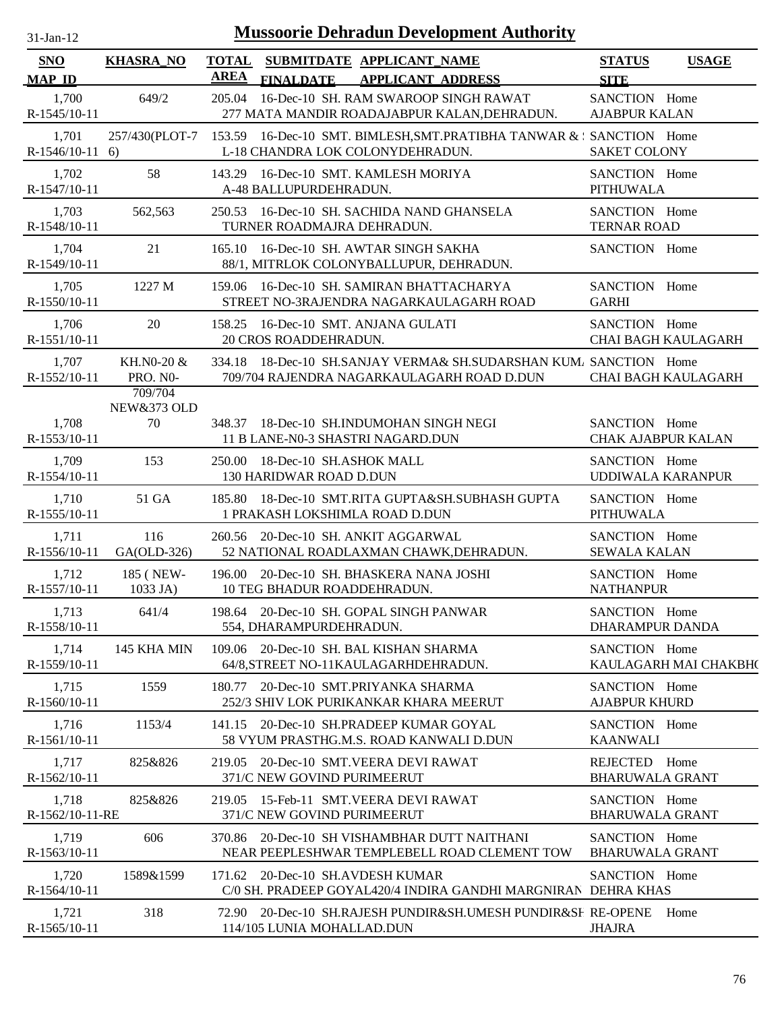| $31$ -Jan-12                | <b>Mussoorie Dehradun Development Authority</b> |                             |                                                                                                                 |                                             |              |  |  |
|-----------------------------|-------------------------------------------------|-----------------------------|-----------------------------------------------------------------------------------------------------------------|---------------------------------------------|--------------|--|--|
| <b>SNO</b><br><b>MAP ID</b> | <b>KHASRA_NO</b>                                | <b>TOTAL</b><br><b>AREA</b> | SUBMITDATE APPLICANT_NAME<br><b>FINALDATE</b><br><b>APPLICANT ADDRESS</b>                                       | <b>STATUS</b><br><b>SITE</b>                | <b>USAGE</b> |  |  |
| 1,700<br>R-1545/10-11       | 649/2                                           |                             | 205.04 16-Dec-10 SH. RAM SWAROOP SINGH RAWAT<br>277 MATA MANDIR ROADAJABPUR KALAN, DEHRADUN.                    | SANCTION Home<br><b>AJABPUR KALAN</b>       |              |  |  |
| 1,701<br>$R-1546/10-11$ 6)  | 257/430(PLOT-7                                  |                             | 153.59 16-Dec-10 SMT. BIMLESH, SMT. PRATIBHA TANWAR & : SANCTION Home<br>L-18 CHANDRA LOK COLONYDEHRADUN.       | <b>SAKET COLONY</b>                         |              |  |  |
| 1,702<br>R-1547/10-11       | 58                                              |                             | 143.29 16-Dec-10 SMT. KAMLESH MORIYA<br>A-48 BALLUPURDEHRADUN.                                                  | SANCTION Home<br><b>PITHUWALA</b>           |              |  |  |
| 1,703<br>R-1548/10-11       | 562,563                                         |                             | 250.53 16-Dec-10 SH. SACHIDA NAND GHANSELA<br>TURNER ROADMAJRA DEHRADUN.                                        | SANCTION Home<br><b>TERNAR ROAD</b>         |              |  |  |
| 1,704<br>R-1549/10-11       | 21                                              |                             | 165.10 16-Dec-10 SH. AWTAR SINGH SAKHA<br>88/1, MITRLOK COLONYBALLUPUR, DEHRADUN.                               | SANCTION Home                               |              |  |  |
| 1,705<br>R-1550/10-11       | 1227 M                                          |                             | 159.06 16-Dec-10 SH. SAMIRAN BHATTACHARYA<br>STREET NO-3RAJENDRA NAGARKAULAGARH ROAD                            | SANCTION Home<br><b>GARHI</b>               |              |  |  |
| 1,706<br>$R-1551/10-11$     | 20                                              |                             | 158.25 16-Dec-10 SMT. ANJANA GULATI<br>20 CROS ROADDEHRADUN.                                                    | SANCTION Home<br><b>CHAI BAGH KAULAGARH</b> |              |  |  |
| 1,707<br>R-1552/10-11       | KH.N0-20 &<br><b>PRO. NO-</b><br>709/704        |                             | 334.18 18-Dec-10 SH.SANJAY VERMA& SH.SUDARSHAN KUM/ SANCTION Home<br>709/704 RAJENDRA NAGARKAULAGARH ROAD D.DUN | <b>CHAI BAGH KAULAGARH</b>                  |              |  |  |
| 1,708<br>R-1553/10-11       | <b>NEW&amp;373 OLD</b><br>70                    |                             | 348.37 18-Dec-10 SH.INDUMOHAN SINGH NEGI<br>11 B LANE-N0-3 SHASTRI NAGARD.DUN                                   | SANCTION Home<br><b>CHAK AJABPUR KALAN</b>  |              |  |  |
| 1,709<br>$R-1554/10-11$     | 153                                             |                             | 250.00 18-Dec-10 SH.ASHOK MALL<br>130 HARIDWAR ROAD D.DUN                                                       | SANCTION Home<br>UDDIWALA KARANPUR          |              |  |  |
| 1,710<br>R-1555/10-11       | 51 GA                                           |                             | 185.80 18-Dec-10 SMT.RITA GUPTA&SH.SUBHASH GUPTA<br>1 PRAKASH LOKSHIMLA ROAD D.DUN                              | SANCTION Home<br><b>PITHUWALA</b>           |              |  |  |
| 1,711<br>R-1556/10-11       | 116<br>GA(OLD-326)                              |                             | 260.56 20-Dec-10 SH. ANKIT AGGARWAL<br>52 NATIONAL ROADLAXMAN CHAWK, DEHRADUN.                                  | SANCTION Home<br><b>SEWALA KALAN</b>        |              |  |  |
| 1,712<br>R-1557/10-11       | 185 (NEW-<br>1033 JA)                           |                             | 196.00 20-Dec-10 SH. BHASKERA NANA JOSHI<br>10 TEG BHADUR ROADDEHRADUN.                                         | SANCTION Home<br><b>NATHANPUR</b>           |              |  |  |
| 1,713<br>R-1558/10-11       | 641/4                                           |                             | 198.64 20-Dec-10 SH. GOPAL SINGH PANWAR<br>554, DHARAMPURDEHRADUN.                                              | SANCTION Home<br><b>DHARAMPUR DANDA</b>     |              |  |  |
| 1,714<br>R-1559/10-11       | 145 KHA MIN                                     |                             | 109.06 20-Dec-10 SH. BAL KISHAN SHARMA<br>64/8, STREET NO-11 KAULAGARH DEHRADUN.                                | SANCTION Home<br>KAULAGARH MAI CHAKBH(      |              |  |  |
| 1,715<br>R-1560/10-11       | 1559                                            | 180.77                      | 20-Dec-10 SMT.PRIYANKA SHARMA<br>252/3 SHIV LOK PURIKANKAR KHARA MEERUT                                         | SANCTION Home<br><b>AJABPUR KHURD</b>       |              |  |  |
| 1,716<br>R-1561/10-11       | 1153/4                                          | 141.15                      | 20-Dec-10 SH.PRADEEP KUMAR GOYAL<br>58 VYUM PRASTHG.M.S. ROAD KANWALI D.DUN                                     | SANCTION Home<br><b>KAANWALI</b>            |              |  |  |
| 1,717<br>R-1562/10-11       | 825&826                                         |                             | 219.05 20-Dec-10 SMT. VEERA DEVI RAWAT<br>371/C NEW GOVIND PURIMEERUT                                           | REJECTED Home<br><b>BHARUWALA GRANT</b>     |              |  |  |
| 1,718<br>R-1562/10-11-RE    | 825&826                                         | 219.05                      | 15-Feb-11 SMT.VEERA DEVI RAWAT<br>371/C NEW GOVIND PURIMEERUT                                                   | SANCTION Home<br><b>BHARUWALA GRANT</b>     |              |  |  |
| 1,719<br>$R-1563/10-11$     | 606                                             | 370.86                      | 20-Dec-10 SH VISHAMBHAR DUTT NAITHANI<br>NEAR PEEPLESHWAR TEMPLEBELL ROAD CLEMENT TOW                           | SANCTION Home<br><b>BHARUWALA GRANT</b>     |              |  |  |
| 1,720<br>$R-1564/10-11$     | 1589&1599                                       |                             | 171.62 20-Dec-10 SH.AVDESH KUMAR<br>C/0 SH. PRADEEP GOYAL420/4 INDIRA GANDHI MARGNIRAN DEHRA KHAS               | SANCTION Home                               |              |  |  |
| 1,721<br>R-1565/10-11       | 318                                             |                             | 72.90 20-Dec-10 SH.RAJESH PUNDIR&SH.UMESH PUNDIR&SF RE-OPENE<br>114/105 LUNIA MOHALLAD.DUN                      | Home<br><b>JHAJRA</b>                       |              |  |  |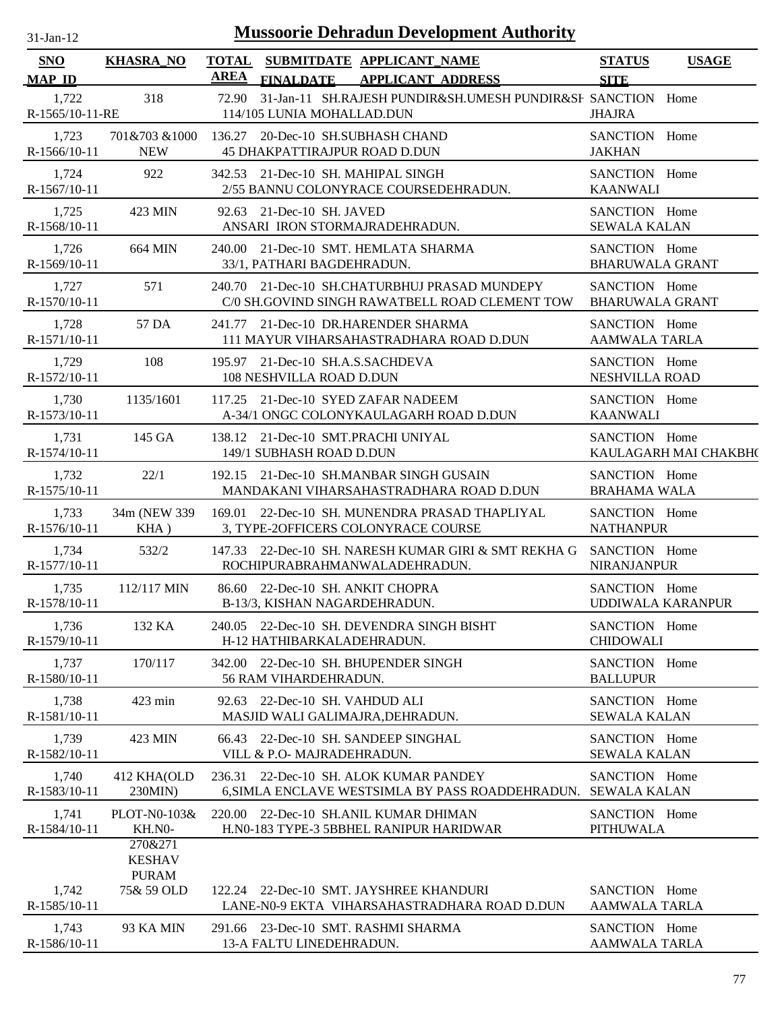| $31$ -Jan-12                |                                          |        | <b>Mussoorie Dehradun Development Authority</b>                                                         |                                         |                          |
|-----------------------------|------------------------------------------|--------|---------------------------------------------------------------------------------------------------------|-----------------------------------------|--------------------------|
| <b>SNO</b><br><b>MAP ID</b> | <b>KHASRA_NO</b>                         | AREA   | TOTAL SUBMITDATE APPLICANT NAME<br><b>APPLICANT ADDRESS</b><br><b>FINALDATE</b>                         | <b>STATUS</b><br><b>SITE</b>            | <b>USAGE</b>             |
| 1,722<br>R-1565/10-11-RE    | 318                                      | 72.90  | 31-Jan-11 SH.RAJESH PUNDIR&SH.UMESH PUNDIR&SF. SANCTION Home<br>114/105 LUNIA MOHALLAD.DUN              | <b>JHAJRA</b>                           |                          |
| 1,723<br>R-1566/10-11       | 701&703 &1000<br><b>NEW</b>              |        | 136.27 20-Dec-10 SH.SUBHASH CHAND<br><b>45 DHAKPATTIRAJPUR ROAD D.DUN</b>                               | SANCTION Home<br><b>JAKHAN</b>          |                          |
| 1,724<br>$R-1567/10-11$     | 922                                      |        | 342.53 21-Dec-10 SH. MAHIPAL SINGH<br>2/55 BANNU COLONYRACE COURSEDEHRADUN.                             | SANCTION Home<br><b>KAANWALI</b>        |                          |
| 1,725<br>R-1568/10-11       | 423 MIN                                  |        | 92.63 21-Dec-10 SH. JAVED<br>ANSARI IRON STORMAJRADEHRADUN.                                             | SANCTION Home<br><b>SEWALA KALAN</b>    |                          |
| 1,726<br>R-1569/10-11       | 664 MIN                                  |        | 240.00 21-Dec-10 SMT. HEMLATA SHARMA<br>33/1, PATHARI BAGDEHRADUN.                                      | SANCTION Home<br><b>BHARUWALA GRANT</b> |                          |
| 1,727<br>R-1570/10-11       | 571                                      |        | 240.70 21-Dec-10 SH.CHATURBHUJ PRASAD MUNDEPY<br>C/0 SH.GOVIND SINGH RAWATBELL ROAD CLEMENT TOW         | SANCTION Home<br><b>BHARUWALA GRANT</b> |                          |
| 1,728<br>R-1571/10-11       | 57 DA                                    |        | 241.77 21-Dec-10 DR.HARENDER SHARMA<br>111 MAYUR VIHARSAHASTRADHARA ROAD D.DUN                          | SANCTION Home<br><b>AAMWALA TARLA</b>   |                          |
| 1,729<br>R-1572/10-11       | 108                                      |        | 195.97 21-Dec-10 SH.A.S.SACHDEVA<br>108 NESHVILLA ROAD D.DUN                                            | SANCTION Home<br><b>NESHVILLA ROAD</b>  |                          |
| 1,730<br>R-1573/10-11       | 1135/1601                                |        | 117.25 21-Dec-10 SYED ZAFAR NADEEM<br>A-34/1 ONGC COLONYKAULAGARH ROAD D.DUN                            | SANCTION Home<br><b>KAANWALI</b>        |                          |
| 1,731<br>R-1574/10-11       | 145 GA                                   |        | 138.12 21-Dec-10 SMT.PRACHI UNIYAL<br>149/1 SUBHASH ROAD D.DUN                                          | SANCTION Home                           | KAULAGARH MAI CHAKBH(    |
| 1,732<br>R-1575/10-11       | 22/1                                     |        | 192.15 21-Dec-10 SH.MANBAR SINGH GUSAIN<br>MANDAKANI VIHARSAHASTRADHARA ROAD D.DUN                      | SANCTION Home<br><b>BRAHAMA WALA</b>    |                          |
| 1,733<br>R-1576/10-11       | 34m (NEW 339<br>KHA)                     | 169.01 | 22-Dec-10 SH. MUNENDRA PRASAD THAPLIYAL<br>3, TYPE-2OFFICERS COLONYRACE COURSE                          | SANCTION Home<br><b>NATHANPUR</b>       |                          |
| 1,734<br>R-1577/10-11       | 532/2                                    |        | 147.33 22-Dec-10 SH. NARESH KUMAR GIRI & SMT REKHA G<br>ROCHIPURABRAHMANWALADEHRADUN.                   | SANCTION Home<br><b>NIRANJANPUR</b>     |                          |
| 1,735<br>R-1578/10-11       | 112/117 MIN                              |        | 86.60 22-Dec-10 SH. ANKIT CHOPRA<br>B-13/3, KISHAN NAGARDEHRADUN.                                       | SANCTION Home                           | <b>UDDIWALA KARANPUR</b> |
| 1,736<br>R-1579/10-11       | 132 KA                                   |        | 240.05 22-Dec-10 SH. DEVENDRA SINGH BISHT<br>H-12 HATHIBARKALADEHRADUN.                                 | SANCTION Home<br><b>CHIDOWALI</b>       |                          |
| 1,737<br>R-1580/10-11       | 170/117                                  |        | 342.00 22-Dec-10 SH. BHUPENDER SINGH<br>56 RAM VIHARDEHRADUN.                                           | SANCTION Home<br><b>BALLUPUR</b>        |                          |
| 1,738<br>R-1581/10-11       | 423 min                                  |        | 92.63 22-Dec-10 SH. VAHDUD ALI<br>MASJID WALI GALIMAJRA, DEHRADUN.                                      | SANCTION Home<br><b>SEWALA KALAN</b>    |                          |
| 1,739<br>R-1582/10-11       | 423 MIN                                  |        | 66.43 22-Dec-10 SH. SANDEEP SINGHAL<br>VILL & P.O- MAJRADEHRADUN.                                       | SANCTION Home<br><b>SEWALA KALAN</b>    |                          |
| 1,740<br>R-1583/10-11       | 412 KHA(OLD<br>230MIN)                   |        | 236.31 22-Dec-10 SH. ALOK KUMAR PANDEY<br>6, SIMLA ENCLAVE WESTSIMLA BY PASS ROADDEHRADUN. SEWALA KALAN | SANCTION Home                           |                          |
| 1,741<br>R-1584/10-11       | PLOT-N0-103&<br>KH.NO-                   |        | 220.00 22-Dec-10 SH.ANIL KUMAR DHIMAN<br>H.NO-183 TYPE-3 5BBHEL RANIPUR HARIDWAR                        | SANCTION Home<br><b>PITHUWALA</b>       |                          |
|                             | 270&271<br><b>KESHAV</b><br><b>PURAM</b> |        |                                                                                                         |                                         |                          |
| 1,742<br>R-1585/10-11       | 75& 59 OLD                               |        | 122.24 22-Dec-10 SMT. JAYSHREE KHANDURI<br>LANE-N0-9 EKTA VIHARSAHASTRADHARA ROAD D.DUN                 | SANCTION Home<br>AAMWALA TARLA          |                          |
| 1,743<br>R-1586/10-11       | 93 KA MIN                                |        | 291.66 23-Dec-10 SMT. RASHMI SHARMA<br>13-A FALTU LINEDEHRADUN.                                         | SANCTION Home<br>AAMWALA TARLA          |                          |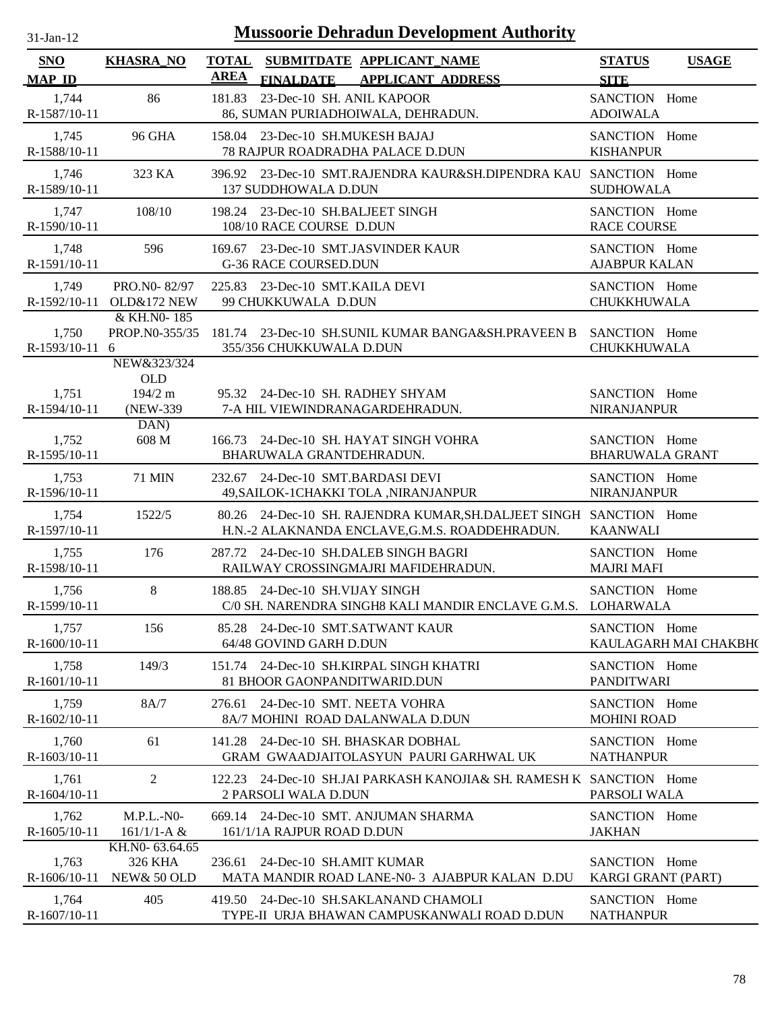| $31$ -Jan-12                |                                                   | <b>Mussoorie Dehradun Development Authority</b>                                                                      |                                              |
|-----------------------------|---------------------------------------------------|----------------------------------------------------------------------------------------------------------------------|----------------------------------------------|
| <b>SNO</b><br><b>MAP ID</b> | <b>KHASRA_NO</b>                                  | TOTAL SUBMITDATE APPLICANT NAME<br><b>AREA</b><br><b>FINALDATE</b><br><b>APPLICANT ADDRESS</b>                       | <b>STATUS</b><br><b>USAGE</b><br><b>SITE</b> |
| 1,744                       | 86                                                | 181.83 23-Dec-10 SH. ANIL KAPOOR                                                                                     | SANCTION Home                                |
| R-1587/10-11                |                                                   | 86, SUMAN PURIADHOIWALA, DEHRADUN.                                                                                   | <b>ADOIWALA</b>                              |
| 1,745                       | <b>96 GHA</b>                                     | 158.04 23-Dec-10 SH.MUKESH BAJAJ                                                                                     | SANCTION Home                                |
| R-1588/10-11                |                                                   | <b>78 RAJPUR ROADRADHA PALACE D.DUN</b>                                                                              | <b>KISHANPUR</b>                             |
| 1,746<br>R-1589/10-11       | 323 KA                                            | 396.92 23-Dec-10 SMT.RAJENDRA KAUR&SH.DIPENDRA KAU SANCTION Home<br>137 SUDDHOWALA D.DUN                             | <b>SUDHOWALA</b>                             |
| 1,747                       | 108/10                                            | 198.24 23-Dec-10 SH.BALJEET SINGH                                                                                    | SANCTION Home                                |
| R-1590/10-11                |                                                   | 108/10 RACE COURSE D.DUN                                                                                             | <b>RACE COURSE</b>                           |
| 1,748                       | 596                                               | 169.67 23-Dec-10 SMT.JASVINDER KAUR                                                                                  | SANCTION Home                                |
| R-1591/10-11                |                                                   | <b>G-36 RACE COURSED.DUN</b>                                                                                         | <b>AJABPUR KALAN</b>                         |
| 1,749                       | PRO.N0-82/97                                      | 225.83 23-Dec-10 SMT.KAILA DEVI                                                                                      | SANCTION Home                                |
| R-1592/10-11                | <b>OLD&amp;172 NEW</b>                            | 99 CHUKKUWALA D.DUN                                                                                                  | CHUKKHUWALA                                  |
| 1,750<br>R-1593/10-11       | & KH.NO-185<br>PROP.NO-355/35<br>6<br>NEW&323/324 | 181.74 23-Dec-10 SH.SUNIL KUMAR BANGA&SH.PRAVEEN B<br>355/356 CHUKKUWALA D.DUN                                       | SANCTION Home<br><b>CHUKKHUWALA</b>          |
| 1,751<br>R-1594/10-11       | <b>OLD</b><br>$194/2$ m<br>(NEW-339)<br>DAN)      | 95.32 24-Dec-10 SH. RADHEY SHYAM<br>7-A HIL VIEWINDRANAGARDEHRADUN.                                                  | SANCTION Home<br><b>NIRANJANPUR</b>          |
| 1,752                       | 608 M                                             | 166.73 24-Dec-10 SH. HAYAT SINGH VOHRA                                                                               | SANCTION Home                                |
| R-1595/10-11                |                                                   | BHARUWALA GRANTDEHRADUN.                                                                                             | <b>BHARUWALA GRANT</b>                       |
| 1,753                       | <b>71 MIN</b>                                     | 232.67 24-Dec-10 SMT.BARDASI DEVI                                                                                    | SANCTION Home                                |
| R-1596/10-11                |                                                   | 49, SAILOK-1 CHAKKI TOLA, NIRANJANPUR                                                                                | <b>NIRANJANPUR</b>                           |
| 1,754<br>R-1597/10-11       | 1522/5                                            | 80.26 24-Dec-10 SH. RAJENDRA KUMAR, SH.DALJEET SINGH SANCTION Home<br>H.N.-2 ALAKNANDA ENCLAVE, G.M.S. ROADDEHRADUN. | <b>KAANWALI</b>                              |
| 1,755                       | 176                                               | 287.72 24-Dec-10 SH.DALEB SINGH BAGRI                                                                                | SANCTION Home                                |
| R-1598/10-11                |                                                   | RAILWAY CROSSINGMAJRI MAFIDEHRADUN.                                                                                  | <b>MAJRI MAFI</b>                            |
| 1,756<br>R-1599/10-11       | 8                                                 | 188.85 24-Dec-10 SH.VIJAY SINGH<br>C/0 SH. NARENDRA SINGH8 KALI MANDIR ENCLAVE G.M.S. LOHARWALA                      | SANCTION Home                                |
| 1,757                       | 156                                               | 85.28 24-Dec-10 SMT.SATWANT KAUR                                                                                     | SANCTION Home                                |
| $R-1600/10-11$              |                                                   | 64/48 GOVIND GARH D.DUN                                                                                              | KAULAGARH MAI CHAKBH(                        |
| 1,758                       | 149/3                                             | 151.74 24-Dec-10 SH.KIRPAL SINGH KHATRI                                                                              | SANCTION Home                                |
| R-1601/10-11                |                                                   | 81 BHOOR GAONPANDITWARID.DUN                                                                                         | <b>PANDITWARI</b>                            |
| 1,759                       | 8A/7                                              | 276.61 24-Dec-10 SMT. NEETA VOHRA                                                                                    | SANCTION Home                                |
| R-1602/10-11                |                                                   | 8A/7 MOHINI ROAD DALANWALA D.DUN                                                                                     | <b>MOHINI ROAD</b>                           |
| 1,760                       | 61                                                | 141.28 24-Dec-10 SH, BHASKAR DOBHAL                                                                                  | SANCTION Home                                |
| R-1603/10-11                |                                                   | GRAM GWAADJAITOLASYUN PAURI GARHWAL UK                                                                               | <b>NATHANPUR</b>                             |
| 1,761<br>R-1604/10-11       | $\overline{2}$                                    | 122.23 24-Dec-10 SH.JAI PARKASH KANOJIA& SH. RAMESH K SANCTION Home<br>2 PARSOLI WALA D.DUN                          | PARSOLI WALA                                 |
| 1,762                       | $M.P.L.-N0-$                                      | 669.14 24-Dec-10 SMT. ANJUMAN SHARMA                                                                                 | SANCTION Home                                |
| R-1605/10-11                | $161/1/1-A &$                                     | 161/1/1A RAJPUR ROAD D.DUN                                                                                           | <b>JAKHAN</b>                                |
| 1,763<br>$R-1606/10-11$     | KH.N0-63.64.65<br>326 KHA<br>NEW& 50 OLD          | 24-Dec-10 SH.AMIT KUMAR<br>236.61<br>MATA MANDIR ROAD LANE-N0-3 AJABPUR KALAN D.DU                                   | SANCTION Home<br><b>KARGI GRANT (PART)</b>   |
| 1,764                       | 405                                               | 419.50 24-Dec-10 SH.SAKLANAND CHAMOLI                                                                                | SANCTION Home                                |
| R-1607/10-11                |                                                   | TYPE-II URJA BHAWAN CAMPUSKANWALI ROAD D.DUN                                                                         | <b>NATHANPUR</b>                             |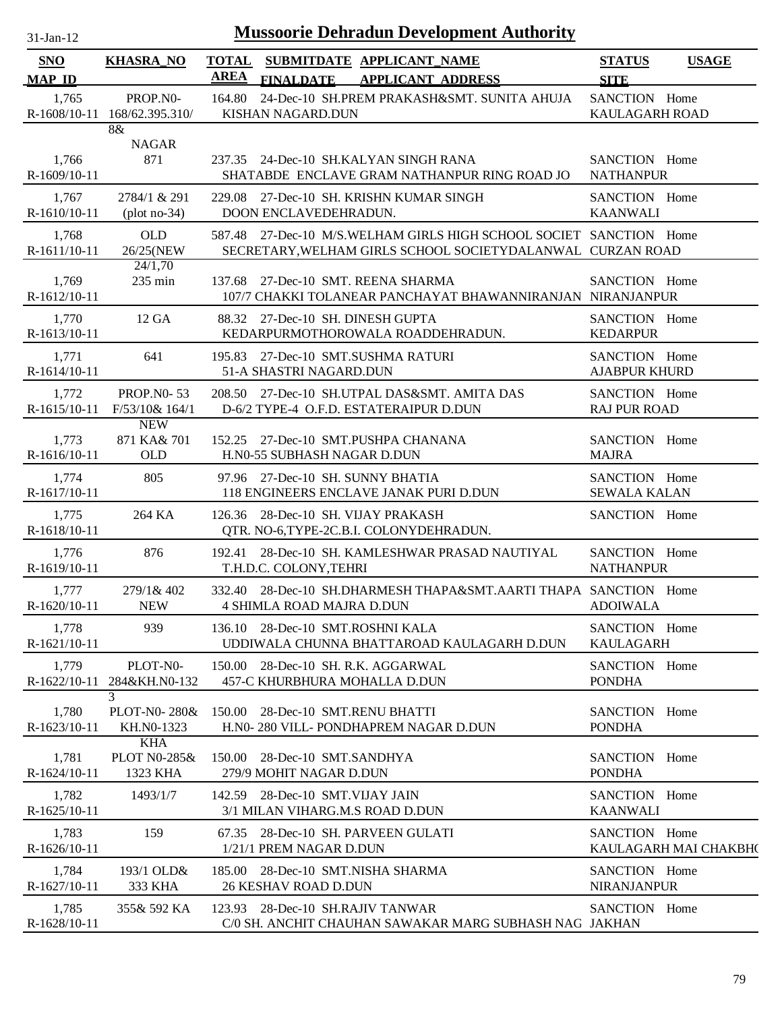| -jan |  |
|------|--|
|      |  |

| SNO                     | <b>KHASRA_NO</b>                                  | <b>TOTAL</b><br><b>AREA</b> | SUBMITDATE APPLICANT_NAME                                                                                                        | <b>STATUS</b>                          | <b>USAGE</b> |
|-------------------------|---------------------------------------------------|-----------------------------|----------------------------------------------------------------------------------------------------------------------------------|----------------------------------------|--------------|
| <b>MAP ID</b>           |                                                   |                             | <b>APPLICANT ADDRESS</b><br><b>FINALDATE</b>                                                                                     | <b>SITE</b>                            |              |
| 1,765                   | PROP.NO-<br>R-1608/10-11 168/62.395.310/          | 164.80                      | 24-Dec-10 SH.PREM PRAKASH&SMT. SUNITA AHUJA<br>KISHAN NAGARD.DUN                                                                 | SANCTION Home<br>KAULAGARH ROAD        |              |
|                         | 8&                                                |                             |                                                                                                                                  |                                        |              |
| 1,766<br>$R-1609/10-11$ | <b>NAGAR</b><br>871                               |                             | 237.35 24-Dec-10 SH.KALYAN SINGH RANA<br>SHATABDE ENCLAVE GRAM NATHANPUR RING ROAD JO                                            | SANCTION Home<br><b>NATHANPUR</b>      |              |
| 1,767<br>R-1610/10-11   | 2784/1 & 291<br>$(plot no-34)$                    |                             | 229.08 27-Dec-10 SH. KRISHN KUMAR SINGH<br>DOON ENCLAVEDEHRADUN.                                                                 | SANCTION Home<br><b>KAANWALI</b>       |              |
| 1,768<br>R-1611/10-11   | <b>OLD</b><br>26/25(NEW                           |                             | 587.48 27-Dec-10 M/S.WELHAM GIRLS HIGH SCHOOL SOCIET SANCTION Home<br>SECRETARY, WELHAM GIRLS SCHOOL SOCIETYDALANWAL CURZAN ROAD |                                        |              |
| 1,769<br>R-1612/10-11   | 24/1,70<br>$235 \text{ min}$                      | 137.68                      | 27-Dec-10 SMT. REENA SHARMA<br>107/7 CHAKKI TOLANEAR PANCHAYAT BHAWANNIRANJAN NIRANJANPUR                                        | SANCTION Home                          |              |
| 1,770<br>R-1613/10-11   | 12 GA                                             |                             | 88.32 27-Dec-10 SH. DINESH GUPTA<br>KEDARPURMOTHOROWALA ROADDEHRADUN.                                                            | SANCTION Home<br><b>KEDARPUR</b>       |              |
| 1,771<br>R-1614/10-11   | 641                                               |                             | 195.83 27-Dec-10 SMT.SUSHMA RATURI<br>51-A SHASTRI NAGARD.DUN                                                                    | SANCTION Home<br><b>AJABPUR KHURD</b>  |              |
| 1,772<br>R-1615/10-11   | <b>PROP.NO-53</b><br>F/53/10& 164/1               |                             | 208.50 27-Dec-10 SH.UTPAL DAS&SMT. AMITA DAS<br>D-6/2 TYPE-4 O.F.D. ESTATERAIPUR D.DUN                                           | SANCTION Home<br><b>RAJ PUR ROAD</b>   |              |
| 1,773<br>R-1616/10-11   | <b>NEW</b><br>871 KA& 701<br><b>OLD</b>           |                             | 152.25 27-Dec-10 SMT.PUSHPA CHANANA<br>H.N0-55 SUBHASH NAGAR D.DUN                                                               | SANCTION Home<br><b>MAJRA</b>          |              |
| 1,774<br>R-1617/10-11   | 805                                               |                             | 97.96 27-Dec-10 SH. SUNNY BHATIA<br>118 ENGINEERS ENCLAVE JANAK PURI D.DUN                                                       | SANCTION Home<br><b>SEWALA KALAN</b>   |              |
| 1,775<br>R-1618/10-11   | 264 KA                                            | 126.36                      | 28-Dec-10 SH. VIJAY PRAKASH<br>QTR. NO-6,TYPE-2C.B.I. COLONYDEHRADUN.                                                            | SANCTION Home                          |              |
| 1,776<br>R-1619/10-11   | 876                                               | 192.41                      | 28-Dec-10 SH. KAMLESHWAR PRASAD NAUTIYAL<br>T.H.D.C. COLONY, TEHRI                                                               | SANCTION Home<br><b>NATHANPUR</b>      |              |
| 1,777<br>R-1620/10-11   | 279/1& 402<br><b>NEW</b>                          |                             | 332.40 28-Dec-10 SH.DHARMESH THAPA&SMT.AARTI THAPA SANCTION Home<br><b>4 SHIMLA ROAD MAJRA D.DUN</b>                             | <b>ADOIWALA</b>                        |              |
| 1,778<br>R-1621/10-11   | 939                                               |                             | 136.10 28-Dec-10 SMT.ROSHNI KALA<br>UDDIWALA CHUNNA BHATTAROAD KAULAGARH D.DUN                                                   | SANCTION Home<br><b>KAULAGARH</b>      |              |
| 1,779<br>$R-1622/10-11$ | PLOT-N0-<br>284&KH.N0-132                         |                             | 150.00 28-Dec-10 SH. R.K. AGGARWAL<br>457-C KHURBHURA MOHALLA D.DUN                                                              | SANCTION Home<br><b>PONDHA</b>         |              |
| 1,780<br>$R-1623/10-11$ | 3<br>PLOT-N0-280&<br>KH.NO-1323                   | 150.00                      | 28-Dec-10 SMT.RENU BHATTI<br>H.NO-280 VILL-PONDHAPREM NAGAR D.DUN                                                                | SANCTION Home<br><b>PONDHA</b>         |              |
| 1,781<br>$R-1624/10-11$ | <b>KHA</b><br><b>PLOT N0-285&amp;</b><br>1323 KHA | 150.00                      | 28-Dec-10 SMT.SANDHYA<br>279/9 MOHIT NAGAR D.DUN                                                                                 | SANCTION Home<br><b>PONDHA</b>         |              |
| 1,782<br>R-1625/10-11   | 1493/1/7                                          |                             | 142.59 28-Dec-10 SMT.VIJAY JAIN<br>3/1 MILAN VIHARG.M.S ROAD D.DUN                                                               | SANCTION Home<br><b>KAANWALI</b>       |              |
| 1,783<br>$R-1626/10-11$ | 159                                               |                             | 67.35 28-Dec-10 SH. PARVEEN GULATI<br>1/21/1 PREM NAGAR D.DUN                                                                    | SANCTION Home<br>KAULAGARH MAI CHAKBH( |              |
| 1,784<br>R-1627/10-11   | 193/1 OLD&<br>333 KHA                             |                             | 185.00 28-Dec-10 SMT.NISHA SHARMA<br>26 KESHAV ROAD D.DUN                                                                        | SANCTION Home<br><b>NIRANJANPUR</b>    |              |
| 1,785<br>R-1628/10-11   | 355& 592 KA                                       |                             | 123.93 28-Dec-10 SH.RAJIV TANWAR<br>C/0 SH. ANCHIT CHAUHAN SAWAKAR MARG SUBHASH NAG JAKHAN                                       | SANCTION Home                          |              |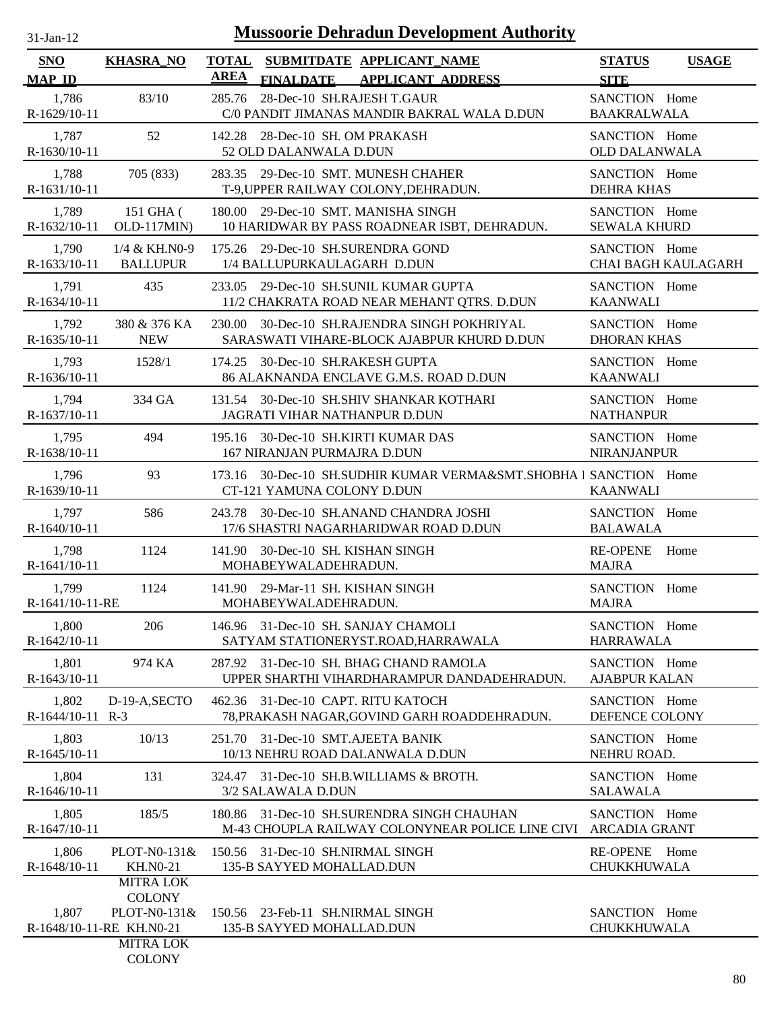| $31-Jan-12$               |                                   | <b>Mussoorie Dehradun Development Authority</b>                                                    |                                             |
|---------------------------|-----------------------------------|----------------------------------------------------------------------------------------------------|---------------------------------------------|
| <b>SNO</b>                | <b>KHASRA_NO</b>                  | <b>TOTAL</b><br>SUBMITDATE APPLICANT NAME                                                          | <b>STATUS</b><br><b>USAGE</b>               |
| <b>MAP ID</b>             |                                   | <b>AREA</b><br><b>FINALDATE</b><br><b>APPLICANT ADDRESS</b>                                        | <b>SITE</b>                                 |
| 1,786<br>R-1629/10-11     | 83/10                             | 28-Dec-10 SH.RAJESH T.GAUR<br>285.76<br>C/0 PANDIT JIMANAS MANDIR BAKRAL WALA D.DUN                | SANCTION Home<br><b>BAAKRALWALA</b>         |
| 1,787<br>$R-1630/10-11$   | 52                                | 142.28 28-Dec-10 SH, OM PRAKASH<br>52 OLD DALANWALA D.DUN                                          | SANCTION Home<br><b>OLD DALANWALA</b>       |
| 1,788<br>R-1631/10-11     | 705 (833)                         | 283.35 29-Dec-10 SMT. MUNESH CHAHER<br>T-9, UPPER RAILWAY COLONY, DEHRADUN.                        | SANCTION Home<br><b>DEHRA KHAS</b>          |
| 1,789<br>R-1632/10-11     | 151 GHA (<br>OLD-117MIN)          | 180.00 29-Dec-10 SMT. MANISHA SINGH<br>10 HARIDWAR BY PASS ROADNEAR ISBT, DEHRADUN.                | SANCTION Home<br><b>SEWALA KHURD</b>        |
| 1,790<br>R-1633/10-11     | 1/4 & KH.N0-9<br><b>BALLUPUR</b>  | 175.26 29-Dec-10 SH.SURENDRA GOND<br>1/4 BALLUPURKAULAGARH D.DUN                                   | SANCTION Home<br><b>CHAI BAGH KAULAGARH</b> |
| 1,791<br>R-1634/10-11     | 435                               | 233.05 29-Dec-10 SH.SUNIL KUMAR GUPTA<br>11/2 CHAKRATA ROAD NEAR MEHANT QTRS. D.DUN                | SANCTION Home<br><b>KAANWALI</b>            |
| 1,792<br>R-1635/10-11     | 380 & 376 KA<br><b>NEW</b>        | 30-Dec-10 SH.RAJENDRA SINGH POKHRIYAL<br>230.00<br>SARASWATI VIHARE-BLOCK AJABPUR KHURD D.DUN      | SANCTION Home<br><b>DHORAN KHAS</b>         |
| 1,793<br>R-1636/10-11     | 1528/1                            | 30-Dec-10 SH.RAKESH GUPTA<br>174.25<br>86 ALAKNANDA ENCLAVE G.M.S. ROAD D.DUN                      | SANCTION Home<br><b>KAANWALI</b>            |
| 1,794<br>R-1637/10-11     | 334 GA                            | 131.54 30-Dec-10 SH.SHIV SHANKAR KOTHARI<br>JAGRATI VIHAR NATHANPUR D.DUN                          | SANCTION Home<br><b>NATHANPUR</b>           |
| 1,795<br>R-1638/10-11     | 494                               | 30-Dec-10 SH.KIRTI KUMAR DAS<br>195.16<br>167 NIRANJAN PURMAJRA D.DUN                              | SANCTION Home<br><b>NIRANJANPUR</b>         |
| 1,796<br>R-1639/10-11     | 93                                | 30-Dec-10 SH.SUDHIR KUMAR VERMA&SMT.SHOBHA I SANCTION Home<br>173.16<br>CT-121 YAMUNA COLONY D.DUN | <b>KAANWALI</b>                             |
| 1,797<br>R-1640/10-11     | 586                               | 30-Dec-10 SH.ANAND CHANDRA JOSHI<br>243.78<br>17/6 SHASTRI NAGARHARIDWAR ROAD D.DUN                | SANCTION Home<br><b>BALAWALA</b>            |
| 1,798<br>$R-1641/10-11$   | 1124                              | 30-Dec-10 SH. KISHAN SINGH<br>141.90<br>MOHABEYWALADEHRADUN.                                       | <b>RE-OPENE</b><br>Home<br><b>MAJRA</b>     |
| 1,799<br>R-1641/10-11-RE  | 1124                              | 141.90 29-Mar-11 SH. KISHAN SINGH<br>MOHABEYWALADEHRADUN.                                          | SANCTION Home<br><b>MAJRA</b>               |
| 1,800<br>$R-1642/10-11$   | 206                               | 146.96 31-Dec-10 SH. SANJAY CHAMOLI<br>SATYAM STATIONERYST.ROAD, HARRAWALA                         | SANCTION Home<br><b>HARRAWALA</b>           |
| 1,801<br>$R-1643/10-11$   | 974 KA                            | 287.92 31-Dec-10 SH, BHAG CHAND RAMOLA<br>UPPER SHARTHI VIHARDHARAMPUR DANDADEHRADUN.              | SANCTION Home<br><b>AJABPUR KALAN</b>       |
| 1,802<br>R-1644/10-11 R-3 | D-19-A, SECTO                     | 462.36 31-Dec-10 CAPT. RITU KATOCH<br>78, PRAKASH NAGAR, GOVIND GARH ROADDEHRADUN.                 | SANCTION Home<br>DEFENCE COLONY             |
| 1,803<br>$R-1645/10-11$   | 10/13                             | 31-Dec-10 SMT.AJEETA BANIK<br>251.70<br>10/13 NEHRU ROAD DALANWALA D.DUN                           | SANCTION Home<br>NEHRU ROAD.                |
| 1,804<br>R-1646/10-11     | 131                               | 31-Dec-10 SH.B.WILLIAMS & BROTH.<br>324.47<br>3/2 SALAWALA D.DUN                                   | SANCTION Home<br><b>SALAWALA</b>            |
| 1,805<br>R-1647/10-11     | 185/5                             | 31-Dec-10 SH.SURENDRA SINGH CHAUHAN<br>180.86<br>M-43 CHOUPLA RAILWAY COLONYNEAR POLICE LINE CIVI  | SANCTION Home<br><b>ARCADIA GRANT</b>       |
| 1,806<br>R-1648/10-11     | PLOT-N0-131&<br><b>KH.NO-21</b>   | 150.56 31-Dec-10 SH.NIRMAL SINGH<br>135-B SAYYED MOHALLAD.DUN                                      | RE-OPENE Home<br><b>CHUKKHUWALA</b>         |
|                           | <b>MITRA LOK</b>                  |                                                                                                    |                                             |
| 1,807                     | <b>COLONY</b><br>PLOT-N0-131&     | 150.56 23-Feb-11 SH.NIRMAL SINGH                                                                   | SANCTION Home                               |
|                           | R-1648/10-11-RE KH.N0-21          | 135-B SAYYED MOHALLAD.DUN                                                                          | <b>CHUKKHUWALA</b>                          |
|                           | <b>MITRA LOK</b><br><b>COLONY</b> |                                                                                                    |                                             |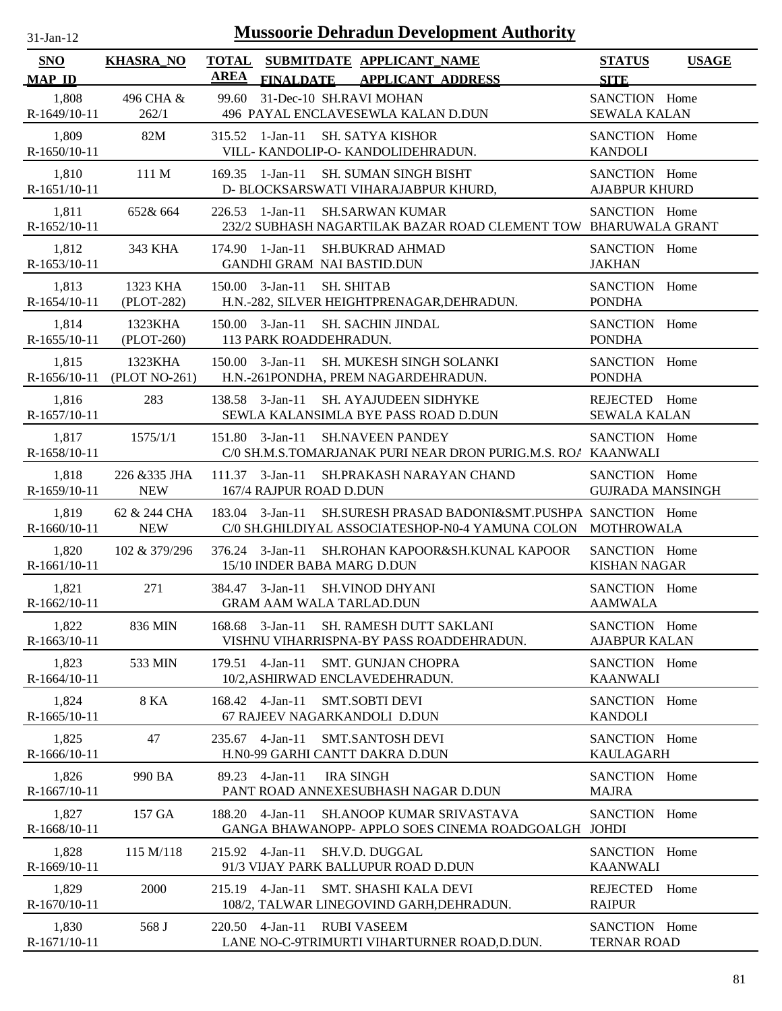| $31$ -Jan-12                |                                       |             | <b>Mussoorie Dehradun Development Authority</b>                                                                                 |                                          |              |
|-----------------------------|---------------------------------------|-------------|---------------------------------------------------------------------------------------------------------------------------------|------------------------------------------|--------------|
| <b>SNO</b><br><b>MAP ID</b> | <b>KHASRA_NO</b>                      | <b>AREA</b> | TOTAL SUBMITDATE APPLICANT_NAME<br>FINALDATE APPLICANT ADDRESS                                                                  | <b>STATUS</b><br><b>SITE</b>             | <b>USAGE</b> |
| 1,808<br>R-1649/10-11       | 496 CHA &<br>262/1                    |             | 99.60 31-Dec-10 SH.RAVI MOHAN<br>496 PAYAL ENCLAVESEWLA KALAN D.DUN                                                             | SANCTION Home<br><b>SEWALA KALAN</b>     |              |
| 1,809<br>R-1650/10-11       | 82M                                   |             | 315.52 1-Jan-11 SH. SATYA KISHOR<br>VILL- KANDOLIP-O- KANDOLIDEHRADUN.                                                          | SANCTION Home<br><b>KANDOLI</b>          |              |
| 1,810<br>R-1651/10-11       | 111 M                                 |             | 169.35 1-Jan-11 SH. SUMAN SINGH BISHT<br>D- BLOCKSARSWATI VIHARAJABPUR KHURD,                                                   | SANCTION Home<br><b>AJABPUR KHURD</b>    |              |
| 1,811<br>R-1652/10-11       | 652& 664                              |             | $226.53$ 1-Jan-11<br><b>SH.SARWAN KUMAR</b><br>232/2 SUBHASH NAGARTILAK BAZAR ROAD CLEMENT TOW BHARUWALA GRANT                  | SANCTION Home                            |              |
| 1,812<br>R-1653/10-11       | 343 KHA                               |             | $174.90$ 1-Jan-11<br><b>SH.BUKRAD AHMAD</b><br><b>GANDHI GRAM NAI BASTID.DUN</b>                                                | SANCTION Home<br><b>JAKHAN</b>           |              |
| 1,813<br>R-1654/10-11       | 1323 KHA<br>$(PLOT-282)$              |             | <b>SH. SHITAB</b><br>$150.00 \quad 3\text{-Jan-11}$<br>H.N.-282, SILVER HEIGHTPRENAGAR, DEHRADUN.                               | SANCTION Home<br><b>PONDHA</b>           |              |
| 1,814<br>R-1655/10-11       | 1323KHA<br>$(PLOT-260)$               |             | $150.00 \quad 3\text{-Jan-11}$<br>SH. SACHIN JINDAL<br>113 PARK ROADDEHRADUN.                                                   | SANCTION Home<br><b>PONDHA</b>           |              |
| 1,815                       | 1323KHA<br>R-1656/10-11 (PLOT NO-261) |             | $150.00 \quad 3\text{-Jan-11}$<br>SH. MUKESH SINGH SOLANKI<br>H.N.-261PONDHA, PREM NAGARDEHRADUN.                               | SANCTION Home<br><b>PONDHA</b>           |              |
| 1,816<br>R-1657/10-11       | 283                                   |             | 138.58 3-Jan-11<br>SH. AYAJUDEEN SIDHYKE<br>SEWLA KALANSIMLA BYE PASS ROAD D.DUN                                                | REJECTED Home<br><b>SEWALA KALAN</b>     |              |
| 1,817<br>R-1658/10-11       | 1575/1/1                              |             | 151.80 3-Jan-11<br><b>SH.NAVEEN PANDEY</b><br>C/0 SH.M.S.TOMARJANAK PURI NEAR DRON PURIG.M.S. ROA KAANWALI                      | SANCTION Home                            |              |
| 1,818<br>R-1659/10-11       | 226 & 335 JHA<br><b>NEW</b>           |             | $111.37$ 3-Jan-11<br>SH.PRAKASH NARAYAN CHAND<br>167/4 RAJPUR ROAD D.DUN                                                        | SANCTION Home<br><b>GUJRADA MANSINGH</b> |              |
| 1,819<br>R-1660/10-11       | 62 & 244 CHA<br><b>NEW</b>            |             | 183.04 3-Jan-11 SH.SURESH PRASAD BADONI&SMT.PUSHPA SANCTION Home<br>C/0 SH.GHILDIYAL ASSOCIATESHOP-N0-4 YAMUNA COLON MOTHROWALA |                                          |              |
| 1,820<br>R-1661/10-11       | 102 & 379/296                         |             | 376.24 3-Jan-11 SH.ROHAN KAPOOR&SH.KUNAL KAPOOR<br>15/10 INDER BABA MARG D.DUN                                                  | SANCTION Home<br><b>KISHAN NAGAR</b>     |              |
| 1,821<br>R-1662/10-11       | 271                                   |             | 384.47 3-Jan-11 SH. VINOD DHYANI<br><b>GRAM AAM WALA TARLAD.DUN</b>                                                             | SANCTION Home<br><b>AAMWALA</b>          |              |
| 1,822<br>R-1663/10-11       | 836 MIN                               |             | SH. RAMESH DUTT SAKLANI<br>168.68 3-Jan-11<br>VISHNU VIHARRISPNA-BY PASS ROADDEHRADUN.                                          | SANCTION Home<br><b>AJABPUR KALAN</b>    |              |
| 1,823<br>R-1664/10-11       | 533 MIN                               |             | 179.51 4-Jan-11<br><b>SMT. GUNJAN CHOPRA</b><br>10/2, ASHIRWAD ENCLAVEDEHRADUN.                                                 | SANCTION Home<br><b>KAANWALI</b>         |              |
| 1,824<br>R-1665/10-11       | 8 KA                                  |             | $168.42$ 4-Jan-11<br><b>SMT.SOBTI DEVI</b><br>67 RAJEEV NAGARKANDOLI D.DUN                                                      | SANCTION Home<br><b>KANDOLI</b>          |              |
| 1,825<br>R-1666/10-11       | 47                                    |             | 235.67 4-Jan-11<br><b>SMT.SANTOSH DEVI</b><br>H.N0-99 GARHI CANTT DAKRA D.DUN                                                   | SANCTION Home<br><b>KAULAGARH</b>        |              |
| 1,826<br>R-1667/10-11       | 990 BA                                | 89.23       | $4$ -Jan-11<br><b>IRA SINGH</b><br>PANT ROAD ANNEXESUBHASH NAGAR D.DUN                                                          | SANCTION Home<br><b>MAJRA</b>            |              |
| 1,827<br>R-1668/10-11       | 157 GA                                |             | 188.20 4-Jan-11<br>SH.ANOOP KUMAR SRIVASTAVA<br>GANGA BHAWANOPP- APPLO SOES CINEMA ROADGOALGH                                   | SANCTION Home<br><b>JOHDI</b>            |              |
| 1,828<br>R-1669/10-11       | 115 M/118                             |             | 215.92 4-Jan-11<br>SH.V.D. DUGGAL<br>91/3 VIJAY PARK BALLUPUR ROAD D.DUN                                                        | SANCTION Home<br><b>KAANWALI</b>         |              |
| 1,829<br>R-1670/10-11       | 2000                                  |             | 215.19 4-Jan-11<br>SMT. SHASHI KALA DEVI<br>108/2, TALWAR LINEGOVIND GARH, DEHRADUN.                                            | <b>REJECTED</b><br><b>RAIPUR</b>         | Home         |
| 1,830                       | 568 J                                 |             | 220.50 4-Jan-11<br>RUBI VASEEM                                                                                                  | SANCTION Home                            |              |

LANE NO-C-9TRIMURTI VIHARTURNER ROAD,D.DUN.

R-1671/10-11

TERNAR ROAD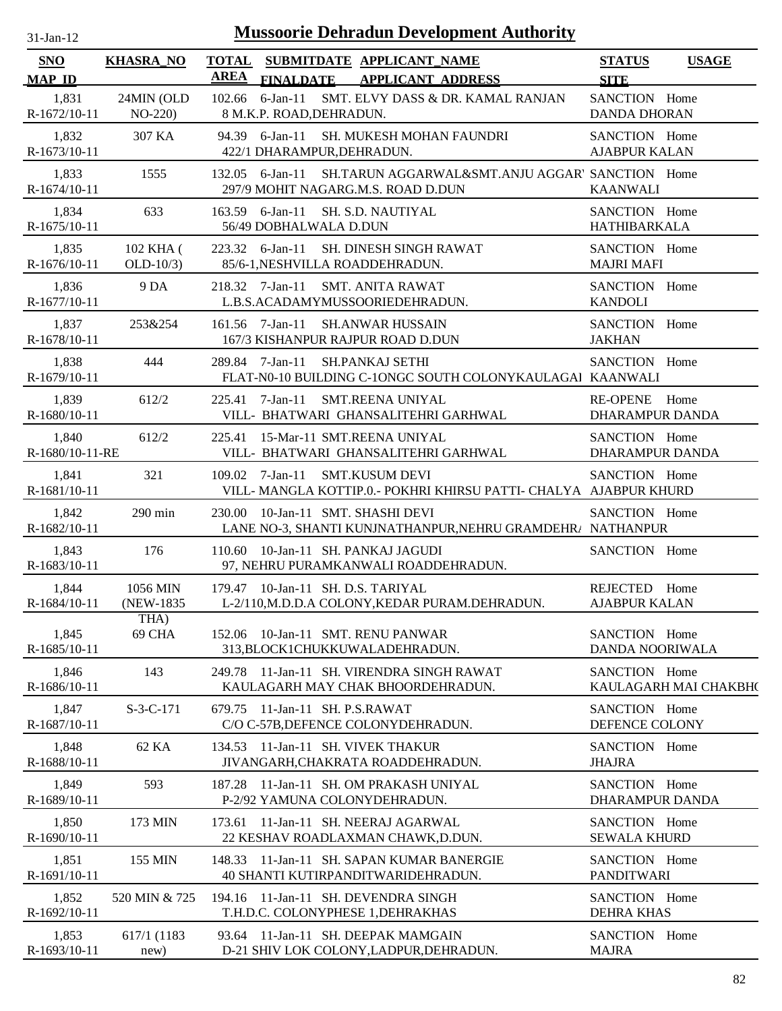| $31$ -Jan- $12$             |                          |             | <b>Mussoorie Dehradun Development Authority</b>                                                                |                                         |                       |
|-----------------------------|--------------------------|-------------|----------------------------------------------------------------------------------------------------------------|-----------------------------------------|-----------------------|
| <b>SNO</b><br><b>MAP ID</b> | <b>KHASRA_NO</b>         | <b>AREA</b> | TOTAL SUBMITDATE APPLICANT NAME<br><b>FINALDATE</b><br><b>APPLICANT ADDRESS</b>                                | <b>STATUS</b><br><b>SITE</b>            | <b>USAGE</b>          |
| 1,831<br>R-1672/10-11       | 24MIN (OLD<br>$NO-220$   |             | SMT. ELVY DASS & DR. KAMAL RANJAN<br>$102.66$ 6-Jan-11<br>8 M.K.P. ROAD, DEHRADUN.                             | SANCTION Home<br><b>DANDA DHORAN</b>    |                       |
| 1,832<br>R-1673/10-11       | 307 KA                   |             | 94.39 6-Jan-11<br>SH. MUKESH MOHAN FAUNDRI<br>422/1 DHARAMPUR, DEHRADUN.                                       | SANCTION Home<br><b>AJABPUR KALAN</b>   |                       |
| 1,833<br>R-1674/10-11       | 1555                     |             | SH.TARUN AGGARWAL&SMT.ANJU AGGAR' SANCTION Home<br>132.05 6-Jan-11<br>297/9 MOHIT NAGARG.M.S. ROAD D.DUN       | <b>KAANWALI</b>                         |                       |
| 1,834<br>R-1675/10-11       | 633                      |             | 163.59 6-Jan-11<br>SH. S.D. NAUTIYAL<br>56/49 DOBHALWALA D.DUN                                                 | SANCTION Home<br>HATHIBARKALA           |                       |
| 1,835<br>R-1676/10-11       | 102 KHA (<br>$OLD-10/3)$ |             | 223.32 6-Jan-11<br>SH. DINESH SINGH RAWAT<br>85/6-1, NESHVILLA ROADDEHRADUN.                                   | SANCTION Home<br><b>MAJRI MAFI</b>      |                       |
| 1,836<br>R-1677/10-11       | 9 DA                     |             | 218.32 7-Jan-11<br><b>SMT. ANITA RAWAT</b><br>L.B.S.ACADAMYMUSSOORIEDEHRADUN.                                  | SANCTION Home<br><b>KANDOLI</b>         |                       |
| 1,837<br>R-1678/10-11       | 253&254                  |             | $161.56$ 7-Jan-11<br><b>SH.ANWAR HUSSAIN</b><br>167/3 KISHANPUR RAJPUR ROAD D.DUN                              | SANCTION Home<br><b>JAKHAN</b>          |                       |
| 1,838<br>R-1679/10-11       | 444                      |             | 289.84 7-Jan-11<br><b>SH.PANKAJ SETHI</b><br>FLAT-N0-10 BUILDING C-10NGC SOUTH COLONYKAULAGAI KAANWALI         | SANCTION Home                           |                       |
| 1,839<br>R-1680/10-11       | 612/2                    |             | $225.41$ 7-Jan-11<br><b>SMT.REENA UNIYAL</b><br>VILL- BHATWARI GHANSALITEHRI GARHWAL                           | RE-OPENE Home<br>DHARAMPUR DANDA        |                       |
| 1,840<br>R-1680/10-11-RE    | 612/2                    | 225.41      | 15-Mar-11 SMT.REENA UNIYAL<br>VILL- BHATWARI GHANSALITEHRI GARHWAL                                             | SANCTION Home<br><b>DHARAMPUR DANDA</b> |                       |
| 1,841<br>R-1681/10-11       | 321                      |             | $109.02$ 7-Jan-11<br><b>SMT.KUSUM DEVI</b><br>VILL-MANGLA KOTTIP.0.- POKHRI KHIRSU PATTI- CHALYA AJABPUR KHURD | SANCTION Home                           |                       |
| 1,842<br>R-1682/10-11       | $290$ min                |             | 230.00 10-Jan-11 SMT. SHASHI DEVI<br>LANE NO-3, SHANTI KUNJNATHANPUR, NEHRU GRAMDEHRA NATHANPUR                | SANCTION Home                           |                       |
| 1,843<br>R-1683/10-11       | 176                      |             | 110.60 10-Jan-11 SH. PANKAJ JAGUDI<br>97, NEHRU PURAMKANWALI ROADDEHRADUN.                                     | SANCTION Home                           |                       |
| 1,844<br>R-1684/10-11       | 1056 MIN<br>(NEW-1835)   |             | 179.47 10-Jan-11 SH. D.S. TARIYAL<br>L-2/110, M.D.D.A COLONY, KEDAR PURAM. DEHRADUN.                           | REJECTED Home<br><b>AJABPUR KALAN</b>   |                       |
| 1,845<br>R-1685/10-11       | THA)<br>69 CHA           |             | 152.06 10-Jan-11 SMT. RENU PANWAR<br>313, BLOCK1CHUKKUWALADEHRADUN.                                            | SANCTION Home<br>DANDA NOORIWALA        |                       |
| 1,846<br>R-1686/10-11       | 143                      |             | 249.78 11-Jan-11 SH. VIRENDRA SINGH RAWAT<br>KAULAGARH MAY CHAK BHOORDEHRADUN.                                 | SANCTION Home                           | KAULAGARH MAI CHAKBH( |
| 1,847<br>R-1687/10-11       | $S-3-C-171$              | 679.75      | 11-Jan-11 SH. P.S.RAWAT<br>C/O C-57B, DEFENCE COLONYDEHRADUN.                                                  | SANCTION Home<br>DEFENCE COLONY         |                       |
| 1,848<br>R-1688/10-11       | 62 KA                    |             | 134.53 11-Jan-11 SH, VIVEK THAKUR<br>JIVANGARH, CHAKRATA ROADDEHRADUN.                                         | SANCTION Home<br><b>JHAJRA</b>          |                       |
| 1,849<br>R-1689/10-11       | 593                      |             | 187.28 11-Jan-11 SH. OM PRAKASH UNIYAL<br>P-2/92 YAMUNA COLONYDEHRADUN.                                        | SANCTION Home<br>DHARAMPUR DANDA        |                       |
| 1,850<br>R-1690/10-11       | 173 MIN                  |             | 173.61 11-Jan-11 SH. NEERAJ AGARWAL<br>22 KESHAV ROADLAXMAN CHAWK, D.DUN.                                      | SANCTION Home<br><b>SEWALA KHURD</b>    |                       |
| 1,851<br>R-1691/10-11       | 155 MIN                  |             | 148.33 11-Jan-11 SH. SAPAN KUMAR BANERGIE<br>40 SHANTI KUTIRPANDITWARIDEHRADUN.                                | SANCTION Home<br><b>PANDITWARI</b>      |                       |
| 1,852<br>R-1692/10-11       | 520 MIN & 725            |             | 194.16 11-Jan-11 SH. DEVENDRA SINGH<br>T.H.D.C. COLONYPHESE 1, DEHRAKHAS                                       | SANCTION Home<br><b>DEHRA KHAS</b>      |                       |
| 1,853                       | 617/1 (1183)             |             | 93.64 11-Jan-11 SH. DEEPAK MAMGAIN                                                                             | SANCTION Home                           |                       |

D-21 SHIV LOK COLONY,LADPUR,DEHRADUN.

R-1693/10-11

new)

MAJRA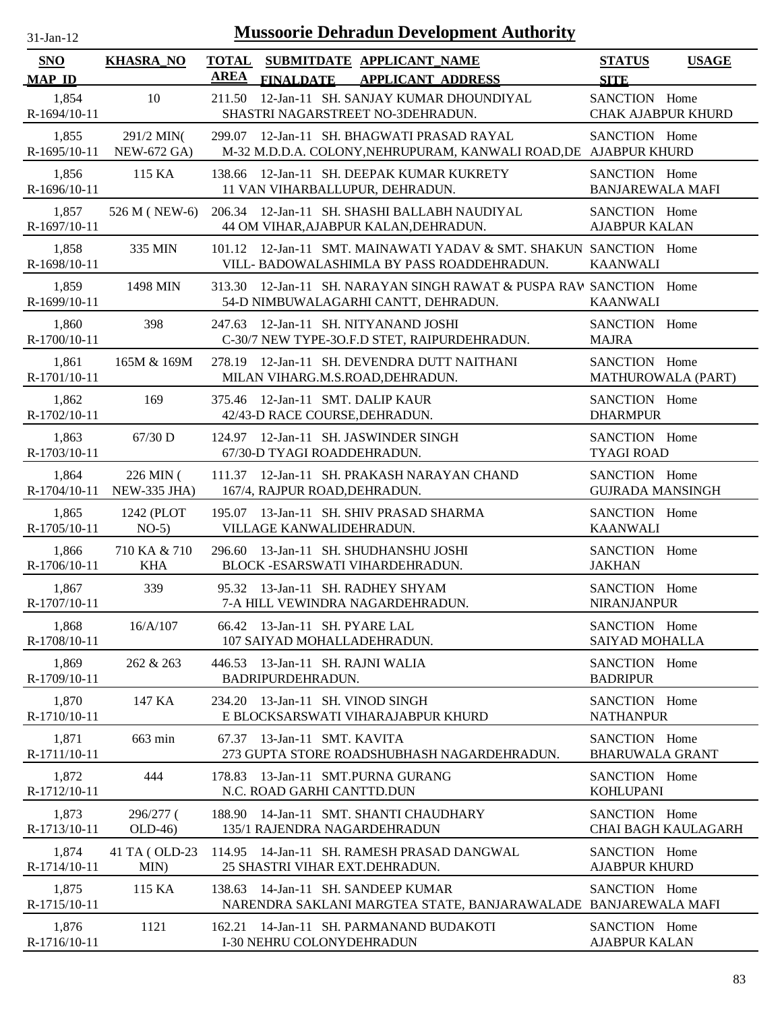| $31-Jan-12$           |                                  | <b>Mussoorie Dehradun Development Authority</b>                                                                   |                                             |
|-----------------------|----------------------------------|-------------------------------------------------------------------------------------------------------------------|---------------------------------------------|
| SNO                   | <b>KHASRA_NO</b>                 | TOTAL SUBMITDATE APPLICANT_NAME<br><b>AREA</b>                                                                    | <b>STATUS</b><br><b>USAGE</b>               |
| <b>MAP ID</b>         |                                  | <b>FINALDATE</b><br><b>APPLICANT ADDRESS</b>                                                                      | <b>SITE</b>                                 |
| 1,854<br>R-1694/10-11 | 10                               | 12-Jan-11 SH. SANJAY KUMAR DHOUNDIYAL<br>211.50<br>SHASTRI NAGARSTREET NO-3DEHRADUN.                              | SANCTION Home<br><b>CHAK AJABPUR KHURD</b>  |
| 1,855<br>R-1695/10-11 | 291/2 MIN(<br><b>NEW-672 GA)</b> | 12-Jan-11 SH. BHAGWATI PRASAD RAYAL<br>299.07<br>M-32 M.D.D.A. COLONY, NEHRUPURAM, KANWALI ROAD, DE AJABPUR KHURD | SANCTION Home                               |
| 1,856<br>R-1696/10-11 | 115 KA                           | 138.66 12-Jan-11 SH. DEEPAK KUMAR KUKRETY<br>11 VAN VIHARBALLUPUR, DEHRADUN.                                      | SANCTION Home<br><b>BANJAREWALA MAFI</b>    |
| 1,857<br>R-1697/10-11 | 526 M (NEW-6)                    | 206.34 12-Jan-11 SH. SHASHI BALLABH NAUDIYAL<br>44 OM VIHAR, AJABPUR KALAN, DEHRADUN.                             | SANCTION Home<br><b>AJABPUR KALAN</b>       |
| 1,858<br>R-1698/10-11 | 335 MIN                          | 101.12 12-Jan-11 SMT. MAINAWATI YADAV & SMT. SHAKUN SANCTION Home<br>VILL-BADOWALASHIMLA BY PASS ROADDEHRADUN.    | <b>KAANWALI</b>                             |
| 1,859<br>R-1699/10-11 | 1498 MIN                         | 313.30 12-Jan-11 SH. NARAYAN SINGH RAWAT & PUSPA RAW SANCTION Home<br>54-D NIMBUWALAGARHI CANTT, DEHRADUN.        | <b>KAANWALI</b>                             |
| 1,860<br>R-1700/10-11 | 398                              | 247.63<br>12-Jan-11 SH, NITYANAND JOSHI<br>C-30/7 NEW TYPE-3O.F.D STET, RAIPURDEHRADUN.                           | SANCTION Home<br><b>MAJRA</b>               |
| 1,861<br>R-1701/10-11 | 165M & 169M                      | 12-Jan-11 SH. DEVENDRA DUTT NAITHANI<br>278.19<br>MILAN VIHARG.M.S.ROAD, DEHRADUN.                                | SANCTION Home<br>MATHUROWALA (PART)         |
| 1,862<br>R-1702/10-11 | 169                              | 375.46 12-Jan-11 SMT. DALIP KAUR<br>42/43-D RACE COURSE, DEHRADUN.                                                | SANCTION Home<br><b>DHARMPUR</b>            |
| 1,863<br>R-1703/10-11 | $67/30$ D                        | 124.97 12-Jan-11 SH. JASWINDER SINGH<br>67/30-D TYAGI ROADDEHRADUN.                                               | SANCTION Home<br><b>TYAGI ROAD</b>          |
| 1,864<br>R-1704/10-11 | 226 MIN (<br>NEW-335 JHA)        | 111.37 12-Jan-11 SH. PRAKASH NARAYAN CHAND<br>167/4, RAJPUR ROAD, DEHRADUN.                                       | SANCTION Home<br><b>GUJRADA MANSINGH</b>    |
| 1,865<br>R-1705/10-11 | 1242 (PLOT<br>$NO-5)$            | 13-Jan-11 SH. SHIV PRASAD SHARMA<br>195.07<br>VILLAGE KANWALIDEHRADUN.                                            | SANCTION Home<br><b>KAANWALI</b>            |
| 1,866<br>R-1706/10-11 | 710 KA & 710<br><b>KHA</b>       | 13-Jan-11 SH. SHUDHANSHU JOSHI<br>296.60<br>BLOCK - ESARSWATI VIHARDEHRADUN.                                      | SANCTION Home<br><b>JAKHAN</b>              |
| 1,867<br>R-1707/10-11 | 339                              | 95.32 13-Jan-11 SH. RADHEY SHYAM<br>7-A HILL VEWINDRA NAGARDEHRADUN.                                              | SANCTION Home<br><b>NIRANJANPUR</b>         |
| 1,868<br>R-1708/10-11 | 16/A/107                         | 66.42 13-Jan-11 SH. PYARE LAL<br>107 SAIYAD MOHALLADEHRADUN.                                                      | SANCTION Home<br><b>SAIYAD MOHALLA</b>      |
| 1,869<br>R-1709/10-11 | 262 & 263                        | 446.53 13-Jan-11 SH. RAJNI WALIA<br>BADRIPURDEHRADUN.                                                             | SANCTION Home<br><b>BADRIPUR</b>            |
| 1,870<br>R-1710/10-11 | 147 KA                           | 234.20 13-Jan-11 SH. VINOD SINGH<br>E BLOCKSARSWATI VIHARAJABPUR KHURD                                            | SANCTION Home<br><b>NATHANPUR</b>           |
| 1,871<br>R-1711/10-11 | 663 min                          | 67.37 13-Jan-11 SMT. KAVITA<br>273 GUPTA STORE ROADSHUBHASH NAGARDEHRADUN.                                        | SANCTION Home<br><b>BHARUWALA GRANT</b>     |
| 1,872<br>R-1712/10-11 | 444                              | 13-Jan-11 SMT.PURNA GURANG<br>178.83<br>N.C. ROAD GARHI CANTTD.DUN                                                | SANCTION Home<br><b>KOHLUPANI</b>           |
| 1,873<br>R-1713/10-11 | 296/277 (<br>$OLD-46$            | 188.90 14-Jan-11 SMT. SHANTI CHAUDHARY<br>135/1 RAJENDRA NAGARDEHRADUN                                            | SANCTION Home<br><b>CHAI BAGH KAULAGARH</b> |
| 1,874<br>R-1714/10-11 | 41 TA (OLD-23)<br>MIN)           | 114.95 14-Jan-11 SH. RAMESH PRASAD DANGWAL<br>25 SHASTRI VIHAR EXT.DEHRADUN.                                      | SANCTION Home<br><b>AJABPUR KHURD</b>       |
| 1,875<br>R-1715/10-11 | 115 KA                           | 14-Jan-11 SH. SANDEEP KUMAR<br>138.63<br>NARENDRA SAKLANI MARGTEA STATE, BANJARAWALADE BANJAREWALA MAFI           | SANCTION Home                               |
| 1,876<br>R-1716/10-11 | 1121                             | 14-Jan-11 SH. PARMANAND BUDAKOTI<br>162.21<br>I-30 NEHRU COLONYDEHRADUN                                           | SANCTION Home<br><b>AJABPUR KALAN</b>       |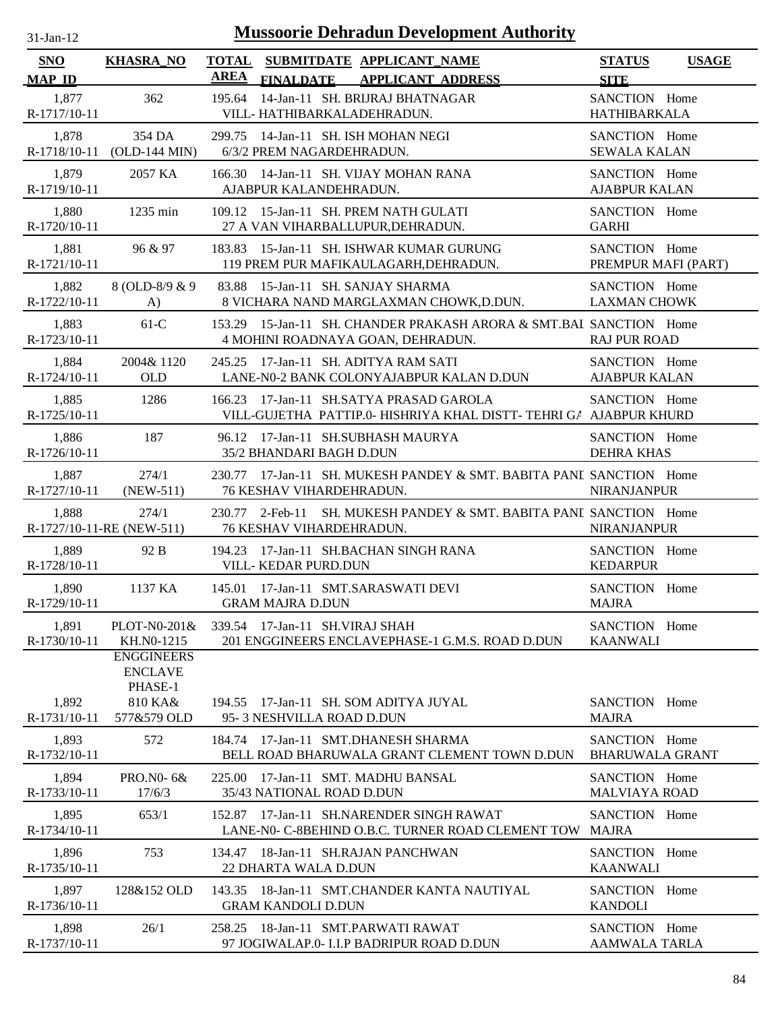| $31$ -Jan-12                |                                                                          |                             | <b>Mussoorie Dehradun Development Authority</b>                                                         |                                         |              |
|-----------------------------|--------------------------------------------------------------------------|-----------------------------|---------------------------------------------------------------------------------------------------------|-----------------------------------------|--------------|
| <b>SNO</b><br><b>MAP ID</b> | <b>KHASRA_NO</b>                                                         | <b>TOTAL</b><br><b>AREA</b> | SUBMITDATE APPLICANT NAME<br><b>APPLICANT ADDRESS</b><br><b>FINALDATE</b>                               | <b>STATUS</b><br><b>SITE</b>            | <b>USAGE</b> |
| 1,877<br>R-1717/10-11       | 362                                                                      | 195.64                      | 14-Jan-11 SH. BRIJRAJ BHATNAGAR<br>VILL-HATHIBARKALADEHRADUN.                                           | SANCTION Home<br><b>HATHIBARKALA</b>    |              |
| 1,878<br>R-1718/10-11       | 354 DA<br>$(OLD-144$ MIN $)$                                             | 299.75                      | 14-Jan-11 SH. ISH MOHAN NEGI<br>6/3/2 PREM NAGARDEHRADUN.                                               | SANCTION Home<br><b>SEWALA KALAN</b>    |              |
| 1,879<br>R-1719/10-11       | 2057 KA                                                                  | 166.30                      | 14-Jan-11 SH. VIJAY MOHAN RANA<br>AJABPUR KALANDEHRADUN.                                                | SANCTION Home<br><b>AJABPUR KALAN</b>   |              |
| 1,880<br>R-1720/10-11       | $1235 \text{ min}$                                                       |                             | 109.12 15-Jan-11 SH. PREM NATH GULATI<br>27 A VAN VIHARBALLUPUR, DEHRADUN.                              | SANCTION Home<br><b>GARHI</b>           |              |
| 1,881<br>R-1721/10-11       | 96 & 97                                                                  |                             | 183.83 15-Jan-11 SH. ISHWAR KUMAR GURUNG<br>119 PREM PUR MAFIKAULAGARH, DEHRADUN.                       | SANCTION Home<br>PREMPUR MAFI (PART)    |              |
| 1,882<br>R-1722/10-11       | 8 (OLD-8/9 & 9)<br>$\bf{A}$                                              |                             | 83.88 15-Jan-11 SH. SANJAY SHARMA<br>8 VICHARA NAND MARGLAXMAN CHOWK, D.DUN.                            | SANCTION Home<br><b>LAXMAN CHOWK</b>    |              |
| 1,883<br>R-1723/10-11       | $61-C$                                                                   |                             | 153.29 15-Jan-11 SH. CHANDER PRAKASH ARORA & SMT.BAI SANCTION Home<br>4 MOHINI ROADNAYA GOAN, DEHRADUN. | <b>RAJ PUR ROAD</b>                     |              |
| 1,884<br>R-1724/10-11       | 2004& 1120<br><b>OLD</b>                                                 | 245.25                      | 17-Jan-11 SH. ADITYA RAM SATI<br>LANE-N0-2 BANK COLONYAJABPUR KALAN D.DUN                               | SANCTION Home<br><b>AJABPUR KALAN</b>   |              |
| 1,885<br>R-1725/10-11       | 1286                                                                     | 166.23                      | 17-Jan-11 SH.SATYA PRASAD GAROLA<br>VILL-GUJETHA PATTIP.0- HISHRIYA KHAL DISTT- TEHRI GA AJABPUR KHURD  | SANCTION Home                           |              |
| 1,886<br>R-1726/10-11       | 187                                                                      |                             | 96.12 17-Jan-11 SH.SUBHASH MAURYA<br>35/2 BHANDARI BAGH D.DUN                                           | SANCTION Home<br><b>DEHRA KHAS</b>      |              |
| 1,887<br>R-1727/10-11       | 274/1<br>$(NEW-511)$                                                     |                             | 230.77 17-Jan-11 SH. MUKESH PANDEY & SMT. BABITA PANL SANCTION Home<br>76 KESHAV VIHARDEHRADUN.         | <b>NIRANJANPUR</b>                      |              |
| 1,888                       | 274/1<br>R-1727/10-11-RE (NEW-511)                                       | 230.77                      | SH. MUKESH PANDEY & SMT. BABITA PANI SANCTION Home<br>2-Feb-11<br><b>76 KESHAV VIHARDEHRADUN.</b>       | <b>NIRANJANPUR</b>                      |              |
| 1,889<br>R-1728/10-11       | 92 B                                                                     | 194.23                      | 17-Jan-11 SH.BACHAN SINGH RANA<br>VILL-KEDAR PURD.DUN                                                   | SANCTION Home<br><b>KEDARPUR</b>        |              |
| 1,890<br>R-1729/10-11       | 1137 KA                                                                  |                             | 145.01 17-Jan-11 SMT.SARASWATI DEVI<br><b>GRAM MAJRA D.DUN</b>                                          | SANCTION Home<br><b>MAJRA</b>           |              |
| 1,891<br>R-1730/10-11       | PLOT-N0-201&<br>KH.NO-1215                                               |                             | 339.54 17-Jan-11 SH. VIRAJ SHAH<br>201 ENGGINEERS ENCLAVEPHASE-1 G.M.S. ROAD D.DUN                      | SANCTION Home<br><b>KAANWALI</b>        |              |
| 1,892<br>R-1731/10-11       | <b>ENGGINEERS</b><br><b>ENCLAVE</b><br>PHASE-1<br>810 KA&<br>577&579 OLD |                             | 194.55 17-Jan-11 SH. SOM ADITYA JUYAL<br>95-3 NESHVILLA ROAD D.DUN                                      | SANCTION Home<br><b>MAJRA</b>           |              |
| 1,893<br>R-1732/10-11       | 572                                                                      |                             | 184.74 17-Jan-11 SMT.DHANESH SHARMA<br>BELL ROAD BHARUWALA GRANT CLEMENT TOWN D.DUN                     | SANCTION Home<br><b>BHARUWALA GRANT</b> |              |
| 1,894<br>R-1733/10-11       | PRO.NO- 6&<br>17/6/3                                                     |                             | 225.00 17-Jan-11 SMT. MADHU BANSAL<br>35/43 NATIONAL ROAD D.DUN                                         | SANCTION Home<br><b>MALVIAYA ROAD</b>   |              |
| 1,895<br>R-1734/10-11       | 653/1                                                                    |                             | 152.87 17-Jan-11 SH.NARENDER SINGH RAWAT<br>LANE-N0- C-8BEHIND O.B.C. TURNER ROAD CLEMENT TOW           | SANCTION Home<br><b>MAJRA</b>           |              |
| 1,896<br>R-1735/10-11       | 753                                                                      |                             | 134.47 18-Jan-11 SH.RAJAN PANCHWAN<br><b>22 DHARTA WALA D.DUN</b>                                       | SANCTION Home<br><b>KAANWALI</b>        |              |
| 1,897<br>R-1736/10-11       | 128&152 OLD                                                              |                             | 143.35 18-Jan-11 SMT.CHANDER KANTA NAUTIYAL<br><b>GRAM KANDOLI D.DUN</b>                                | SANCTION Home<br><b>KANDOLI</b>         |              |
| 1,898<br>R-1737/10-11       | 26/1                                                                     |                             | 258.25 18-Jan-11 SMT.PARWATI RAWAT<br>97 JOGIWALAP.0- I.I.P BADRIPUR ROAD D.DUN                         | SANCTION Home<br>AAMWALA TARLA          |              |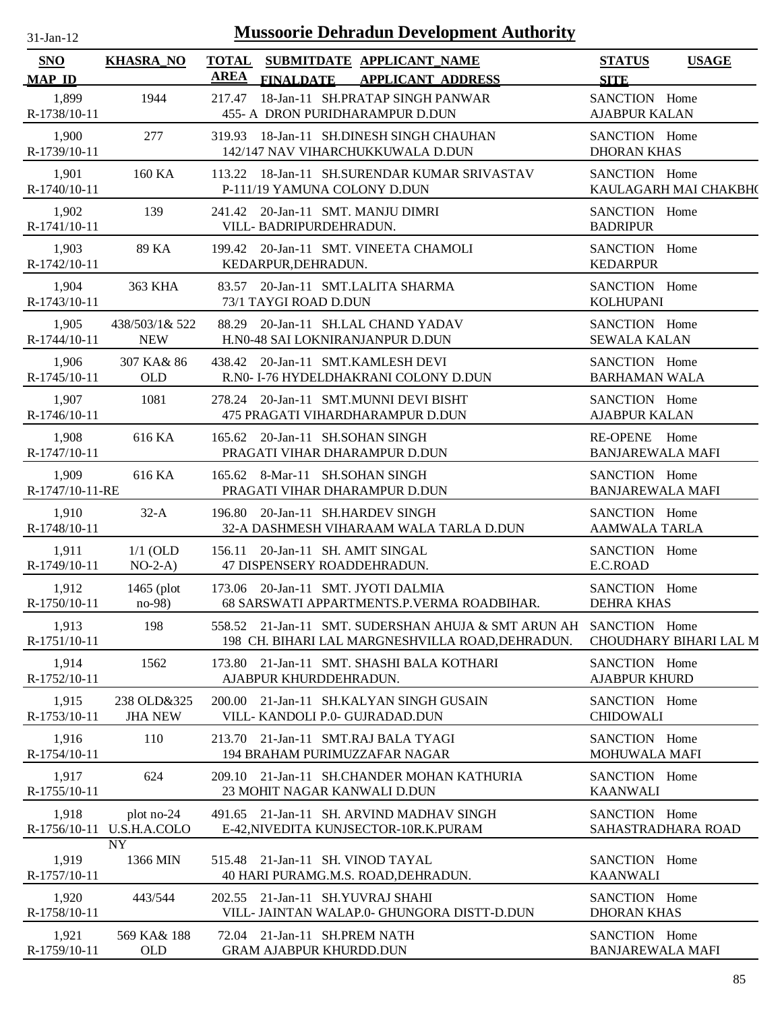| $31$ -Jan-12 |  |
|--------------|--|
|              |  |

| SNO                      | <b>KHASRA_NO</b>                        | <b>TOTAL</b><br><b>AREA</b> |                                                                 | SUBMITDATE APPLICANT_NAME                                                                                             | <b>STATUS</b>                            | <b>USAGE</b>           |
|--------------------------|-----------------------------------------|-----------------------------|-----------------------------------------------------------------|-----------------------------------------------------------------------------------------------------------------------|------------------------------------------|------------------------|
| <b>MAP ID</b>            |                                         |                             | <b>FINALDATE</b>                                                | <b>APPLICANT ADDRESS</b>                                                                                              | <b>SITE</b>                              |                        |
| 1,899<br>R-1738/10-11    | 1944                                    | 217.47                      |                                                                 | 18-Jan-11 SH.PRATAP SINGH PANWAR<br>455- A DRON PURIDHARAMPUR D.DUN                                                   | SANCTION Home<br><b>AJABPUR KALAN</b>    |                        |
| 1,900<br>R-1739/10-11    | 277                                     |                             |                                                                 | 319.93 18-Jan-11 SH.DINESH SINGH CHAUHAN<br>142/147 NAV VIHARCHUKKUWALA D.DUN                                         | SANCTION Home<br><b>DHORAN KHAS</b>      |                        |
| 1,901<br>R-1740/10-11    | 160 KA                                  |                             | P-111/19 YAMUNA COLONY D.DUN                                    | 113.22 18-Jan-11 SH.SURENDAR KUMAR SRIVASTAV                                                                          | SANCTION Home                            | KAULAGARH MAI CHAKBH(  |
| 1,902<br>R-1741/10-11    | 139                                     |                             | 241.42 20-Jan-11 SMT. MANJU DIMRI<br>VILL- BADRIPURDEHRADUN.    |                                                                                                                       | SANCTION Home<br><b>BADRIPUR</b>         |                        |
| 1,903<br>R-1742/10-11    | 89 KA                                   |                             | KEDARPUR, DEHRADUN.                                             | 199.42 20-Jan-11 SMT. VINEETA CHAMOLI                                                                                 | SANCTION Home<br><b>KEDARPUR</b>         |                        |
| 1,904<br>R-1743/10-11    | 363 KHA                                 | 83.57                       | 73/1 TAYGI ROAD D.DUN                                           | 20-Jan-11 SMT.LALITA SHARMA                                                                                           | SANCTION Home<br><b>KOLHUPANI</b>        |                        |
| 1,905<br>R-1744/10-11    | 438/503/1& 522<br><b>NEW</b>            | 88.29                       |                                                                 | 20-Jan-11 SH.LAL CHAND YADAV<br>H.N0-48 SAI LOKNIRANJANPUR D.DUN                                                      | SANCTION Home<br><b>SEWALA KALAN</b>     |                        |
| 1,906<br>R-1745/10-11    | 307 KA& 86<br><b>OLD</b>                |                             |                                                                 | 438.42 20-Jan-11 SMT.KAMLESH DEVI<br>R.N0- I-76 HYDELDHAKRANI COLONY D.DUN                                            | SANCTION Home<br><b>BARHAMAN WALA</b>    |                        |
| 1,907<br>$R-1746/10-11$  | 1081                                    |                             |                                                                 | 278.24 20-Jan-11 SMT.MUNNI DEVI BISHT<br>475 PRAGATI VIHARDHARAMPUR D.DUN                                             | SANCTION Home<br><b>AJABPUR KALAN</b>    |                        |
| 1,908<br>R-1747/10-11    | 616 KA                                  |                             | 165.62 20-Jan-11 SH.SOHAN SINGH                                 | PRAGATI VIHAR DHARAMPUR D.DUN                                                                                         | RE-OPENE Home<br><b>BANJAREWALA MAFI</b> |                        |
| 1,909<br>R-1747/10-11-RE | 616 KA                                  |                             | 165.62 8-Mar-11 SH.SOHAN SINGH                                  | PRAGATI VIHAR DHARAMPUR D.DUN                                                                                         | SANCTION Home<br><b>BANJAREWALA MAFI</b> |                        |
| 1,910<br>R-1748/10-11    | $32-A$                                  |                             | 196.80 20-Jan-11 SH.HARDEV SINGH                                | 32-A DASHMESH VIHARAAM WALA TARLA D.DUN                                                                               | SANCTION Home<br><b>AAMWALA TARLA</b>    |                        |
| 1,911<br>R-1749/10-11    | $1/1$ (OLD<br>$NO-2-A)$                 |                             | 156.11 20-Jan-11 SH. AMIT SINGAL<br>47 DISPENSERY ROADDEHRADUN. |                                                                                                                       | SANCTION Home<br>E.C.ROAD                |                        |
| 1,912<br>R-1750/10-11    | 1465 $(plot)$<br>$no-98$                |                             |                                                                 | 173.06 20-Jan-11 SMT. JYOTI DALMIA<br>68 SARSWATI APPARTMENTS.P.VERMA ROADBIHAR.                                      | SANCTION Home<br><b>DEHRA KHAS</b>       |                        |
| 1,913<br>R-1751/10-11    | 198                                     |                             |                                                                 | 558.52 21-Jan-11 SMT. SUDERSHAN AHUJA & SMT ARUN AH SANCTION Home<br>198 CH. BIHARI LAL MARGNESHVILLA ROAD, DEHRADUN. |                                          | CHOUDHARY BIHARI LAL M |
| 1,914<br>R-1752/10-11    | 1562                                    |                             | AJABPUR KHURDDEHRADUN.                                          | 173.80 21-Jan-11 SMT. SHASHI BALA KOTHARI                                                                             | SANCTION Home<br><b>AJABPUR KHURD</b>    |                        |
| 1,915<br>R-1753/10-11    | 238 OLD&325<br><b>JHA NEW</b>           | 200.00                      | VILL- KANDOLI P.0- GUJRADAD.DUN                                 | 21-Jan-11 SH.KALYAN SINGH GUSAIN                                                                                      | SANCTION Home<br><b>CHIDOWALI</b>        |                        |
| 1,916<br>R-1754/10-11    | 110                                     | 213.70                      |                                                                 | 21-Jan-11 SMT.RAJ BALA TYAGI<br>194 BRAHAM PURIMUZZAFAR NAGAR                                                         | SANCTION Home<br>MOHUWALA MAFI           |                        |
| 1,917<br>R-1755/10-11    | 624                                     |                             | 23 MOHIT NAGAR KANWALI D.DUN                                    | 209.10 21-Jan-11 SH.CHANDER MOHAN KATHURIA                                                                            | SANCTION Home<br><b>KAANWALI</b>         |                        |
| 1,918                    | plot no-24<br>R-1756/10-11 U.S.H.A.COLO |                             |                                                                 | 491.65 21-Jan-11 SH. ARVIND MADHAV SINGH<br>E-42, NIVEDITA KUNJSECTOR-10R.K.PURAM                                     | SANCTION Home                            | SAHASTRADHARA ROAD     |
| 1,919<br>R-1757/10-11    | <b>NY</b><br>1366 MIN                   |                             | 515.48 21-Jan-11 SH. VINOD TAYAL                                | 40 HARI PURAMG.M.S. ROAD, DEHRADUN.                                                                                   | SANCTION Home<br><b>KAANWALI</b>         |                        |
| 1,920<br>R-1758/10-11    | 443/544                                 |                             | 202.55 21-Jan-11 SH.YUVRAJ SHAHI                                | VILL- JAINTAN WALAP.0- GHUNGORA DISTT-D.DUN                                                                           | SANCTION Home<br><b>DHORAN KHAS</b>      |                        |
| 1,921<br>R-1759/10-11    | 569 KA& 188<br><b>OLD</b>               |                             | 72.04 21-Jan-11 SH.PREM NATH<br><b>GRAM AJABPUR KHURDD.DUN</b>  |                                                                                                                       | SANCTION Home<br><b>BANJAREWALA MAFI</b> |                        |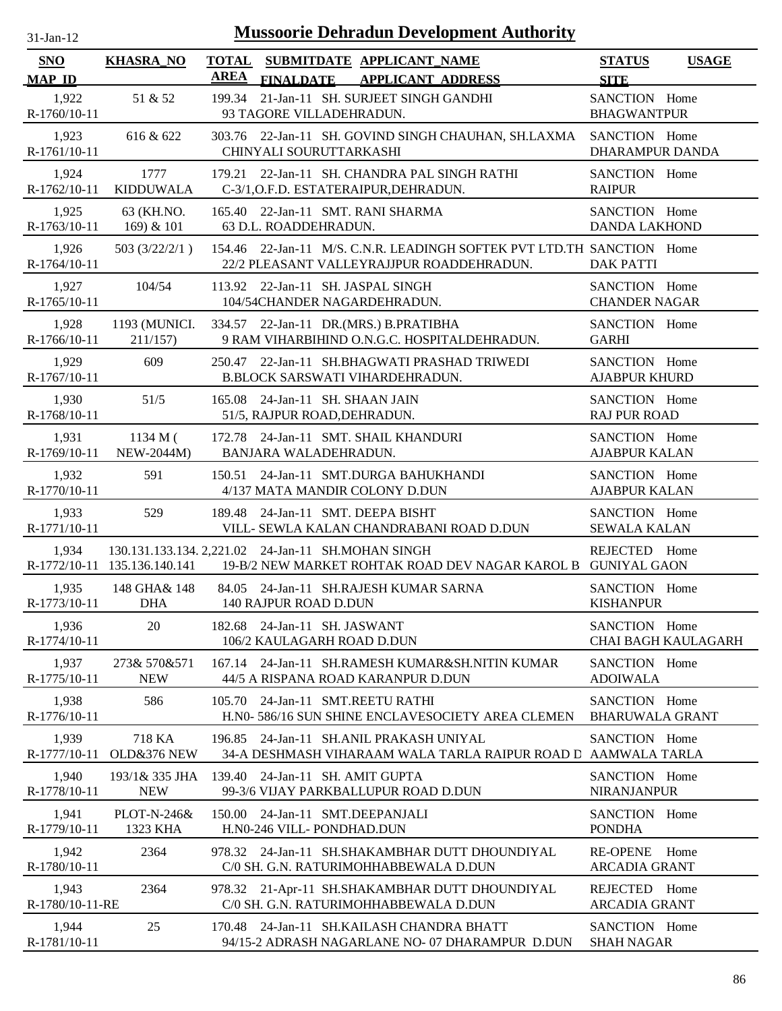| $31$ -Jan-12                |                               |                             | <b>Mussoorie Dehradun Development Authority</b>                                                                    |                                                    |                            |
|-----------------------------|-------------------------------|-----------------------------|--------------------------------------------------------------------------------------------------------------------|----------------------------------------------------|----------------------------|
| <b>SNO</b><br><b>MAP ID</b> | <b>KHASRA_NO</b>              | <b>TOTAL</b><br><b>AREA</b> | SUBMITDATE APPLICANT_NAME<br><b>FINALDATE</b><br><b>APPLICANT ADDRESS</b>                                          | <b>STATUS</b>                                      | <b>USAGE</b>               |
| 1,922<br>$R-1760/10-11$     | 51 & 52                       |                             | 199.34 21-Jan-11 SH. SURJEET SINGH GANDHI<br>93 TAGORE VILLADEHRADUN.                                              | <b>SITE</b><br>SANCTION Home<br><b>BHAGWANTPUR</b> |                            |
| 1,923<br>R-1761/10-11       | 616 & 622                     |                             | 303.76 22-Jan-11 SH. GOVIND SINGH CHAUHAN, SH.LAXMA<br>CHINYALI SOURUTTARKASHI                                     | SANCTION Home<br>DHARAMPUR DANDA                   |                            |
| 1,924<br>$R-1762/10-11$     | 1777<br><b>KIDDUWALA</b>      |                             | 179.21 22-Jan-11 SH. CHANDRA PAL SINGH RATHI<br>C-3/1, O.F.D. ESTATERAIPUR, DEHRADUN.                              | SANCTION Home<br><b>RAIPUR</b>                     |                            |
| 1,925<br>R-1763/10-11       | 63 (KH.NO.<br>$169$ ) & $101$ |                             | 165.40 22-Jan-11 SMT. RANI SHARMA<br>63 D.L. ROADDEHRADUN.                                                         | SANCTION Home<br><b>DANDA LAKHOND</b>              |                            |
| 1,926<br>R-1764/10-11       | 503(3/22/2/1)                 |                             | 154.46 22-Jan-11 M/S. C.N.R. LEADINGH SOFTEK PVT LTD.TH SANCTION Home<br>22/2 PLEASANT VALLEYRAJJPUR ROADDEHRADUN. | <b>DAK PATTI</b>                                   |                            |
| 1,927<br>R-1765/10-11       | 104/54                        |                             | 113.92 22-Jan-11 SH. JASPAL SINGH<br>104/54CHANDER NAGARDEHRADUN.                                                  | SANCTION Home<br><b>CHANDER NAGAR</b>              |                            |
| 1,928<br>R-1766/10-11       | 1193 (MUNICI.<br>211/157      |                             | 334.57 22-Jan-11 DR.(MRS.) B.PRATIBHA<br>9 RAM VIHARBIHIND O.N.G.C. HOSPITALDEHRADUN.                              | SANCTION Home<br><b>GARHI</b>                      |                            |
| 1,929<br>R-1767/10-11       | 609                           |                             | 250.47 22-Jan-11 SH.BHAGWATI PRASHAD TRIWEDI<br>B.BLOCK SARSWATI VIHARDEHRADUN.                                    | SANCTION Home<br><b>AJABPUR KHURD</b>              |                            |
| 1,930<br>R-1768/10-11       | 51/5                          |                             | 165.08 24-Jan-11 SH. SHAAN JAIN<br>51/5, RAJPUR ROAD, DEHRADUN.                                                    | SANCTION Home<br><b>RAJ PUR ROAD</b>               |                            |
| 1,931<br>R-1769/10-11       | 1134 M(<br>NEW-2044M)         |                             | 172.78 24-Jan-11 SMT. SHAIL KHANDURI<br>BANJARA WALADEHRADUN.                                                      | SANCTION Home<br><b>AJABPUR KALAN</b>              |                            |
| 1,932<br>R-1770/10-11       | 591                           |                             | 150.51 24-Jan-11 SMT.DURGA BAHUKHANDI<br>4/137 MATA MANDIR COLONY D.DUN                                            | SANCTION Home<br><b>AJABPUR KALAN</b>              |                            |
| 1,933<br>R-1771/10-11       | 529                           |                             | 189.48 24-Jan-11 SMT. DEEPA BISHT<br>VILL- SEWLA KALAN CHANDRABANI ROAD D.DUN                                      | SANCTION Home<br><b>SEWALA KALAN</b>               |                            |
| 1,934                       | R-1772/10-11 135.136.140.141  |                             | 130.131.133.134. 2,221.02 24-Jan-11 SH.MOHAN SINGH<br>19-B/2 NEW MARKET ROHTAK ROAD DEV NAGAR KAROL B GUNIYAL GAON | REJECTED Home                                      |                            |
| 1,935<br>R-1773/10-11       | 148 GHA& 148<br><b>DHA</b>    |                             | 84.05 24-Jan-11 SH.RAJESH KUMAR SARNA<br>140 RAJPUR ROAD D.DUN                                                     | SANCTION Home<br><b>KISHANPUR</b>                  |                            |
| 1,936<br>R-1774/10-11       | 20                            |                             | 182.68 24-Jan-11 SH. JASWANT<br>106/2 KAULAGARH ROAD D.DUN                                                         | SANCTION Home                                      | <b>CHAI BAGH KAULAGARH</b> |
| 1,937<br>R-1775/10-11       | 273& 570&571<br><b>NEW</b>    | 167.14                      | 24-Jan-11 SH.RAMESH KUMAR&SH.NITIN KUMAR<br>44/5 A RISPANA ROAD KARANPUR D.DUN                                     | SANCTION Home<br><b>ADOIWALA</b>                   |                            |
| 1,938<br>R-1776/10-11       | 586                           | 105.70                      | 24-Jan-11 SMT.REETU RATHI<br>H.N0- 586/16 SUN SHINE ENCLAVESOCIETY AREA CLEMEN                                     | SANCTION Home<br><b>BHARUWALA GRANT</b>            |                            |
| 1,939<br>R-1777/10-11       | 718 KA<br>OLD&376 NEW         | 196.85                      | 24-Jan-11 SH.ANIL PRAKASH UNIYAL<br>34-A DESHMASH VIHARAAM WALA TARLA RAIPUR ROAD D AAMWALA TARLA                  | SANCTION Home                                      |                            |
| 1,940<br>R-1778/10-11       | 193/1& 335 JHA<br><b>NEW</b>  |                             | 139.40 24-Jan-11 SH. AMIT GUPTA<br>99-3/6 VIJAY PARKBALLUPUR ROAD D.DUN                                            | SANCTION Home<br><b>NIRANJANPUR</b>                |                            |
| 1,941<br>R-1779/10-11       | PLOT-N-246&<br>1323 KHA       | 150.00                      | 24-Jan-11 SMT.DEEPANJALI<br>H.N0-246 VILL- PONDHAD.DUN                                                             | SANCTION Home<br><b>PONDHA</b>                     |                            |
| 1,942<br>R-1780/10-11       | 2364                          |                             | 978.32 24-Jan-11 SH.SHAKAMBHAR DUTT DHOUNDIYAL<br>C/0 SH. G.N. RATURIMOHHABBEWALA D.DUN                            | <b>RE-OPENE</b><br><b>ARCADIA GRANT</b>            | Home                       |
| 1,943<br>R-1780/10-11-RE    | 2364                          |                             | 978.32 21-Apr-11 SH.SHAKAMBHAR DUTT DHOUNDIYAL<br>C/0 SH. G.N. RATURIMOHHABBEWALA D.DUN                            | REJECTED Home<br><b>ARCADIA GRANT</b>              |                            |
| 1,944<br>R-1781/10-11       | 25                            |                             | 170.48 24-Jan-11 SH.KAILASH CHANDRA BHATT<br>94/15-2 ADRASH NAGARLANE NO- 07 DHARAMPUR D.DUN                       | SANCTION Home<br><b>SHAH NAGAR</b>                 |                            |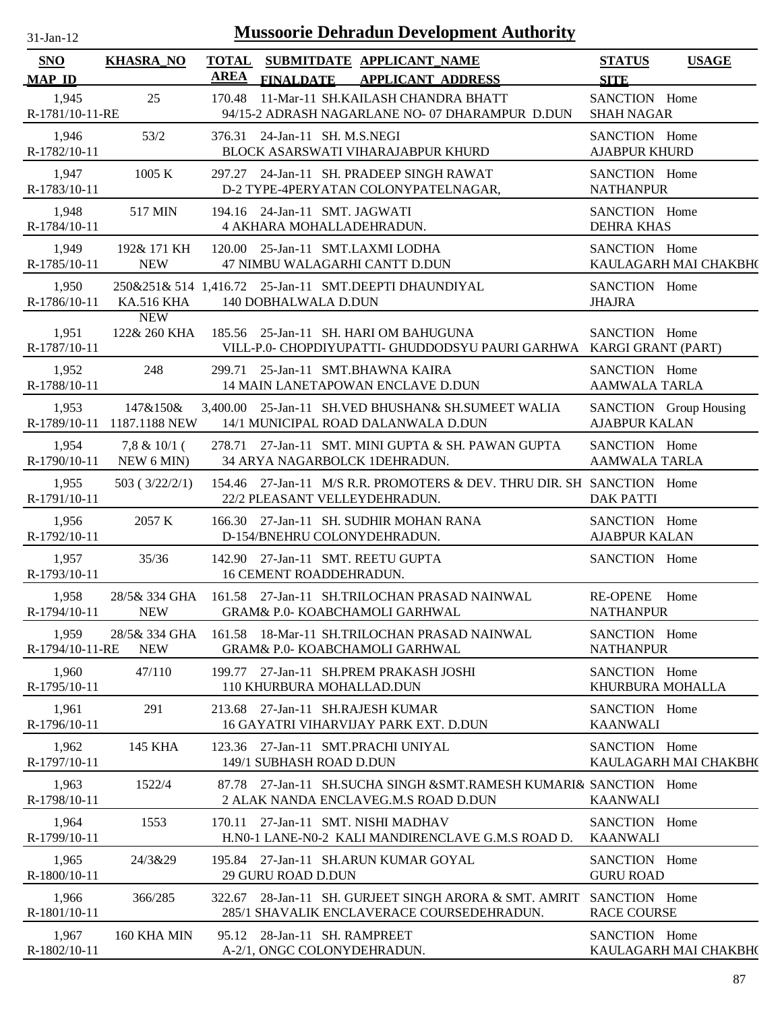| <b>Mussoorie Dehradun Development Authority</b><br>$31-Ian-12$ |                                        |             |                                                                                                                   |                                       |                        |  |  |  |  |
|----------------------------------------------------------------|----------------------------------------|-------------|-------------------------------------------------------------------------------------------------------------------|---------------------------------------|------------------------|--|--|--|--|
| <b>SNO</b><br><b>MAP ID</b>                                    | <b>KHASRA_NO</b>                       | <b>AREA</b> | TOTAL SUBMITDATE APPLICANT NAME<br><b>FINALDATE</b><br><b>APPLICANT ADDRESS</b>                                   | <b>STATUS</b><br><b>SITE</b>          | <b>USAGE</b>           |  |  |  |  |
| 1,945<br>R-1781/10-11-RE                                       | 25                                     | 170.48      | 11-Mar-11 SH.KAILASH CHANDRA BHATT<br>94/15-2 ADRASH NAGARLANE NO- 07 DHARAMPUR D.DUN                             | SANCTION Home<br><b>SHAH NAGAR</b>    |                        |  |  |  |  |
| 1,946<br>R-1782/10-11                                          | 53/2                                   |             | 376.31 24-Jan-11 SH. M.S.NEGI<br>BLOCK ASARSWATI VIHARAJABPUR KHURD                                               | SANCTION Home<br><b>AJABPUR KHURD</b> |                        |  |  |  |  |
| 1,947<br>R-1783/10-11                                          | 1005 K                                 |             | 297.27 24-Jan-11 SH. PRADEEP SINGH RAWAT<br>D-2 TYPE-4PERYATAN COLONYPATELNAGAR,                                  | SANCTION Home<br><b>NATHANPUR</b>     |                        |  |  |  |  |
| 1,948<br>R-1784/10-11                                          | 517 MIN                                |             | 194.16 24-Jan-11 SMT. JAGWATI<br>4 AKHARA MOHALLADEHRADUN.                                                        | SANCTION Home<br><b>DEHRA KHAS</b>    |                        |  |  |  |  |
| 1,949<br>R-1785/10-11                                          | 192& 171 KH<br><b>NEW</b>              |             | 120.00 25-Jan-11 SMT.LAXMI LODHA<br>47 NIMBU WALAGARHI CANTT D.DUN                                                | SANCTION Home                         | KAULAGARH MAI CHAKBH(  |  |  |  |  |
| 1,950<br>R-1786/10-11                                          | <b>KA.516 KHA</b>                      |             | 250&251& 514 1,416.72 25-Jan-11 SMT.DEEPTI DHAUNDIYAL<br>140 DOBHALWALA D.DUN                                     | SANCTION Home<br><b>JHAJRA</b>        |                        |  |  |  |  |
| 1,951<br>R-1787/10-11                                          | <b>NEW</b><br>122& 260 KHA             |             | 185.56 25-Jan-11 SH. HARI OM BAHUGUNA<br>VILL-P.0- CHOPDIYUPATTI- GHUDDODSYU PAURI GARHWA KARGI GRANT (PART)      | SANCTION Home                         |                        |  |  |  |  |
| 1,952<br>R-1788/10-11                                          | 248                                    |             | 299.71 25-Jan-11 SMT.BHAWNA KAIRA<br>14 MAIN LANETAPOWAN ENCLAVE D.DUN                                            | SANCTION Home<br><b>AAMWALA TARLA</b> |                        |  |  |  |  |
| 1,953                                                          | 147&150&<br>R-1789/10-11 1187.1188 NEW |             | 3,400.00 25-Jan-11 SH.VED BHUSHAN& SH.SUMEET WALIA<br>14/1 MUNICIPAL ROAD DALANWALA D.DUN                         | <b>AJABPUR KALAN</b>                  | SANCTION Group Housing |  |  |  |  |
| 1,954<br>R-1790/10-11                                          | $7,8 \& 10/1$ (<br>NEW 6 MIN)          |             | 278.71 27-Jan-11 SMT. MINI GUPTA & SH. PAWAN GUPTA<br>34 ARYA NAGARBOLCK 1DEHRADUN.                               | SANCTION Home<br>AAMWALA TARLA        |                        |  |  |  |  |
| 1,955<br>R-1791/10-11                                          | 503(3/22/2/1)                          |             | 154.46 27-Jan-11 M/S R.R. PROMOTERS & DEV. THRU DIR. SH SANCTION Home<br>22/2 PLEASANT VELLEYDEHRADUN.            | <b>DAK PATTI</b>                      |                        |  |  |  |  |
| 1,956<br>R-1792/10-11                                          | 2057 K                                 |             | 166.30 27-Jan-11 SH. SUDHIR MOHAN RANA<br>D-154/BNEHRU COLONYDEHRADUN.                                            | SANCTION Home<br><b>AJABPUR KALAN</b> |                        |  |  |  |  |
| 1,957<br>R-1793/10-11                                          | 35/36                                  |             | 142.90 27-Jan-11 SMT. REETU GUPTA<br>16 CEMENT ROADDEHRADUN.                                                      | SANCTION Home                         |                        |  |  |  |  |
| 1,958<br>R-1794/10-11                                          | <b>NEW</b>                             |             | 28/5& 334 GHA 161.58 27-Jan-11 SH.TRILOCHAN PRASAD NAINWAL<br>GRAM& P.0- KOABCHAMOLI GARHWAL                      | RE-OPENE Home<br><b>NATHANPUR</b>     |                        |  |  |  |  |
| 1,959<br>R-1794/10-11-RE                                       | 28/5& 334 GHA<br><b>NEW</b>            |             | 161.58 18-Mar-11 SH.TRILOCHAN PRASAD NAINWAL<br><b>GRAM&amp; P.0- KOABCHAMOLI GARHWAL</b>                         | SANCTION Home<br><b>NATHANPUR</b>     |                        |  |  |  |  |
| 1,960<br>R-1795/10-11                                          | 47/110                                 |             | 199.77 27-Jan-11 SH.PREM PRAKASH JOSHI<br>110 KHURBURA MOHALLAD.DUN                                               | SANCTION Home<br>KHURBURA MOHALLA     |                        |  |  |  |  |
| 1,961<br>R-1796/10-11                                          | 291                                    |             | 213.68 27-Jan-11 SH.RAJESH KUMAR<br>16 GAYATRI VIHARVIJAY PARK EXT. D.DUN                                         | SANCTION Home<br><b>KAANWALI</b>      |                        |  |  |  |  |
| 1,962<br>R-1797/10-11                                          | 145 KHA                                |             | 123.36 27-Jan-11 SMT.PRACHI UNIYAL<br>149/1 SUBHASH ROAD D.DUN                                                    | SANCTION Home                         | KAULAGARH MAI CHAKBH(  |  |  |  |  |
| 1,963<br>R-1798/10-11                                          | 1522/4                                 |             | 87.78 27-Jan-11 SH.SUCHA SINGH & SMT.RAMESH KUMARI& SANCTION Home<br>2 ALAK NANDA ENCLAVEG.M.S ROAD D.DUN         | <b>KAANWALI</b>                       |                        |  |  |  |  |
| 1,964<br>R-1799/10-11                                          | 1553                                   |             | 170.11 27-Jan-11 SMT. NISHI MADHAV<br>H.NO-1 LANE-NO-2 KALI MANDIRENCLAVE G.M.S ROAD D.                           | SANCTION Home<br><b>KAANWALI</b>      |                        |  |  |  |  |
| 1,965<br>R-1800/10-11                                          | 24/3&29                                |             | 195.84 27-Jan-11 SH.ARUN KUMAR GOYAL<br>29 GURU ROAD D.DUN                                                        | SANCTION Home<br><b>GURU ROAD</b>     |                        |  |  |  |  |
| 1,966<br>R-1801/10-11                                          | 366/285                                |             | 322.67 28-Jan-11 SH. GURJEET SINGH ARORA & SMT. AMRIT SANCTION Home<br>285/1 SHAVALIK ENCLAVERACE COURSEDEHRADUN. | <b>RACE COURSE</b>                    |                        |  |  |  |  |
| 1,967<br>R-1802/10-11                                          | 160 KHA MIN                            |             | 95.12 28-Jan-11 SH. RAMPREET<br>A-2/1, ONGC COLONYDEHRADUN.                                                       | SANCTION Home                         | KAULAGARH MAI CHAKBH(  |  |  |  |  |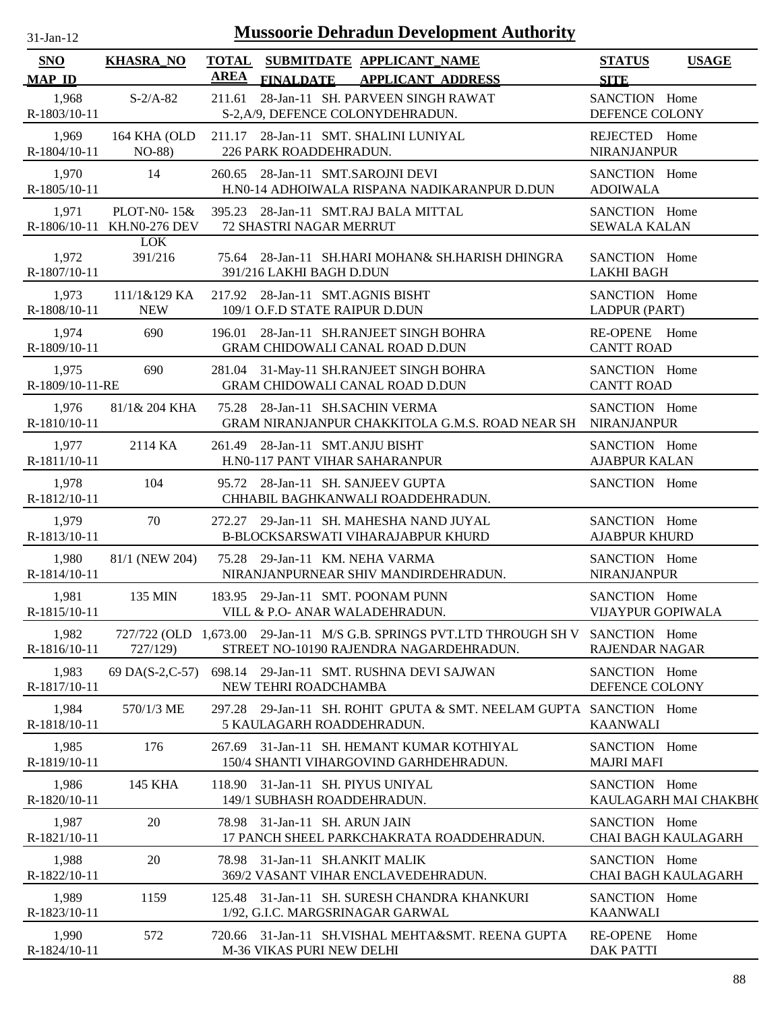| $31-Jan-12$              |                                           |             | <b>Mussoorie Dehradun Development Authority</b>                                                                  |                                              |
|--------------------------|-------------------------------------------|-------------|------------------------------------------------------------------------------------------------------------------|----------------------------------------------|
| SNO<br><b>MAP ID</b>     | <b>KHASRA_NO</b>                          | <b>AREA</b> | TOTAL SUBMITDATE APPLICANT NAME<br>FINALDATE APPLICANT ADDRESS                                                   | <b>STATUS</b><br><b>USAGE</b><br><b>SITE</b> |
| 1,968<br>R-1803/10-11    | $S-2/A-82$                                | 211.61      | 28-Jan-11 SH. PARVEEN SINGH RAWAT<br>S-2, A/9, DEFENCE COLONYDEHRADUN.                                           | SANCTION Home<br>DEFENCE COLONY              |
| 1,969<br>R-1804/10-11    | 164 KHA (OLD<br>NO-88)                    |             | 211.17 28-Jan-11 SMT. SHALINI LUNIYAL<br>226 PARK ROADDEHRADUN.                                                  | REJECTED Home<br><b>NIRANJANPUR</b>          |
| 1,970<br>R-1805/10-11    | 14                                        |             | 260.65 28-Jan-11 SMT.SAROJNI DEVI<br>H.N0-14 ADHOIWALA RISPANA NADIKARANPUR D.DUN                                | SANCTION Home<br><b>ADOIWALA</b>             |
| 1,971                    | PLOT-N0-15&<br>R-1806/10-11 KH.N0-276 DEV |             | 395.23 28-Jan-11 SMT.RAJ BALA MITTAL<br>72 SHASTRI NAGAR MERRUT                                                  | SANCTION Home<br><b>SEWALA KALAN</b>         |
| 1,972<br>R-1807/10-11    | <b>LOK</b><br>391/216                     |             | 75.64 28-Jan-11 SH.HARI MOHAN& SH.HARISH DHINGRA<br>391/216 LAKHI BAGH D.DUN                                     | SANCTION Home<br><b>LAKHI BAGH</b>           |
| 1,973<br>R-1808/10-11    | 111/1&129 KA<br><b>NEW</b>                |             | 217.92 28-Jan-11 SMT.AGNIS BISHT<br>109/1 O.F.D STATE RAIPUR D.DUN                                               | SANCTION Home<br>LADPUR (PART)               |
| 1,974<br>R-1809/10-11    | 690                                       | 196.01      | 28-Jan-11 SH.RANJEET SINGH BOHRA<br>GRAM CHIDOWALI CANAL ROAD D.DUN                                              | RE-OPENE Home<br><b>CANTT ROAD</b>           |
| 1,975<br>R-1809/10-11-RE | 690                                       |             | 281.04 31-May-11 SH.RANJEET SINGH BOHRA<br>GRAM CHIDOWALI CANAL ROAD D.DUN                                       | SANCTION Home<br><b>CANTT ROAD</b>           |
| 1,976<br>R-1810/10-11    | 81/1& 204 KHA                             |             | 75.28 28-Jan-11 SH.SACHIN VERMA<br>GRAM NIRANJANPUR CHAKKITOLA G.M.S. ROAD NEAR SH                               | SANCTION Home<br><b>NIRANJANPUR</b>          |
| 1,977<br>R-1811/10-11    | 2114 KA                                   |             | 261.49 28-Jan-11 SMT.ANJU BISHT<br>H.N0-117 PANT VIHAR SAHARANPUR                                                | SANCTION Home<br><b>AJABPUR KALAN</b>        |
| 1,978<br>R-1812/10-11    | 104                                       |             | 95.72 28-Jan-11 SH. SANJEEV GUPTA<br>CHHABIL BAGHKANWALI ROADDEHRADUN.                                           | SANCTION Home                                |
| 1,979<br>R-1813/10-11    | 70                                        |             | 272.27 29-Jan-11 SH. MAHESHA NAND JUYAL<br>B-BLOCKSARSWATI VIHARAJABPUR KHURD                                    | SANCTION Home<br><b>AJABPUR KHURD</b>        |
| 1,980<br>R-1814/10-11    | 81/1 (NEW 204)                            |             | 75.28 29-Jan-11 KM. NEHA VARMA<br>NIRANJANPURNEAR SHIV MANDIRDEHRADUN.                                           | SANCTION Home<br><b>NIRANJANPUR</b>          |
| 1,981<br>R-1815/10-11    |                                           |             | 135 MIN 183.95 29-Jan-11 SMT. POONAM PUNN<br>VILL & P.O- ANAR WALADEHRADUN.                                      | SANCTION Home<br>VIJAYPUR GOPIWALA           |
| 1,982<br>R-1816/10-11    | 727/129)                                  |             | 727/722 (OLD 1,673.00 29-Jan-11 M/S G.B. SPRINGS PVT.LTD THROUGH SH V<br>STREET NO-10190 RAJENDRA NAGARDEHRADUN. | SANCTION Home<br><b>RAJENDAR NAGAR</b>       |
| 1,983<br>R-1817/10-11    | 69 DA(S-2,C-57)                           |             | 698.14 29-Jan-11 SMT. RUSHNA DEVI SAJWAN<br>NEW TEHRI ROADCHAMBA                                                 | SANCTION Home<br>DEFENCE COLONY              |
| 1,984<br>R-1818/10-11    | 570/1/3 ME                                |             | 297.28 29-Jan-11 SH. ROHIT GPUTA & SMT. NEELAM GUPTA SANCTION Home<br>5 KAULAGARH ROADDEHRADUN.                  | <b>KAANWALI</b>                              |
| 1,985<br>R-1819/10-11    | 176                                       |             | 267.69 31-Jan-11 SH. HEMANT KUMAR KOTHIYAL<br>150/4 SHANTI VIHARGOVIND GARHDEHRADUN.                             | SANCTION Home<br><b>MAJRI MAFI</b>           |
| 1,986<br>R-1820/10-11    | 145 KHA                                   |             | 118.90 31-Jan-11 SH. PIYUS UNIYAL<br>149/1 SUBHASH ROADDEHRADUN.                                                 | SANCTION Home<br>KAULAGARH MAI CHAKBH(       |
| 1,987<br>R-1821/10-11    | 20                                        |             | 78.98 31-Jan-11 SH. ARUN JAIN<br>17 PANCH SHEEL PARKCHAKRATA ROADDEHRADUN.                                       | SANCTION Home<br>CHAI BAGH KAULAGARH         |
| 1,988<br>R-1822/10-11    | 20                                        |             | 78.98 31-Jan-11 SH.ANKIT MALIK<br>369/2 VASANT VIHAR ENCLAVEDEHRADUN.                                            | SANCTION Home<br><b>CHAI BAGH KAULAGARH</b>  |
| 1,989<br>R-1823/10-11    | 1159                                      |             | 125.48 31-Jan-11 SH. SURESH CHANDRA KHANKURI<br>1/92, G.I.C. MARGSRINAGAR GARWAL                                 | SANCTION Home<br><b>KAANWALI</b>             |
| 1,990<br>R-1824/10-11    | 572                                       |             | 720.66 31-Jan-11 SH.VISHAL MEHTA&SMT. REENA GUPTA<br>M-36 VIKAS PURI NEW DELHI                                   | <b>RE-OPENE</b><br>Home<br><b>DAK PATTI</b>  |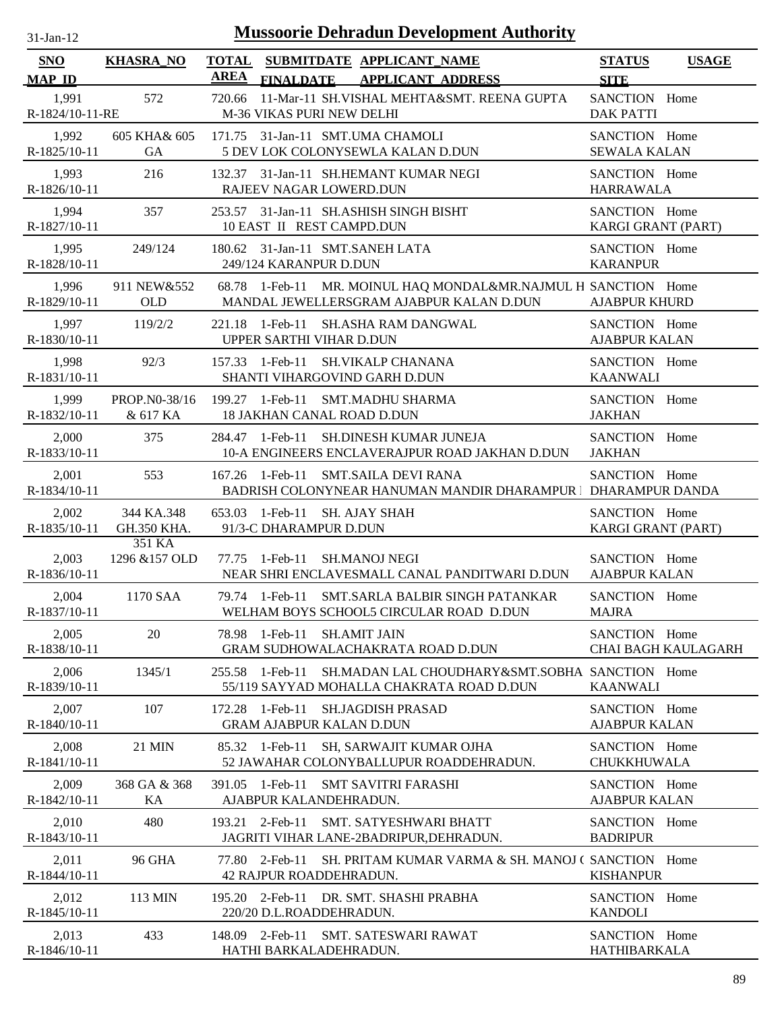| $31-Jan-12$                 |                           | <b>Mussoorie Dehradun Development Authority</b>                                                                |                                       |                            |
|-----------------------------|---------------------------|----------------------------------------------------------------------------------------------------------------|---------------------------------------|----------------------------|
| <b>SNO</b><br><b>MAP ID</b> | <b>KHASRA_NO</b>          | <b>TOTAL</b><br>SUBMITDATE APPLICANT_NAME<br><b>AREA</b><br><b>FINALDATE</b><br><b>APPLICANT ADDRESS</b>       | <b>STATUS</b><br><b>SITE</b>          | <b>USAGE</b>               |
| 1,991<br>R-1824/10-11-RE    | 572                       | 11-Mar-11 SH.VISHAL MEHTA&SMT. REENA GUPTA<br>720.66<br>M-36 VIKAS PURI NEW DELHI                              | SANCTION Home<br><b>DAK PATTI</b>     |                            |
| 1,992<br>R-1825/10-11       | 605 KHA& 605<br><b>GA</b> | 171.75 31-Jan-11 SMT.UMA CHAMOLI<br>5 DEV LOK COLONYSEWLA KALAN D.DUN                                          | SANCTION Home<br><b>SEWALA KALAN</b>  |                            |
| 1,993<br>R-1826/10-11       | 216                       | 132.37 31-Jan-11 SH.HEMANT KUMAR NEGI<br>RAJEEV NAGAR LOWERD.DUN                                               | SANCTION Home<br><b>HARRAWALA</b>     |                            |
| 1,994<br>R-1827/10-11       | 357                       | 253.57 31-Jan-11 SH.ASHISH SINGH BISHT<br>10 EAST II REST CAMPD.DUN                                            | SANCTION Home<br>KARGI GRANT (PART)   |                            |
| 1,995<br>R-1828/10-11       | 249/124                   | 180.62 31-Jan-11 SMT.SANEH LATA<br>249/124 KARANPUR D.DUN                                                      | SANCTION Home<br><b>KARANPUR</b>      |                            |
| 1,996<br>R-1829/10-11       | 911 NEW&552<br><b>OLD</b> | 68.78 1-Feb-11 MR. MOINUL HAQ MONDAL&MR.NAJMUL H SANCTION Home<br>MANDAL JEWELLERSGRAM AJABPUR KALAN D.DUN     | <b>AJABPUR KHURD</b>                  |                            |
| 1,997<br>R-1830/10-11       | 119/2/2                   | 221.18 1-Feb-11 SH.ASHA RAM DANGWAL<br>UPPER SARTHI VIHAR D.DUN                                                | SANCTION Home<br><b>AJABPUR KALAN</b> |                            |
| 1,998<br>R-1831/10-11       | 92/3                      | 1-Feb-11 SH.VIKALP CHANANA<br>157.33<br>SHANTI VIHARGOVIND GARH D.DUN                                          | SANCTION Home<br><b>KAANWALI</b>      |                            |
| 1,999<br>R-1832/10-11       | PROP.N0-38/16<br>& 617 KA | 199.27 1-Feb-11 SMT.MADHU SHARMA<br><b>18 JAKHAN CANAL ROAD D.DUN</b>                                          | SANCTION Home<br><b>JAKHAN</b>        |                            |
| 2,000<br>R-1833/10-11       | 375                       | SH.DINESH KUMAR JUNEJA<br>284.47 1-Feb-11<br>10-A ENGINEERS ENCLAVERAJPUR ROAD JAKHAN D.DUN                    | SANCTION Home<br><b>JAKHAN</b>        |                            |
| 2,001<br>R-1834/10-11       | 553                       | 167.26 1-Feb-11<br>SMT.SAILA DEVI RANA<br>BADRISH COLONYNEAR HANUMAN MANDIR DHARAMPUR   DHARAMPUR DANDA        | SANCTION Home                         |                            |
| 2,002<br>R-1835/10-11       | 344 KA.348<br>GH.350 KHA. | 653.03<br>1-Feb-11 SH. AJAY SHAH<br>91/3-C DHARAMPUR D.DUN                                                     | SANCTION Home<br>KARGI GRANT (PART)   |                            |
| 2,003<br>R-1836/10-11       | 351 KA<br>1296 & 157 OLD  | <b>SH.MANOJ NEGI</b><br>77.75 1-Feb-11<br>NEAR SHRI ENCLAVESMALL CANAL PANDITWARI D.DUN                        | SANCTION Home<br><b>AJABPUR KALAN</b> |                            |
| 2,004<br>R-1837/10-11       | 1170 SAA                  | 79.74 1-Feb-11 SMT.SARLA BALBIR SINGH PATANKAR<br>WELHAM BOYS SCHOOL5 CIRCULAR ROAD D.DUN                      | SANCTION Home<br><b>MAJRA</b>         |                            |
| 2,005<br>R-1838/10-11       | 20                        | 78.98<br>1-Feb-11<br><b>SH.AMIT JAIN</b><br>GRAM SUDHOWALACHAKRATA ROAD D.DUN                                  | SANCTION Home                         | <b>CHAI BAGH KAULAGARH</b> |
| 2,006<br>R-1839/10-11       | 1345/1                    | SH.MADAN LAL CHOUDHARY&SMT.SOBHA SANCTION Home<br>255.58 1-Feb-11<br>55/119 SAYYAD MOHALLA CHAKRATA ROAD D.DUN | <b>KAANWALI</b>                       |                            |
| 2,007<br>$R-1840/10-11$     | 107                       | 172.28 1-Feb-11<br><b>SH.JAGDISH PRASAD</b><br><b>GRAM AJABPUR KALAN D.DUN</b>                                 | SANCTION Home<br><b>AJABPUR KALAN</b> |                            |
| 2,008<br>R-1841/10-11       | <b>21 MIN</b>             | 85.32 1-Feb-11<br>SH, SARWAJIT KUMAR OJHA<br>52 JAWAHAR COLONYBALLUPUR ROADDEHRADUN.                           | SANCTION Home<br><b>CHUKKHUWALA</b>   |                            |
| 2,009<br>R-1842/10-11       | 368 GA & 368<br>KA        | 391.05 1-Feb-11<br><b>SMT SAVITRI FARASHI</b><br>AJABPUR KALANDEHRADUN.                                        | SANCTION Home<br><b>AJABPUR KALAN</b> |                            |
| 2,010<br>R-1843/10-11       | 480                       | $2$ -Feb-11<br>SMT. SATYESHWARI BHATT<br>193.21<br>JAGRITI VIHAR LANE-2BADRIPUR, DEHRADUN.                     | SANCTION Home<br><b>BADRIPUR</b>      |                            |
| 2,011<br>R-1844/10-11       | <b>96 GHA</b>             | $2$ -Feb-11<br>SH. PRITAM KUMAR VARMA & SH. MANOJ C SANCTION Home<br>77.80<br><b>42 RAJPUR ROADDEHRADUN.</b>   | <b>KISHANPUR</b>                      |                            |
| 2,012<br>R-1845/10-11       | 113 MIN                   | 195.20 2-Feb-11 DR. SMT. SHASHI PRABHA<br>220/20 D.L.ROADDEHRADUN.                                             | SANCTION Home<br><b>KANDOLI</b>       |                            |
| 2,013<br>R-1846/10-11       | 433                       | 148.09 2-Feb-11<br><b>SMT. SATESWARI RAWAT</b><br>HATHI BARKALADEHRADUN.                                       | SANCTION Home<br><b>HATHIBARKALA</b>  |                            |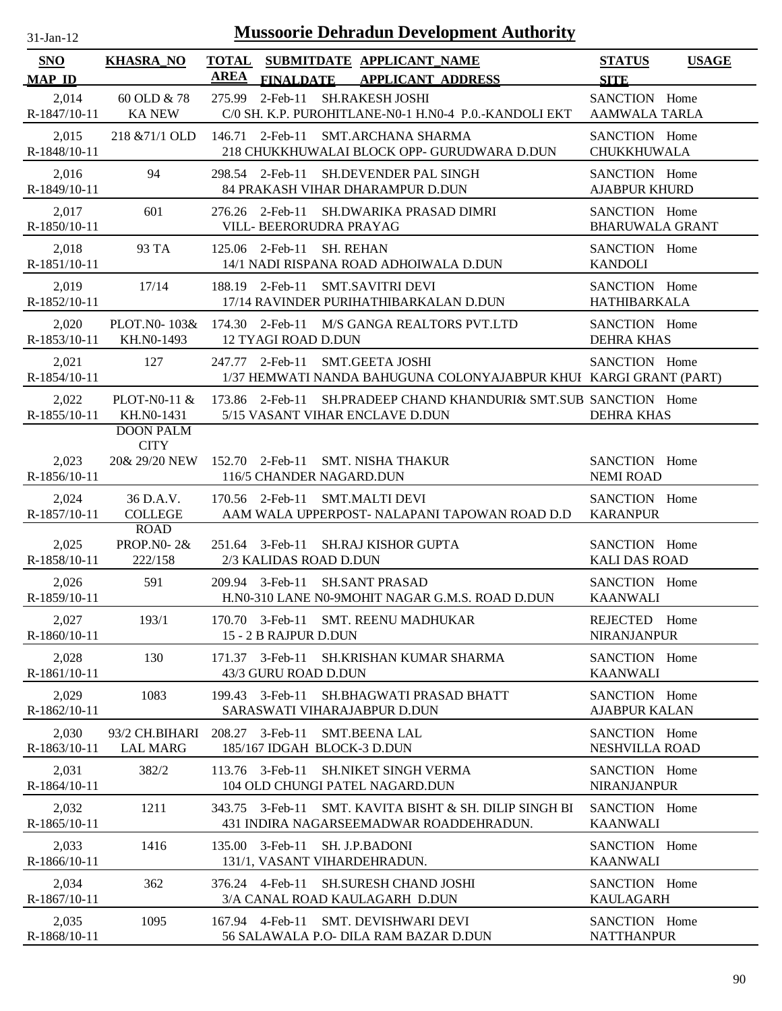| 31-Jan-12                   |                                                  | <b>Mussoorie Dehradun Development Authority</b>                                                      |                                              |
|-----------------------------|--------------------------------------------------|------------------------------------------------------------------------------------------------------|----------------------------------------------|
| <b>SNO</b><br><b>MAP ID</b> | <b>KHASRA NO</b>                                 | TOTAL SUBMITDATE APPLICANT_NAME<br><b>AREA</b><br><b>FINALDATE</b><br><b>APPLICANT ADDRESS</b>       | <b>STATUS</b><br><b>USAGE</b><br><b>SITE</b> |
| 2,014<br>R-1847/10-11       | 60 OLD & 78<br><b>KA NEW</b>                     | 2-Feb-11 SH.RAKESH JOSHI<br>275.99<br>C/0 SH. K.P. PUROHITLANE-N0-1 H.N0-4 P.O.-KANDOLI EKT          | SANCTION Home<br><b>AAMWALA TARLA</b>        |
| 2,015<br>R-1848/10-11       | 218 & 71/1 OLD                                   | 146.71 2-Feb-11 SMT.ARCHANA SHARMA<br>218 CHUKKHUWALAI BLOCK OPP- GURUDWARA D.DUN                    | SANCTION Home<br><b>CHUKKHUWALA</b>          |
| 2,016<br>R-1849/10-11       | 94                                               | 298.54 2-Feb-11 SH.DEVENDER PAL SINGH<br>84 PRAKASH VIHAR DHARAMPUR D.DUN                            | SANCTION Home<br><b>AJABPUR KHURD</b>        |
| 2,017<br>R-1850/10-11       | 601                                              | 276.26 2-Feb-11<br>SH.DWARIKA PRASAD DIMRI<br>VILL- BEERORUDRA PRAYAG                                | SANCTION Home<br><b>BHARUWALA GRANT</b>      |
| 2,018<br>R-1851/10-11       | 93 TA                                            | 125.06 2-Feb-11<br><b>SH. REHAN</b><br>14/1 NADI RISPANA ROAD ADHOIWALA D.DUN                        | SANCTION Home<br><b>KANDOLI</b>              |
| 2,019<br>R-1852/10-11       | 17/14                                            | 188.19 2-Feb-11<br>SMT.SAVITRI DEVI<br>17/14 RAVINDER PURIHATHIBARKALAN D.DUN                        | SANCTION Home<br>HATHIBARKALA                |
| 2,020<br>R-1853/10-11       | PLOT. $N0-103\&$<br>KH.N0-1493                   | 174.30 2-Feb-11 M/S GANGA REALTORS PVT.LTD<br><b>12 TYAGI ROAD D.DUN</b>                             | SANCTION Home<br><b>DEHRA KHAS</b>           |
| 2,021<br>R-1854/10-11       | 127                                              | 247.77 2-Feb-11 SMT.GEETA JOSHI<br>1/37 HEMWATI NANDA BAHUGUNA COLONYAJABPUR KHUI KARGI GRANT (PART) | SANCTION Home                                |
| 2,022<br>R-1855/10-11       | PLOT-N0-11 $&$<br>KH.NO-1431                     | 173.86 2-Feb-11 SH.PRADEEP CHAND KHANDURI& SMT.SUB SANCTION Home<br>5/15 VASANT VIHAR ENCLAVE D.DUN  | <b>DEHRA KHAS</b>                            |
| 2,023<br>R-1856/10-11       | <b>DOON PALM</b><br><b>CITY</b><br>20& 29/20 NEW | 152.70 2-Feb-11 SMT. NISHA THAKUR<br>116/5 CHANDER NAGARD.DUN                                        | SANCTION Home<br><b>NEMI ROAD</b>            |
| 2,024<br>R-1857/10-11       | 36 D.A.V.<br><b>COLLEGE</b>                      | 170.56 2-Feb-11 SMT.MALTI DEVI<br>AAM WALA UPPERPOST- NALAPANI TAPOWAN ROAD D.D                      | SANCTION Home<br><b>KARANPUR</b>             |
| 2,025<br>R-1858/10-11       | <b>ROAD</b><br><b>PROP.NO-2&amp;</b><br>222/158  | 251.64 3-Feb-11 SH.RAJ KISHOR GUPTA<br>2/3 KALIDAS ROAD D.DUN                                        | SANCTION Home<br><b>KALI DAS ROAD</b>        |
| 2,026<br>R-1859/10-11       | 591                                              | 209.94 3-Feb-11 SH.SANT PRASAD<br>H.N0-310 LANE N0-9MOHIT NAGAR G.M.S. ROAD D.DUN                    | SANCTION Home<br><b>KAANWALI</b>             |
| 2,027<br>R-1860/10-11       | 193/1                                            | 170.70 3-Feb-11 SMT. REENU MADHUKAR<br>15 - 2 B RAJPUR D.DUN                                         | <b>REJECTED</b><br>Home<br>NIRANJANPUR       |
| 2,028<br>R-1861/10-11       | 130                                              | 171.37 3-Feb-11 SH.KRISHAN KUMAR SHARMA<br>43/3 GURU ROAD D.DUN                                      | SANCTION Home<br><b>KAANWALI</b>             |
| 2,029<br>R-1862/10-11       | 1083                                             | 199.43 3-Feb-11<br><b>SH.BHAGWATI PRASAD BHATT</b><br>SARASWATI VIHARAJABPUR D.DUN                   | SANCTION Home<br><b>AJABPUR KALAN</b>        |
| 2,030<br>R-1863/10-11       | 93/2 CH.BIHARI<br><b>LAL MARG</b>                | 208.27 3-Feb-11<br><b>SMT.BEENA LAL</b><br>185/167 IDGAH BLOCK-3 D.DUN                               | SANCTION Home<br><b>NESHVILLA ROAD</b>       |
| 2,031<br>R-1864/10-11       | 382/2                                            | 113.76 3-Feb-11<br><b>SH.NIKET SINGH VERMA</b><br>104 OLD CHUNGI PATEL NAGARD.DUN                    | SANCTION Home<br>NIRANJANPUR                 |
| 2,032<br>R-1865/10-11       | 1211                                             | 343.75 3-Feb-11<br>SMT. KAVITA BISHT & SH. DILIP SINGH BI<br>431 INDIRA NAGARSEEMADWAR ROADDEHRADUN. | SANCTION Home<br><b>KAANWALI</b>             |
| 2,033<br>R-1866/10-11       | 1416                                             | 135.00 3-Feb-11<br>SH. J.P.BADONI<br>131/1, VASANT VIHARDEHRADUN.                                    | SANCTION Home<br><b>KAANWALI</b>             |
| 2,034<br>R-1867/10-11       | 362                                              | 376.24 4-Feb-11<br><b>SH.SURESH CHAND JOSHI</b><br>3/A CANAL ROAD KAULAGARH D.DUN                    | SANCTION Home<br><b>KAULAGARH</b>            |
| 2,035<br>R-1868/10-11       | 1095                                             | 167.94 4-Feb-11 SMT. DEVISHWARI DEVI<br>56 SALAWALA P.O- DILA RAM BAZAR D.DUN                        | SANCTION Home<br><b>NATTHANPUR</b>           |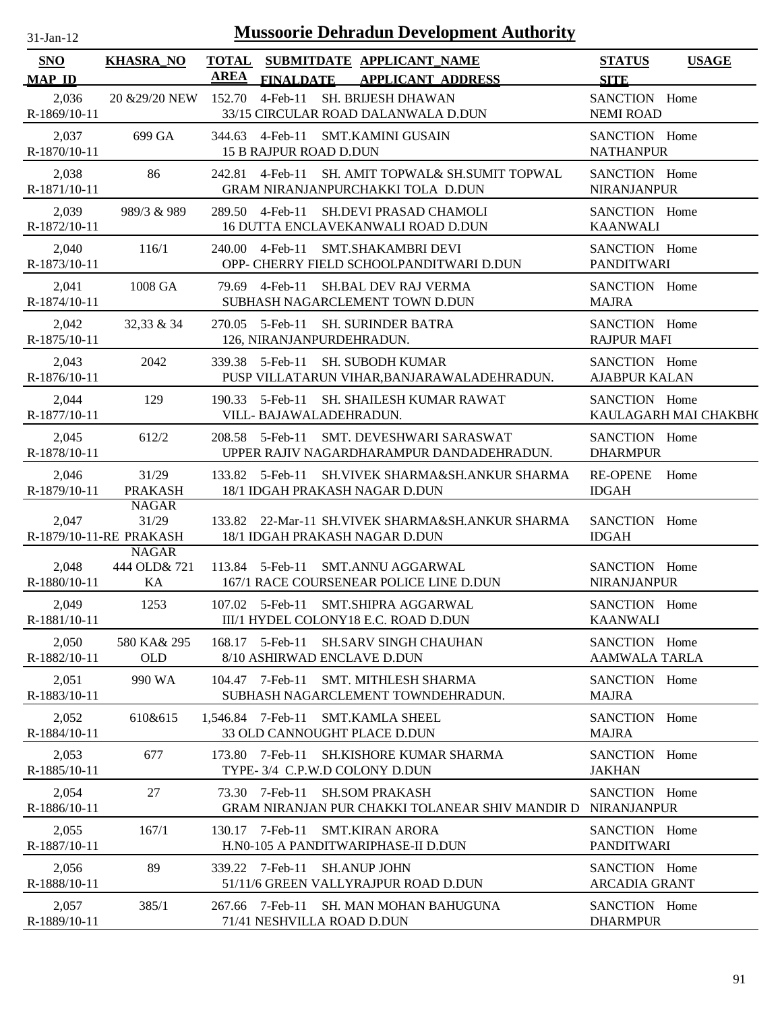| $31$ -Jan-12 |  |
|--------------|--|
|              |  |

| SNO                     | <b>KHASRA_NO</b>                                 | <b>TOTAL</b> |                                                | SUBMITDATE APPLICANT NAME                                                             | <b>STATUS</b>                         | <b>USAGE</b>          |
|-------------------------|--------------------------------------------------|--------------|------------------------------------------------|---------------------------------------------------------------------------------------|---------------------------------------|-----------------------|
| <b>MAP ID</b>           |                                                  | <b>AREA</b>  | <b>FINALDATE</b>                               | <b>APPLICANT ADDRESS</b>                                                              | <b>SITE</b>                           |                       |
| 2,036<br>R-1869/10-11   | 20 & 29/20 NEW                                   |              | 152.70 4-Feb-11                                | SH. BRIJESH DHAWAN<br>33/15 CIRCULAR ROAD DALANWALA D.DUN                             | SANCTION Home<br><b>NEMI ROAD</b>     |                       |
| 2,037<br>$R-1870/10-11$ | 699 GA                                           |              | 15 B RAJPUR ROAD D.DUN                         | 344.63 4-Feb-11 SMT.KAMINI GUSAIN                                                     | SANCTION Home<br><b>NATHANPUR</b>     |                       |
| 2,038<br>R-1871/10-11   | 86                                               |              |                                                | 242.81 4-Feb-11 SH. AMIT TOPWAL& SH.SUMIT TOPWAL<br>GRAM NIRANJANPURCHAKKI TOLA D.DUN | SANCTION Home<br><b>NIRANJANPUR</b>   |                       |
| 2,039<br>R-1872/10-11   | 989/3 & 989                                      |              | 289.50 4-Feb-11                                | SH.DEVI PRASAD CHAMOLI<br>16 DUTTA ENCLAVEKANWALI ROAD D.DUN                          | SANCTION Home<br><b>KAANWALI</b>      |                       |
| 2,040<br>R-1873/10-11   | 116/1                                            |              |                                                | 240.00 4-Feb-11 SMT.SHAKAMBRI DEVI<br>OPP- CHERRY FIELD SCHOOLPANDITWARI D.DUN        | SANCTION Home<br><b>PANDITWARI</b>    |                       |
| 2,041<br>R-1874/10-11   | 1008 GA                                          |              | 79.69 4-Feb-11                                 | <b>SH.BAL DEV RAJ VERMA</b><br>SUBHASH NAGARCLEMENT TOWN D.DUN                        | SANCTION Home<br><b>MAJRA</b>         |                       |
| 2,042<br>R-1875/10-11   | 32,33 & 34                                       |              | 126, NIRANJANPURDEHRADUN.                      | 270.05 5-Feb-11 SH. SURINDER BATRA                                                    | SANCTION Home<br><b>RAJPUR MAFI</b>   |                       |
| 2,043<br>R-1876/10-11   | 2042                                             |              |                                                | 339.38 5-Feb-11 SH. SUBODH KUMAR<br>PUSP VILLATARUN VIHAR, BANJARAWALADEHRADUN.       | SANCTION Home<br><b>AJABPUR KALAN</b> |                       |
| 2,044<br>R-1877/10-11   | 129                                              |              | VILL-BAJAWALADEHRADUN.                         | 190.33 5-Feb-11 SH. SHAILESH KUMAR RAWAT                                              | SANCTION Home                         | KAULAGARH MAI CHAKBH( |
| 2,045<br>R-1878/10-11   | 612/2                                            |              | 208.58 5-Feb-11                                | SMT. DEVESHWARI SARASWAT<br>UPPER RAJIV NAGARDHARAMPUR DANDADEHRADUN.                 | SANCTION Home<br><b>DHARMPUR</b>      |                       |
| 2,046<br>R-1879/10-11   | 31/29<br><b>PRAKASH</b>                          |              |                                                | 133.82 5-Feb-11 SH.VIVEK SHARMA&SH.ANKUR SHARMA<br>18/1 IDGAH PRAKASH NAGAR D.DUN     | <b>RE-OPENE</b><br><b>IDGAH</b>       | Home                  |
| 2,047                   | <b>NAGAR</b><br>31/29<br>R-1879/10-11-RE PRAKASH |              |                                                | 133.82 22-Mar-11 SH.VIVEK SHARMA&SH.ANKUR SHARMA<br>18/1 IDGAH PRAKASH NAGAR D.DUN    | SANCTION Home<br><b>IDGAH</b>         |                       |
| 2,048<br>R-1880/10-11   | <b>NAGAR</b><br>444 OLD& 721<br>KA               |              |                                                | 113.84 5-Feb-11 SMT.ANNU AGGARWAL<br>167/1 RACE COURSENEAR POLICE LINE D.DUN          | SANCTION Home<br><b>NIRANJANPUR</b>   |                       |
| 2,049<br>R-1881/10-11   | 1253                                             |              |                                                | 107.02 5-Feb-11 SMT.SHIPRA AGGARWAL<br>III/1 HYDEL COLONY18 E.C. ROAD D.DUN           | SANCTION Home<br>KAANWALI             |                       |
| 2,050<br>R-1882/10-11   | 580 KA& 295<br><b>OLD</b>                        |              | 168.17 5-Feb-11<br>8/10 ASHIRWAD ENCLAVE D.DUN | <b>SH.SARV SINGH CHAUHAN</b>                                                          | SANCTION Home<br><b>AAMWALA TARLA</b> |                       |
| 2,051<br>R-1883/10-11   | 990 WA                                           |              | 104.47 7-Feb-11                                | <b>SMT. MITHLESH SHARMA</b><br>SUBHASH NAGARCLEMENT TOWNDEHRADUN.                     | SANCTION Home<br><b>MAJRA</b>         |                       |
| 2,052<br>R-1884/10-11   | 610&615                                          |              | 1,546.84 7-Feb-11                              | <b>SMT.KAMLA SHEEL</b><br>33 OLD CANNOUGHT PLACE D.DUN                                | SANCTION Home<br><b>MAJRA</b>         |                       |
| 2,053<br>R-1885/10-11   | 677                                              |              | 173.80 7-Feb-11                                | <b>SH.KISHORE KUMAR SHARMA</b><br>TYPE- 3/4 C.P.W.D COLONY D.DUN                      | SANCTION Home<br><b>JAKHAN</b>        |                       |
| 2,054<br>R-1886/10-11   | 27                                               |              | 73.30 7-Feb-11                                 | <b>SH.SOM PRAKASH</b><br>GRAM NIRANJAN PUR CHAKKI TOLANEAR SHIV MANDIR D              | SANCTION Home<br><b>NIRANJANPUR</b>   |                       |
| 2,055<br>R-1887/10-11   | 167/1                                            |              | 130.17 7-Feb-11                                | <b>SMT.KIRAN ARORA</b><br>H.N0-105 A PANDITWARIPHASE-II D.DUN                         | SANCTION Home<br><b>PANDITWARI</b>    |                       |
| 2,056<br>R-1888/10-11   | 89                                               |              | 339.22 7-Feb-11                                | <b>SH.ANUP JOHN</b><br>51/11/6 GREEN VALLYRAJPUR ROAD D.DUN                           | SANCTION Home<br><b>ARCADIA GRANT</b> |                       |
| 2,057<br>R-1889/10-11   | 385/1                                            |              | 267.66 7-Feb-11<br>71/41 NESHVILLA ROAD D.DUN  | SH. MAN MOHAN BAHUGUNA                                                                | SANCTION Home<br><b>DHARMPUR</b>      |                       |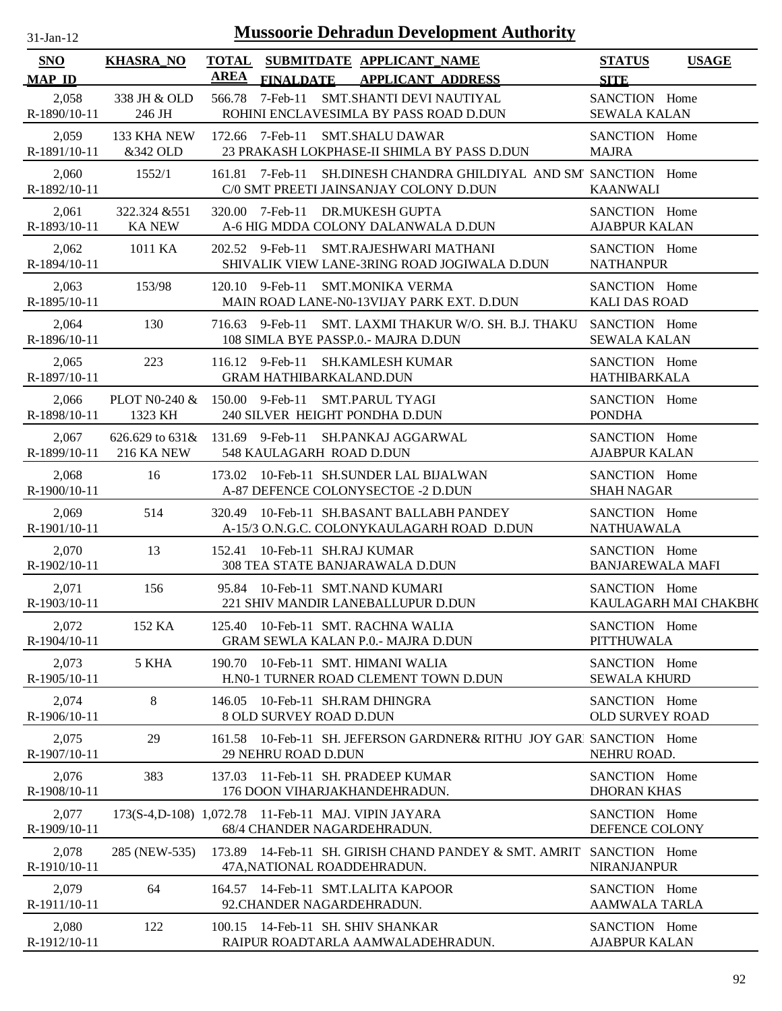| SNO                   | <b>KHASRA_NO</b>                                    | <b>TOTAL</b>    |                                                   | SUBMITDATE APPLICANT_NAME                                                                          | <b>STATUS</b>                            | <b>USAGE</b>          |
|-----------------------|-----------------------------------------------------|-----------------|---------------------------------------------------|----------------------------------------------------------------------------------------------------|------------------------------------------|-----------------------|
| <b>MAP ID</b>         |                                                     | <b>AREA</b>     | <b>FINALDATE</b>                                  | <b>APPLICANT ADDRESS</b>                                                                           | <b>SITE</b>                              |                       |
| 2,058<br>R-1890/10-11 | 338 JH & OLD<br>246 JH                              | 566.78          | 7-Feb-11                                          | SMT.SHANTI DEVI NAUTIYAL<br>ROHINI ENCLAVESIMLA BY PASS ROAD D.DUN                                 | SANCTION Home<br><b>SEWALA KALAN</b>     |                       |
| 2,059<br>R-1891/10-11 | 133 KHA NEW<br>&342 OLD                             |                 | 172.66 7-Feb-11                                   | <b>SMT.SHALU DAWAR</b><br>23 PRAKASH LOKPHASE-II SHIMLA BY PASS D.DUN                              | SANCTION Home<br><b>MAJRA</b>            |                       |
| 2,060<br>R-1892/10-11 | 1552/1                                              |                 | 161.81 7-Feb-11                                   | SH.DINESH CHANDRA GHILDIYAL AND SM' SANCTION Home<br>C/0 SMT PREETI JAINSANJAY COLONY D.DUN        | <b>KAANWALI</b>                          |                       |
| 2,061<br>R-1893/10-11 | 322.324 & 551<br><b>KA NEW</b>                      |                 | 320.00 7-Feb-11                                   | <b>DR.MUKESH GUPTA</b><br>A-6 HIG MDDA COLONY DALANWALA D.DUN                                      | SANCTION Home<br><b>AJABPUR KALAN</b>    |                       |
| 2,062<br>R-1894/10-11 | 1011 KA                                             |                 | 202.52 9-Feb-11                                   | SMT.RAJESHWARI MATHANI<br>SHIVALIK VIEW LANE-3RING ROAD JOGIWALA D.DUN                             | SANCTION Home<br><b>NATHANPUR</b>        |                       |
| 2,063<br>R-1895/10-11 | 153/98                                              |                 | 120.10 9-Feb-11                                   | <b>SMT.MONIKA VERMA</b><br>MAIN ROAD LANE-N0-13VIJAY PARK EXT. D.DUN                               | SANCTION Home<br><b>KALI DAS ROAD</b>    |                       |
| 2,064<br>R-1896/10-11 | 130                                                 |                 | 716.63 9-Feb-11                                   | SMT. LAXMI THAKUR W/O. SH. B.J. THAKU<br>108 SIMLA BYE PASSP.0.- MAJRA D.DUN                       | SANCTION Home<br><b>SEWALA KALAN</b>     |                       |
| 2,065<br>R-1897/10-11 | 223                                                 |                 | 116.12 9-Feb-11<br><b>GRAM HATHIBARKALAND.DUN</b> | <b>SH.KAMLESH KUMAR</b>                                                                            | SANCTION Home<br><b>HATHIBARKALA</b>     |                       |
| 2,066<br>R-1898/10-11 | PLOT N0-240 &<br>1323 KH                            |                 | 150.00 9-Feb-11                                   | <b>SMT.PARUL TYAGI</b><br>240 SILVER HEIGHT PONDHA D.DUN                                           | SANCTION Home<br><b>PONDHA</b>           |                       |
| 2,067<br>R-1899/10-11 | 626.629 to $631\&$<br><b>216 KA NEW</b>             | 131.69 9-Feb-11 | 548 KAULAGARH ROAD D.DUN                          | SH.PANKAJ AGGARWAL                                                                                 | SANCTION Home<br><b>AJABPUR KALAN</b>    |                       |
| 2,068<br>R-1900/10-11 | 16                                                  |                 |                                                   | 173.02 10-Feb-11 SH.SUNDER LAL BIJALWAN<br>A-87 DEFENCE COLONYSECTOE -2 D.DUN                      | SANCTION Home<br><b>SHAH NAGAR</b>       |                       |
| 2,069<br>R-1901/10-11 | 514                                                 | 320.49          |                                                   | 10-Feb-11 SH.BASANT BALLABH PANDEY<br>A-15/3 O.N.G.C. COLONYKAULAGARH ROAD D.DUN                   | SANCTION Home<br><b>NATHUAWALA</b>       |                       |
| 2,070<br>R-1902/10-11 | 13                                                  |                 | 152.41 10-Feb-11 SH.RAJ KUMAR                     | 308 TEA STATE BANJARAWALA D.DUN                                                                    | SANCTION Home<br><b>BANJAREWALA MAFI</b> |                       |
| 2,071<br>R-1903/10-11 | 156                                                 |                 |                                                   | 95.84 10-Feb-11 SMT.NAND KUMARI<br>221 SHIV MANDIR LANEBALLUPUR D.DUN                              | SANCTION Home                            | KAULAGARH MAI CHAKBH( |
| 2,072<br>R-1904/10-11 | 152 KA                                              |                 |                                                   | 125.40 10-Feb-11 SMT. RACHNA WALIA<br>GRAM SEWLA KALAN P.0.- MAJRA D.DUN                           | SANCTION Home<br><b>PITTHUWALA</b>       |                       |
| 2,073<br>R-1905/10-11 | 5 KHA                                               |                 |                                                   | 190.70 10-Feb-11 SMT. HIMANI WALIA<br>H.N0-1 TURNER ROAD CLEMENT TOWN D.DUN                        | SANCTION Home<br><b>SEWALA KHURD</b>     |                       |
| 2,074<br>R-1906/10-11 | 8                                                   |                 | <b>8 OLD SURVEY ROAD D.DUN</b>                    | 146.05 10-Feb-11 SH.RAM DHINGRA                                                                    | SANCTION Home<br><b>OLD SURVEY ROAD</b>  |                       |
| 2,075<br>R-1907/10-11 | 29                                                  |                 | 29 NEHRU ROAD D.DUN                               | 161.58 10-Feb-11 SH. JEFERSON GARDNER& RITHU JOY GARI SANCTION Home                                | NEHRU ROAD.                              |                       |
| 2,076<br>R-1908/10-11 | 383                                                 |                 |                                                   | 137.03 11-Feb-11 SH. PRADEEP KUMAR<br>176 DOON VIHARJAKHANDEHRADUN.                                | SANCTION Home<br><b>DHORAN KHAS</b>      |                       |
| 2,077<br>R-1909/10-11 | 173(S-4,D-108) 1,072.78 11-Feb-11 MAJ. VIPIN JAYARA |                 |                                                   | 68/4 CHANDER NAGARDEHRADUN.                                                                        | SANCTION Home<br>DEFENCE COLONY          |                       |
| 2,078<br>R-1910/10-11 | 285 (NEW-535)                                       |                 |                                                   | 173.89 14-Feb-11 SH. GIRISH CHAND PANDEY & SMT. AMRIT SANCTION Home<br>47A, NATIONAL ROADDEHRADUN. | <b>NIRANJANPUR</b>                       |                       |
| 2,079<br>R-1911/10-11 | 64                                                  |                 |                                                   | 164.57 14-Feb-11 SMT.LALITA KAPOOR<br>92. CHANDER NAGARDEHRADUN.                                   | SANCTION Home<br><b>AAMWALA TARLA</b>    |                       |
| 2,080<br>R-1912/10-11 | 122                                                 |                 |                                                   | 100.15 14-Feb-11 SH. SHIV SHANKAR<br>RAIPUR ROADTARLA AAMWALADEHRADUN.                             | SANCTION Home<br><b>AJABPUR KALAN</b>    |                       |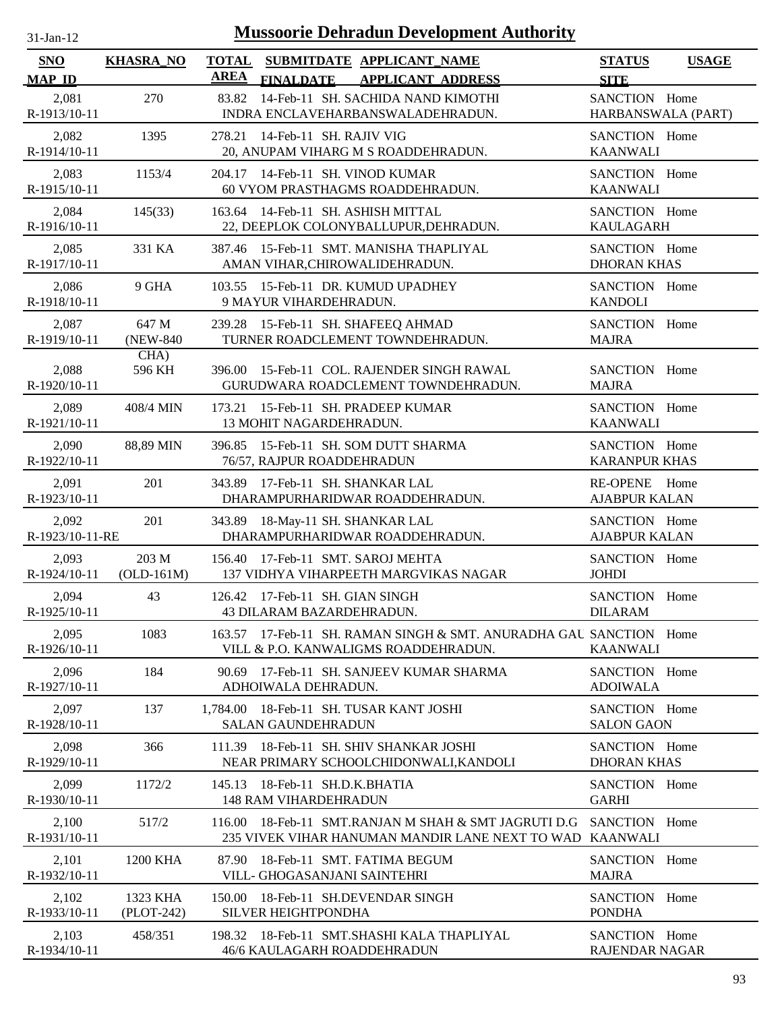| 31-Jan-12 |  |
|-----------|--|
|           |  |

| <b>SNO</b>               | <b>KHASRA_NO</b>       | <b>TOTAL</b> |                                                              | SUBMITDATE APPLICANT NAME                                                                                  | <b>STATUS</b>                          | <b>USAGE</b> |
|--------------------------|------------------------|--------------|--------------------------------------------------------------|------------------------------------------------------------------------------------------------------------|----------------------------------------|--------------|
| <b>MAP ID</b>            |                        | AREA         | <b>FINALDATE</b>                                             | <b>APPLICANT ADDRESS</b>                                                                                   | <b>SITE</b>                            |              |
| 2,081<br>R-1913/10-11    | 270                    | 83.82        |                                                              | 14-Feb-11 SH. SACHIDA NAND KIMOTHI<br>INDRA ENCLAVEHARBANSWALADEHRADUN.                                    | SANCTION Home<br>HARBANSWALA (PART)    |              |
| 2,082<br>R-1914/10-11    | 1395                   |              | 278.21 14-Feb-11 SH. RAJIV VIG                               | 20, ANUPAM VIHARG M S ROADDEHRADUN.                                                                        | SANCTION Home<br><b>KAANWALI</b>       |              |
| 2,083<br>R-1915/10-11    | 1153/4                 |              | 204.17 14-Feb-11 SH. VINOD KUMAR                             | 60 VYOM PRASTHAGMS ROADDEHRADUN.                                                                           | SANCTION Home<br><b>KAANWALI</b>       |              |
| 2,084<br>R-1916/10-11    | 145(33)                |              | 163.64 14-Feb-11 SH. ASHISH MITTAL                           | 22, DEEPLOK COLONYBALLUPUR, DEHRADUN.                                                                      | SANCTION Home<br><b>KAULAGARH</b>      |              |
| 2,085<br>R-1917/10-11    | 331 KA                 | 387.46       |                                                              | 15-Feb-11 SMT. MANISHA THAPLIYAL<br>AMAN VIHAR, CHIROWALIDEHRADUN.                                         | SANCTION Home<br><b>DHORAN KHAS</b>    |              |
| 2,086<br>R-1918/10-11    | 9 GHA                  |              | 9 MAYUR VIHARDEHRADUN.                                       | 103.55 15-Feb-11 DR. KUMUD UPADHEY                                                                         | SANCTION Home<br><b>KANDOLI</b>        |              |
| 2,087<br>R-1919/10-11    | 647 M<br>(NEW-840)     |              |                                                              | 239.28 15-Feb-11 SH. SHAFEEQ AHMAD<br>TURNER ROADCLEMENT TOWNDEHRADUN.                                     | SANCTION Home<br><b>MAJRA</b>          |              |
| 2,088<br>R-1920/10-11    | CHA)<br>596 KH         | 396.00       |                                                              | 15-Feb-11 COL. RAJENDER SINGH RAWAL<br>GURUDWARA ROADCLEMENT TOWNDEHRADUN.                                 | SANCTION Home<br><b>MAJRA</b>          |              |
| 2,089<br>R-1921/10-11    | 408/4 MIN              |              | 13 MOHIT NAGARDEHRADUN.                                      | 173.21 15-Feb-11 SH. PRADEEP KUMAR                                                                         | SANCTION Home<br><b>KAANWALI</b>       |              |
| 2,090<br>R-1922/10-11    | 88,89 MIN              |              | 76/57, RAJPUR ROADDEHRADUN                                   | 396.85 15-Feb-11 SH. SOM DUTT SHARMA                                                                       | SANCTION Home<br><b>KARANPUR KHAS</b>  |              |
| 2,091<br>R-1923/10-11    | 201                    |              | 343.89 17-Feb-11 SH. SHANKAR LAL                             | DHARAMPURHARIDWAR ROADDEHRADUN.                                                                            | RE-OPENE Home<br><b>AJABPUR KALAN</b>  |              |
| 2,092<br>R-1923/10-11-RE | 201                    |              | 343.89 18-May-11 SH. SHANKAR LAL                             | DHARAMPURHARIDWAR ROADDEHRADUN.                                                                            | SANCTION Home<br><b>AJABPUR KALAN</b>  |              |
| 2,093<br>R-1924/10-11    | 203 M<br>$(OLD-161M)$  |              | 156.40 17-Feb-11 SMT. SAROJ MEHTA                            | 137 VIDHYA VIHARPEETH MARGVIKAS NAGAR                                                                      | SANCTION Home<br>JOHDI                 |              |
| 2,094<br>R-1925/10-11    | 43                     |              | 126.42 17-Feb-11 SH. GIAN SINGH<br>43 DILARAM BAZARDEHRADUN. |                                                                                                            | SANCTION Home<br><b>DILARAM</b>        |              |
| 2,095<br>R-1926/10-11    | 1083                   |              |                                                              | 163.57 17-Feb-11 SH. RAMAN SINGH & SMT. ANURADHA GAU SANCTION Home<br>VILL & P.O. KANWALIGMS ROADDEHRADUN. | <b>KAANWALI</b>                        |              |
| 2,096<br>R-1927/10-11    | 184                    | 90.69        | ADHOIWALA DEHRADUN.                                          | 17-Feb-11 SH. SANJEEV KUMAR SHARMA                                                                         | SANCTION Home<br><b>ADOIWALA</b>       |              |
| 2,097<br>R-1928/10-11    | 137                    | 1.784.00     | <b>SALAN GAUNDEHRADUN</b>                                    | 18-Feb-11 SH. TUSAR KANT JOSHI                                                                             | SANCTION Home<br><b>SALON GAON</b>     |              |
| 2,098<br>R-1929/10-11    | 366                    | 111.39       |                                                              | 18-Feb-11 SH. SHIV SHANKAR JOSHI<br>NEAR PRIMARY SCHOOLCHIDONWALI, KANDOLI                                 | SANCTION Home<br><b>DHORAN KHAS</b>    |              |
| 2,099<br>R-1930/10-11    | 1172/2                 | 145.13       | 18-Feb-11 SH.D.K.BHATIA<br><b>148 RAM VIHARDEHRADUN</b>      |                                                                                                            | SANCTION Home<br><b>GARHI</b>          |              |
| 2,100<br>R-1931/10-11    | 517/2                  | 116.00       |                                                              | 18-Feb-11 SMT.RANJAN M SHAH & SMT JAGRUTI D.G<br>235 VIVEK VIHAR HANUMAN MANDIR LANE NEXT TO WAD KAANWALI  | SANCTION Home                          |              |
| 2,101<br>R-1932/10-11    | 1200 KHA               | 87.90        | VILL- GHOGASANJANI SAINTEHRI                                 | 18-Feb-11 SMT. FATIMA BEGUM                                                                                | SANCTION Home<br><b>MAJRA</b>          |              |
| 2,102<br>R-1933/10-11    | 1323 KHA<br>(PLOT-242) | 150.00       | SILVER HEIGHTPONDHA                                          | 18-Feb-11 SH.DEVENDAR SINGH                                                                                | SANCTION Home<br><b>PONDHA</b>         |              |
| 2,103<br>R-1934/10-11    | 458/351                |              | 46/6 KAULAGARH ROADDEHRADUN                                  | 198.32 18-Feb-11 SMT.SHASHI KALA THAPLIYAL                                                                 | SANCTION Home<br><b>RAJENDAR NAGAR</b> |              |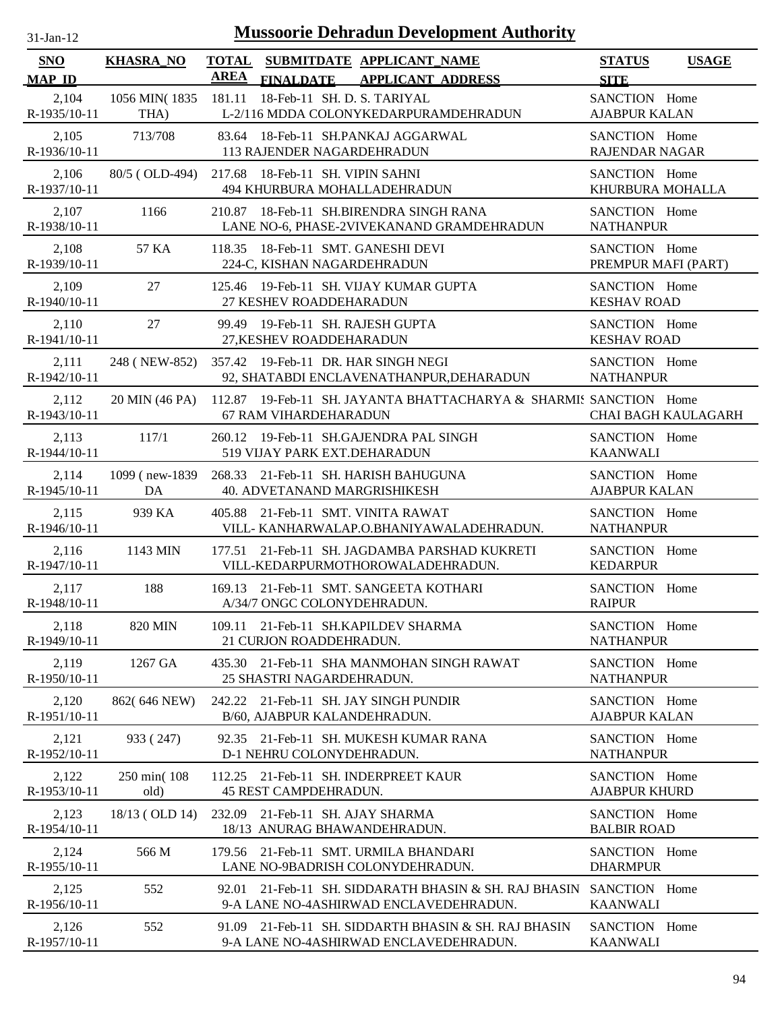| $31-Jan-12$           |                       |             |                                                              | <b>Mussoorie Dehradun Development Authority</b>                                           |                                        |                     |
|-----------------------|-----------------------|-------------|--------------------------------------------------------------|-------------------------------------------------------------------------------------------|----------------------------------------|---------------------|
| SNO<br><b>MAP ID</b>  | <b>KHASRA_NO</b>      | <b>AREA</b> |                                                              | TOTAL SUBMITDATE APPLICANT_NAME<br>FINALDATE APPLICANT ADDRESS                            | <b>STATUS</b><br><b>SITE</b>           | <b>USAGE</b>        |
| 2,104<br>R-1935/10-11 | 1056 MIN(1835<br>THA) | 181.11      | 18-Feb-11 SH. D. S. TARIYAL                                  | L-2/116 MDDA COLONYKEDARPURAMDEHRADUN                                                     | SANCTION Home<br><b>AJABPUR KALAN</b>  |                     |
| 2,105<br>R-1936/10-11 | 713/708               |             | 113 RAJENDER NAGARDEHRADUN                                   | 83.64 18-Feb-11 SH.PANKAJ AGGARWAL                                                        | SANCTION Home<br><b>RAJENDAR NAGAR</b> |                     |
| 2,106<br>R-1937/10-11 | 80/5 (OLD-494)        |             | 217.68 18-Feb-11 SH. VIPIN SAHNI                             | 494 KHURBURA MOHALLADEHRADUN                                                              | SANCTION Home<br>KHURBURA MOHALLA      |                     |
| 2,107<br>R-1938/10-11 | 1166                  |             |                                                              | 210.87 18-Feb-11 SH.BIRENDRA SINGH RANA<br>LANE NO-6, PHASE-2VIVEKANAND GRAMDEHRADUN      | SANCTION Home<br><b>NATHANPUR</b>      |                     |
| 2,108<br>R-1939/10-11 | 57 KA                 |             | 224-C, KISHAN NAGARDEHRADUN                                  | 118.35 18-Feb-11 SMT. GANESHI DEVI                                                        | SANCTION Home<br>PREMPUR MAFI (PART)   |                     |
| 2,109<br>R-1940/10-11 | 27                    |             | 27 KESHEV ROADDEHARADUN                                      | 125.46 19-Feb-11 SH. VIJAY KUMAR GUPTA                                                    | SANCTION Home<br><b>KESHAV ROAD</b>    |                     |
| 2,110<br>R-1941/10-11 | 27                    |             | 99.49 19-Feb-11 SH. RAJESH GUPTA<br>27, KESHEV ROADDEHARADUN |                                                                                           | SANCTION Home<br><b>KESHAV ROAD</b>    |                     |
| 2,111<br>R-1942/10-11 | 248 (NEW-852)         |             |                                                              | 357.42 19-Feb-11 DR. HAR SINGH NEGI<br>92, SHATABDI ENCLAVENATHANPUR, DEHARADUN           | SANCTION Home<br><b>NATHANPUR</b>      |                     |
| 2,112<br>R-1943/10-11 | 20 MIN (46 PA)        |             | 67 RAM VIHARDEHARADUN                                        | 112.87 19-Feb-11 SH. JAYANTA BHATTACHARYA & SHARMIS SANCTION Home                         |                                        | CHAI BAGH KAULAGARH |
| 2,113<br>R-1944/10-11 | 117/1                 |             | 519 VIJAY PARK EXT.DEHARADUN                                 | 260.12 19-Feb-11 SH.GAJENDRA PAL SINGH                                                    | SANCTION Home<br><b>KAANWALI</b>       |                     |
| 2,114<br>R-1945/10-11 | 1099 (new-1839)<br>DA |             |                                                              | 268.33 21-Feb-11 SH. HARISH BAHUGUNA<br>40. ADVETANAND MARGRISHIKESH                      | SANCTION Home<br><b>AJABPUR KALAN</b>  |                     |
| 2,115<br>R-1946/10-11 | 939 KA                |             |                                                              | 405.88 21-Feb-11 SMT. VINITA RAWAT<br>VILL- KANHARWALAP.O.BHANIYAWALADEHRADUN.            | SANCTION Home<br><b>NATHANPUR</b>      |                     |
| 2,116<br>R-1947/10-11 | 1143 MIN              |             |                                                              | 177.51 21-Feb-11 SH. JAGDAMBA PARSHAD KUKRETI<br>VILL-KEDARPURMOTHOROWALADEHRADUN.        | SANCTION Home<br><b>KEDARPUR</b>       |                     |
| 2,117<br>R-1948/10-11 | 188                   |             | A/34/7 ONGC COLONYDEHRADUN.                                  | 169.13 21-Feb-11 SMT. SANGEETA KOTHARI                                                    | SANCTION Home<br><b>RAIPUR</b>         |                     |
| 2,118<br>R-1949/10-11 | <b>820 MIN</b>        |             | 21 CURJON ROADDEHRADUN.                                      | 109.11 21-Feb-11 SH.KAPILDEV SHARMA                                                       | SANCTION Home<br><b>NATHANPUR</b>      |                     |
| 2,119<br>R-1950/10-11 | 1267 GA               |             | 25 SHASTRI NAGARDEHRADUN.                                    | 435.30 21-Feb-11 SHA MANMOHAN SINGH RAWAT                                                 | SANCTION Home<br><b>NATHANPUR</b>      |                     |
| 2,120<br>R-1951/10-11 | 862(646 NEW)          |             | B/60, AJABPUR KALANDEHRADUN.                                 | 242.22 21-Feb-11 SH. JAY SINGH PUNDIR                                                     | SANCTION Home<br><b>AJABPUR KALAN</b>  |                     |
| 2,121<br>R-1952/10-11 | 933 (247)             |             | D-1 NEHRU COLONYDEHRADUN.                                    | 92.35 21-Feb-11 SH. MUKESH KUMAR RANA                                                     | SANCTION Home<br><b>NATHANPUR</b>      |                     |
| 2,122<br>R-1953/10-11 | 250 min(108)<br>old)  |             | 45 REST CAMPDEHRADUN.                                        | 112.25 21-Feb-11 SH. INDERPREET KAUR                                                      | SANCTION Home<br><b>AJABPUR KHURD</b>  |                     |
| 2,123<br>R-1954/10-11 | 18/13 (OLD 14)        | 232.09      | 21-Feb-11 SH. AJAY SHARMA                                    | 18/13 ANURAG BHAWANDEHRADUN.                                                              | SANCTION Home<br><b>BALBIR ROAD</b>    |                     |
| 2,124<br>R-1955/10-11 | 566 M                 | 179.56      |                                                              | 21-Feb-11 SMT. URMILA BHANDARI<br>LANE NO-9BADRISH COLONYDEHRADUN.                        | SANCTION Home<br><b>DHARMPUR</b>       |                     |
| 2,125<br>R-1956/10-11 | 552                   | 92.01       |                                                              | 21-Feb-11 SH, SIDDARATH BHASIN & SH, RAJ BHASIN<br>9-A LANE NO-4ASHIRWAD ENCLAVEDEHRADUN. | SANCTION Home<br><b>KAANWALI</b>       |                     |
| 2,126                 | 552                   |             |                                                              | 91.09 21-Feb-11 SH. SIDDARTH BHASIN & SH. RAJ BHASIN                                      | SANCTION Home                          |                     |

9-A LANE NO-4ASHIRWAD ENCLAVEDEHRADUN.

R-1957/10-11

KAANWALI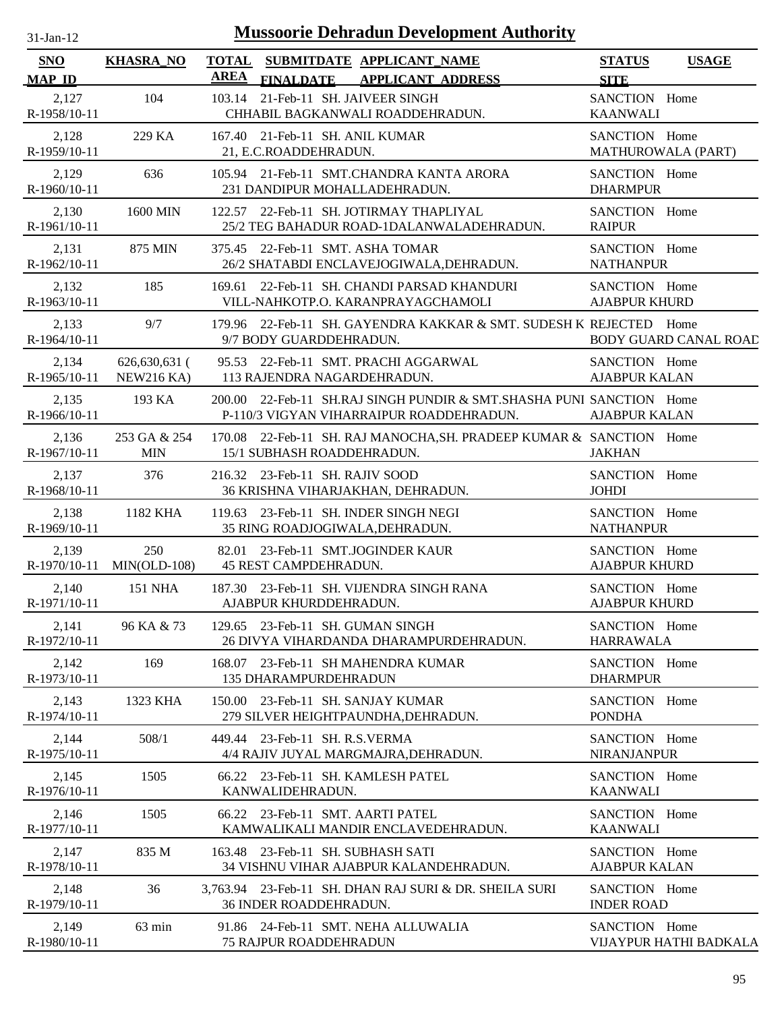| $31-Jan-12$           |                                      |             | <b>Mussoorie Dehradun Development Authority</b>                                                                  |                                       |                              |
|-----------------------|--------------------------------------|-------------|------------------------------------------------------------------------------------------------------------------|---------------------------------------|------------------------------|
| <b>SNO</b>            | <b>KHASRA_NO</b>                     |             | TOTAL SUBMITDATE APPLICANT NAME                                                                                  | <b>STATUS</b>                         | <b>USAGE</b>                 |
| <b>MAP ID</b>         |                                      | <b>AREA</b> | <b>FINALDATE</b><br><b>APPLICANT ADDRESS</b>                                                                     | <b>SITE</b>                           |                              |
| 2,127<br>R-1958/10-11 | 104                                  | 103.14      | 21-Feb-11 SH. JAIVEER SINGH<br>CHHABIL BAGKANWALI ROADDEHRADUN.                                                  | SANCTION Home<br><b>KAANWALI</b>      |                              |
| 2,128<br>R-1959/10-11 | 229 KA                               |             | 167.40 21-Feb-11 SH. ANIL KUMAR<br>21, E.C.ROADDEHRADUN.                                                         | SANCTION Home<br>MATHUROWALA (PART)   |                              |
| 2,129<br>R-1960/10-11 | 636                                  |             | 105.94 21-Feb-11 SMT.CHANDRA KANTA ARORA<br>231 DANDIPUR MOHALLADEHRADUN.                                        | SANCTION Home<br><b>DHARMPUR</b>      |                              |
| 2,130<br>R-1961/10-11 | 1600 MIN                             |             | 122.57 22-Feb-11 SH. JOTIRMAY THAPLIYAL<br>25/2 TEG BAHADUR ROAD-1DALANWALADEHRADUN.                             | SANCTION Home<br><b>RAIPUR</b>        |                              |
| 2,131<br>R-1962/10-11 | 875 MIN                              |             | 375.45 22-Feb-11 SMT. ASHA TOMAR<br>26/2 SHATABDI ENCLAVEJOGIWALA, DEHRADUN.                                     | SANCTION Home<br><b>NATHANPUR</b>     |                              |
| 2,132<br>R-1963/10-11 | 185                                  |             | 169.61 22-Feb-11 SH. CHANDI PARSAD KHANDURI<br>VILL-NAHKOTP.O. KARANPRAYAGCHAMOLI                                | SANCTION Home<br><b>AJABPUR KHURD</b> |                              |
| 2,133<br>R-1964/10-11 | 9/7                                  |             | 179.96 22-Feb-11 SH. GAYENDRA KAKKAR & SMT. SUDESH K REJECTED Home<br>9/7 BODY GUARDDEHRADUN.                    |                                       | <b>BODY GUARD CANAL ROAD</b> |
| 2,134<br>R-1965/10-11 | $626,630,631$ (<br><b>NEW216 KA)</b> |             | 95.53 22-Feb-11 SMT. PRACHI AGGARWAL<br>113 RAJENDRA NAGARDEHRADUN.                                              | SANCTION Home<br><b>AJABPUR KALAN</b> |                              |
| 2,135<br>R-1966/10-11 | 193 KA                               |             | 200.00 22-Feb-11 SH.RAJ SINGH PUNDIR & SMT.SHASHA PUNI SANCTION Home<br>P-110/3 VIGYAN VIHARRAIPUR ROADDEHRADUN. | <b>AJABPUR KALAN</b>                  |                              |
| 2,136<br>R-1967/10-11 | 253 GA & 254<br><b>MIN</b>           |             | 170.08 22-Feb-11 SH. RAJ MANOCHA, SH. PRADEEP KUMAR & SANCTION Home<br>15/1 SUBHASH ROADDEHRADUN.                | <b>JAKHAN</b>                         |                              |
| 2,137<br>R-1968/10-11 | 376                                  |             | 216.32 23-Feb-11 SH. RAJIV SOOD<br>36 KRISHNA VIHARJAKHAN, DEHRADUN.                                             | SANCTION Home<br><b>JOHDI</b>         |                              |
| 2,138<br>R-1969/10-11 | 1182 KHA                             |             | 119.63 23-Feb-11 SH. INDER SINGH NEGI<br>35 RING ROADJOGIWALA, DEHRADUN.                                         | SANCTION Home<br><b>NATHANPUR</b>     |                              |
| 2,139                 | 250<br>R-1970/10-11 MIN(OLD-108)     | 82.01       | 23-Feb-11 SMT.JOGINDER KAUR<br><b>45 REST CAMPDEHRADUN.</b>                                                      | SANCTION Home<br><b>AJABPUR KHURD</b> |                              |
| 2,140<br>R-1971/10-11 | 151 NHA                              |             | 187.30 23-Feb-11 SH. VIJENDRA SINGH RANA<br>AJABPUR KHURDDEHRADUN.                                               | SANCTION Home<br><b>AJABPUR KHURD</b> |                              |
| 2,141<br>R-1972/10-11 | 96 KA & 73                           |             | 129.65 23-Feb-11 SH. GUMAN SINGH<br>26 DIVYA VIHARDANDA DHARAMPURDEHRADUN.                                       | SANCTION Home<br><b>HARRAWALA</b>     |                              |
| 2,142<br>R-1973/10-11 | 169                                  |             | 168.07 23-Feb-11 SH MAHENDRA KUMAR<br><b>135 DHARAMPURDEHRADUN</b>                                               | SANCTION Home<br><b>DHARMPUR</b>      |                              |
| 2,143<br>R-1974/10-11 | 1323 KHA                             |             | 150.00 23-Feb-11 SH. SANJAY KUMAR<br>279 SILVER HEIGHTPAUNDHA, DEHRADUN.                                         | SANCTION Home<br><b>PONDHA</b>        |                              |
| 2,144<br>R-1975/10-11 | 508/1                                |             | 449.44 23-Feb-11 SH. R.S. VERMA<br>4/4 RAJIV JUYAL MARGMAJRA, DEHRADUN.                                          | SANCTION Home<br>NIRANJANPUR          |                              |
| 2,145<br>R-1976/10-11 | 1505                                 |             | 66.22 23-Feb-11 SH. KAMLESH PATEL<br>KANWALIDEHRADUN.                                                            | SANCTION Home<br><b>KAANWALI</b>      |                              |
| 2,146<br>R-1977/10-11 | 1505                                 |             | 66.22 23-Feb-11 SMT. AARTI PATEL<br>KAMWALIKALI MANDIR ENCLAVEDEHRADUN.                                          | SANCTION Home<br><b>KAANWALI</b>      |                              |
| 2,147<br>R-1978/10-11 | 835 M                                |             | 163.48 23-Feb-11 SH. SUBHASH SATI<br>34 VISHNU VIHAR AJABPUR KALANDEHRADUN.                                      | SANCTION Home<br><b>AJABPUR KALAN</b> |                              |
| 2,148<br>R-1979/10-11 | 36                                   |             | 3,763.94 23-Feb-11 SH. DHAN RAJ SURI & DR. SHEILA SURI<br>36 INDER ROADDEHRADUN.                                 | SANCTION Home<br><b>INDER ROAD</b>    |                              |
| 2,149<br>R-1980/10-11 | 63 min                               |             | 91.86 24-Feb-11 SMT. NEHA ALLUWALIA<br><b>75 RAJPUR ROADDEHRADUN</b>                                             | SANCTION Home                         | VIJAYPUR HATHI BADKALA       |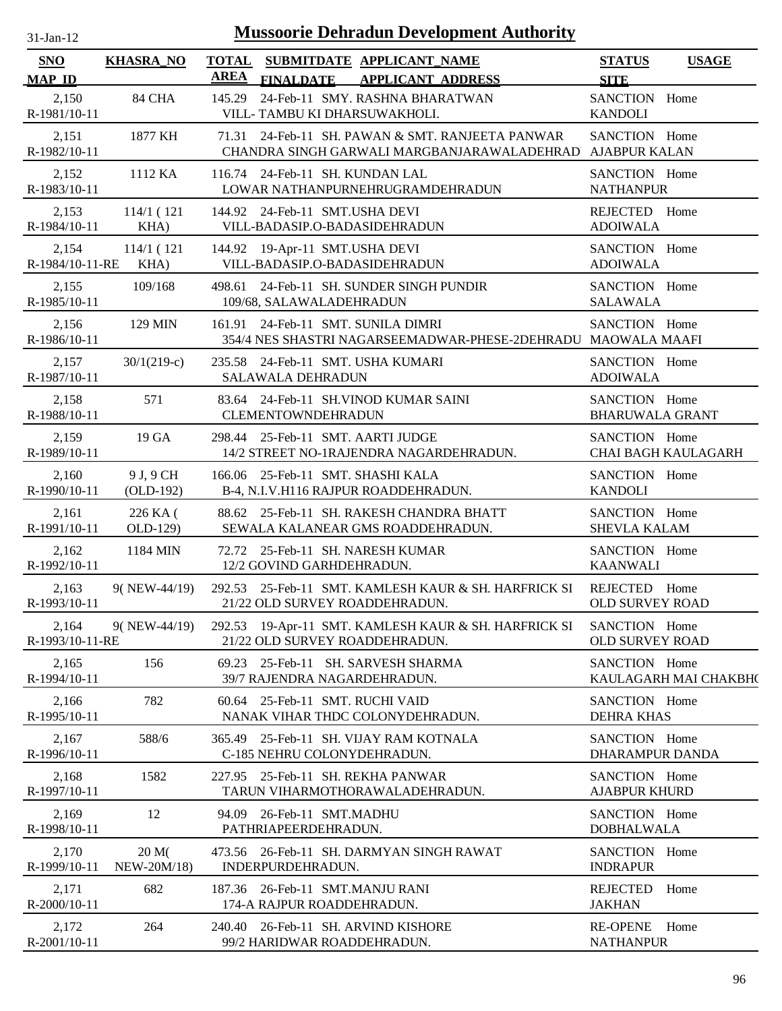| $31$ -Jan-12 |  |
|--------------|--|

| SNO<br><b>MAP ID</b>     | <b>KHASRA_NO</b>         | <b>TOTAL</b><br><b>AREA</b> | <b>FINALDATE</b>                                                              | SUBMITDATE APPLICANT NAME<br><b>APPLICANT ADDRESS</b> |                                                                                                               | <b>STATUS</b><br><b>SITE</b>            | <b>USAGE</b>               |
|--------------------------|--------------------------|-----------------------------|-------------------------------------------------------------------------------|-------------------------------------------------------|---------------------------------------------------------------------------------------------------------------|-----------------------------------------|----------------------------|
| 2,150<br>R-1981/10-11    | 84 CHA                   | 145.29                      | 24-Feb-11 SMY. RASHNA BHARATWAN<br>VILL-TAMBU KI DHARSUWAKHOLI.               |                                                       |                                                                                                               | SANCTION Home<br><b>KANDOLI</b>         |                            |
| 2,151<br>R-1982/10-11    | 1877 KH                  |                             |                                                                               |                                                       | 71.31 24-Feb-11 SH. PAWAN & SMT. RANJEETA PANWAR<br>CHANDRA SINGH GARWALI MARGBANJARAWALADEHRAD AJABPUR KALAN | SANCTION Home                           |                            |
| 2,152<br>R-1983/10-11    | 1112 KA                  |                             | 116.74 24-Feb-11 SH. KUNDAN LAL<br>LOWAR NATHANPURNEHRUGRAMDEHRADUN           |                                                       |                                                                                                               | SANCTION Home<br><b>NATHANPUR</b>       |                            |
| 2,153<br>R-1984/10-11    | 114/1(121)<br>KHA)       |                             | 144.92 24-Feb-11 SMT.USHA DEVI<br>VILL-BADASIP.O-BADASIDEHRADUN               |                                                       |                                                                                                               | REJECTED Home<br><b>ADOIWALA</b>        |                            |
| 2,154<br>R-1984/10-11-RE | 114/1(121)<br>KHA)       |                             | 144.92 19-Apr-11 SMT.USHA DEVI<br>VILL-BADASIP.O-BADASIDEHRADUN               |                                                       |                                                                                                               | SANCTION Home<br><b>ADOIWALA</b>        |                            |
| 2,155<br>R-1985/10-11    | 109/168                  |                             | 498.61 24-Feb-11 SH. SUNDER SINGH PUNDIR<br>109/68, SALAWALADEHRADUN          |                                                       |                                                                                                               | SANCTION Home<br>SALAWALA               |                            |
| 2,156<br>R-1986/10-11    | 129 MIN                  |                             | 161.91 24-Feb-11 SMT. SUNILA DIMRI                                            |                                                       | 354/4 NES SHASTRI NAGARSEEMADWAR-PHESE-2DEHRADU MAOWALA MAAFI                                                 | SANCTION Home                           |                            |
| 2,157<br>R-1987/10-11    | $30/1(219-c)$            |                             | 235.58 24-Feb-11 SMT. USHA KUMARI<br><b>SALAWALA DEHRADUN</b>                 |                                                       |                                                                                                               | SANCTION Home<br><b>ADOIWALA</b>        |                            |
| 2,158<br>R-1988/10-11    | 571                      |                             | 83.64 24-Feb-11 SH.VINOD KUMAR SAINI<br><b>CLEMENTOWNDEHRADUN</b>             |                                                       |                                                                                                               | SANCTION Home<br><b>BHARUWALA GRANT</b> |                            |
| 2,159<br>R-1989/10-11    | 19 GA                    |                             | 298.44 25-Feb-11 SMT. AARTI JUDGE<br>14/2 STREET NO-1RAJENDRA NAGARDEHRADUN.  |                                                       |                                                                                                               | SANCTION Home                           | <b>CHAI BAGH KAULAGARH</b> |
| 2,160<br>R-1990/10-11    | 9 J, 9 CH<br>$(OLD-192)$ |                             | 166.06 25-Feb-11 SMT. SHASHI KALA<br>B-4, N.I.V.H116 RAJPUR ROADDEHRADUN.     |                                                       |                                                                                                               | SANCTION Home<br><b>KANDOLI</b>         |                            |
| 2,161<br>R-1991/10-11    | 226 KA (<br>OLD-129)     |                             | 88.62 25-Feb-11 SH. RAKESH CHANDRA BHATT<br>SEWALA KALANEAR GMS ROADDEHRADUN. |                                                       |                                                                                                               | SANCTION Home<br><b>SHEVLA KALAM</b>    |                            |
| 2,162<br>R-1992/10-11    | 1184 MIN                 |                             | 72.72 25-Feb-11 SH. NARESH KUMAR<br>12/2 GOVIND GARHDEHRADUN.                 |                                                       |                                                                                                               | SANCTION Home<br><b>KAANWALI</b>        |                            |
| 2,163<br>R-1993/10-11    | 9(NEW-44/19)             |                             | 21/22 OLD SURVEY ROADDEHRADUN.                                                |                                                       | 292.53 25-Feb-11 SMT. KAMLESH KAUR & SH. HARFRICK SI                                                          | REJECTED Home<br>OLD SURVEY ROAD        |                            |
| 2,164<br>R-1993/10-11-RE | 9(NEW-44/19)             |                             | 21/22 OLD SURVEY ROADDEHRADUN.                                                |                                                       | 292.53 19-Apr-11 SMT. KAMLESH KAUR & SH. HARFRICK SI                                                          | SANCTION Home<br><b>OLD SURVEY ROAD</b> |                            |
| 2,165<br>R-1994/10-11    | 156                      |                             | 69.23 25-Feb-11 SH. SARVESH SHARMA<br>39/7 RAJENDRA NAGARDEHRADUN.            |                                                       |                                                                                                               | SANCTION Home                           | KAULAGARH MAI CHAKBH(      |
| 2,166<br>R-1995/10-11    | 782                      |                             | 60.64 25-Feb-11 SMT. RUCHI VAID<br>NANAK VIHAR THDC COLONYDEHRADUN.           |                                                       |                                                                                                               | SANCTION Home<br><b>DEHRA KHAS</b>      |                            |
| 2,167<br>R-1996/10-11    | 588/6                    |                             | 365.49 25-Feb-11 SH. VIJAY RAM KOTNALA<br>C-185 NEHRU COLONYDEHRADUN.         |                                                       |                                                                                                               | SANCTION Home<br>DHARAMPUR DANDA        |                            |
| 2,168<br>R-1997/10-11    | 1582                     |                             | 227.95 25-Feb-11 SH. REKHA PANWAR<br>TARUN VIHARMOTHORAWALADEHRADUN.          |                                                       |                                                                                                               | SANCTION Home<br><b>AJABPUR KHURD</b>   |                            |
| 2,169<br>R-1998/10-11    | 12                       |                             | 94.09 26-Feb-11 SMT.MADHU<br>PATHRIAPEERDEHRADUN.                             |                                                       |                                                                                                               | SANCTION Home<br><b>DOBHALWALA</b>      |                            |
| 2,170<br>R-1999/10-11    | 20 M(<br>NEW-20M/18)     |                             | 473.56 26-Feb-11 SH. DARMYAN SINGH RAWAT<br>INDERPURDEHRADUN.                 |                                                       |                                                                                                               | SANCTION Home<br><b>INDRAPUR</b>        |                            |
| 2,171<br>R-2000/10-11    | 682                      |                             | 187.36 26-Feb-11 SMT.MANJU RANI<br>174-A RAJPUR ROADDEHRADUN.                 |                                                       |                                                                                                               | REJECTED<br><b>JAKHAN</b>               | Home                       |
| 2,172<br>R-2001/10-11    | 264                      |                             | 240.40 26-Feb-11 SH. ARVIND KISHORE<br>99/2 HARIDWAR ROADDEHRADUN.            |                                                       |                                                                                                               | RE-OPENE Home<br><b>NATHANPUR</b>       |                            |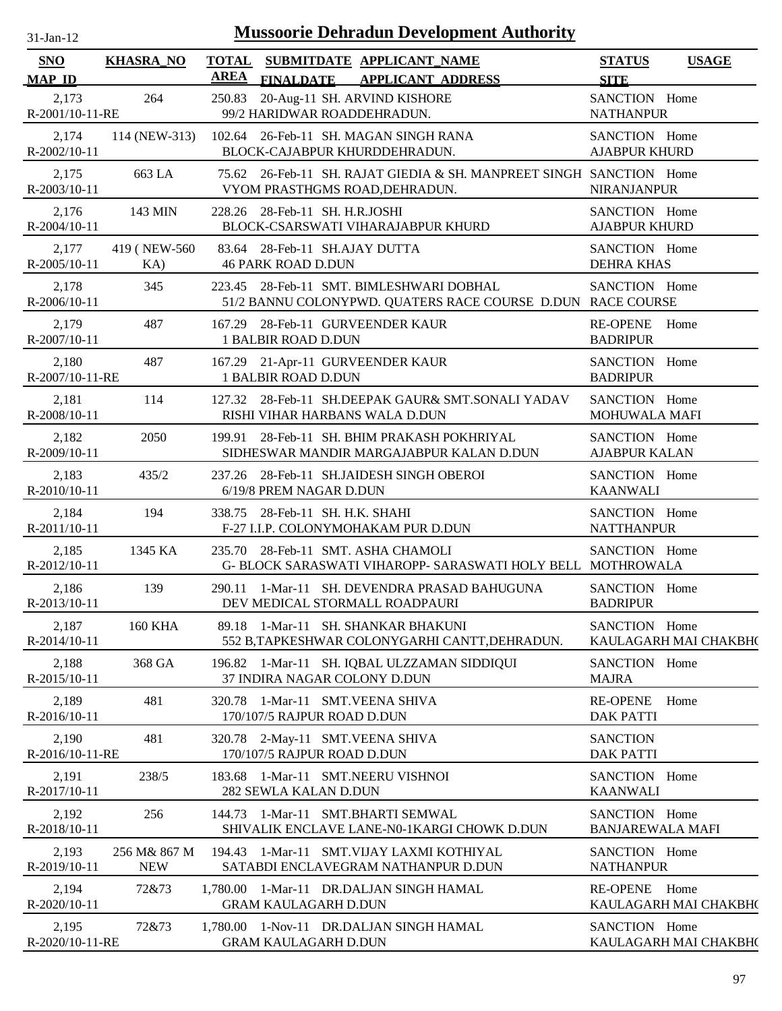| 31-Jan-12                   |                            |                             | <b>Mussoorie Dehradun Development Authority</b>                                                         |                                          |                               |
|-----------------------------|----------------------------|-----------------------------|---------------------------------------------------------------------------------------------------------|------------------------------------------|-------------------------------|
| <b>SNO</b><br><b>MAP ID</b> | <b>KHASRA NO</b>           | <b>TOTAL</b><br><b>AREA</b> | SUBMITDATE APPLICANT_NAME<br>FINALDATE APPLICANT ADDRESS                                                | <b>STATUS</b><br><b>SITE</b>             | <b>USAGE</b>                  |
| 2,173<br>R-2001/10-11-RE    | 264                        | 250.83                      | 20-Aug-11 SH. ARVIND KISHORE<br>99/2 HARIDWAR ROADDEHRADUN.                                             | SANCTION Home<br><b>NATHANPUR</b>        |                               |
| 2,174<br>R-2002/10-11       | 114 (NEW-313)              |                             | 102.64 26-Feb-11 SH. MAGAN SINGH RANA<br>BLOCK-CAJABPUR KHURDDEHRADUN.                                  | SANCTION Home<br><b>AJABPUR KHURD</b>    |                               |
| 2,175<br>R-2003/10-11       | 663 LA                     |                             | 75.62 26-Feb-11 SH. RAJAT GIEDIA & SH. MANPREET SINGH SANCTION Home<br>VYOM PRASTHGMS ROAD, DEHRADUN.   | <b>NIRANJANPUR</b>                       |                               |
| 2,176<br>R-2004/10-11       | 143 MIN                    |                             | 228.26 28-Feb-11 SH. H.R.JOSHI<br>BLOCK-CSARSWATI VIHARAJABPUR KHURD                                    | SANCTION Home<br><b>AJABPUR KHURD</b>    |                               |
| 2,177<br>R-2005/10-11       | 419 (NEW-560)<br>KA)       |                             | 83.64 28-Feb-11 SH.AJAY DUTTA<br><b>46 PARK ROAD D.DUN</b>                                              | SANCTION Home<br><b>DEHRA KHAS</b>       |                               |
| 2,178<br>R-2006/10-11       | 345                        |                             | 223.45 28-Feb-11 SMT. BIMLESHWARI DOBHAL<br>51/2 BANNU COLONYPWD. QUATERS RACE COURSE D.DUN RACE COURSE | SANCTION Home                            |                               |
| 2,179<br>R-2007/10-11       | 487                        |                             | 167.29 28-Feb-11 GURVEENDER KAUR<br><b>1 BALBIR ROAD D.DUN</b>                                          | <b>RE-OPENE</b><br><b>BADRIPUR</b>       | Home                          |
| 2,180<br>R-2007/10-11-RE    | 487                        |                             | 167.29 21-Apr-11 GURVEENDER KAUR<br><b>1 BALBIR ROAD D.DUN</b>                                          | SANCTION Home<br><b>BADRIPUR</b>         |                               |
| 2,181<br>R-2008/10-11       | 114                        |                             | 127.32 28-Feb-11 SH.DEEPAK GAUR& SMT.SONALI YADAV<br>RISHI VIHAR HARBANS WALA D.DUN                     | SANCTION Home<br><b>MOHUWALA MAFI</b>    |                               |
| 2,182<br>R-2009/10-11       | 2050                       |                             | 199.91 28-Feb-11 SH. BHIM PRAKASH POKHRIYAL<br>SIDHESWAR MANDIR MARGAJABPUR KALAN D.DUN                 | SANCTION Home<br><b>AJABPUR KALAN</b>    |                               |
| 2,183<br>$R-2010/10-11$     | 435/2                      |                             | 237.26 28-Feb-11 SH.JAIDESH SINGH OBEROI<br>6/19/8 PREM NAGAR D.DUN                                     | SANCTION Home<br><b>KAANWALI</b>         |                               |
| 2,184<br>R-2011/10-11       | 194                        |                             | 338.75 28-Feb-11 SH. H.K. SHAHI<br>F-27 I.I.P. COLONYMOHAKAM PUR D.DUN                                  | SANCTION Home<br><b>NATTHANPUR</b>       |                               |
| 2,185<br>$R-2012/10-11$     | 1345 KA                    |                             | 235.70 28-Feb-11 SMT. ASHA CHAMOLI<br>G- BLOCK SARASWATI VIHAROPP- SARASWATI HOLY BELL MOTHROWALA       | SANCTION Home                            |                               |
| 2,186<br>R-2013/10-11       | 139                        |                             | 290.11 1-Mar-11 SH. DEVENDRA PRASAD BAHUGUNA<br>DEV MEDICAL STORMALL ROADPAURI                          | SANCTION Home<br><b>BADRIPUR</b>         |                               |
| 2,187<br>R-2014/10-11       | <b>160 KHA</b>             |                             | 89.18 1-Mar-11 SH. SHANKAR BHAKUNI<br>552 B,TAPKESHWAR COLONYGARHI CANTT, DEHRADUN.                     | SANCTION Home                            | KAULAGARH MAI CHAKBH(         |
| 2,188<br>R-2015/10-11       | 368 GA                     |                             | 196.82 1-Mar-11 SH. IQBAL ULZZAMAN SIDDIQUI<br>37 INDIRA NAGAR COLONY D.DUN                             | SANCTION Home<br><b>MAJRA</b>            |                               |
| 2,189<br>R-2016/10-11       | 481                        |                             | 320.78 1-Mar-11 SMT.VEENA SHIVA<br>170/107/5 RAJPUR ROAD D.DUN                                          | <b>RE-OPENE</b><br><b>DAK PATTI</b>      | Home                          |
| 2,190<br>R-2016/10-11-RE    | 481                        |                             | 320.78 2-May-11 SMT.VEENA SHIVA<br>170/107/5 RAJPUR ROAD D.DUN                                          | <b>SANCTION</b><br><b>DAK PATTI</b>      |                               |
| 2,191<br>R-2017/10-11       | 238/5                      |                             | 183.68 1-Mar-11 SMT.NEERU VISHNOI<br>282 SEWLA KALAN D.DUN                                              | SANCTION Home<br><b>KAANWALI</b>         |                               |
| 2,192<br>R-2018/10-11       | 256                        |                             | 144.73 1-Mar-11 SMT.BHARTI SEMWAL<br>SHIVALIK ENCLAVE LANE-N0-1KARGI CHOWK D.DUN                        | SANCTION Home<br><b>BANJAREWALA MAFI</b> |                               |
| 2,193<br>R-2019/10-11       | 256 M& 867 M<br><b>NEW</b> |                             | 194.43 1-Mar-11 SMT. VIJAY LAXMI KOTHIYAL<br>SATABDI ENCLAVEGRAM NATHANPUR D.DUN                        | SANCTION Home<br><b>NATHANPUR</b>        |                               |
| 2,194<br>R-2020/10-11       | 72&73                      |                             | 1,780.00 1-Mar-11 DR.DALJAN SINGH HAMAL<br><b>GRAM KAULAGARH D.DUN</b>                                  | <b>RE-OPENE</b>                          | Home<br>KAULAGARH MAI CHAKBH( |
| 2,195<br>R-2020/10-11-RE    | 72&73                      |                             | 1,780.00 1-Nov-11 DR.DALJAN SINGH HAMAL<br><b>GRAM KAULAGARH D.DUN</b>                                  | SANCTION Home                            | KAULAGARH MAI CHAKBH(         |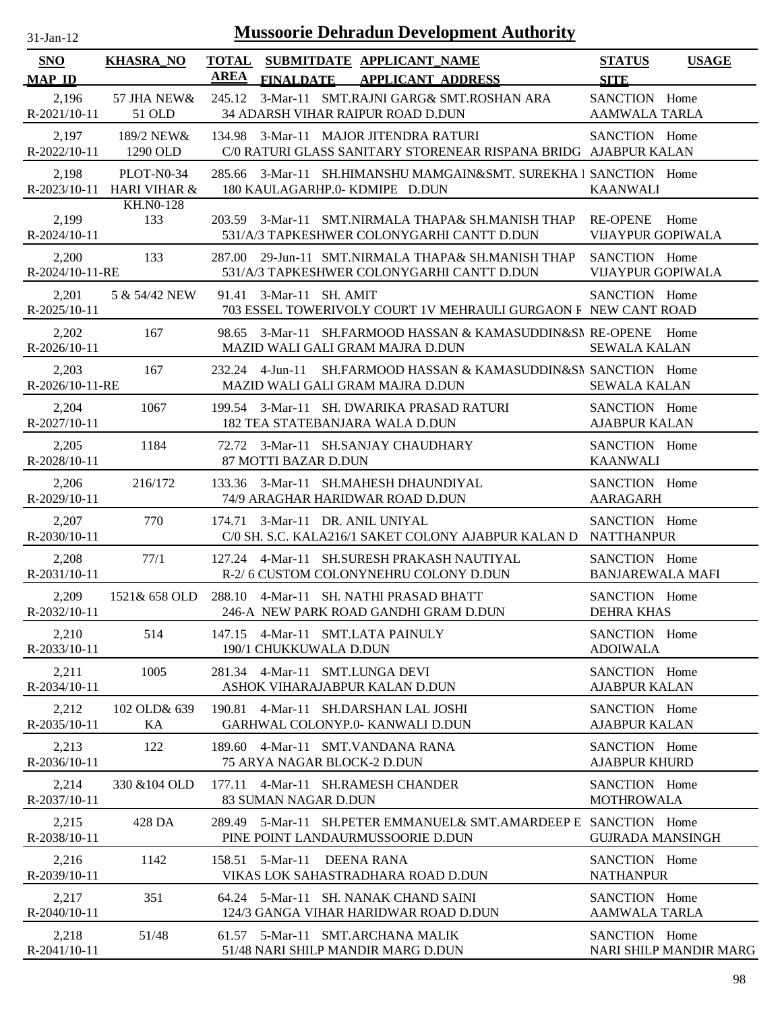| <b>SNO</b>                  | <b>KHASRA_NO</b>                        |                                                            | TOTAL SUBMITDATE APPLICANT NAME                                                                      | <b>STATUS</b><br><b>USAGE</b>                       |
|-----------------------------|-----------------------------------------|------------------------------------------------------------|------------------------------------------------------------------------------------------------------|-----------------------------------------------------|
| <b>MAP ID</b>               |                                         | <b>AREA</b><br><b>FINALDATE</b>                            | <b>APPLICANT ADDRESS</b>                                                                             | <b>SITE</b>                                         |
| 2,196<br>R-2021/10-11       | 57 JHA NEW&<br>51 OLD                   | 245.12                                                     | 3-Mar-11 SMT.RAJNI GARG& SMT.ROSHAN ARA<br>34 ADARSH VIHAR RAIPUR ROAD D.DUN                         | SANCTION Home<br><b>AAMWALA TARLA</b>               |
| 2,197<br>R-2022/10-11       | 189/2 NEW&<br>1290 OLD                  | 134.98                                                     | 3-Mar-11 MAJOR JITENDRA RATURI<br>C/0 RATURI GLASS SANITARY STORENEAR RISPANA BRIDG AJABPUR KALAN    | SANCTION Home                                       |
| 2,198                       | PLOT-N0-34<br>R-2023/10-11 HARI VIHAR & | 285.66                                                     | 3-Mar-11 SH.HIMANSHU MAMGAIN&SMT. SUREKHA 1 SANCTION Home<br>180 KAULAGARHP.0-KDMIPE D.DUN           | <b>KAANWALI</b>                                     |
| 2,199<br>$R - 2024/10 - 11$ | <b>KH.NO-128</b><br>133                 |                                                            | 203.59 3-Mar-11 SMT.NIRMALA THAPA& SH.MANISH THAP<br>531/A/3 TAPKESHWER COLONYGARHI CANTT D.DUN      | <b>RE-OPENE</b><br>Home<br><b>VIJAYPUR GOPIWALA</b> |
| 2,200<br>R-2024/10-11-RE    | 133                                     | 287.00                                                     | 29-Jun-11 SMT.NIRMALA THAPA& SH.MANISH THAP<br>531/A/3 TAPKESHWER COLONYGARHI CANTT D.DUN            | SANCTION Home<br><b>VIJAYPUR GOPIWALA</b>           |
| 2,201<br>R-2025/10-11       | 5 & 54/42 NEW                           | 91.41<br>3-Mar-11 SH. AMIT                                 | 703 ESSEL TOWERIVOLY COURT 1V MEHRAULI GURGAON F NEW CANT ROAD                                       | SANCTION Home                                       |
| 2,202<br>$R-2026/10-11$     | 167                                     | 98.65                                                      | 3-Mar-11 SH.FARMOOD HASSAN & KAMASUDDIN&SN RE-OPENE Home<br>MAZID WALI GALI GRAM MAJRA D.DUN         | <b>SEWALA KALAN</b>                                 |
| 2,203<br>R-2026/10-11-RE    | 167                                     | 232.24 4-Jun-11                                            | SH.FARMOOD HASSAN & KAMASUDDIN&SN SANCTION Home<br>MAZID WALI GALI GRAM MAJRA D.DUN                  | <b>SEWALA KALAN</b>                                 |
| 2,204<br>R-2027/10-11       | 1067                                    |                                                            | 199.54 3-Mar-11 SH. DWARIKA PRASAD RATURI<br>182 TEA STATEBANJARA WALA D.DUN                         | SANCTION Home<br><b>AJABPUR KALAN</b>               |
| 2,205<br>R-2028/10-11       | 1184                                    | 87 MOTTI BAZAR D.DUN                                       | 72.72 3-Mar-11 SH.SANJAY CHAUDHARY                                                                   | SANCTION Home<br><b>KAANWALI</b>                    |
| 2,206<br>R-2029/10-11       | 216/172                                 |                                                            | 133.36 3-Mar-11 SH.MAHESH DHAUNDIYAL<br>74/9 ARAGHAR HARIDWAR ROAD D.DUN                             | SANCTION Home<br><b>AARAGARH</b>                    |
| 2,207<br>R-2030/10-11       | 770                                     | 174.71 3-Mar-11 DR. ANIL UNIYAL                            | C/0 SH. S.C. KALA216/1 SAKET COLONY AJABPUR KALAN D                                                  | SANCTION Home<br><b>NATTHANPUR</b>                  |
| 2,208<br>R-2031/10-11       | 77/1                                    |                                                            | 127.24 4-Mar-11 SH.SURESH PRAKASH NAUTIYAL<br>R-2/6 CUSTOM COLONYNEHRU COLONY D.DUN                  | SANCTION Home<br><b>BANJAREWALA MAFI</b>            |
| 2,209<br>R-2032/10-11       | 1521& 658 OLD                           |                                                            | 288.10 4-Mar-11 SH. NATHI PRASAD BHATT<br>246-A NEW PARK ROAD GANDHI GRAM D.DUN                      | SANCTION Home<br><b>DEHRA KHAS</b>                  |
| 2,210<br>R-2033/10-11       | 514                                     | 147.15 4-Mar-11 SMT.LATA PAINULY<br>190/1 CHUKKUWALA D.DUN |                                                                                                      | SANCTION Home<br><b>ADOIWALA</b>                    |
| 2,211<br>$R - 2034/10 - 11$ | 1005                                    | 281.34 4-Mar-11 SMT.LUNGA DEVI                             | ASHOK VIHARAJABPUR KALAN D.DUN                                                                       | SANCTION Home<br><b>AJABPUR KALAN</b>               |
| 2,212<br>R-2035/10-11       | 102 OLD& 639<br>KA                      | 190.81                                                     | 4-Mar-11 SH.DARSHAN LAL JOSHI<br>GARHWAL COLONYP.0- KANWALI D.DUN                                    | SANCTION Home<br><b>AJABPUR KALAN</b>               |
| 2,213<br>R-2036/10-11       | 122                                     | 189.60<br>75 ARYA NAGAR BLOCK-2 D.DUN                      | 4-Mar-11 SMT.VANDANA RANA                                                                            | SANCTION Home<br><b>AJABPUR KHURD</b>               |
| 2,214<br>R-2037/10-11       | 330 & 104 OLD                           | 83 SUMAN NAGAR D.DUN                                       | 177.11 4-Mar-11 SH.RAMESH CHANDER                                                                    | SANCTION Home<br><b>MOTHROWALA</b>                  |
| 2,215<br>R-2038/10-11       | 428 DA                                  |                                                            | 289.49 5-Mar-11 SH.PETER EMMANUEL& SMT.AMARDEEP E SANCTION Home<br>PINE POINT LANDAURMUSSOORIE D.DUN | <b>GUJRADA MANSINGH</b>                             |
| 2,216<br>R-2039/10-11       | 1142                                    | 158.51 5-Mar-11                                            | DEENA RANA<br>VIKAS LOK SAHASTRADHARA ROAD D.DUN                                                     | SANCTION Home<br><b>NATHANPUR</b>                   |
| 2,217<br>R-2040/10-11       | 351                                     |                                                            | 64.24 5-Mar-11 SH. NANAK CHAND SAINI<br>124/3 GANGA VIHAR HARIDWAR ROAD D.DUN                        | SANCTION Home<br><b>AAMWALA TARLA</b>               |
| 2,218<br>R-2041/10-11       | 51/48                                   |                                                            | 61.57 5-Mar-11 SMT.ARCHANA MALIK<br>51/48 NARI SHILP MANDIR MARG D.DUN                               | SANCTION Home<br>NARI SHILP MANDIR MARG             |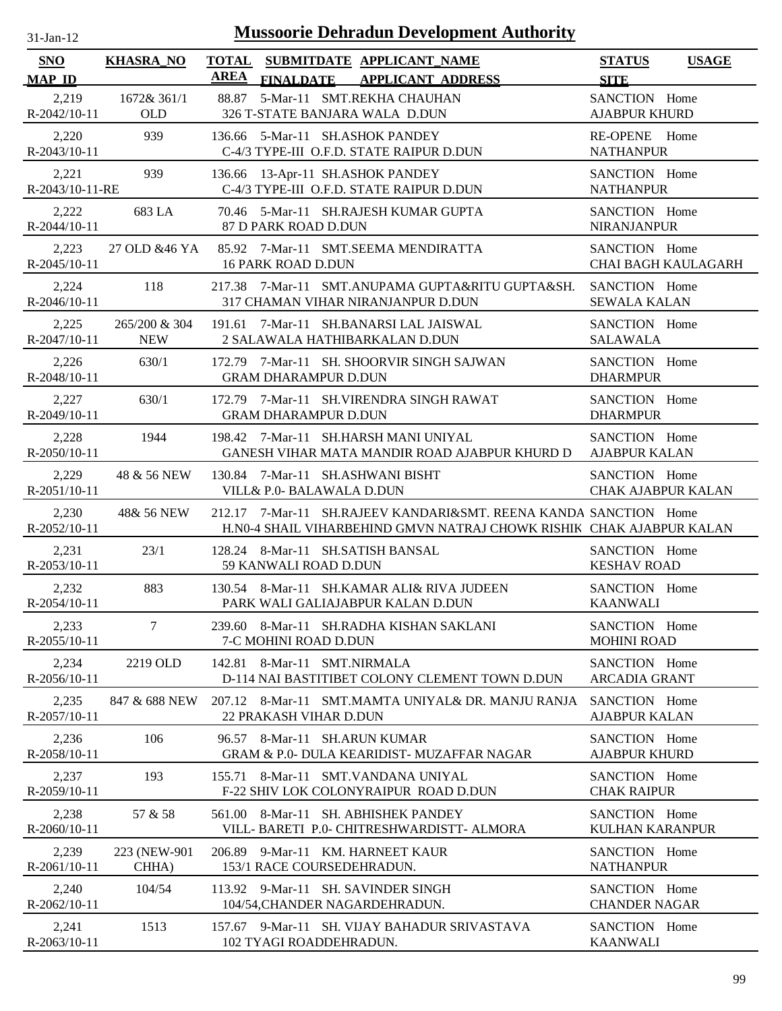| -.1211- |  |
|---------|--|
|         |  |

| <b>SNO</b><br><b>MAP ID</b> | <b>KHASRA NO</b>            | <b>AREA</b> | <b>FINALDATE</b>            | TOTAL SUBMITDATE APPLICANT NAME<br><b>APPLICANT ADDRESS</b>                                                                              | <b>STATUS</b><br><b>SITE</b>               | <b>USAGE</b>               |
|-----------------------------|-----------------------------|-------------|-----------------------------|------------------------------------------------------------------------------------------------------------------------------------------|--------------------------------------------|----------------------------|
| 2,219<br>R-2042/10-11       | 1672& 361/1<br><b>OLD</b>   |             |                             | 88.87 5-Mar-11 SMT.REKHA CHAUHAN<br>326 T-STATE BANJARA WALA D.DUN                                                                       | SANCTION Home<br><b>AJABPUR KHURD</b>      |                            |
| 2,220<br>$R - 2043/10 - 11$ | 939                         |             |                             | 136.66 5-Mar-11 SH.ASHOK PANDEY<br>C-4/3 TYPE-III O.F.D. STATE RAIPUR D.DUN                                                              | RE-OPENE Home<br><b>NATHANPUR</b>          |                            |
| 2,221<br>R-2043/10-11-RE    | 939                         | 136.66      |                             | 13-Apr-11 SH.ASHOK PANDEY<br>C-4/3 TYPE-III O.F.D. STATE RAIPUR D.DUN                                                                    | SANCTION Home<br><b>NATHANPUR</b>          |                            |
| 2,222<br>R-2044/10-11       | 683 LA                      |             | 87 D PARK ROAD D.DUN        | 70.46 5-Mar-11 SH.RAJESH KUMAR GUPTA                                                                                                     | SANCTION Home<br><b>NIRANJANPUR</b>        |                            |
| 2,223<br>R-2045/10-11       | 27 OLD & 46 YA              |             | <b>16 PARK ROAD D.DUN</b>   | 85.92 7-Mar-11 SMT.SEEMA MENDIRATTA                                                                                                      | SANCTION Home                              | <b>CHAI BAGH KAULAGARH</b> |
| 2,224<br>$R-2046/10-11$     | 118                         |             |                             | 217.38 7-Mar-11 SMT.ANUPAMA GUPTA&RITU GUPTA&SH.<br>317 CHAMAN VIHAR NIRANJANPUR D.DUN                                                   | SANCTION Home<br><b>SEWALA KALAN</b>       |                            |
| 2,225<br>$R-2047/10-11$     | 265/200 & 304<br><b>NEW</b> |             |                             | 191.61 7-Mar-11 SH.BANARSI LAL JAISWAL<br>2 SALAWALA HATHIBARKALAN D.DUN                                                                 | SANCTION Home<br><b>SALAWALA</b>           |                            |
| 2,226<br>R-2048/10-11       | 630/1                       |             | <b>GRAM DHARAMPUR D.DUN</b> | 172.79 7-Mar-11 SH. SHOORVIR SINGH SAJWAN                                                                                                | SANCTION Home<br><b>DHARMPUR</b>           |                            |
| 2,227<br>R-2049/10-11       | 630/1                       |             | <b>GRAM DHARAMPUR D.DUN</b> | 172.79 7-Mar-11 SH.VIRENDRA SINGH RAWAT                                                                                                  | SANCTION Home<br><b>DHARMPUR</b>           |                            |
| 2,228<br>$R-2050/10-11$     | 1944                        |             |                             | 198.42 7-Mar-11 SH.HARSH MANI UNIYAL<br>GANESH VIHAR MATA MANDIR ROAD AJABPUR KHURD D                                                    | SANCTION Home<br><b>AJABPUR KALAN</b>      |                            |
| 2,229<br>$R-2051/10-11$     | 48 & 56 NEW                 |             | VILL& P.0- BALAWALA D.DUN   | 130.84 7-Mar-11 SH.ASHWANI BISHT                                                                                                         | SANCTION Home<br><b>CHAK AJABPUR KALAN</b> |                            |
| 2,230<br>R-2052/10-11       | 48& 56 NEW                  |             |                             | 212.17 7-Mar-11 SH.RAJEEV KANDARI&SMT. REENA KANDA SANCTION Home<br>H.N0-4 SHAIL VIHARBEHIND GMVN NATRAJ CHOWK RISHIK CHAK AJABPUR KALAN |                                            |                            |
| 2,231<br>$R-2053/10-11$     | 23/1                        |             | 59 KANWALI ROAD D.DUN       | 128.24 8-Mar-11 SH.SATISH BANSAL                                                                                                         | SANCTION Home<br><b>KESHAV ROAD</b>        |                            |
| 2,232<br>R-2054/10-11       | 883                         |             |                             | 130.54 8-Mar-11 SH.KAMAR ALI& RIVA JUDEEN<br>PARK WALI GALIAJABPUR KALAN D.DUN                                                           | SANCTION Home<br><b>KAANWALI</b>           |                            |
| 2,233<br>R-2055/10-11       | $\tau$                      |             | 7-C MOHINI ROAD D.DUN       | 239.60 8-Mar-11 SH.RADHA KISHAN SAKLANI                                                                                                  | SANCTION Home<br><b>MOHINI ROAD</b>        |                            |
| 2,234<br>R-2056/10-11       | 2219 OLD                    |             | 142.81 8-Mar-11 SMT.NIRMALA | D-114 NAI BASTITIBET COLONY CLEMENT TOWN D.DUN                                                                                           | SANCTION Home<br><b>ARCADIA GRANT</b>      |                            |
| 2,235<br>R-2057/10-11       | 847 & 688 NEW               |             | 22 PRAKASH VIHAR D.DUN      | 207.12 8-Mar-11 SMT.MAMTA UNIYAL& DR. MANJU RANJA                                                                                        | SANCTION Home<br><b>AJABPUR KALAN</b>      |                            |
| 2,236<br>R-2058/10-11       | 106                         |             |                             | 96.57 8-Mar-11 SH.ARUN KUMAR<br><b>GRAM &amp; P.0- DULA KEARIDIST- MUZAFFAR NAGAR</b>                                                    | SANCTION Home<br><b>AJABPUR KHURD</b>      |                            |
| 2,237<br>R-2059/10-11       | 193                         |             |                             | 155.71 8-Mar-11 SMT.VANDANA UNIYAL<br>F-22 SHIV LOK COLONYRAIPUR ROAD D.DUN                                                              | SANCTION Home<br><b>CHAK RAIPUR</b>        |                            |
| 2,238<br>R-2060/10-11       | 57 & 58                     | 561.00      |                             | 8-Mar-11 SH. ABHISHEK PANDEY<br>VILL- BARETI P.0- CHITRESHWARDISTT- ALMORA                                                               | SANCTION Home<br><b>KULHAN KARANPUR</b>    |                            |
| 2,239<br>$R-2061/10-11$     | 223 (NEW-901<br>CHHA)       |             | 153/1 RACE COURSEDEHRADUN.  | 206.89 9-Mar-11 KM. HARNEET KAUR                                                                                                         | SANCTION Home<br><b>NATHANPUR</b>          |                            |
| 2,240<br>R-2062/10-11       | 104/54                      |             |                             | 113.92 9-Mar-11 SH. SAVINDER SINGH<br>104/54, CHANDER NAGARDEHRADUN.                                                                     | SANCTION Home<br><b>CHANDER NAGAR</b>      |                            |
| 2,241<br>R-2063/10-11       | 1513                        |             | 102 TYAGI ROADDEHRADUN.     | 157.67 9-Mar-11 SH. VIJAY BAHADUR SRIVASTAVA                                                                                             | SANCTION Home<br><b>KAANWALI</b>           |                            |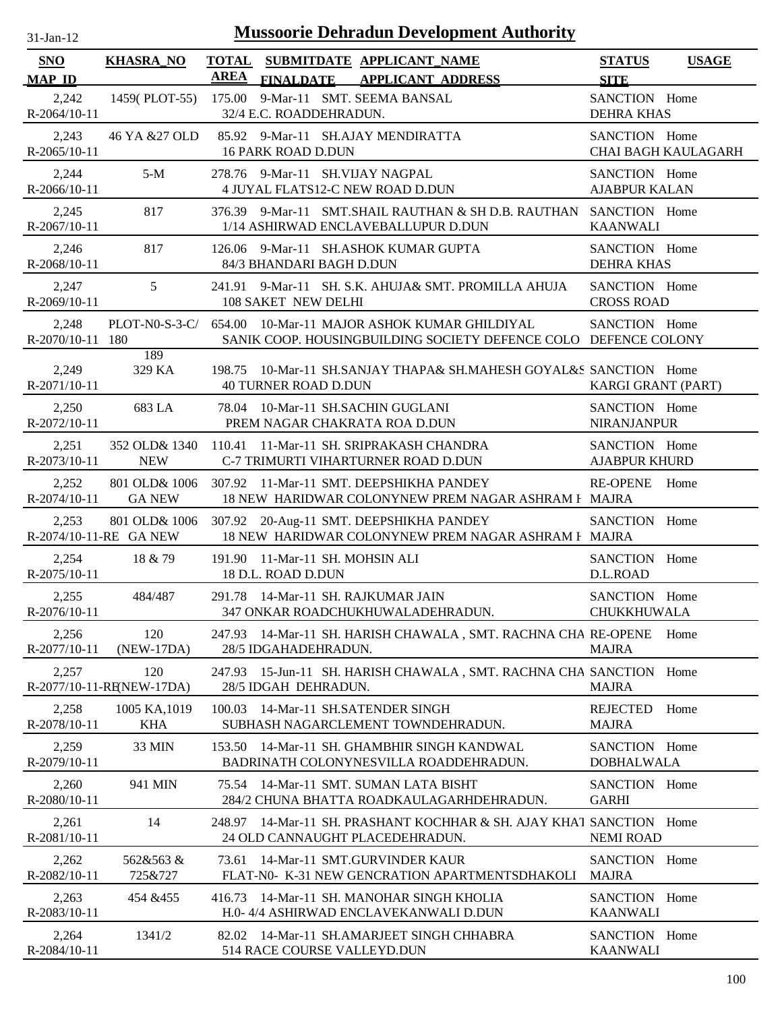| $31$ -Jan-12 |  |
|--------------|--|
|              |  |

| SNO                       | <b>KHASRA_NO</b>                | TOTAL SUBMITDATE APPLICANT NAME                                                                                                | <b>STATUS</b><br><b>USAGE</b>           |
|---------------------------|---------------------------------|--------------------------------------------------------------------------------------------------------------------------------|-----------------------------------------|
| <b>MAP ID</b>             |                                 | <b>AREA</b><br>FINALDATE APPLICANT ADDRESS                                                                                     | <b>SITE</b>                             |
| 2,242<br>R-2064/10-11     |                                 | 1459(PLOT-55) 175.00 9-Mar-11 SMT. SEEMA BANSAL<br>32/4 E.C. ROADDEHRADUN.                                                     | SANCTION Home<br><b>DEHRA KHAS</b>      |
| 2,243<br>R-2065/10-11     | 46 YA &27 OLD                   | 85.92 9-Mar-11 SH.AJAY MENDIRATTA<br><b>16 PARK ROAD D.DUN</b>                                                                 | SANCTION Home<br>CHAI BAGH KAULAGARH    |
| 2,244<br>R-2066/10-11     | $5-M$                           | 278.76 9-Mar-11 SH.VIJAY NAGPAL<br>4 JUYAL FLATS12-C NEW ROAD D.DUN                                                            | SANCTION Home<br><b>AJABPUR KALAN</b>   |
| 2,245<br>R-2067/10-11     | 817                             | 376.39 9-Mar-11 SMT.SHAIL RAUTHAN & SH D.B. RAUTHAN SANCTION Home<br>1/14 ASHIRWAD ENCLAVEBALLUPUR D.DUN                       | <b>KAANWALI</b>                         |
| 2,246<br>R-2068/10-11     | 817                             | 126.06 9-Mar-11 SH.ASHOK KUMAR GUPTA<br>84/3 BHANDARI BAGH D.DUN                                                               | SANCTION Home<br><b>DEHRA KHAS</b>      |
| 2,247<br>R-2069/10-11     | 5 <sup>5</sup>                  | 241.91 9-Mar-11 SH. S.K. AHUJA& SMT. PROMILLA AHUJA<br>108 SAKET NEW DELHI                                                     | SANCTION Home<br><b>CROSS ROAD</b>      |
| 2,248<br>R-2070/10-11 180 |                                 | PLOT-N0-S-3-C/ 654.00 10-Mar-11 MAJOR ASHOK KUMAR GHILDIYAL<br>SANIK COOP. HOUSINGBUILDING SOCIETY DEFENCE COLO DEFENCE COLONY | SANCTION Home                           |
| 2,249<br>R-2071/10-11     | 189<br>329 KA                   | 10-Mar-11 SH.SANJAY THAPA& SH.MAHESH GOYAL&S SANCTION Home<br>198.75<br><b>40 TURNER ROAD D.DUN</b>                            | <b>KARGI GRANT (PART)</b>               |
| 2,250<br>R-2072/10-11     | 683 LA                          | 78.04 10-Mar-11 SH.SACHIN GUGLANI<br>PREM NAGAR CHAKRATA ROA D.DUN                                                             | SANCTION Home<br><b>NIRANJANPUR</b>     |
| 2,251<br>R-2073/10-11     | 352 OLD& 1340<br><b>NEW</b>     | 110.41 11-Mar-11 SH. SRIPRAKASH CHANDRA<br>C-7 TRIMURTI VIHARTURNER ROAD D.DUN                                                 | SANCTION Home<br><b>AJABPUR KHURD</b>   |
| 2,252<br>R-2074/10-11     | <b>GA NEW</b>                   | 801 OLD& 1006 307.92 11-Mar-11 SMT. DEEPSHIKHA PANDEY<br>18 NEW HARIDWAR COLONYNEW PREM NAGAR ASHRAM F MAJRA                   | <b>RE-OPENE</b><br>Home                 |
| 2,253                     | R-2074/10-11-RE GA NEW          | 801 OLD& 1006 307.92 20-Aug-11 SMT. DEEPSHIKHA PANDEY<br>18 NEW HARIDWAR COLONYNEW PREM NAGAR ASHRAM F MAJRA                   | SANCTION Home                           |
| 2,254<br>R-2075/10-11     | 18 & 79                         | 191.90 11-Mar-11 SH. MOHSIN ALI<br>18 D.L. ROAD D.DUN                                                                          | SANCTION Home<br>D.L.ROAD               |
| 2,255<br>R-2076/10-11     | 484/487                         | 291.78 14-Mar-11 SH. RAJKUMAR JAIN<br>347 ONKAR ROADCHUKHUWALADEHRADUN.                                                        | SANCTION Home<br>CHUKKHUWALA            |
| 2,256<br>R-2077/10-11     | 120<br>$(NEW-17DA)$             | 247.93 14-Mar-11 SH. HARISH CHAWALA, SMT. RACHNA CHA RE-OPENE<br>28/5 IDGAHADEHRADUN.                                          | Home<br><b>MAJRA</b>                    |
| 2,257                     | 120<br>R-2077/10-11-RENEW-17DA) | 15-Jun-11 SH. HARISH CHAWALA, SMT. RACHNA CHA SANCTION Home<br>247.93<br>28/5 IDGAH DEHRADUN.                                  | <b>MAJRA</b>                            |
| 2,258<br>R-2078/10-11     | 1005 KA, 1019<br><b>KHA</b>     | 14-Mar-11 SH.SATENDER SINGH<br>100.03<br>SUBHASH NAGARCLEMENT TOWNDEHRADUN.                                                    | <b>REJECTED</b><br>Home<br><b>MAJRA</b> |
| 2,259<br>R-2079/10-11     | 33 MIN                          | 14-Mar-11 SH. GHAMBHIR SINGH KANDWAL<br>153.50<br>BADRINATH COLONYNESVILLA ROADDEHRADUN.                                       | SANCTION Home<br><b>DOBHALWALA</b>      |
| 2,260<br>R-2080/10-11     | 941 MIN                         | 14-Mar-11 SMT. SUMAN LATA BISHT<br>75.54<br>284/2 CHUNA BHATTA ROADKAULAGARHDEHRADUN.                                          | SANCTION Home<br><b>GARHI</b>           |
| 2,261<br>R-2081/10-11     | 14                              | 14-Mar-11 SH. PRASHANT KOCHHAR & SH. AJAY KHAT SANCTION Home<br>248.97<br>24 OLD CANNAUGHT PLACEDEHRADUN.                      | <b>NEMI ROAD</b>                        |
| 2,262<br>R-2082/10-11     | 562&563 &<br>725&727            | 14-Mar-11 SMT.GURVINDER KAUR<br>73.61<br>FLAT-N0- K-31 NEW GENCRATION APARTMENTSDHAKOLI                                        | SANCTION Home<br><b>MAJRA</b>           |
| 2,263<br>R-2083/10-11     | 454 & 455                       | 14-Mar-11 SH. MANOHAR SINGH KHOLIA<br>416.73<br>H.0-4/4 ASHIRWAD ENCLAVEKANWALI D.DUN                                          | SANCTION Home<br><b>KAANWALI</b>        |
| 2,264<br>R-2084/10-11     | 1341/2                          | 14-Mar-11 SH.AMARJEET SINGH CHHABRA<br>82.02<br>514 RACE COURSE VALLEYD.DUN                                                    | SANCTION Home<br><b>KAANWALI</b>        |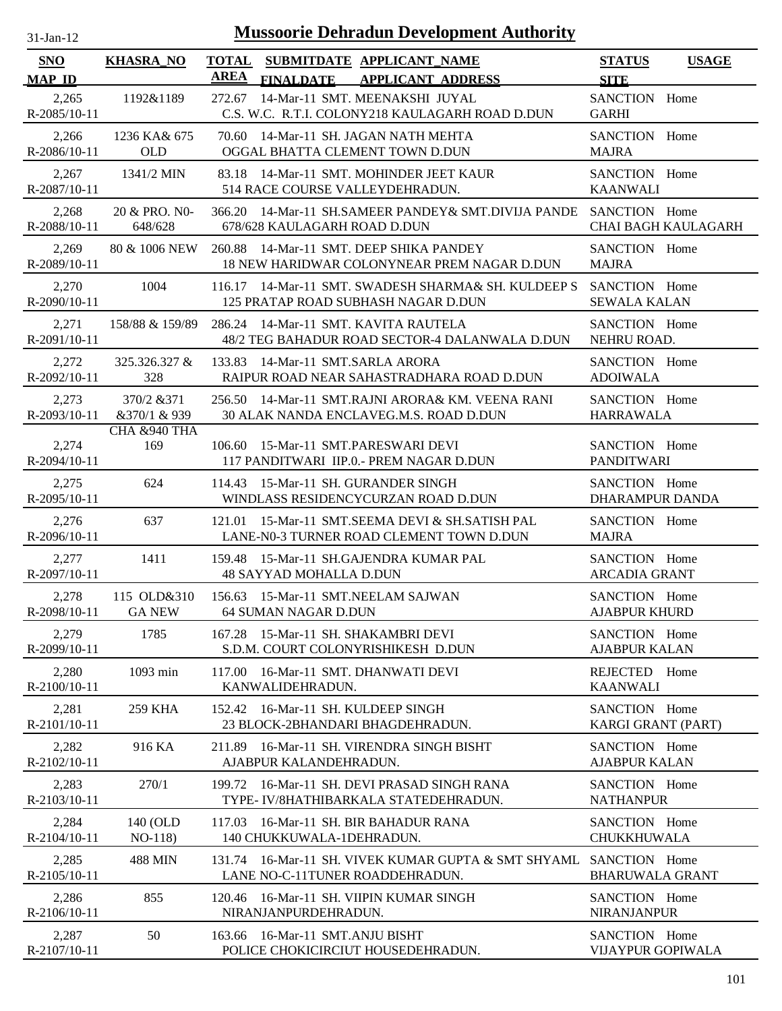| $31$ -Jan-12 |  |
|--------------|--|
|              |  |

| SNO<br><b>MAP ID</b>    | <b>KHASRA_NO</b>             | <b>TOTAL</b><br>AREA |                                                            | SUBMITDATE APPLICANT_NAME                                                                                            | <b>STATUS</b>                                | <b>USAGE</b>               |
|-------------------------|------------------------------|----------------------|------------------------------------------------------------|----------------------------------------------------------------------------------------------------------------------|----------------------------------------------|----------------------------|
| 2,265<br>R-2085/10-11   | 1192&1189                    |                      | <b>FINALDATE</b>                                           | <b>APPLICANT ADDRESS</b><br>272.67 14-Mar-11 SMT. MEENAKSHI JUYAL<br>C.S. W.C. R.T.I. COLONY218 KAULAGARH ROAD D.DUN | <b>SITE</b><br>SANCTION Home<br><b>GARHI</b> |                            |
| 2,266<br>$R-2086/10-11$ | 1236 KA& 675<br><b>OLD</b>   |                      |                                                            | 70.60 14-Mar-11 SH. JAGAN NATH MEHTA<br>OGGAL BHATTA CLEMENT TOWN D.DUN                                              | SANCTION Home<br><b>MAJRA</b>                |                            |
| 2,267<br>R-2087/10-11   | 1341/2 MIN                   |                      | 514 RACE COURSE VALLEYDEHRADUN.                            | 83.18 14-Mar-11 SMT. MOHINDER JEET KAUR                                                                              | SANCTION Home<br><b>KAANWALI</b>             |                            |
| 2,268<br>R-2088/10-11   | 20 & PRO. NO-<br>648/628     | 366.20               | 678/628 KAULAGARH ROAD D.DUN                               | 14-Mar-11 SH.SAMEER PANDEY& SMT.DIVIJA PANDE                                                                         | SANCTION Home                                | <b>CHAI BAGH KAULAGARH</b> |
| 2,269<br>R-2089/10-11   | 80 & 1006 NEW                |                      |                                                            | 260.88 14-Mar-11 SMT. DEEP SHIKA PANDEY<br>18 NEW HARIDWAR COLONYNEAR PREM NAGAR D.DUN                               | SANCTION Home<br><b>MAJRA</b>                |                            |
| 2,270<br>R-2090/10-11   | 1004                         |                      |                                                            | 116.17 14-Mar-11 SMT. SWADESH SHARMA& SH. KULDEEP S<br>125 PRATAP ROAD SUBHASH NAGAR D.DUN                           | SANCTION Home<br><b>SEWALA KALAN</b>         |                            |
| 2,271<br>R-2091/10-11   | 158/88 & 159/89              |                      | 286.24 14-Mar-11 SMT. KAVITA RAUTELA                       | 48/2 TEG BAHADUR ROAD SECTOR-4 DALANWALA D.DUN                                                                       | SANCTION Home<br>NEHRU ROAD.                 |                            |
| 2,272<br>$R-2092/10-11$ | 325.326.327 &<br>328         |                      | 133.83 14-Mar-11 SMT.SARLA ARORA                           | RAIPUR ROAD NEAR SAHASTRADHARA ROAD D.DUN                                                                            | SANCTION Home<br><b>ADOIWALA</b>             |                            |
| 2,273<br>R-2093/10-11   | 370/2 & 371<br>&370/1 & 939  |                      |                                                            | 256.50 14-Mar-11 SMT.RAJNI ARORA& KM. VEENA RANI<br>30 ALAK NANDA ENCLAVEG.M.S. ROAD D.DUN                           | SANCTION Home<br><b>HARRAWALA</b>            |                            |
| 2,274<br>$R-2094/10-11$ | CHA &940 THA<br>169          | 106.60               | 15-Mar-11 SMT.PARESWARI DEVI                               | 117 PANDITWARI IIP.0.- PREM NAGAR D.DUN                                                                              | SANCTION Home<br><b>PANDITWARI</b>           |                            |
| 2,275<br>R-2095/10-11   | 624                          |                      | 114.43 15-Mar-11 SH. GURANDER SINGH                        | WINDLASS RESIDENCYCURZAN ROAD D.DUN                                                                                  | SANCTION Home<br><b>DHARAMPUR DANDA</b>      |                            |
| 2,276<br>R-2096/10-11   | 637                          |                      |                                                            | 121.01 15-Mar-11 SMT.SEEMA DEVI & SH.SATISH PAL<br>LANE-N0-3 TURNER ROAD CLEMENT TOWN D.DUN                          | SANCTION Home<br><b>MAJRA</b>                |                            |
| 2,277<br>R-2097/10-11   | 1411                         |                      | <b>48 SAYYAD MOHALLA D.DUN</b>                             | 159.48 15-Mar-11 SH.GAJENDRA KUMAR PAL                                                                               | SANCTION Home<br><b>ARCADIA GRANT</b>        |                            |
| 2,278<br>R-2098/10-11   | 115 OLD&310<br><b>GA NEW</b> |                      | 156.63 15-Mar-11 SMT.NEELAM SAJWAN<br>64 SUMAN NAGAR D.DUN |                                                                                                                      | SANCTION Home<br><b>AJABPUR KHURD</b>        |                            |
| 2,279<br>R-2099/10-11   | 1785                         |                      | 167.28 15-Mar-11 SH. SHAKAMBRI DEVI                        | S.D.M. COURT COLONYRISHIKESH D.DUN                                                                                   | SANCTION Home<br><b>AJABPUR KALAN</b>        |                            |
| 2,280<br>R-2100/10-11   | 1093 min                     | 117.00               | 16-Mar-11 SMT. DHANWATI DEVI<br>KANWALIDEHRADUN.           |                                                                                                                      | REJECTED Home<br><b>KAANWALI</b>             |                            |
| 2,281<br>R-2101/10-11   | <b>259 KHA</b>               | 152.42               | 16-Mar-11 SH. KULDEEP SINGH                                | 23 BLOCK-2BHANDARI BHAGDEHRADUN.                                                                                     | SANCTION Home<br>KARGI GRANT (PART)          |                            |
| 2,282<br>R-2102/10-11   | 916 KA                       | 211.89               | AJABPUR KALANDEHRADUN.                                     | 16-Mar-11 SH. VIRENDRA SINGH BISHT                                                                                   | SANCTION Home<br><b>AJABPUR KALAN</b>        |                            |
| 2,283<br>R-2103/10-11   | 270/1                        | 199.72               |                                                            | 16-Mar-11 SH. DEVI PRASAD SINGH RANA<br>TYPE- IV/8HATHIBARKALA STATEDEHRADUN.                                        | SANCTION Home<br><b>NATHANPUR</b>            |                            |
| 2,284<br>$R-2104/10-11$ | 140 (OLD<br>$NO-118$         | 117.03               | 140 CHUKKUWALA-1DEHRADUN.                                  | 16-Mar-11 SH. BIR BAHADUR RANA                                                                                       | SANCTION Home<br>CHUKKHUWALA                 |                            |
| 2,285<br>$R-2105/10-11$ | <b>488 MIN</b>               |                      | LANE NO-C-11TUNER ROADDEHRADUN.                            | 131.74 16-Mar-11 SH. VIVEK KUMAR GUPTA & SMT SHYAML                                                                  | SANCTION Home<br><b>BHARUWALA GRANT</b>      |                            |
| 2,286<br>$R-2106/10-11$ | 855                          | 120.46               | NIRANJANPURDEHRADUN.                                       | 16-Mar-11 SH. VIIPIN KUMAR SINGH                                                                                     | SANCTION Home<br><b>NIRANJANPUR</b>          |                            |
| 2,287<br>R-2107/10-11   | 50                           | 163.66               | 16-Mar-11 SMT.ANJU BISHT                                   | POLICE CHOKICIRCIUT HOUSEDEHRADUN.                                                                                   | SANCTION Home<br><b>VIJAYPUR GOPIWALA</b>    |                            |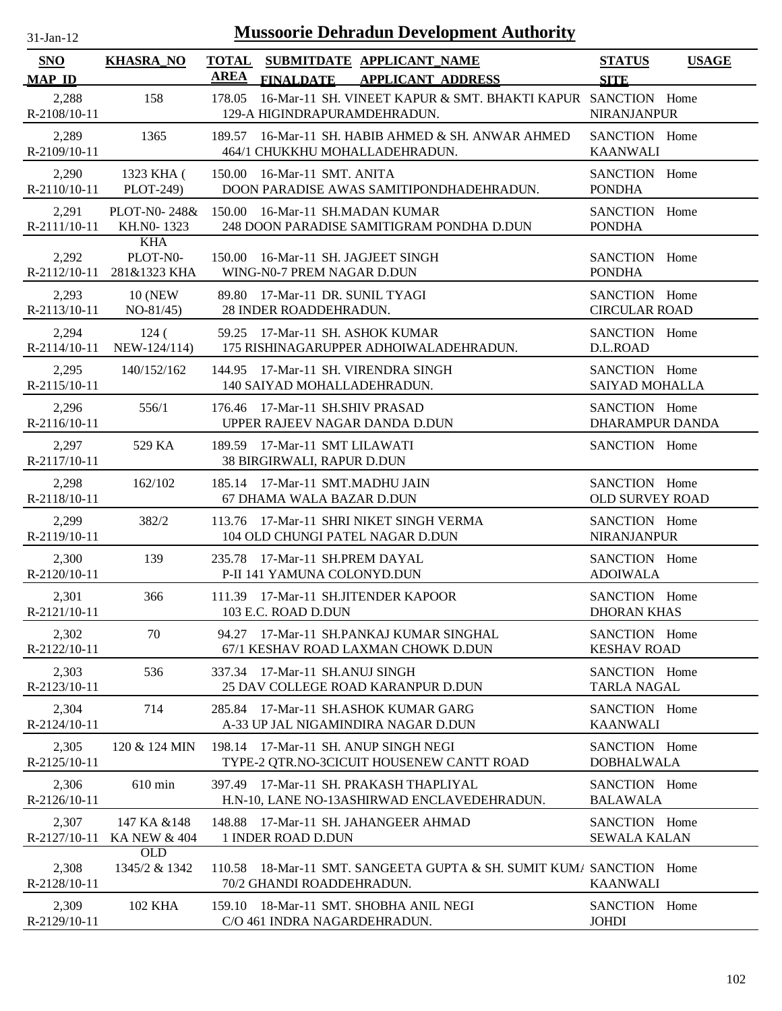| <b>Mussoorie Dehradun Development Authority</b><br>$31-Jan-12$ |                                                     |                                                                                                          |                                         |              |  |  |
|----------------------------------------------------------------|-----------------------------------------------------|----------------------------------------------------------------------------------------------------------|-----------------------------------------|--------------|--|--|
| <b>SNO</b><br><b>MAP ID</b>                                    | <b>KHASRA_NO</b>                                    | <b>TOTAL</b><br>SUBMITDATE APPLICANT_NAME<br><b>AREA</b><br><b>FINALDATE</b><br><b>APPLICANT ADDRESS</b> | <b>STATUS</b><br><b>SITE</b>            | <b>USAGE</b> |  |  |
| 2,288<br>R-2108/10-11                                          | 158                                                 | 16-Mar-11 SH. VINEET KAPUR & SMT. BHAKTI KAPUR SANCTION Home<br>178.05<br>129-A HIGINDRAPURAMDEHRADUN.   | NIRANJANPUR                             |              |  |  |
| 2,289<br>R-2109/10-11                                          | 1365                                                | 189.57 16-Mar-11 SH, HABIB AHMED & SH, ANWAR AHMED<br>464/1 CHUKKHU MOHALLADEHRADUN.                     | SANCTION Home<br><b>KAANWALI</b>        |              |  |  |
| 2,290<br>$R-2110/10-11$                                        | 1323 KHA (<br>PLOT-249)                             | 16-Mar-11 SMT. ANITA<br>150.00<br>DOON PARADISE AWAS SAMITIPONDHADEHRADUN.                               | SANCTION Home<br><b>PONDHA</b>          |              |  |  |
| 2,291<br>R-2111/10-11                                          | KH.NO-1323                                          | PLOT-N0-248& 150.00 16-Mar-11 SH.MADAN KUMAR<br>248 DOON PARADISE SAMITIGRAM PONDHA D.DUN                | SANCTION Home<br><b>PONDHA</b>          |              |  |  |
| 2,292                                                          | <b>KHA</b><br>PLOT-N0-<br>R-2112/10-11 281&1323 KHA | 150.00<br>16-Mar-11 SH. JAGJEET SINGH<br>WING-N0-7 PREM NAGAR D.DUN                                      | SANCTION Home<br><b>PONDHA</b>          |              |  |  |
| 2,293<br>R-2113/10-11                                          | <b>10 (NEW)</b><br>$NO-81/45)$                      | 89.80 17-Mar-11 DR. SUNIL TYAGI<br>28 INDER ROADDEHRADUN.                                                | SANCTION Home<br><b>CIRCULAR ROAD</b>   |              |  |  |
| 2,294<br>R-2114/10-11                                          | 124(<br>NEW-124/114)                                | 59.25 17-Mar-11 SH. ASHOK KUMAR<br>175 RISHINAGARUPPER ADHOIWALADEHRADUN.                                | SANCTION Home<br>D.L.ROAD               |              |  |  |
| 2,295<br>R-2115/10-11                                          | 140/152/162                                         | 144.95 17-Mar-11 SH. VIRENDRA SINGH<br>140 SAIYAD MOHALLADEHRADUN.                                       | SANCTION Home<br>SAIYAD MOHALLA         |              |  |  |
| 2,296<br>R-2116/10-11                                          | 556/1                                               | 176.46 17-Mar-11 SH.SHIV PRASAD<br>UPPER RAJEEV NAGAR DANDA D.DUN                                        | SANCTION Home<br><b>DHARAMPUR DANDA</b> |              |  |  |
| 2,297<br>R-2117/10-11                                          | 529 KA                                              | 189.59 17-Mar-11 SMT LILAWATI<br>38 BIRGIRWALI, RAPUR D.DUN                                              | SANCTION Home                           |              |  |  |
| 2,298<br>R-2118/10-11                                          | 162/102                                             | 185.14 17-Mar-11 SMT.MADHU JAIN<br>67 DHAMA WALA BAZAR D.DUN                                             | SANCTION Home<br><b>OLD SURVEY ROAD</b> |              |  |  |
| 2,299<br>R-2119/10-11                                          | 382/2                                               | 113.76 17-Mar-11 SHRI NIKET SINGH VERMA<br>104 OLD CHUNGI PATEL NAGAR D.DUN                              | SANCTION Home<br>NIRANJANPUR            |              |  |  |
| 2,300<br>R-2120/10-11                                          | 139                                                 | 235.78 17-Mar-11 SH.PREM DAYAL<br>P-II 141 YAMUNA COLONYD.DUN                                            | SANCTION Home<br><b>ADOIWALA</b>        |              |  |  |
| 2,301<br>R-2121/10-11                                          | 366                                                 | 111.39 17-Mar-11 SH.JITENDER KAPOOR<br>103 E.C. ROAD D.DUN                                               | SANCTION Home<br><b>DHORAN KHAS</b>     |              |  |  |
| 2,302<br>R-2122/10-11                                          | 70                                                  | 94.27 17-Mar-11 SH.PANKAJ KUMAR SINGHAL<br>67/1 KESHAV ROAD LAXMAN CHOWK D.DUN                           | SANCTION Home<br><b>KESHAV ROAD</b>     |              |  |  |
| 2,303<br>R-2123/10-11                                          | 536                                                 | 337.34 17-Mar-11 SH.ANUJ SINGH<br>25 DAV COLLEGE ROAD KARANPUR D.DUN                                     | SANCTION Home<br><b>TARLA NAGAL</b>     |              |  |  |
| 2,304<br>R-2124/10-11                                          | 714                                                 | 285.84 17-Mar-11 SH.ASHOK KUMAR GARG<br>A-33 UP JAL NIGAMINDIRA NAGAR D.DUN                              | SANCTION Home<br><b>KAANWALI</b>        |              |  |  |
| 2,305<br>R-2125/10-11                                          | 120 & 124 MIN                                       | 198.14 17-Mar-11 SH. ANUP SINGH NEGI<br>TYPE-2 QTR.NO-3CICUIT HOUSENEW CANTT ROAD                        | SANCTION Home<br><b>DOBHALWALA</b>      |              |  |  |
| 2,306<br>R-2126/10-11                                          | $610$ min                                           | 17-Mar-11 SH. PRAKASH THAPLIYAL<br>397.49<br>H.N-10, LANE NO-13ASHIRWAD ENCLAVEDEHRADUN.                 | SANCTION Home<br><b>BALAWALA</b>        |              |  |  |
| 2,307<br>R-2127/10-11                                          | 147 KA & 148<br><b>KA NEW &amp; 404</b>             | 17-Mar-11 SH. JAHANGEER AHMAD<br>148.88<br>1 INDER ROAD D.DUN                                            | SANCTION Home<br><b>SEWALA KALAN</b>    |              |  |  |
| 2,308<br>R-2128/10-11                                          | OLD<br>1345/2 & 1342                                | 18-Mar-11 SMT. SANGEETA GUPTA & SH. SUMIT KUM/ SANCTION Home<br>110.58<br>70/2 GHANDI ROADDEHRADUN.      | <b>KAANWALI</b>                         |              |  |  |
| 2,309<br>R-2129/10-11                                          | <b>102 KHA</b>                                      | 159.10 18-Mar-11 SMT. SHOBHA ANIL NEGI<br>C/O 461 INDRA NAGARDEHRADUN.                                   | SANCTION Home<br><b>JOHDI</b>           |              |  |  |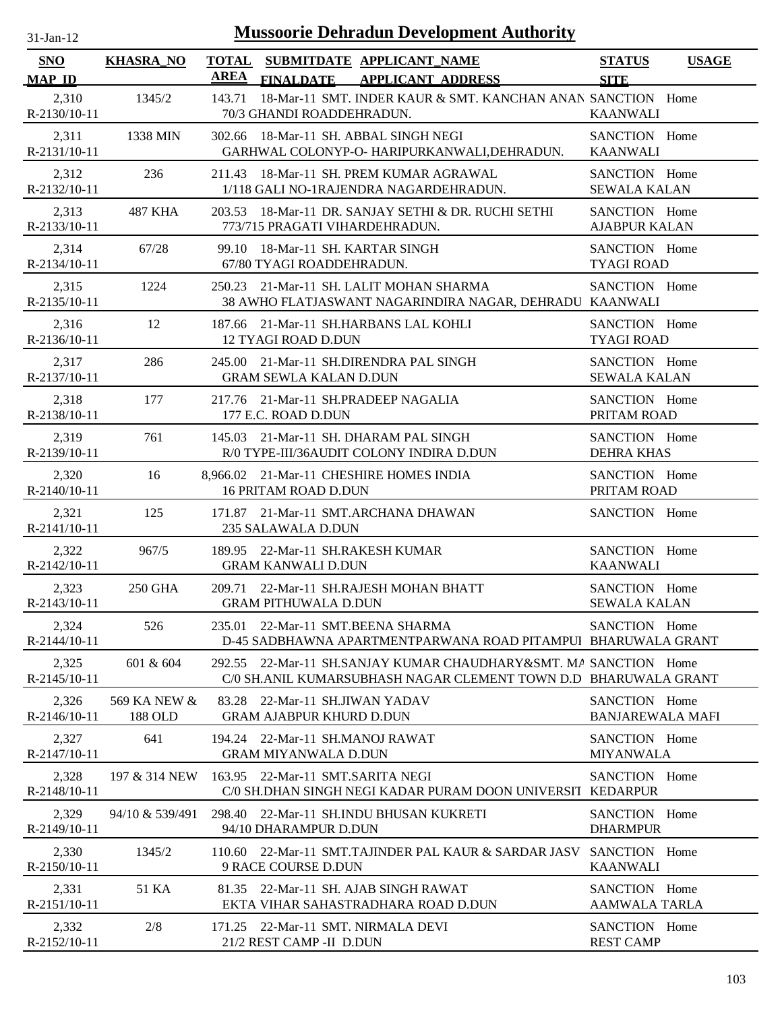| <b>Mussoorie Dehradun Development Authority</b><br>$31$ -Jan-12 |                         |             |                                                                                                                                     |                                          |              |
|-----------------------------------------------------------------|-------------------------|-------------|-------------------------------------------------------------------------------------------------------------------------------------|------------------------------------------|--------------|
| <b>SNO</b><br><b>MAP ID</b>                                     | <b>KHASRA_NO</b>        | <b>AREA</b> | TOTAL SUBMITDATE APPLICANT NAME<br><b>APPLICANT ADDRESS</b><br><b>FINALDATE</b>                                                     | <b>STATUS</b><br><b>SITE</b>             | <b>USAGE</b> |
| 2,310<br>R-2130/10-11                                           | 1345/2                  | 143.71      | 18-Mar-11 SMT. INDER KAUR & SMT. KANCHAN ANAN SANCTION Home<br>70/3 GHANDI ROADDEHRADUN.                                            | <b>KAANWALI</b>                          |              |
| 2,311<br>R-2131/10-11                                           | 1338 MIN                |             | 302.66 18-Mar-11 SH. ABBAL SINGH NEGI<br>GARHWAL COLONYP-O- HARIPURKANWALI, DEHRADUN.                                               | SANCTION Home<br><b>KAANWALI</b>         |              |
| 2,312<br>R-2132/10-11                                           | 236                     |             | 211.43 18-Mar-11 SH. PREM KUMAR AGRAWAL<br>1/118 GALI NO-1RAJENDRA NAGARDEHRADUN.                                                   | SANCTION Home<br><b>SEWALA KALAN</b>     |              |
| 2,313<br>R-2133/10-11                                           | 487 KHA                 |             | 203.53 18-Mar-11 DR. SANJAY SETHI & DR. RUCHI SETHI<br>773/715 PRAGATI VIHARDEHRADUN.                                               | SANCTION Home<br><b>AJABPUR KALAN</b>    |              |
| 2,314<br>R-2134/10-11                                           | 67/28                   | 99.10       | 18-Mar-11 SH. KARTAR SINGH<br>67/80 TYAGI ROADDEHRADUN.                                                                             | SANCTION Home<br><b>TYAGI ROAD</b>       |              |
| 2,315<br>R-2135/10-11                                           | 1224                    |             | 250.23 21-Mar-11 SH. LALIT MOHAN SHARMA<br>38 AWHO FLATJASWANT NAGARINDIRA NAGAR, DEHRADU KAANWALI                                  | SANCTION Home                            |              |
| 2,316<br>$R-2136/10-11$                                         | 12                      |             | 187.66 21-Mar-11 SH.HARBANS LAL KOHLI<br>12 TYAGI ROAD D.DUN                                                                        | SANCTION Home<br><b>TYAGI ROAD</b>       |              |
| 2,317<br>R-2137/10-11                                           | 286                     |             | 245.00 21-Mar-11 SH.DIRENDRA PAL SINGH<br><b>GRAM SEWLA KALAN D.DUN</b>                                                             | SANCTION Home<br><b>SEWALA KALAN</b>     |              |
| 2,318<br>R-2138/10-11                                           | 177                     |             | 217.76 21-Mar-11 SH.PRADEEP NAGALIA<br>177 E.C. ROAD D.DUN                                                                          | SANCTION Home<br>PRITAM ROAD             |              |
| 2,319<br>R-2139/10-11                                           | 761                     | 145.03      | 21-Mar-11 SH. DHARAM PAL SINGH<br>R/0 TYPE-III/36AUDIT COLONY INDIRA D.DUN                                                          | SANCTION Home<br><b>DEHRA KHAS</b>       |              |
| 2,320<br>R-2140/10-11                                           | 16                      |             | 8,966.02 21-Mar-11 CHESHIRE HOMES INDIA<br><b>16 PRITAM ROAD D.DUN</b>                                                              | SANCTION Home<br>PRITAM ROAD             |              |
| 2,321<br>R-2141/10-11                                           | 125                     |             | 171.87 21-Mar-11 SMT.ARCHANA DHAWAN<br>235 SALAWALA D.DUN                                                                           | SANCTION Home                            |              |
| 2,322<br>R-2142/10-11                                           | 967/5                   |             | 189.95 22-Mar-11 SH.RAKESH KUMAR<br><b>GRAM KANWALI D.DUN</b>                                                                       | SANCTION Home<br><b>KAANWALI</b>         |              |
| 2,323<br>R-2143/10-11                                           | 250 GHA                 |             | 209.71 22-Mar-11 SH.RAJESH MOHAN BHATT<br><b>GRAM PITHUWALA D.DUN</b>                                                               | SANCTION Home<br><b>SEWALA KALAN</b>     |              |
| 2,324<br>$R-2144/10-11$                                         | 526                     |             | 235.01 22-Mar-11 SMT.BEENA SHARMA<br>D-45 SADBHAWNA APARTMENTPARWANA ROAD PITAMPUI BHARUWALA GRANT                                  | SANCTION Home                            |              |
| 2,325<br>$R-2145/10-11$                                         | 601 & 604               |             | 292.55 22-Mar-11 SH.SANJAY KUMAR CHAUDHARY&SMT, MA SANCTION Home<br>C/0 SH.ANIL KUMARSUBHASH NAGAR CLEMENT TOWN D.D BHARUWALA GRANT |                                          |              |
| 2,326<br>$R-2146/10-11$                                         | 569 KA NEW &<br>188 OLD |             | 83.28 22-Mar-11 SH.JIWAN YADAV<br><b>GRAM AJABPUR KHURD D.DUN</b>                                                                   | SANCTION Home<br><b>BANJAREWALA MAFI</b> |              |
| 2,327<br>R-2147/10-11                                           | 641                     |             | 194.24 22-Mar-11 SH.MANOJ RAWAT<br><b>GRAM MIYANWALA D.DUN</b>                                                                      | SANCTION Home<br><b>MIYANWALA</b>        |              |
| 2,328<br>R-2148/10-11                                           | 197 & 314 NEW           |             | 163.95 22-Mar-11 SMT.SARITA NEGI<br>C/0 SH.DHAN SINGH NEGI KADAR PURAM DOON UNIVERSIT KEDARPUR                                      | SANCTION Home                            |              |
| 2,329<br>R-2149/10-11                                           | 94/10 & 539/491         |             | 298.40 22-Mar-11 SH.INDU BHUSAN KUKRETI<br>94/10 DHARAMPUR D.DUN                                                                    | SANCTION Home<br><b>DHARMPUR</b>         |              |
| 2,330<br>$R-2150/10-11$                                         | 1345/2                  |             | 110.60 22-Mar-11 SMT.TAJINDER PAL KAUR & SARDAR JASV<br>9 RACE COURSE D.DUN                                                         | SANCTION Home<br><b>KAANWALI</b>         |              |
| 2,331<br>$R-2151/10-11$                                         | 51 KA                   |             | 81.35 22-Mar-11 SH. AJAB SINGH RAWAT<br>EKTA VIHAR SAHASTRADHARA ROAD D.DUN                                                         | SANCTION Home<br><b>AAMWALA TARLA</b>    |              |
| 2,332<br>R-2152/10-11                                           | 2/8                     |             | 171.25 22-Mar-11 SMT. NIRMALA DEVI<br>21/2 REST CAMP -II D.DUN                                                                      | SANCTION Home<br><b>REST CAMP</b>        |              |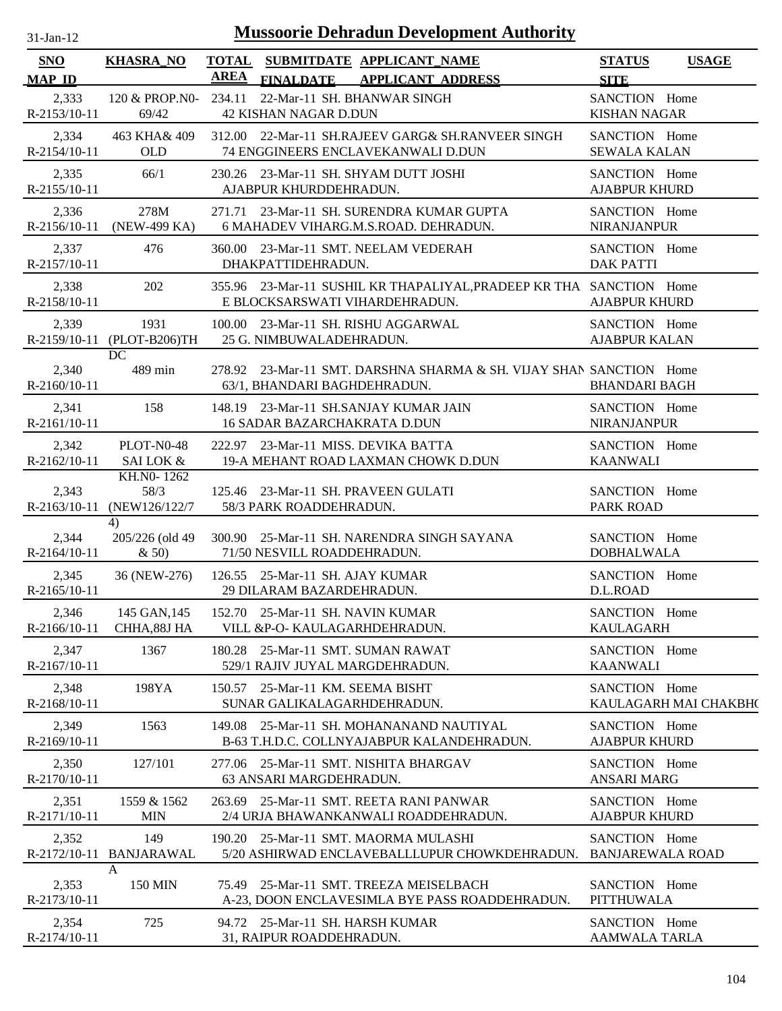| -jan- |
|-------|
|       |

| SNO<br><b>MAP ID</b>    | <b>KHASRA_NO</b>                     | <b>TOTAL</b><br><b>AREA</b> | SUBMITDATE APPLICANT NAME<br><b>FINALDATE</b><br><b>APPLICANT ADDRESS</b>                             | <b>STATUS</b><br><b>SITE</b>             | <b>USAGE</b>          |
|-------------------------|--------------------------------------|-----------------------------|-------------------------------------------------------------------------------------------------------|------------------------------------------|-----------------------|
| 2,333<br>R-2153/10-11   | 120 & PROP.NO-<br>69/42              | 234.11                      | 22-Mar-11 SH. BHANWAR SINGH<br><b>42 KISHAN NAGAR D.DUN</b>                                           | SANCTION Home<br><b>KISHAN NAGAR</b>     |                       |
| 2,334<br>R-2154/10-11   | 463 KHA& 409<br><b>OLD</b>           |                             | 312.00 22-Mar-11 SH.RAJEEV GARG& SH.RANVEER SINGH<br>74 ENGGINEERS ENCLAVEKANWALI D.DUN               | SANCTION Home<br><b>SEWALA KALAN</b>     |                       |
| 2,335<br>R-2155/10-11   | 66/1                                 |                             | 230.26 23-Mar-11 SH. SHYAM DUTT JOSHI<br>AJABPUR KHURDDEHRADUN.                                       | SANCTION Home<br><b>AJABPUR KHURD</b>    |                       |
| 2,336<br>R-2156/10-11   | 278M<br>(NEW-499 KA)                 |                             | 271.71 23-Mar-11 SH. SURENDRA KUMAR GUPTA<br>6 MAHADEV VIHARG.M.S.ROAD. DEHRADUN.                     | SANCTION Home<br><b>NIRANJANPUR</b>      |                       |
| 2,337<br>R-2157/10-11   | 476                                  |                             | 360.00 23-Mar-11 SMT. NEELAM VEDERAH<br>DHAKPATTIDEHRADUN.                                            | SANCTION Home<br><b>DAK PATTI</b>        |                       |
| 2,338<br>R-2158/10-11   | 202                                  |                             | 355.96 23-Mar-11 SUSHIL KR THAPALIYAL, PRADEEP KR THA SANCTION Home<br>E BLOCKSARSWATI VIHARDEHRADUN. | <b>AJABPUR KHURD</b>                     |                       |
| 2,339                   | 1931<br>R-2159/10-11 (PLOT-B206)TH   |                             | 100.00 23-Mar-11 SH. RISHU AGGARWAL<br>25 G. NIMBUWALADEHRADUN.                                       | SANCTION Home<br><b>AJABPUR KALAN</b>    |                       |
| 2,340<br>$R-2160/10-11$ | DC<br>489 min                        |                             | 278.92 23-Mar-11 SMT, DARSHNA SHARMA & SH, VIJAY SHAN SANCTION Home<br>63/1, BHANDARI BAGHDEHRADUN.   | <b>BHANDARI BAGH</b>                     |                       |
| 2,341<br>R-2161/10-11   | 158                                  |                             | 148.19 23-Mar-11 SH.SANJAY KUMAR JAIN<br><b>16 SADAR BAZARCHAKRATA D.DUN</b>                          | SANCTION Home<br><b>NIRANJANPUR</b>      |                       |
| 2,342<br>R-2162/10-11   | PLOT-N0-48<br><b>SAI LOK &amp;</b>   |                             | 222.97 23-Mar-11 MISS. DEVIKA BATTA<br>19-A MEHANT ROAD LAXMAN CHOWK D.DUN                            | SANCTION Home<br><b>KAANWALI</b>         |                       |
| 2,343<br>$R-2163/10-11$ | KH.NO-1262<br>58/3<br>(NEW126/122/7) |                             | 125.46 23-Mar-11 SH. PRAVEEN GULATI<br>58/3 PARK ROADDEHRADUN.                                        | SANCTION Home<br><b>PARK ROAD</b>        |                       |
| 2,344<br>$R-2164/10-11$ | 4)<br>205/226 (old 49)<br>& 50)      |                             | 300.90 25-Mar-11 SH. NARENDRA SINGH SAYANA<br>71/50 NESVILL ROADDEHRADUN.                             | SANCTION Home<br><b>DOBHALWALA</b>       |                       |
| 2,345<br>$R-2165/10-11$ | 36 (NEW-276)                         |                             | 126.55 25-Mar-11 SH. AJAY KUMAR<br>29 DILARAM BAZARDEHRADUN.                                          | SANCTION Home<br>D.L.ROAD                |                       |
| 2,346<br>R-2166/10-11   | 145 GAN, 145<br>CHHA, 88J HA         |                             | 152.70 25-Mar-11 SH. NAVIN KUMAR<br>VILL & P-O- KAULAGARHDEHRADUN.                                    | SANCTION Home<br><b>KAULAGARH</b>        |                       |
| 2,347<br>R-2167/10-11   | 1367                                 | 180.28                      | 25-Mar-11 SMT. SUMAN RAWAT<br>529/1 RAJIV JUYAL MARGDEHRADUN.                                         | SANCTION Home<br><b>KAANWALI</b>         |                       |
| 2,348<br>R-2168/10-11   | 198YA                                | 150.57                      | 25-Mar-11 KM. SEEMA BISHT<br>SUNAR GALIKALAGARHDEHRADUN.                                              | SANCTION Home                            | KAULAGARH MAI CHAKBH( |
| 2,349<br>R-2169/10-11   | 1563                                 |                             | 149.08 25-Mar-11 SH. MOHANANAND NAUTIYAL<br>B-63 T.H.D.C. COLLNYAJABPUR KALANDEHRADUN.                | SANCTION Home<br><b>AJABPUR KHURD</b>    |                       |
| 2,350<br>R-2170/10-11   | 127/101                              | 277.06                      | 25-Mar-11 SMT. NISHITA BHARGAV<br>63 ANSARI MARGDEHRADUN.                                             | SANCTION Home<br><b>ANSARI MARG</b>      |                       |
| 2,351<br>R-2171/10-11   | 1559 & 1562<br><b>MIN</b>            |                             | 263.69 25-Mar-11 SMT. REETA RANI PANWAR<br>2/4 URJA BHAWANKANWALI ROADDEHRADUN.                       | SANCTION Home<br><b>AJABPUR KHURD</b>    |                       |
| 2,352<br>R-2172/10-11   | 149<br><b>BANJARAWAL</b>             |                             | 190.20 25-Mar-11 SMT. MAORMA MULASHI<br>5/20 ASHIRWAD ENCLAVEBALLLUPUR CHOWKDEHRADUN.                 | SANCTION Home<br><b>BANJAREWALA ROAD</b> |                       |
| 2,353<br>R-2173/10-11   | A<br><b>150 MIN</b>                  |                             | 75.49 25-Mar-11 SMT. TREEZA MEISELBACH<br>A-23, DOON ENCLAVESIMLA BYE PASS ROADDEHRADUN.              | SANCTION Home<br><b>PITTHUWALA</b>       |                       |
| 2,354<br>R-2174/10-11   | 725                                  |                             | 94.72 25-Mar-11 SH. HARSH KUMAR<br>31, RAIPUR ROADDEHRADUN.                                           | SANCTION Home<br>AAMWALA TARLA           |                       |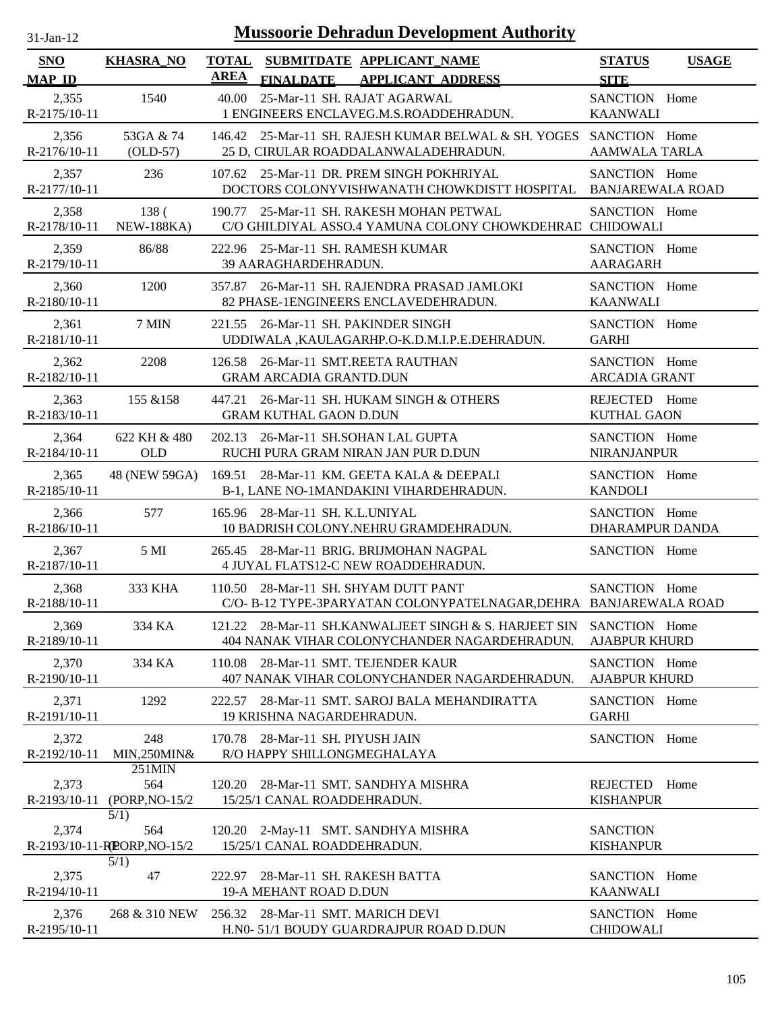| -Jan- |  |
|-------|--|

| <b>SNO</b>              | <b>KHASRA_NO</b>                                        | <b>TOTAL</b> |                                                          | SUBMITDATE APPLICANT NAME                                                                                  | <b>STATUS</b>                            | <b>USAGE</b> |
|-------------------------|---------------------------------------------------------|--------------|----------------------------------------------------------|------------------------------------------------------------------------------------------------------------|------------------------------------------|--------------|
| <b>MAP ID</b>           |                                                         | AREA         | <b>FINALDATE</b>                                         | <b>APPLICANT ADDRESS</b>                                                                                   | <b>SITE</b>                              |              |
| 2,355<br>R-2175/10-11   | 1540                                                    |              |                                                          | 40.00 25-Mar-11 SH. RAJAT AGARWAL<br>1 ENGINEERS ENCLAVEG.M.S.ROADDEHRADUN.                                | SANCTION Home<br><b>KAANWALI</b>         |              |
| 2,356<br>$R-2176/10-11$ | 53GA & 74<br>$(OLD-57)$                                 |              |                                                          | 146.42 25-Mar-11 SH. RAJESH KUMAR BELWAL & SH. YOGES SANCTION Home<br>25 D, CIRULAR ROADDALANWALADEHRADUN. | <b>AAMWALA TARLA</b>                     |              |
| 2,357<br>R-2177/10-11   | 236                                                     |              |                                                          | 107.62 25-Mar-11 DR. PREM SINGH POKHRIYAL<br>DOCTORS COLONYVISHWANATH CHOWKDISTT HOSPITAL                  | SANCTION Home<br><b>BANJAREWALA ROAD</b> |              |
| 2,358<br>R-2178/10-11   | 138 <sup>°</sup><br><b>NEW-188KA)</b>                   | 190.77       |                                                          | 25-Mar-11 SH. RAKESH MOHAN PETWAL<br>C/O GHILDIYAL ASSO.4 YAMUNA COLONY CHOWKDEHRAE CHIDOWALI              | SANCTION Home                            |              |
| 2,359<br>R-2179/10-11   | 86/88                                                   | 222.96       | 39 AARAGHARDEHRADUN.                                     | 25-Mar-11 SH. RAMESH KUMAR                                                                                 | SANCTION Home<br><b>AARAGARH</b>         |              |
| 2,360<br>$R-2180/10-11$ | 1200                                                    |              |                                                          | 357.87 26-Mar-11 SH. RAJENDRA PRASAD JAMLOKI<br>82 PHASE-1ENGINEERS ENCLAVEDEHRADUN.                       | SANCTION Home<br><b>KAANWALI</b>         |              |
| 2,361<br>R-2181/10-11   | 7 MIN                                                   |              |                                                          | 221.55 26-Mar-11 SH. PAKINDER SINGH<br>UDDIWALA, KAULAGARHP.O-K.D.M.I.P.E.DEHRADUN.                        | SANCTION Home<br><b>GARHI</b>            |              |
| 2,362<br>R-2182/10-11   | 2208                                                    |              | <b>GRAM ARCADIA GRANTD.DUN</b>                           | 126.58 26-Mar-11 SMT.REETA RAUTHAN                                                                         | SANCTION Home<br><b>ARCADIA GRANT</b>    |              |
| 2,363<br>R-2183/10-11   | 155 & 158                                               |              | <b>GRAM KUTHAL GAON D.DUN</b>                            | 447.21 26-Mar-11 SH. HUKAM SINGH & OTHERS                                                                  | REJECTED Home<br><b>KUTHAL GAON</b>      |              |
| 2,364<br>R-2184/10-11   | 622 KH & 480<br><b>OLD</b>                              |              |                                                          | 202.13 26-Mar-11 SH.SOHAN LAL GUPTA<br>RUCHI PURA GRAM NIRAN JAN PUR D.DUN                                 | SANCTION Home<br><b>NIRANJANPUR</b>      |              |
| 2,365<br>R-2185/10-11   | 48 (NEW 59GA)                                           |              |                                                          | 169.51 28-Mar-11 KM. GEETA KALA & DEEPALI<br>B-1, LANE NO-1MANDAKINI VIHARDEHRADUN.                        | SANCTION Home<br><b>KANDOLI</b>          |              |
| 2,366<br>R-2186/10-11   | 577                                                     |              | 165.96 28-Mar-11 SH. K.L.UNIYAL                          | 10 BADRISH COLONY.NEHRU GRAMDEHRADUN.                                                                      | SANCTION Home<br><b>DHARAMPUR DANDA</b>  |              |
| 2,367<br>R-2187/10-11   | 5 MI                                                    |              |                                                          | 265.45 28-Mar-11 BRIG. BRIJMOHAN NAGPAL<br>4 JUYAL FLATS12-C NEW ROADDEHRADUN.                             | SANCTION Home                            |              |
| 2,368<br>R-2188/10-11   | 333 KHA                                                 |              |                                                          | 110.50 28-Mar-11 SH. SHYAM DUTT PANT<br>C/O-B-12 TYPE-3PARYATAN COLONYPATELNAGAR, DEHRA BANJAREWALA ROAD   | SANCTION Home                            |              |
| 2,369<br>R-2189/10-11   | 334 KA                                                  |              |                                                          | 121.22 28-Mar-11 SH.KANWALJEET SINGH & S. HARJEET SIN<br>404 NANAK VIHAR COLONYCHANDER NAGARDEHRADUN.      | SANCTION Home<br><b>AJABPUR KHURD</b>    |              |
| 2,370<br>R-2190/10-11   | 334 KA                                                  | 110.08       |                                                          | 28-Mar-11 SMT. TEJENDER KAUR<br>407 NANAK VIHAR COLONYCHANDER NAGARDEHRADUN.                               | SANCTION Home<br><b>AJABPUR KHURD</b>    |              |
| 2,371<br>R-2191/10-11   | 1292                                                    | 222.57       | 19 KRISHNA NAGARDEHRADUN.                                | 28-Mar-11 SMT. SAROJ BALA MEHANDIRATTA                                                                     | SANCTION Home<br><b>GARHI</b>            |              |
| 2,372<br>R-2192/10-11   | 248<br>MIN,250MIN&                                      | 170.78       | 28-Mar-11 SH. PIYUSH JAIN<br>R/O HAPPY SHILLONGMEGHALAYA |                                                                                                            | SANCTION Home                            |              |
| 2,373<br>$R-2193/10-11$ | 251MIN<br>564<br>(PORP, NO-15/2)                        | 120.20       | 15/25/1 CANAL ROADDEHRADUN.                              | 28-Mar-11 SMT. SANDHYA MISHRA                                                                              | <b>REJECTED</b><br><b>KISHANPUR</b>      | Home         |
| 2,374                   | $\overline{5}/1)$<br>564<br>R-2193/10-11-REORP, NO-15/2 |              | 15/25/1 CANAL ROADDEHRADUN.                              | 120.20 2-May-11 SMT. SANDHYA MISHRA                                                                        | <b>SANCTION</b><br><b>KISHANPUR</b>      |              |
| 2,375<br>R-2194/10-11   | 5/1)<br>47                                              | 222.97       | 19-A MEHANT ROAD D.DUN                                   | 28-Mar-11 SH. RAKESH BATTA                                                                                 | SANCTION Home<br><b>KAANWALI</b>         |              |
| 2,376<br>R-2195/10-11   | 268 & 310 NEW                                           |              | 256.32 28-Mar-11 SMT. MARICH DEVI                        | H.N0- 51/1 BOUDY GUARDRAJPUR ROAD D.DUN                                                                    | SANCTION Home<br><b>CHIDOWALI</b>        |              |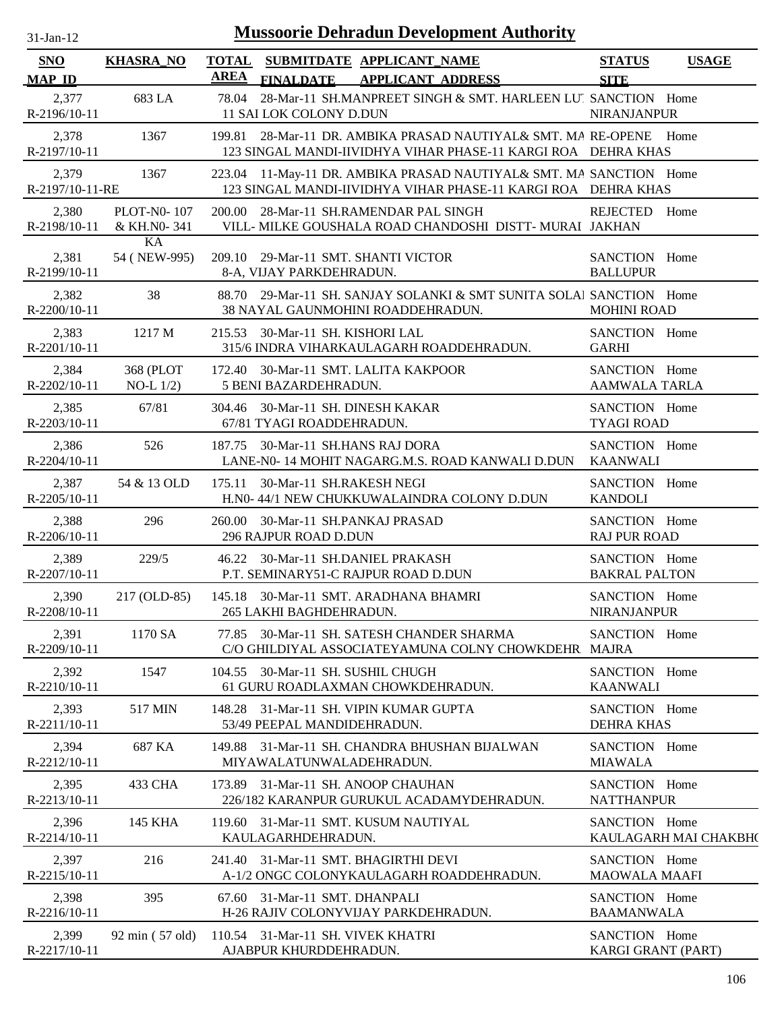| 31-Jan-12                   | <b>Mussoorie Dehradun Development Authority</b> |             |                                                                                                                                     |                                       |                       |  |  |
|-----------------------------|-------------------------------------------------|-------------|-------------------------------------------------------------------------------------------------------------------------------------|---------------------------------------|-----------------------|--|--|
| <b>SNO</b><br><b>MAP ID</b> | <b>KHASRA_NO</b>                                | <b>AREA</b> | TOTAL SUBMITDATE APPLICANT NAME<br><b>FINALDATE</b><br><b>APPLICANT ADDRESS</b>                                                     | <b>STATUS</b><br><b>SITE</b>          | <b>USAGE</b>          |  |  |
| 2,377<br>R-2196/10-11       | 683 LA                                          | 78.04       | 28-Mar-11 SH.MANPREET SINGH & SMT. HARLEEN LUI SANCTION Home<br>11 SAI LOK COLONY D.DUN                                             | <b>NIRANJANPUR</b>                    |                       |  |  |
| 2,378<br>R-2197/10-11       | 1367                                            |             | 199.81 28-Mar-11 DR. AMBIKA PRASAD NAUTIYAL& SMT. MA RE-OPENE Home<br>123 SINGAL MANDI-IIVIDHYA VIHAR PHASE-11 KARGI ROA DEHRA KHAS |                                       |                       |  |  |
| 2,379<br>R-2197/10-11-RE    | 1367                                            |             | 223.04 11-May-11 DR. AMBIKA PRASAD NAUTIYAL& SMT. MA SANCTION Home<br>123 SINGAL MANDI-IIVIDHYA VIHAR PHASE-11 KARGI ROA DEHRA KHAS |                                       |                       |  |  |
| 2,380<br>R-2198/10-11       | <b>PLOT-N0-107</b><br>& KH.NO-341               |             | 200.00 28-Mar-11 SH.RAMENDAR PAL SINGH<br>VILL- MILKE GOUSHALA ROAD CHANDOSHI DISTT- MURAI JAKHAN                                   | REJECTED                              | Home                  |  |  |
| 2,381<br>R-2199/10-11       | KA<br>54 (NEW-995)                              |             | 209.10 29-Mar-11 SMT. SHANTI VICTOR<br>8-A, VIJAY PARKDEHRADUN.                                                                     | SANCTION Home<br><b>BALLUPUR</b>      |                       |  |  |
| 2,382<br>$R-2200/10-11$     | 38                                              |             | 88.70 29-Mar-11 SH. SANJAY SOLANKI & SMT SUNITA SOLAI SANCTION Home<br>38 NAYAL GAUNMOHINI ROADDEHRADUN.                            | <b>MOHINI ROAD</b>                    |                       |  |  |
| 2,383<br>$R-2201/10-11$     | 1217 M                                          |             | 215.53 30-Mar-11 SH. KISHORI LAL<br>315/6 INDRA VIHARKAULAGARH ROADDEHRADUN.                                                        | SANCTION Home<br><b>GARHI</b>         |                       |  |  |
| 2,384<br>$R-2202/10-11$     | 368 (PLOT<br>$NO-L 1/2)$                        |             | 172.40 30-Mar-11 SMT. LALITA KAKPOOR<br>5 BENI BAZARDEHRADUN.                                                                       | SANCTION Home<br><b>AAMWALA TARLA</b> |                       |  |  |
| 2,385<br>R-2203/10-11       | 67/81                                           |             | 304.46 30-Mar-11 SH. DINESH KAKAR<br>67/81 TYAGI ROADDEHRADUN.                                                                      | SANCTION Home<br><b>TYAGI ROAD</b>    |                       |  |  |
| 2,386<br>R-2204/10-11       | 526                                             |             | 187.75 30-Mar-11 SH.HANS RAJ DORA<br>LANE-N0-14 MOHIT NAGARG.M.S. ROAD KANWALI D.DUN                                                | SANCTION Home<br><b>KAANWALI</b>      |                       |  |  |
| 2,387<br>$R-2205/10-11$     | 54 & 13 OLD                                     | 175.11      | 30-Mar-11 SH.RAKESH NEGI<br>H.N0- 44/1 NEW CHUKKUWALAINDRA COLONY D.DUN                                                             | SANCTION Home<br><b>KANDOLI</b>       |                       |  |  |
| 2,388<br>R-2206/10-11       | 296                                             | 260.00      | 30-Mar-11 SH.PANKAJ PRASAD<br>296 RAJPUR ROAD D.DUN                                                                                 | SANCTION Home<br><b>RAJ PUR ROAD</b>  |                       |  |  |
| 2,389<br>R-2207/10-11       | 229/5                                           |             | 46.22 30-Mar-11 SH.DANIEL PRAKASH<br>P.T. SEMINARY51-C RAJPUR ROAD D.DUN                                                            | SANCTION Home<br><b>BAKRAL PALTON</b> |                       |  |  |
| 2,390<br>$R-2208/10-11$     |                                                 |             | 217 (OLD-85) 145.18 30-Mar-11 SMT. ARADHANA BHAMRI<br>265 LAKHI BAGHDEHRADUN.                                                       | SANCTION Home<br><b>NIRANJANPUR</b>   |                       |  |  |
| 2,391<br>R-2209/10-11       | 1170 SA                                         |             | 77.85 30-Mar-11 SH. SATESH CHANDER SHARMA<br>C/O GHILDIYAL ASSOCIATEYAMUNA COLNY CHOWKDEHR MAJRA                                    | SANCTION Home                         |                       |  |  |
| 2,392<br>$R-2210/10-11$     | 1547                                            |             | 104.55 30-Mar-11 SH. SUSHIL CHUGH<br>61 GURU ROADLAXMAN CHOWKDEHRADUN.                                                              | SANCTION Home<br><b>KAANWALI</b>      |                       |  |  |
| 2,393<br>$R-2211/10-11$     | 517 MIN                                         |             | 148.28 31-Mar-11 SH. VIPIN KUMAR GUPTA<br>53/49 PEEPAL MANDIDEHRADUN.                                                               | SANCTION Home<br><b>DEHRA KHAS</b>    |                       |  |  |
| 2,394<br>$R-2212/10-11$     | 687 KA                                          |             | 149.88 31-Mar-11 SH. CHANDRA BHUSHAN BIJALWAN<br>MIYAWALATUNWALADEHRADUN.                                                           | SANCTION Home<br><b>MIAWALA</b>       |                       |  |  |
| 2,395<br>R-2213/10-11       | 433 CHA                                         |             | 173.89 31-Mar-11 SH. ANOOP CHAUHAN<br>226/182 KARANPUR GURUKUL ACADAMYDEHRADUN.                                                     | SANCTION Home<br><b>NATTHANPUR</b>    |                       |  |  |
| 2,396<br>$R-2214/10-11$     | 145 KHA                                         |             | 119.60 31-Mar-11 SMT. KUSUM NAUTIYAL<br>KAULAGARHDEHRADUN.                                                                          | SANCTION Home                         | KAULAGARH MAI CHAKBH( |  |  |
| 2,397<br>$R-2215/10-11$     | 216                                             |             | 241.40 31-Mar-11 SMT. BHAGIRTHI DEVI<br>A-1/2 ONGC COLONYKAULAGARH ROADDEHRADUN.                                                    | SANCTION Home<br><b>MAOWALA MAAFI</b> |                       |  |  |
| 2,398<br>$R-2216/10-11$     | 395                                             |             | 67.60 31-Mar-11 SMT. DHANPALI<br>H-26 RAJIV COLONYVIJAY PARKDEHRADUN.                                                               | SANCTION Home<br><b>BAAMANWALA</b>    |                       |  |  |
| 2,399<br>R-2217/10-11       | 92 min (57 old)                                 |             | 110.54 31-Mar-11 SH. VIVEK KHATRI<br>AJABPUR KHURDDEHRADUN.                                                                         | SANCTION Home<br>KARGI GRANT (PART)   |                       |  |  |